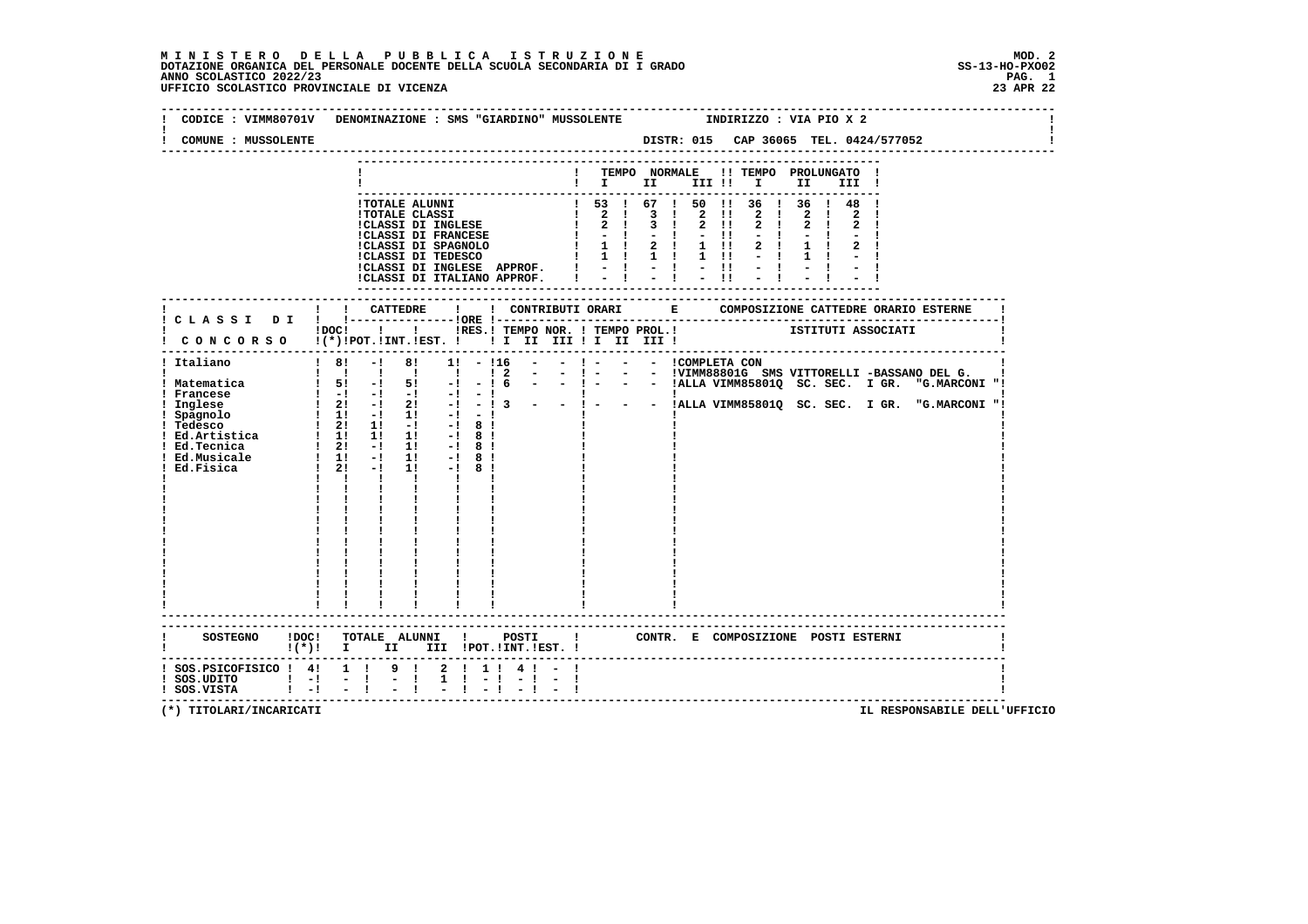**M I N I S T E R O D E L L A P U B B L I C A I S T R U Z I O N E MOD. 2 DOTAZIONE ORGANICA DEL PERSONALE DOCENTE DELLA SCUOLA SECONDARIA DI I GRADO SS-13-HO-PXO02 ANNO SCOLASTICO 2022/23 PAG. 1 UFFICIO SCOLASTICO PROVINCIALE DI VICENZA 23 APR 22**

| CODICE : VIMM80701V DENOMINAZIONE : SMS "GIARDINO" MUSSOLENTE                                                                                                                                                                                                                                                                                                                                                                                                                                     |                                                                                |                                                                                                          |          |                             |                                                                                                                                                                                                                                                                                                                                                                                     |                                                                                                      |               |                |  |                                         |  |  | INDIRIZZO : VIA PIO X 2                                        |                     |             |             |                                                                       |  |                                                                                                                               |  |
|---------------------------------------------------------------------------------------------------------------------------------------------------------------------------------------------------------------------------------------------------------------------------------------------------------------------------------------------------------------------------------------------------------------------------------------------------------------------------------------------------|--------------------------------------------------------------------------------|----------------------------------------------------------------------------------------------------------|----------|-----------------------------|-------------------------------------------------------------------------------------------------------------------------------------------------------------------------------------------------------------------------------------------------------------------------------------------------------------------------------------------------------------------------------------|------------------------------------------------------------------------------------------------------|---------------|----------------|--|-----------------------------------------|--|--|----------------------------------------------------------------|---------------------|-------------|-------------|-----------------------------------------------------------------------|--|-------------------------------------------------------------------------------------------------------------------------------|--|
| COMUNE : MUSSOLENTE                                                                                                                                                                                                                                                                                                                                                                                                                                                                               |                                                                                |                                                                                                          |          |                             |                                                                                                                                                                                                                                                                                                                                                                                     |                                                                                                      |               |                |  |                                         |  |  |                                                                |                     |             |             | DISTR: 015 CAP 36065 TEL. 0424/577052                                 |  |                                                                                                                               |  |
|                                                                                                                                                                                                                                                                                                                                                                                                                                                                                                   |                                                                                |                                                                                                          |          |                             |                                                                                                                                                                                                                                                                                                                                                                                     |                                                                                                      |               |                |  | $\mathbf{I}$ is the set of $\mathbf{I}$ |  |  | ! TEMPO NORMALE !! TEMPO PROLUNGATO !                          |                     |             |             |                                                                       |  |                                                                                                                               |  |
|                                                                                                                                                                                                                                                                                                                                                                                                                                                                                                   |                                                                                |                                                                                                          |          |                             | !TOTALE ALUNNI<br><b>!TOTALE CLASSI</b>                                                                                                                                                                                                                                                                                                                                             | <b>!CLASSI DI INGLESE</b><br><b>!CLASSI DI FRANCESE</b><br>!CLASSI DI SPAGNOLO<br>!CLASSI DI TEDESCO |               |                |  | $1 \t2 \t1 \t3 \t1 \t2 \t1!$            |  |  | 1 53 1 67 1 50 11 36 1 36 1 48 1<br>1 2 1 3 1 2 11 2 1 2 1 2 1 | $2 \quad 1$<br>$-1$ | $1 \quad 1$ | $2 \quad 1$ |                                                                       |  |                                                                                                                               |  |
|                                                                                                                                                                                                                                                                                                                                                                                                                                                                                                   |                                                                                |                                                                                                          |          |                             |                                                                                                                                                                                                                                                                                                                                                                                     |                                                                                                      |               |                |  |                                         |  |  |                                                                |                     |             |             |                                                                       |  |                                                                                                                               |  |
| CONCORSO !(*)!POT.!INT.!EST. ! ! I II III ! II III !                                                                                                                                                                                                                                                                                                                                                                                                                                              |                                                                                |                                                                                                          |          |                             |                                                                                                                                                                                                                                                                                                                                                                                     |                                                                                                      |               |                |  |                                         |  |  |                                                                |                     |             |             | .<br>1 DOC! ! ! IRES. I TEMPO NOR. ! TEMPO PROL. ! [STITUTI ASSOCIATI |  |                                                                                                                               |  |
| ------------------------------------<br>! Italiano<br>! Matematica $\qquad$ ! 5! -! 5! -!<br>! Francese<br>! Inglese<br>1 Inglese $\begin{array}{cccccc} & 1 & 1 & -1 & 1 & -1 & -1 & -1 \\ 1 & -1 & -1 & 1 & -1 & 1 & -1 & -1 \\ 1 & -1 & -1 & 1 & -1 & 1 & -1 & 1 \\ 1 & -1 & -1 & 1 & 1 & -1 & 1 & -1 \\ 1 & -1 & 1 & -1 & 1 & -1 & 1 & -1 \\ 1 & -1 & -1 & -1 & 1 & -1 & 1 & -1 \\ 1 & -1 & -1 & 1 & -1 & 1 & -1 & 1 \\ 1 & -1 & 1 & -1 & 1 & -1 & 1 & -1 \\ 1 & -1 & 1 & -1 & $<br>Ed.Fisica | $18! -18!$<br>$\frac{1}{2}$ 11 $\frac{1}{2}$ 11 $\frac{1}{2}$ 11 $\frac{1}{2}$ | $1 \quad 2! \quad -! \quad 2! \quad -! \quad -! \quad 3$<br>$12! -11! -18!$<br>$\mathbf{I}$ $\mathbf{I}$ | <b>I</b> | $\mathbf{I}$                | $\mathbf{I}$ and $\mathbf{I}$<br>$\begin{array}{ll} 1 & 1 \\ 1 & 1 \\ 1 & 1 \\ 1 & 1 \\ 1 & 1 \\ 1 & 1 \\ 1 & 1 \\ 1 & 1 \\ 1 & 1 \\ 1 & 1 \\ 1 & 1 \\ 1 & 1 \\ 1 & 1 \\ 1 & 1 \\ 1 & 1 \\ 1 & 1 \\ 1 & 1 \\ 1 & 1 \\ 1 & 1 \\ 1 & 1 \\ 1 & 1 \\ 1 & 1 \\ 1 & 1 \\ 1 & 1 \\ 1 & 1 \\ 1 & 1 \\ 1 & 1 \\ 1 & 1 \\ 1 & 1 \\ 1 & 1 \\ 1 & 1 \\ 1 & 1 \\ 1 & 1 \\ 1 & 1 \\ 1 & 1 \\ 1 &$ | $1! - 116$                                                                                           | $\frac{1}{2}$ | $\blacksquare$ |  | $-$ ! $  -$ ! COMPLETA CON              |  |  |                                                                |                     |             |             |                                                                       |  | - 1 - - - - - IVIMM88801G SMS VITTORELLI -BASSANO DEL G. 1<br>- ! 6 - - ! - - - IALLA VIMM85801Q SC. SEC. I GR. "G.MARCONI "! |  |
| <b>SOSTEGNO</b>                                                                                                                                                                                                                                                                                                                                                                                                                                                                                   | !DOC! TOTALE ALUNNI ! POSTI<br>$\mathbf{I}(\star)\mathbf{I}$ i                 |                                                                                                          |          | II D                        |                                                                                                                                                                                                                                                                                                                                                                                     | III !POT.!INT.!EST. !                                                                                |               |                |  |                                         |  |  |                                                                |                     |             |             | ! CONTR. E COMPOSIZIONE POSTI ESTERNI                                 |  |                                                                                                                               |  |
| $:$ SOS.PSICOFISICO $:$ 4! 1 !<br>$!$ SOS.UDITO $!$ -! -!<br>$!$ SOS.VISTA $!$ -! - !                                                                                                                                                                                                                                                                                                                                                                                                             |                                                                                |                                                                                                          |          | $9 \quad 1$<br>$-1$<br>$-1$ |                                                                                                                                                                                                                                                                                                                                                                                     | 2 ! 1 ! 4 ! - !<br>$1 \t-1 \t-1 \t-1$                                                                |               |                |  |                                         |  |  |                                                                |                     |             |             |                                                                       |  |                                                                                                                               |  |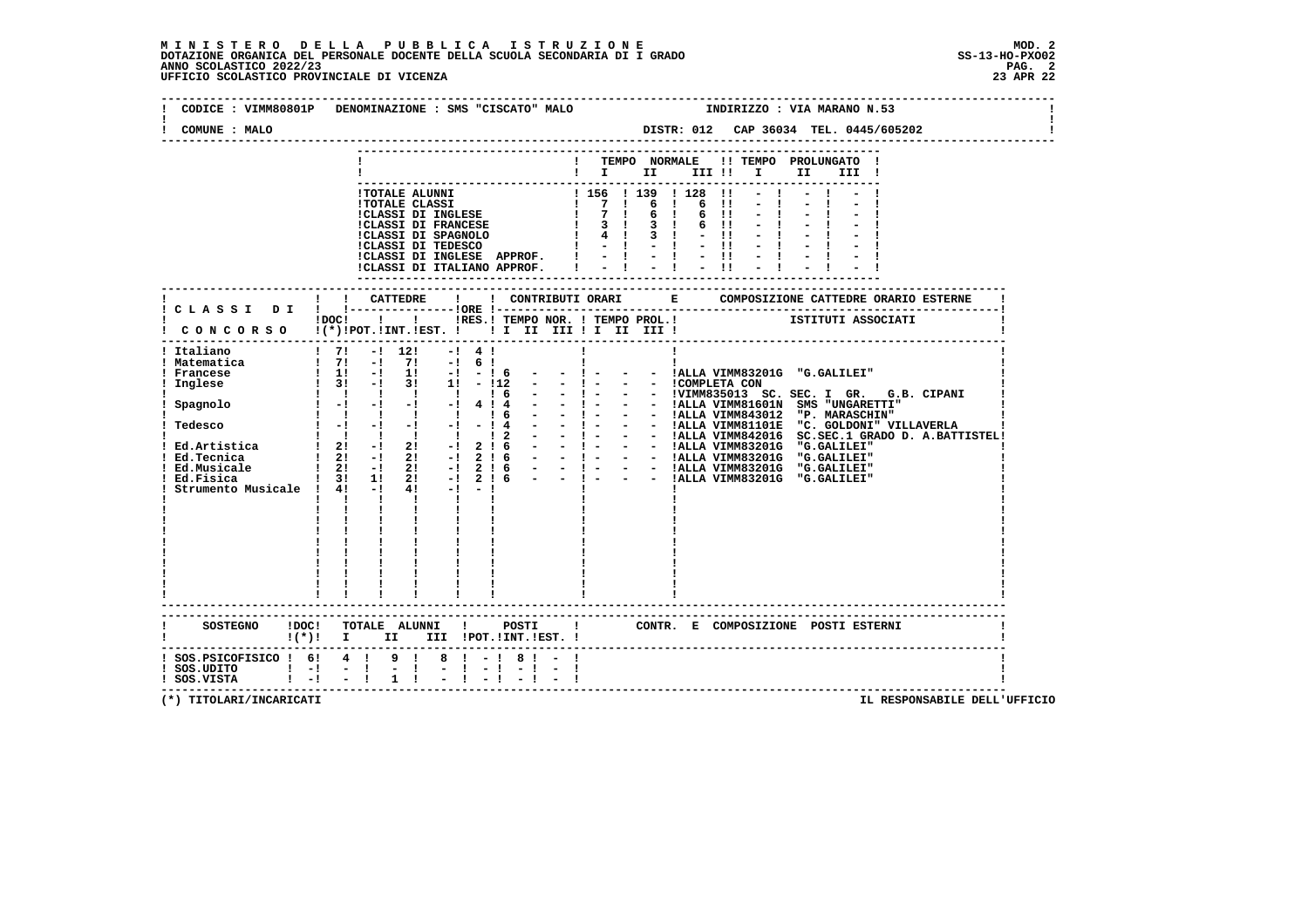### **M I N I S T E R O D E L L A P U B B L I C A I S T R U Z I O N E MOD. 2**DOTAZIONE ORGANICA DEL PERSONALE DOCENTE DELLA SCUOLA SECONDARIA DI I GRADO **SCOLASTICO SCOLASTICO 2022/23 PAG-**<br>PAG ANNO SCOLASTICO 2022/23 PAG. 2<br>23 APR 22 UFFICIO SCOLASTICO PROVINCIALE DI VICENZA

|                                              | INDIRIZZO : VIA MARANO N.53<br>CODICE: VIMM80801P DENOMINAZIONE: SMS "CISCATO" MALO                                                                                                        |               |
|----------------------------------------------|--------------------------------------------------------------------------------------------------------------------------------------------------------------------------------------------|---------------|
| COMUNE : MALO                                |                                                                                                                                                                                            |               |
|                                              | ! TEMPO NORMALE !! TEMPO PROLUNGATO !<br>$\mathbf{I}$ is the set of $\mathbf{I}$<br>III !! I                                                                                               | II a<br>III ! |
|                                              |                                                                                                                                                                                            |               |
|                                              | ! ! CATTEDRE<br>$\mathbf{I}$                                                                                                                                                               |               |
|                                              | ! CLASSI DI ! !----------------!ORE !--<br>: .------------<br>IDOC! !! IRES.I TEMPO NOR. ! TEMPO PROL.! ISTITUTI ASSOCIATI<br>CONCORSO !(*) IPOT. IINT. IEST. ! I II III II III III III II |               |
| ! Italiano                                   | $1 \t7! -1 \t12!$<br>$-1$ 4 1<br>Ţ.<br>$\begin{array}{ccccccccccccccccc}\n1 & 1 & 1 & 1 & 1\n\end{array}$                                                                                  |               |
|                                              | $!(*)!$ I II III !POT.!INT.!EST. !                                                                                                                                                         |               |
| 1 SOS.UDITO 1 -1 - 1<br>1 SOS.VISTA 1 -1 - 1 | ! SOS.PSICOFISICO ! 6! 4 ! 9 ! 8 ! - ! 8 ! - !<br>$-1$<br>1                                                                                                                                |               |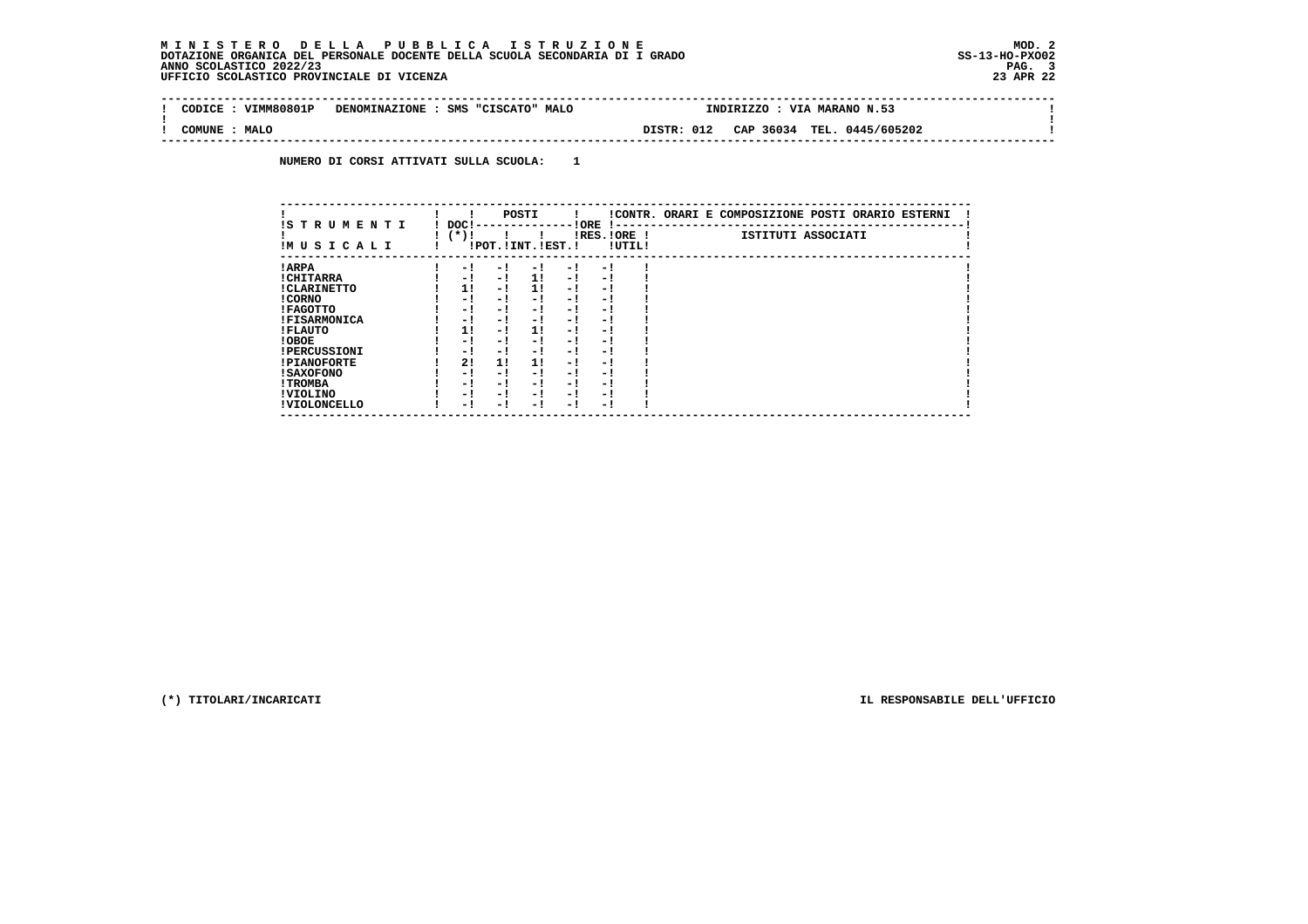# **M I N I S T E R O D E L L A P U B B L I C A I S T R U Z I O N E MOD. 2**DOTAZIONE ORGANICA DEL PERSONALE DOCENTE DELLA SCUOLA SECONDARIA DI I GRADO **SCOLASTICO 2022/23 PAGE DELLA SCOLASTICO 2022/23**<br>PANO SCOLASTICO 2022/23 PAG. 3<br>23 APR 22 UFFICIO SCOLASTICO PROVINCIALE DI VICENZA

| --------------------------------------<br>VTMM80801P<br>CODTCE | <b>MALC</b><br>SMS<br>DENOMINAZIONE<br>"CISCATO" | VIA MARANO N.53<br><b>INDIRIZZO</b>            |  |
|----------------------------------------------------------------|--------------------------------------------------|------------------------------------------------|--|
| <b>MALO</b><br>COMUNE                                          |                                                  | TEL. 0445/605202<br>012<br>CAP 36034<br>DISTR: |  |

 **NUMERO DI CORSI ATTIVATI SULLA SCUOLA: 1**

| IS T R U M E N T I  | DOC! |     | POSTI                 |      | ! ORE                    |        | !CONTR. ORARI E COMPOSIZIONE POSTI ORARIO ESTERNI |
|---------------------|------|-----|-----------------------|------|--------------------------|--------|---------------------------------------------------|
| IMUSICALI           | (*)! |     | !POT. ! INT. ! EST. ! |      | -1 - -<br>$IRES.IORE$ !  | !UTIL! | ISTITUTI ASSOCIATI                                |
| ! ARPA              | - 1  | - 1 | - 1                   | - 1  | - !                      |        |                                                   |
| ! CHITARRA          | - 1  | - ! | 1!                    | - !  | - 1                      |        |                                                   |
| ! CLARINETTO        | 1!   | - 1 | 11                    | - 1  | - 1                      |        |                                                   |
| ! CORNO             | - 1  | - ! | - 1                   | - 1  | - 1                      |        |                                                   |
| ! FAGOTTO           | - 1  | - ! | - 1                   | - 1  | - 1                      |        |                                                   |
| <b>!FISARMONICA</b> | - 1  | - ! | - !                   | - 1  | - 1                      |        |                                                   |
| ! FLAUTO            | 1!   | - ! | 11                    | - !  | - 1                      |        |                                                   |
| ! OBOE              | - 1  | - ! | - 1                   | - 1  | - 1                      |        |                                                   |
| <b>!PERCUSSIONI</b> | - 1  | - 1 | - 1                   | - 1  | - 1                      |        |                                                   |
| <b>!PIANOFORTE</b>  | 2!   | 11  | 11                    | - 1  | - 1                      |        |                                                   |
| ! SAXOFONO          | - 1  | - 1 | - !                   | - 1  | $\overline{\phantom{0}}$ |        |                                                   |
| ! TROMBA            | - 1  | - ! | - 1                   | - 1  | - 1                      |        |                                                   |
| ! VIOLINO           | - 1  | - 1 | - !                   | $-1$ | - 1                      |        |                                                   |
| ! VIOLONCELLO       | - 1  | - 1 | - 1                   | - '  | - 1                      |        |                                                   |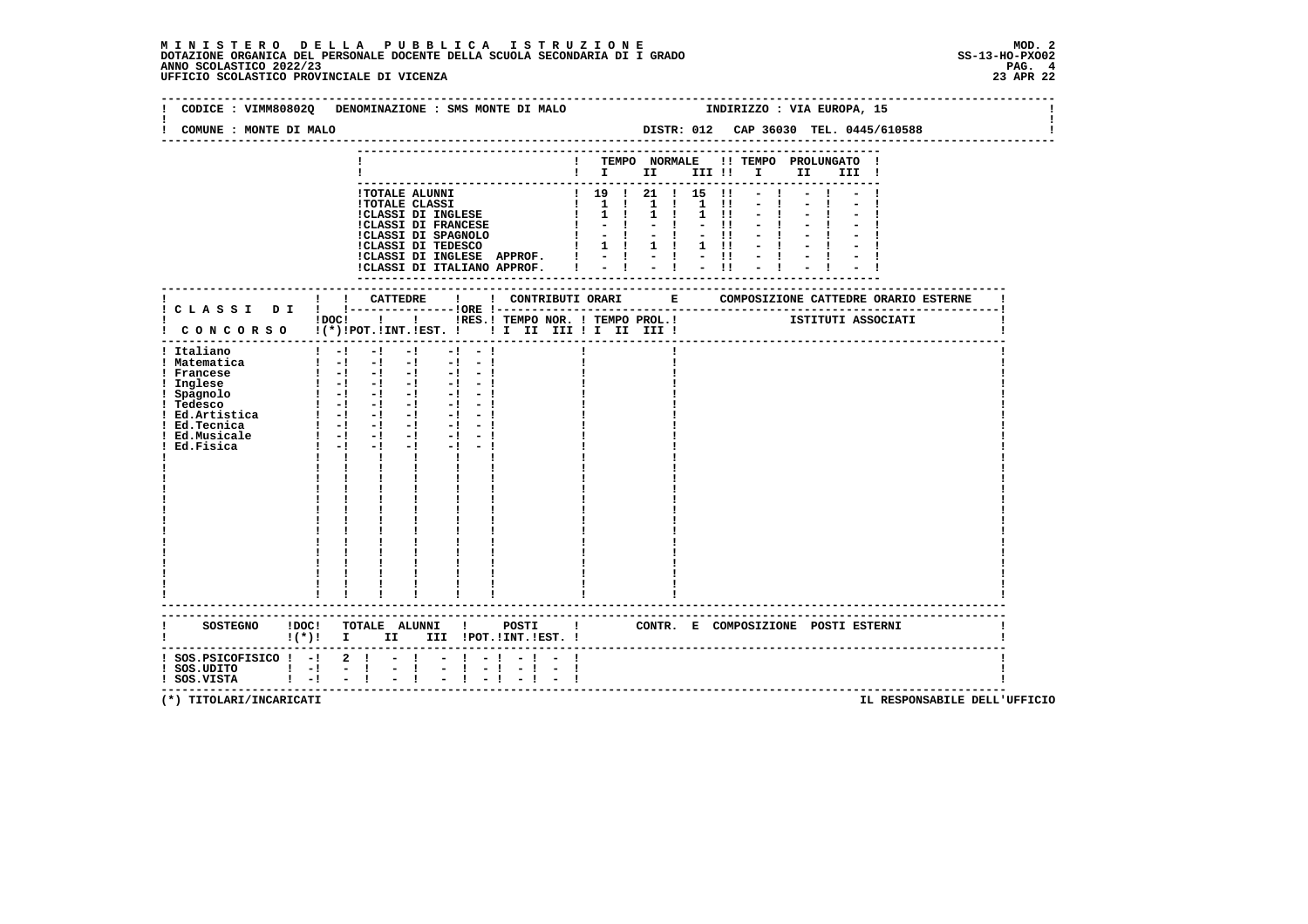#### **M I N I S T E R O D E L L A P U B B L I C A I S T R U Z I O N E MOD. 2**DOTAZIONE ORGANICA DEL PERSONALE DOCENTE DELLA SCUOLA SECONDARIA DI I GRADO **SCOLASTICO SCOLASTICO 2022/23 PAG. 4**<br>23 ANNO SCOLASTICO 2022/23 PAG. 4<br>23 APR 22 UFFICIO SCOLASTICO PROVINCIALE DI VICENZA

|                                                                                                                                                  | CODICE : VIMM80802Q DENOMINAZIONE : SMS MONTE DI MALO                                                                                                                                                                                                                                                                                                                                                                                                                                                                                                                                                                                                                   |                      |  |  |  |                      | INDIRIZZO : VIA EUROPA, 15                              |                                       |
|--------------------------------------------------------------------------------------------------------------------------------------------------|-------------------------------------------------------------------------------------------------------------------------------------------------------------------------------------------------------------------------------------------------------------------------------------------------------------------------------------------------------------------------------------------------------------------------------------------------------------------------------------------------------------------------------------------------------------------------------------------------------------------------------------------------------------------------|----------------------|--|--|--|----------------------|---------------------------------------------------------|---------------------------------------|
| COMUNE : MONTE DI MALO                                                                                                                           |                                                                                                                                                                                                                                                                                                                                                                                                                                                                                                                                                                                                                                                                         |                      |  |  |  |                      |                                                         | DISTR: 012 CAP 36030 TEL. 0445/610588 |
|                                                                                                                                                  |                                                                                                                                                                                                                                                                                                                                                                                                                                                                                                                                                                                                                                                                         |                      |  |  |  |                      | ! TEMPO NORMALE !! TEMPO PROLUNGATO !<br>$\blacksquare$ |                                       |
|                                                                                                                                                  | ! TOTALE ALUNNI<br>! TOTALE CLASSI<br>! 1 0 1 21 1 1 5 11<br>!CLASSI DI INGLESE $\begin{array}{cccccc} & 1 & 1 & 1 & 1 & 1 & 1 \\ 1 & 1 & 1 & 1 & 1 & 1 \\ 1 & 1 & 1 & 1 & 1 & 1 \\ 1 & 1 & 1 & 1 & 1 & 1 \\ 1 & 1 & 1 & 1 & 1 & 1 \\ 1 & 1 & 1 & 1 & 1 & 1 \\ 1 & 1 & 1 & 1 & 1 & 1 \\ 1 & 1 & 1 & 1 &$<br>CLASSI DI INGLESE APPROF. ! - ! - !  <br> CLASSI DI INGLESE APPROF. ! - ! - !                                                                                                                                                                                                                                                                               |                      |  |  |  | $-1$<br>$-1$<br>$-1$ |                                                         |                                       |
|                                                                                                                                                  | !DOC! !!!!RES.! TEMPO NOR. ! TEMPO PROL.!                                                                                                                                                                                                                                                                                                                                                                                                                                                                                                                                                                                                                               |                      |  |  |  |                      |                                                         | ISTITUTI ASSOCIATI                    |
| ! Italiano<br>! Matematica<br>! Francese<br>! Inglese<br>! Spagnolo<br>! Tedesco<br>! Ed.Artistica<br>! Ed.Tecnica<br>! Ed.Musicale<br>Ed.Fisica | $\begin{bmatrix} 1 & -1 & -1 & -1 \end{bmatrix}$<br>$-1 - 1$<br>$\begin{bmatrix} 1 & -1 & -1 & -1 & -1 & -1 \end{bmatrix}$<br>$\begin{bmatrix} 1 & -1 & -1 & -1 & -1 & -1 \end{bmatrix}$<br>$1 - 1 - 1 - 1 - 1$<br>$-1 - -1$<br>$1 - 1 - 1 - 1 - 1 - 1$<br>$\begin{bmatrix} 1 & -1 & -1 & -1 \end{bmatrix}$<br>$-1$ $-1$<br>$\frac{1}{2}$ $\frac{1}{2}$ $\frac{1}{2}$ $\frac{1}{2}$ $\frac{1}{2}$ $\frac{1}{2}$ $\frac{1}{2}$ $\frac{1}{2}$<br>$-1 - -1$<br>$1 - 1 - 1 - 1 - 1 - 1$<br>$1 - 1 - 1$<br>$-1$ $-$<br>$-1 - -1$<br>$\mathbf{1}$ $\mathbf{1}$ $\mathbf{1}$<br>$\mathbf{I}$ and $\mathbf{I}$<br>$\mathbf{I}$<br>$\frac{1}{4}$ , $\frac{1}{4}$ , $\frac{1}{4}$ |                      |  |  |  |                      |                                                         |                                       |
|                                                                                                                                                  | $\frac{1}{1}$ $\frac{1}{1}$ $\frac{1}{1}$<br>$1 - 1$<br>SOSTEGNO !DOC! TOTALE ALUNNI ! POSTI ! CONTR. E COMPOSIZIONE POSTI ESTERNI                                                                                                                                                                                                                                                                                                                                                                                                                                                                                                                                      |                      |  |  |  |                      |                                                         |                                       |
|                                                                                                                                                  | !(*)! I II III !POT.!INT.!EST.!<br>$:$ SOS.PSICOFISICO $:$ - $:$ 2 $:$ - $:$ - $:$ - $:$<br>$\mathbb{Z} \times \mathbb{R}$<br>$\frac{1}{2}$ $\frac{1}{2}$ $\frac{1}{2}$ $\frac{1}{2}$                                                                                                                                                                                                                                                                                                                                                                                                                                                                                   | $-1$ $-$<br>$-1 - 1$ |  |  |  |                      |                                                         |                                       |
| $\frac{1}{1}$ SOS.UDITO $\frac{1}{1}$ - $\frac{1}{1}$ - $\frac{1}{1}$ - $\frac{1}{1}$                                                            |                                                                                                                                                                                                                                                                                                                                                                                                                                                                                                                                                                                                                                                                         | $-1$ $-1$            |  |  |  |                      |                                                         |                                       |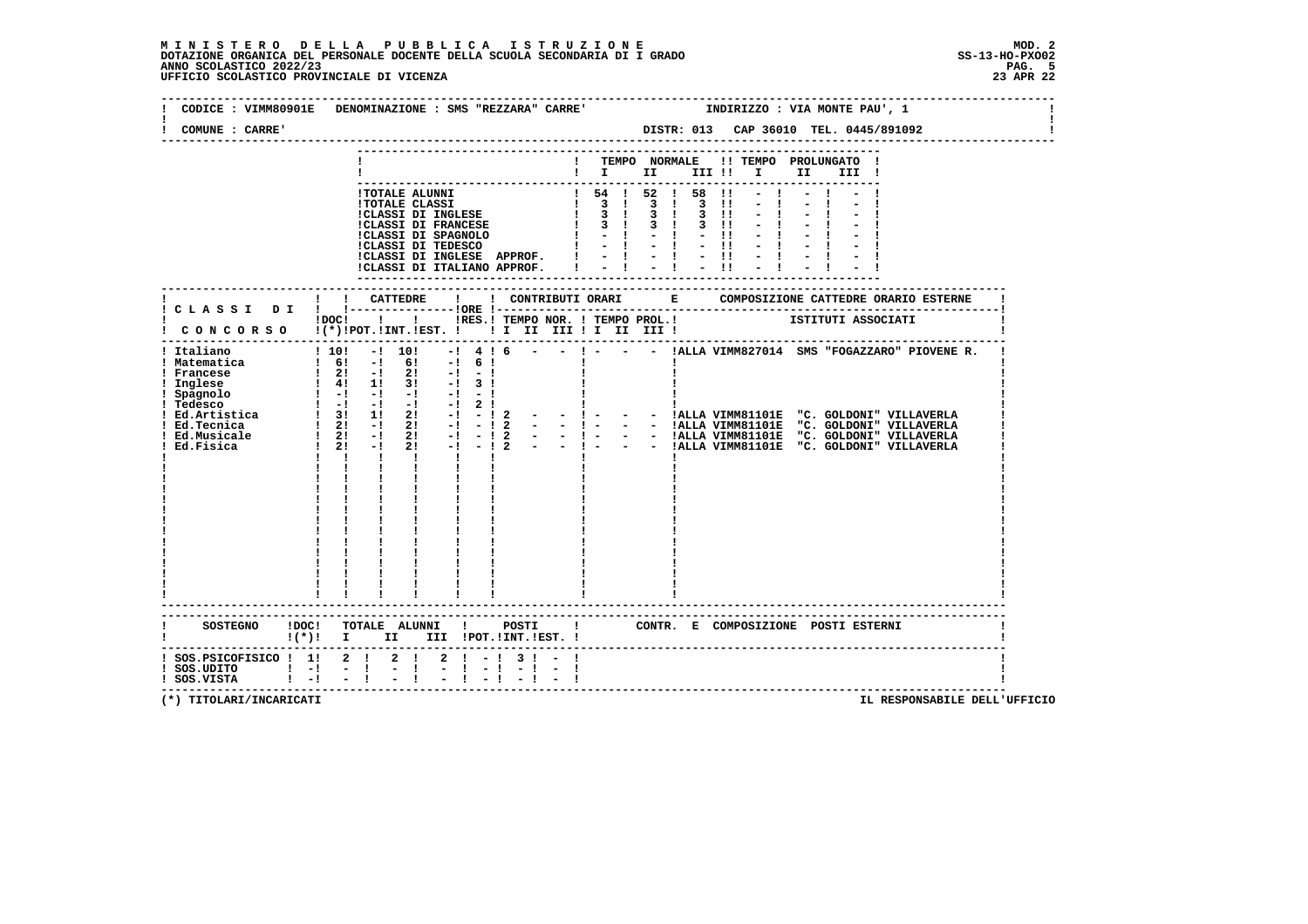# **M I N I S T E R O D E L L A P U B B L I C A I S T R U Z I O N E MOD. 2**DOTAZIONE ORGANICA DEL PERSONALE DOCENTE DELLA SCUOLA SECONDARIA DI I GRADO<br>ANNO SCOLASTICO 2022/23 PAG. 5<br>23 APR 22 UFFICIO SCOLASTICO PROVINCIALE DI VICENZA

| COMUNE : CARRE'                              | CODICE : VIMM80901E DENOMINAZIONE : SMS "REZZARA" CARRE'             INDIRIZZO : VIA MONTE PAU', 1            |
|----------------------------------------------|---------------------------------------------------------------------------------------------------------------|
|                                              |                                                                                                               |
|                                              | ! TEMPO NORMALE !! TEMPO PROLUNGATO !<br>$\mathbf{I}$ is the set of $\mathbf{I}$<br>III !! I<br>II a<br>III ! |
|                                              |                                                                                                               |
|                                              |                                                                                                               |
|                                              |                                                                                                               |
| ! Italiano                                   | $-!$ 4 ! 6 - - ! - - - !ALLA VIMM827014 SMS "FOGAZZARO" PIOVENE R.<br>$! 10! -1 10!$                          |
|                                              | $!(*)!$ I II III !POT.!INT.!EST. !                                                                            |
| ! SOS.UDITO ! -! - !<br>! SOS.VISTA ! -! - ! | ! SOS.PSICOFISICO ! 1! 2 ! 2 ! 2 ! - ! 3 ! - !<br>$-1 - 1 - 1 - 1$<br>$-1$                                    |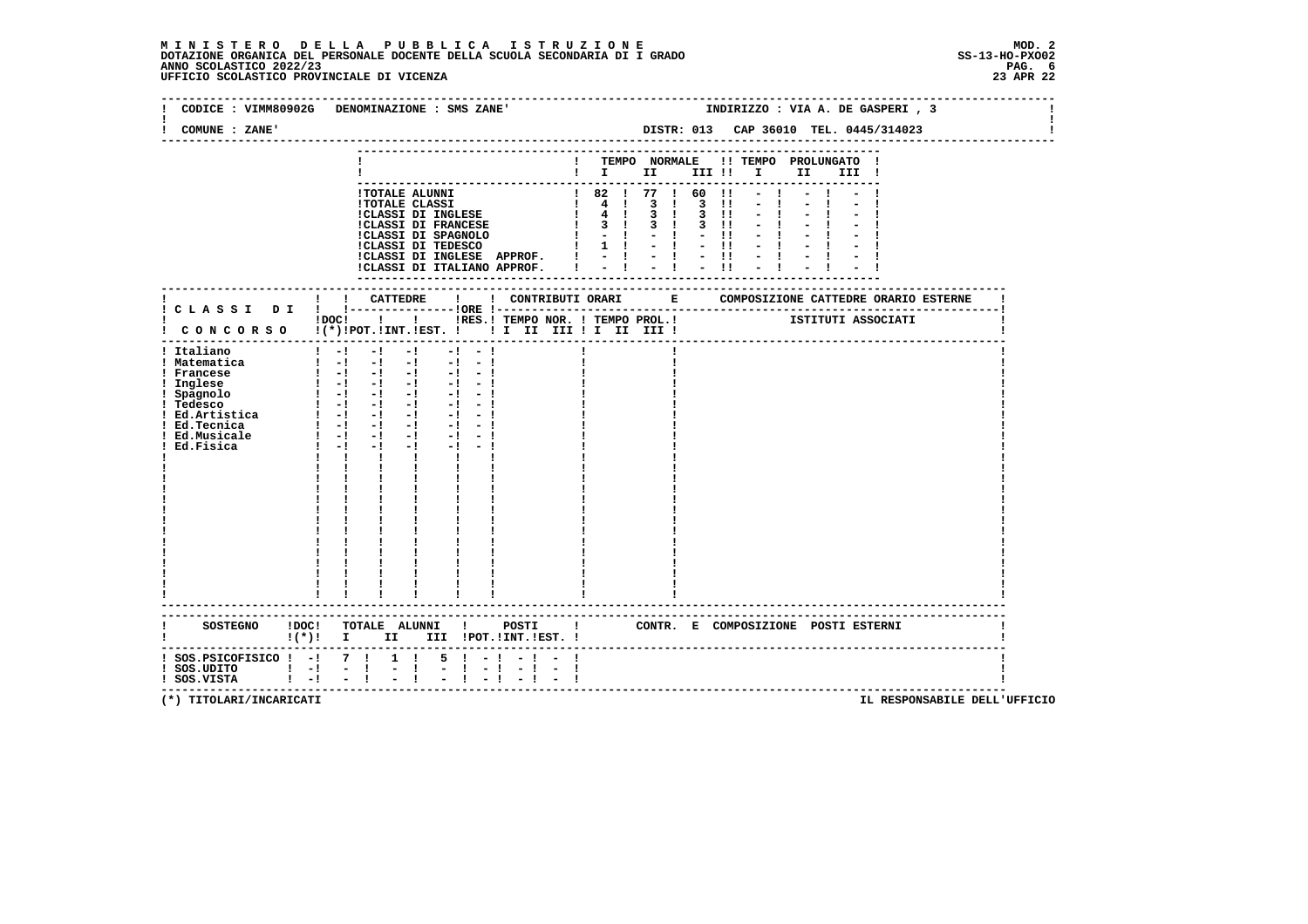|                                                                                                                                                                      | CODICE : VIMM80902G DENOMINAZIONE : SMS ZANE'                                                                                                                                                                                                                                                                                                                                                                                                                                                                                                               | INDIRIZZO : VIA A. DE GASPERI, 3                                                                                                                                                                                                                            |
|----------------------------------------------------------------------------------------------------------------------------------------------------------------------|-------------------------------------------------------------------------------------------------------------------------------------------------------------------------------------------------------------------------------------------------------------------------------------------------------------------------------------------------------------------------------------------------------------------------------------------------------------------------------------------------------------------------------------------------------------|-------------------------------------------------------------------------------------------------------------------------------------------------------------------------------------------------------------------------------------------------------------|
| COMUNE : ZANE'                                                                                                                                                       |                                                                                                                                                                                                                                                                                                                                                                                                                                                                                                                                                             | DISTR: 013 CAP 36010 TEL. 0445/314023                                                                                                                                                                                                                       |
|                                                                                                                                                                      |                                                                                                                                                                                                                                                                                                                                                                                                                                                                                                                                                             | TEMPO NORMALE !! TEMPO PROLUNGATO !<br>$\mathbf{I}$ is the set of $\mathbf{I}$ is the set of $\mathbf{I}$<br>II D<br>III !                                                                                                                                  |
|                                                                                                                                                                      | <b>!TOTALE ALUNNI</b><br><b>!TOTALE CLASSI</b><br><b>!CLASSI DI INGLESE</b><br><b>!CLASSI DI FRANCESE</b><br>!CLASS1 DI FRANCESE<br>!CLASSI DI INGLESE APPROF.<br>!CLASSI DI ITALIANO APPROF.                                                                                                                                                                                                                                                                                                                                                               | $182$ $177$ $160$<br>$\overline{11}$<br>$1 \t 4 \t 3 \t 1 \t 3 \t 11$<br>1 4 1 3 1 3 11<br>$1 \t3 \t1 \t3 \t1 \t3 \t11$<br>$1 - 1 - 1$<br>$-11$<br>$1 \t1 - 1 - 11$<br>$\frac{1}{2}$ $\frac{1}{2}$ $\frac{1}{2}$ $\frac{1}{2}$ $\frac{1}{2}$ $\frac{1}{11}$ |
|                                                                                                                                                                      |                                                                                                                                                                                                                                                                                                                                                                                                                                                                                                                                                             | --------------------<br>---------                                                                                                                                                                                                                           |
|                                                                                                                                                                      | $1\,\mathrm{DOC}$ $1\,\mathrm{ol}$<br>! CONCORSO !(*)!POT.!INT.!EST. !! I II III !I II III !                                                                                                                                                                                                                                                                                                                                                                                                                                                                |                                                                                                                                                                                                                                                             |
| ! Italiano<br>! Matematica<br>! Francese<br>! Inglese<br>! Spagnolo<br>! Tedesco<br>$!$ Ed.Artistica $!$ - $!$ - $!$ -<br>! Ed.Tecnica<br>! Ed.Musicale<br>Ed.Fisica | $1 - 1$<br>$-1$<br>$-1$<br>$-1$<br>$-1$<br>$\frac{1}{2}$ $\frac{1}{2}$ $\frac{1}{2}$ $\frac{1}{2}$ $\frac{1}{2}$ $\frac{1}{2}$ $\frac{1}{2}$ $\frac{1}{2}$<br>$-1 - -1$<br>$1 - 1 - 1 - 1$<br>$-1$<br>$-1$<br>$\begin{bmatrix} 1 & -1 & -1 & -1 & -1 & -1 \end{bmatrix}$<br>$1 - 1 - 1 - 1$<br>$-1 - -1$<br>$-1 - -1$<br>$\begin{bmatrix} 1 & -1 & -1 & -1 \end{bmatrix}$<br>$-1 - 1$<br>$1 - 1 - 1$<br>$-1$<br>$-1 - 1$<br>$1 - 1 - 1$<br>$-1$ $-$<br>$-1 - -1$<br>$\mathbf{I}$ $\mathbf{I}$ $\mathbf{I}$<br>$\mathbf{I}$<br>$\mathbf{I}$ and $\mathbf{I}$ |                                                                                                                                                                                                                                                             |
|                                                                                                                                                                      | SOSTEGNO !DOC! TOTALE ALUNNI ! POSTI<br>!(*)! I II III !POT.!INT.!EST. !                                                                                                                                                                                                                                                                                                                                                                                                                                                                                    | $\mathbf{I}$<br>CONTR. E COMPOSIZIONE POSTI_ESTERNI                                                                                                                                                                                                         |
| ! SOS.PSICOFISICO ! -! 7 !<br>$!$ SOS.UDITO $!$ -!<br>$\mathbf{I} = \mathbf{I}$<br>! SOS.VISTA                                                                       | $1 \quad 1$<br>$5 \t1 - 1 - 1 -$<br>$ -1$<br>$-1$                                                                                                                                                                                                                                                                                                                                                                                                                                                                                                           | ----------------------------------                                                                                                                                                                                                                          |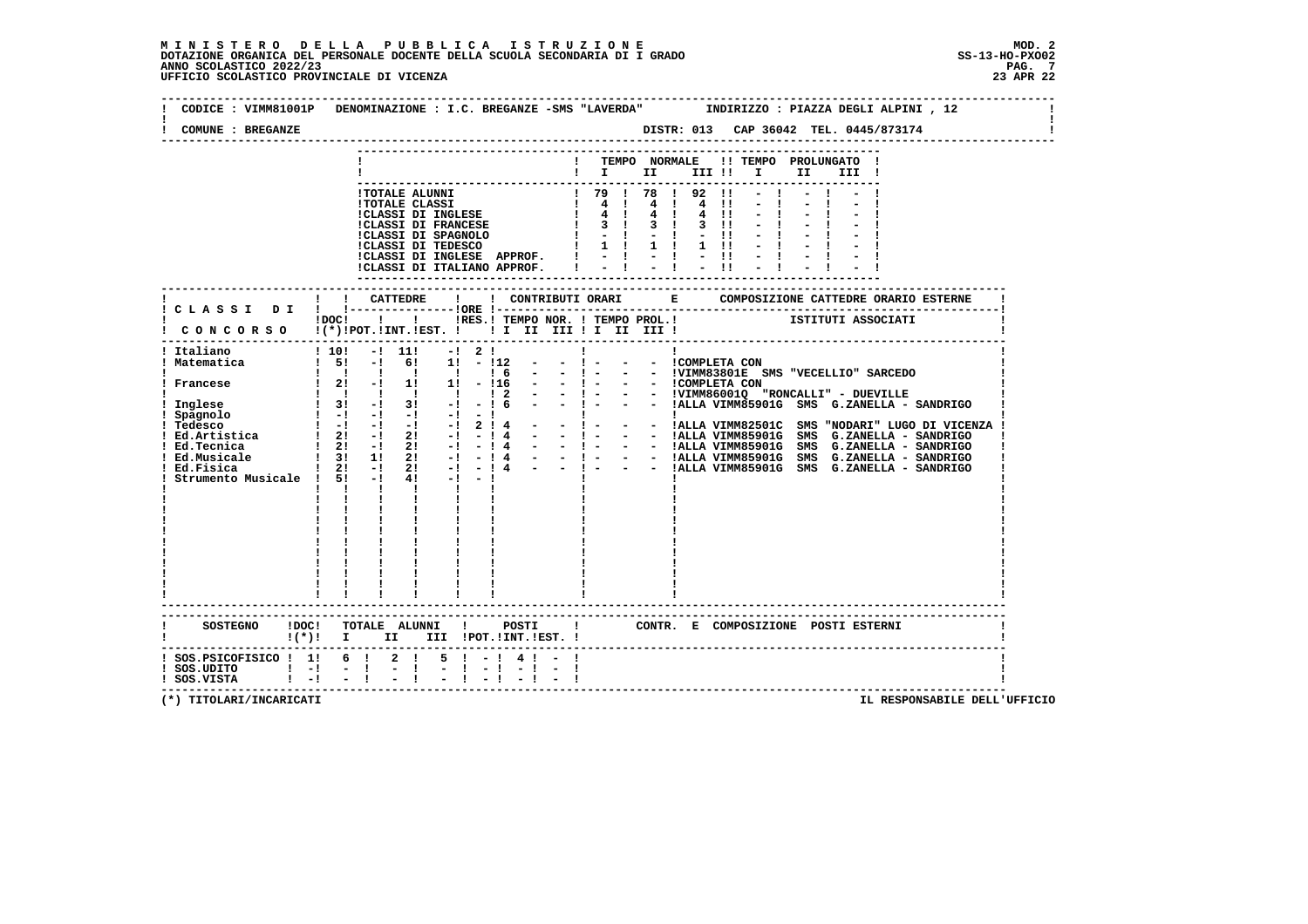| COMUNE : BREGANZE                                    | DISTR: 013 CAP 36042 TEL. 0445/873174<br>--------------------------                                                                                                                                                                                                     |
|------------------------------------------------------|-------------------------------------------------------------------------------------------------------------------------------------------------------------------------------------------------------------------------------------------------------------------------|
|                                                      | ! TEMPO NORMALE !! TEMPO PROLUNGATO !<br>II a<br>III !                                                                                                                                                                                                                  |
|                                                      |                                                                                                                                                                                                                                                                         |
|                                                      | IDOCI I I IRES.I TEMPO NOR. I TEMPO PROL.I ISTITUTI ASSOCIATI<br>CONCORSO !(*) POT. IINT. IEST. I I II III II III III III                                                                                                                                               |
| Italiano<br>Matematica<br>Strumento Musicale ! 5! -! | -----------------------------------<br>$!10!$ $-!11!$<br>$-1$ 2 1<br>$1\quad 5! \quad -1 \quad 6! \quad 1! \quad -112$<br>$  1 -$<br>- - ICOMPLETA CON<br>$4! -1 -1$<br>$\begin{array}{ccc} \cdot & \cdot & \cdot & \cdot \end{array}$<br>$\mathbf{I}$ and $\mathbf{I}$ |
|                                                      | SOSTEGNO !DOC! TOTALE ALUNNI ! POSTI<br>! CONTR. E COMPOSIZIONE POSTI ESTERNI                                                                                                                                                                                           |
| ! SOS.UDITO ! -! - !<br>! SOS.VISTA ! -! - !         | $!(*)!$ I II III !POT.!INT.!EST. !<br>! SOS. PSICOFISICO ! 1! 6 ! 2 ! 5 ! - ! 4 ! - !<br>$-1$                                                                                                                                                                           |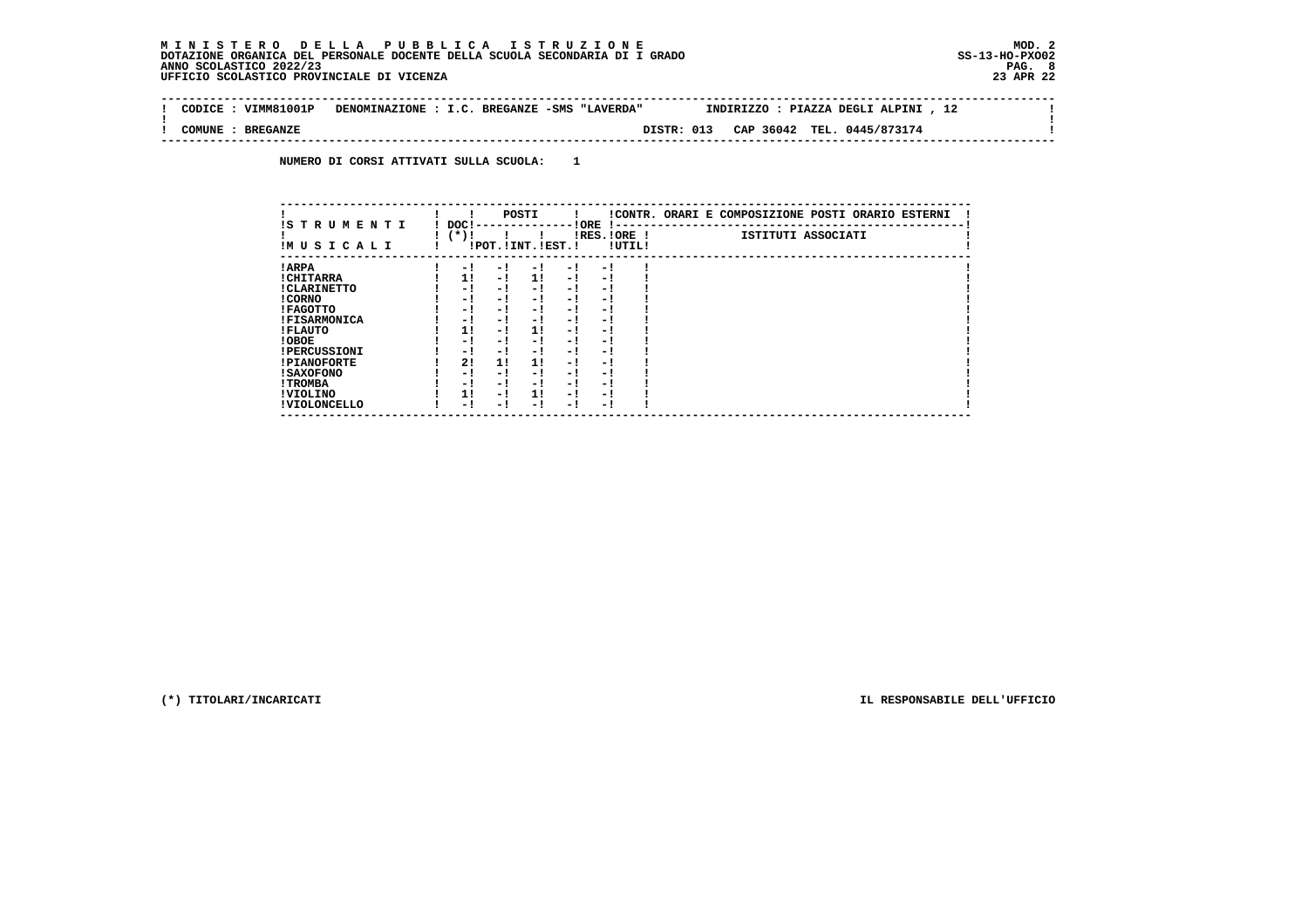#### **M I N I S T E R O D E L L A P U B B L I C A I S T R U Z I O N E MOD. 2DOTAZIONE ORGANICA DEL PERSONALE DOCENTE DELLA SCUOLA SECONDARIA DI I GRADO ANNO SCOLASTICO 2022/23 UFFICIO SCOLASTICO PROVINCIALE DI VICENZA 23 APR 22**

 $\mathbf{I}$ 

 $\mathbf{I}$ 

 **--------------------------------------------------------------------------------------------------------------------------------Contract Contract ! CODICE : VIMM81001P DENOMINAZIONE : I.C. BREGANZE -SMS "LAVERDA" INDIRIZZO : PIAZZA DEGLI ALPINI , 12 ! ! ! ! COMUNE : BREGANZE DISTR: 013 CAP 36042 TEL. 0445/873174 ! --------------------------------------------------------------------------------------------------------------------------------**

 **NUMERO DI CORSI ATTIVATI SULLA SCUOLA: 1**

| IS T R U M E N T I  | DOC! |     | POSTI                 |      | ! ORE<br>.    |        | !CONTR. ORARI E COMPOSIZIONE POSTI ORARIO ESTERNI |
|---------------------|------|-----|-----------------------|------|---------------|--------|---------------------------------------------------|
| IMUSICALI           | (*)! |     | !POT. ! INT. ! EST. ! |      | $IRES.IORE$ ! | !UTIL! | ISTITUTI ASSOCIATI                                |
| ! ARPA              | - 1  | - 1 | - 1                   | - 1  | - 1           |        |                                                   |
| ! CHITARRA          | 11   | - ! | 11                    | - !  | - 1           |        |                                                   |
| ! CLARINETTO        | - 1  | - 1 | - 1                   | - 1  | - 1           |        |                                                   |
| ! CORNO             | - 1  | - 1 | - !                   | - 1  | - 1           |        |                                                   |
| ! FAGOTTO           | - 1  | - 1 | - 1                   | - 1  | - 1           |        |                                                   |
| <b>!FISARMONICA</b> | - 1  | - 1 | - 1                   | - 1  | - 1           |        |                                                   |
| ! FLAUTO            | 1!   | - ! | 1!                    | - 1  | - 1           |        |                                                   |
| ! OBOE              | - 1  | - 1 | - !                   | $-1$ | - 1           |        |                                                   |
| <b>!PERCUSSIONI</b> | - 1  | - 1 | - 1                   | - 1  | - 1           |        |                                                   |
| <b>!PIANOFORTE</b>  | 2!   | 11  | 11                    | - 1  | - 1           |        |                                                   |
| <b>! SAXOFONO</b>   | - 1  | - 1 | - !                   | - 1  | - 1           |        |                                                   |
| ! TROMBA            | - 1  | - 1 | - 1                   | - 1  | - 1           |        |                                                   |
| ! VIOLINO           | 1!   | - 1 | 11                    | $-1$ | - 1           |        |                                                   |
| ! VIOLONCELLO       | - 1  | - ! | - 1                   | - 1  | - 1           |        |                                                   |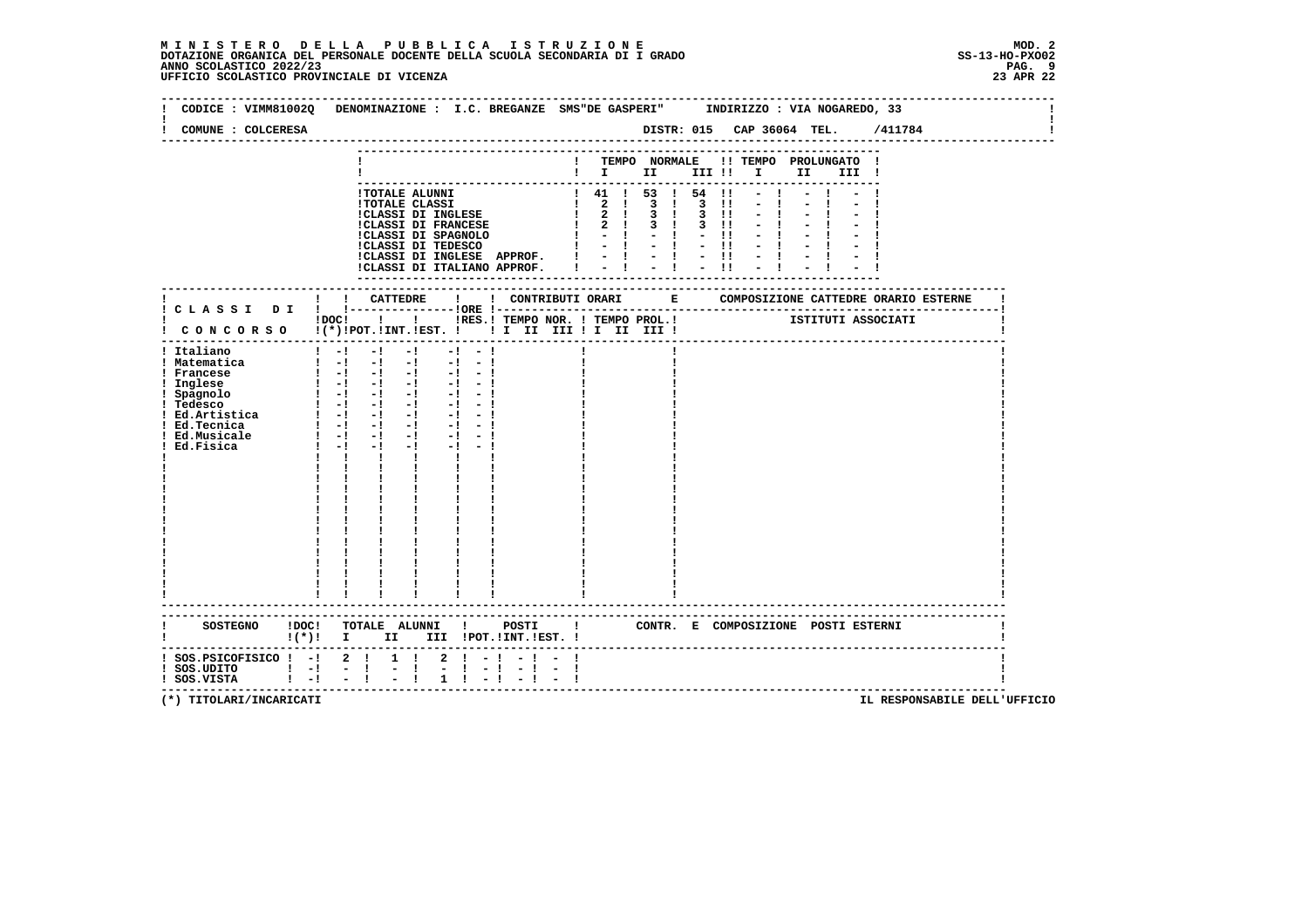# **M I N I S T E R O D E L L A P U B B L I C A I S T R U Z I O N E MOD. 2**DOTAZIONE ORGANICA DEL PERSONALE DOCENTE DELLA SCUOLA SECONDARIA DI I GRADO **SCOLASTICO SCOLASTICO 2022/23 PAG-**<br>PAG ANNO SCOLASTICO 2022/23 PAG. 9<br>23 APR 22 UFFICIO SCOLASTICO PROVINCIALE DI VICENZA

| CODICE: VIMM81002Q DENOMINAZIONE: I.C. BREGANZE SMS"DE GASPERI" INDIRIZZO: VIA NOGAREDO, 33 |                                                            |                                                                                                                                                      |                                                                                                                                                                                                                                |                 |           |                                            |           |                                                                                                                                        |               |          |                                     |      |       |                                   |  |
|---------------------------------------------------------------------------------------------|------------------------------------------------------------|------------------------------------------------------------------------------------------------------------------------------------------------------|--------------------------------------------------------------------------------------------------------------------------------------------------------------------------------------------------------------------------------|-----------------|-----------|--------------------------------------------|-----------|----------------------------------------------------------------------------------------------------------------------------------------|---------------|----------|-------------------------------------|------|-------|-----------------------------------|--|
| COMUNE : COLCERESA                                                                          |                                                            |                                                                                                                                                      |                                                                                                                                                                                                                                |                 |           |                                            |           |                                                                                                                                        |               |          |                                     |      |       | DISTR: 015 CAP 36064 TEL. /411784 |  |
|                                                                                             |                                                            |                                                                                                                                                      |                                                                                                                                                                                                                                |                 |           |                                            |           |                                                                                                                                        | TEMPO NORMALE |          | !! TEMPO PROLUNGATO !               |      |       |                                   |  |
|                                                                                             |                                                            |                                                                                                                                                      |                                                                                                                                                                                                                                |                 |           |                                            |           |                                                                                                                                        |               |          | $\blacksquare$                      | II D | III ! |                                   |  |
|                                                                                             |                                                            |                                                                                                                                                      |                                                                                                                                                                                                                                |                 |           |                                            |           |                                                                                                                                        |               |          |                                     |      |       |                                   |  |
|                                                                                             |                                                            |                                                                                                                                                      | !TOTALE ALUNNI                                                                                                                                                                                                                 |                 |           |                                            |           | $\begin{array}{ccccccccc}\n & 1 & 41 & 1 & 53 & 1 & 54 & 11 \\  & 2 & 1 & 3 & 1 & 3 & 11\n\end{array}$                                 |               |          |                                     |      |       |                                   |  |
|                                                                                             |                                                            |                                                                                                                                                      | <b>!TOTALE CLASSI</b>                                                                                                                                                                                                          |                 |           |                                            |           |                                                                                                                                        |               |          |                                     |      |       |                                   |  |
|                                                                                             |                                                            |                                                                                                                                                      | !CLASSI DI INGLESE                                                                                                                                                                                                             |                 |           |                                            |           | $1 \t2 \t1 \t3 \t1 \t3 \t11$<br>$1 \quad 2 \quad 1 \quad 3 \quad 1$                                                                    |               | $3$ $11$ |                                     |      |       |                                   |  |
|                                                                                             |                                                            |                                                                                                                                                      | <b>!CLASSI DI FRANCESE</b>                                                                                                                                                                                                     |                 |           |                                            |           | $\blacksquare$ $\blacksquare$ $\blacksquare$ $\blacksquare$ $\blacksquare$ $\blacksquare$ $\blacksquare$ $\blacksquare$ $\blacksquare$ |               | $-11$    |                                     |      |       |                                   |  |
|                                                                                             |                                                            |                                                                                                                                                      |                                                                                                                                                                                                                                |                 |           | CLASSI DI SPAGNOLO<br>!CLASSI DI SPAGNOLO  |           | $1 - 1 - 1 - 1$                                                                                                                        |               |          |                                     |      |       |                                   |  |
|                                                                                             |                                                            |                                                                                                                                                      |                                                                                                                                                                                                                                |                 |           |                                            |           |                                                                                                                                        |               |          |                                     |      |       |                                   |  |
|                                                                                             |                                                            |                                                                                                                                                      |                                                                                                                                                                                                                                |                 |           |                                            |           |                                                                                                                                        |               |          |                                     |      |       |                                   |  |
|                                                                                             |                                                            |                                                                                                                                                      |                                                                                                                                                                                                                                |                 |           |                                            |           |                                                                                                                                        |               |          |                                     |      |       |                                   |  |
|                                                                                             |                                                            |                                                                                                                                                      |                                                                                                                                                                                                                                |                 |           |                                            |           |                                                                                                                                        |               |          |                                     |      |       |                                   |  |
|                                                                                             |                                                            |                                                                                                                                                      |                                                                                                                                                                                                                                |                 |           |                                            |           |                                                                                                                                        |               |          |                                     |      |       |                                   |  |
| CONCORSO !(*)!POT.!INT.!EST. ! ! I III III II III II                                        |                                                            |                                                                                                                                                      |                                                                                                                                                                                                                                |                 |           | !DOC! ! ! !RES.! TEMPO NOR. ! TEMPO PROL.! |           |                                                                                                                                        |               |          |                                     |      |       | ISTITUTI ASSOCIATI                |  |
|                                                                                             |                                                            |                                                                                                                                                      |                                                                                                                                                                                                                                |                 |           |                                            |           |                                                                                                                                        |               |          |                                     |      |       |                                   |  |
| ! Italiano                                                                                  |                                                            |                                                                                                                                                      |                                                                                                                                                                                                                                |                 |           |                                            |           |                                                                                                                                        |               |          |                                     |      |       |                                   |  |
| ! Matematica                                                                                | $\begin{bmatrix} 1 & -1 & -1 & -1 & -1 & -1 \end{bmatrix}$ |                                                                                                                                                      |                                                                                                                                                                                                                                |                 |           |                                            |           |                                                                                                                                        |               |          |                                     |      |       |                                   |  |
| ! Francese                                                                                  | $1 - 1 - 1 - 1 - 1 - 1 - 1$                                |                                                                                                                                                      |                                                                                                                                                                                                                                |                 |           |                                            |           |                                                                                                                                        |               |          |                                     |      |       |                                   |  |
| ! Inglese                                                                                   | $\begin{bmatrix} 1 & -1 & -1 & -1 & -1 & -1 \end{bmatrix}$ |                                                                                                                                                      |                                                                                                                                                                                                                                |                 |           |                                            |           |                                                                                                                                        |               |          |                                     |      |       |                                   |  |
| : Ingered<br>! Spagnolo<br>! Tedesco                                                        |                                                            |                                                                                                                                                      |                                                                                                                                                                                                                                |                 |           |                                            |           |                                                                                                                                        |               |          |                                     |      |       |                                   |  |
| ! Ed.Artistica                                                                              | $1 - 1 - 1 - 1$<br>$1 - 1 - 1 - 1 - 1 - 1 - 1$             |                                                                                                                                                      |                                                                                                                                                                                                                                |                 | $-1 - -1$ |                                            |           |                                                                                                                                        |               |          |                                     |      |       |                                   |  |
| ! Ed.Tecnica                                                                                |                                                            | $1 - 1 - 1$                                                                                                                                          | $-1$                                                                                                                                                                                                                           |                 | $-1$ $-1$ |                                            |           |                                                                                                                                        |               |          |                                     |      |       |                                   |  |
| ! Ed.Musicale                                                                               | $1 - 1 - 1$                                                |                                                                                                                                                      |                                                                                                                                                                                                                                | $-1$ $-1$ $-1$  |           |                                            |           |                                                                                                                                        |               |          |                                     |      |       |                                   |  |
| Ed.Fisica                                                                                   |                                                            | $1 - 1 - 1$                                                                                                                                          |                                                                                                                                                                                                                                | $-1$ $-1$ $-1$  |           |                                            |           |                                                                                                                                        |               |          |                                     |      |       |                                   |  |
|                                                                                             |                                                            |                                                                                                                                                      |                                                                                                                                                                                                                                |                 |           |                                            |           |                                                                                                                                        |               |          |                                     |      |       |                                   |  |
|                                                                                             |                                                            |                                                                                                                                                      |                                                                                                                                                                                                                                |                 |           |                                            |           |                                                                                                                                        |               |          |                                     |      |       |                                   |  |
|                                                                                             |                                                            |                                                                                                                                                      |                                                                                                                                                                                                                                |                 |           |                                            |           |                                                                                                                                        |               |          |                                     |      |       |                                   |  |
|                                                                                             |                                                            |                                                                                                                                                      |                                                                                                                                                                                                                                |                 |           |                                            |           |                                                                                                                                        |               |          |                                     |      |       |                                   |  |
|                                                                                             |                                                            |                                                                                                                                                      |                                                                                                                                                                                                                                |                 |           |                                            |           |                                                                                                                                        |               |          |                                     |      |       |                                   |  |
|                                                                                             |                                                            |                                                                                                                                                      |                                                                                                                                                                                                                                |                 |           |                                            |           |                                                                                                                                        |               |          |                                     |      |       |                                   |  |
|                                                                                             |                                                            |                                                                                                                                                      |                                                                                                                                                                                                                                |                 |           |                                            |           |                                                                                                                                        |               |          |                                     |      |       |                                   |  |
|                                                                                             |                                                            |                                                                                                                                                      |                                                                                                                                                                                                                                |                 |           |                                            |           |                                                                                                                                        |               |          |                                     |      |       |                                   |  |
|                                                                                             |                                                            |                                                                                                                                                      | $\frac{1}{1}$<br>$\frac{1}{1}$<br>$\frac{1}{1}$<br>$\frac{1}{1}$<br>$\frac{1}{1}$<br>$\frac{1}{1}$                                                                                                                             |                 |           |                                            |           |                                                                                                                                        |               |          |                                     |      |       |                                   |  |
|                                                                                             |                                                            |                                                                                                                                                      |                                                                                                                                                                                                                                |                 |           |                                            |           |                                                                                                                                        |               |          |                                     |      |       |                                   |  |
|                                                                                             |                                                            |                                                                                                                                                      |                                                                                                                                                                                                                                |                 |           |                                            |           |                                                                                                                                        |               |          |                                     |      |       |                                   |  |
|                                                                                             |                                                            |                                                                                                                                                      |                                                                                                                                                                                                                                |                 |           |                                            |           |                                                                                                                                        |               |          |                                     |      |       |                                   |  |
|                                                                                             |                                                            | $\begin{array}{cccccccccc} 1 & & 1 & & 1 & & 1 & & 1 \\ 1 & & 1 & & 1 & & 1 & & 1 \\ - & & 1 & & 1 & & 1 & & 1 \\ - & & & & & & & & & 1 \end{array}$ |                                                                                                                                                                                                                                |                 |           |                                            |           |                                                                                                                                        |               |          |                                     |      |       |                                   |  |
|                                                                                             |                                                            |                                                                                                                                                      |                                                                                                                                                                                                                                |                 |           |                                            |           |                                                                                                                                        |               |          |                                     |      |       |                                   |  |
| <b>SOSTEGNO</b>                                                                             | !DOC!<br>$\mathbf{I}(\star)\mathbf{I}$ I                   | TOTALE ALUNNI !                                                                                                                                      | II and the set of the set of the set of the set of the set of the set of the set of the set of the set of the set of the set of the set of the set of the set of the set of the set of the set of the set of the set of the se |                 |           | POSTI<br>III !POT. !INT. !EST. !           |           | <b>Experience</b>                                                                                                                      |               |          | CONTR. E COMPOSIZIONE POSTI ESTERNI |      |       |                                   |  |
|                                                                                             |                                                            |                                                                                                                                                      |                                                                                                                                                                                                                                |                 |           |                                            |           |                                                                                                                                        |               |          |                                     |      |       |                                   |  |
| $:$ SOS.PSICOFISICO $:$ - $:$ 2 $:$                                                         |                                                            |                                                                                                                                                      | $1 \quad 1$                                                                                                                                                                                                                    | $2 \cdot 1 - 1$ |           |                                            | $-1 - -1$ |                                                                                                                                        |               |          |                                     |      |       |                                   |  |
| ! SOS.UDITO ! -! - !<br>! SOS.VISTA ! -! - !                                                |                                                            |                                                                                                                                                      | $\frac{1}{2}$                                                                                                                                                                                                                  | $-1 - 1$        |           |                                            | $-1 - -1$ |                                                                                                                                        |               |          |                                     |      |       |                                   |  |
|                                                                                             |                                                            |                                                                                                                                                      |                                                                                                                                                                                                                                | $1 \t-1$        |           |                                            | $-1$ $-1$ |                                                                                                                                        |               |          |                                     |      |       |                                   |  |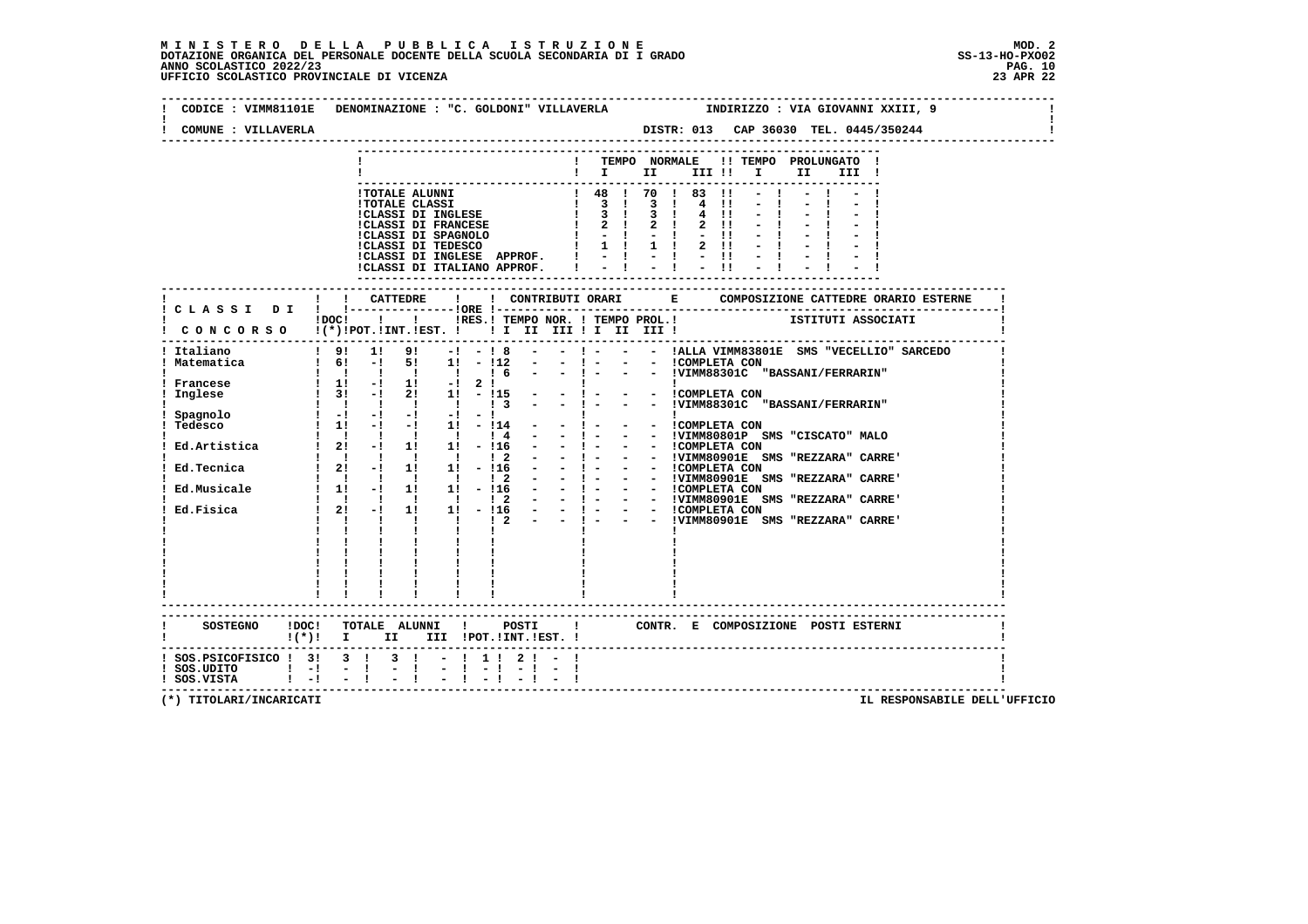### **M I N I S T E R O D E L L A P U B B L I C A I S T R U Z I O N E MOD. 2**DOTAZIONE ORGANICA DEL PERSONALE DOCENTE DELLA SCUOLA SECONDARIA DI I GRADO **SCOLASTICO ANNO SCOLASTICO 2022/23**<br>PAG ANNO SCOLASTICO 2022/23 PAG. 10<br>23 APR 22 UFFICIO SCOLASTICO PROVINCIALE DI VICENZA

| COMUNE : VILLAVERLA                        | CODICE : VIMM81101E DENOMINAZIONE : "C. GOLDONI" VILLAVERLA              INDIRIZZO : VIA GIOVANNI XXIII, 9                                                                          |
|--------------------------------------------|-------------------------------------------------------------------------------------------------------------------------------------------------------------------------------------|
|                                            | -------------<br>! TEMPO NORMALE !! TEMPO PROLUNGATO !<br>$\blacksquare$ $\blacksquare$ $\blacksquare$ $\blacksquare$ $\blacksquare$ $\blacksquare$ $\blacksquare$<br>II D<br>III ! |
|                                            |                                                                                                                                                                                     |
|                                            |                                                                                                                                                                                     |
|                                            |                                                                                                                                                                                     |
| ! Italiano                                 | $9!$ 1! $9!$ -! -! 8 - -! - - - IALLA VIMM83801E SMS "VECELLIO" SARCEDO                                                                                                             |
| ! Francese                                 |                                                                                                                                                                                     |
|                                            |                                                                                                                                                                                     |
|                                            |                                                                                                                                                                                     |
|                                            |                                                                                                                                                                                     |
|                                            |                                                                                                                                                                                     |
|                                            | $\frac{1}{1}$ $\frac{1}{1}$ $\frac{1}{1}$ $\frac{1}{1}$ $\frac{1}{1}$ $\frac{1}{1}$                                                                                                 |
|                                            | $!(*)!$ I II III POT. INT. IEST. I                                                                                                                                                  |
| ! SOS.UDITO ! -! -!<br>! SOS.VISTA ! -! -! | ! SOS.PSICOFISICO ! 3! 3 ! 3 ! - ! 1 ! 2 ! - !<br>$\frac{1}{2}$ $\frac{1}{4}$ $\frac{1}{2}$ $\frac{1}{4}$                                                                           |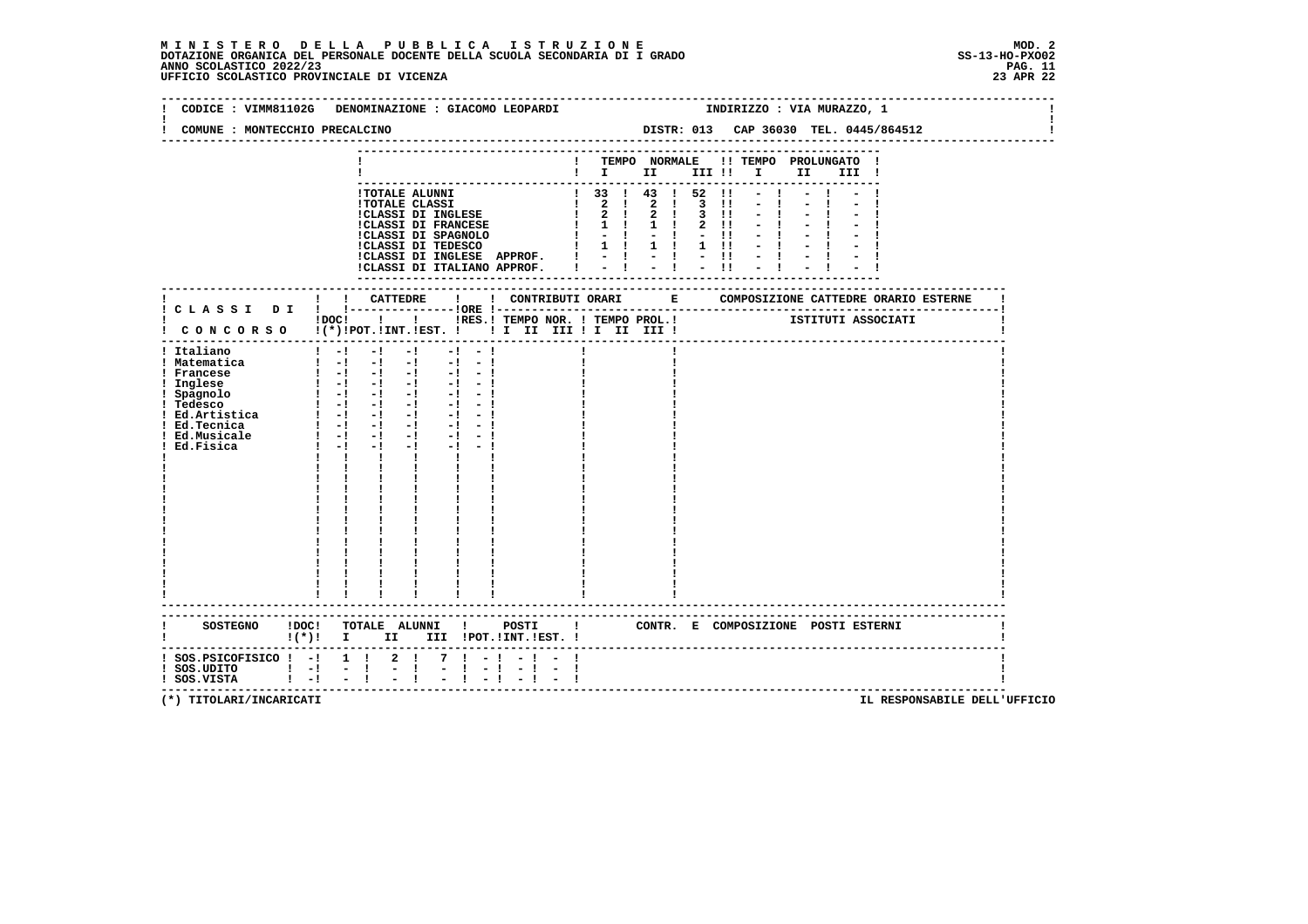## **M I N I S T E R O D E L L A P U B B L I C A I S T R U Z I O N E MOD. 2**DOTAZIONE ORGANICA DEL PERSONALE DOCENTE DELLA SCUOLA SECONDARIA DI I GRADO **SCOLASTICO SCOLASTICO 2022/23 PAG. 11**<br>PAG ANNO SCOLASTICO 2022/23 PAG. 11<br>23 APR 22 UFFICIO SCOLASTICO PROVINCIALE DI VICENZA

|                                                                                                                                | CODICE : VIMM81102G DENOMINAZIONE : GIACOMO LEOPARDI                                                                                                                                                                                                                                                                                                                                                                                                                                                                                                                                                                                                                                                                                                                                                                                | INDIRIZZO : VIA MURAZZO, 1                                                                                                                                                                                                                                                                                                                                                                                                                                                                            |
|--------------------------------------------------------------------------------------------------------------------------------|-------------------------------------------------------------------------------------------------------------------------------------------------------------------------------------------------------------------------------------------------------------------------------------------------------------------------------------------------------------------------------------------------------------------------------------------------------------------------------------------------------------------------------------------------------------------------------------------------------------------------------------------------------------------------------------------------------------------------------------------------------------------------------------------------------------------------------------|-------------------------------------------------------------------------------------------------------------------------------------------------------------------------------------------------------------------------------------------------------------------------------------------------------------------------------------------------------------------------------------------------------------------------------------------------------------------------------------------------------|
| COMUNE : MONTECCHIO PRECALCINO                                                                                                 |                                                                                                                                                                                                                                                                                                                                                                                                                                                                                                                                                                                                                                                                                                                                                                                                                                     | DISTR: 013 CAP 36030 TEL. 0445/864512                                                                                                                                                                                                                                                                                                                                                                                                                                                                 |
|                                                                                                                                |                                                                                                                                                                                                                                                                                                                                                                                                                                                                                                                                                                                                                                                                                                                                                                                                                                     | ! TEMPO NORMALE !! TEMPO PROLUNGATO !<br>$\blacksquare$                                                                                                                                                                                                                                                                                                                                                                                                                                               |
|                                                                                                                                | !TOTALE ALUNNI                                                                                                                                                                                                                                                                                                                                                                                                                                                                                                                                                                                                                                                                                                                                                                                                                      | $1$ 33 $1$ 43 $1$ 52 $11$<br>$\begin{tabular}{l c c c c c c} \hline {\tt ITOTALE\ CLASSI} & {\tt ICTALE\ CLASSI} & {\tt ICTAEST} & {\tt ICTAEST} & {\tt ICTAEST} & {\tt ICTAEST} & {\tt ICTAEST} & {\tt ICTAEST} & {\tt ICTAEST} & {\tt ICTAEST} & {\tt ICTAEST} & {\tt ICTAEST} & {\tt ICTAEST} & {\tt ICTAEST} & {\tt ICTAEST} & {\tt ICTAEST} & {\tt ICTAEST} & {\tt ICTAEST} & {\tt ICTAEST} & {\tt ICTAEST} & {\tt ICTAEST} & {\tt ICTAEST} & {\tt ICTASTA} & {\tt ICTA$<br>$-1$<br>$-1$<br>$-1$ |
|                                                                                                                                |                                                                                                                                                                                                                                                                                                                                                                                                                                                                                                                                                                                                                                                                                                                                                                                                                                     |                                                                                                                                                                                                                                                                                                                                                                                                                                                                                                       |
|                                                                                                                                |                                                                                                                                                                                                                                                                                                                                                                                                                                                                                                                                                                                                                                                                                                                                                                                                                                     | !DOC! ! ! !RES.! TEMPO NOR. ! TEMPO PROL.! [STITUTI ASSOCIATI<br>! CONCORSO !(*)!POT.!INT.!EST. ! ! I II III ! I III III !                                                                                                                                                                                                                                                                                                                                                                            |
| ! Italiano<br>! Matematica<br>! Francese<br>! Inglese<br>! Spagnolo<br>! Tedesco<br>! Ed.Tecnica<br>! Ed.Musicale<br>Ed.Fisica | $-1$<br>$1 - 1 - 1$<br>$-1 - -1$<br>$\begin{bmatrix} 1 & -1 & -1 & -1 & -1 & -1 \end{bmatrix}$<br>$\frac{1}{2}$ $\frac{1}{2}$ $\frac{1}{2}$ $\frac{1}{2}$ $\frac{1}{2}$ $\frac{1}{2}$ $\frac{1}{2}$ $\frac{1}{2}$ $\frac{1}{2}$ $\frac{1}{2}$<br>$\begin{bmatrix} 1 & -1 & -1 & -1 & -1 & -1 \end{bmatrix}$<br>$\frac{1}{2}$ $\frac{1}{2}$ $\frac{1}{2}$ $\frac{1}{2}$ $\frac{1}{2}$ $\frac{1}{2}$ $\frac{1}{2}$ $\frac{1}{2}$ $\frac{1}{2}$ $\frac{1}{2}$<br>$1 - 1 - 1 - 1$<br>$-1 - 1$<br>$\blacksquare$ $\blacksquare$ $\blacksquare$ $\blacksquare$ $\blacksquare$<br>$-1$<br>$-1 - 1$<br>$1 - 1 - 1$<br>$-1$ and $-1$<br>$-1 - 1$<br>$\mathbf{I}$ and $\mathbf{I}$ and $\mathbf{I}$<br>$\mathbf{I}$<br>$\mathbf{I}$ and $\mathbf{I}$<br>$\mathbf{I}$<br>$\begin{array}{c} 1 \\ 1 \\ 1 \end{array}$<br>----------------------- |                                                                                                                                                                                                                                                                                                                                                                                                                                                                                                       |
|                                                                                                                                | $!(*)!$ I II III !POT.!INT.!EST. !                                                                                                                                                                                                                                                                                                                                                                                                                                                                                                                                                                                                                                                                                                                                                                                                  | SOSTEGNO !DOC! TOTALE ALUNNI ! POSTI ! CONTR. E COMPOSIZIONE POSTI ESTERNI                                                                                                                                                                                                                                                                                                                                                                                                                            |
| $:$ SOS.PSICOFISICO $:$ - $:$ 1 $:$<br>$!$ SOS.UDITO $!$ $-!$<br>! SOS.VISTA   -! - !                                          | $2 \cdot 1$<br>$7 \cdot 1 - 1$<br>$-1$<br>$\frac{1}{2}$<br>$\blacksquare$                                                                                                                                                                                                                                                                                                                                                                                                                                                                                                                                                                                                                                                                                                                                                           | $-1$                                                                                                                                                                                                                                                                                                                                                                                                                                                                                                  |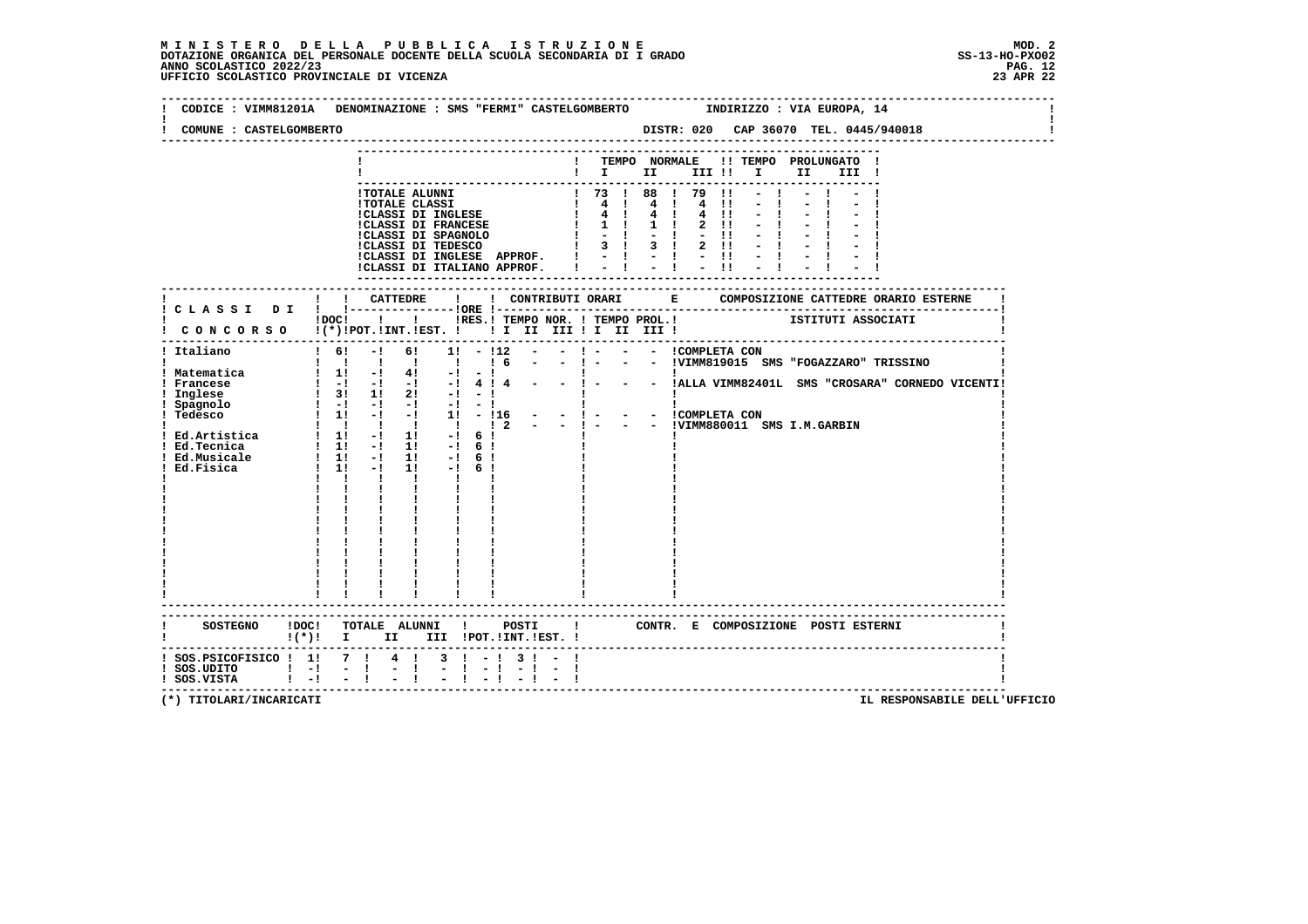| COMUNE : CASTELGOMBERTO                                                           | CODICE : VIMM81201A DENOMINAZIONE : SMS "FERMI" CASTELGOMBERTO      INDIRIZZO : VIA EUROPA, 14                                                                                                                                                                                                                                                                                                                                                                                                                                                                                                                                                                                                |  |
|-----------------------------------------------------------------------------------|-----------------------------------------------------------------------------------------------------------------------------------------------------------------------------------------------------------------------------------------------------------------------------------------------------------------------------------------------------------------------------------------------------------------------------------------------------------------------------------------------------------------------------------------------------------------------------------------------------------------------------------------------------------------------------------------------|--|
|                                                                                   | ! TEMPO NORMALE !! TEMPO PROLUNGATO !<br>$\blacksquare$ $\blacksquare$ $\blacksquare$ $\blacksquare$ $\blacksquare$ $\blacksquare$ $\blacksquare$ $\blacksquare$ $\blacksquare$ $\blacksquare$ $\blacksquare$<br>III !                                                                                                                                                                                                                                                                                                                                                                                                                                                                        |  |
|                                                                                   | 1 73 1 88 1 79<br>$-1$<br><b>!TOTALE ALUNNI</b><br>$\mathbf{H}$<br>1 TOTALE CLASSI<br>1 GUARGI DI INGLESE<br>1 4 1 4 1 4 1 4 1 4 1 1<br>1 CLASSI DI FRANCESE<br>1 1 1 1 1 2 11<br>1 CLASSI DI SPAGNOLO<br>1 1 1 1 2 11<br>1 CLASSI DI TEDESCO<br>1 3 1 3 1 2 11<br>$\blacksquare$<br>$-1$<br>$2 \quad 11$<br>$-1$<br>ICLASSI DI INGLESE APPROF. I<br>14 14 14 1<br>$-1$<br>!CLASSI DI ITALIANO APPROF. I                                                                                                                                                                                                                                                                                      |  |
|                                                                                   |                                                                                                                                                                                                                                                                                                                                                                                                                                                                                                                                                                                                                                                                                               |  |
|                                                                                   | <b>ISTITUTI ASSOCIATI : IRES. I TEMPO PROLOGIAL EXAMPLE SECONDENT SUBSOCIATI</b><br>$1DOCI$ $1$<br>CONCORSO !(*)!POT.!INT.!EST. !!! II III !I III III                                                                                                                                                                                                                                                                                                                                                                                                                                                                                                                                         |  |
| ! Italiano                                                                        | -------------------------------------<br>$1 \t6! -1 \t6!$<br>$1! - 12$<br>- ! - - - !VIMM819015 SMS "FOGAZZARO" TRISSINO<br>1 1 1 1 1 1 1 6                                                                                                                                                                                                                                                                                                                                                                                                                                                                                                                                                   |  |
| ! Matematica<br>! Francese<br>Inglese                                             | $1 \t1! \t-1 \t4! \t-1 \t-1$<br>$\begin{tabular}{cccccc} ! & & ! & & ! & \\ - & ! & - & - & !\\ \end{tabular} \begin{tabular}{lcccccc} \texttt{1} & & & ! & \\ \texttt{2} & & & - \\ \end{tabular} \begin{tabular}{lcccccc} \texttt{3} & & & . & \\ \texttt{4} & & & & . & \\ \end{tabular} \begin{tabular}{lcccccc} \texttt{2} & & & & . & \\ \texttt{3} & & & & . & \\ \end{tabular} \begin{tabular}{lcccccc} \texttt{2} & & & & . & \\ \texttt{3} & & & & . & \\ \end{tabular} \begin{tabular}{lcccccc} \texttt{2} & & & & . &$<br>$\begin{array}{cccccccc} 1 & -1 & -1 & -1 & -1 & 4 & 1 & 4 & - \\ 1 & -1 & -1 & -1 & -1 & 4 & 1 & 4 & - \\ 1 & 3 & 1 & 1 & 2 & -1 & -1 & - \end{array}$ |  |
| ! Spagnolo<br>! Tedesco                                                           | $1 - 1 - 1 - 1 - 1 - 1 - 1$<br><b>Contract Contract Contract</b><br>$\mathbf{I}$<br>: -: -: -: -: -: - - - - ICOMPLETA CON<br>! 1! -! -: 1! -:116 - - ! - - - ICOMPLETA CON<br>! ! ! ! ! ! 2 - - ! - - - IVIMM880011 SMS I.M.GARBIN<br>1 1 1 1 1 1 1 2<br>1 Ed.Artistica 1 1 1 - 1 1 1 - 1 6 1                                                                                                                                                                                                                                                                                                                                                                                                |  |
| Ed.Tecnica<br>Ed.Musicale<br>Ed.Fisica                                            | $1 \quad 1! \quad -1 \quad 1! \quad -1 \quad 6 \quad 1$<br>$\begin{array}{cccccccc} 1 & 1! & -1 & 1! & -1 & 6! \\ 1 & 1! & -1 & 1! & -1 & 6! \\ \end{array}$<br>$\frac{1}{2}$ 1: $\frac{1}{2}$<br>$1! -16!$<br>$\mathbf{I}$ and $\mathbf{I}$                                                                                                                                                                                                                                                                                                                                                                                                                                                  |  |
|                                                                                   | $\mathbf{I}$ and $\mathbf{I}$                                                                                                                                                                                                                                                                                                                                                                                                                                                                                                                                                                                                                                                                 |  |
|                                                                                   |                                                                                                                                                                                                                                                                                                                                                                                                                                                                                                                                                                                                                                                                                               |  |
|                                                                                   |                                                                                                                                                                                                                                                                                                                                                                                                                                                                                                                                                                                                                                                                                               |  |
|                                                                                   | -------------------------                                                                                                                                                                                                                                                                                                                                                                                                                                                                                                                                                                                                                                                                     |  |
| SOSTEGNO ! DOC!                                                                   | TOTALE ALUNNI ! POSTI ! CONTR. E COMPOSIZIONE POSTI_ESTERNI<br>!(*)! I II III !POT.!INT.!EST.!                                                                                                                                                                                                                                                                                                                                                                                                                                                                                                                                                                                                |  |
| ! SOS. PSICOFISICO ! 1! 7 ! 4 !<br>$!$ SOS.UDITO $!$ -!<br>$!$ SOS.VISTA $!$ $-!$ | $3 \cdot 1 - 1 \cdot 3 \cdot 1 -$<br>$-1$<br>$-1$<br>$\frac{1}{2}$<br>$-1$<br>$-1$                                                                                                                                                                                                                                                                                                                                                                                                                                                                                                                                                                                                            |  |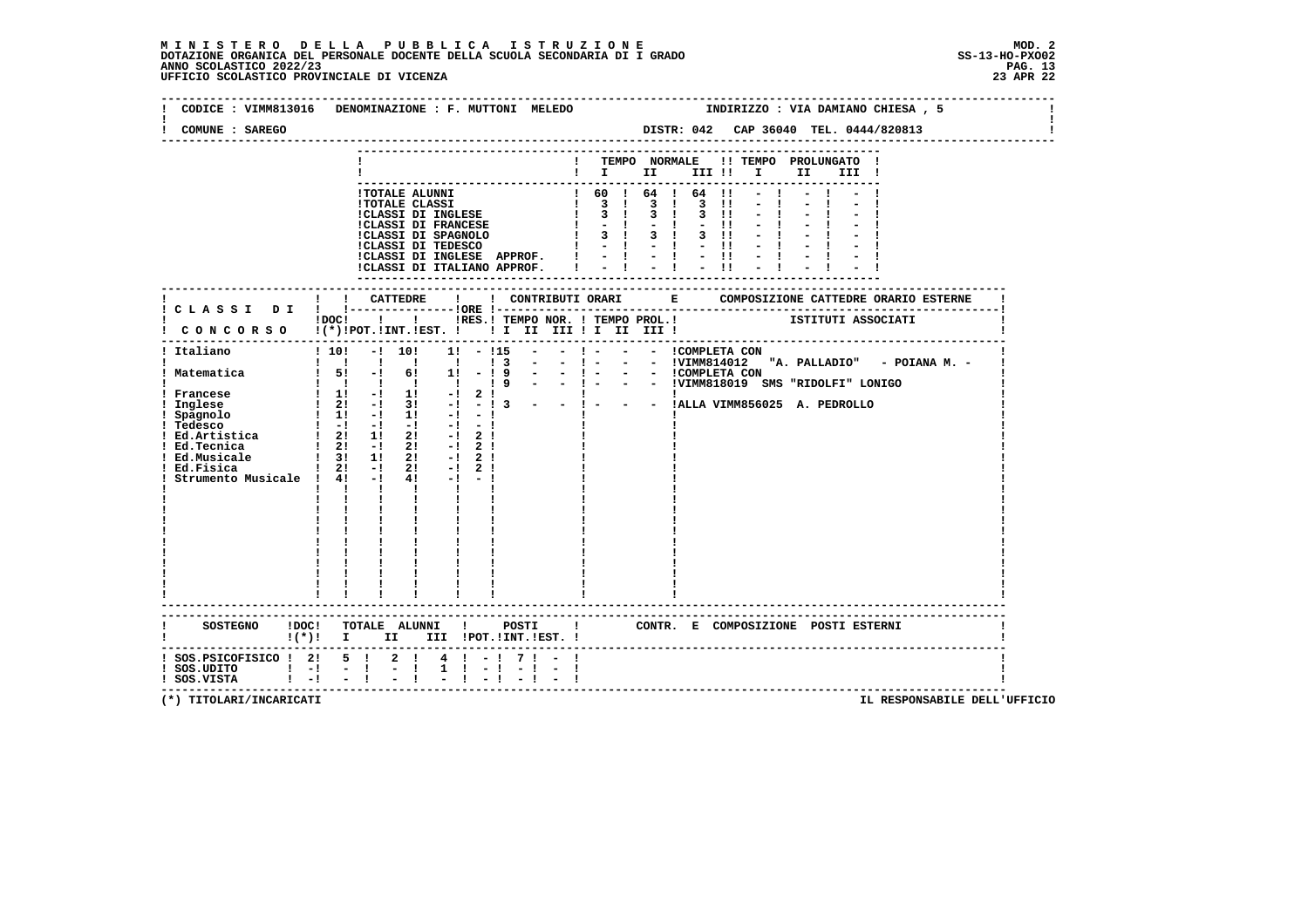#### **M I N I S T E R O D E L L A P U B B L I C A I S T R U Z I O N E MOD. 2**DOTAZIONE ORGANICA DEL PERSONALE DOCENTE DELLA SCUOLA SECONDARIA DI I GRADO **ANNO SCOLASTICO 2022/23** UFFICIO SCOLASTICO PROVINCIALE DI VICENZA

 **--------------------------------------------------------------------------------------------------------------------------------Contract Contract Contract Contract ! CODICE : VIMM813016 DENOMINAZIONE : F. MUTTONI MELEDO ! !** $\mathbf{I}$  **! COMUNE : SAREGO DISTR: 042 CAP 36040 TEL. 0444/820813 ! -------------------------------------------------------------------------------------------------------------------------------- --------------------------------------------------------------------------- ! ! TEMPO NORMALE !! TEMPO PROLUNGATO ! ! ! I II III !! I II III ! --------------------------------------------------------------------------- !TOTALE ALUNNI ! 60 ! 64 ! 64 !! - ! - ! - ! !TOTALE CLASSI ! 3 ! 3 ! 3 !! - ! - ! - ! !CLASSI DI INGLESE ! 3 ! 3 ! 3 !! - ! - ! - ! !CLASSI DI FRANCESE ! - ! - ! - !! - ! - ! - ! !CLASSI DI SPAGNOLO ! 3 ! 3 ! 3 !! - ! - ! - ! !CLASSI DI TEDESCO ! - ! - ! - !! - ! - ! - ! !CLASSI DI INGLESE APPROF. ! - ! - ! - !! - ! - ! - ! !CLASSI DI ITALIANO APPROF. ! - ! - ! - !! - ! - ! - ! --------------------------------------------------------------------------- ------------------------------------------------------------------------------------------------------------------------- ! ! ! CATTEDRE ! ! CONTRIBUTI ORARI E COMPOSIZIONE CATTEDRE ORARIO ESTERNE ! ! C L A S S I D I ! !---------------!ORE !------------------------------------------------------------------------! POC! !!! INES.! TEMPO NOR. ! TEMPO PROL.!** ISTITUTI ASSOCIATI  **! C O N C O R S O !(\*)!POT.!INT.!EST. ! ! I II III ! I II III ! ! ------------------------------------------------------------------------------------------------------------------------- ! Italiano ! 10! -! 10! 1! - !15 - - ! - - - !COMPLETA CON ! ! ! ! ! ! ! ! 3 - - ! - - - !VIMM814012 "A. PALLADIO" - POIANA M. - ! ! Matematica ! 5! -! 6! 1! - ! 9 - - ! - - - !COMPLETA CON ! ! ! ! ! ! ! ! 9 - - ! - - - !VIMM818019 SMS "RIDOLFI" LONIGO ! ! Francese ! 1! -! 1! -! 2 ! ! ! ! ! Inglese ! 2! -! 3! -! - ! 3 - - ! - - - !ALLA VIMM856025 A. PEDROLLO ! ! Spagnolo ! 1! -! 1! -! - ! ! ! ! ! Tedesco ! -! -! -! -! - ! ! ! ! ! Ed.Artistica ! 2! 1! 2! -! 2 ! ! ! ! ! Ed.Tecnica ! 2! -! 2! -! 2 ! ! ! ! ! Ed.Musicale ! 3! 1! 2! -! 2 ! ! ! ! ! Ed.Fisica ! 2! -! 2! -! 2 ! ! ! ! ! Strumento Musicale ! 4! -! 4! -! - ! ! ! ! ! ! ! ! ! ! ! ! ! ! ! ! ! ! ! ! ! ! ! ! ! ! ! ! ! ! ! ! ! ! ! ! ! ! ! ! ! ! ! ! ! ! ! ! ! ! ! ! ! ! ! ! ! ! ! ! ! ! ! ! ! ! ! ! ! ! ! ! ! ! ! ! ! ! ! ! ! ! ! ! ! ! ! ! ! ! ! ! ! ! ! ! ! ! ! ! ! ! ! ! ! ! ! ! ! ! ! ! ! ! ------------------------------------------------------------------------------------------------------------------------- ------------------------------------------------------------------------------------------------------------------------- ! SOSTEGNO !DOC! TOTALE ALUNNI ! POSTI ! CONTR. E COMPOSIZIONE POSTI ESTERNI ! ! !(\*)! I II III !POT.!INT.!EST. ! ! ------------------------------------------------------------------------------------------------------------------------- ! SOS.PSICOFISICO ! 2! 5 ! 2 ! 4 ! - ! 7 ! - ! !** $\blacksquare$  **! SOS.UDITO ! -! - ! - ! 1 ! - ! - ! - ! ! ! SOS.VISTA ! -! - ! - ! - ! - ! - ! - ! !**- 1  **-------------------------------------------------------------------------------------------------------------------------**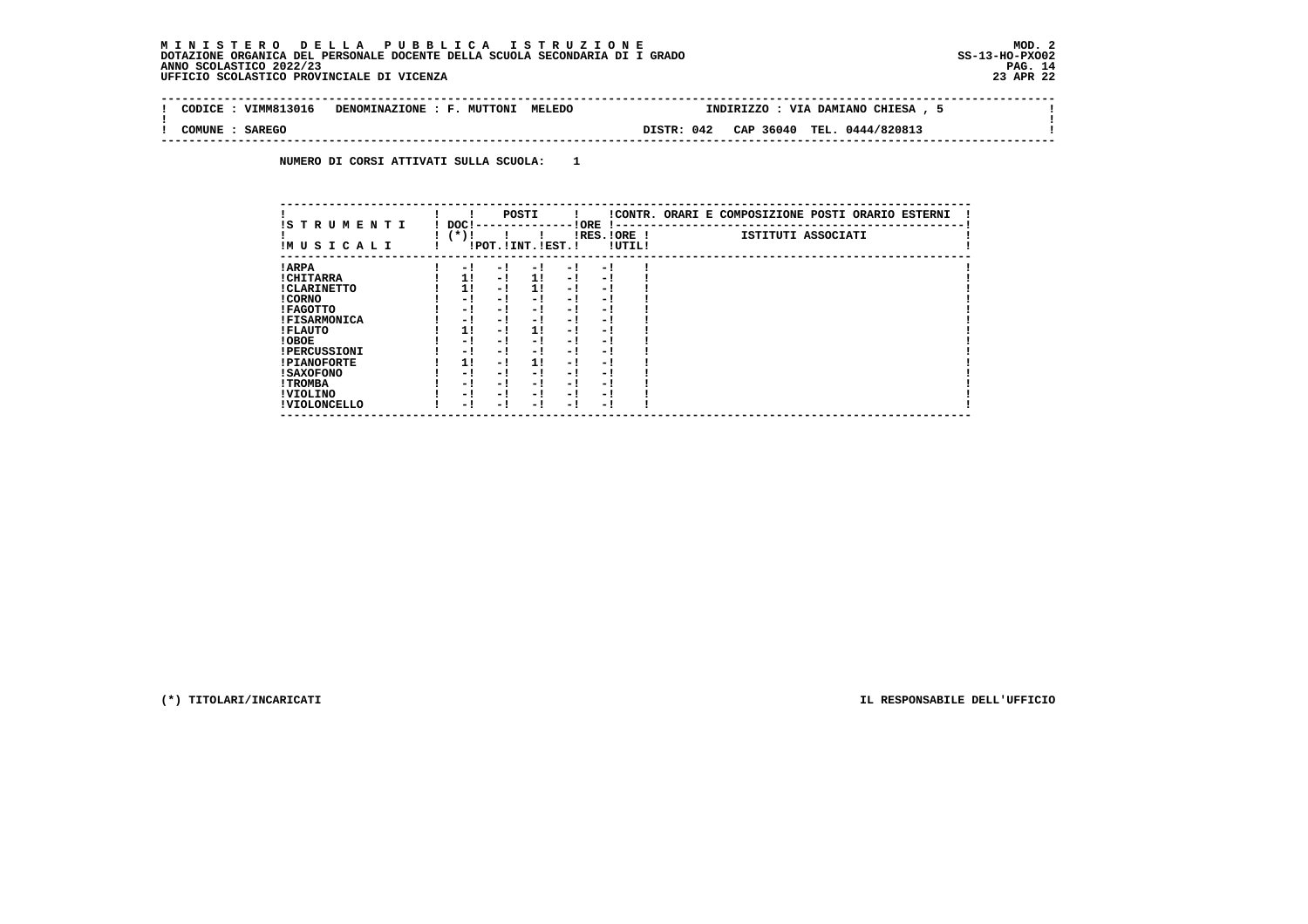#### **M I N I S T E R O D E L L A P U B B L I C A I S T R U Z I O N E MOD. 2 DOTAZIONE ORGANICA DEL PERSONALE DOCENTE DELLA SCUOLA SECONDARIA DI I GRADO SS-13-HO-PXO02 ANNO SCOLASTICO 2022/23 PAG. 14 UFFICIO SCOLASTICO PROVINCIALE DI VICENZA 23 APR 22**

| : VIMM813016<br>CODICE  | DENOMINAZIONE : F. MUTTONI MELEDO |            | INDIRIZZO : VIA DAMIANO CHIESA , 5 |  |
|-------------------------|-----------------------------------|------------|------------------------------------|--|
| <b>SAREGO</b><br>COMUNE |                                   | DISTR: 042 | CAP 36040 TEL. 0444/820813         |  |

 **NUMERO DI CORSI ATTIVATI SULLA SCUOLA: 1**

| IS T R U M E N T I  | DOC! |     | POSTI                 |      | ! ORE                    |        | !CONTR. ORARI E COMPOSIZIONE POSTI ORARIO ESTERNI |
|---------------------|------|-----|-----------------------|------|--------------------------|--------|---------------------------------------------------|
| IMUSICALI           | (*)! |     | !POT. ! INT. ! EST. ! |      | -1 - -<br>$IRES.IORE$ !  | !UTIL! | ISTITUTI ASSOCIATI                                |
| ! ARPA              | - 1  | - 1 | - 1                   | - 1  | - !                      |        |                                                   |
| ! CHITARRA          | 11   | - ! | 1!                    | - !  | - 1                      |        |                                                   |
| ! CLARINETTO        | 11   | - 1 | 11                    | - 1  | - 1                      |        |                                                   |
| ! CORNO             | - 1  | - ! | - 1                   | - !  | - 1                      |        |                                                   |
| ! FAGOTTO           | - 1  | - ! | - 1                   | - 1  | - 1                      |        |                                                   |
| <b>!FISARMONICA</b> | - 1  | - ! | - !                   | - 1  | - 1                      |        |                                                   |
| ! FLAUTO            | 1!   | - ! | 11                    | - !  | - 1                      |        |                                                   |
| ! OBOE              | - 1  | - ! | - 1                   | - 1  | - 1                      |        |                                                   |
| <b>!PERCUSSIONI</b> | - 1  | - 1 | - 1                   | - 1  | - 1                      |        |                                                   |
| <b>!PIANOFORTE</b>  | 1!   | - 1 | 1!                    | - 1  | - 1                      |        |                                                   |
| ! SAXOFONO          | - 1  | - ! | - !                   | - 1  | $\overline{\phantom{0}}$ |        |                                                   |
| ! TROMBA            | - 1  | - ! | - 1                   | - 1  | - 1                      |        |                                                   |
| ! VIOLINO           | - 1  | - 1 | - !                   | $-1$ | - 1                      |        |                                                   |
| ! VIOLONCELLO       | - 1  | - 1 | - 1                   | - '  | - 1                      |        |                                                   |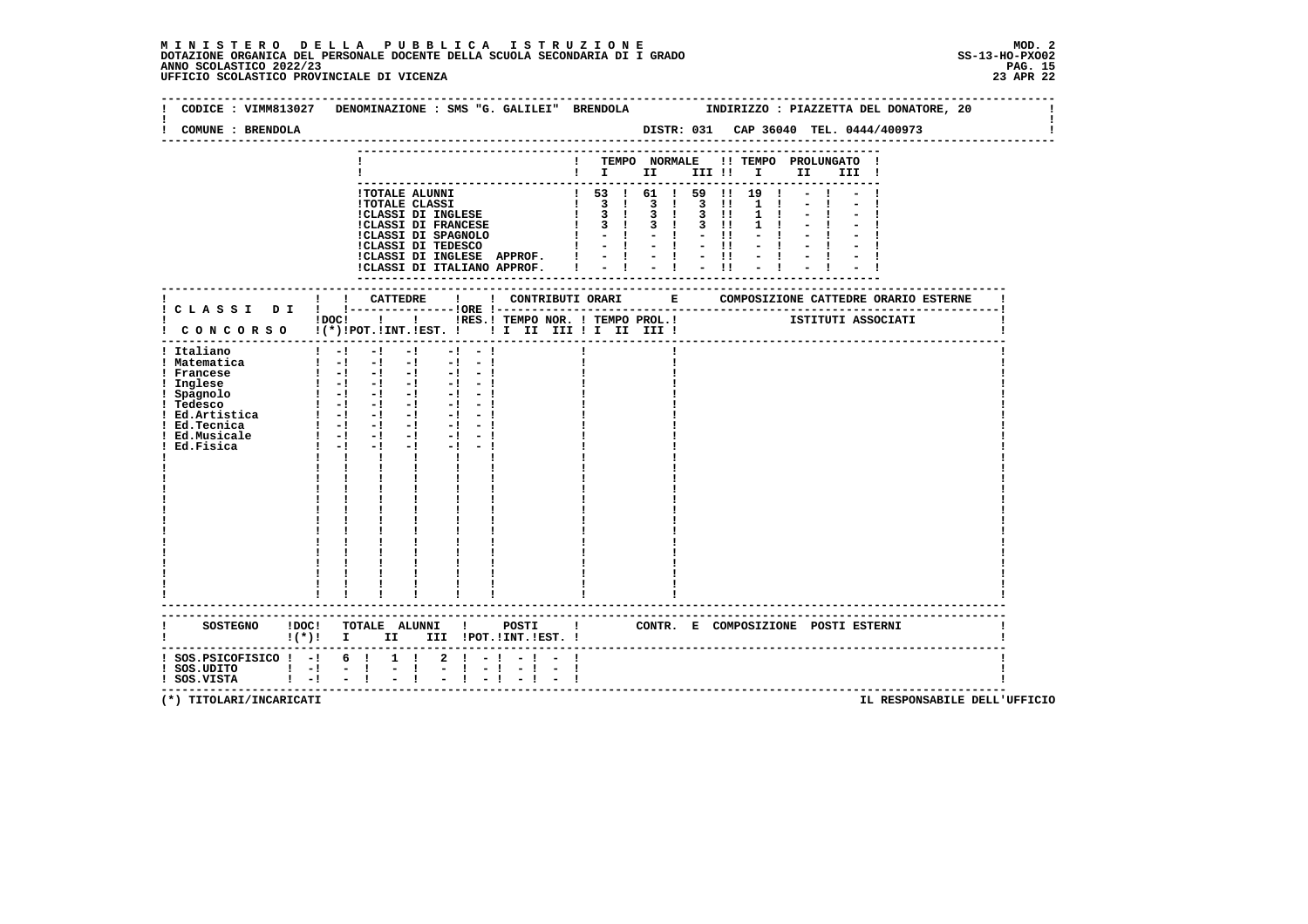# **M I N I S T E R O D E L L A P U B B L I C A I S T R U Z I O N E MOD. 2**DOTAZIONE ORGANICA DEL PERSONALE DOCENTE DELLA SCUOLA SECONDARIA DI I GRADO **SCOLASTICO SCOLASTICO 2022/23 PAG. 15**<br>23 ANNO SCOLASTICO 2022/23 PAG. 15<br>23 APR 22 UFFICIO SCOLASTICO PROVINCIALE DI VICENZA

| CODICE : VIMM813027                                                                                                            | DENOMINAZIONE : SMS "G. GALILEI" BRENDOLA MODIRIZZO : PIAZZETTA DEL DONATORE, 20                                                                                                                                                                                                                                                                                                                                                                                                                                     |                                    |                                                                                                                                   |  |                                                   |  |                                       |  |
|--------------------------------------------------------------------------------------------------------------------------------|----------------------------------------------------------------------------------------------------------------------------------------------------------------------------------------------------------------------------------------------------------------------------------------------------------------------------------------------------------------------------------------------------------------------------------------------------------------------------------------------------------------------|------------------------------------|-----------------------------------------------------------------------------------------------------------------------------------|--|---------------------------------------------------|--|---------------------------------------|--|
| COMUNE : BRENDOLA                                                                                                              |                                                                                                                                                                                                                                                                                                                                                                                                                                                                                                                      |                                    |                                                                                                                                   |  |                                                   |  | DISTR: 031 CAP 36040 TEL. 0444/400973 |  |
|                                                                                                                                |                                                                                                                                                                                                                                                                                                                                                                                                                                                                                                                      |                                    | ! TEMPO NORMALE !! TEMPO PROLUNGATO !<br>$\blacksquare$                                                                           |  |                                                   |  |                                       |  |
|                                                                                                                                | 1 TOTALE ALUNNI<br>1 TOTALE CLASSI<br>1 TOTALE CLASSI DI INGLESE<br>1 3 1 3 1 3 1 3 1<br>1 CLASSI DI FRANCESE<br>1 3 1 3 1 3 1<br>1 CLASSI DI FRANCESE<br>1 3 1 3 1 3 1<br>1 1 - 1 - 1 - 1<br>1 CLASSI DI TEDESCO<br>1 - 1 - 1 - 1 1<br>1 - 1 - 1 -<br>!CLASSI DI INGLESE APPROF. !<br>!CLASSI DI ITALIANO APPROF. !                                                                                                                                                                                                 |                                    | ! 53 ! 61 ! 59 ! 19 !<br>$\frac{1}{2}$ $\frac{1}{4}$ $\frac{1}{2}$ $\frac{1}{4}$ $\frac{1}{2}$ $\frac{11}{11}$<br>--------------- |  | $1 \quad 1$<br>$1 \quad 1$<br>$1 \quad 1$<br>$-1$ |  |                                       |  |
|                                                                                                                                |                                                                                                                                                                                                                                                                                                                                                                                                                                                                                                                      |                                    |                                                                                                                                   |  |                                                   |  |                                       |  |
|                                                                                                                                | IDOCI   I IRES.I TEMPO NOR. I TEMPO PROL.I ISTITUTI ASSOCIATI<br>! CONCORSO !(*)!POT.!INT.!EST. !!! II III !I III III !                                                                                                                                                                                                                                                                                                                                                                                              |                                    |                                                                                                                                   |  |                                                   |  |                                       |  |
| ! Italiano<br>! Matematica<br>! Francese<br>! Inglese<br>! Spagnolo<br>! Tedesco<br>! Ed.Tecnica<br>! Ed.Musicale<br>Ed.Fisica | $1 - 1 - 1 - 1$<br>$-1$ $-1$<br>$\begin{bmatrix} 1 & -1 & -1 & -1 & -1 & -1 \end{bmatrix}$<br>$\begin{array}{cccccccccc} 1 & -1 & -1 & -1 & -1 \\ 1 & 1 & -1 & -1 & -1 \\ \end{array}$<br>$-1 - 1$<br>$-1 - 1$<br>$1 - 1 - 1 - 1 - 1 - 1 - 1$<br>$-1$ $-1$<br>$-1 - -1$<br>$1 - 1 - 1$<br>$-1$ $-$<br>$\mathbf{1}$ $\mathbf{1}$ $\mathbf{1}$<br>$\mathbf{I}$ and $\mathbf{I}$<br>$\mathbf{I}$<br>$\begin{array}{cc} 1 & 1 \\ 1 & 1 \\ 1 & 1 \end{array}$<br>$\frac{1}{1}$ $\frac{1}{1}$<br>$\mathbf{I}$ $\mathbf{I}$ |                                    |                                                                                                                                   |  |                                                   |  |                                       |  |
|                                                                                                                                | !(*)! I II III !POT.!INT.!EST.!                                                                                                                                                                                                                                                                                                                                                                                                                                                                                      |                                    |                                                                                                                                   |  |                                                   |  |                                       |  |
| -----------------------------<br>$:$ SOS.PSICOFISICO $:$ - $:$ 6 $:$ 1 $:$<br>1 SOS.UDITO   -  -  <br>! SOS.UDITO   -  -       | $1 + 1 + 1 + 1 + 1 + 1$                                                                                                                                                                                                                                                                                                                                                                                                                                                                                              | $2 \cdot 1 - 1 - 1 -$<br>$-1 - -1$ |                                                                                                                                   |  |                                                   |  | ------------------------------------- |  |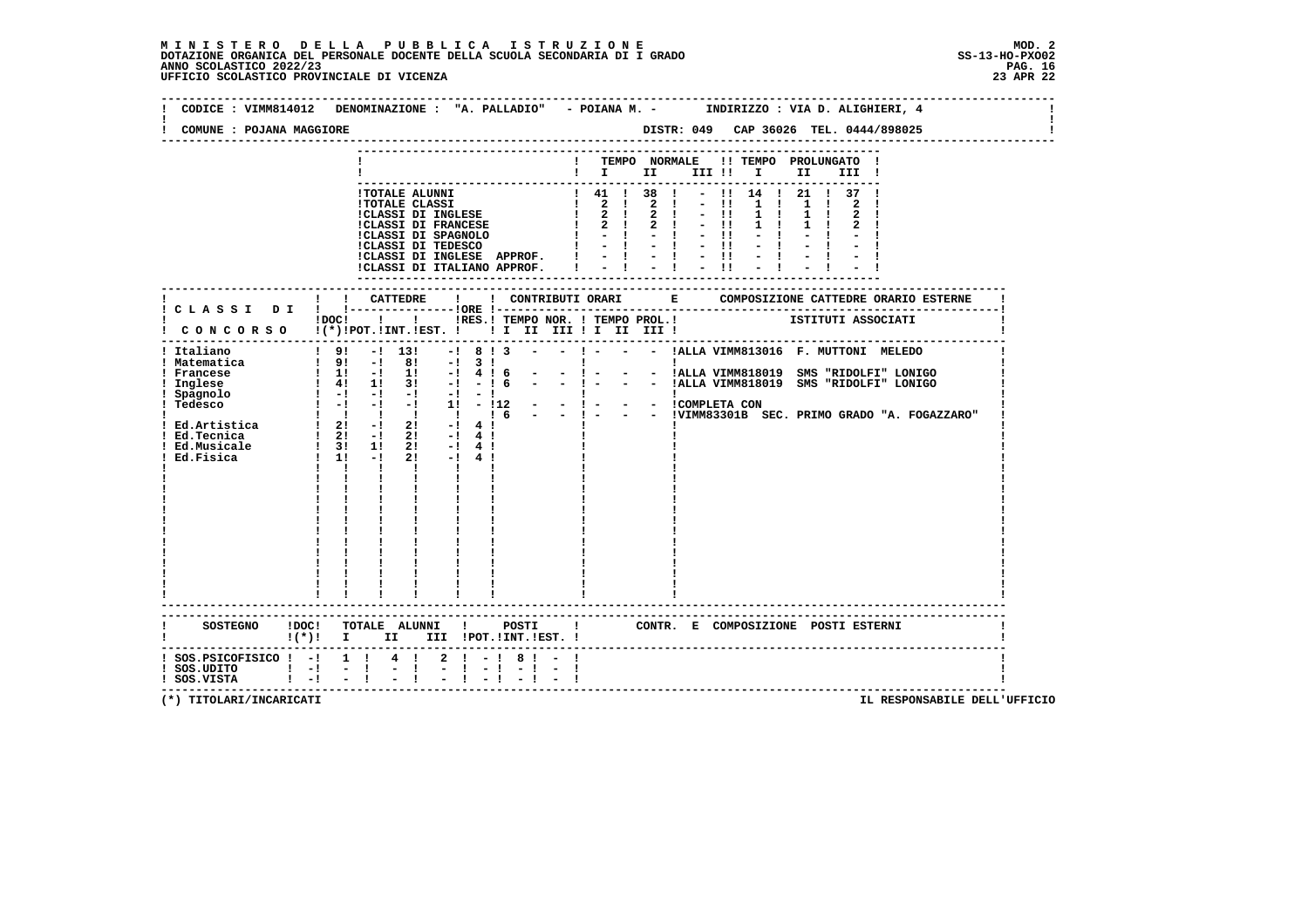# **M I N I S T E R O D E L L A P U B B L I C A I S T R U Z I O N E MOD. 2**DOTAZIONE ORGANICA DEL PERSONALE DOCENTE DELLA SCUOLA SECONDARIA DI I GRADO **SCOLASTICO ANNO SCOLASTICO 2022/23**<br>PAG ANNO SCOLASTICO 2022/23 PAG. 16<br>23 APR 22 UFFICIO SCOLASTICO PROVINCIALE DI VICENZA

|                                                                                               | CODICE : VIMM814012 DENOMINAZIONE : "A. PALLADIO" - POIANA M. -   INDIRIZZO : VIA D. ALIGHIERI, 4                                                                                                                                                                                                                                                                                                                                                                            |
|-----------------------------------------------------------------------------------------------|------------------------------------------------------------------------------------------------------------------------------------------------------------------------------------------------------------------------------------------------------------------------------------------------------------------------------------------------------------------------------------------------------------------------------------------------------------------------------|
| COMUNE : POJANA MAGGIORE                                                                      | DISTR: 049 CAP 36026 TEL. 0444/898025                                                                                                                                                                                                                                                                                                                                                                                                                                        |
|                                                                                               | ! TEMPO NORMALE !! TEMPO PROLUNGATO !<br>III !<br>$! 41 ! 38 ! - 1! 14 ! 21 ! 37 !$                                                                                                                                                                                                                                                                                                                                                                                          |
|                                                                                               | !CLASSI DI INGLESE APPROF. $  -   -   -  $<br>$-1$<br>!CLASSI DI ITALIANO APPROF.   -   -   -                                                                                                                                                                                                                                                                                                                                                                                |
|                                                                                               |                                                                                                                                                                                                                                                                                                                                                                                                                                                                              |
|                                                                                               | IDOC! ! ! IRES. ! TEMPO NOR. ! TEMPO PROL. !   ISTITUTI ASSOCIATI<br>! CONCORSO !(*)!POT.!INT.!EST. !!! II III !I III III !                                                                                                                                                                                                                                                                                                                                                  |
| ! Italiano<br>! Matematica<br>! Francese<br>Inglese<br>! Spagnolo<br>Ed.Musicale<br>Ed.Fisica | $19! - 113!$<br>$\begin{array}{ccccccc}\n1 & 11 & -1 & 11 & -1 & 4 & 1 & 6 \\ 1 & 41 & 11 & 31 & -1 & -1 & 6 \\ 1 & -1 & -1 & -1 & -1 & -1 & -1\n\end{array}$<br>- - !ALLA VIMM818019 SMS "RIDOLFI" LONIGO<br>$-1$ $-$<br>$1 - 1 - 1 - 1 - 1 - 1$<br>$1 - 1 - 1 - 11 - 112 - 1 - 1 - 1$<br>$1 - 12 - 1 - 1 - 1 - 12$<br>$\frac{1}{1}$ $\frac{31}{11}$ $\frac{11}{-1}$<br>$2! -14!$<br>$2! -14!$<br>$\mathbf{I}$ and $\mathbf{I}$<br>$\mathbf{I}$<br>------------------------ |
|                                                                                               | $!(*)!$ I II III !POT.!INT.!EST. !                                                                                                                                                                                                                                                                                                                                                                                                                                           |
| $!$ SOS.PSICOFISICO $!$ -! 1 !<br>$!$ SOS.UDITO $!$ -! -!<br>$!$ SOS.VISTA $!$ $-!$           | $2! - 18! - 1$<br>$4 \quad 1$<br>$\mathbf{I}$<br>$-1 - 1$<br>$\sim 100$<br>$-1 - -1$<br>$-1$                                                                                                                                                                                                                                                                                                                                                                                 |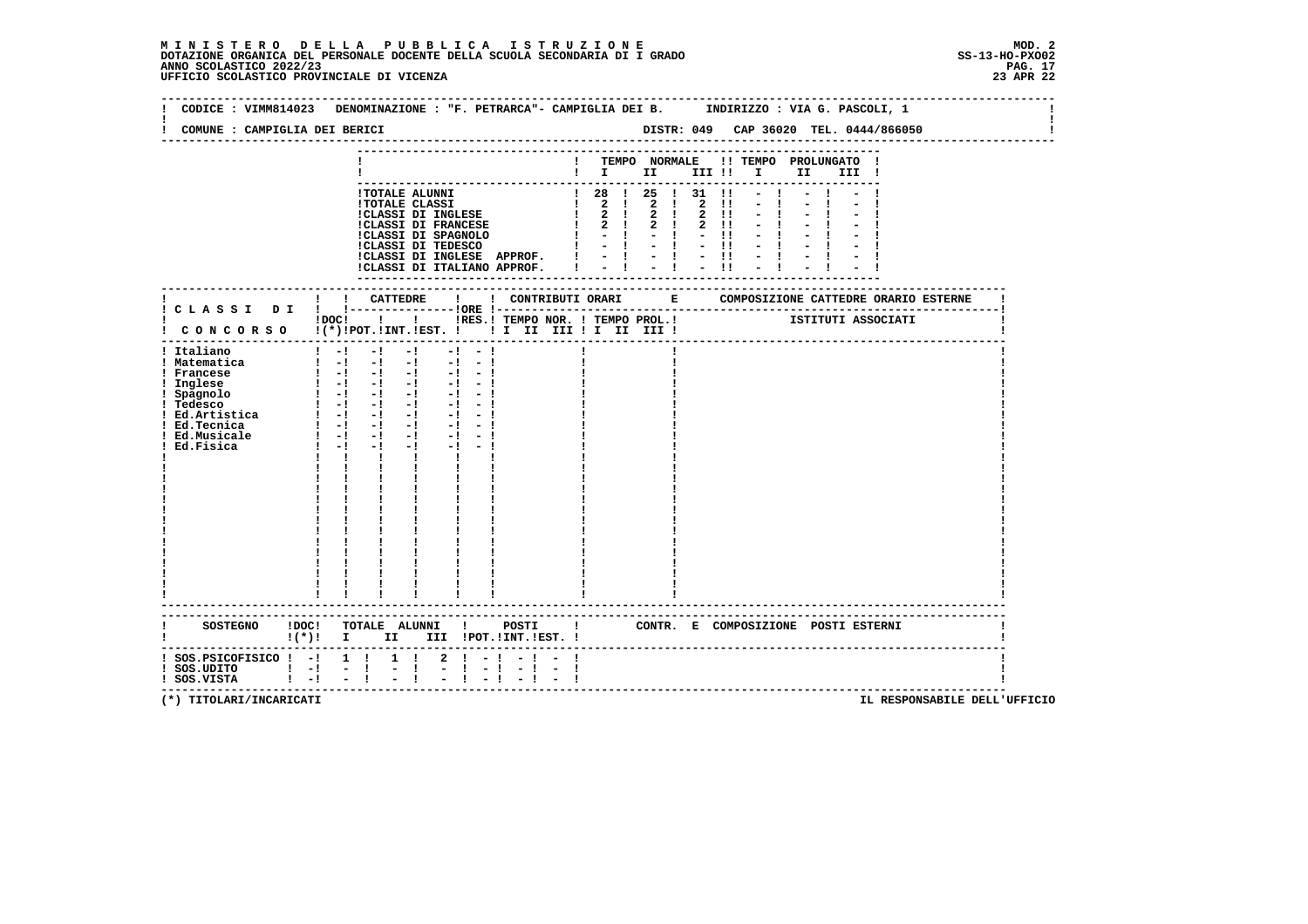# **M I N I S T E R O D E L L A P U B B L I C A I S T R U Z I O N E MOD. 2**DOTAZIONE ORGANICA DEL PERSONALE DOCENTE DELLA SCUOLA SECONDARIA DI I GRADO **SCOLASTICO SCOLASTICO 2022/23 PAG. 17**<br>23 PAG. 17 PAG. 17 UPS (17 D. 23 ANNO SCOLASTICO 2022/23 PAG. 17<br>23 APR 22 UFFICIO SCOLASTICO PROVINCIALE

| COMUNE : CAMPIGLIA DEI BERICI                                                                                                                    |                                                                                                                                                                                                                                                                                                                                                                                                                                                                                                                                                                                                |                                   |                                                         |  |  |      |  |  |
|--------------------------------------------------------------------------------------------------------------------------------------------------|------------------------------------------------------------------------------------------------------------------------------------------------------------------------------------------------------------------------------------------------------------------------------------------------------------------------------------------------------------------------------------------------------------------------------------------------------------------------------------------------------------------------------------------------------------------------------------------------|-----------------------------------|---------------------------------------------------------|--|--|------|--|--|
|                                                                                                                                                  |                                                                                                                                                                                                                                                                                                                                                                                                                                                                                                                                                                                                |                                   | ! TEMPO NORMALE !! TEMPO PROLUNGATO !<br>$\blacksquare$ |  |  |      |  |  |
|                                                                                                                                                  | 1 TOTALE ALUNNI<br>1 TOTALE CLASSI<br>1 2 2 2 2 1 - 1<br>1 2 2 2 2 1 - 1<br>1 2 2 2 2 1 - 1<br>1 2 2 2 2 1 - 1<br>1 2 2 2 2 1 - 1<br>1 2 2 2 2 1 - 1<br>1 2 2 2 1 2 1 - 1<br>1 CLASSI DI SPAGNOLO<br>1 - 1 - 1 - 1 - 1 - 1 - 1<br>CLASSI DI INGLESE APPROF. $  -   -   -   -  $<br>ICLASSI DI INGLESE APPROF. $  -   -   -   -  $                                                                                                                                                                                                                                                              |                                   |                                                         |  |  | $-1$ |  |  |
| ------------------<br>!                                                                                                                          |                                                                                                                                                                                                                                                                                                                                                                                                                                                                                                                                                                                                |                                   |                                                         |  |  |      |  |  |
|                                                                                                                                                  | IDOC! ! ! IRES.I TEMPO NOR. ! TEMPO PROL. ! [STITUTI ASSOCIATI<br>I CONCORSO I(*) IPOT. IINT. IEST. I I I III III II III III I                                                                                                                                                                                                                                                                                                                                                                                                                                                                 |                                   |                                                         |  |  |      |  |  |
| ! Italiano<br>! Matematica<br>! Francese<br>! Inglese<br>! Spagnolo<br>! Tedesco<br>! Ed.Artistica<br>! Ed.Tecnica<br>! Ed.Musicale<br>Ed.Fisica | $1 - 1 - 1 - 1$<br>$\frac{1}{2}$ $\frac{1}{2}$ $\frac{1}{2}$ $\frac{1}{2}$ $\frac{1}{2}$ $\frac{1}{2}$ $\frac{1}{2}$ $\frac{1}{2}$ $\frac{1}{2}$ $\frac{1}{2}$ $\frac{1}{2}$ $\frac{1}{2}$<br>$\begin{bmatrix} 1 & -1 & -1 & -1 & -1 & -1 \end{bmatrix}$<br>$\begin{bmatrix} 1 & -1 & -1 & -1 & -1 & -1 \end{bmatrix}$<br>$\begin{bmatrix} 1 & -1 & -1 & -1 & -1 & -1 \end{bmatrix}$<br>$1 - 1 - 1 - 1 - 1 - 1 - 1$<br>$1 - 1 - 1$<br>$-1$ and $-1$<br>$\mathbf{I}$<br>$\mathbf{I}$<br>$\mathbf{I}$ $\mathbf{I}$<br>$\mathbf{I}$ and $\mathbf{I}$<br>$\frac{1}{1}$<br>------------------------ | $-1 - -1$<br>$-1 - 1$             |                                                         |  |  |      |  |  |
|                                                                                                                                                  | ---------------------------------<br>SOSTEGNO ! DOC! TOTALE ALUNNI ! POSTI ! CONTR. E COMPOSIZIONE POSTI ESTERNI<br>$!(*)!$ I II III !POT.!INT.!EST. !                                                                                                                                                                                                                                                                                                                                                                                                                                         |                                   |                                                         |  |  |      |  |  |
| $:$ SOS.PSICOFISICO $:$ - $:$ 1 $:$<br>$!$ SOS.UDITO $!$ - $!$ - $!$<br>$!$ SOS.VISTA $!$ -! -!                                                  | $1 \quad 1$<br>$\frac{1}{2}$ $\frac{1}{1}$                                                                                                                                                                                                                                                                                                                                                                                                                                                                                                                                                     | $2 \cdot 1 - 1 - 1 -$<br>$-1 - 1$ |                                                         |  |  |      |  |  |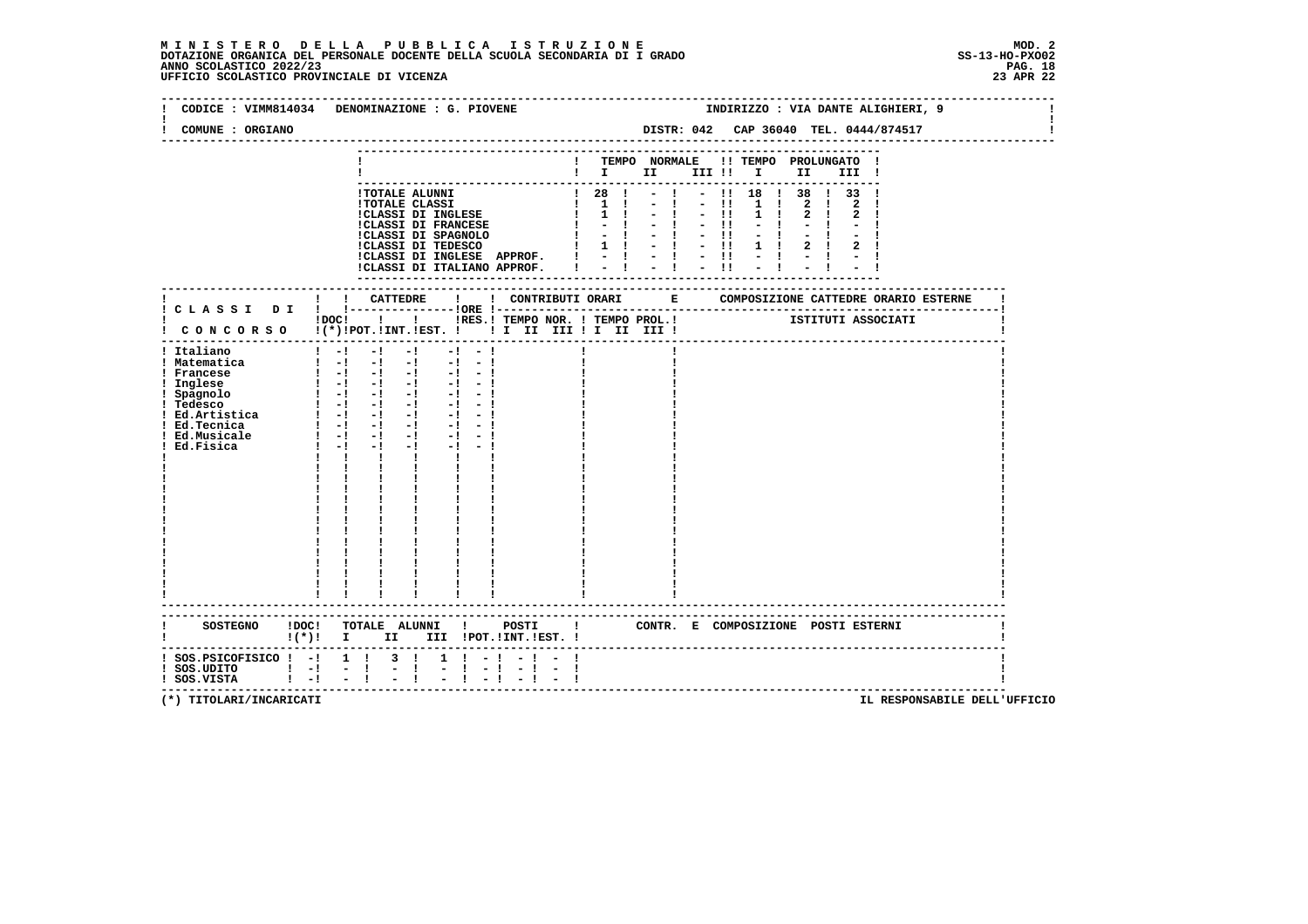## **M I N I S T E R O D E L L A P U B B L I C A I S T R U Z I O N E MOD. 2**DOTAZIONE ORGANICA DEL PERSONALE DOCENTE DELLA SCUOLA SECONDARIA DI I GRADO **SCOLASTICO ANNO SCOLASTICO 2022/23**<br>PAG ANNO SCOLASTICO 2022/23 PAG. 18<br>23 APR 22 UFFICIO SCOLASTICO PROVINCIALE DI VICENZA

| CODICE: VIMM814034                                                                                                                                                                                      | DENOMINAZIONE : G. PIOVENE                                                                                                                                                                                                                                                                                                                                                                                                                                                                                                                                                                          |                                                                                                                                                                                                                                                 |                                                                                                                       |                                                                                   |             |                                 | INDIRIZZO : VIA DANTE ALIGHIERI, 9    |  |
|---------------------------------------------------------------------------------------------------------------------------------------------------------------------------------------------------------|-----------------------------------------------------------------------------------------------------------------------------------------------------------------------------------------------------------------------------------------------------------------------------------------------------------------------------------------------------------------------------------------------------------------------------------------------------------------------------------------------------------------------------------------------------------------------------------------------------|-------------------------------------------------------------------------------------------------------------------------------------------------------------------------------------------------------------------------------------------------|-----------------------------------------------------------------------------------------------------------------------|-----------------------------------------------------------------------------------|-------------|---------------------------------|---------------------------------------|--|
| COMUNE : ORGIANO                                                                                                                                                                                        |                                                                                                                                                                                                                                                                                                                                                                                                                                                                                                                                                                                                     |                                                                                                                                                                                                                                                 | DISTR: 042 CAP 36040 TEL. 0444/874517                                                                                 |                                                                                   |             |                                 |                                       |  |
|                                                                                                                                                                                                         |                                                                                                                                                                                                                                                                                                                                                                                                                                                                                                                                                                                                     | $\blacksquare$ $\blacksquare$ $\blacksquare$ $\blacksquare$ $\blacksquare$ $\blacksquare$ $\blacksquare$ $\blacksquare$ $\blacksquare$ $\blacksquare$ $\blacksquare$ $\blacksquare$ $\blacksquare$ $\blacksquare$ $\blacksquare$ $\blacksquare$ | TEMPO NORMALE !! TEMPO PROLUNGATO !                                                                                   |                                                                                   |             |                                 |                                       |  |
|                                                                                                                                                                                                         | <b>!TOTALE ALUNNI</b><br><b>!TOTALE CLASSI</b><br>!CLASSI DI INGLESE<br>!CLASSI DI FRANCESE<br>!CLASSI DI SPAGNOLO  <br>!CLASSI DI TEDESCO  <br>!CLASSI DI INGLESE APPROF.<br>!CLASSI DI ITALIANO APPROF.                                                                                                                                                                                                                                                                                                                                                                                           | 1281<br>$\frac{1}{1}$ $\frac{1}{2}$ $\frac{1}{1}$ $\frac{1}{2}$ $\frac{1}{1}$ $\frac{1}{2}$ $\frac{11}{11}$                                                                                                                                     | $-1 - -1$<br>$1 \t1 - 1 - 11$<br>$\frac{1}{2}$ $\frac{1}{2}$ $\frac{1}{2}$ $\frac{1}{2}$ $\frac{1}{2}$ $\frac{1}{11}$ | $-1 - 11$ 1 1<br>$1 \quad 1$<br>$1 \quad 1$<br>$\sim$ $\sim$ $\sim$ $\sim$ $\sim$ | $2 \quad 1$ | $-!$ $-!!$ 18 $!$ 38 $!$ 33 $!$ |                                       |  |
|                                                                                                                                                                                                         |                                                                                                                                                                                                                                                                                                                                                                                                                                                                                                                                                                                                     |                                                                                                                                                                                                                                                 |                                                                                                                       |                                                                                   |             |                                 |                                       |  |
|                                                                                                                                                                                                         | !DOC! ! ! !RES.! TEMPO NOR. ! TEMPO PROL.! [STITUTI ASSOCIATI<br>! CONCORSO !(*)!POT.!INT.!EST. ! ! I III III II III !<br>------------------------------------                                                                                                                                                                                                                                                                                                                                                                                                                                      |                                                                                                                                                                                                                                                 |                                                                                                                       |                                                                                   |             |                                 |                                       |  |
| ! Italiano<br>! Matematica<br>! Francese<br>! Inglese<br>! Spagnolo<br>: 1 Tedesco<br>! Ed.Artistica   -! -! -!<br>! Ed.Artistica   -! -! -!<br>! Ed.Artistica   -! -! -!<br>! Ed.Musicale<br>Ed.Fisica | $1 - -1$<br>$-1$ and $-1$<br>$-1 - -1$<br>$-1$<br>$\begin{bmatrix} 1 & -1 & -1 & -1 & -1 & -1 \end{bmatrix}$<br>$\begin{bmatrix} 1 & -1 & -1 & -1 & -1 & -1 \end{bmatrix}$<br>$-1$ $-1$<br>$1 - 1 - 1$<br>$-1$ $-1$ $-1$<br>$1 - 1 - 1$<br>$-1$ and $-1$<br>$-1 - -1$<br>$\mathbf{I}$ $\mathbf{I}$ $\mathbf{I}$<br>$\mathbf{I}$ and $\mathbf{I}$<br>$\begin{array}{c} 1 \quad \  \, 1 \qquad \  \, 1 \\ 1 \quad \  \, 1 \qquad \  \, 1 \\ 1 \quad \  \, 1 \qquad \  \, 1 \qquad \  \, 1 \end{array}$<br>$\begin{array}{cc} 1 & 1 \\ 1 & 1 \\ 1 & 1 \\ 1 & 1 \end{array}$<br>----------------------- |                                                                                                                                                                                                                                                 |                                                                                                                       |                                                                                   |             |                                 |                                       |  |
|                                                                                                                                                                                                         | !(*)! I II III !POT.!INT.!EST.!                                                                                                                                                                                                                                                                                                                                                                                                                                                                                                                                                                     |                                                                                                                                                                                                                                                 |                                                                                                                       |                                                                                   |             |                                 |                                       |  |
| $:$ SOS.PSICOFISICO $:$ -! 1 !<br>$!$ SOS.UDITO $!$ $-!$<br>$1 - 1$<br>! SOS.VISTA                                                                                                                      | $3 \quad 1$<br>$1 \t-1$<br>$\frac{1}{2}$ , $\frac{1}{4}$<br>Ē,<br>$-1$<br>$-1$                                                                                                                                                                                                                                                                                                                                                                                                                                                                                                                      |                                                                                                                                                                                                                                                 |                                                                                                                       |                                                                                   |             |                                 | ------------------------------------- |  |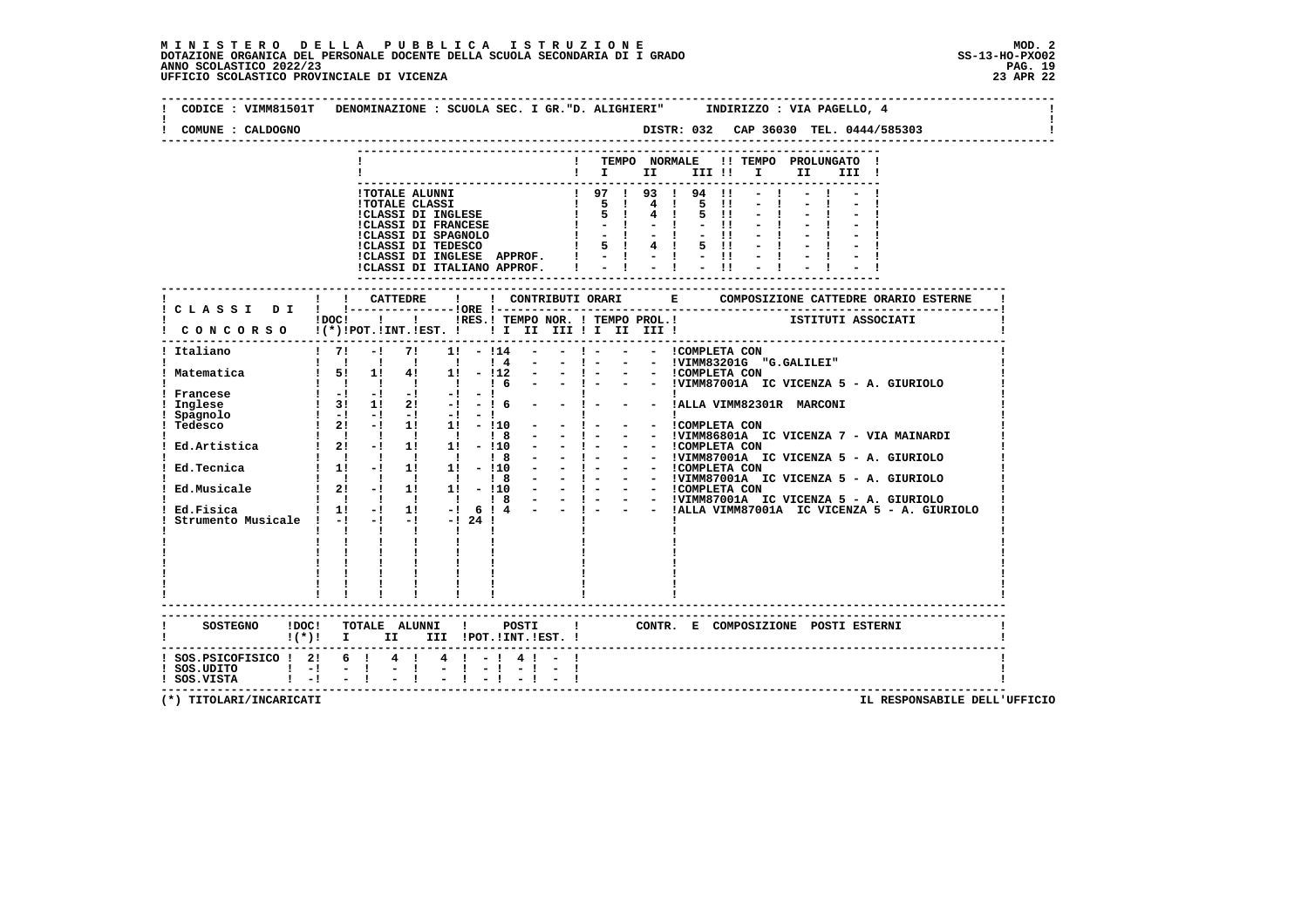| CODICE : VIMM81501T<br>COMUNE : CALDOGNO                                                                                                                                                                                                                                                                                                      |                                                                                                                                                                                |              |                                                                                                                                                                                       | DENOMINAZIONE : SCUOLA SEC. I GR. "D. ALIGHIERI" INDIRIZZO : VIA PAGELLO, 4       |                             |            |                  |                     |                            |                                                                                                                                                       |                          |  |  |  |       |  |  |  |
|-----------------------------------------------------------------------------------------------------------------------------------------------------------------------------------------------------------------------------------------------------------------------------------------------------------------------------------------------|--------------------------------------------------------------------------------------------------------------------------------------------------------------------------------|--------------|---------------------------------------------------------------------------------------------------------------------------------------------------------------------------------------|-----------------------------------------------------------------------------------|-----------------------------|------------|------------------|---------------------|----------------------------|-------------------------------------------------------------------------------------------------------------------------------------------------------|--------------------------|--|--|--|-------|--|--|--|
|                                                                                                                                                                                                                                                                                                                                               |                                                                                                                                                                                |              |                                                                                                                                                                                       |                                                                                   |                             |            |                  |                     |                            |                                                                                                                                                       |                          |  |  |  |       |  |  |  |
|                                                                                                                                                                                                                                                                                                                                               |                                                                                                                                                                                |              |                                                                                                                                                                                       |                                                                                   |                             |            |                  |                     |                            | ! TEMPO NORMALE !! TEMPO PROLUNGATO !                                                                                                                 |                          |  |  |  |       |  |  |  |
|                                                                                                                                                                                                                                                                                                                                               |                                                                                                                                                                                |              |                                                                                                                                                                                       |                                                                                   |                             |            |                  |                     |                            | $\blacksquare$ $\blacksquare$ $\blacksquare$ $\blacksquare$ $\blacksquare$ $\blacksquare$ $\blacksquare$ $\blacksquare$ $\blacksquare$ $\blacksquare$ |                          |  |  |  | III ! |  |  |  |
|                                                                                                                                                                                                                                                                                                                                               |                                                                                                                                                                                |              |                                                                                                                                                                                       |                                                                                   |                             |            |                  |                     |                            |                                                                                                                                                       |                          |  |  |  |       |  |  |  |
|                                                                                                                                                                                                                                                                                                                                               |                                                                                                                                                                                |              |                                                                                                                                                                                       | !TOTALE ALUNNI                                                                    |                             |            |                  |                     |                            | 1 97 1 93 1 94 11<br>1 5 1 4 1 5 11<br>1 5 1 4 1 5 11                                                                                                 |                          |  |  |  |       |  |  |  |
|                                                                                                                                                                                                                                                                                                                                               |                                                                                                                                                                                |              |                                                                                                                                                                                       | <b>!TOTALE CLASSI</b>                                                             |                             |            |                  |                     |                            |                                                                                                                                                       |                          |  |  |  |       |  |  |  |
|                                                                                                                                                                                                                                                                                                                                               |                                                                                                                                                                                |              |                                                                                                                                                                                       | :TOIALE CLASSI<br>!CLASSI DI INGLESE<br>!CLASSI DI FRANCESE                       |                             |            |                  |                     |                            | $1 - 1 - 1 - 1$                                                                                                                                       |                          |  |  |  |       |  |  |  |
|                                                                                                                                                                                                                                                                                                                                               |                                                                                                                                                                                |              |                                                                                                                                                                                       |                                                                                   |                             |            |                  |                     |                            |                                                                                                                                                       |                          |  |  |  |       |  |  |  |
|                                                                                                                                                                                                                                                                                                                                               |                                                                                                                                                                                |              |                                                                                                                                                                                       |                                                                                   |                             |            |                  |                     |                            |                                                                                                                                                       |                          |  |  |  |       |  |  |  |
|                                                                                                                                                                                                                                                                                                                                               |                                                                                                                                                                                |              |                                                                                                                                                                                       | CLASSI DI INGLESE APPROF. $\vert \ \vert$ - $\vert$ - $\vert$ - $\vert$ - $\vert$ |                             |            |                  |                     |                            |                                                                                                                                                       |                          |  |  |  |       |  |  |  |
|                                                                                                                                                                                                                                                                                                                                               |                                                                                                                                                                                |              |                                                                                                                                                                                       | !CLASSI DI ITALIANO APPROF.   -   -   -                                           |                             |            |                  |                     |                            |                                                                                                                                                       |                          |  |  |  |       |  |  |  |
|                                                                                                                                                                                                                                                                                                                                               |                                                                                                                                                                                |              |                                                                                                                                                                                       |                                                                                   |                             |            |                  | ------------------- |                            |                                                                                                                                                       |                          |  |  |  |       |  |  |  |
|                                                                                                                                                                                                                                                                                                                                               |                                                                                                                                                                                |              |                                                                                                                                                                                       |                                                                                   |                             |            |                  |                     |                            |                                                                                                                                                       |                          |  |  |  |       |  |  |  |
|                                                                                                                                                                                                                                                                                                                                               |                                                                                                                                                                                |              |                                                                                                                                                                                       |                                                                                   |                             |            |                  |                     |                            |                                                                                                                                                       |                          |  |  |  |       |  |  |  |
|                                                                                                                                                                                                                                                                                                                                               |                                                                                                                                                                                |              | IDOCI ! IRES. I TEMPO NOR. I TEMPO PROL. ! [STITUTI ASSOCIATI                                                                                                                         |                                                                                   |                             |            |                  |                     |                            |                                                                                                                                                       |                          |  |  |  |       |  |  |  |
| CONCORSO !(*)!POT.!INT.!EST. !! I II III !I II III !                                                                                                                                                                                                                                                                                          |                                                                                                                                                                                |              |                                                                                                                                                                                       |                                                                                   |                             |            |                  |                     |                            |                                                                                                                                                       |                          |  |  |  |       |  |  |  |
| Italiano                                                                                                                                                                                                                                                                                                                                      |                                                                                                                                                                                | $1 \quad 71$ | $-1$                                                                                                                                                                                  | 71                                                                                | $1! - 114$                  |            |                  |                     | $-1 - 1$                   | - - COMPLETA CON                                                                                                                                      |                          |  |  |  |       |  |  |  |
|                                                                                                                                                                                                                                                                                                                                               |                                                                                                                                                                                |              |                                                                                                                                                                                       |                                                                                   |                             | $1\quad 4$ | $\sim$ 100 $\mu$ |                     | $-1 - 1$                   | - - !VIMM83201G "G.GALILEI"                                                                                                                           |                          |  |  |  |       |  |  |  |
| . Matematica 1 51 11 41 11 - 112 -                                                                                                                                                                                                                                                                                                            |                                                                                                                                                                                |              |                                                                                                                                                                                       |                                                                                   |                             |            |                  |                     |                            |                                                                                                                                                       |                          |  |  |  |       |  |  |  |
|                                                                                                                                                                                                                                                                                                                                               |                                                                                                                                                                                |              | 1 1 1 1 1 1 1 6 -                                                                                                                                                                     |                                                                                   |                             |            |                  |                     |                            | $-$ ! $ -$ !VIMM87001A IC VICENZA 5 - A. GIURIOLO                                                                                                     |                          |  |  |  |       |  |  |  |
| Francese                                                                                                                                                                                                                                                                                                                                      | $\mathbf{r} = \mathbf{i} + \mathbf{j} + \mathbf{k}$ , $\mathbf{r} = \mathbf{i} + \mathbf{k}$ , $\mathbf{r} = \mathbf{i} + \mathbf{k}$ , $\mathbf{r} = \mathbf{i} + \mathbf{k}$ |              |                                                                                                                                                                                       |                                                                                   |                             |            |                  |                     | $\sim 10^{-10}$ km $^{-1}$ |                                                                                                                                                       |                          |  |  |  |       |  |  |  |
| Inglese                                                                                                                                                                                                                                                                                                                                       |                                                                                                                                                                                |              | $1 \quad 3! \quad 1! \quad 2! \quad -! \quad - \quad 16 \quad - \quad - \quad 1 - \quad - \quad 1$ ALLA VIMM82301R MARCONI                                                            |                                                                                   |                             |            |                  |                     |                            |                                                                                                                                                       |                          |  |  |  |       |  |  |  |
| Spagnolo                                                                                                                                                                                                                                                                                                                                      |                                                                                                                                                                                |              | $\begin{array}{ccccccccc}\n1 & 31 & 41 & 21 & -1 & -1 & -1 \\ 1 & -1 & -1 & -1 & -1 & -1 & -1 \\ \hline\n\vdots & \ddots & \ddots & \ddots & \ddots & \ddots & \ddots \\ \end{array}$ |                                                                                   |                             |            |                  |                     |                            |                                                                                                                                                       | <b>Contract Contract</b> |  |  |  |       |  |  |  |
| Tedesco                                                                                                                                                                                                                                                                                                                                       |                                                                                                                                                                                |              |                                                                                                                                                                                       |                                                                                   |                             |            |                  |                     |                            | - - !COMPLETA CON                                                                                                                                     |                          |  |  |  |       |  |  |  |
| Teasso $121 - 111 - 110 - - 1 - - - - 1 \t{COMPLEX A COM\nEd. Artistica 1 2! - 1 1! 1! - 110 - - 1 - - - - 1 \t{COMPLEX A CON\nEd. Tecnica 1 1! - 1 1! 1! - 110 - - 1 - - - - 1 \t{COMPLEX B O1A I C VICENZA 5 - A. GIURIOLO\nEd. Tecnica 1 1! - 1 1! 1! 10 10 - 1 - - - - - 1 \t{OMPLEX B O1A I C VICENZA 5 - A. GIURIOLO\nEd. Musicale 1 2$ |                                                                                                                                                                                |              |                                                                                                                                                                                       |                                                                                   |                             |            |                  |                     |                            |                                                                                                                                                       |                          |  |  |  |       |  |  |  |
|                                                                                                                                                                                                                                                                                                                                               |                                                                                                                                                                                |              |                                                                                                                                                                                       |                                                                                   |                             |            |                  |                     |                            |                                                                                                                                                       |                          |  |  |  |       |  |  |  |
|                                                                                                                                                                                                                                                                                                                                               |                                                                                                                                                                                |              |                                                                                                                                                                                       |                                                                                   |                             |            |                  |                     |                            |                                                                                                                                                       |                          |  |  |  |       |  |  |  |
|                                                                                                                                                                                                                                                                                                                                               |                                                                                                                                                                                |              |                                                                                                                                                                                       |                                                                                   |                             |            |                  |                     |                            |                                                                                                                                                       |                          |  |  |  |       |  |  |  |
|                                                                                                                                                                                                                                                                                                                                               |                                                                                                                                                                                |              |                                                                                                                                                                                       |                                                                                   |                             |            |                  |                     |                            |                                                                                                                                                       |                          |  |  |  |       |  |  |  |
|                                                                                                                                                                                                                                                                                                                                               |                                                                                                                                                                                |              |                                                                                                                                                                                       |                                                                                   |                             |            |                  |                     |                            |                                                                                                                                                       |                          |  |  |  |       |  |  |  |
|                                                                                                                                                                                                                                                                                                                                               |                                                                                                                                                                                |              |                                                                                                                                                                                       |                                                                                   |                             |            |                  |                     |                            |                                                                                                                                                       |                          |  |  |  |       |  |  |  |
|                                                                                                                                                                                                                                                                                                                                               |                                                                                                                                                                                |              |                                                                                                                                                                                       |                                                                                   |                             |            |                  |                     |                            |                                                                                                                                                       |                          |  |  |  |       |  |  |  |
|                                                                                                                                                                                                                                                                                                                                               |                                                                                                                                                                                |              |                                                                                                                                                                                       |                                                                                   |                             |            |                  |                     |                            |                                                                                                                                                       |                          |  |  |  |       |  |  |  |
|                                                                                                                                                                                                                                                                                                                                               |                                                                                                                                                                                |              | <b>The Company</b>                                                                                                                                                                    |                                                                                   |                             |            |                  |                     |                            |                                                                                                                                                       |                          |  |  |  |       |  |  |  |
|                                                                                                                                                                                                                                                                                                                                               |                                                                                                                                                                                |              |                                                                                                                                                                                       |                                                                                   |                             |            |                  |                     |                            |                                                                                                                                                       |                          |  |  |  |       |  |  |  |
|                                                                                                                                                                                                                                                                                                                                               |                                                                                                                                                                                |              |                                                                                                                                                                                       |                                                                                   |                             |            |                  |                     |                            |                                                                                                                                                       |                          |  |  |  |       |  |  |  |
|                                                                                                                                                                                                                                                                                                                                               |                                                                                                                                                                                |              |                                                                                                                                                                                       |                                                                                   |                             |            |                  |                     |                            |                                                                                                                                                       |                          |  |  |  |       |  |  |  |
|                                                                                                                                                                                                                                                                                                                                               |                                                                                                                                                                                |              |                                                                                                                                                                                       |                                                                                   |                             |            |                  |                     |                            |                                                                                                                                                       |                          |  |  |  |       |  |  |  |
|                                                                                                                                                                                                                                                                                                                                               |                                                                                                                                                                                |              |                                                                                                                                                                                       |                                                                                   |                             |            |                  |                     |                            |                                                                                                                                                       |                          |  |  |  |       |  |  |  |
| SOSTEGNO !DOC! TOTALE ALUNNI ! POSTI ! CONTR. E COMPOSIZIONE POSTI ESTERNI                                                                                                                                                                                                                                                                    |                                                                                                                                                                                |              |                                                                                                                                                                                       |                                                                                   |                             |            |                  |                     |                            |                                                                                                                                                       |                          |  |  |  |       |  |  |  |
| $!(*)!$ I II III !POT.!INT.!EST. !                                                                                                                                                                                                                                                                                                            |                                                                                                                                                                                |              |                                                                                                                                                                                       |                                                                                   |                             |            |                  |                     |                            |                                                                                                                                                       |                          |  |  |  |       |  |  |  |
|                                                                                                                                                                                                                                                                                                                                               |                                                                                                                                                                                |              |                                                                                                                                                                                       |                                                                                   | $4 \quad 1 \quad - \quad 1$ |            |                  |                     |                            |                                                                                                                                                       |                          |  |  |  |       |  |  |  |
| ! SOS.PSICOFISICO ! 2! 6 ! 4 !<br>! SOS.UDITO   -! - !<br>! SOS.VISTA   -! - !                                                                                                                                                                                                                                                                |                                                                                                                                                                                |              |                                                                                                                                                                                       | $= 1 -$                                                                           | $-1 - 1$                    |            | $4 \cdot 1 =$    | $-1 - -1$           |                            |                                                                                                                                                       |                          |  |  |  |       |  |  |  |
|                                                                                                                                                                                                                                                                                                                                               |                                                                                                                                                                                |              |                                                                                                                                                                                       |                                                                                   |                             |            |                  |                     |                            |                                                                                                                                                       |                          |  |  |  |       |  |  |  |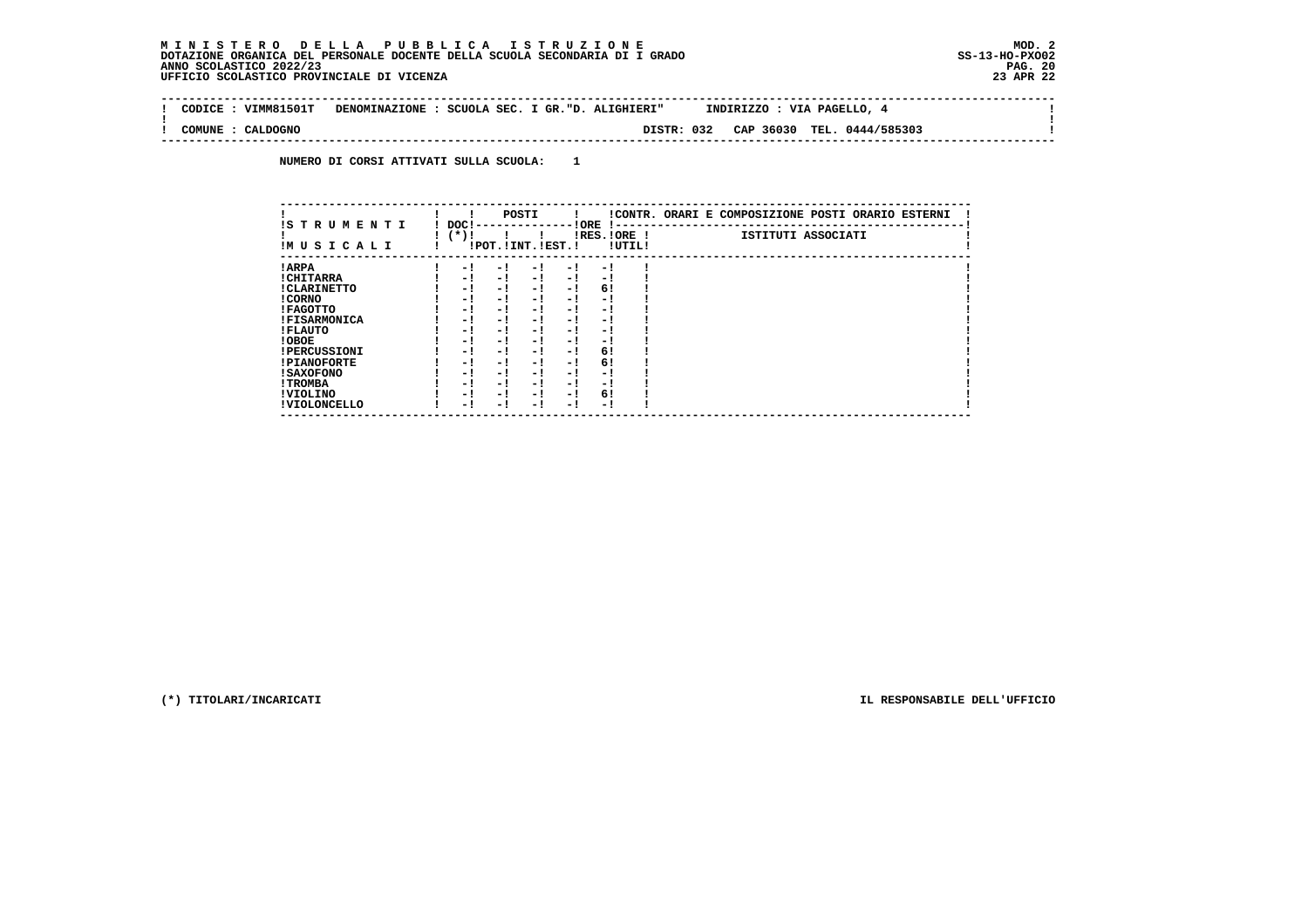#### **M I N I S T E R O D E L L A P U B B L I C A I S T R U Z I O N E MOD. 2DOTAZIONE ORGANICA DEL PERSONALE DOCENTE DELLA SCUOLA SECONDARIA DI I GRADO ANNO SCOLASTICO 2022/23 UFFICIO SCOLASTICO PROVINCIALE DI VICENZA 23 APR 22**

 $\sim$  1

 $\mathbf{I}$ 

 **-------------------------------------------------------------------------------------------------------------------------------- ! CODICE : VIMM81501T DENOMINAZIONE : SCUOLA SEC. I GR."D. ALIGHIERI" INDIRIZZO : VIA PAGELLO, 4 ! ! ! ! COMUNE : CALDOGNO DISTR: 032 CAP 36030 TEL. 0444/585303 ! --------------------------------------------------------------------------------------------------------------------------------**

 **NUMERO DI CORSI ATTIVATI SULLA SCUOLA: 1**

| IS T R U M E N T I  | POSTI<br>!CONTR. ORARI E COMPOSIZIONE POSTI ORARIO ESTERNI<br>DOC !<br>! ORE<br>. |                    |
|---------------------|-----------------------------------------------------------------------------------|--------------------|
| IMUSICALI           | (*)!<br>$IRES.IORE$ !<br>!POT. ! INT. ! EST. !<br>!UTIL!                          | ISTITUTI ASSOCIATI |
| ! ARPA              | - 1<br>- 1<br>- 1<br>- 1<br>- 1                                                   |                    |
| ! CHITARRA          | $-1$<br>- !<br>- 1<br>- 1<br>- 1                                                  |                    |
| ! CLARINETTO        | 6!<br>- 1<br>- 1<br>- 1<br>- 1                                                    |                    |
| ! CORNO             | - 1<br>- 1<br>- 1<br>- 1<br>- !                                                   |                    |
| ! FAGOTTO           | - 1<br>- 1<br>- 1<br>- 1<br>- 1                                                   |                    |
| <b>!FISARMONICA</b> | - 1<br>- 1<br>- !<br>- 1<br>- 1                                                   |                    |
| ! FLAUTO            | - !<br>- 1<br>- 1<br>- 1<br>- 1                                                   |                    |
| ! OBOE              | $-1$<br>- !<br>- 1<br>- 1<br>- 1                                                  |                    |
| <b>!PERCUSSIONI</b> | 6!<br>- 1<br>- 1<br>- 1<br>- 1                                                    |                    |
| <b>!PIANOFORTE</b>  | 6!<br>- 1<br>- 1<br>- 1<br>- 1                                                    |                    |
| <b>! SAXOFONO</b>   | - 1<br>- 1<br>- !<br>- 1<br>- 1                                                   |                    |
| ! TROMBA            | - 1<br>- 1<br>- 1<br>- 1<br>- 1                                                   |                    |
| ! VIOLINO           | 6!<br>$-1$<br>- 1<br>- 1<br>- 1                                                   |                    |
| ! VIOLONCELLO       | - 1<br>- 1<br>- !<br>- 1<br>- 1                                                   |                    |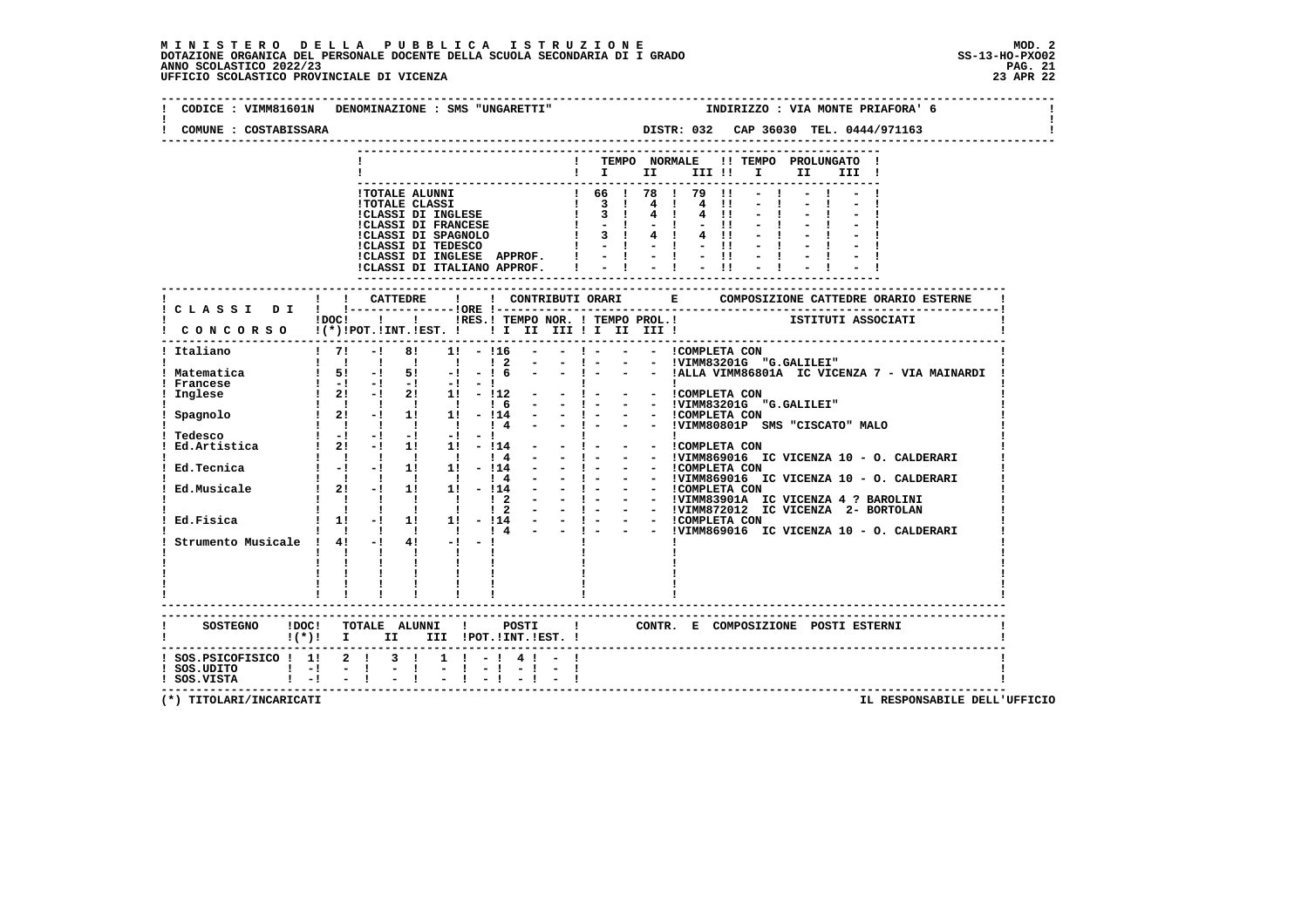#### **M I N I S T E R O D E L L A P U B B L I C A I S T R U Z I O N E MOD. 2**DOTAZIONE ORGANICA DEL PERSONALE DOCENTE DELLA SCUOLA SECONDARIA DI I GRADO **SCOLASTICO SCOLASTICO 2022/23 PAG. 21**<br>23 ANNO SCOLASTICO 2022/23 PAG. 21<br>23 APR 22 UFFICIO SCOLASTICO PROVINCIALE DI VICENZA

| COMUNE : COSTABISSARA                                        | CODICE : VIMM81601N DENOMINAZIONE : SMS "UNGARETTI"<br>DISTR: 032 CAP 36030 TEL. 0444/971163                                                                                                                                                                                                                                                                                                                                                                                                                                                                                                                          | INDIRIZZO : VIA MONTE PRIAFORA' 6            |
|--------------------------------------------------------------|-----------------------------------------------------------------------------------------------------------------------------------------------------------------------------------------------------------------------------------------------------------------------------------------------------------------------------------------------------------------------------------------------------------------------------------------------------------------------------------------------------------------------------------------------------------------------------------------------------------------------|----------------------------------------------|
|                                                              | ! TEMPO NORMALE !! TEMPO PROLUNGATO !<br>$\blacksquare$ $\blacksquare$ $\blacksquare$ $\blacksquare$ $\blacksquare$ $\blacksquare$ $\blacksquare$ $\blacksquare$                                                                                                                                                                                                                                                                                                                                                                                                                                                      | II I<br>III !                                |
|                                                              | $\blacksquare$<br>$\blacksquare$<br>$4 \quad 11$<br>$-11$<br>$4 \quad 11$<br>$-11$<br>ICLASSI DI INGLESE APPROF. $  \cdot   \cdot   \cdot   \cdot  $<br>ICLASSI DI ITALIANO APPROF. $  \cdot   \cdot   \cdot   \cdot  $                                                                                                                                                                                                                                                                                                                                                                                               | $-1$                                         |
|                                                              |                                                                                                                                                                                                                                                                                                                                                                                                                                                                                                                                                                                                                       |                                              |
|                                                              | ! !RES.! TEMPO NOR. ! TEMPO PROL.!<br>$1DOCI$ $1$<br>! CONCORSO !(*)!POT.!INT.!EST. !!! II III !I II III !                                                                                                                                                                                                                                                                                                                                                                                                                                                                                                            | ISTITUTI ASSOCIATI                           |
| ! Italiano                                                   | $1 \quad 71$<br>8!<br>$-1$<br>$1! - 116$<br>$\sim$ 100 $\mu$                                                                                                                                                                                                                                                                                                                                                                                                                                                                                                                                                          |                                              |
| ! Matematica<br>! Francese<br>Inglese                        | 1 1 1 1 1<br>$\frac{1}{2}$<br>$\overline{1}$ 51 -1 51 -1 -1 6 - -1 - - - $\overline{1}$ + $\overline{1}$ + $\overline{1}$ + $\overline{1}$ + $\overline{1}$ + $\overline{1}$ + $\overline{1}$ + $\overline{1}$ + $\overline{1}$ + $\overline{1}$ + $\overline{1}$ + $\overline{1}$ + $\overline{1}$ + $\overline{1}$ + $\overline{1}$ + $\overline{1}$ + $\overline{1}$<br>$1 - 1 - 1 - 1 - 1 - 1$<br>1 21 -1 21 11 - 112<br><b>Contract District</b><br><b>Contract Contract</b><br>$2!$ 1! - $112$<br>- - ICOMPLETA CON<br>$-1$ . The set of $\sim$<br>- - !VIMM83201G "G.GALILEI"<br>$-1 - 1$<br>1 1 1 1 1 1 1 6 - |                                              |
| Spagnolo                                                     | ! ! ! ! ! : ° - .<br>! 2! -! 1! 1! - !14 - - ! - - - ICOMPLETA CON<br>! ! ! ! ! ! ! 4 - - ! - - - IVIMM80801P SMS "CISCATO" MALO                                                                                                                                                                                                                                                                                                                                                                                                                                                                                      |                                              |
| Tedesco<br>Ed.Artistica                                      | $\begin{bmatrix} 1 & -1 & -1 & -1 & -1 & -1 \end{bmatrix}$<br>!  <br>- ! - - - !COMPLETA CON<br>- ! - - - !VIMM869016 IC VICENZA 10 - O. CALDERARI<br>$! 2! -! 1! 1! -! 14$                                                                                                                                                                                                                                                                                                                                                                                                                                           |                                              |
| Ed.Tecnica                                                   | 1 1 1 1 1 1 1 1 4<br>$! -! -! 1! 1! 1! - 114$                                                                                                                                                                                                                                                                                                                                                                                                                                                                                                                                                                         |                                              |
| Ed.Musicale                                                  | - 1 - - - IVIMM869016 IC VICENZA 10 - 0. CALDERARI<br>- 1 - - - IVIMM869016 IC VICENZA 10 - 0. CALDERARI<br>- 1 - - - IVIMM869016 IC VICENZA 1 ? BAROLINI<br>- 1 - - - IVIMM839014 IC VICENZA 4 ? BAROLINI<br>- 1 - - - IVIMM872012 IC VIC<br>1 1 1 1 1<br>$\frac{1}{4}$<br>$\sim 100$<br>$! 2! -! 1! 1! -! 14 -$<br>1 1 1 1 1 1 2                                                                                                                                                                                                                                                                                    |                                              |
|                                                              | $\mathbf{i}$ $\mathbf{j}$ $\mathbf{k}$ $\mathbf{l}$ $\mathbf{l}$ $\mathbf{l}$ $\mathbf{l}$ $\mathbf{l}$<br>$\frac{1}{2}$<br>Ed.Fisica $\frac{1}{1!}$ -1 1 1 1 -114 -<br>$-1 - 1$<br>1 1 1 1 1 1 1 1 4 -                                                                                                                                                                                                                                                                                                                                                                                                               | - - !VIMM869016 IC VICENZA 10 - O. CALDERARI |
|                                                              | Strumento Musicale ! $4!$ -! $4!$ -! -!<br>$\mathbf{I}$<br>$\mathbf{1}$ $\mathbf{1}$<br>$\mathbf{I}$ and $\mathbf{I}$                                                                                                                                                                                                                                                                                                                                                                                                                                                                                                 |                                              |
|                                                              | ------------------------<br>! CONTR. E COMPOSIZIONE POSTI ESTERNI<br>$!(*)!$ I II III !POT.!INT.!EST.!                                                                                                                                                                                                                                                                                                                                                                                                                                                                                                                |                                              |
| $!$ SOS.UDITO $!$ - $!$ - $!$<br>$!$ SOS.VISTA $!$ $-!$ $ !$ | $1$ SOS.PSICOFISICO $1$ 1 2 1 3 1 1 1 - 1 4 1 - 1<br>$-1$                                                                                                                                                                                                                                                                                                                                                                                                                                                                                                                                                             |                                              |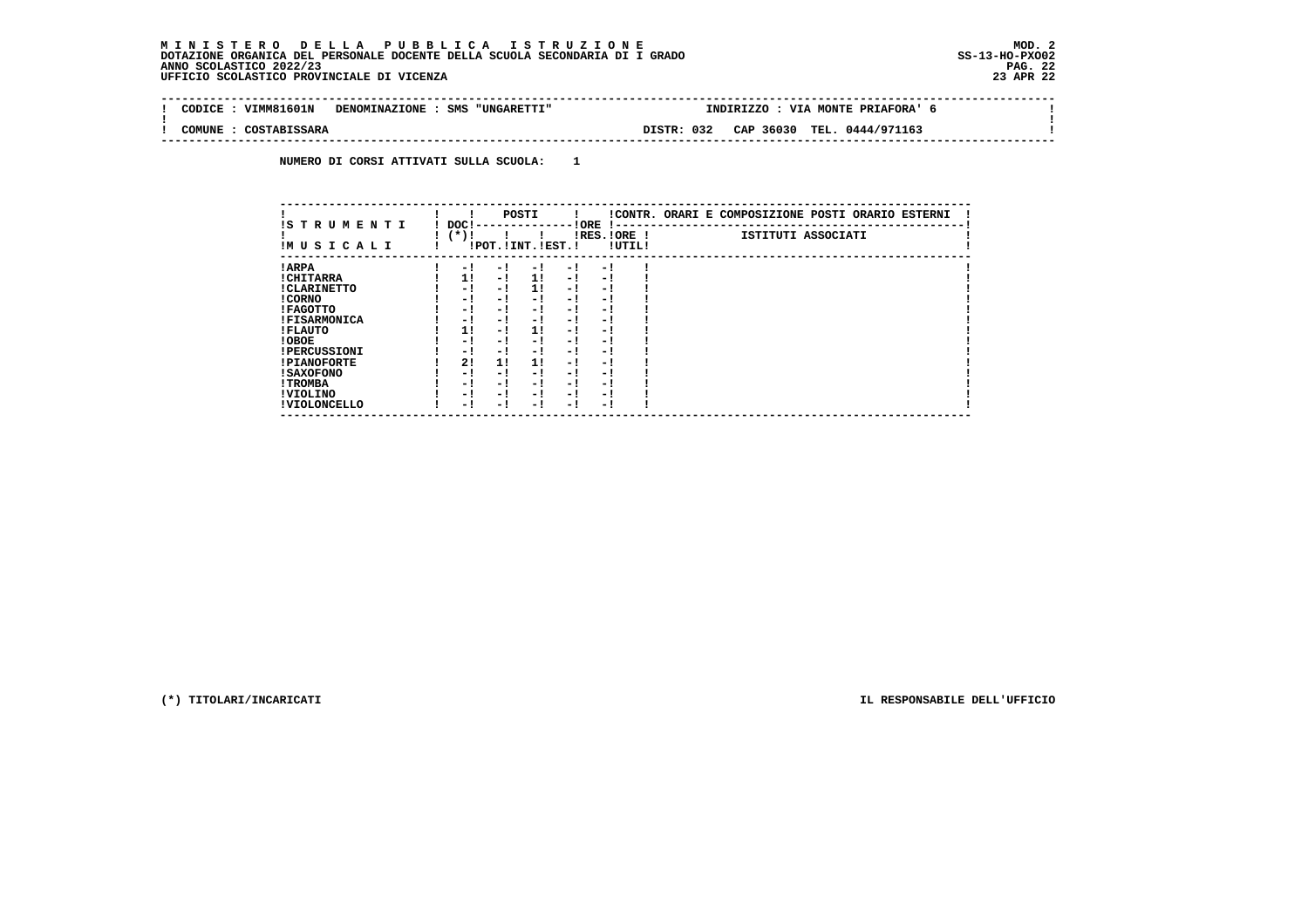#### **M I N I S T E R O D E L L A P U B B L I C A I S T R U Z I O N E MOD. 2 DOTAZIONE ORGANICA DEL PERSONALE DOCENTE DELLA SCUOLA SECONDARIA DI I GRADO ANNO SCOLASTICO 2022/23 UFFICIO SCOLASTICO PROVINCIALE DI VICENZA 23 APR 22**

÷i

| CODTCE | VTMM81601N   | DENOMINAZIONE : SMS "UNGARETTI" |            | TNDTRTZZO | VIA MONTE PRIAFORA' |  |
|--------|--------------|---------------------------------|------------|-----------|---------------------|--|
| COMUNE | COSTABISSARA |                                 | DISTR: 032 | CAP 36030 | TEL. 0444/971163    |  |

 **NUMERO DI CORSI ATTIVATI SULLA SCUOLA: 1**

| IS T R U M E N T I  | DOC! |     | POSTI                 |     | ! ORE<br>.    |        | !CONTR. ORARI E COMPOSIZIONE POSTI ORARIO ESTERNI |
|---------------------|------|-----|-----------------------|-----|---------------|--------|---------------------------------------------------|
| IMUSICALI           | (*)! |     | !POT. ! INT. ! EST. ! |     | $IRES.IORE$ ! | !UTIL! | ISTITUTI ASSOCIATI                                |
| ! ARPA              | - 1  | - 1 | - 1                   | - 1 | - 1           |        |                                                   |
| ! CHITARRA          | 11   | - ! | 11                    | - ! | - 1           |        |                                                   |
| ! CLARINETTO        | - 1  | - 1 | 11                    | - 1 | - 1           |        |                                                   |
| ! CORNO             | - 1  | - 1 | - !                   | - 1 | - 1           |        |                                                   |
| ! FAGOTTO           | - 1  | - 1 | - 1                   | - 1 | - 1           |        |                                                   |
| <b>!FISARMONICA</b> | - 1  | - 1 | - 1                   | - 1 | - 1           |        |                                                   |
| ! FLAUTO            | 1!   | - ! | 1!                    | - ! | - 1           |        |                                                   |
| ! OBOE              | - 1  | - 1 | - !                   | - 1 | - 1           |        |                                                   |
| <b>!PERCUSSIONI</b> | - 1  | - 1 | - 1                   | - 1 | - 1           |        |                                                   |
| <b>!PIANOFORTE</b>  | 2!   | 11  | 11                    | - 1 | - 1           |        |                                                   |
| <b>! SAXOFONO</b>   | - 1  | - 1 | - !                   | - 1 | - 1           |        |                                                   |
| ! TROMBA            | - 1  | - 1 | - 1                   | - 1 | - 1           |        |                                                   |
| ! VIOLINO           | - 1  | - 1 | - 1                   | - 1 | - 1           |        |                                                   |
| ! VIOLONCELLO       | - 1  | - ! | - 1                   | - ! | - 1           |        |                                                   |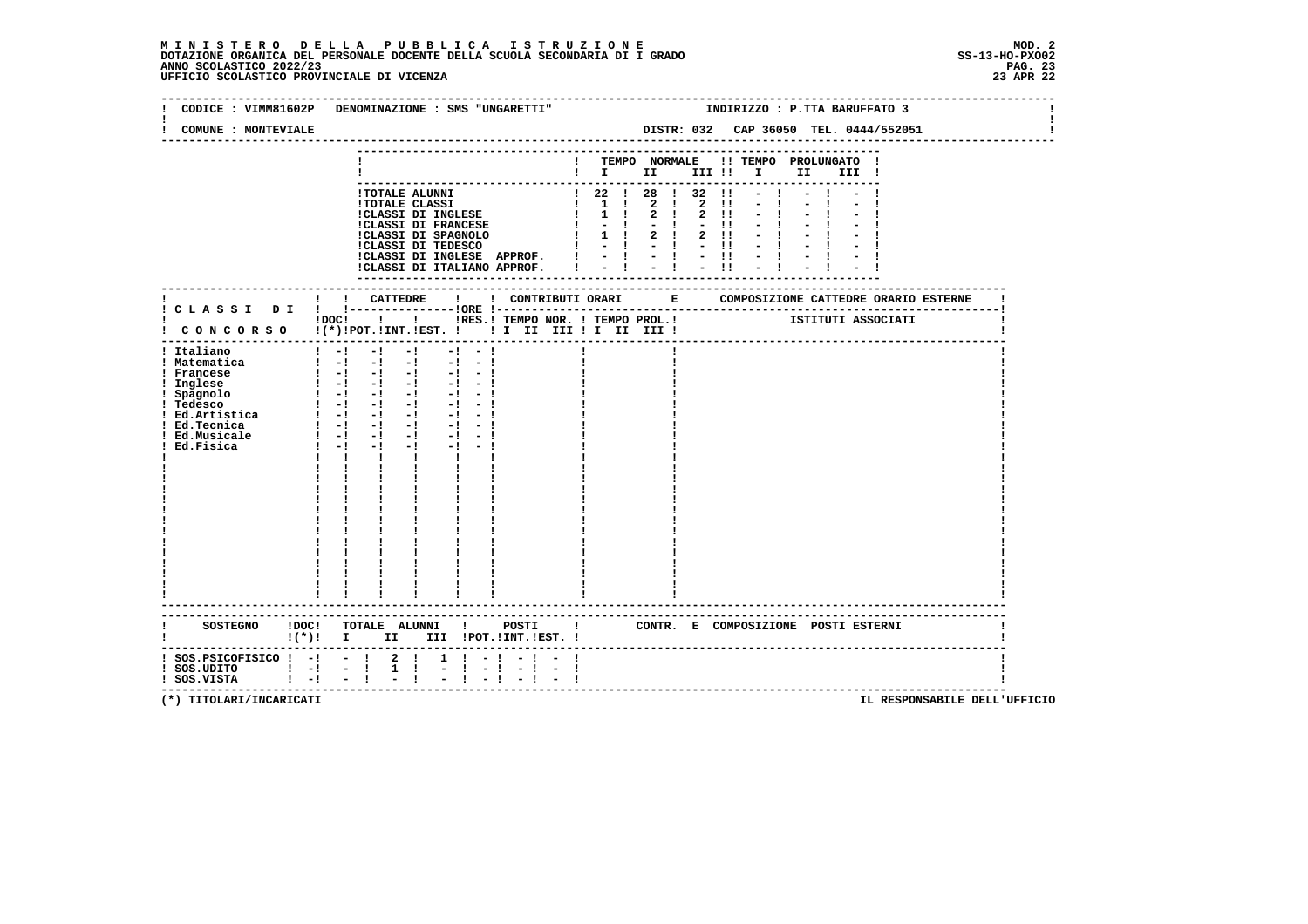### **M I N I S T E R O D E L L A P U B B L I C A I S T R U Z I O N E MOD. 2**DOTAZIONE ORGANICA DEL PERSONALE DOCENTE DELLA SCUOLA SECONDARIA DI I GRADO **SCOLASTICO SCOLASTICO 2022/23** SS-13-HO-PXO02<br>23 PAG 2022/23 PAG. 23<br>23 APR 22 UFFICIO SCOLASTICO PROVINCIALE DI VICENZA

|                                                                                                            | CODICE : VIMM81602P DENOMINAZIONE : SMS "UNGARETTI"                                                                                                                                                                                                                                                                                                                                                                                                                                                       |                               |                                                                               |  |                                       | INDIRIZZO : P.TTA BARUFFATO 3         |  |
|------------------------------------------------------------------------------------------------------------|-----------------------------------------------------------------------------------------------------------------------------------------------------------------------------------------------------------------------------------------------------------------------------------------------------------------------------------------------------------------------------------------------------------------------------------------------------------------------------------------------------------|-------------------------------|-------------------------------------------------------------------------------|--|---------------------------------------|---------------------------------------|--|
| COMUNE : MONTEVIALE                                                                                        |                                                                                                                                                                                                                                                                                                                                                                                                                                                                                                           |                               |                                                                               |  |                                       | DISTR: 032 CAP 36050 TEL. 0444/552051 |  |
|                                                                                                            |                                                                                                                                                                                                                                                                                                                                                                                                                                                                                                           |                               |                                                                               |  | ! TEMPO NORMALE !! TEMPO PROLUNGATO ! | III !                                 |  |
|                                                                                                            | !TOTALE ALUNNI<br>ITOTALE ALUMNI<br>ITOTALE CLASSI<br>ICLASSI DI INGLESE $\begin{bmatrix} 1 & 2 & 1 & 2 & 1 & 2 & 1 & - & 1 \\ 1 & 1 & 2 & 1 & 2 & 1 & - & 1 \\ 1 & 1 & 2 & 1 & 2 & 1 & - & 1 \\ 1 & 1 & 2 & 1 & 2 & 1 & - & 1 \\ 1 & 1 & 2 & 1 & 2 & 1 & - & 1 \\ 1 & 1 & 2 & 1 & 2 & 1 & - & 1 \\ 1 & 1 & 2 & 1 & 2 & 1 & - & 1$                                                                                                                                                                        |                               | $\frac{1}{22}$ $\frac{22}{128}$ $\frac{1}{28}$ $\frac{32}{11}$ $\frac{1}{21}$ |  |                                       |                                       |  |
|                                                                                                            | ! ! CATTEDRE<br>$\mathbf{I}$                                                                                                                                                                                                                                                                                                                                                                                                                                                                              |                               |                                                                               |  |                                       |                                       |  |
|                                                                                                            | !DOC! !!!!RES.! TEMPO NOR. ! TEMPO PROL.!<br>! CONCORSO !(*)!POT.!INT.!EST. ! ! I III III II III !                                                                                                                                                                                                                                                                                                                                                                                                        |                               |                                                                               |  |                                       | ISTITUTI ASSOCIATI                    |  |
| ! Italiano<br>! Matematica<br>! Francese<br>! Ed.Musicale<br>Ed.Fisica                                     | $1 - 1 - 1 - 1$<br>$-1 - -1$<br>$\mathbf{1}$ and $\mathbf{1}$ and $\mathbf{1}$ and $\mathbf{1}$ and $\mathbf{1}$ and $\mathbf{1}$ and $\mathbf{1}$<br>$\begin{bmatrix} 1 & -1 & -1 & -1 & -1 & -1 \end{bmatrix}$<br>1 Inglese<br>1 Inglese<br>1 Spagnolo<br>1 -1 -1 -1 -1 -1 -1 -1<br>1 Tedesco<br>1 -1 -1 -1 -1 -1 -1<br>1 Ed.Artistica<br>1 Ed.Tecnica<br>1 -1 -1 -1 -1 -1 -1<br>1 -1 -1 -1 -1 -1<br>$1 - 1 - 1 - 1 - 1 - 1$<br>$1 - 1 - 1$<br>$-1$ $-1$ $-1$<br>1 1 1<br>$\mathbf{I}$ and $\mathbf{I}$ |                               |                                                                               |  |                                       |                                       |  |
|                                                                                                            | !(*)! I II III !POT.!INT.!EST.!                                                                                                                                                                                                                                                                                                                                                                                                                                                                           |                               |                                                                               |  |                                       |                                       |  |
| $:$ SOS.PSICOFISICO $:$ - $:$ - $:$ 2 $:$<br>$!$ SOS.UDITO $!$ - $!$ - $!$<br>$!$ SOS.VISTA $!$ $-!$ $-$ ! | $\frac{1}{2}$                                                                                                                                                                                                                                                                                                                                                                                                                                                                                             | $1 \t1 - 1 - 1 -$<br>$-1 - 1$ |                                                                               |  |                                       |                                       |  |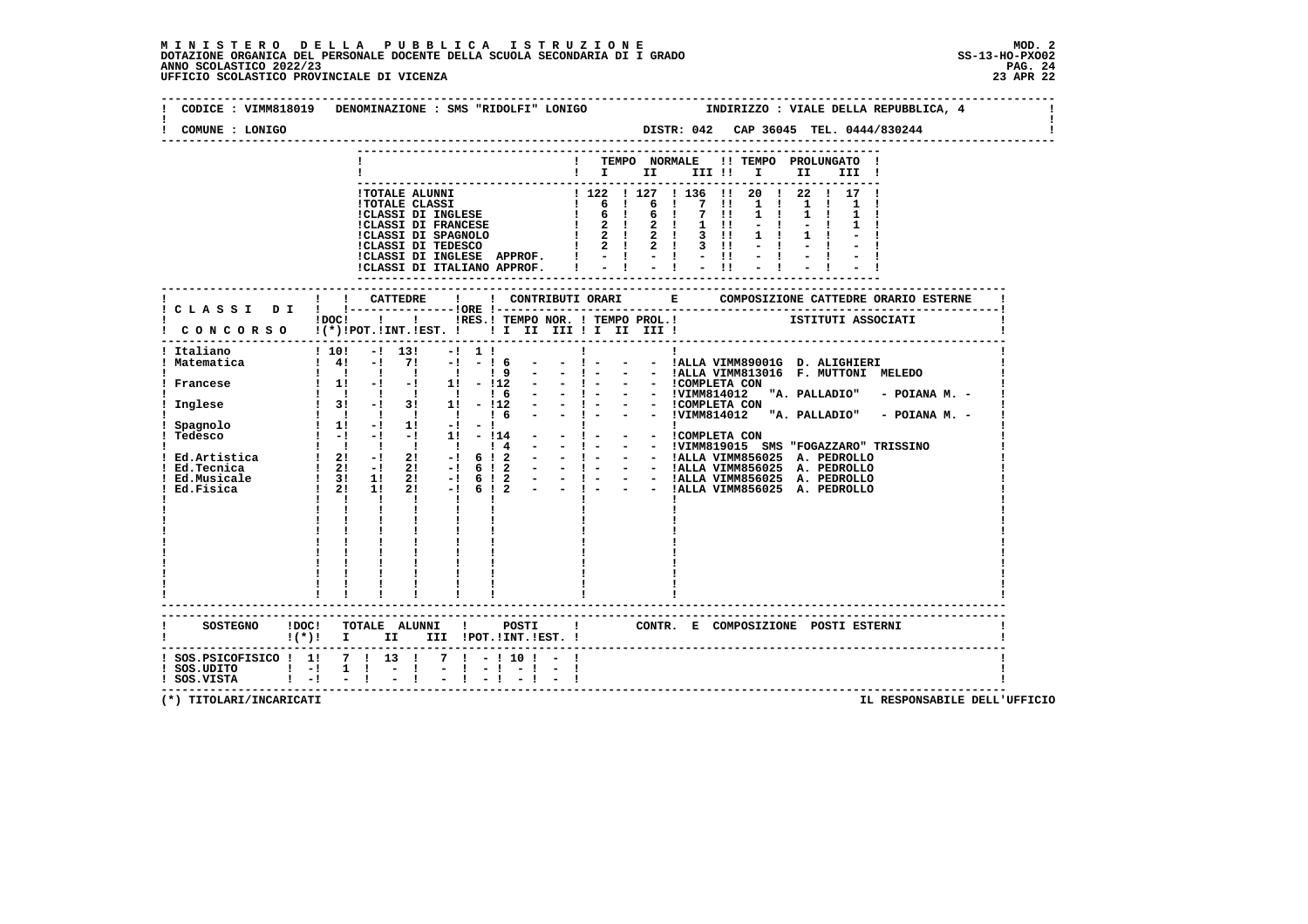### **M I N I S T E R O D E L L A P U B B L I C A I S T R U Z I O N E MOD. 2**DOTAZIONE ORGANICA DEL PERSONALE DOCENTE DELLA SCUOLA SECONDARIA DI I GRADO **SCOLASTICO SCOLASTICO 2022/23 PAG. 24**<br>23 ANNO SCOLASTICO 2022/23 PAG. 24<br>23 APR 22 UFFICIO SCOLASTICO PROVINCIALE DI VICENZA

| COMUNE : LONIGO         | CODICE : VIMM818019 DENOMINAZIONE : SMS "RIDOLFI" LONIGO<br>INDIRIZZO : VIALE DELLA REPUBBLICA, 4<br>DISTR: 042 CAP 36045 TEL. 0444/830244                                                                                                                                    |
|-------------------------|-------------------------------------------------------------------------------------------------------------------------------------------------------------------------------------------------------------------------------------------------------------------------------|
|                         | ! TEMPO NORMALE !! TEMPO PROLUNGATO !<br>$\blacksquare$ $\blacksquare$ $\blacksquare$ $\blacksquare$ $\blacksquare$ $\blacksquare$ $\blacksquare$ $\blacksquare$ $\blacksquare$ $\blacksquare$ $\blacksquare$<br>III !                                                        |
|                         | 22 1 17 1<br>ICLASSI DI INGLESE APPROF. $! \begin{array}{cccccc} & - & 1 & - & 1 & - & 11 \\ \text{ICLASSI} & \text{DI} & \text{ITALIANO} & \text{APPROF.} & &   & - &   & - & 1 & - & 11 \end{array}$                                                                        |
|                         | iDOCI ! I IRES. I TEMPO NOR. I TEMPO PROL. ! [STITUTI ASSOCIATI                                                                                                                                                                                                               |
|                         | CONCORSO !(*)!POT.!INT.!EST. ! ! I II III ! I III III !                                                                                                                                                                                                                       |
| Italiano<br>Matematica  | $1\ 10!$ $-1\ 13!$<br>$-1$ 1 1<br>$1 \t4! -1 \t7! -1$<br>$-16$<br>$-1 - 1$<br>- - !ALLA VIMM89001G D. ALIGHIERI<br>$-1 - 1$<br>- - !ALLA VIMM813016 F. MUTTONI MELEDO<br>19                                                                                                   |
| ! Francese<br>! Inglese | $\begin{array}{cccccccc}\n1 & 1 & 1 & 1 & 1 & 1 & 1 \\ 1 & 1 & -1 & -1 & 1 & 1 & -112\n\end{array}$<br>- - 1 - - - 1COMPLETA CON<br>- - 1 - - - 1COMPLETA CON "A. PALLADIO" - POIANA M. -<br>- - 1 - - - 1COMPLETA CON<br>- - 1 - - - 1VIMM814012 "A. PALLADIO" - POIANA M. - |
| Spagnolo                | 1 1 1 1 1 1 1 6 -                                                                                                                                                                                                                                                             |
| ! Tedesco               | $\mathbf{I}$ and $\mathbf{I}$ and $\mathbf{I}$<br>$\mathbf{I}$                                                                                                                                                                                                                |
|                         |                                                                                                                                                                                                                                                                               |
|                         |                                                                                                                                                                                                                                                                               |
|                         | SOSTEGNO !DOC! TOTALE ALUNNI ! POSTI<br>$\mathbf{I}$<br>CONTR. E COMPOSIZIONE POSTI ESTERNI<br>! (*)! I II III !POT.!INT.!EST.!                                                                                                                                               |
| $!$ SOS.UDITO $!$ -!    | $1$ SOS.PSICOFISICO $1$ 11 7 1 13 1 7 1 - 110 1 - 1<br>$1 \quad 1 \quad - \quad 1$                                                                                                                                                                                            |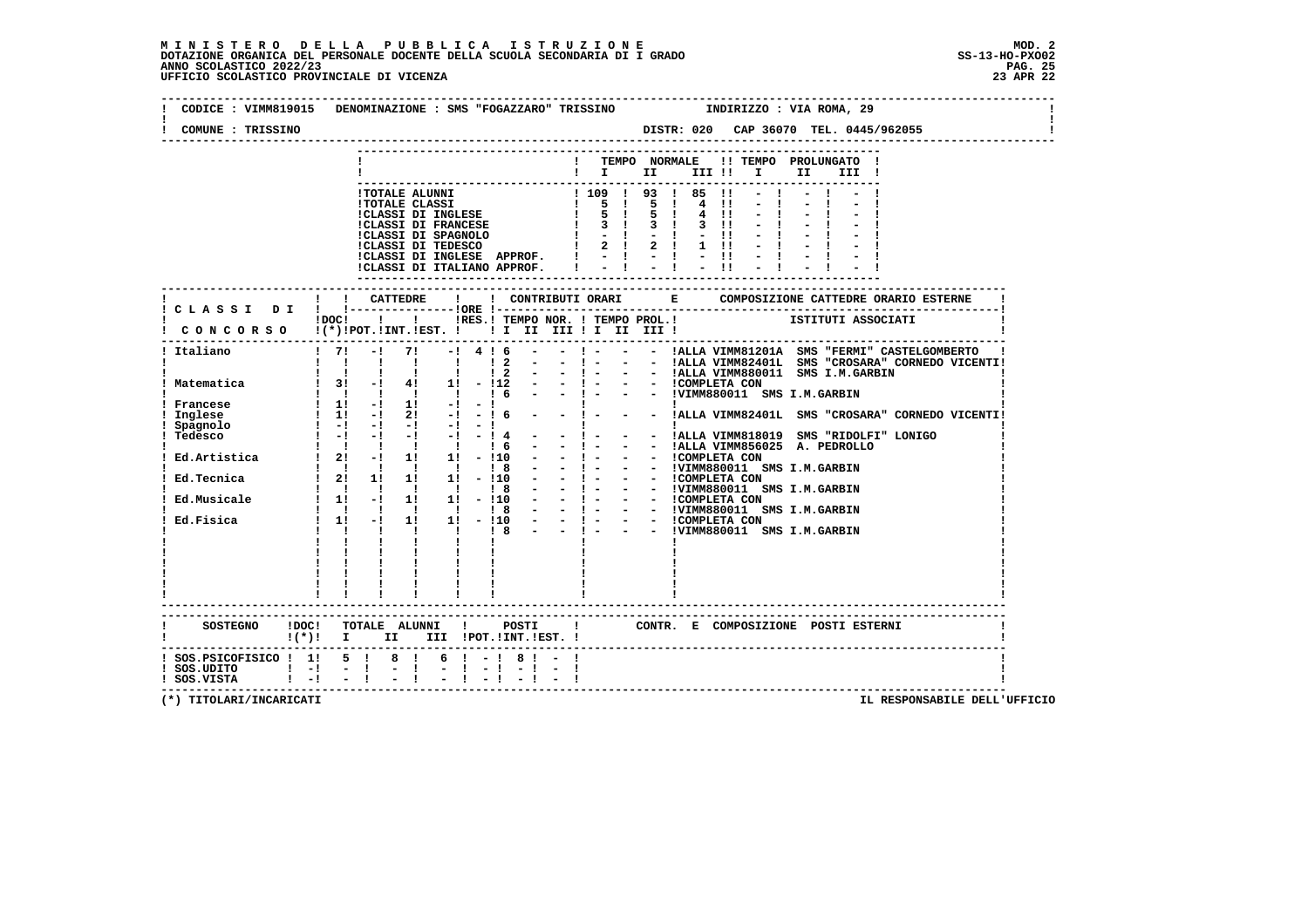| COMUNE : TRISSINO                          | CODICE: VIMM819015 DENOMINAZIONE: SMS "FOGAZZARO" TRISSINO INDIRIZZO: VIA ROMA, 29                             |
|--------------------------------------------|----------------------------------------------------------------------------------------------------------------|
|                                            | ! TEMPO NORMALE !! TEMPO PROLUNGATO !                                                                          |
|                                            | $\blacksquare$ $\blacksquare$ $\blacksquare$ $\blacksquare$<br>III !!!!!<br>II a<br>III !                      |
|                                            |                                                                                                                |
|                                            |                                                                                                                |
|                                            |                                                                                                                |
|                                            |                                                                                                                |
|                                            |                                                                                                                |
|                                            |                                                                                                                |
|                                            |                                                                                                                |
|                                            |                                                                                                                |
|                                            | !! CATTEDRE !                                                                                                  |
|                                            | ! C L A S S I D I ! !----------------!ORE !---                                                                 |
|                                            |                                                                                                                |
|                                            |                                                                                                                |
| ! Italiano                                 | ! 7! -! 7! -! 4 ! 6 - - ! - - - !ALLA VIMM81201A SMS "FERMI" CASTELGOMBERTO                                    |
|                                            |                                                                                                                |
|                                            |                                                                                                                |
|                                            |                                                                                                                |
|                                            |                                                                                                                |
| ! Francese                                 |                                                                                                                |
|                                            |                                                                                                                |
|                                            |                                                                                                                |
|                                            |                                                                                                                |
|                                            |                                                                                                                |
|                                            |                                                                                                                |
|                                            |                                                                                                                |
|                                            |                                                                                                                |
|                                            |                                                                                                                |
|                                            |                                                                                                                |
|                                            |                                                                                                                |
|                                            |                                                                                                                |
|                                            |                                                                                                                |
|                                            |                                                                                                                |
|                                            |                                                                                                                |
|                                            | ------------------------                                                                                       |
|                                            |                                                                                                                |
|                                            | SOSTEGNO IDOCI TOTALE ALUNNI I POSTI I CONTR. E COMPOSIZIONE POSTI ESTERNI<br>I(*)! I II III IPOT.IINT.IEST. I |
|                                            |                                                                                                                |
|                                            |                                                                                                                |
| ! SOS.UDITO   -  -  <br>! SOS.VISTA   -  - |                                                                                                                |
|                                            |                                                                                                                |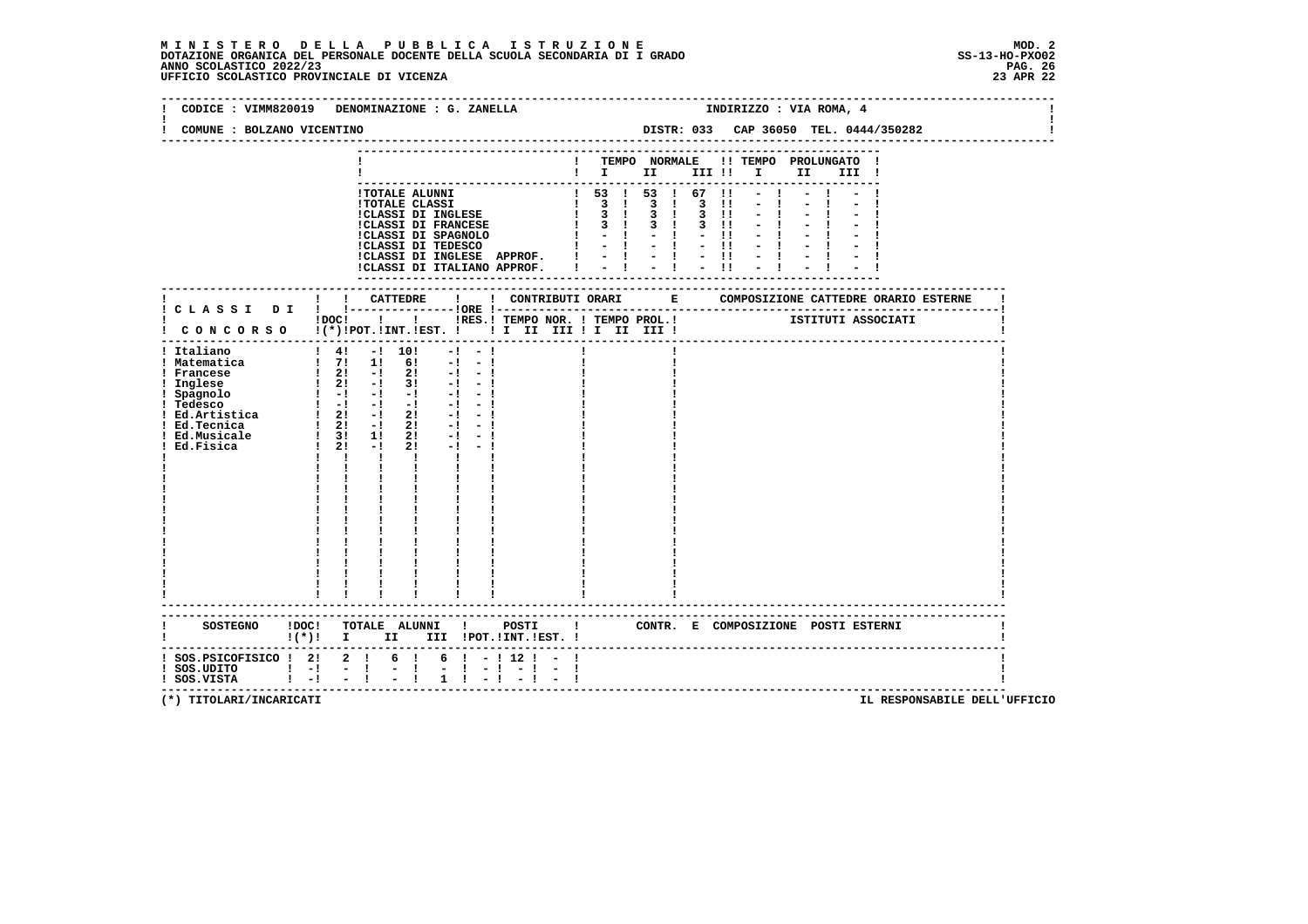### **M I N I S T E R O D E L L A P U B B L I C A I S T R U Z I O N E MOD. 2**DOTAZIONE ORGANICA DEL PERSONALE DOCENTE DELLA SCUOLA SECONDARIA DI I GRADO **SCOLASTICO SCOLASTICO 2022/23 PAG-**<br>23 PAG 2022/23 PAG. 26<br>23 DEFICIO SCOLASTICO PROVINCIALE DI VICENZA

| CODICE : VIMM820019<br>DENOMINAZIONE : G. ZANELLA                                                                                                                                                                                                                                                                                                                                                                                                                                                                                                                                                   | INDIRIZZO : VIA ROMA, 4                                                                 |
|-----------------------------------------------------------------------------------------------------------------------------------------------------------------------------------------------------------------------------------------------------------------------------------------------------------------------------------------------------------------------------------------------------------------------------------------------------------------------------------------------------------------------------------------------------------------------------------------------------|-----------------------------------------------------------------------------------------|
| COMUNE : BOLZANO VICENTINO                                                                                                                                                                                                                                                                                                                                                                                                                                                                                                                                                                          | DISTR: 033 CAP 36050 TEL. 0444/350282                                                   |
|                                                                                                                                                                                                                                                                                                                                                                                                                                                                                                                                                                                                     | ! TEMPO NORMALE !! TEMPO PROLUNGATO !<br>$\blacksquare$                                 |
| <b>!TOTALE ALUNNI</b><br><b>!TOTALE CLASSI</b><br>!CLASSI DI INGLESE<br>!CLASSI DI FRANCESE                                                                                                                                                                                                                                                                                                                                                                                                                                                                                                         | 1 53 1 53 1 67 11<br>1 3 1 3 1 3 11<br>1 3 1 3 1 3 11<br>$1 \t3 \t1 \t3 \t1 \t3 \t11$   |
|                                                                                                                                                                                                                                                                                                                                                                                                                                                                                                                                                                                                     | --------------------                                                                    |
| ! CONCORSO !(*)!POT.!INT.!EST. ! ! I III III II III III !                                                                                                                                                                                                                                                                                                                                                                                                                                                                                                                                           | !DOC! ! ! !RES.! TEMPO NOR. ! TEMPO PROL.! [STITUTI ASSOCIATI                           |
| $1 \t4! -1 \t10!$<br>! Italiano<br>$-1 - 1$<br>$\frac{1}{2}$ 71 11 61 -1 -1<br>! Matematica<br>$\begin{array}{ccccccccc}\n & 1 & 21 & -1 & 21 & -1 & -1 \\  & 21 & -1 & 31 & -1 & -1 \\  & -1 & -1 & -1 & -1 & -1 & -1\n\end{array}$<br>! Francese<br>! Inglese<br>$1 \quad 1 \quad 1$<br><b>The Common</b><br>$\mathbf{I}$<br>$\begin{array}{cccccc} 1 & 1 & 1 & 1 \\ 1 & 1 & 1 & 1 \\ 1 & 1 & 1 & 1 \\ 1 & 1 & 1 & 1 \\ 1 & 1 & 1 & 1 \\ 1 & 1 & 1 & 1 \\ 1 & 1 & 1 & 1 \\ \end{array}$<br>$\mathbf{I}$ and $\mathbf{I}$<br>$\frac{1}{2}$ , $\frac{1}{2}$ , $\frac{1}{2}$<br>-------------------- |                                                                                         |
| $!(*)!$ I II III !POT.!INT.!EST. !                                                                                                                                                                                                                                                                                                                                                                                                                                                                                                                                                                  | SOSTEGNO !DOC! TOTALE ALUNNI ! POSTI ! CONTR. E COMPOSIZIONE POSTI ESTERNI              |
| ! SOS.PSICOFISICO ! 2! 2 !<br>6 !<br>! SOS.UDITO ! -! -!<br>! SOS.VISTA ! -! -!<br>$\frac{1}{2}$<br>$1 \quad 1$                                                                                                                                                                                                                                                                                                                                                                                                                                                                                     | $6! - 112! - 1$<br>$-1 - 1 - 1 - 1$<br>$-1$ $-1$<br>----------------------------------- |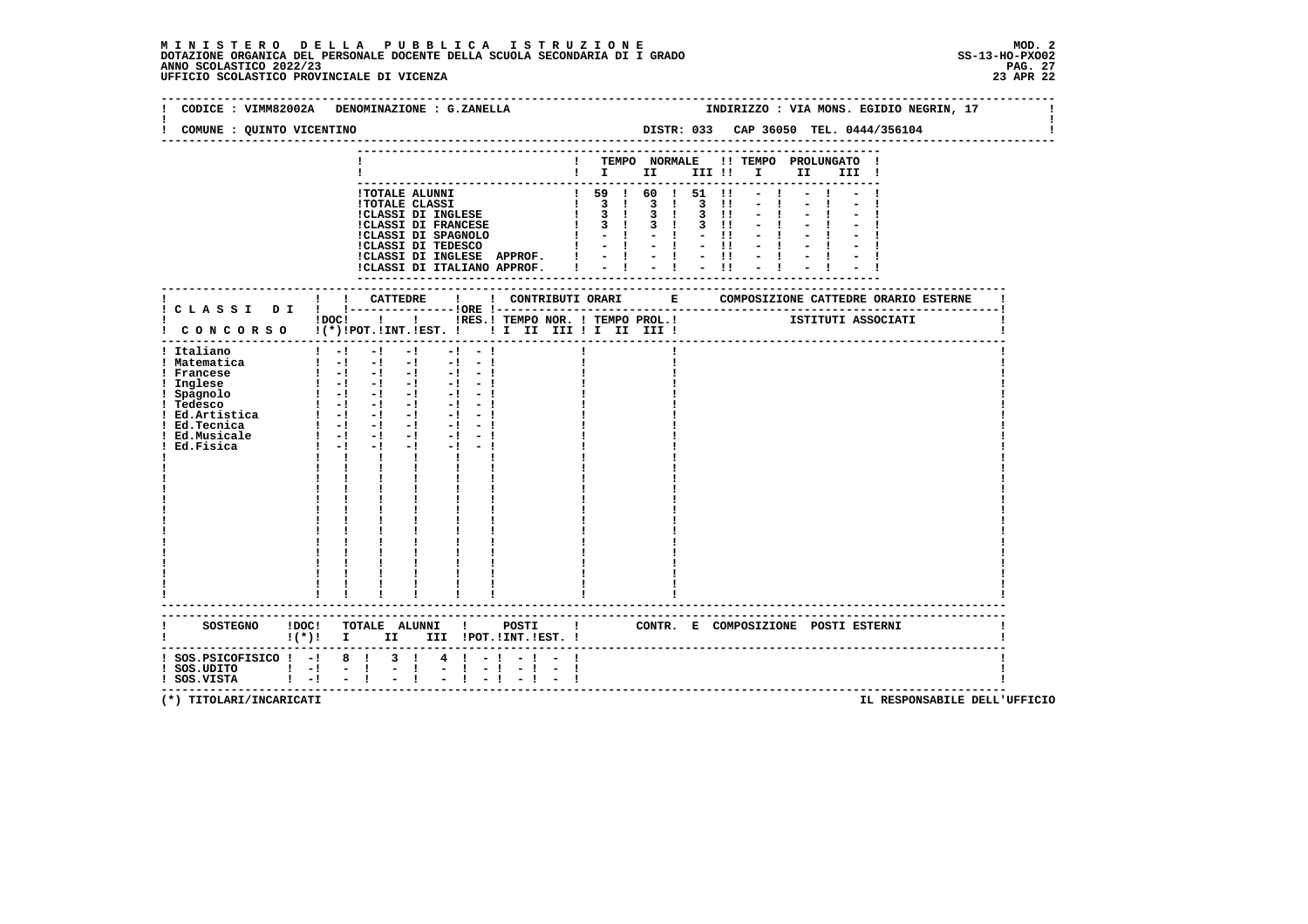|                                                                                        | CODICE : VIMM82002A DENOMINAZIONE : G.ZANELLA                                                                                                                                                                                                                                                                                                                                                                                                                                                                                                                                                                          |                                                                  |                                                                                                                                                                                                                                           |                                                                             |                                                         |                                              | INDIRIZZO : VIA MONS. EGIDIO NEGRIN, 17                   |  |
|----------------------------------------------------------------------------------------|------------------------------------------------------------------------------------------------------------------------------------------------------------------------------------------------------------------------------------------------------------------------------------------------------------------------------------------------------------------------------------------------------------------------------------------------------------------------------------------------------------------------------------------------------------------------------------------------------------------------|------------------------------------------------------------------|-------------------------------------------------------------------------------------------------------------------------------------------------------------------------------------------------------------------------------------------|-----------------------------------------------------------------------------|---------------------------------------------------------|----------------------------------------------|-----------------------------------------------------------|--|
| COMUNE : QUINTO VICENTINO                                                              |                                                                                                                                                                                                                                                                                                                                                                                                                                                                                                                                                                                                                        |                                                                  |                                                                                                                                                                                                                                           |                                                                             |                                                         | DISTR: 033 CAP 36050 TEL. 0444/356104        |                                                           |  |
|                                                                                        |                                                                                                                                                                                                                                                                                                                                                                                                                                                                                                                                                                                                                        |                                                                  | $\blacksquare$ $\blacksquare$ $\blacksquare$ $\blacksquare$ $\blacksquare$                                                                                                                                                                |                                                                             |                                                         | ! TEMPO NORMALE !! TEMPO PROLUNGATO<br>III ! |                                                           |  |
|                                                                                        |                                                                                                                                                                                                                                                                                                                                                                                                                                                                                                                                                                                                                        |                                                                  |                                                                                                                                                                                                                                           |                                                                             |                                                         |                                              |                                                           |  |
|                                                                                        | !TOTALE ALUNNI<br>!TOTALE CLASSI<br>CLASSI DI INGLESE<br><b>!CLASSI DI FRANCESE</b><br><b>!CLASSI DI SPAGNOLO<br/>!CLASSI DI TEDESCO</b><br>!CLASSI DI INGLESE APPROF.<br>!CLASSI DI ITALIANO APPROF. !                                                                                                                                                                                                                                                                                                                                                                                                                |                                                                  | $\frac{1}{20}$ $\frac{1}{20}$ $\frac{1}{20}$ $\frac{1}{20}$ $\frac{1}{20}$ $\frac{1}{20}$ $\frac{1}{20}$<br>$\frac{1}{3}$<br>$\begin{array}{ccc} 1 & 3 & 1 \end{array}$<br>3 <sub>1</sub><br>$\mathbf{I}$<br>$-1 - 1 - 1$<br>$-1 - 1 - 1$ | $3 \quad 1$<br>$\overline{3}$<br>$3 \quad 1$<br>$3 \quad 1$<br>$-1 - 1 - 1$ | $\blacksquare$<br>$3 \quad 11$<br>$3 \quad 11$<br>$-11$ |                                              |                                                           |  |
|                                                                                        | ! CATTEDRE                                                                                                                                                                                                                                                                                                                                                                                                                                                                                                                                                                                                             |                                                                  |                                                                                                                                                                                                                                           |                                                                             |                                                         |                                              | ! CONTRIBUTI ORARI E COMPOSIZIONE CATTEDRE ORARIO ESTERNE |  |
|                                                                                        | !DOC! ! ! !RES.! TEMPO NOR. ! TEMPO PROL.! [STITUTI ASSOCIATI<br>! CONCORSO !(*)!POT.!INT.!EST. !! I II III !I II III !                                                                                                                                                                                                                                                                                                                                                                                                                                                                                                |                                                                  |                                                                                                                                                                                                                                           |                                                                             |                                                         |                                              |                                                           |  |
| ! Italiano<br>! Matematica<br>! Francese<br>! Ed.Tecnica<br>! Ed.Musicale<br>Ed.Fisica | $1 - 1$<br>$-1$<br>$-1$<br>$-1 - 1$<br>$1 - 1 - 1 - 1$<br>$-1 - 1$<br>$\begin{bmatrix} 1 & -1 & -1 & -1 & -1 & -1 \end{bmatrix}$<br>1 Inglese $1 - 1 - 1 - 1 - 1 - 1$<br>1 Spagnolo $1 - 1 - 1 - 1 - 1 - 1$<br>1 Tedesco $1 - 1 - 1 - 1 - 1 - 1$<br>1 Ed. Artistica $1 - 1 - 1 - 1 - 1 - 1 - 1$<br>$1 - 1 - 1 - 1 - 1 - 1$<br>$\frac{1}{2}$ $\frac{1}{2}$ $\frac{1}{2}$ $\frac{1}{2}$ $\frac{1}{2}$ $\frac{1}{2}$ $\frac{1}{2}$ $\frac{1}{2}$ $\frac{1}{2}$<br>$-1 - -1$<br>$-1 - -1$<br>$1 - 1$<br>$-1$<br>$-1$ and $-1$<br>$\mathbf{I}$<br><b>The Contract of Contract Inc.</b><br>$\mathbf{I}$<br><b>The Common</b> |                                                                  |                                                                                                                                                                                                                                           |                                                                             |                                                         |                                              |                                                           |  |
|                                                                                        | SOSTEGNO !DOC! TOTALE ALUNNI ! POSTI ! CONTR. E COMPOSIZIONE POSTI ESTERNI<br>II III !POT.!INT.!EST. !<br>$\mathbf{I}(\star)\mathbf{I}$ I                                                                                                                                                                                                                                                                                                                                                                                                                                                                              |                                                                  |                                                                                                                                                                                                                                           |                                                                             |                                                         |                                              |                                                           |  |
| $:$ SOS.PSICOFISICO $:$ -! 8 $:$<br>! SOS.UDITO ! -! - !<br>! SOS.VISTA ! -! - !       | $4 \t-1$<br>$3 \quad 1$<br>$\mathbf{I}$<br>t.<br>$\sim$<br>$\mathbf{I}$<br>$-1$                                                                                                                                                                                                                                                                                                                                                                                                                                                                                                                                        | $\mathbf{I}$<br>-1<br>$\blacksquare$<br>$\overline{\phantom{a}}$ |                                                                                                                                                                                                                                           |                                                                             |                                                         | ---------------------------------            |                                                           |  |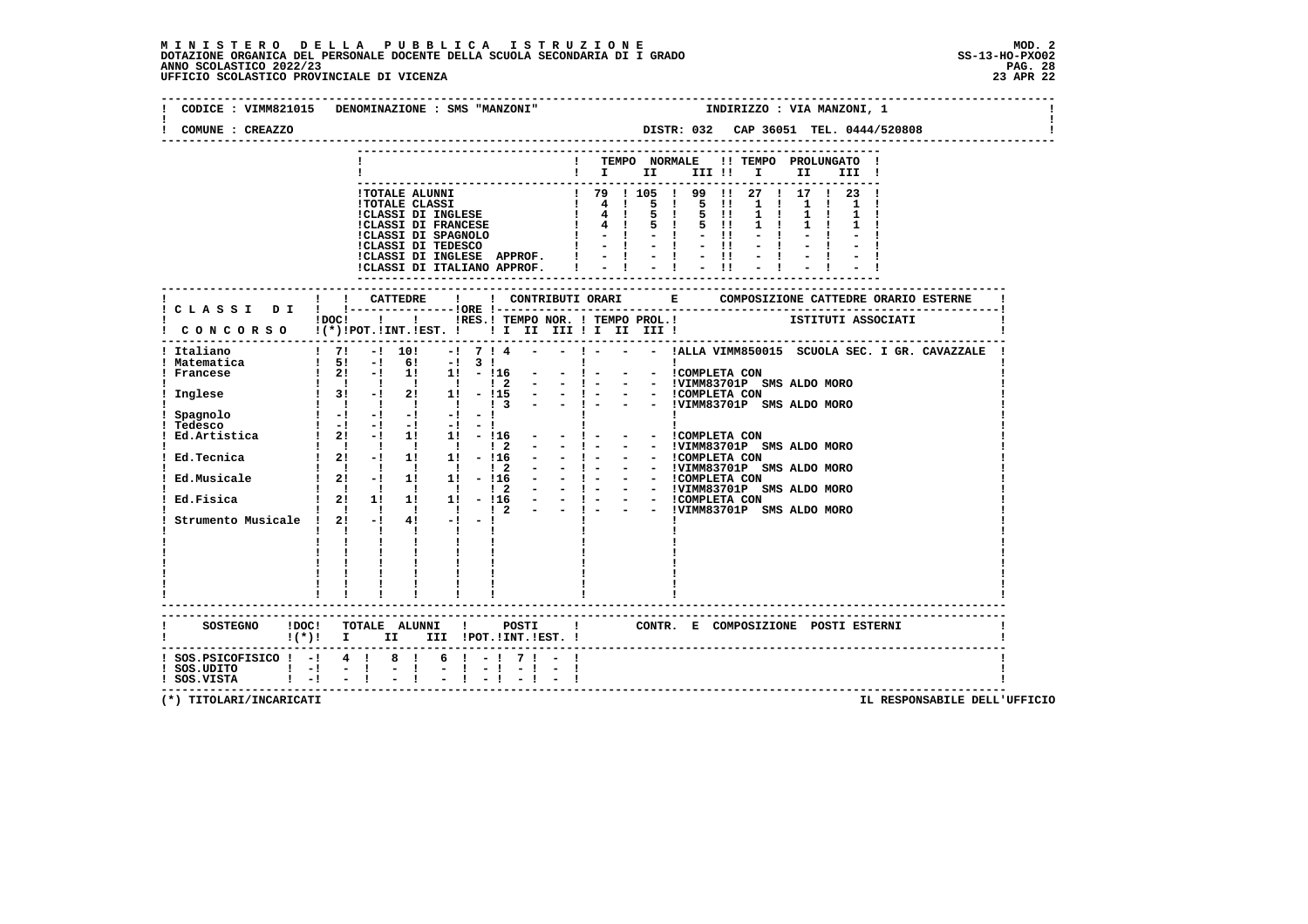# **M I N I S T E R O D E L L A P U B B L I C A I S T R U Z I O N E MOD. 2**DOTAZIONE ORGANICA DEL PERSONALE DOCENTE DELLA SCUOLA SECONDARIA DI I GRADO **SCOLASTICO SCOLASTICO 2022/23 PAG. 28**<br>23 ANNO SCOLASTICO 2022/23 PAG. 28<br>23 APR 22 UFFICIO SCOLASTICO PROVINCIALE DI VICENZA

| CODICE : VIMM821015 DENOMINAZIONE : SMS "MANZONI"                                                               |                           |                                                                                                                                                                                                                                        |          |                                                                                 |  | INDIRIZZO : VIA MANZONI, 1 |     |       |  |  |
|-----------------------------------------------------------------------------------------------------------------|---------------------------|----------------------------------------------------------------------------------------------------------------------------------------------------------------------------------------------------------------------------------------|----------|---------------------------------------------------------------------------------|--|----------------------------|-----|-------|--|--|
| COMUNE : CREAZZO                                                                                                |                           |                                                                                                                                                                                                                                        |          |                                                                                 |  |                            |     |       |  |  |
|                                                                                                                 |                           |                                                                                                                                                                                                                                        |          | ! TEMPO NORMALE !! TEMPO PROLUNGATO !<br>$\mathbf{I}$ $\mathbf{I}$ $\mathbf{I}$ |  | III !! I                   | II. | III ! |  |  |
|                                                                                                                 |                           |                                                                                                                                                                                                                                        |          |                                                                                 |  |                            |     |       |  |  |
|                                                                                                                 |                           |                                                                                                                                                                                                                                        |          |                                                                                 |  |                            |     |       |  |  |
|                                                                                                                 |                           |                                                                                                                                                                                                                                        |          |                                                                                 |  |                            |     |       |  |  |
|                                                                                                                 |                           |                                                                                                                                                                                                                                        |          |                                                                                 |  |                            |     |       |  |  |
|                                                                                                                 |                           |                                                                                                                                                                                                                                        |          |                                                                                 |  |                            |     |       |  |  |
|                                                                                                                 |                           |                                                                                                                                                                                                                                        |          |                                                                                 |  |                            |     |       |  |  |
|                                                                                                                 |                           | - COLAR CLASS (1999) 1999 11 27 1 1 23 1<br>1 TOTALE ALUNNI 1 79 1 105 1 99 11 27 1 17 1 23 1<br>1 TOTALE CLASSI DI INGLESE (1999) 11 27 1 1 1 1 1 1 1<br>1 CLASSI DI FRANCESE (1999) 1 1 1 1 1 1 1 1 1<br>1 CLASSI DI FRANCESE (1999) |          |                                                                                 |  |                            |     |       |  |  |
|                                                                                                                 | ! ! CATTEDRE              | $\mathbf{I}$                                                                                                                                                                                                                           |          |                                                                                 |  |                            |     |       |  |  |
| ! C L A S S I D I ! !-----------------!ORE !--                                                                  |                           |                                                                                                                                                                                                                                        |          |                                                                                 |  |                            |     |       |  |  |
|                                                                                                                 |                           |                                                                                                                                                                                                                                        |          |                                                                                 |  |                            |     |       |  |  |
|                                                                                                                 |                           |                                                                                                                                                                                                                                        |          |                                                                                 |  |                            |     |       |  |  |
|                                                                                                                 |                           |                                                                                                                                                                                                                                        |          |                                                                                 |  |                            |     |       |  |  |
|                                                                                                                 |                           |                                                                                                                                                                                                                                        |          |                                                                                 |  |                            |     |       |  |  |
|                                                                                                                 |                           |                                                                                                                                                                                                                                        |          |                                                                                 |  |                            |     |       |  |  |
|                                                                                                                 |                           |                                                                                                                                                                                                                                        |          |                                                                                 |  |                            |     |       |  |  |
|                                                                                                                 |                           |                                                                                                                                                                                                                                        |          |                                                                                 |  |                            |     |       |  |  |
|                                                                                                                 |                           |                                                                                                                                                                                                                                        |          |                                                                                 |  |                            |     |       |  |  |
|                                                                                                                 |                           |                                                                                                                                                                                                                                        |          |                                                                                 |  |                            |     |       |  |  |
|                                                                                                                 |                           |                                                                                                                                                                                                                                        |          |                                                                                 |  |                            |     |       |  |  |
|                                                                                                                 |                           |                                                                                                                                                                                                                                        |          |                                                                                 |  |                            |     |       |  |  |
|                                                                                                                 |                           |                                                                                                                                                                                                                                        |          |                                                                                 |  |                            |     |       |  |  |
|                                                                                                                 |                           |                                                                                                                                                                                                                                        |          |                                                                                 |  |                            |     |       |  |  |
|                                                                                                                 | $\mathbf{1}$ $\mathbf{1}$ | $\mathbf{1}$                                                                                                                                                                                                                           |          |                                                                                 |  |                            |     |       |  |  |
|                                                                                                                 |                           | $\frac{1}{1}$ $\frac{1}{1}$ $\frac{1}{1}$                                                                                                                                                                                              |          |                                                                                 |  |                            |     |       |  |  |
|                                                                                                                 |                           |                                                                                                                                                                                                                                        |          |                                                                                 |  |                            |     |       |  |  |
|                                                                                                                 |                           |                                                                                                                                                                                                                                        |          |                                                                                 |  |                            |     |       |  |  |
|                                                                                                                 |                           |                                                                                                                                                                                                                                        |          |                                                                                 |  |                            |     |       |  |  |
|                                                                                                                 |                           |                                                                                                                                                                                                                                        |          |                                                                                 |  |                            |     |       |  |  |
| SOSTEGNO !DOC! TOTALE ALUNNI ! POSTI ! CONTR. E COMPOSIZIONE POSTI ESTERNI<br>$!(*)!$ I II III !POT.!INT.!EST.! |                           |                                                                                                                                                                                                                                        |          |                                                                                 |  |                            |     |       |  |  |
| ! SOS.PSICOFISICO ! -! 4 ! 8 ! 6 ! -! 7 ! - !                                                                   |                           |                                                                                                                                                                                                                                        | $-1 - 1$ |                                                                                 |  |                            |     |       |  |  |
| ! SOS.UDITO   -! - !<br>! SOS.VISTA   -! - !                                                                    |                           | $\frac{1}{2}$                                                                                                                                                                                                                          |          |                                                                                 |  |                            |     |       |  |  |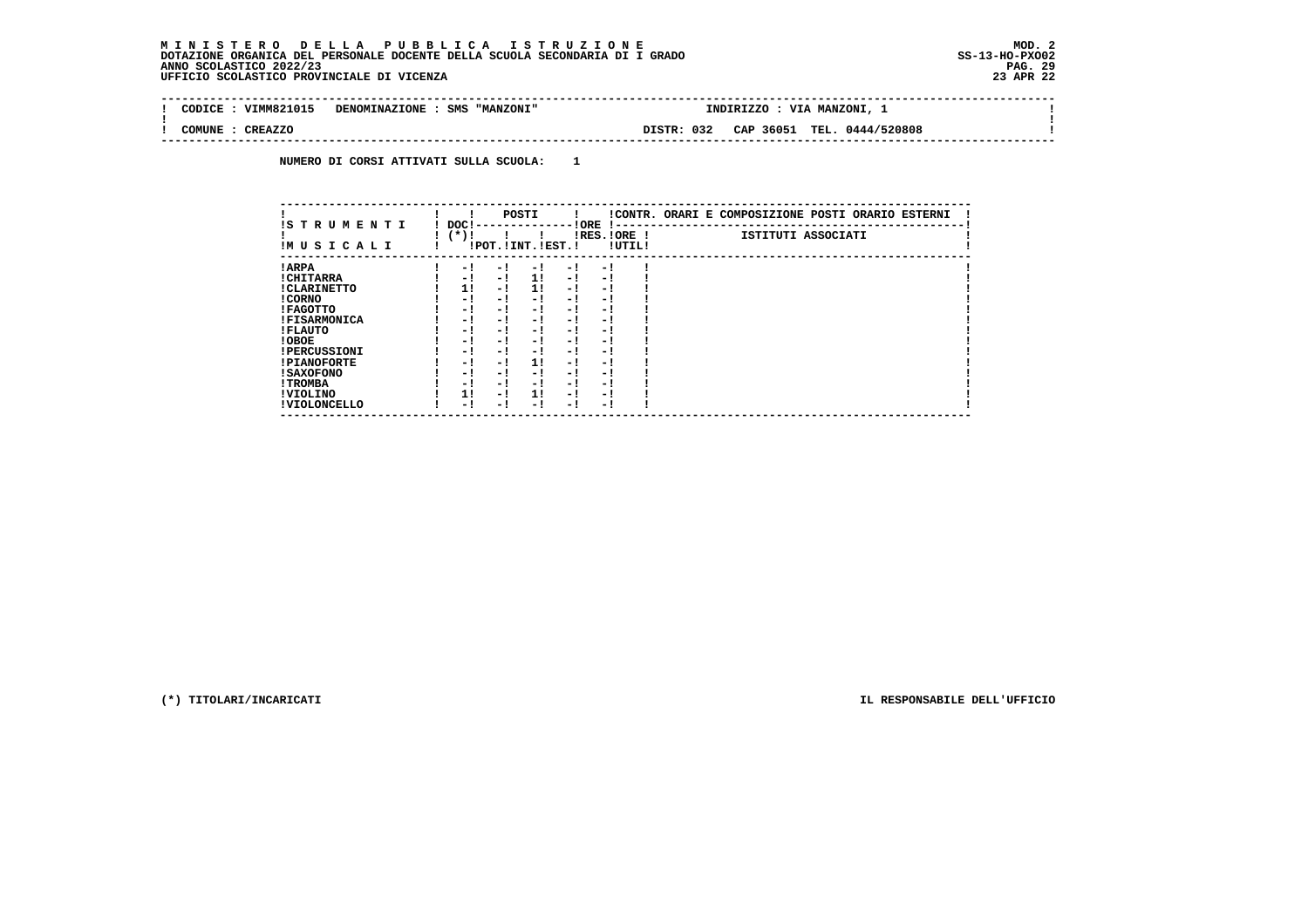# **M I N I S T E R O D E L L A P U B B L I C A I S T R U Z I O N E MOD. 2**DOTAZIONE ORGANICA DEL PERSONALE DOCENTE DELLA SCUOLA SECONDARIA DI I GRADO **SCOLASTICO SCOLASTICO 2022/23 PAG-**<br>PAG ANNO SCOLASTICO 2022/23 PAG. 29<br>23 APR 22 UFFICIO SCOLASTICO PROVINCIALE DI VICENZA

| VIMM821015<br>CODICE     | DENOMINAZIONE : SMS "MANZONI" | INDIRIZZO  | : VIA MANZONI, $\perp$     |  |
|--------------------------|-------------------------------|------------|----------------------------|--|
| <b>CREAZZO</b><br>COMUNE |                               | DISTR: 032 | CAP 36051 TEL. 0444/520808 |  |

 **NUMERO DI CORSI ATTIVATI SULLA SCUOLA: 1**

| IS TRUMENTI         | DOC! |      |      | POSTI                 |      | ! ORE                    |        | !CONTR. ORARI E COMPOSIZIONE POSTI ORARIO ESTERNI |
|---------------------|------|------|------|-----------------------|------|--------------------------|--------|---------------------------------------------------|
| IMUSICALI           |      | (*)! |      | !POT. ! INT. ! EST. ! |      | -1 - -<br>$IRES.IORE$ !  | !UTIL! | ISTITUTI ASSOCIATI                                |
| ! ARPA              |      | - 1  | - 1  | - 1                   | - 1  | - !                      |        |                                                   |
| ! CHITARRA          |      | - 1  | - !  | 1!                    | - !  | - 1                      |        |                                                   |
| ! CLARINETTO        |      | 1!   | - 1  | 11                    | - 1  | - 1                      |        |                                                   |
| ! CORNO             |      | - 1  | - !  | - 1                   | - 1  | - 1                      |        |                                                   |
| ! FAGOTTO           |      | - 1  | - !  | - 1                   | - 1  | - 1                      |        |                                                   |
| <b>!FISARMONICA</b> |      | - 1  | - !  | - 1                   | - 1  | - 1                      |        |                                                   |
| ! FLAUTO            |      | - 1  | - !  | - 1                   | - !  | - 1                      |        |                                                   |
| ! OBOE              |      | - 1  | - !  | - 1                   | - 1  | - 1                      |        |                                                   |
| <b>!PERCUSSIONI</b> |      | - 1  | - 1  | - 1                   | - 1  | - 1                      |        |                                                   |
| <b>!PIANOFORTE</b>  |      | - 1  | $-1$ | 1!                    | - !  | - 1                      |        |                                                   |
| ! SAXOFONO          |      | - 1  | - 1  | - !                   | - 1  | $\overline{\phantom{0}}$ |        |                                                   |
| ! TROMBA            |      | - 1  | - !  | - !                   | - 1  | - 1                      |        |                                                   |
| ! VIOLINO           |      | 1!   | - 1  | 11                    | $-1$ | - 1                      |        |                                                   |
| ! VIOLONCELLO       |      | - 1  | - 1  | - 1                   | - !  | - 1                      |        |                                                   |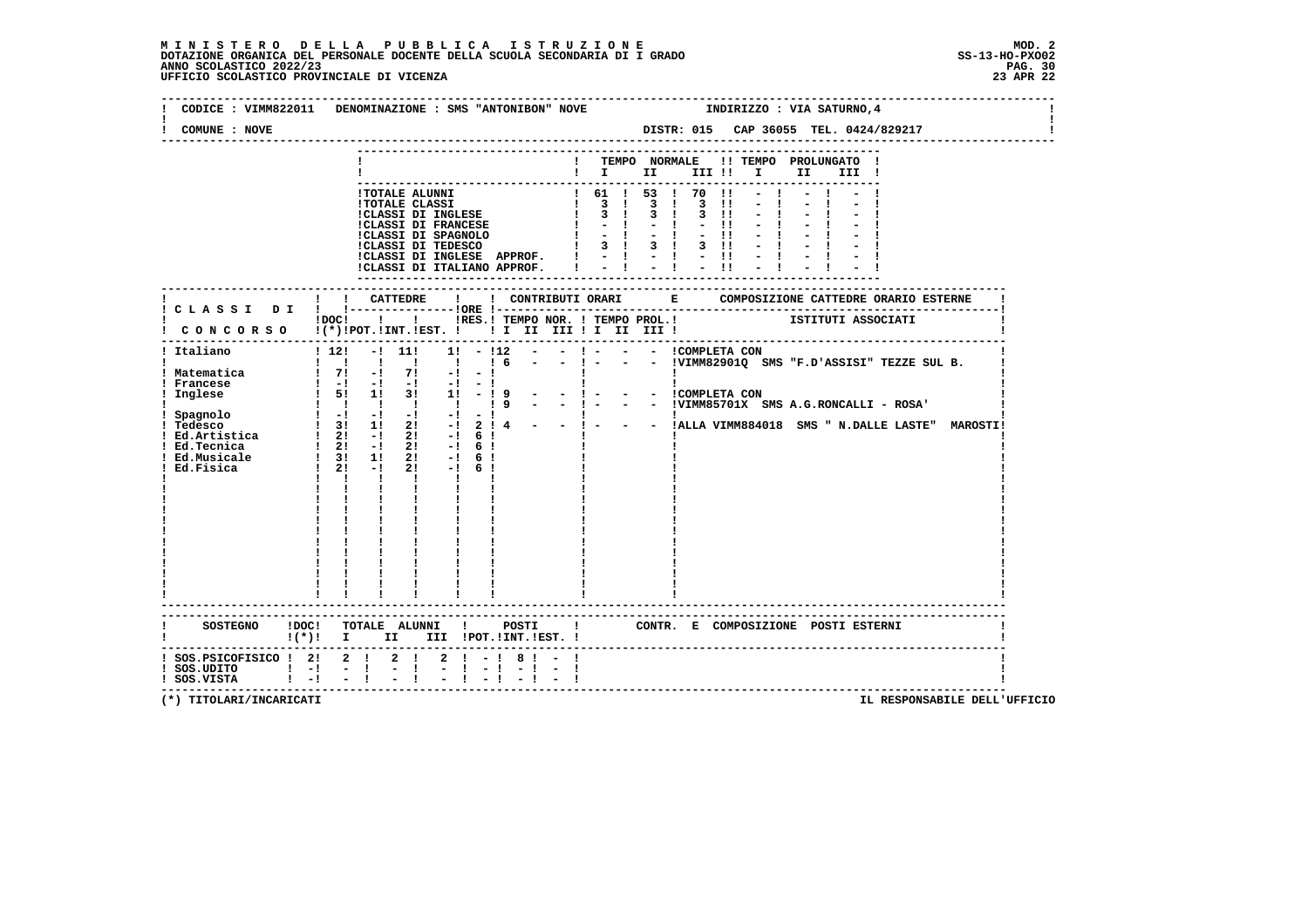# **M I N I S T E R O D E L L A P U B B L I C A I S T R U Z I O N E MOD. 2**DOTAZIONE ORGANICA DEL PERSONALE DOCENTE DELLA SCUOLA SECONDARIA DI I GRADO **SCOLASTICO ANNO SCOLASTICO 2022/23**<br>PAG ANNO SCOLASTICO 2022/23 PAG. 30<br>23 APR 22 UFFICIO SCOLASTICO PROVINCIALE DI VICENZA

|                                              | INDIRIZZO : VIA SATURNO, 4<br>CODICE : VIMM822011 DENOMINAZIONE : SMS "ANTONIBON" NOVE                                     |
|----------------------------------------------|----------------------------------------------------------------------------------------------------------------------------|
| COMUNE : NOVE                                |                                                                                                                            |
|                                              | ! TEMPO NORMALE !! TEMPO PROLUNGATO !<br>$\blacksquare$ $\blacksquare$ $\blacksquare$ $\blacksquare$<br>III II II<br>III ! |
|                                              |                                                                                                                            |
|                                              | !! CATTEDRE !<br>! CLASSI DI ! !---------------!ORE !--                                                                    |
| . _ _ _ _ _ _ _ _ .                          | IDOCI ! I IRES.I TEMPO NOR. I TEMPO PROL.! ISTITUTI ASSOCIATI<br>CONCORSO !(*)IPOT.IINT.IEST. ! ! IIIIIIIIIIIIII!          |
| ! Italiano                                   | $\mathbf{1}$ $\mathbf{1}$ $\mathbf{1}$<br>------------------------                                                         |
|                                              | SOSTEGNO !DOC! TOTALE ALUNNI ! POSTI ! CONTR. E COMPOSIZIONE POSTI ESTERNI<br>!(*)! I II III !POT.!INT.!EST.!              |
| ! SOS.UDITO ! -! - !<br>! SOS.VISTA ! -! - ! | ! SOS. PSICOFISICO ! 2! 2 ! 2 ! 2 ! - ! 8 ! - !<br>$\frac{1}{2}$                                                           |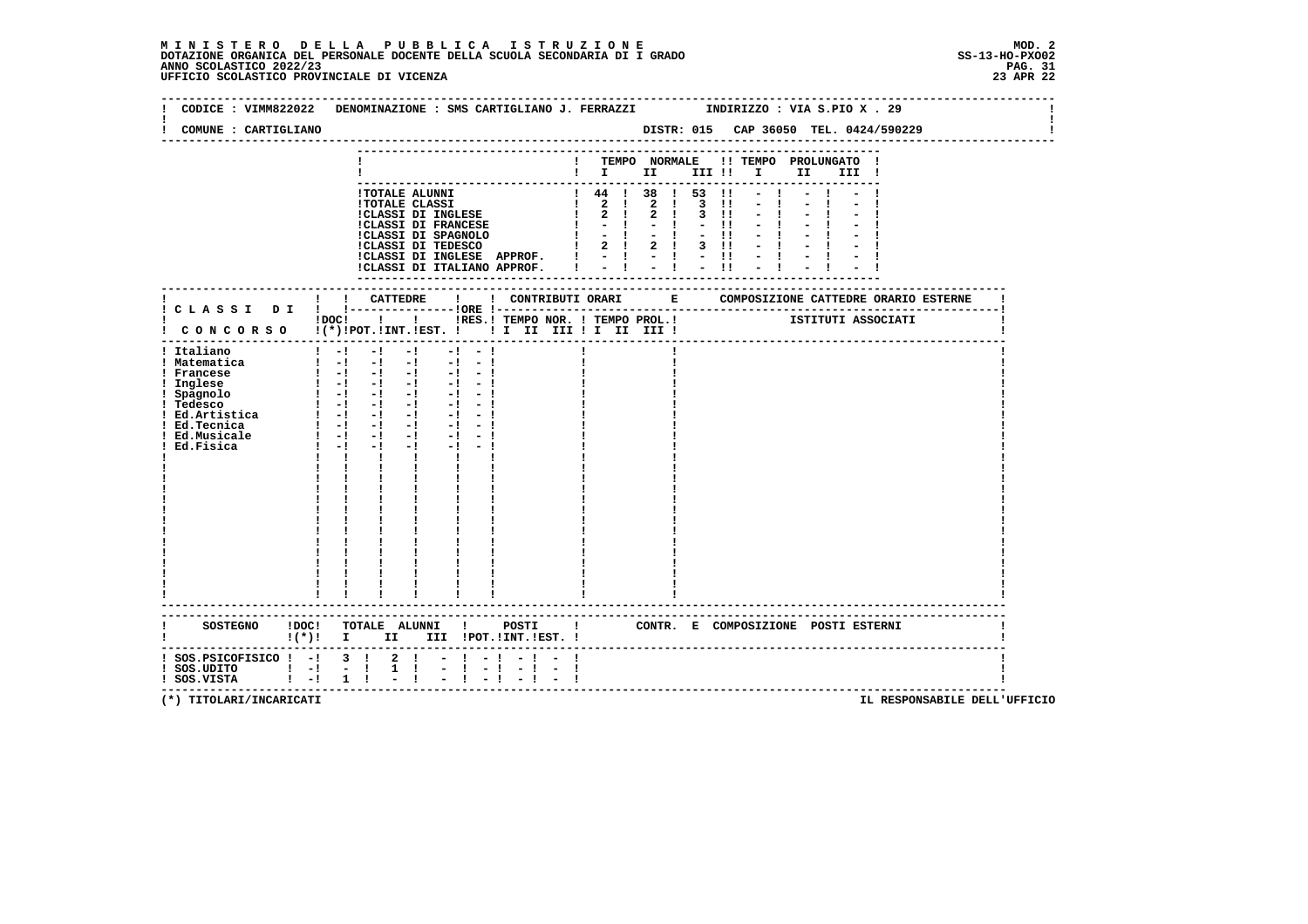### **M I N I S T E R O D E L L A P U B B L I C A I S T R U Z I O N E MOD. 2**DOTAZIONE ORGANICA DEL PERSONALE DOCENTE DELLA SCUOLA SECONDARIA DI I GRADO **SCOLASTICO SCOLASTICO 2022/23 PAG. 31**<br>23 ANNO SCOLASTICO 2022/23 PAG. 31<br>23 APR 22 UFFICIO SCOLASTICO PROVINCIALE DI VICENZA

|                                                                             | CODICE: VIMM822022 DENOMINAZIONE: SMS CARTIGLIANO J. FERRAZZI MODIRIZZO: VIA S.PIO X . 29                                                                                                                                                                                                                                                                                                                                                                                                                                                                   |
|-----------------------------------------------------------------------------|-------------------------------------------------------------------------------------------------------------------------------------------------------------------------------------------------------------------------------------------------------------------------------------------------------------------------------------------------------------------------------------------------------------------------------------------------------------------------------------------------------------------------------------------------------------|
| COMUNE : CARTIGLIANO                                                        |                                                                                                                                                                                                                                                                                                                                                                                                                                                                                                                                                             |
|                                                                             | ! TEMPO NORMALE !! TEMPO PROLUNGATO !<br>$\mathbf{I}$ is the set of $\mathbf{I}$<br>III !                                                                                                                                                                                                                                                                                                                                                                                                                                                                   |
|                                                                             | 1 107ALE ALUNNI<br>1 107ALE ALUNNI<br>1 107ALE CLASSI   1 4 1 3 8 1 5 3 1 1 - 1 - 1 - 1<br>107ALE CLASSI DI INGLESE   2 1 2 1 3 1 1 - 1 - 1 - 1<br>1CLASSI DI FRANCESE   2 1 2 1 3 1 1 - 1 - 1 - 1 - 1<br>1CLASSI DI FRANCESE   2 1 2 1                                                                                                                                                                                                                                                                                                                     |
|                                                                             | ! ! CATTEDRE<br>$\mathbf{I}$<br>: 1990)<br>1990: 1 1 1888.1 TEMPO NOR. 1 TEMPO PROL. 1 1991 15TITUTI ASSOCIATI<br>! CONCORSO !(*)!POT.!INT.!EST. ! ! I II III II II III !                                                                                                                                                                                                                                                                                                                                                                                   |
| ! Italiano<br>! Matematica<br>! Francese<br>! Ed.Fisica                     | $\begin{bmatrix} 1 & -1 & -1 & -1 & -1 & -1 \end{bmatrix}$<br>$\begin{array}{cccccccccccccc} 1 & 1 & -1 & -1 & -1 & -1 & -1 & -1 & -1 \\ 1 & -1 & -1 & -1 & -1 & -1 & -1 & -1 \end{array}$<br>- Andrews (1992)<br>1 Inglese (1992)<br>1 Spagnolo (1992)<br>1 Tedesco (1992)<br>1 Ped. Artistica (1992)<br>1 Ed. Artistica (1992)<br>1 Ped. Musica (1992)<br>1 Ped. Musica (1992)<br>1 Ped. Musica (1992)<br>1 Ped. Musica (1992)<br>1 Ped. Music<br>$1 - 1 - 1 - 1 - 1 - 1 - 1$<br>$\mathbf{I}$ and $\mathbf{I}$<br>$\frac{1}{1}$<br>---------------------- |
| $\mathbf{I}(\star)$ i $\mathbf{I}$                                          | SOSTEGNO IDOC! TOTALE ALUNNI ! POSTI ! CONTR. E COMPOSIZIONE POSTI ESTERNI<br>II III !POT.!INT.!EST. !                                                                                                                                                                                                                                                                                                                                                                                                                                                      |
| $!$ SOS.PSICOFISICO $!$ -! 3 !<br>  SOS.UDITO   -  - <br>  SOS.VISTA   -  1 | $2 \cdot 1$<br>$\frac{1}{2}$<br>$\frac{1}{2}$ $\frac{1}{2}$ $\frac{1}{2}$ $\frac{1}{2}$<br>$-1 - 1$                                                                                                                                                                                                                                                                                                                                                                                                                                                         |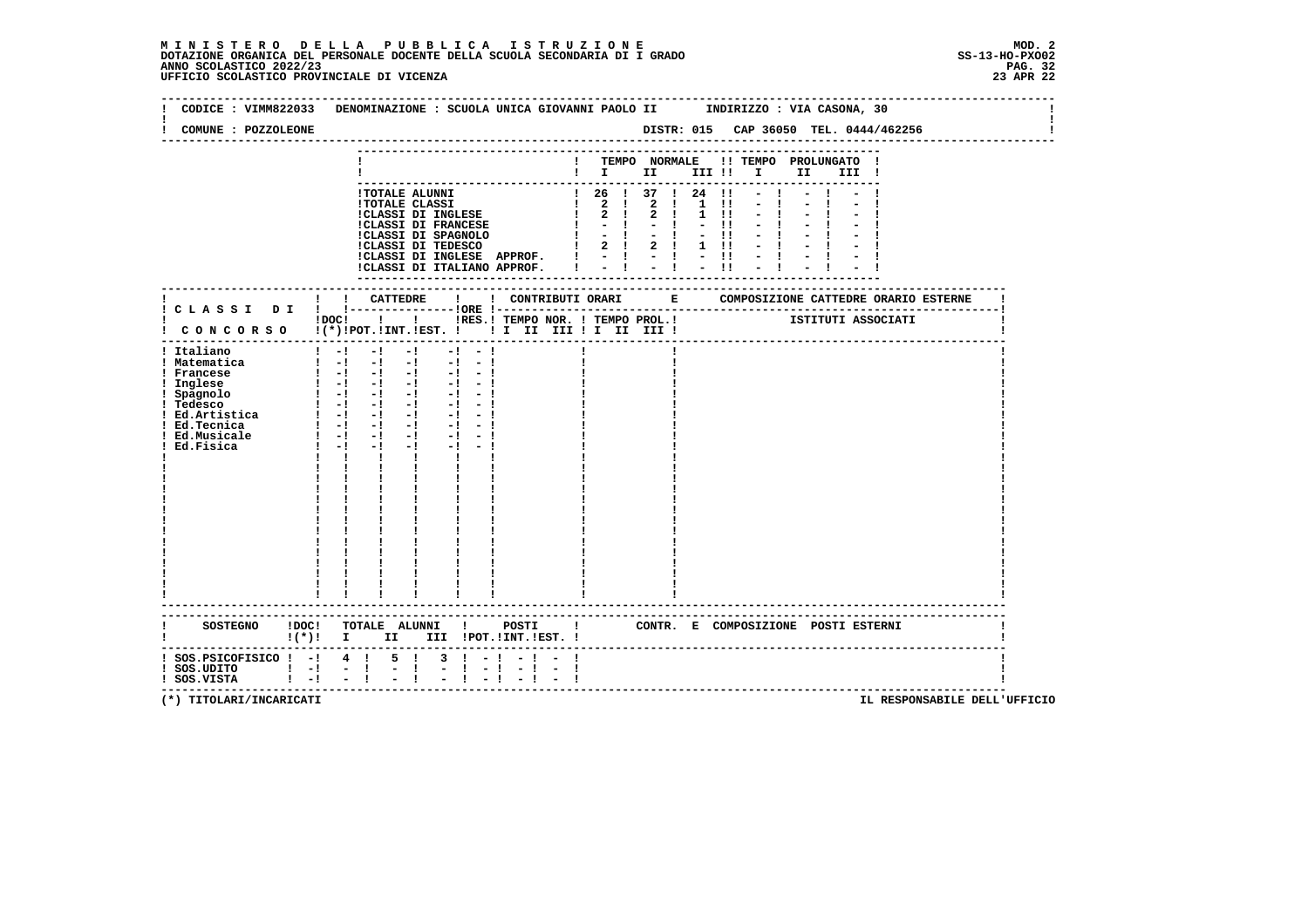| COMUNE : POZZOLEONE                                                                                                                                                                                  |                                                                                                                                                                                                                                                                                                                                                                                                                     |           | CODICE : VIMM822033 DENOMINAZIONE : SCUOLA UNICA GIOVANNI PAOLO II INDIRIZZO : VIA CASONA, 30                                                                      |
|------------------------------------------------------------------------------------------------------------------------------------------------------------------------------------------------------|---------------------------------------------------------------------------------------------------------------------------------------------------------------------------------------------------------------------------------------------------------------------------------------------------------------------------------------------------------------------------------------------------------------------|-----------|--------------------------------------------------------------------------------------------------------------------------------------------------------------------|
|                                                                                                                                                                                                      |                                                                                                                                                                                                                                                                                                                                                                                                                     |           | ! TEMPO NORMALE !! TEMPO PROLUNGATO !<br>$\blacksquare$ $\blacksquare$ $\blacksquare$ $\blacksquare$ $\blacksquare$ $\blacksquare$ $\blacksquare$<br>II I<br>III ! |
|                                                                                                                                                                                                      | !CLASSI DI INGLESE APPROF. $! \t - \t - \t - \t !\t - \t !\t$<br>!CLASSI DI ITALIANO APPROF. $! \t - \t - \t !\t - \t !\t + \t !\t$                                                                                                                                                                                                                                                                                 |           | ! 26 ! 37 ! 24 !1<br>$-1$<br>$1 \quad 11$<br>$-1$<br>$1 \quad 11$<br>$-11$<br>$-11$<br>$1 \quad 11$                                                                |
|                                                                                                                                                                                                      |                                                                                                                                                                                                                                                                                                                                                                                                                     |           | IDOCI ! IRES. I TEMPO NOR. I TEMPO PROL. ! [STITUTI ASSOCIATI                                                                                                      |
| ! Italiano<br>! Matematica<br>! Francese<br>! Inglese<br>! Spagnolo<br>! Tedesco<br>1 Tedesco 1 -1 -1 -1<br>1 Ed.Artistica 1 -1 -1 -1<br>1 -1 -1 -1 -1<br>! Ed.Tecnica<br>! Ed.Musicale<br>Ed.Fisica | $1 - 1 - 1 - 1$<br>$-1 - 1$<br>$\begin{bmatrix} 1 & -1 & -1 & -1 & -1 & -1 \end{bmatrix}$<br>$\begin{bmatrix} 1 & -1 & -1 & -1 & -1 & -1 \end{bmatrix}$<br>$\begin{bmatrix} 1 & -1 & -1 & -1 & -1 & -1 \end{bmatrix}$<br>- 1 레 레 레<br>$-1 - -1$<br>$-1 - -1$<br>$1 - 1 - 1$<br>$-1$<br>$-1 - -1$<br>$-1$<br>$1 - 1 - 1$<br>$1 - 1 - 1$<br>$-1$ $-$<br>$\mathbf{I}$<br>$\mathbf{I}$ and $\mathbf{I}$<br>$\mathbf{I}$ |           |                                                                                                                                                                    |
| SOSTEGNO ! DOC!                                                                                                                                                                                      | -----------------------<br>TOTALE ALUNNI ! POSTI !                                                                                                                                                                                                                                                                                                                                                                  |           | CONTR. E COMPOSIZIONE POSTI_ESTERNI                                                                                                                                |
| $:$ SOS. PSICOFISICO $:$ - $:$ 4 $:$<br>$!$ SOS.UDITO $!$ -!<br>$\mathbf{I}$ $-\mathbf{I}$<br>! SOS.VISTA                                                                                            | $5 \quad 1$<br>$3 \cdot 1 - 1$<br>$\sim$ $-1$<br>-1<br>$-1$                                                                                                                                                                                                                                                                                                                                                         | $-1$ $-1$ | --------------------------------------                                                                                                                             |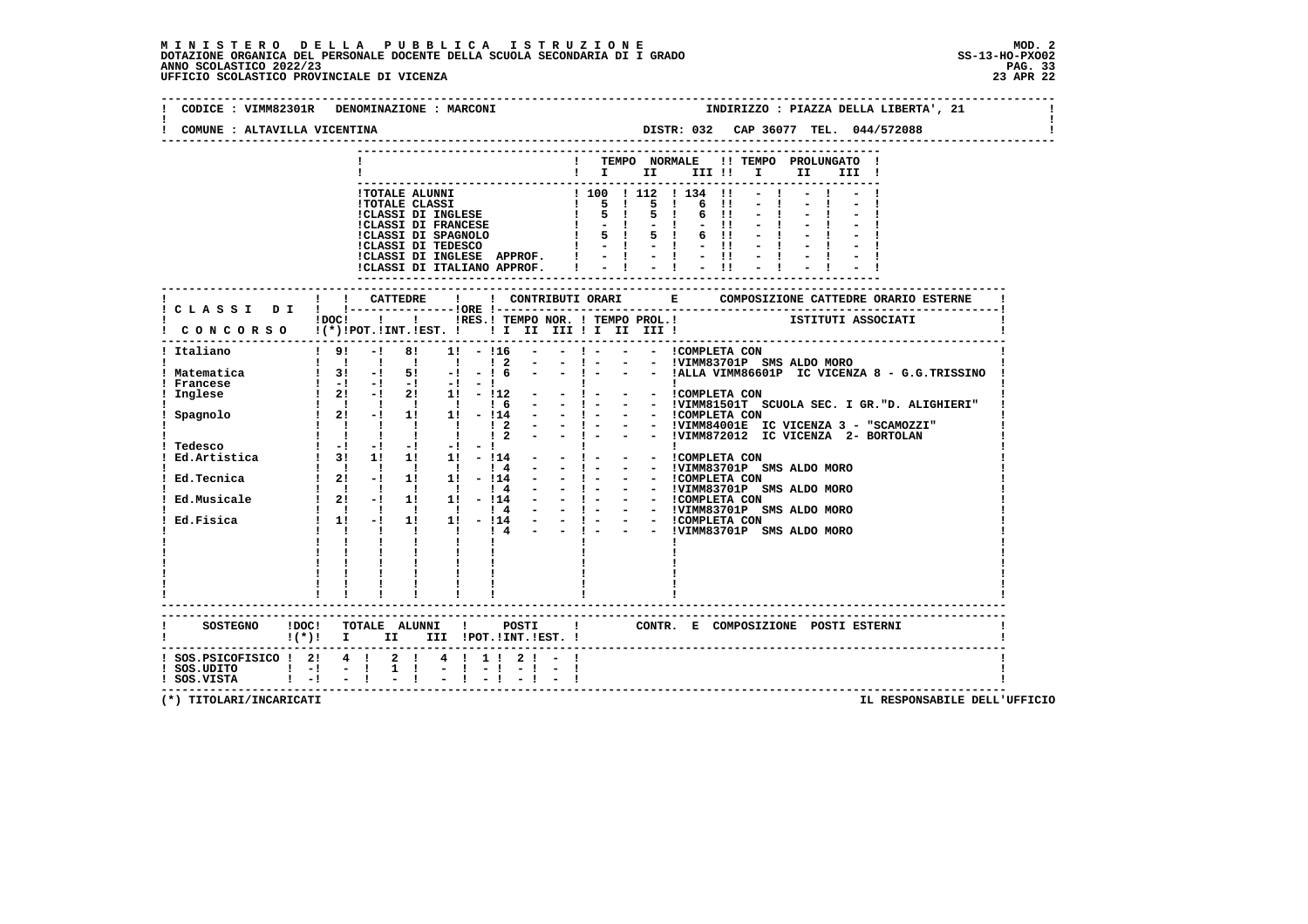| CODICE : VIMM82301R          | DENOMINAZIONE : MARCONI<br>INDIRIZZO : PIAZZA DELLA LIBERTA', 21                                                                                                                                                                                                                                                                                                                    |
|------------------------------|-------------------------------------------------------------------------------------------------------------------------------------------------------------------------------------------------------------------------------------------------------------------------------------------------------------------------------------------------------------------------------------|
| COMUNE : ALTAVILLA VICENTINA | DISTR: 032 CAP 36077 TEL. 044/572088                                                                                                                                                                                                                                                                                                                                                |
|                              | -----------------                                                                                                                                                                                                                                                                                                                                                                   |
|                              | TEMPO NORMALE !! TEMPO PROLUNGATO<br>$\mathbf{I}$ $\mathbf{I}$ $\mathbf{II}$<br>III !!<br>$\mathbf{I}$ and $\mathbf{I}$<br>II D<br>III !                                                                                                                                                                                                                                            |
|                              |                                                                                                                                                                                                                                                                                                                                                                                     |
|                              | !TOTALE ALUNNI<br>1 100 1 112 1 134 11<br>1 5 1 5 1 6 11<br>1 5 1 5 1 6 11                                                                                                                                                                                                                                                                                                          |
|                              |                                                                                                                                                                                                                                                                                                                                                                                     |
|                              | !TOTALE CLASSI<br>!CLASSI DI INGLESE<br>!CLASSI DI FRANCESE<br>$-1 - -11$                                                                                                                                                                                                                                                                                                           |
|                              | CLASSI DI SPAGNOLO<br>ICLASSI DI TEDESCO<br>5 ! 5 ! 6 !!<br>$\mathbf{I}$<br>$-1 - 1 - 11$                                                                                                                                                                                                                                                                                           |
|                              | $-1$ $-1$ $-11$ $-1$<br>!CLASSI DI INGLESE APPROF.                                                                                                                                                                                                                                                                                                                                  |
|                              | !CLASSI DI ITALIANO APPROF.                                                                                                                                                                                                                                                                                                                                                         |
|                              |                                                                                                                                                                                                                                                                                                                                                                                     |
|                              |                                                                                                                                                                                                                                                                                                                                                                                     |
|                              |                                                                                                                                                                                                                                                                                                                                                                                     |
|                              | $1DC!$ $1$ $1$<br>CONCORSO !(*)!POT.!INT.!EST. !! I II III !I II III !                                                                                                                                                                                                                                                                                                              |
|                              |                                                                                                                                                                                                                                                                                                                                                                                     |
| Italiano                     | $-1$ 81<br>- ! - - - ICOMPLETA CON<br>$1 \quad 91$<br>$1! - 116$                                                                                                                                                                                                                                                                                                                    |
| Matematica                   | - 1 - - - IVIMM83701P SMS ALDO MORO<br>- 1 - - - IALLA VIMM86601P IC VICENZA 8 - G.G.TRISSINO<br>1 1 1 1 1 1 2                                                                                                                                                                                                                                                                      |
| Francese                     |                                                                                                                                                                                                                                                                                                                                                                                     |
| Inglese                      | 1 31 -1 51 -1 -1 6 - - 1 - - - ALLA VIRTACON<br>1 -1 -1 -1 -1 -1 -1<br>1 21 -1 21 1 -12 - - - - - - COMPLETA CON                                                                                                                                                                                                                                                                    |
|                              | $\begin{tabular}{cccccccc} 1 & 21 & -1 & 21 & 11 & -112 & - & - & - & - & 1COMPLETA CON \\ 1 & 1 & 11 & 11 & 14 & - & - & 1 & - & - & - & 1 COMPLETA CON \\ 1 & 21 & -1 & 11 & 11 & 12 & - & - & - & - & 1 COMPLETA CON \\ 1 & 1 & 1 & 1 & 12 & - & - & - & - & 1 VIMM84001E TC VICENZA 3 & - & "SCAMOZZI" \\ 1 & 1 & 1 & 1 & 12 & - & - & - & - & 1 VIMM872012 TC VICENZA 2 & - &$ |
| Spagnolo                     |                                                                                                                                                                                                                                                                                                                                                                                     |
|                              |                                                                                                                                                                                                                                                                                                                                                                                     |
|                              |                                                                                                                                                                                                                                                                                                                                                                                     |
|                              |                                                                                                                                                                                                                                                                                                                                                                                     |
| Ed.Tecnica                   | $\begin{array}{cccccccc} 1 & 1 & 1 & 1 & 1 & 1 & 4 \\ 1 & 21 & -1 & 11 & 11 & -114 \end{array}$                                                                                                                                                                                                                                                                                     |
|                              |                                                                                                                                                                                                                                                                                                                                                                                     |
|                              |                                                                                                                                                                                                                                                                                                                                                                                     |
| Ed.Fisica                    |                                                                                                                                                                                                                                                                                                                                                                                     |
|                              | - - !VIMM83701P SMS ALDO MORO                                                                                                                                                                                                                                                                                                                                                       |
|                              |                                                                                                                                                                                                                                                                                                                                                                                     |
|                              |                                                                                                                                                                                                                                                                                                                                                                                     |
|                              |                                                                                                                                                                                                                                                                                                                                                                                     |
|                              |                                                                                                                                                                                                                                                                                                                                                                                     |
|                              |                                                                                                                                                                                                                                                                                                                                                                                     |
|                              |                                                                                                                                                                                                                                                                                                                                                                                     |
|                              | $\mathbf{I}$<br>CONTR. E COMPOSIZIONE POSTI ESTERNI<br>$!(*)!$ I II III !POT.!INT.!EST. !                                                                                                                                                                                                                                                                                           |
|                              |                                                                                                                                                                                                                                                                                                                                                                                     |
| ! SOS.PSICOFISICO ! 2! 4 !   | $2 \t1 \t4 \t1 \t1 \t2 \t1 -$                                                                                                                                                                                                                                                                                                                                                       |
| $!$ SOS.UDITO $!$ -!         | $-1$<br>$1 \quad 1$                                                                                                                                                                                                                                                                                                                                                                 |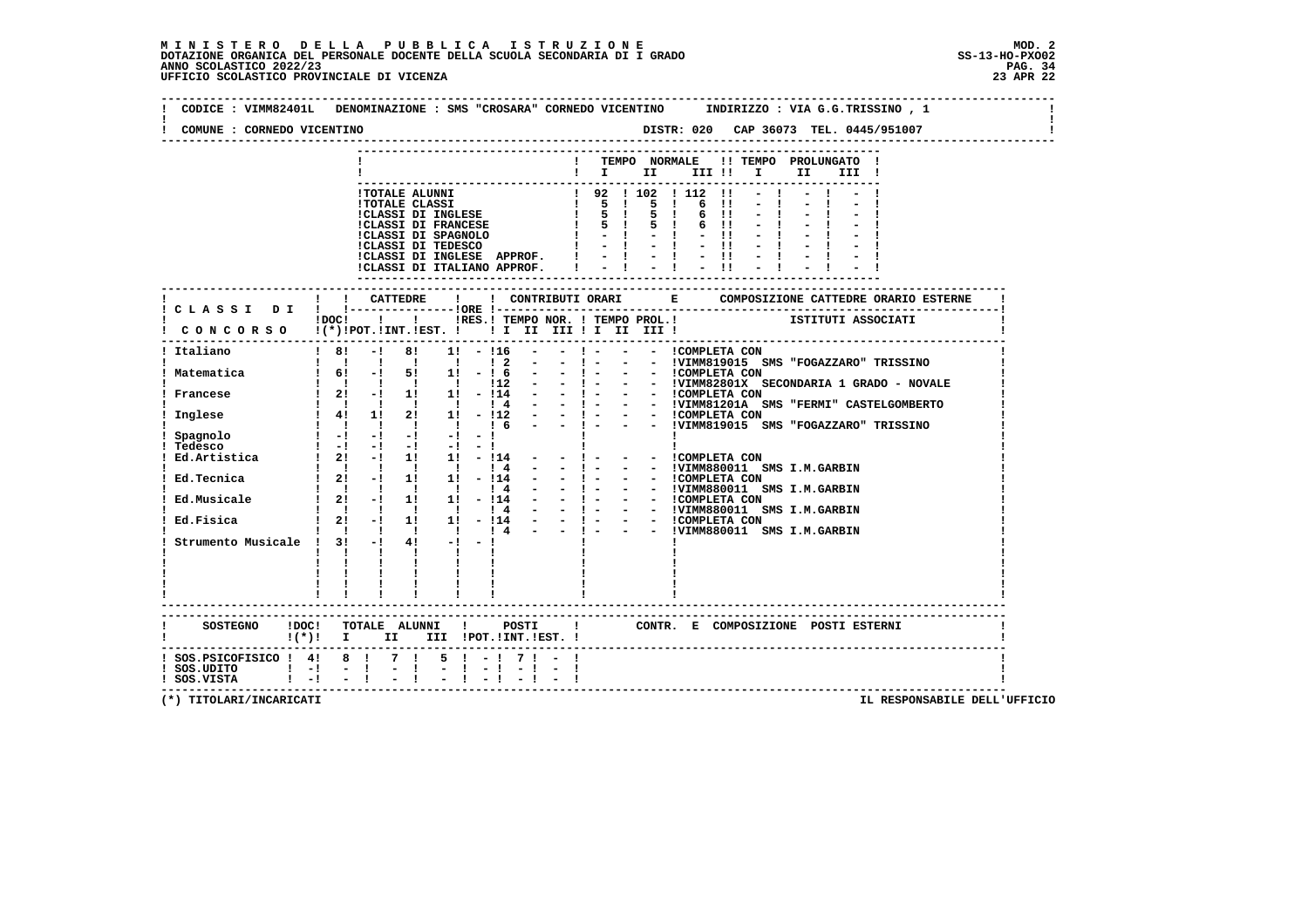| COMUNE : CORNEDO VICENTINO                                                                                                           |                                                |                                                                                                                                                                                                                                                                                                              |                                               |                     |  |                   |          |                                                                                                                           |  |                                                         |  |  |
|--------------------------------------------------------------------------------------------------------------------------------------|------------------------------------------------|--------------------------------------------------------------------------------------------------------------------------------------------------------------------------------------------------------------------------------------------------------------------------------------------------------------|-----------------------------------------------|---------------------|--|-------------------|----------|---------------------------------------------------------------------------------------------------------------------------|--|---------------------------------------------------------|--|--|
|                                                                                                                                      |                                                |                                                                                                                                                                                                                                                                                                              |                                               |                     |  |                   |          |                                                                                                                           |  | ! TEMPO NORMALE !! TEMPO PROLUNGATO !<br>$\blacksquare$ |  |  |
|                                                                                                                                      |                                                | !TOTALE ALUNNI<br>!TOTALE CLASSI $\begin{array}{ccccccccc} 1 & 92 & 1 & 102 & 1 & 12 & 11 \\ 1 & 92 & 1 & 12 & 1 & 12 & 11 \\ 1 & 10 & 1 & 10 & 1 & 12 & 1 \\ 1 & 5 & 1 & 5 & 1 & 6 & 11 \\ 1 & 6 & 11 & 10 & 11 & 1 & 1 \\ 1 & 7 & 10 & 11 & 1 & 1 & 1 \\ 1 & 8 & 1 & 5 & 1 & 6 & 1 \\ 1 & 10 & 10 & 10 & $ |                                               |                     |  |                   |          |                                                                                                                           |  | $-1$ $-1$ $-1$ $-1$                                     |  |  |
|                                                                                                                                      |                                                |                                                                                                                                                                                                                                                                                                              |                                               |                     |  |                   |          |                                                                                                                           |  |                                                         |  |  |
|                                                                                                                                      |                                                |                                                                                                                                                                                                                                                                                                              |                                               |                     |  |                   |          |                                                                                                                           |  |                                                         |  |  |
|                                                                                                                                      |                                                |                                                                                                                                                                                                                                                                                                              |                                               |                     |  |                   |          | $-1$                                                                                                                      |  |                                                         |  |  |
|                                                                                                                                      |                                                |                                                                                                                                                                                                                                                                                                              |                                               |                     |  |                   |          |                                                                                                                           |  |                                                         |  |  |
|                                                                                                                                      |                                                | !CLASSI DI INGLESE APPROF. !                                                                                                                                                                                                                                                                                 |                                               |                     |  |                   |          | $\begin{array}{cccccccccccccc} 1 & 1 & 1 & 1 & 1 & 1 & 1 & 1 & 1 \\ 1 & 1 & 1 & 1 & 1 & 1 & 1 & 1 & 1 & 1 \\ \end{array}$ |  |                                                         |  |  |
|                                                                                                                                      |                                                | !CLASSI DI ITALIANO APPROF. !                                                                                                                                                                                                                                                                                |                                               |                     |  |                   |          |                                                                                                                           |  |                                                         |  |  |
|                                                                                                                                      |                                                |                                                                                                                                                                                                                                                                                                              |                                               |                     |  |                   |          |                                                                                                                           |  |                                                         |  |  |
|                                                                                                                                      |                                                |                                                                                                                                                                                                                                                                                                              |                                               |                     |  |                   |          |                                                                                                                           |  |                                                         |  |  |
|                                                                                                                                      |                                                | !DOC! ! ! !RES.! TEMPO NOR. ! TEMPO PROL.! ISTITUTI ASSOCIATI                                                                                                                                                                                                                                                |                                               |                     |  |                   |          |                                                                                                                           |  |                                                         |  |  |
| ! CONCORSO !(*)!POT.!INT.!EST. ! ! I III III II III III !                                                                            |                                                |                                                                                                                                                                                                                                                                                                              |                                               |                     |  |                   |          |                                                                                                                           |  |                                                         |  |  |
| ! Italiano                                                                                                                           |                                                | $-!$ 8! 1! $-!$ 16                                                                                                                                                                                                                                                                                           |                                               |                     |  |                   |          |                                                                                                                           |  |                                                         |  |  |
|                                                                                                                                      |                                                | !!!!!!!!? - - ! - - - !VIMM819015 SMS "FOGAZZARO" TRISSINO                                                                                                                                                                                                                                                   |                                               |                     |  |                   |          |                                                                                                                           |  |                                                         |  |  |
| ! Matematica 1 6! - 1 5! 1! - 1 6 - - 1 - - - COMPLETA CON                                                                           |                                                |                                                                                                                                                                                                                                                                                                              |                                               |                     |  |                   |          |                                                                                                                           |  |                                                         |  |  |
| Francese                                                                                                                             |                                                | 1 1 1 1 12 - - 1 - - IVIMM82801X SECONDARIA 1 GRADO - NOVALE<br>1 21 - 1 11 11 - 114 - - 1 - - - ICOMPLETA CON<br>1 1 1 1 1 1 1 1 1 + 1 - - 1 - - - IVIMM81201A SMS "FERMI" CASTELGOMBERTO                                                                                                                   |                                               |                     |  |                   |          |                                                                                                                           |  |                                                         |  |  |
|                                                                                                                                      |                                                |                                                                                                                                                                                                                                                                                                              |                                               |                     |  |                   |          |                                                                                                                           |  |                                                         |  |  |
| Inglese                                                                                                                              |                                                | : 1 1 21 1 - 112 - - - - - ICOMPLETA CON<br>! 4! 1! 2! 1! - 112 - - ! - - - ICOMPLETA CON                                                                                                                                                                                                                    |                                               |                     |  |                   |          |                                                                                                                           |  |                                                         |  |  |
| Spagnolo                                                                                                                             |                                                | $\mathbf{1}$ and $\mathbf{1}$ and $\mathbf{1}$ and $\mathbf{1}$ and $\mathbf{1}$ and $\mathbf{1}$                                                                                                                                                                                                            |                                               |                     |  |                   |          |                                                                                                                           |  |                                                         |  |  |
|                                                                                                                                      |                                                |                                                                                                                                                                                                                                                                                                              |                                               |                     |  |                   |          |                                                                                                                           |  |                                                         |  |  |
| Tedesco $1 -1 -1 -1 -1 -1 -1 -1$<br>Ed.Artistica $1 2! -1 1! 1! -114 -11$                                                            |                                                |                                                                                                                                                                                                                                                                                                              |                                               |                     |  | - - ICOMPLETA CON |          |                                                                                                                           |  |                                                         |  |  |
| Ed.Tecnica                                                                                                                           |                                                |                                                                                                                                                                                                                                                                                                              |                                               |                     |  |                   |          |                                                                                                                           |  | - - !VIMM880011 SMS I.M.GARBIN                          |  |  |
|                                                                                                                                      |                                                |                                                                                                                                                                                                                                                                                                              |                                               |                     |  |                   |          |                                                                                                                           |  |                                                         |  |  |
| Ed.Musicale                                                                                                                          |                                                |                                                                                                                                                                                                                                                                                                              |                                               |                     |  |                   |          |                                                                                                                           |  |                                                         |  |  |
|                                                                                                                                      |                                                |                                                                                                                                                                                                                                                                                                              |                                               |                     |  |                   |          |                                                                                                                           |  |                                                         |  |  |
| Ed.Fisica 1 2! -! 1! 1! - 114 - - 1 - - - ICOMPLETA CON                                                                              |                                                | $1 \quad 1 \quad 1 \quad 1 \quad 1 \quad 1 \quad 1 \quad 4 \quad - \quad - \quad 1 \quad -$                                                                                                                                                                                                                  |                                               |                     |  |                   |          |                                                                                                                           |  | - - !VIMM880011 SMS I.M.GARBIN                          |  |  |
| Strumento Musicale ! 3! -!                                                                                                           |                                                |                                                                                                                                                                                                                                                                                                              | $4! -1 -1$                                    |                     |  |                   |          |                                                                                                                           |  |                                                         |  |  |
|                                                                                                                                      | $\mathbf{1}$ $\mathbf{1}$                      |                                                                                                                                                                                                                                                                                                              | $\mathbf{I}$ and $\mathbf{I}$<br>$\mathbf{I}$ |                     |  |                   |          |                                                                                                                           |  |                                                         |  |  |
|                                                                                                                                      | $\mathbf{I}$ and $\mathbf{I}$ and $\mathbf{I}$ |                                                                                                                                                                                                                                                                                                              | $\mathbf{1}$ $\mathbf{1}$                     |                     |  |                   |          |                                                                                                                           |  |                                                         |  |  |
|                                                                                                                                      |                                                | $\mathbf{1}$ $\mathbf{1}$                                                                                                                                                                                                                                                                                    |                                               |                     |  |                   |          |                                                                                                                           |  |                                                         |  |  |
|                                                                                                                                      |                                                |                                                                                                                                                                                                                                                                                                              |                                               |                     |  |                   |          |                                                                                                                           |  |                                                         |  |  |
|                                                                                                                                      |                                                |                                                                                                                                                                                                                                                                                                              |                                               |                     |  |                   | -------- |                                                                                                                           |  |                                                         |  |  |
| SOSTEGNO IDOCI TOTALE ALUNNI I POSTI I CONTR. E COMPOSIZIONE POSTI——————————————————————————————————<br>I(*)! I IIIIIPOT.IINT.IEST.I |                                                |                                                                                                                                                                                                                                                                                                              |                                               |                     |  |                   |          |                                                                                                                           |  |                                                         |  |  |
|                                                                                                                                      |                                                |                                                                                                                                                                                                                                                                                                              |                                               |                     |  |                   |          |                                                                                                                           |  |                                                         |  |  |
| $1$ SOS.PSICOFISICO $1$ 4! 8 ! 7 ! 5 ! - ! 7 ! - !<br>$!$ SOS.UDITO $!$ - $!$ - $!$ - $!$ - $!$                                      |                                                |                                                                                                                                                                                                                                                                                                              |                                               | $-1$ $-1$ $-1$ $-1$ |  |                   |          |                                                                                                                           |  |                                                         |  |  |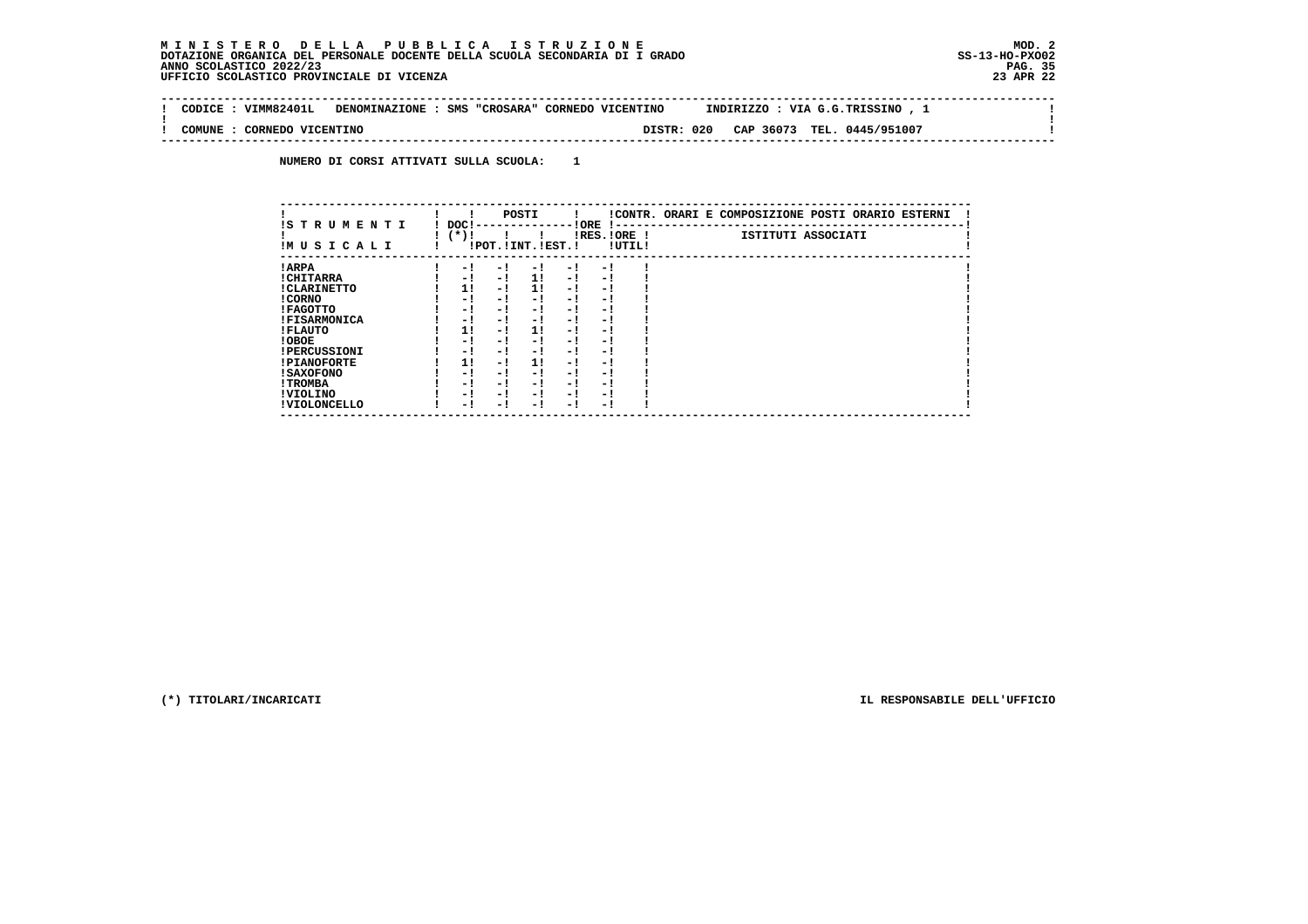#### **M I N I S T E R O D E L L A P U B B L I C A I S T R U Z I O N E MOD. 2DOTAZIONE ORGANICA DEL PERSONALE DOCENTE DELLA SCUOLA SECONDARIA DI I GRADO** ANNO SCOLASTICO 2022/23  **UFFICIO SCOLASTICO PROVINCIALE DI VICENZA 23 APR 22**

 $\sim$  100  $\pm$ 

 $\mathbf{I}$ 

 $\mathbf{I}$ 

 **-------------------------------------------------------------------------------------------------------------------------------- ! CODICE : VIMM82401L DENOMINAZIONE : SMS "CROSARA" CORNEDO VICENTINO INDIRIZZO : VIA G.G.TRISSINO , 1 ! ! ! ! COMUNE : CORNEDO VICENTINO DISTR: 020 CAP 36073 TEL. 0445/951007 ! --------------------------------------------------------------------------------------------------------------------------------**

 **NUMERO DI CORSI ATTIVATI SULLA SCUOLA: 1**

| IS T R U M E N T I  | DOC! |     | POSTI                 |     | ! ORE<br>.    |        | !CONTR. ORARI E COMPOSIZIONE POSTI ORARIO ESTERNI |
|---------------------|------|-----|-----------------------|-----|---------------|--------|---------------------------------------------------|
| IMUSICALI           | (*)! |     | !POT. ! INT. ! EST. ! |     | $IRES.IORE$ ! | !UTIL! | ISTITUTI ASSOCIATI                                |
| ! ARPA              | - 1  | - 1 | - 1                   | - 1 | - 1           |        |                                                   |
| ! CHITARRA          | - 1  | - ! | 11                    | - ! | - 1           |        |                                                   |
| ! CLARINETTO        | 11   | - 1 | 11                    | - 1 | - 1           |        |                                                   |
| ! CORNO             | - 1  | - 1 | - !                   | - 1 | - 1           |        |                                                   |
| ! FAGOTTO           | - 1  | - 1 | - 1                   | - 1 | - 1           |        |                                                   |
| <b>!FISARMONICA</b> | - 1  | - 1 | - 1                   | - 1 | - 1           |        |                                                   |
| ! FLAUTO            | 1!   | - ! | 1!                    | - ! | - 1           |        |                                                   |
| ! OBOE              | - 1  | - 1 | - !                   | - 1 | - 1           |        |                                                   |
| <b>!PERCUSSIONI</b> | - 1  | - 1 | - 1                   | - 1 | - 1           |        |                                                   |
| <b>!PIANOFORTE</b>  | 11   | - 1 | 11                    | - 1 | - 1           |        |                                                   |
| <b>! SAXOFONO</b>   | - 1  | - 1 | - 1                   | - 1 | - 1           |        |                                                   |
| ! TROMBA            | - 1  | - 1 | - 1                   | - 1 | - 1           |        |                                                   |
| ! VIOLINO           | - 1  | - 1 | - 1                   | - 1 | - 1           |        |                                                   |
| ! VIOLONCELLO       | - 1  | - ! | - 1                   | - ! | - 1           |        |                                                   |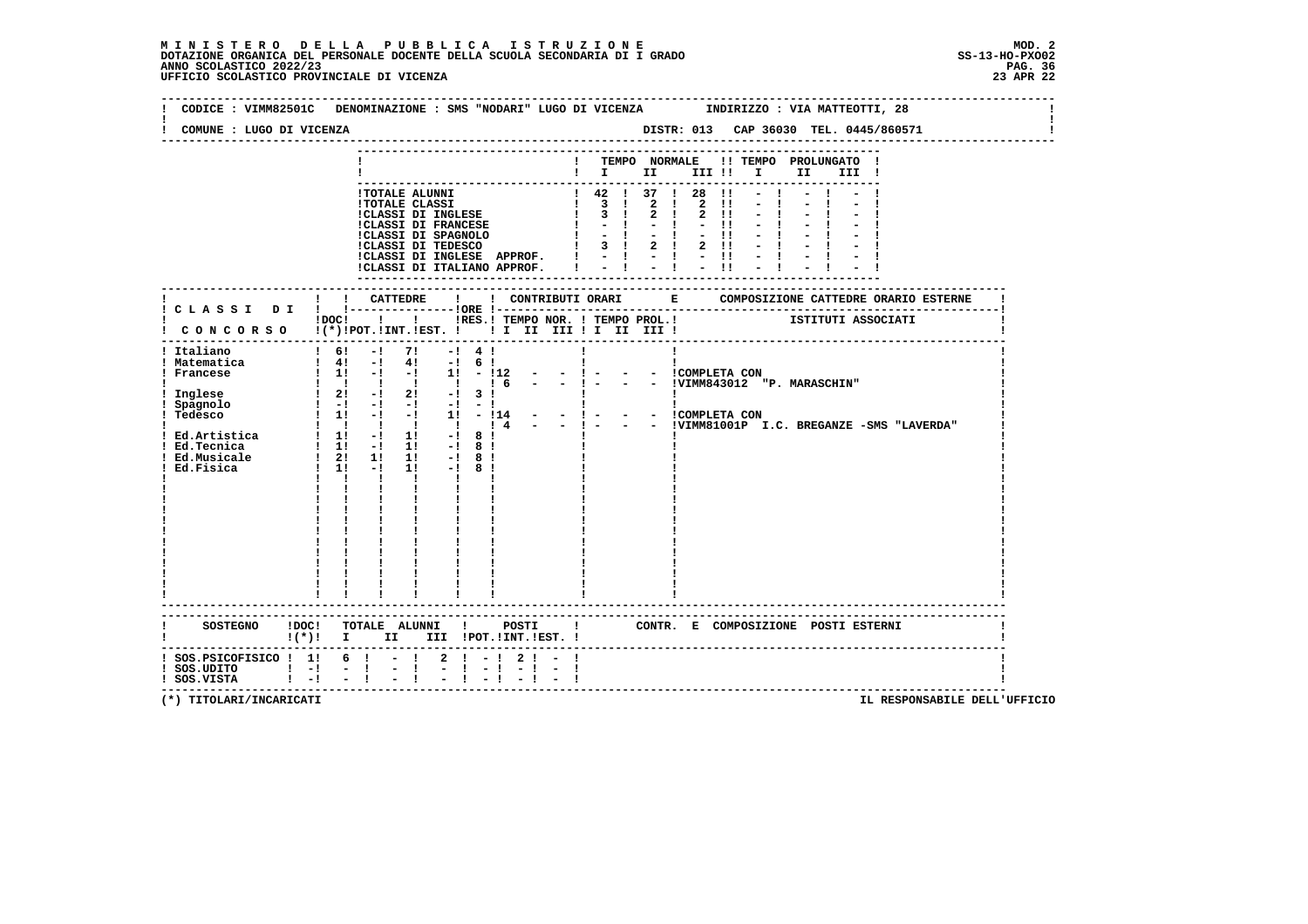| COMUNE : LUGO DI VICENZA                                                                       |                                                                                                                                                                                                                                                                                                                                                                                                                                                                                                                                                                                                                         | CODICE: VIMM82501C DENOMINAZIONE: SMS "NODARI" LUGO DI VICENZA INDIRIZZO: VIA MATTEOTTI, 28                                                                     |
|------------------------------------------------------------------------------------------------|-------------------------------------------------------------------------------------------------------------------------------------------------------------------------------------------------------------------------------------------------------------------------------------------------------------------------------------------------------------------------------------------------------------------------------------------------------------------------------------------------------------------------------------------------------------------------------------------------------------------------|-----------------------------------------------------------------------------------------------------------------------------------------------------------------|
|                                                                                                |                                                                                                                                                                                                                                                                                                                                                                                                                                                                                                                                                                                                                         | ! TEMPO NORMALE !! TEMPO PROLUNGATO !<br>$\blacksquare$                                                                                                         |
|                                                                                                | 1 TOTALE ALUNNI<br>1 TOTALE CLASSI DI INGLESE   1 3 1 2 1 2 11<br>1 3 1 2 1 2 11<br>1 3 1 2 1 2 11<br>1 CLASSI DI FRANCESE   3 1 2 1 2 11<br>1 CLASSI DI SPAGNOLO   - 1 - 1 - 1 1<br>1 CLASSI DI SPAGNOLO   - 1 - 1 - 1 1<br>1 CLASSI DI TED                                                                                                                                                                                                                                                                                                                                                                            | $-1$                                                                                                                                                            |
|                                                                                                |                                                                                                                                                                                                                                                                                                                                                                                                                                                                                                                                                                                                                         |                                                                                                                                                                 |
|                                                                                                | ! CONCORSO !(*)!POT.!INT.!EST. !! II III III II III !                                                                                                                                                                                                                                                                                                                                                                                                                                                                                                                                                                   | !DOC! ! ! RES.! TEMPO NOR. ! TEMPO PROL.! ISTITUTI ASSOCIATI                                                                                                    |
| ! Italiano<br>! Matematica<br>! Francese<br>: 11191000<br>! Spagnolo<br>! Tedesco<br>Ed.Fisica | $1 \t6! - 1 \t7! - 1 \t4!$<br>$! 4! -1 4! -1 6!$<br><b>Contract Contract District</b><br>1 1 -1 -1 1 -112 - - 1 - - - ICOMPLETA CON<br>1 1 1 1 1 1 1 6 - - 1 - - - IVIMM843012 "P. MARASCHIN"<br>$\frac{1}{2}$ Inglese $\frac{1}{2}$ $\frac{2}{2}$ $\frac{1}{2}$ $\frac{2}{2}$ $\frac{1}{2}$ $\frac{3}{2}$ $\frac{1}{2}$<br>$\begin{bmatrix} 1 & -1 & -1 & -1 & -1 & -1 \end{bmatrix}$<br>$\mathbf{I}$<br>  Ed.Artistica   11 - 11 - 18  <br>  Ed.Tecnica   11 - 11 - 18  <br>  Ed.Musicale   21 11 11 - 18  <br>$\frac{1}{1!}$ $\frac{1}{1!}$ $\frac{1}{1!}$<br>$1! -18!$<br>$\mathbf{I}$<br>------------------------- | - - !COMPLETA CON<br>$\mathbf{I}$<br>1 1 1 - 1 1 - 11 - 114 - - 1 - - - ICOMPLETA CON<br>1 1 1 1 1 1 1 1 4 - - 1 - - - IVIMM81001P I.C. BREGANZE -SMS "LAVERDA" |
|                                                                                                | ! (*)! I II III !POT.!INT.!EST.!                                                                                                                                                                                                                                                                                                                                                                                                                                                                                                                                                                                        | SOSTEGNO ! DOC! TOTALE ALUNNI ! POSTI ! CONTR. E COMPOSIZIONE POSTI ESTERNI                                                                                     |
| $:$ SOS.PSICOFISICO $:$ 1! 6 !<br>$!$ SOS.UDITO $!$ $-!$<br>$!$ SOS.VISTA $!$ $-!$ $-$ !       | $-!$ 2 $-!$ 2 $-!$<br>$\mathbb{Z} \setminus \mathbb{R}$<br>$-1 - 1$<br>$\sim$ 1.                                                                                                                                                                                                                                                                                                                                                                                                                                                                                                                                        |                                                                                                                                                                 |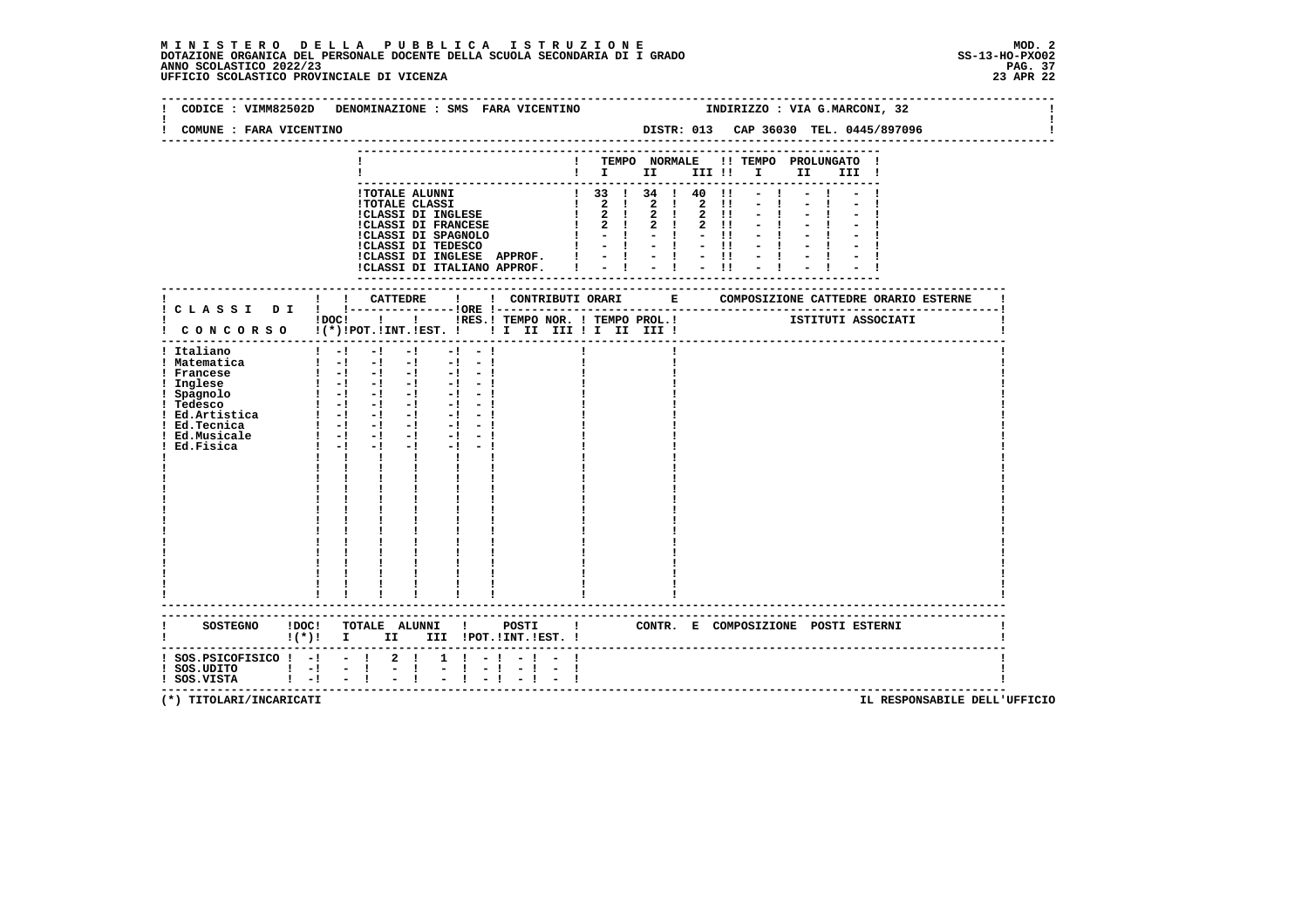### **M I N I S T E R O D E L L A P U B B L I C A I S T R U Z I O N E MOD. 2**DOTAZIONE ORGANICA DEL PERSONALE DOCENTE DELLA SCUOLA SECONDARIA DI I GRADO **SCOLASTICO SCOLASTICO 2022/23 PAG. 37**<br>PAG ANNO SCOLASTICO 2022/23 PAG. 37<br>23 APR 22 UFFICIO SCOLASTICO PROVINCIALE DI VICENZA

|                                                                                                                                                              | CODICE : VIMM82502D DENOMINAZIONE : SMS FARA VICENTINO                                                                                                                                                                                                                                                                                                                                                                                        |                       | INDIRIZZO : VIA G.MARCONI, 32<br>DISTR: 013 CAP 36030 TEL. 0445/897096                                                                                                                                                                                                                                                 |                             |  |  |  |  |  |
|--------------------------------------------------------------------------------------------------------------------------------------------------------------|-----------------------------------------------------------------------------------------------------------------------------------------------------------------------------------------------------------------------------------------------------------------------------------------------------------------------------------------------------------------------------------------------------------------------------------------------|-----------------------|------------------------------------------------------------------------------------------------------------------------------------------------------------------------------------------------------------------------------------------------------------------------------------------------------------------------|-----------------------------|--|--|--|--|--|
| COMUNE : FARA VICENTINO                                                                                                                                      |                                                                                                                                                                                                                                                                                                                                                                                                                                               |                       |                                                                                                                                                                                                                                                                                                                        |                             |  |  |  |  |  |
|                                                                                                                                                              |                                                                                                                                                                                                                                                                                                                                                                                                                                               |                       | ! TEMPO NORMALE !! TEMPO PROLUNGATO !<br>$\blacksquare$ $\blacksquare$ $\blacksquare$ $\blacksquare$ $\blacksquare$ $\blacksquare$ $\blacksquare$ $\blacksquare$ $\blacksquare$ $\blacksquare$ $\blacksquare$ $\blacksquare$ $\blacksquare$ $\blacksquare$ $\blacksquare$ $\blacksquare$ $\blacksquare$ $\blacksquare$ |                             |  |  |  |  |  |
|                                                                                                                                                              | !CLASSI DI INGLESE APPROF. !<br>!CLASSI DI ITALIANO APPROF. I                                                                                                                                                                                                                                                                                                                                                                                 |                       | $1$ 33 1 34 1 40 11 - 1 - 1 - 1<br>$-1$<br>$= 1 + 1 + 1$<br>$-1$                                                                                                                                                                                                                                                       |                             |  |  |  |  |  |
|                                                                                                                                                              |                                                                                                                                                                                                                                                                                                                                                                                                                                               |                       |                                                                                                                                                                                                                                                                                                                        |                             |  |  |  |  |  |
|                                                                                                                                                              | IDOCI   I IRES. I TEMPO NOR. I TEMPO PROL. I   ISTITUTI ASSOCIATI<br>! CONCORSO !(*)!POT.!INT.!EST. !! I II III !I III III                                                                                                                                                                                                                                                                                                                    |                       |                                                                                                                                                                                                                                                                                                                        |                             |  |  |  |  |  |
| ! Italiano<br>! Matematica<br>! Francese<br>! Inglese<br>! Spagnolo<br>! Tedesco<br>! Ed. Artistica   -! -! -!<br>! Ed.Tecnica<br>! Ed.Musicale<br>Ed.Fisica | $\frac{1}{2}$ $\frac{1}{2}$ $\frac{1}{2}$ $\frac{1}{2}$ $\frac{1}{2}$<br>$-1$ $-1$<br>$-1 - 1$<br>$1 - 1 - 1 - 1 - 1 - 1$<br>$-1 - 1$<br>$\begin{bmatrix} 1 & -1 & -1 & -1 \end{bmatrix}$<br>$-1 - 1$<br>$\begin{bmatrix} 1 & -1 & -1 & -1 \end{bmatrix}$<br>$-1 - 1$<br>$1 - 1 - 1$<br>$-1$ $-$<br>$-1 - -1$<br>$1 - 1 - 1$<br>$-1$<br>$-1$ $-1$<br>$\mathbf{1}$ $\mathbf{1}$ $\mathbf{1}$<br>$\mathbf{I}$ and $\mathbf{I}$<br>$\frac{1}{1}$ |                       |                                                                                                                                                                                                                                                                                                                        |                             |  |  |  |  |  |
|                                                                                                                                                              | SOSTEGNO !DOC! TOTALE ALUNNI ! POSTI ! CONTR. E COMPOSIZIONE POSTI ESTERNI<br>$!(*)!$ I II III !POT.!INT.!EST. !                                                                                                                                                                                                                                                                                                                              | ------                |                                                                                                                                                                                                                                                                                                                        |                             |  |  |  |  |  |
| $:$ SOS. PSICOFISICO $:$ - $:$ - $:$ 2 $:$<br>! SOS.UDITO ! -! - ! - !<br>! SOS.VISTA ! -! - ! - !                                                           | $1 \t-1 \t-1 \t-1$<br>$-1 - 1$                                                                                                                                                                                                                                                                                                                                                                                                                | $-1 - 1$<br>$-1 - -1$ |                                                                                                                                                                                                                                                                                                                        | --------------------------- |  |  |  |  |  |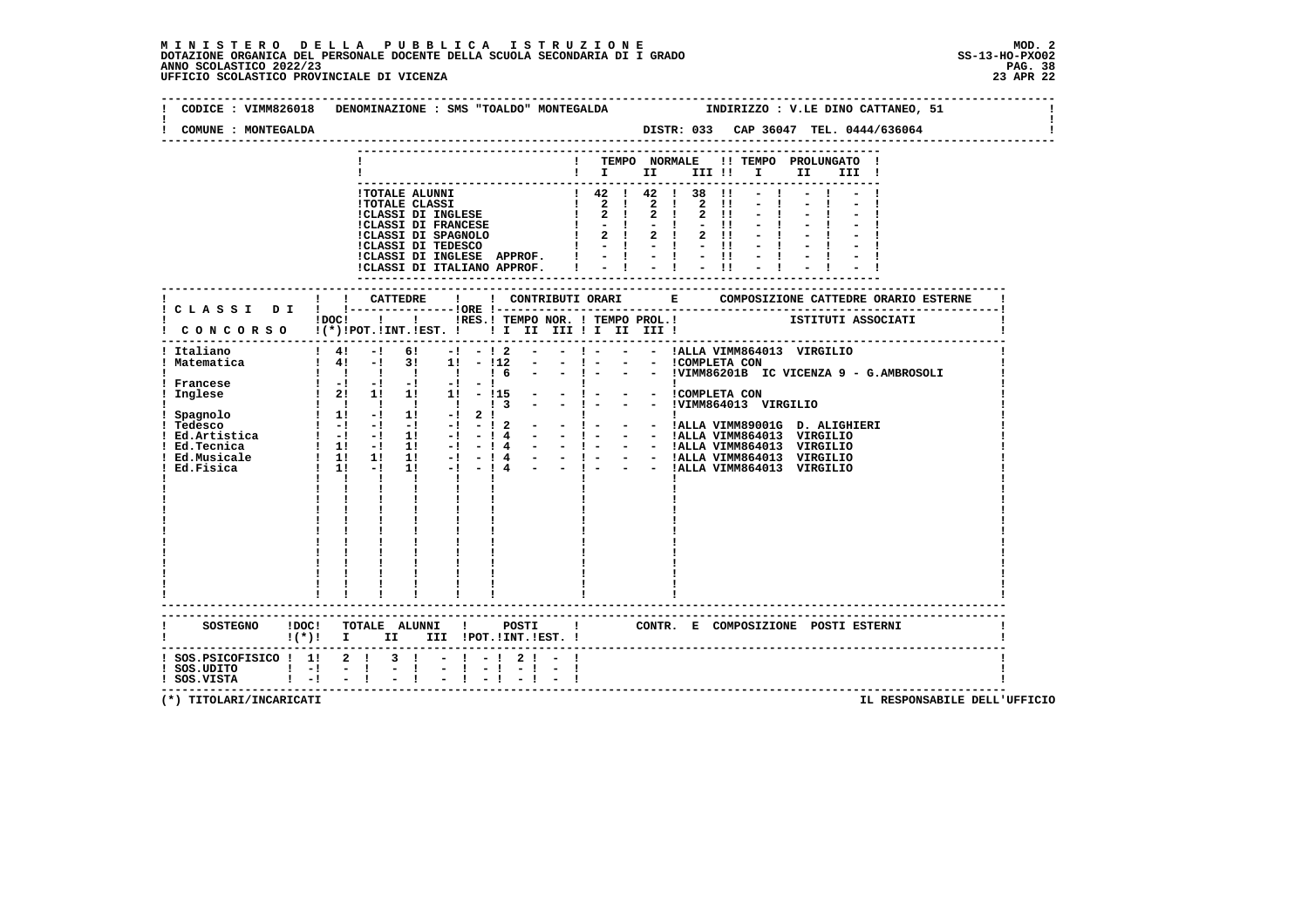### **M I N I S T E R O D E L L A P U B B L I C A I S T R U Z I O N E MOD. 2**DOTAZIONE ORGANICA DEL PERSONALE DOCENTE DELLA SCUOLA SECONDARIA DI I GRADO **SCOLASTICO SCOLASTICO 2022/23 PAG. 38**<br>23 ANNO SCOLASTICO 2022/23 PAG. 38<br>23 APR 22 UFFICIO SCOLASTICO PROVINCIALE DI VICENZA

| COMUNE : MONTEGALDA                                 |                                                                                                                                                                                                                    |
|-----------------------------------------------------|--------------------------------------------------------------------------------------------------------------------------------------------------------------------------------------------------------------------|
|                                                     | ! TEMPO NORMALE !! TEMPO PROLUNGATO !<br>$\blacksquare$ $\blacksquare$ $\blacksquare$ $\blacksquare$ $\blacksquare$ $\blacksquare$ $\blacksquare$<br>II a<br>III !                                                 |
|                                                     | $\mathbf{H} = \mathbf{H}$<br>$1! - 1$<br>ICLASSI DI INGLESE APPROF. $1 - 1 - 1 - 11 - 1$<br>ICLASSI DI ITALIANO APPROF. $1 - 1 - 1 - 11 - 1$                                                                       |
|                                                     |                                                                                                                                                                                                                    |
|                                                     | ! CONCORSO !(*)!POT.!INT.!EST. ! ! I II III ! I III III !                                                                                                                                                          |
| ! Italiano<br>! Matematica<br>! Francese<br>Inglese | $\frac{1}{2}$ 4! $\frac{1}{2}$ 6! $\frac{1}{2}$ - 12<br>- ! - - - !ALLA VIMM864013 VIRGILIO<br>$\mathbf{I}$ and $\mathbf{I}$<br>$1 \quad 1 \quad$<br>$\mathbf{I}$<br>$\mathbf{I}$<br>$\mathbf{I}$ and $\mathbf{I}$ |
|                                                     | SOSTEGNO !DOC! TOTALE ALUNNI ! POSTI<br>! CONTR. E COMPOSIZIONE POSTI ESTERNI<br>$!(*)!$ I II III !POT.!INT.!EST. !                                                                                                |
| ! SOS.UDITO ! -! - !<br>! SOS.VISTA ! -! - !        | ! SOS.PSICOFISICO ! 1! 2 ! 3 ! - ! - ! 2 ! -<br>$-1$                                                                                                                                                               |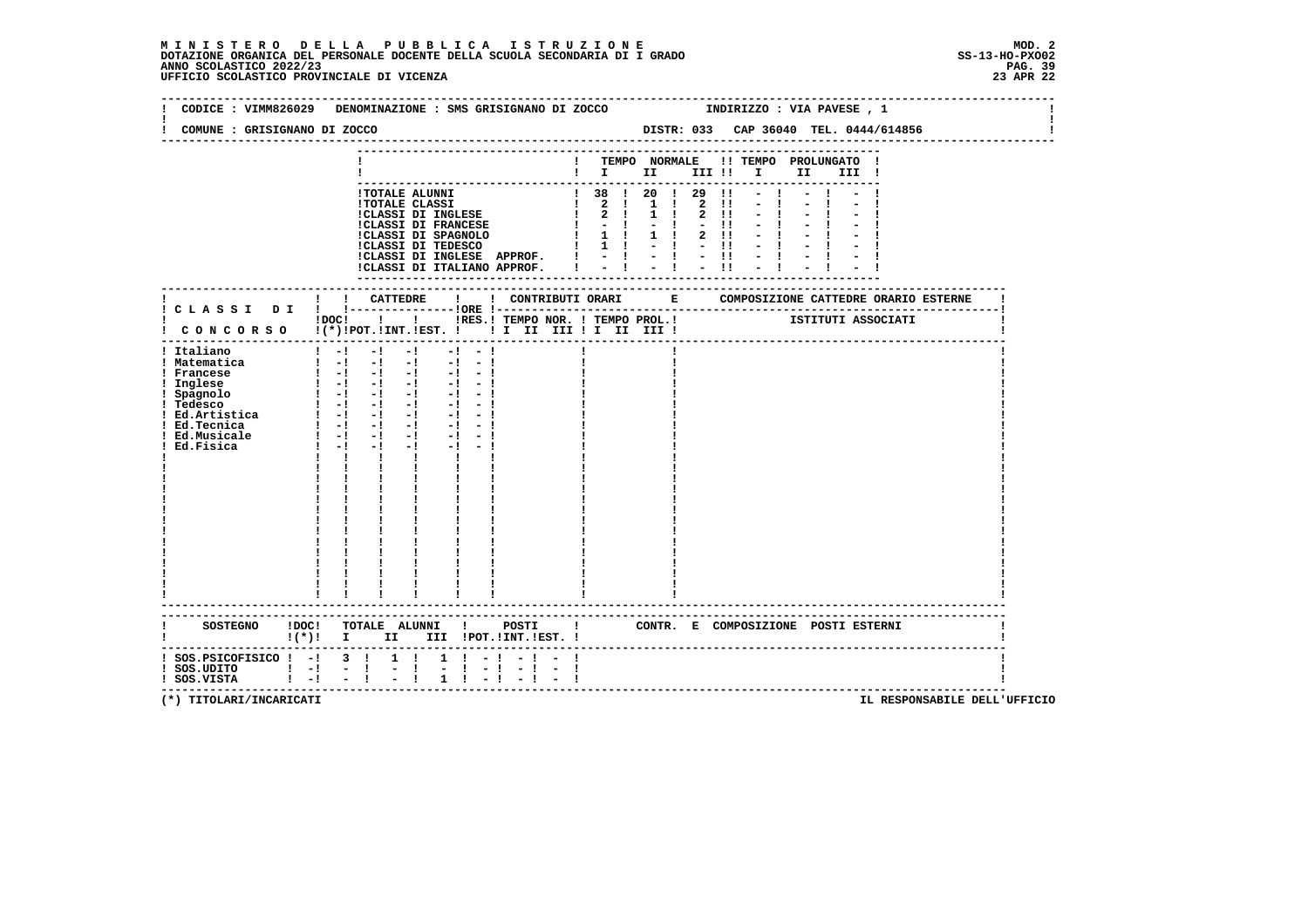### **M I N I S T E R O D E L L A P U B B L I C A I S T R U Z I O N E MOD. 2**DOTAZIONE ORGANICA DEL PERSONALE DOCENTE DELLA SCUOLA SECONDARIA DI I GRADO **SCOLASTICO SCOLASTICO 2022/23 PAG-**<br>PAG ANNO SCOLASTICO 2022/23 PAG. 39<br>23 APR 22 UFFICIO SCOLASTICO PROVINCIALE DI VICENZA

| CODICE: VIMM826029 DENOMINAZIONE: SMS GRISIGNANO DI ZOCCO                                                                                                                                                             |                                                            |                                            |                                        |  |       |  |  |  | INDIRIZZO : VIA PAVESE , 1                                                                                                                                                                                                                                                                                                   |  |  |  |
|-----------------------------------------------------------------------------------------------------------------------------------------------------------------------------------------------------------------------|------------------------------------------------------------|--------------------------------------------|----------------------------------------|--|-------|--|--|--|------------------------------------------------------------------------------------------------------------------------------------------------------------------------------------------------------------------------------------------------------------------------------------------------------------------------------|--|--|--|
| COMUNE : GRISIGNANO DI ZOCCO                                                                                                                                                                                          |                                                            |                                            |                                        |  |       |  |  |  |                                                                                                                                                                                                                                                                                                                              |  |  |  |
|                                                                                                                                                                                                                       |                                                            |                                            |                                        |  |       |  |  |  | ! TEMPO NORMALE !! TEMPO PROLUNGATO !                                                                                                                                                                                                                                                                                        |  |  |  |
|                                                                                                                                                                                                                       |                                                            |                                            |                                        |  |       |  |  |  | $\blacksquare$                                                                                                                                                                                                                                                                                                               |  |  |  |
|                                                                                                                                                                                                                       |                                                            |                                            |                                        |  |       |  |  |  |                                                                                                                                                                                                                                                                                                                              |  |  |  |
|                                                                                                                                                                                                                       |                                                            |                                            |                                        |  |       |  |  |  | ! TOTALE ALUNNI<br>! TOTALE ALUNNI<br>! TOTALE CLASSI DI INGLESE $\begin{array}{cccccccccccccccc} 1 & 1 & 2 & 1 & 1 & 2 & 1 & - & 1 & - & 1 \\ 1 & 2 & 1 & 1 & 2 & 1 & - & 1 & - & 1 \\ 1 & 2 & 1 & 1 & 2 & 1 & - & 1 & - & 1 \\ 1 & 2 & 1 & 1 & 2 & 1 & - & 1 & - & 1 \\ 1 & 2 & 1 & 1 & 2 & 1 & - & 1 & - & 1 \\ 1 & 2 & $ |  |  |  |
|                                                                                                                                                                                                                       |                                                            |                                            |                                        |  |       |  |  |  | $1 - 1 - 1 - 11 - 1 - 1$                                                                                                                                                                                                                                                                                                     |  |  |  |
|                                                                                                                                                                                                                       |                                                            |                                            |                                        |  |       |  |  |  |                                                                                                                                                                                                                                                                                                                              |  |  |  |
|                                                                                                                                                                                                                       |                                                            |                                            |                                        |  |       |  |  |  |                                                                                                                                                                                                                                                                                                                              |  |  |  |
|                                                                                                                                                                                                                       |                                                            |                                            |                                        |  |       |  |  |  | ICLASSI DI INGLESE APPROF. $1 - 1 - 1 - 1 - 1 - 1$<br>ICLASSI DI ITALIANO APPROF. $1 - 1 - 1 - 1 - 1 - 1$                                                                                                                                                                                                                    |  |  |  |
|                                                                                                                                                                                                                       |                                                            |                                            |                                        |  |       |  |  |  |                                                                                                                                                                                                                                                                                                                              |  |  |  |
|                                                                                                                                                                                                                       |                                                            |                                            |                                        |  |       |  |  |  |                                                                                                                                                                                                                                                                                                                              |  |  |  |
|                                                                                                                                                                                                                       |                                                            |                                            |                                        |  |       |  |  |  |                                                                                                                                                                                                                                                                                                                              |  |  |  |
| ! CONCORSO !(*)!POT.!INT.!EST. !!! II III !I II III !                                                                                                                                                                 |                                                            | !DOC! ! ! !RES.! TEMPO NOR. ! TEMPO PROL.! |                                        |  |       |  |  |  | ISTITUTI ASSOCIATI                                                                                                                                                                                                                                                                                                           |  |  |  |
|                                                                                                                                                                                                                       |                                                            |                                            |                                        |  |       |  |  |  |                                                                                                                                                                                                                                                                                                                              |  |  |  |
| ! Italiano<br>! Matematica                                                                                                                                                                                            | $1 - 1 - 1 - 1 - 1 - 1 - 1$<br>$1 - 1 - 1 - 1 - 1 - 1$     |                                            |                                        |  |       |  |  |  |                                                                                                                                                                                                                                                                                                                              |  |  |  |
| ! Francese                                                                                                                                                                                                            |                                                            |                                            |                                        |  |       |  |  |  |                                                                                                                                                                                                                                                                                                                              |  |  |  |
| ! Inglese                                                                                                                                                                                                             | $\begin{bmatrix} 1 & -1 & -1 & -1 & -1 & -1 \end{bmatrix}$ |                                            |                                        |  |       |  |  |  |                                                                                                                                                                                                                                                                                                                              |  |  |  |
|                                                                                                                                                                                                                       |                                                            |                                            |                                        |  |       |  |  |  |                                                                                                                                                                                                                                                                                                                              |  |  |  |
|                                                                                                                                                                                                                       |                                                            |                                            |                                        |  |       |  |  |  |                                                                                                                                                                                                                                                                                                                              |  |  |  |
| ! Ed.Tecnica                                                                                                                                                                                                          | $\begin{bmatrix} 1 & -1 & -1 & -1 & -1 & -1 \end{bmatrix}$ |                                            |                                        |  |       |  |  |  |                                                                                                                                                                                                                                                                                                                              |  |  |  |
| ! Ed.Musicale<br>Ed.Fisica                                                                                                                                                                                            |                                                            |                                            |                                        |  |       |  |  |  |                                                                                                                                                                                                                                                                                                                              |  |  |  |
|                                                                                                                                                                                                                       |                                                            | $1 \quad 1 \quad 1 \quad 1 \quad 1$        |                                        |  |       |  |  |  |                                                                                                                                                                                                                                                                                                                              |  |  |  |
|                                                                                                                                                                                                                       |                                                            |                                            |                                        |  |       |  |  |  |                                                                                                                                                                                                                                                                                                                              |  |  |  |
|                                                                                                                                                                                                                       |                                                            |                                            |                                        |  |       |  |  |  |                                                                                                                                                                                                                                                                                                                              |  |  |  |
|                                                                                                                                                                                                                       |                                                            | $\frac{1}{1}$                              |                                        |  |       |  |  |  |                                                                                                                                                                                                                                                                                                                              |  |  |  |
|                                                                                                                                                                                                                       |                                                            |                                            |                                        |  |       |  |  |  |                                                                                                                                                                                                                                                                                                                              |  |  |  |
|                                                                                                                                                                                                                       |                                                            |                                            |                                        |  |       |  |  |  |                                                                                                                                                                                                                                                                                                                              |  |  |  |
|                                                                                                                                                                                                                       |                                                            |                                            |                                        |  |       |  |  |  |                                                                                                                                                                                                                                                                                                                              |  |  |  |
|                                                                                                                                                                                                                       |                                                            |                                            |                                        |  |       |  |  |  |                                                                                                                                                                                                                                                                                                                              |  |  |  |
|                                                                                                                                                                                                                       |                                                            | $\mathbf{I}$                               | $\mathbf{i}$ $\mathbf{j}$ $\mathbf{k}$ |  |       |  |  |  |                                                                                                                                                                                                                                                                                                                              |  |  |  |
|                                                                                                                                                                                                                       |                                                            |                                            |                                        |  |       |  |  |  |                                                                                                                                                                                                                                                                                                                              |  |  |  |
|                                                                                                                                                                                                                       | <u>              </u>                                      |                                            |                                        |  |       |  |  |  |                                                                                                                                                                                                                                                                                                                              |  |  |  |
| <b>SOSTEGNO</b>                                                                                                                                                                                                       | !DOC! TOTALE ALUNNI !                                      |                                            |                                        |  | POSTI |  |  |  |                                                                                                                                                                                                                                                                                                                              |  |  |  |
| !(*)! I II III !POT.!INT.!EST.!                                                                                                                                                                                       |                                                            |                                            |                                        |  |       |  |  |  | ! CONTR. E COMPOSIZIONE POSTI ESTERNI                                                                                                                                                                                                                                                                                        |  |  |  |
| --------------------<br>! SOS.PSICOFISICO ! -! 3 ! 1 ! 1 ! -! - ! - !                                                                                                                                                 |                                                            |                                            |                                        |  |       |  |  |  |                                                                                                                                                                                                                                                                                                                              |  |  |  |
| $\frac{1}{1}$ SOS.UDITO $\frac{1}{1}$ - $\frac{1}{1}$ - $\frac{1}{1}$ - $\frac{1}{1}$ - $\frac{1}{1}$ - $\frac{1}{1}$ - $\frac{1}{1}$ - $\frac{1}{1}$ - $\frac{1}{1}$ - $\frac{1}{1}$ - $\frac{1}{1}$ - $\frac{1}{1}$ |                                                            |                                            |                                        |  |       |  |  |  |                                                                                                                                                                                                                                                                                                                              |  |  |  |
|                                                                                                                                                                                                                       |                                                            |                                            |                                        |  |       |  |  |  |                                                                                                                                                                                                                                                                                                                              |  |  |  |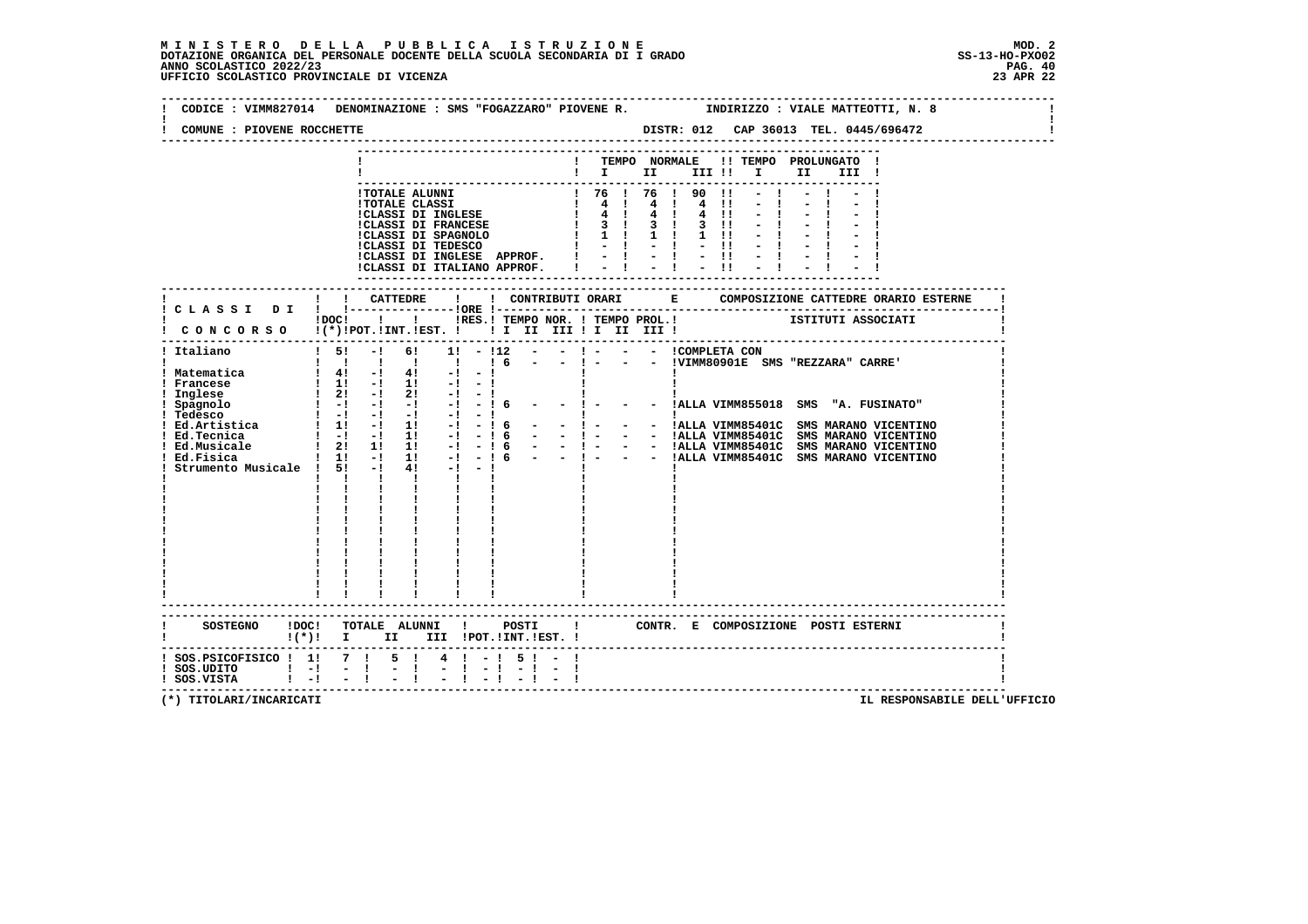| COMUNE : PIOVENE ROCCHETTE                                                                            |                                                                                                                                                                                                                                                                                                                                                                                                                                                                                                                                                                                 | CODICE : VIMM827014 DENOMINAZIONE : SMS "FOGAZZARO" PIOVENE R.          INDIRIZZO : VIALE MATTEOTTI, N. 8                                                                 |
|-------------------------------------------------------------------------------------------------------|---------------------------------------------------------------------------------------------------------------------------------------------------------------------------------------------------------------------------------------------------------------------------------------------------------------------------------------------------------------------------------------------------------------------------------------------------------------------------------------------------------------------------------------------------------------------------------|---------------------------------------------------------------------------------------------------------------------------------------------------------------------------|
|                                                                                                       |                                                                                                                                                                                                                                                                                                                                                                                                                                                                                                                                                                                 | ! TEMPO NORMALE !! TEMPO PROLUNGATO !<br>$\blacksquare$<br>II<br>III !                                                                                                    |
|                                                                                                       | !TOTALE ALUNNI<br>1707ALE CLASSI<br>1707ALE CLASSI<br>1707ALE CLASSI<br>1707ALE CLASSI<br>1707ALE CLASSI<br>1707ALE CLASSI<br>1712<br>1712<br>1712<br>1712<br>1712<br>1712<br>1712<br>1712<br>1712<br>1712<br>1712<br>1712<br>1712<br>1712<br>1712<br>1712<br>1712<br>1712<br>1712<br>1712<br>1712<br><br>!CLASSI DI INGLESE APPROF. !<br>!CLASSI DI ITALIANO APPROF.                                                                                                                                                                                                           | $! 76 ! 76 ! 90 !1 - 1$<br>4 11<br>$-1$<br>$4 \t11 - 1$<br>$1 \t3 \t1 \t3 \t1 \t3 \t11 \t-1$<br>$1 \t11 - 1$<br>$-11$<br>$-1$<br>$-1$ $-1$<br>$-11$<br>$-1$ $-1$<br>$-11$ |
|                                                                                                       |                                                                                                                                                                                                                                                                                                                                                                                                                                                                                                                                                                                 | !DOC! ! ! !RES.! TEMPO NOR. ! TEMPO PROL.! [STITUTI ASSOCIATI                                                                                                             |
| ! Italiano<br>! Matematica<br>! Francese<br>! Inglese<br>! Ed.Tecnica<br>! Ed.Musicale<br>! Ed.Fisica | ! CONCORSO !(*)!POT.!INT.!EST. ! ! I II III II III III !<br>$15! -1$<br>61<br>$1! - 112 - -$<br>$1\,6$<br>$\begin{array}{ccccccccc} & 1 & 41 & -1 & 41 & -1 & -1 \\ 1 & 11 & -1 & 11 & -1 & -1 \\ 1 & 21 & -1 & 21 & -1 & -1 \\ 1 & -1 & -1 & -1 & -1 & -1 \end{array}$<br>$-1$<br>1 Spagnolo 1 - 1 - 1 - 1 - 1<br>1 Tedesco 1 - 1 - 1 - 1 - 1<br>1 Ed.Artistica 1 1 - 1 1 - 1<br>-16<br>the contract of<br>$\mathbf{i}$ $\mathbf{j}$ $\mathbf{k}$ $\mathbf{k}$<br>$\mathbf{I}$ and $\mathbf{I}$ and $\mathbf{I}$ and $\mathbf{I}$<br>$\frac{1}{1}$ $\frac{1}{1}$ $\frac{1}{1}$ | - - !VIMM80901E SMS "REZZARA" CARRE'<br>$-1$ $-1$<br>- - !ALLA VIMM855018 SMS "A. FUSINATO"                                                                               |
|                                                                                                       | $\mathbf{I}$ and $\mathbf{I}$<br>-------------------------<br>SOSTEGNO !DOC! TOTALE ALUNNI ! POSTI<br>!(*)! I II III !POT.!INT.!EST.!                                                                                                                                                                                                                                                                                                                                                                                                                                           | ! CONTR. E COMPOSIZIONE POSTI ESTERNI                                                                                                                                     |
| ! SOS.PSICOFISICO ! 1! 7 !<br>$!$ SOS.UDITO $!$ $-!$ $-$ !<br>! SOS.VISTA   -! - !                    | $4! - 15! - 1$<br>5 1<br>$-1$<br>$-1$ $-1$ $-1$ $-1$                                                                                                                                                                                                                                                                                                                                                                                                                                                                                                                            |                                                                                                                                                                           |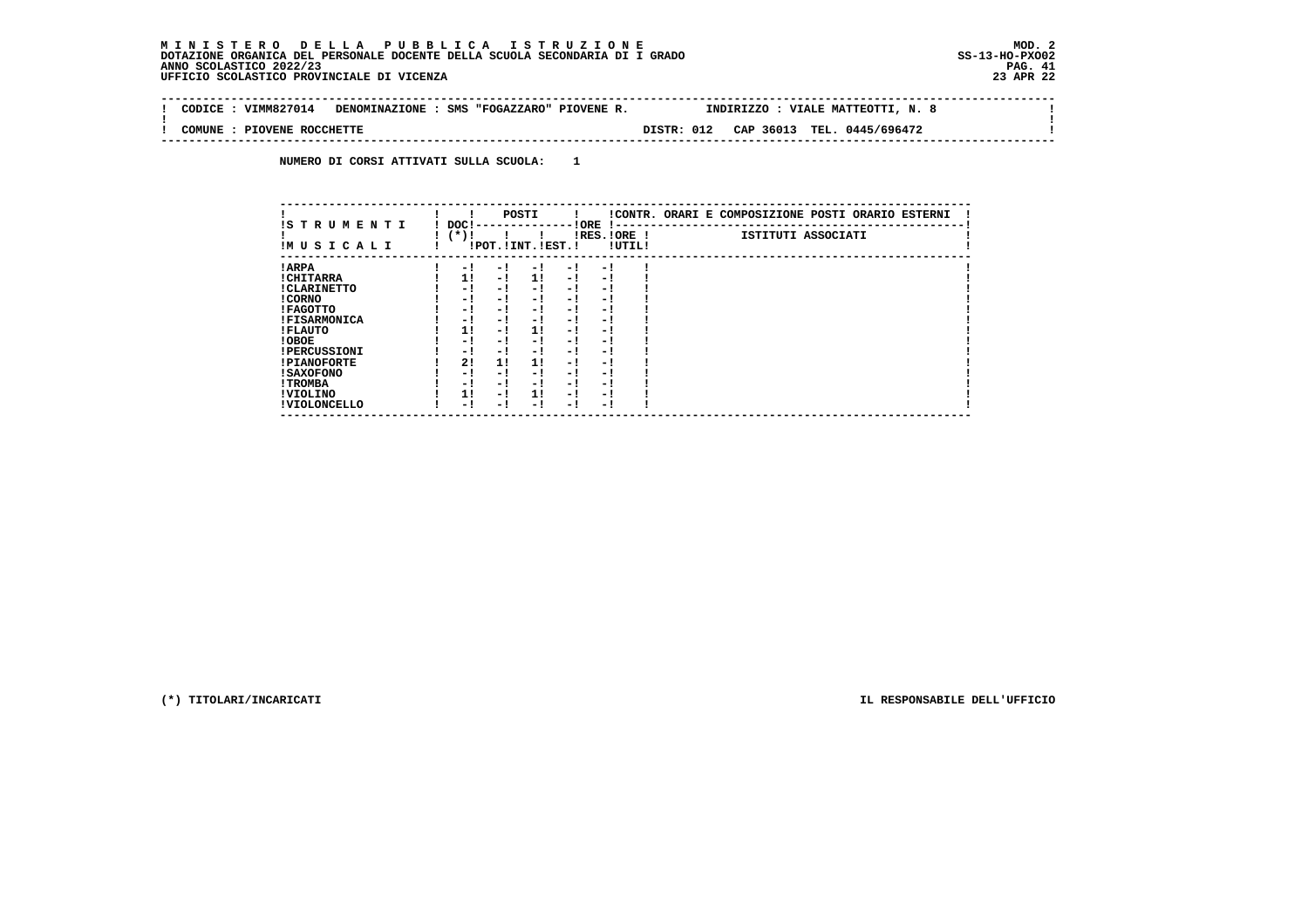#### **M I N I S T E R O D E L L A P U B B L I C A I S T R U Z I O N E MOD. 2DOTAZIONE ORGANICA DEL PERSONALE DOCENTE DELLA SCUOLA SECONDARIA DI I GRADO ANNO SCOLASTICO 2022/23 UFFICIO SCOLASTICO PROVINCIALE DI VICENZA 23 APR 22**

 $\mathbf{I}$ 

 **--------------------------------------------------------------------------------------------------------------------------------** $\sim$  100  $\pm$  **! CODICE : VIMM827014 DENOMINAZIONE : SMS "FOGAZZARO" PIOVENE R. INDIRIZZO : VIALE MATTEOTTI, N. 8 ! ! ! ! COMUNE : PIOVENE ROCCHETTE DISTR: 012 CAP 36013 TEL. 0445/696472 ! --------------------------------------------------------------------------------------------------------------------------------**

 **NUMERO DI CORSI ATTIVATI SULLA SCUOLA: 1**

| IS TRUMENTI         | DOC! |     | POSTI                 |      | ! ORE       |        | !CONTR. ORARI E COMPOSIZIONE POSTI ORARIO ESTERNI |
|---------------------|------|-----|-----------------------|------|-------------|--------|---------------------------------------------------|
| IMUSICALI           | (*)! |     | !POT. ! INT. ! EST. ! |      | IRES.IORE ! | !UTIL! | ISTITUTI ASSOCIATI                                |
| ! ARPA              | - 1  | - 1 | - !                   | $-1$ | - 1         |        |                                                   |
| ! CHITARRA          | 1!   | - ! | 11                    | $-1$ | - 1         |        |                                                   |
| ! CLARINETTO        | - !  | - ! | - 1                   | - 1  | - 1         |        |                                                   |
| ! CORNO             | - 1  | - 1 | - 1                   | - 1  | - 1         |        |                                                   |
| ! FAGOTTO           | - 1  | - 1 | - 1                   | - 1  | - 1         |        |                                                   |
| <b>!FISARMONICA</b> | - 1  | - 1 | - 1                   | - 1  | - 1         |        |                                                   |
| ! FLAUTO            | 11   | - ! | 11                    | - !  | - 1         |        |                                                   |
| ! OBOE              | - 1  | - ! | - 1                   | $-1$ | - 1         |        |                                                   |
| <b>!PERCUSSIONI</b> | - !  | - 1 | - 1                   | - 1  | - 1         |        |                                                   |
| <b>!PIANOFORTE</b>  | 2!   | 11  | 11                    | - 1  | - 1         |        |                                                   |
| <b>! SAXOFONO</b>   | - 1  | - 1 | - 1                   | - 1  | - 1         |        |                                                   |
| ! TROMBA            | - 1  | - ! | - 1                   | - 1  | - 1         |        |                                                   |
| ! VIOLINO           | 1!   | - 1 | 11                    | - 1  | - 1         |        |                                                   |
| ! VIOLONCELLO       | - 1  | - 1 | - 1                   | - 1  | - 1         |        |                                                   |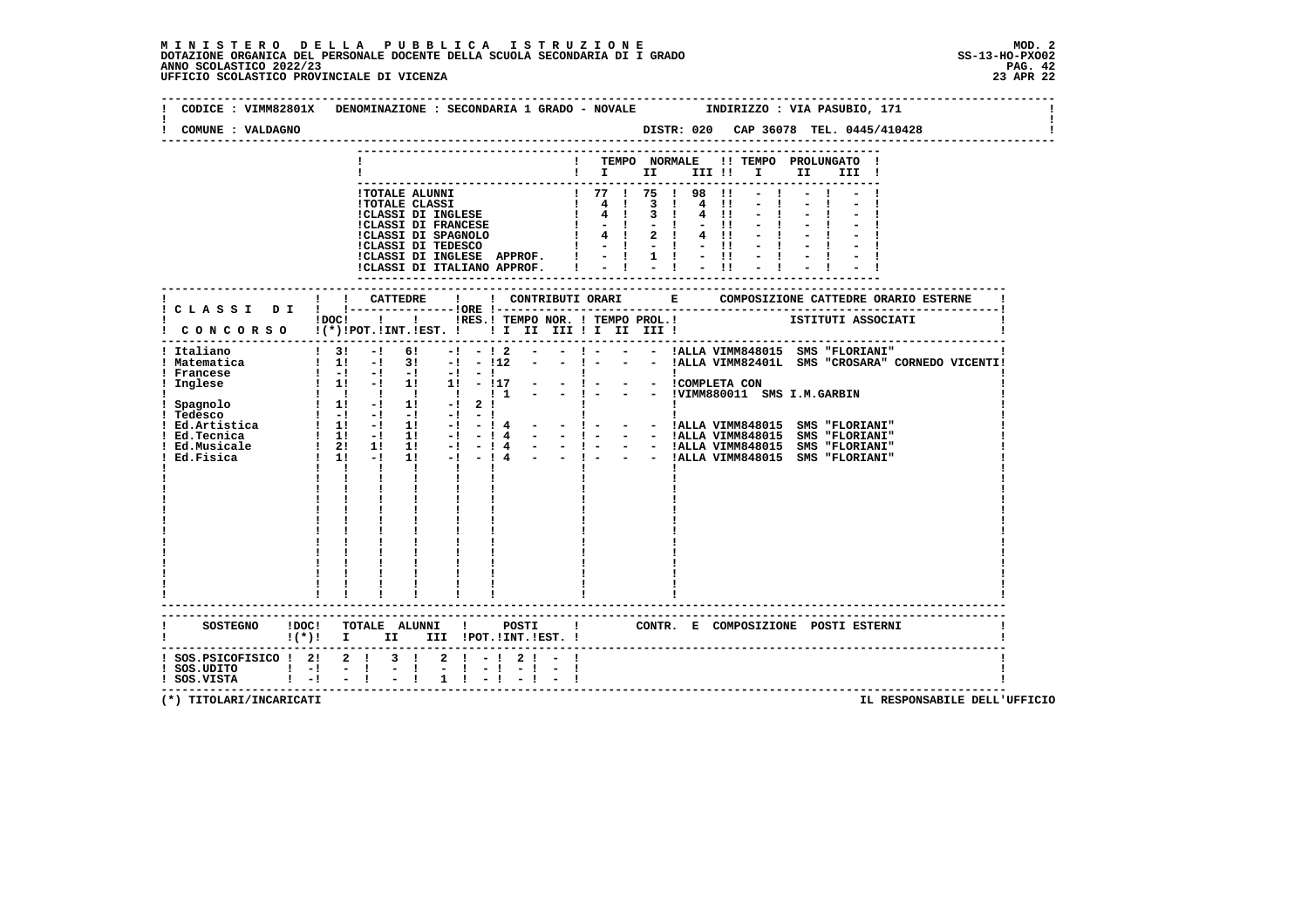| COMUNE : VALDAGNO                                                     | CODICE: VIMM82801X DENOMINAZIONE: SECONDARIA 1 GRADO - NOVALE INDIRIZZO: VIA PASUBIO, 171<br>DISTR: 020 CAP 36078 TEL. 0445/410428                                                                                                                                                                                                                                                                                                                                                                                                                                                                                                           |
|-----------------------------------------------------------------------|----------------------------------------------------------------------------------------------------------------------------------------------------------------------------------------------------------------------------------------------------------------------------------------------------------------------------------------------------------------------------------------------------------------------------------------------------------------------------------------------------------------------------------------------------------------------------------------------------------------------------------------------|
|                                                                       | ! TEMPO NORMALE !! TEMPO PROLUNGATO !<br>$\blacksquare$ $\blacksquare$ $\blacksquare$ $\blacksquare$ $\blacksquare$ $\blacksquare$ $\blacksquare$ $\blacksquare$<br>II I<br>III !                                                                                                                                                                                                                                                                                                                                                                                                                                                            |
|                                                                       | ! 77 ! 75 ! 98<br>$-1$<br>I TOTALE ALUNNI<br>I TOTALE CLASSI<br>I TOTALE CLASSI DI INGLESE<br>I 4 ! 3<br>I CLASSI DI FRANCESE<br>I 4 ! 2<br>I CLASSI DI TEDESCO<br>I 4 ! 2<br>I CLASSI DI TEDESCO<br>I - ! -<br>$\blacksquare$<br>$3 \quad 1$<br>4<br>$\blacksquare$<br>$4 \quad 11$<br>$-11$<br>$4 \quad 11$<br>$-11$<br>!CLASSI DI INGLESE APPROF. $ $ - $ $ 1 ! - !!<br>!CLASSI DI ITALIANO APPROF.   -   -   -                                                                                                                                                                                                                           |
|                                                                       | ISTITUTI ASSOCIATI<br>! !RES.! TEMPO NOR. ! TEMPO PROL.!<br>$1DOCI$ $1$                                                                                                                                                                                                                                                                                                                                                                                                                                                                                                                                                                      |
| ! Italiano<br>! Matematica<br>! Francese<br>! Inglese<br>! Ed.Tecnica | I CONCORSO I(*)IPOT.IINT.IEST. ! ! I II III ! I III III !<br>- ! - - - !ALLA VIMM848015 SMS "FLORIANI"<br>$\frac{1}{3}$<br>$-1$<br>61<br>$-!$ $ 12$ $-$<br>! 1! -! 3! -! - !12 - - ! - - - !ALLA VIMM82401L SMS "CROSARA" CORNEDO VICENTI!<br>$1 - 1 - 1 - 1 - 1 - 1 - 1$<br>- ! - - - !COMPLETA CON<br>- ! - - - !COMPLETA CON<br>- ! - - - !VIMM880011 SMS I.M.GARBIN<br>$1 \quad 11 \quad -1 \quad 11 \quad 11 \quad -117$<br>1 1 1 1 1 1 1 1 1<br> <br>   <br> -   - -  ALLA VIMM848015 SMS "FLORIANI"<br> -   - -  ALLA VIMM848015 SMS "FLORIANI"<br>$\mathbf{1}$ $\mathbf{1}$ $\mathbf{1}$<br><b>Contract Contract</b><br>$\mathbf{I}$ |
|                                                                       | ------------------------<br>$\mathbf{I}$<br>CONTR. E COMPOSIZIONE POSTI_ESTERNI<br>$!(*)!$ I II III !POT.!INT.!EST. !                                                                                                                                                                                                                                                                                                                                                                                                                                                                                                                        |
| $!$ SOS.UDITO $!$ -! -!!<br>! SOS.VISTA ! -! - !                      | $1$ SOS.PSICOFISICO $1$ 2 1 2 1 2 1 - 1 2 1 - 1<br>$-1$<br>$-1 - 1$                                                                                                                                                                                                                                                                                                                                                                                                                                                                                                                                                                          |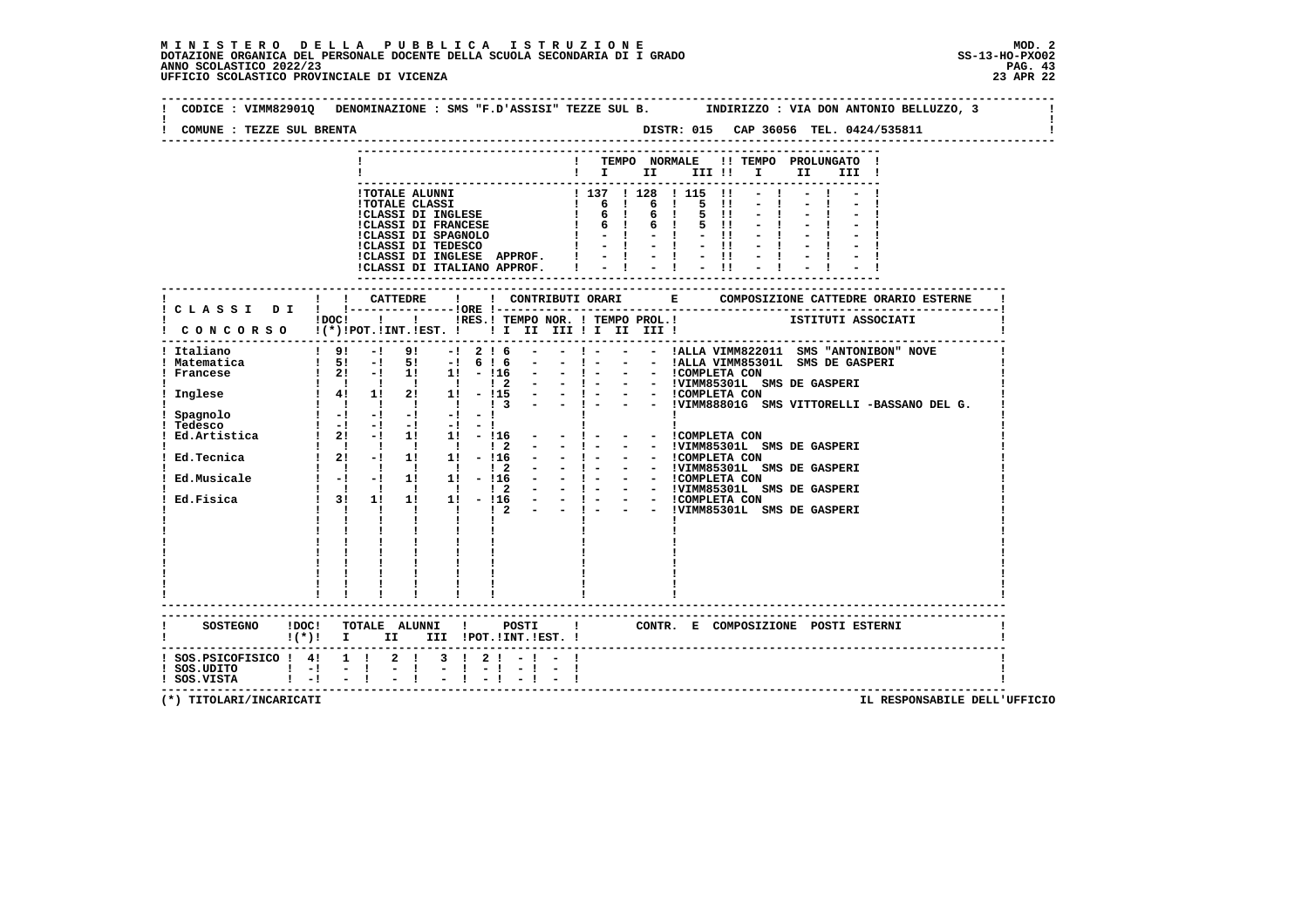| COMUNE : TEZZE SUL BRENTA     |                                                                                                                                                                                                                                                                                                    |  |
|-------------------------------|----------------------------------------------------------------------------------------------------------------------------------------------------------------------------------------------------------------------------------------------------------------------------------------------------|--|
|                               | ! TEMPO NORMALE !! TEMPO PROLUNGATO !<br>!!! II II!!!! II II!!                                                                                                                                                                                                                                     |  |
|                               |                                                                                                                                                                                                                                                                                                    |  |
|                               | !TOTALE ALUNNI<br>!TOTALE CLASSI<br>!CLASSI DI INGLESE<br>! 6 ! 6 ! 5 !!<br>!CLASSI DI INGLESE<br>! 6 ! 6 ! 5 !!<br>!CLASSI DI FRANCESE<br>! 6 ! 6 ! 5 !!<br>!CLASSI DI FRANCESE<br>! - ! - ! - !!<br>!CLASSI DI FRANCESE<br>! - ! - ! - !!<br>!CLASSI                                             |  |
|                               |                                                                                                                                                                                                                                                                                                    |  |
|                               |                                                                                                                                                                                                                                                                                                    |  |
|                               |                                                                                                                                                                                                                                                                                                    |  |
|                               | !CLASSI DI INGLESE APPROF. !<br>$\frac{1}{2}$ $\frac{1}{2}$ $\frac{1}{2}$ $\frac{1}{2}$ $\frac{1}{2}$ $\frac{11}{11}$ $\frac{11}{2}$ $\frac{11}{11}$                                                                                                                                               |  |
|                               | !CLASSI DI ITALIANO APPROF.                                                                                                                                                                                                                                                                        |  |
|                               |                                                                                                                                                                                                                                                                                                    |  |
|                               |                                                                                                                                                                                                                                                                                                    |  |
|                               | iDOCI ! ! IRES. I TEMPO NOR. ! TEMPO PROL. !       ISTITUTI ASSOCIATI                                                                                                                                                                                                                              |  |
|                               |                                                                                                                                                                                                                                                                                                    |  |
| Italiano                      | $9! - 9! - 1216$<br>- ! - - - !ALLA VIMM822011 SMS "ANTONIBON" NOVE<br>$\sim$ 100 $\mu$                                                                                                                                                                                                            |  |
| ! Matematica                  | $1\quad 51\quad -1\quad 51\quad -1\quad 6\quad 1\quad 6$                                                                                                                                                                                                                                           |  |
| ! Francese                    | $\frac{1}{2!}$ - $\frac{1}{1!}$ $\frac{1}{1!}$ - $\frac{1}{1!}$ - $\frac{1}{1!}$ - $\frac{1}{1!}$ - $\frac{1}{1!}$ - $\frac{1}{1!}$ - $\frac{1}{1!}$ - $\frac{1}{1!}$ - $\frac{1}{1!}$ - $\frac{1}{1!}$ - $\frac{1}{1!}$ - $\frac{1}{1!}$ - $\frac{1}{1!}$ - $\frac{1}{1!}$ - $\frac{1}{1!}$ - $\$ |  |
| Inglese                       |                                                                                                                                                                                                                                                                                                    |  |
|                               |                                                                                                                                                                                                                                                                                                    |  |
| Spagnolo                      | $\alpha = \frac{1}{1-\alpha}$<br>$\mathbf{I}$                                                                                                                                                                                                                                                      |  |
| Tedesco                       | $1 - 1 - 1 - 1 - 1 - 1 - 1$<br>Ed. Artistica $\begin{array}{ccccccccc} 1 & 2 & -1 & 1 & 1 & -16 & - & - & 1 \end{array}$<br>- - COMPLETA CON                                                                                                                                                       |  |
|                               | 1 1 1 1 1 1 1 2 - - 1 -<br>- - !VIMM85301L SMS DE GASPERI                                                                                                                                                                                                                                          |  |
|                               | Ed. Tecnica $1 \t2! -1 \t1! -11 -116 - -1 -$<br>- - ICOMPLETA CON                                                                                                                                                                                                                                  |  |
| Ed.Musicale                   | $\begin{array}{ccccccccc} 1 & 1 & 1 & 1 & 1 & 1 & 2 \\ 1 & -1 & -1 & 11 & 11 & -116 \end{array}$                                                                                                                                                                                                   |  |
|                               |                                                                                                                                                                                                                                                                                                    |  |
| Ed.Fisica                     | $\begin{array}{ccccccccc}\n1 & 1 & 1 & 2 & - & - & 1 & - & 1 \\ 11 & 11 & - & 116 & - & - & 1 & - & 1 \\ 11 & 11 & - & 12 & - & - & 1 & - & 1\n\end{array}$<br>$\begin{array}{cccc} & 1 & 1 & 1 \\ 1 & 31 & 11 \end{array}$                                                                        |  |
|                               | $1 \quad 1 \quad 1$<br>$\mathbf{I}$ and $\mathbf{I}$ and $\mathbf{I}$                                                                                                                                                                                                                              |  |
|                               | $1 - 1$<br>$\mathbf{I}$                                                                                                                                                                                                                                                                            |  |
|                               |                                                                                                                                                                                                                                                                                                    |  |
|                               |                                                                                                                                                                                                                                                                                                    |  |
|                               |                                                                                                                                                                                                                                                                                                    |  |
|                               |                                                                                                                                                                                                                                                                                                    |  |
|                               |                                                                                                                                                                                                                                                                                                    |  |
|                               |                                                                                                                                                                                                                                                                                                    |  |
|                               | SOSTEGNO ! DOC! TOTALE ALUNNI ! POSTI ! CONTR. E COMPOSIZIONE POSTI ESTERNI                                                                                                                                                                                                                        |  |
|                               | !(*)! I II III !POT.!INT.!EST.!                                                                                                                                                                                                                                                                    |  |
|                               | $1$ SOS.PSICOFISICO $1$ 4! 1 ! 2 ! 3 ! 2 ! - ! - !                                                                                                                                                                                                                                                 |  |
| $!$ SOS.UDITO $!$ - $!$ - $!$ | $-1$<br>$-1 - 1$<br>$-1 - 1$                                                                                                                                                                                                                                                                       |  |
| $!$ SOS.VISTA $!$ $-!$ $-$ !  |                                                                                                                                                                                                                                                                                                    |  |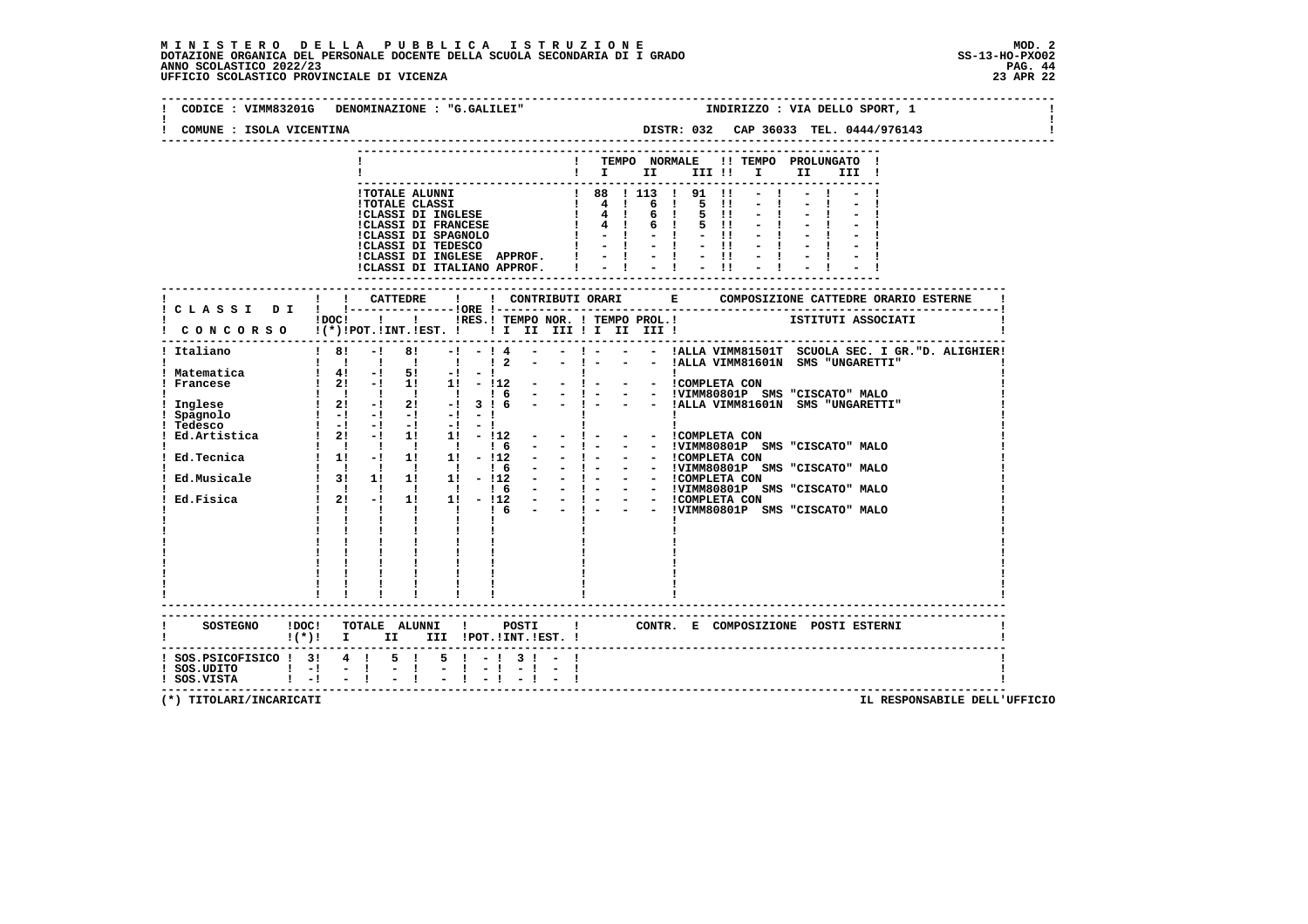| COMUNE : ISOLA VICENTINA         | CODICE : VIMM83201G DENOMINAZIONE : "G.GALILEI"<br>INDIRIZZO : VIA DELLO SPORT, 1                                                                                                                                                                                                                                                                                                                                                             |
|----------------------------------|-----------------------------------------------------------------------------------------------------------------------------------------------------------------------------------------------------------------------------------------------------------------------------------------------------------------------------------------------------------------------------------------------------------------------------------------------|
|                                  |                                                                                                                                                                                                                                                                                                                                                                                                                                               |
|                                  | ! TEMPO NORMALE !! TEMPO PROLUNGATO !                                                                                                                                                                                                                                                                                                                                                                                                         |
|                                  | $\blacksquare$ $\blacksquare$ $\blacksquare$ $\blacksquare$ $\blacksquare$ $\blacksquare$ $\blacksquare$ $\blacksquare$<br>II<br>III !                                                                                                                                                                                                                                                                                                        |
|                                  |                                                                                                                                                                                                                                                                                                                                                                                                                                               |
|                                  |                                                                                                                                                                                                                                                                                                                                                                                                                                               |
|                                  |                                                                                                                                                                                                                                                                                                                                                                                                                                               |
|                                  |                                                                                                                                                                                                                                                                                                                                                                                                                                               |
|                                  |                                                                                                                                                                                                                                                                                                                                                                                                                                               |
|                                  | !CLASSI DI INGLESE APPROF. !                                                                                                                                                                                                                                                                                                                                                                                                                  |
|                                  | $\frac{1}{2}$ $\frac{1}{2}$ $\frac{1}{2}$ $\frac{1}{2}$ $\frac{1}{2}$ $\frac{1}{2}$ $\frac{1}{2}$ $\frac{1}{2}$<br>!CLASSI DI ITALIANO APPROF.                                                                                                                                                                                                                                                                                                |
|                                  |                                                                                                                                                                                                                                                                                                                                                                                                                                               |
|                                  |                                                                                                                                                                                                                                                                                                                                                                                                                                               |
|                                  |                                                                                                                                                                                                                                                                                                                                                                                                                                               |
|                                  | ISTITUTI ASSOCIATI<br>!DOC! ! ! !RES.! TEMPO NOR. ! TEMPO PROL.!                                                                                                                                                                                                                                                                                                                                                                              |
|                                  | ! CONCORSO !(*)!POT.!INT.!EST. ! ! I III III II III !                                                                                                                                                                                                                                                                                                                                                                                         |
| ! Italiano                       | $18! - 18!$<br>-! - ! 4 - - ! - - - !ALLA VIMM81501T SCUOLA SEC. I GR. "D. ALIGHIER!                                                                                                                                                                                                                                                                                                                                                          |
|                                  | - ! - - - !ALLA VIMM81601N SMS "UNGARETTI"<br>$\begin{array}{ccccccccccccccccc}\n1 & 1 & 1 & 1 & 1 & 1\n\end{array}$<br>$\frac{1}{2}$                                                                                                                                                                                                                                                                                                         |
| ! Matematica                     | $1 \t4! -1 \t5! -1 -1$<br>$\mathbf{I}$                                                                                                                                                                                                                                                                                                                                                                                                        |
| ! Francese                       | : 21 - 11 11 - 112 - - 1 - - - ICOMPLETACON<br>1 1 1 1 1 1 16 - - 1 - - IVIMM80801P SMS "CISCATO" MALO<br>1 21 - 1 21 - 1 3 1 6 - - 1 - - - IALLA VIMM81601N SMS "UNGARETI"                                                                                                                                                                                                                                                                   |
|                                  |                                                                                                                                                                                                                                                                                                                                                                                                                                               |
| ! Inglese                        | $1 - 1 = 1 - -1 = -1 = -1 = 1$<br><b>Contract Contract</b>                                                                                                                                                                                                                                                                                                                                                                                    |
| Spagnolo<br>Tadaana<br>! Tedesco | $\alpha = 1$ , $\frac{1}{2}$ , $\frac{1}{2}$                                                                                                                                                                                                                                                                                                                                                                                                  |
|                                  | - - ICOMPLETA CON                                                                                                                                                                                                                                                                                                                                                                                                                             |
|                                  | - - !VIMM80801P SMS "CISCATO" MALO                                                                                                                                                                                                                                                                                                                                                                                                            |
|                                  |                                                                                                                                                                                                                                                                                                                                                                                                                                               |
|                                  | $\begin{array}{ccccccccc} 1 & 1 & 1 & 1 & 1 & 1 & 6 \\ 1 & 31 & 11 & 11 & 11 & -112 \end{array}$                                                                                                                                                                                                                                                                                                                                              |
| Ed.Musicale                      |                                                                                                                                                                                                                                                                                                                                                                                                                                               |
| Ed.Fisica                        | $  1 -$                                                                                                                                                                                                                                                                                                                                                                                                                                       |
|                                  |                                                                                                                                                                                                                                                                                                                                                                                                                                               |
|                                  | - 1 - - - 1 VIMMBOBOLP SMS "CISCATO" MALO<br>- 1 - - - 1 VIMMBOBOLP SMS "CISCATO" MALO<br>- 1 - - - 1 COMPLETA CON<br>- 1 - - - 1 VIMMBOBOLP SMS "CISCATO" MALO<br>- 1 - - - 1 VIMMBOBOLP SMS "CISCATO" MALO<br>- 1 - - - 1 VIMMBOBOLP SMS "C<br>$\begin{array}{cccccccc} 1 & 1 & 1 & 1 & 1 & 1 & 1 & 1 \\ 1 & 1 & 1 & 1 & 1 & 1 & 1 \\ 1 & 2 & -1 & 11 & 1 & 1 & 1 \\ 1 & 1 & 1 & 1 & 1 & 1 & 1 \\ 1 & 1 & 1 & 1 & 1 & 1 & 1 \\ \end{array}$ |
|                                  |                                                                                                                                                                                                                                                                                                                                                                                                                                               |
|                                  | $\frac{1}{1}$ $\frac{1}{1}$ $\frac{1}{1}$                                                                                                                                                                                                                                                                                                                                                                                                     |
|                                  |                                                                                                                                                                                                                                                                                                                                                                                                                                               |
|                                  |                                                                                                                                                                                                                                                                                                                                                                                                                                               |
|                                  |                                                                                                                                                                                                                                                                                                                                                                                                                                               |
|                                  |                                                                                                                                                                                                                                                                                                                                                                                                                                               |
|                                  | ------------------------                                                                                                                                                                                                                                                                                                                                                                                                                      |
|                                  |                                                                                                                                                                                                                                                                                                                                                                                                                                               |
|                                  | SOSTEGNO IDOC! TOTALE ALUNNI ! POSTI ! CONTR. E COMPOSIZIONE POSTI ESTERNI<br>$!(*)!$ I II III !POT.!INT.!EST. !                                                                                                                                                                                                                                                                                                                              |
|                                  |                                                                                                                                                                                                                                                                                                                                                                                                                                               |
|                                  | $1$ SOS.PSICOFISICO $1$ 3! 4 ! 5 ! 5 ! - ! 3 ! -                                                                                                                                                                                                                                                                                                                                                                                              |
| $!$ SOS.UDITO $!$ - $!$ - $!$    | $-1$                                                                                                                                                                                                                                                                                                                                                                                                                                          |
| $!$ SOS.VISTA $!$ -! -!          |                                                                                                                                                                                                                                                                                                                                                                                                                                               |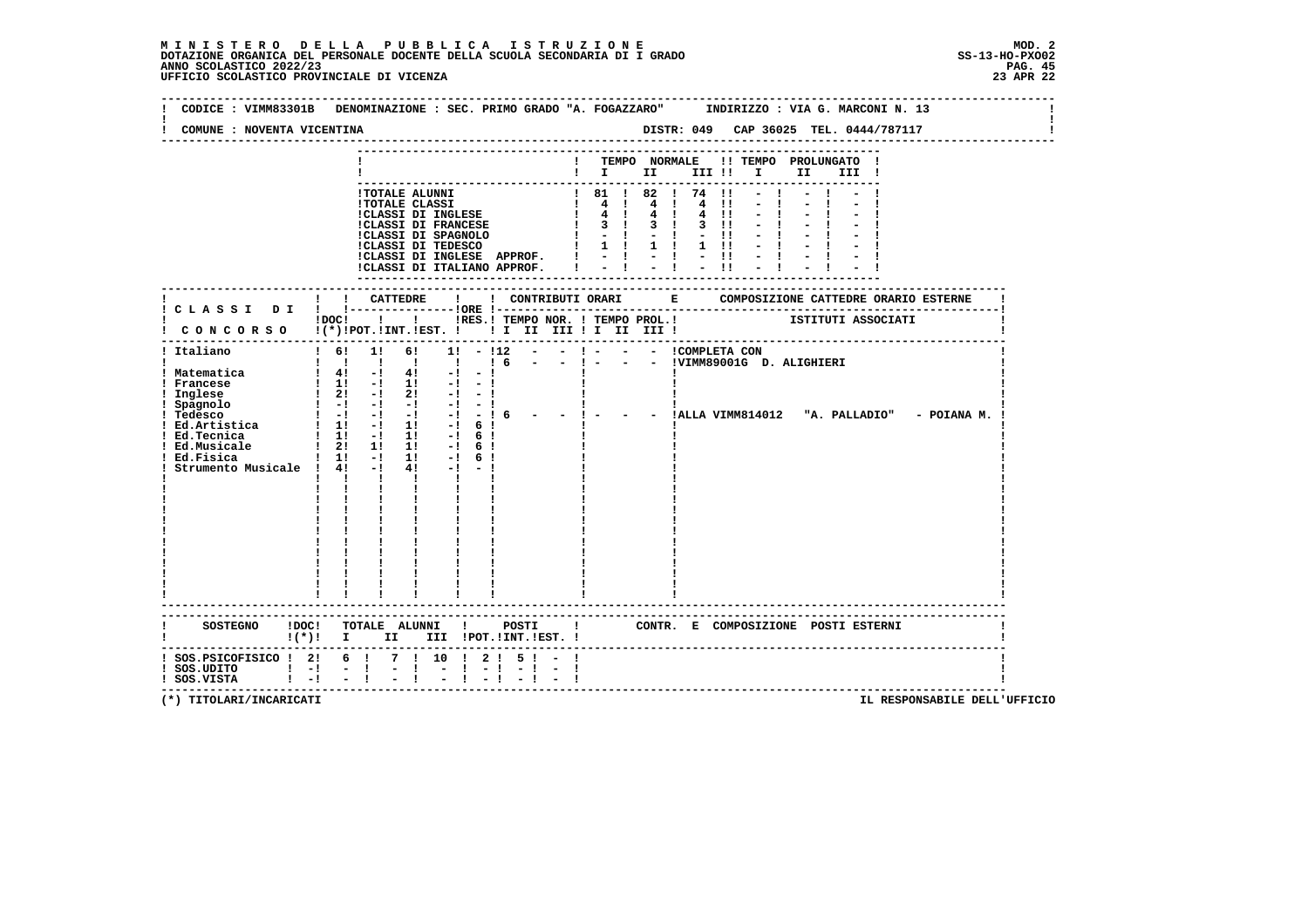| COMUNE : NOVENTA VICENTINA                                                 |                                     |                                                |              |                                                                                                                                     |                                       |              |  |                   |  |  |  |                                       |                                                               |                                                      |  |
|----------------------------------------------------------------------------|-------------------------------------|------------------------------------------------|--------------|-------------------------------------------------------------------------------------------------------------------------------------|---------------------------------------|--------------|--|-------------------|--|--|--|---------------------------------------|---------------------------------------------------------------|------------------------------------------------------|--|
|                                                                            |                                     |                                                |              |                                                                                                                                     |                                       |              |  |                   |  |  |  |                                       |                                                               |                                                      |  |
|                                                                            |                                     |                                                |              |                                                                                                                                     |                                       |              |  |                   |  |  |  | ! TEMPO NORMALE !! TEMPO PROLUNGATO ! |                                                               |                                                      |  |
|                                                                            |                                     |                                                |              |                                                                                                                                     |                                       |              |  |                   |  |  |  | $\blacksquare$                        |                                                               |                                                      |  |
|                                                                            |                                     |                                                |              |                                                                                                                                     |                                       |              |  |                   |  |  |  |                                       |                                                               |                                                      |  |
|                                                                            |                                     |                                                |              | !TOTALE ALUNNI                                                                                                                      |                                       |              |  | ! 81 ! 82 ! 74 !1 |  |  |  |                                       |                                                               |                                                      |  |
|                                                                            |                                     |                                                |              |                                                                                                                                     |                                       |              |  |                   |  |  |  |                                       |                                                               |                                                      |  |
|                                                                            |                                     |                                                |              |                                                                                                                                     |                                       |              |  |                   |  |  |  |                                       |                                                               |                                                      |  |
|                                                                            |                                     |                                                |              |                                                                                                                                     |                                       |              |  |                   |  |  |  |                                       |                                                               |                                                      |  |
|                                                                            |                                     |                                                |              |                                                                                                                                     |                                       |              |  |                   |  |  |  |                                       |                                                               |                                                      |  |
|                                                                            |                                     |                                                |              |                                                                                                                                     |                                       |              |  |                   |  |  |  |                                       |                                                               |                                                      |  |
|                                                                            |                                     |                                                |              | CLASSI DI INGLESE APPROF.<br>ICLASSI DI INGLESE APPROF.<br>I - I - II - II                                                          |                                       |              |  |                   |  |  |  |                                       |                                                               |                                                      |  |
|                                                                            |                                     |                                                |              |                                                                                                                                     |                                       |              |  |                   |  |  |  |                                       |                                                               |                                                      |  |
|                                                                            |                                     |                                                |              |                                                                                                                                     |                                       |              |  |                   |  |  |  |                                       |                                                               |                                                      |  |
|                                                                            |                                     |                                                |              |                                                                                                                                     |                                       |              |  |                   |  |  |  |                                       |                                                               |                                                      |  |
|                                                                            |                                     |                                                |              |                                                                                                                                     |                                       |              |  |                   |  |  |  |                                       |                                                               |                                                      |  |
|                                                                            |                                     |                                                |              |                                                                                                                                     |                                       |              |  |                   |  |  |  |                                       | IDOCI ! IRES. I TEMPO NOR. I TEMPO PROL. ! ISTITUTI ASSOCIATI |                                                      |  |
| CONCORSO !(*)!POT.!INT.!EST. !!!!!!!!!!!!!!!!                              |                                     |                                                |              |                                                                                                                                     |                                       |              |  |                   |  |  |  |                                       |                                                               |                                                      |  |
| ! Italiano                                                                 | $1 \t6! \t1!$                       |                                                |              | 6!                                                                                                                                  | $1! - 112 - - 1 - - - 1$ COMPLETA CON |              |  |                   |  |  |  |                                       |                                                               |                                                      |  |
|                                                                            |                                     |                                                |              | 1 1 1 1 1 1 1 6                                                                                                                     |                                       |              |  |                   |  |  |  | - - ! - - - !VIMM89001G D. ALIGHIERI  |                                                               |                                                      |  |
| ! Matematica                                                               |                                     |                                                |              | $1 \quad 4! \quad -1 \quad 4! \quad -1 \quad -1$                                                                                    |                                       |              |  |                   |  |  |  |                                       |                                                               |                                                      |  |
| ! Francese                                                                 |                                     |                                                |              |                                                                                                                                     |                                       |              |  |                   |  |  |  |                                       |                                                               |                                                      |  |
| ! Inglese                                                                  |                                     |                                                |              | $\begin{array}{ccccccccc} & 1 & 11 & -1 & 11 & -1 & -1 \\ & 1 & 21 & -1 & 21 & -1 & -1 \\ & 1 & -1 & -1 & -1 & -1 & -1 \end{array}$ |                                       |              |  |                   |  |  |  |                                       |                                                               |                                                      |  |
|                                                                            |                                     |                                                |              |                                                                                                                                     | $-1 - -1$                             |              |  |                   |  |  |  |                                       |                                                               |                                                      |  |
|                                                                            |                                     |                                                |              |                                                                                                                                     | $-! - 16$                             |              |  |                   |  |  |  |                                       |                                                               | - ! - - - !ALLA VIMM814012 "A. PALLADIO" - POIANA M. |  |
|                                                                            |                                     |                                                |              |                                                                                                                                     | $-!$ 6 !                              |              |  |                   |  |  |  |                                       |                                                               |                                                      |  |
| ! Ed.Tecnica                                                               | $\frac{1}{1!}$ 1! $\frac{1}{1!}$ 1! |                                                |              |                                                                                                                                     | $-1$ 6 1                              |              |  |                   |  |  |  |                                       |                                                               |                                                      |  |
| Ed.Musicale                                                                | $\frac{1}{2!}$ 1: 1:                |                                                |              |                                                                                                                                     | $-1$ 6 1                              |              |  |                   |  |  |  |                                       |                                                               |                                                      |  |
| Ed.Fisica                                                                  | $1 \t11 - 1 \t11$                   |                                                |              |                                                                                                                                     | $-!$ 6!                               |              |  |                   |  |  |  |                                       |                                                               |                                                      |  |
| Strumento Musicale ! 4! -!                                                 |                                     |                                                |              | 4 !                                                                                                                                 | $-1$                                  |              |  |                   |  |  |  |                                       |                                                               |                                                      |  |
|                                                                            |                                     | $\mathbf{I}$ and $\mathbf{I}$ and $\mathbf{I}$ |              |                                                                                                                                     |                                       |              |  |                   |  |  |  |                                       |                                                               |                                                      |  |
|                                                                            |                                     |                                                | $\mathbf{I}$ | $\mathbf{I}$ and $\mathbf{I}$                                                                                                       |                                       |              |  |                   |  |  |  |                                       |                                                               |                                                      |  |
|                                                                            |                                     |                                                |              |                                                                                                                                     |                                       |              |  |                   |  |  |  |                                       |                                                               |                                                      |  |
|                                                                            |                                     |                                                |              |                                                                                                                                     |                                       |              |  |                   |  |  |  |                                       |                                                               |                                                      |  |
|                                                                            |                                     |                                                |              |                                                                                                                                     |                                       |              |  |                   |  |  |  |                                       |                                                               |                                                      |  |
|                                                                            |                                     |                                                |              |                                                                                                                                     |                                       |              |  |                   |  |  |  |                                       |                                                               |                                                      |  |
|                                                                            |                                     |                                                |              |                                                                                                                                     |                                       |              |  |                   |  |  |  |                                       |                                                               |                                                      |  |
|                                                                            |                                     |                                                |              |                                                                                                                                     |                                       |              |  |                   |  |  |  |                                       |                                                               |                                                      |  |
|                                                                            |                                     |                                                |              |                                                                                                                                     |                                       |              |  |                   |  |  |  |                                       |                                                               |                                                      |  |
|                                                                            |                                     |                                                |              |                                                                                                                                     |                                       |              |  |                   |  |  |  |                                       |                                                               |                                                      |  |
|                                                                            |                                     |                                                |              |                                                                                                                                     |                                       |              |  |                   |  |  |  |                                       |                                                               |                                                      |  |
|                                                                            |                                     |                                                |              |                                                                                                                                     |                                       |              |  |                   |  |  |  |                                       |                                                               |                                                      |  |
|                                                                            |                                     |                                                |              |                                                                                                                                     |                                       |              |  |                   |  |  |  |                                       |                                                               |                                                      |  |
| SOSTEGNO !DOC! TOTALE ALUNNI ! POSTI ! CONTR. E COMPOSIZIONE POSTI ESTERNI |                                     |                                                |              |                                                                                                                                     |                                       |              |  |                   |  |  |  |                                       |                                                               |                                                      |  |
| $(*)!$ I                                                                   |                                     |                                                |              | II III !POT.!INT.!EST. !                                                                                                            |                                       |              |  |                   |  |  |  |                                       |                                                               |                                                      |  |
|                                                                            |                                     |                                                |              |                                                                                                                                     |                                       |              |  |                   |  |  |  |                                       |                                                               |                                                      |  |
| ! SOS.PSICOFISICO ! 2! 6 ! 7 ! 10 ! 2 ! 5 ! - !                            |                                     |                                                |              |                                                                                                                                     |                                       |              |  |                   |  |  |  |                                       |                                                               |                                                      |  |
|                                                                            |                                     |                                                |              |                                                                                                                                     | $-1$                                  | $-1 - 1 - 1$ |  |                   |  |  |  |                                       |                                                               |                                                      |  |
| ! SOS.UDITO ! -! - !<br>! SOS.VISTA ! -! - !                               |                                     |                                                | 1 中国         |                                                                                                                                     |                                       |              |  |                   |  |  |  |                                       |                                                               |                                                      |  |
|                                                                            |                                     |                                                |              |                                                                                                                                     |                                       |              |  |                   |  |  |  |                                       |                                                               | --------------------------------------               |  |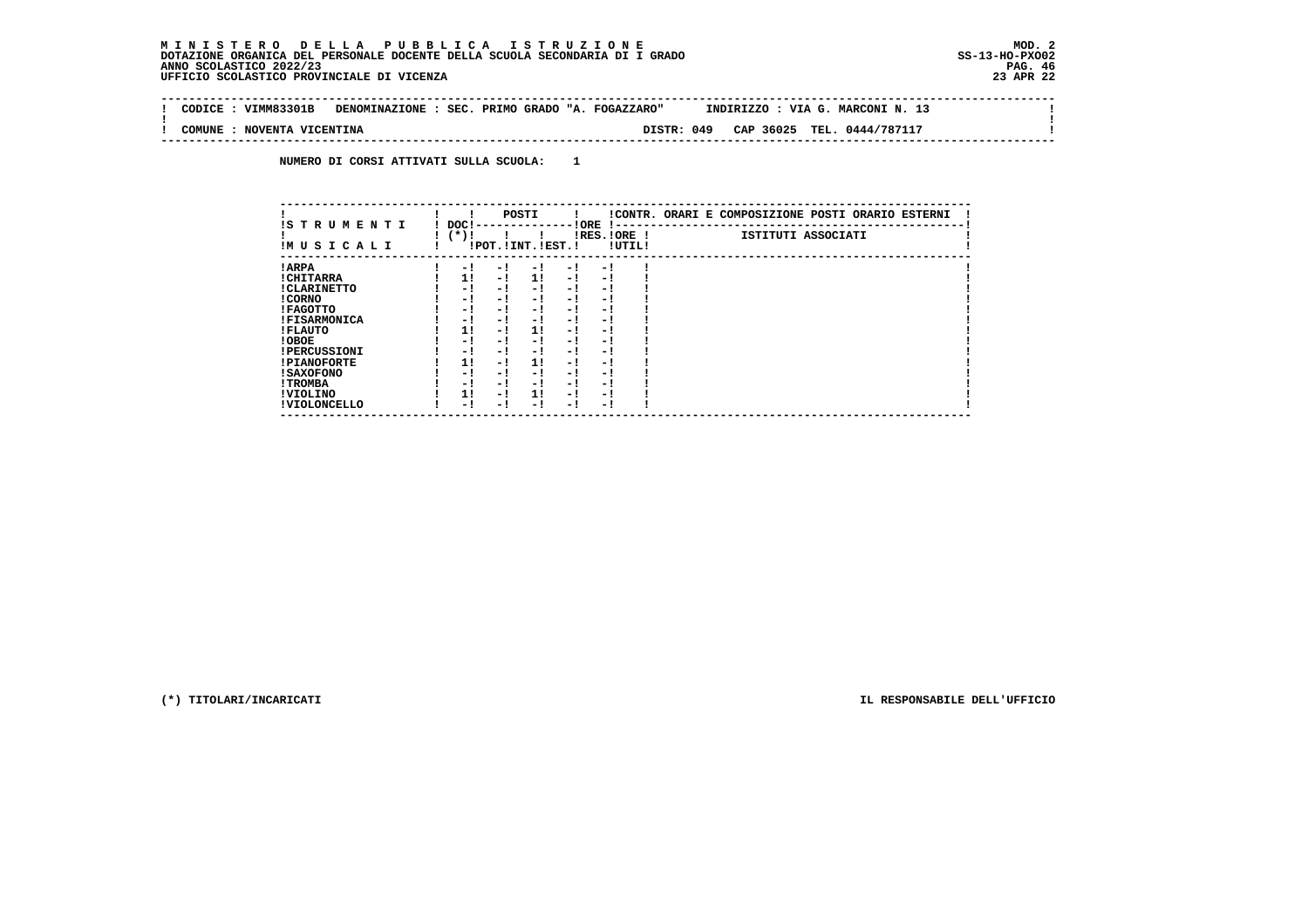#### **M I N I S T E R O D E L L A P U B B L I C A I S T R U Z I O N E MOD. 2DOTAZIONE ORGANICA DEL PERSONALE DOCENTE DELLA SCUOLA SECONDARIA DI I GRADO ANNO SCOLASTICO 2022/23 UFFICIO SCOLASTICO PROVINCIALE DI VICENZA 23 APR 22**

 $\sim$ 

 $\mathbf{I}$ 

 $\mathbf{I}$ 

 **-------------------------------------------------------------------------------------------------------------------------------- ! CODICE : VIMM83301B DENOMINAZIONE : SEC. PRIMO GRADO "A. FOGAZZARO" INDIRIZZO : VIA G. MARCONI N. 13 ! ! ! ! COMUNE : NOVENTA VICENTINA DISTR: 049 CAP 36025 TEL. 0444/787117 ! --------------------------------------------------------------------------------------------------------------------------------**

 **NUMERO DI CORSI ATTIVATI SULLA SCUOLA: 1**

| IS TRUMENTI         |                  |     | POSTI                 |     |                       |        | !CONTR. ORARI E COMPOSIZIONE POSTI ORARIO ESTERNI |
|---------------------|------------------|-----|-----------------------|-----|-----------------------|--------|---------------------------------------------------|
| IMUSICALI           | DOC !<br>( * ) ! |     | !POT. ! INT. ! EST. ! |     | ! ORE<br>IRES. IORE ! | !UTIL! | ISTITUTI ASSOCIATI                                |
| ! ARPA              | $-1$             | - 1 | - 1                   | - 1 | - 1                   |        |                                                   |
| ! CHITARRA          | 11               | - ! | 11                    | - 1 | - 1                   |        |                                                   |
| ! CLARINETTO        | - 1              | - ! | - 1                   | - 1 | - 1                   |        |                                                   |
| ! CORNO             | - 1              | - 1 | - 1                   | - 1 | - 1                   |        |                                                   |
| ! FAGOTTO           | - 1              | - ! | - !                   | - 1 | - 1                   |        |                                                   |
| <b>!FISARMONICA</b> | - 1              | - 1 | - 1                   | - 1 | - 1                   |        |                                                   |
| ! FLAUTO            | 1!               | - ! | 1!                    | - ! | - 1                   |        |                                                   |
| ! OBOE              | - 1              | - 1 | - !                   | - 1 | - 1                   |        |                                                   |
| <b>!PERCUSSIONI</b> | - 1              | - 1 | - 1                   | - 1 | - 1                   |        |                                                   |
| <b>!PIANOFORTE</b>  | 1!               | - ! | 1!                    | - ! | - 1                   |        |                                                   |
| <b>! SAXOFONO</b>   | - 1              | - 1 | - !                   | - 1 | - 1                   |        |                                                   |
| ! TROMBA            | - 1              | - 1 | - 1                   | - 1 | - 1                   |        |                                                   |
| ! VIOLINO           | 1!               | - 1 | 11                    | - 1 | - 1                   |        |                                                   |
| ! VIOLONCELLO       | - 1              | - ! | - 1                   | - 1 | - 1                   |        |                                                   |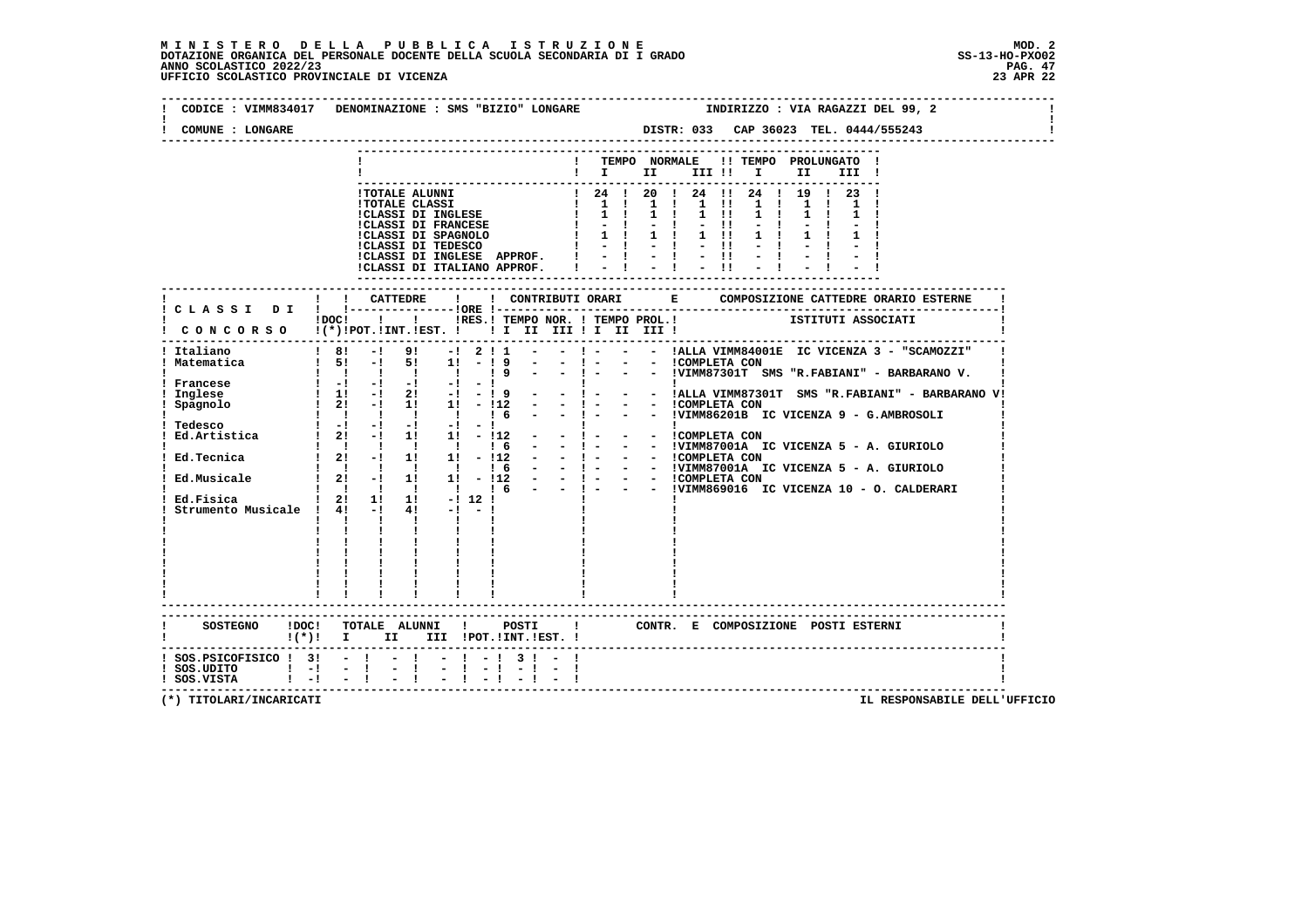### **M I N I S T E R O D E L L A P U B B L I C A I S T R U Z I O N E MOD. 2**DOTAZIONE ORGANICA DEL PERSONALE DOCENTE DELLA SCUOLA SECONDARIA DI I GRADO **SCOLASTICO ANNO SCOLASTICO 2022/23**<br>PAG ANNO SCOLASTICO 2022/23 PAG. 47<br>23 APR 22 UFFICIO SCOLASTICO PROVINCIALE DI VICENZA

| CODICE: VIMM834017<br>COMUNE : LONGARE | DENOMINAZIONE : SMS "BIZIO" LONGARE<br>INDIRIZZO : VIA RAGAZZI DEL 99, 2<br>DISTR: 033 CAP 36023 TEL. 0444/555243                 |
|----------------------------------------|-----------------------------------------------------------------------------------------------------------------------------------|
|                                        |                                                                                                                                   |
|                                        | TEMPO NORMALE<br>!! TEMPO PROLUNGATO !                                                                                            |
|                                        | III !                                                                                                                             |
|                                        |                                                                                                                                   |
|                                        | ! 24 ! 20 ! 24 !! 24 ! 19 ! 23 !<br><b>!TOTALE ALUNNI</b><br>$\frac{1}{2}$ 1 1 1 1 1 1 1 1 1<br><b>!TOTALE CLASSI</b>             |
|                                        | $\mathbf{I}$<br>$1 \quad 1$<br>$1 \quad 1 \quad 1 \quad 11$<br><b>!CLASSI DI INGLESE</b><br>$1 \quad 1$                           |
|                                        | <b>!CLASSI DI FRANCESE</b><br>$\begin{array}{cccccccccc} - & 1 & & - & 1 & & - & 11 \\ 1 & 1 & & 1 & 1 & & 1 & 11 \end{array}$    |
|                                        | !CLASSI DI SPAGNOLO    <br>!CLASSI DI TEDESCO    <br>$1 \quad 1$                                                                  |
|                                        | $-1$ $-11$                                                                                                                        |
|                                        | !CLASSI DI INGLESE APPROF. !<br>$-1 - 1 - 1$                                                                                      |
|                                        | !CLASSI DI ITALIANO APPROF.                                                                                                       |
|                                        | -------------------                                                                                                               |
|                                        |                                                                                                                                   |
|                                        |                                                                                                                                   |
|                                        | $1\,\mathrm{DOC}$ $1\phantom{000}$<br>IRES. I TEMPO NOR. ! TEMPO PROL. ! [STITUTI ASSOCIATI                                       |
|                                        | ! CONCORSO !(*)!POT.!INT.!EST. ! ! I II III ! I III III !                                                                         |
| Italiano                               | - ! - - - !ALLA VIMM84001E IC VICENZA 3 - "SCAMOZZI"<br>$\overline{1}$ 81<br>$-1$ 9! $-1$ 2! 1                                    |
| ! Matematica                           | $-1 -$<br>- - ICOMPLETA CON<br>$15! -15!$ 11<br>$-19$                                                                             |
|                                        | $1 \quad 1 \quad 1 \quad 1$<br>19<br>$\blacksquare$                                                                               |
| Francese                               | $\mathbf{1}$ and $\mathbf{1}$ and $\mathbf{1}$ and $\mathbf{1}$ and $\mathbf{1}$<br>$-1$ and $-1$                                 |
| Inglese                                | !<br> - - ! - -  ALLA VIMM87301T SMS "R.FABIANI" - BARBARANO V!<br>$1 \quad 1! \quad -1 \quad 2! \quad -1 \quad -19$              |
| Spagnolo                               | $\frac{1}{2!}$ - $\frac{1}{2!}$ 1 $\frac{1}{2!}$ - $\frac{1}{2!}$                                                                 |
|                                        | - ! - - - !VIMM86201B IC VICENZA 9 - G.AMBROSOLI                                                                                  |
| ! Tedesco                              | $\mathbf{1}$ and $\mathbf{1}$                                                                                                     |
| Ed.Artistica                           | $! 2! -1 1! 1! -112$<br>- ! - - - ! COMPLETA CON<br>- - !VIMM87001A IC VICENZA 5 - A. GIURIOLO                                    |
| Ed.Tecnica                             | $\begin{array}{cccccccc}\n1 & 1 & 1 & 1 & 1 & 1 & 6 \\ 1 & 21 & -1 & 11 & 11 & -112\n\end{array}$<br>$\sim$ 100 $\mu$             |
|                                        | - 1 - - - ICOMPLETA CON<br>- 1 - - - IVIMM87001A IC VICENZA 5 - A. GIURIOLO                                                       |
|                                        | - 1 - - - ICOMPLETA CON<br>- 1 - - - IVIMM869016 IC VICENZA 10 - O. CALDERARI                                                     |
|                                        | $\frac{1}{1}$ $\frac{1}{1}$ $\frac{1}{6}$<br>$\mathbf{1}$ $\mathbf{1}$ $\mathbf{1}$                                               |
| Ed.Fisica                              | $\frac{1}{2!}$ 2! 1! 1! $\frac{1}{2!}$ 12!                                                                                        |
| Strumento Musicale ! 4! -!             | $4! -1 -1$                                                                                                                        |
|                                        | $\mathbf{I}$<br>$\mathbf{1}$ $\mathbf{1}$<br>$\mathbf{I}$                                                                         |
|                                        | $\mathbf{I}$                                                                                                                      |
|                                        | $\mathbf{1}$ $\mathbf{1}$ $\mathbf{1}$                                                                                            |
|                                        |                                                                                                                                   |
|                                        |                                                                                                                                   |
|                                        |                                                                                                                                   |
|                                        |                                                                                                                                   |
|                                        |                                                                                                                                   |
|                                        |                                                                                                                                   |
|                                        | SOSTEGNO !DOC! TOTALE ALUNNI ! POSTI<br>CONTR. E COMPOSIZIONE POSTI_ESTERNI<br>$\mathbf{I}$<br>$!(*)!$ I II III !POT.!INT.!EST. ! |
|                                        |                                                                                                                                   |
| $!$ SOS. PSICOFISICO $!$ 3! - ! - !    | $-1$ $-1$ 3 $1$ $-$                                                                                                               |
| $!$ SOS.UDITO $!$ -!                   | $-1$<br>$-1$                                                                                                                      |
| $!$ SOS.VISTA $!$ - $!$ - $!$          |                                                                                                                                   |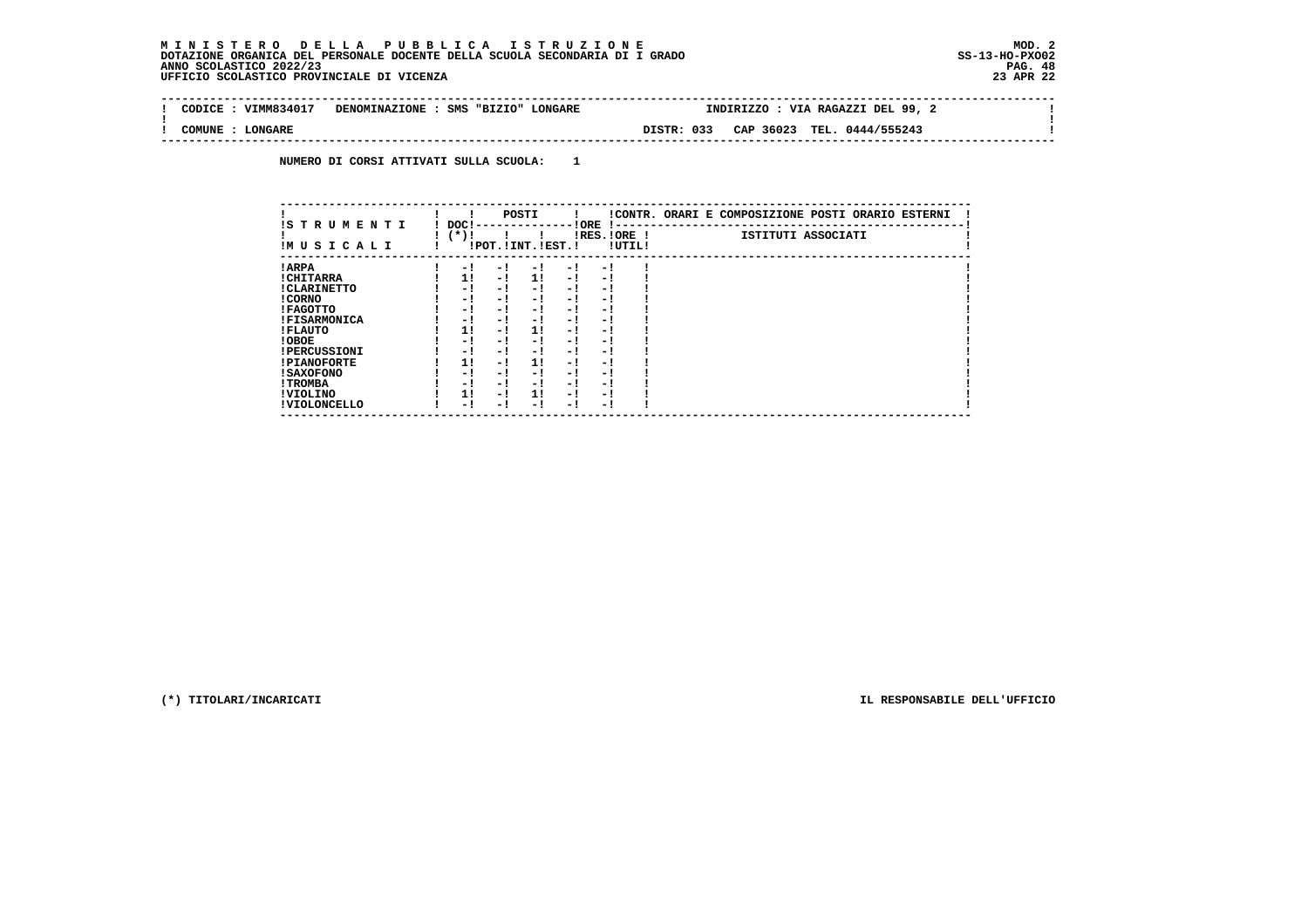## **M I N I S T E R O D E L L A P U B B L I C A I S T R U Z I O N E MOD. 2**DOTAZIONE ORGANICA DEL PERSONALE DOCENTE DELLA SCUOLA SECONDARIA DI I GRADO **SCOLASTICO ANNO SCOLASTICO 2022/23**<br>PAG ANNO SCOLASTICO 2022/23 PAG. 48<br>UFFICIO SCOLASTICO PROVINCIALE DI VICENZA

| CODICE | VIMM834017     | DENOMINAZIONE : SMS "BIZIO" LONGARE |            | INDIRIZZO : VIA RAGAZZI DEL 99, 2 |  |
|--------|----------------|-------------------------------------|------------|-----------------------------------|--|
| COMUNE | <b>LONGARE</b> |                                     | DISTR: 033 | CAP 36023 TEL. 0444/555243        |  |
|        |                |                                     |            |                                   |  |

 **NUMERO DI CORSI ATTIVATI SULLA SCUOLA: 1**

| IS T R U M E N T I  | DOC! |     | POSTI                 |     | ! ORE                    |        | !CONTR. ORARI E COMPOSIZIONE POSTI ORARIO ESTERNI |
|---------------------|------|-----|-----------------------|-----|--------------------------|--------|---------------------------------------------------|
| IMUSICALI           | (*)! |     | !POT. ! INT. ! EST. ! |     | -1 - -<br>$IRES.IORE$ !  | !UTIL! | ISTITUTI ASSOCIATI                                |
| ! ARPA              | - 1  | - 1 | - 1                   | - 1 | - !                      |        |                                                   |
| ! CHITARRA          | 11   | - ! | 11                    | - ! | - 1                      |        |                                                   |
| ! CLARINETTO        | - 1  | - ! | - 1                   | - 1 | - 1                      |        |                                                   |
| ! CORNO             | - 1  | - ! | - 1                   | - 1 | - 1                      |        |                                                   |
| ! FAGOTTO           | - 1  | - ! | - 1                   | - 1 | - 1                      |        |                                                   |
| <b>!FISARMONICA</b> | - 1  | - ! | - !                   | - 1 | - 1                      |        |                                                   |
| ! FLAUTO            | 1!   | - ! | 11                    | - ! | - 1                      |        |                                                   |
| ! OBOE              | - 1  | - ! | - 1                   | - 1 | - 1                      |        |                                                   |
| <b>!PERCUSSIONI</b> | - 1  | - 1 | - 1                   | - 1 | - 1                      |        |                                                   |
| <b>!PIANOFORTE</b>  | 1!   | - 1 | 1!                    | - 1 | - 1                      |        |                                                   |
| ! SAXOFONO          | - 1  | - ! | - !                   | - 1 | $\overline{\phantom{0}}$ |        |                                                   |
| ! TROMBA            | - 1  | - ! | - !                   | - 1 | - 1                      |        |                                                   |
| ! VIOLINO           | 1!   | - 1 | 11                    | - 1 | - 1                      |        |                                                   |
| ! VIOLONCELLO       | - 1  | - 1 | - 1                   | - ! | - 1                      |        |                                                   |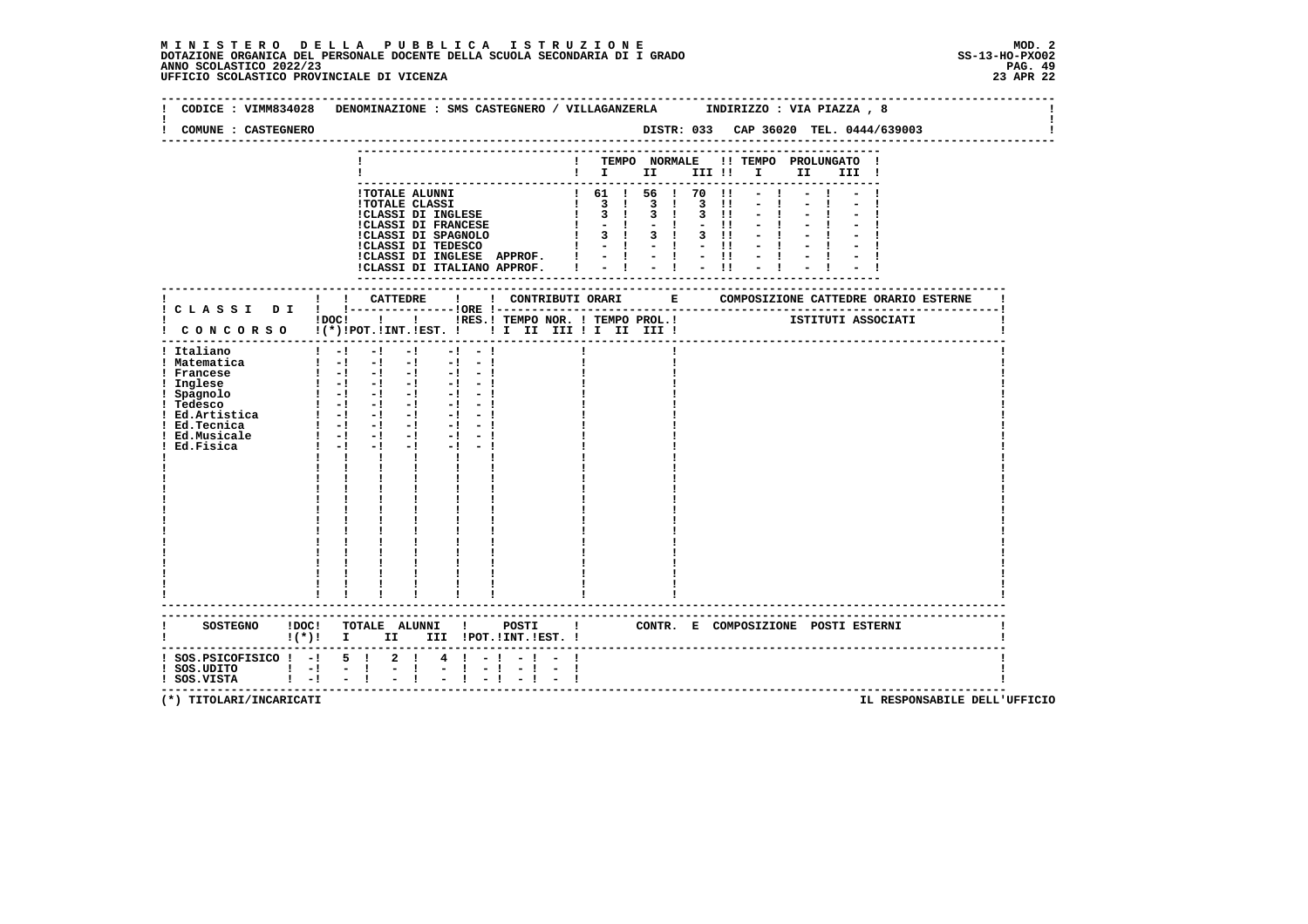### **M I N I S T E R O D E L L A P U B B L I C A I S T R U Z I O N E MOD. 2**DOTAZIONE ORGANICA DEL PERSONALE DOCENTE DELLA SCUOLA SECONDARIA DI I GRADO **SCOLASTICO ANNO SCOLASTICO 2022/23**<br>PAG ANNO SCOLASTICO 2022/23 PAG. 49<br>23 APR 22 UFFICIO SCOLASTICO PROVINCIALE DI VICENZA

| CODICE: VIMM834028                                                       | DENOMINAZIONE : SMS CASTEGNERO / VILLAGANZERLA      INDIRIZZO : VIA PIAZZA , 8                       |                       |                                                                                                                                                                                                                                                                                                         |  |              |  |                    |  |
|--------------------------------------------------------------------------|------------------------------------------------------------------------------------------------------|-----------------------|---------------------------------------------------------------------------------------------------------------------------------------------------------------------------------------------------------------------------------------------------------------------------------------------------------|--|--------------|--|--------------------|--|
| COMUNE : CASTEGNERO                                                      |                                                                                                      |                       |                                                                                                                                                                                                                                                                                                         |  |              |  |                    |  |
|                                                                          |                                                                                                      |                       |                                                                                                                                                                                                                                                                                                         |  |              |  |                    |  |
|                                                                          |                                                                                                      |                       | ! TEMPO NORMALE !! TEMPO PROLUNGATO !<br>$\blacksquare$ $\blacksquare$ $\blacksquare$ $\blacksquare$ $\blacksquare$ $\blacksquare$ $\blacksquare$ $\blacksquare$ $\blacksquare$ $\blacksquare$ $\blacksquare$ $\blacksquare$ $\blacksquare$ $\blacksquare$ $\blacksquare$ $\blacksquare$ $\blacksquare$ |  |              |  |                    |  |
|                                                                          |                                                                                                      |                       |                                                                                                                                                                                                                                                                                                         |  |              |  |                    |  |
|                                                                          | !TOTALE ALUNNI                                                                                       |                       | ! 61 ! 56 ! 70 !1                                                                                                                                                                                                                                                                                       |  |              |  |                    |  |
|                                                                          | <b>!TOTALE CLASSI</b>                                                                                |                       | $\begin{array}{cccccccc}\n1 & 3 & 1 & 3 & 1 & 3 & 11 \\ 1 & 3 & 1 & 3 & 1 & 3 & 11\n\end{array}$                                                                                                                                                                                                        |  |              |  |                    |  |
|                                                                          | !CLASSI DI INGLESE<br>:CLASSI DI INGLESE<br>!CLASSI DI FRANCESE                                      |                       |                                                                                                                                                                                                                                                                                                         |  | $-11$        |  |                    |  |
|                                                                          |                                                                                                      |                       |                                                                                                                                                                                                                                                                                                         |  | $3 \quad 11$ |  |                    |  |
|                                                                          |                                                                                                      |                       |                                                                                                                                                                                                                                                                                                         |  | $-11$        |  |                    |  |
|                                                                          | ICLASSI DI INGLESSE APPROF.<br>ICLASSI DI INGLESSE APPROF.<br>I - ! - ! - !! - !!                    |                       |                                                                                                                                                                                                                                                                                                         |  |              |  |                    |  |
|                                                                          |                                                                                                      |                       |                                                                                                                                                                                                                                                                                                         |  |              |  |                    |  |
|                                                                          |                                                                                                      |                       |                                                                                                                                                                                                                                                                                                         |  |              |  |                    |  |
|                                                                          |                                                                                                      |                       |                                                                                                                                                                                                                                                                                                         |  |              |  |                    |  |
|                                                                          |                                                                                                      |                       |                                                                                                                                                                                                                                                                                                         |  |              |  |                    |  |
|                                                                          | !DOC! ! ! !RES.! TEMPO NOR. ! TEMPO PROL.!                                                           |                       |                                                                                                                                                                                                                                                                                                         |  |              |  | ISTITUTI ASSOCIATI |  |
|                                                                          | ! CONCORSO !(*)!POT.!INT.!EST. ! ! I III III II III II                                               |                       |                                                                                                                                                                                                                                                                                                         |  |              |  |                    |  |
| ! Italiano                                                               | $\mathbf{I}$ and $\mathbf{I}$ and $\mathbf{I}$<br>$-1$<br>$-1$ $-$<br>$-1 - -1$                      |                       |                                                                                                                                                                                                                                                                                                         |  |              |  |                    |  |
| ! Matematica                                                             |                                                                                                      |                       |                                                                                                                                                                                                                                                                                                         |  |              |  |                    |  |
| ! Francese                                                               | $\begin{bmatrix} 1 & -1 & -1 & -1 & -1 & -1 \end{bmatrix}$                                           |                       |                                                                                                                                                                                                                                                                                                         |  |              |  |                    |  |
| ! Inglese                                                                | $\begin{bmatrix} 1 & -1 & -1 & -1 & -1 & -1 \end{bmatrix}$<br>2014년 1월 1일 1월 1일<br>1월 1일 1월 1일 1월 1일 |                       |                                                                                                                                                                                                                                                                                                         |  |              |  |                    |  |
| ! Spagnolo                                                               | $-1 - 1$<br>$1 - 1 - 1 - 1$<br>$-1 - 1$                                                              |                       |                                                                                                                                                                                                                                                                                                         |  |              |  |                    |  |
|                                                                          | $\begin{bmatrix} 1 & -1 & -1 & -1 \end{bmatrix}$<br>$-1 - 1$                                         |                       |                                                                                                                                                                                                                                                                                                         |  |              |  |                    |  |
| : Pressco<br>! Ed.Artistica<br>! Ed.Tecnica                              | $1 - 1 - 1 - 1$<br>$-1 - 1$                                                                          |                       |                                                                                                                                                                                                                                                                                                         |  |              |  |                    |  |
| ! Ed.Musicale                                                            | $\begin{array}{ccccccccccccccccc}\n1 & -1 & -1 & -1 & -1\n\end{array}$                               |                       |                                                                                                                                                                                                                                                                                                         |  |              |  |                    |  |
| Ed.Fisica                                                                | $1 - 1 - 1$<br>$-1$                                                                                  |                       |                                                                                                                                                                                                                                                                                                         |  |              |  |                    |  |
|                                                                          | <b>The Common</b><br>$\mathbf{I}$ and $\mathbf{I}$<br>$\mathbf{I}$ and $\mathbf{I}$                  |                       |                                                                                                                                                                                                                                                                                                         |  |              |  |                    |  |
|                                                                          |                                                                                                      |                       |                                                                                                                                                                                                                                                                                                         |  |              |  |                    |  |
|                                                                          | $\frac{1}{4}$ , $\frac{1}{4}$ , $\frac{1}{4}$                                                        |                       |                                                                                                                                                                                                                                                                                                         |  |              |  |                    |  |
|                                                                          |                                                                                                      |                       |                                                                                                                                                                                                                                                                                                         |  |              |  |                    |  |
|                                                                          |                                                                                                      |                       |                                                                                                                                                                                                                                                                                                         |  |              |  |                    |  |
|                                                                          |                                                                                                      |                       |                                                                                                                                                                                                                                                                                                         |  |              |  |                    |  |
|                                                                          |                                                                                                      |                       |                                                                                                                                                                                                                                                                                                         |  |              |  |                    |  |
|                                                                          |                                                                                                      |                       |                                                                                                                                                                                                                                                                                                         |  |              |  |                    |  |
|                                                                          |                                                                                                      |                       |                                                                                                                                                                                                                                                                                                         |  |              |  |                    |  |
|                                                                          |                                                                                                      |                       |                                                                                                                                                                                                                                                                                                         |  |              |  |                    |  |
|                                                                          |                                                                                                      |                       |                                                                                                                                                                                                                                                                                                         |  |              |  |                    |  |
|                                                                          |                                                                                                      |                       |                                                                                                                                                                                                                                                                                                         |  |              |  |                    |  |
|                                                                          | ----------------------------------                                                                   |                       |                                                                                                                                                                                                                                                                                                         |  |              |  |                    |  |
|                                                                          | SOSTEGNO ! DOC! TOTALE ALUNNI ! POSTI ! CONTR. E COMPOSIZIONE POSTI ESTERNI                          |                       |                                                                                                                                                                                                                                                                                                         |  |              |  |                    |  |
|                                                                          | $!(*)!$ I II III !POT. !INT. !EST. !                                                                 |                       |                                                                                                                                                                                                                                                                                                         |  |              |  |                    |  |
| -----------------------------                                            |                                                                                                      |                       |                                                                                                                                                                                                                                                                                                         |  |              |  |                    |  |
| $!$ SOS.PSICOFISICO $!$ -! 5 !                                           | $2 \quad 1$<br>4                                                                                     |                       |                                                                                                                                                                                                                                                                                                         |  |              |  |                    |  |
| SOS.UDITO   -  -  <br>  SOS.VISTA   -  -  <br>$\mathbf{1}$ $\mathbf{-1}$ | $\frac{1}{2}$<br>$-1$<br>$-1$                                                                        | $-1 - 1$<br>$-1$ $-1$ |                                                                                                                                                                                                                                                                                                         |  |              |  |                    |  |
|                                                                          |                                                                                                      |                       |                                                                                                                                                                                                                                                                                                         |  |              |  |                    |  |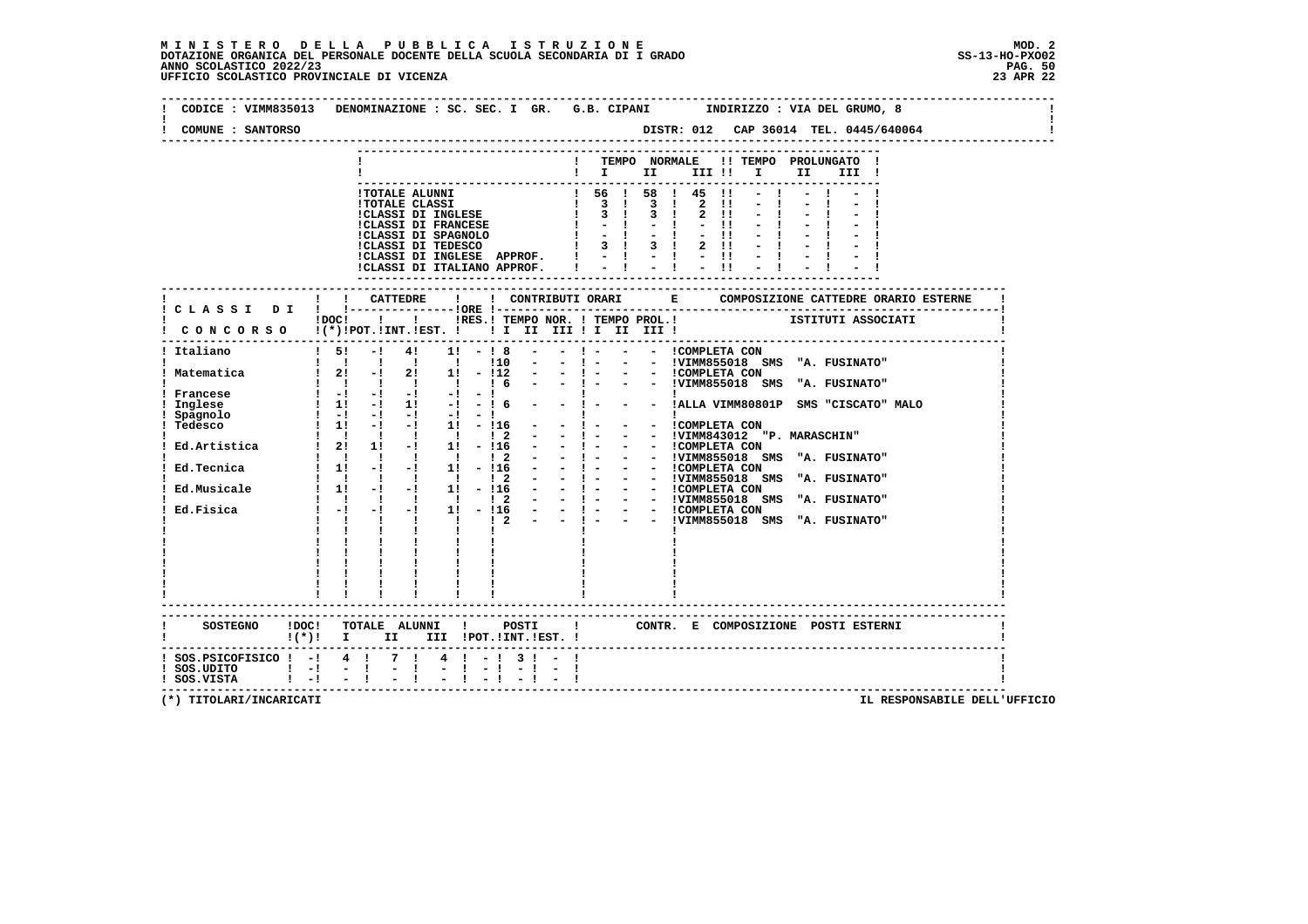### **M I N I S T E R O D E L L A P U B B L I C A I S T R U Z I O N E MOD. 2**DOTAZIONE ORGANICA DEL PERSONALE DOCENTE DELLA SCUOLA SECONDARIA DI I GRADO **SCOLASTICO SCOLASTICO 2022/23 PAG. 50**<br>PAG ANNO SCOLASTICO 2022/23 PAG. 50<br>23 APR 22 UFFICIO SCOLASTICO PROVINCIALE DI VICENZA

 $\mathbf{I}$ 

 $\mathbf{I}$ 

÷i

| CODICE : VIMM835013                                                    | DENOMINAZIONE : SC. SEC. I GR. G.B. CIPANI INDIRIZZO : VIA DEL GRUMO, 8                                                                                                                                                                                      |  |
|------------------------------------------------------------------------|--------------------------------------------------------------------------------------------------------------------------------------------------------------------------------------------------------------------------------------------------------------|--|
| COMUNE : SANTORSO                                                      |                                                                                                                                                                                                                                                              |  |
|                                                                        |                                                                                                                                                                                                                                                              |  |
|                                                                        | TEMPO NORMALE !! TEMPO PROLUNGATO !<br>$\blacksquare$ $\blacksquare$ $\blacksquare$ $\blacksquare$ $\blacksquare$ $\blacksquare$ $\blacksquare$<br>II a<br>III !                                                                                             |  |
|                                                                        |                                                                                                                                                                                                                                                              |  |
|                                                                        | $\begin{array}{ccccccccc} 1 & 56 & 1 & 58 & 1 & 45 & 11 \\ 1 & 3 & 1 & 3 & 1 & 2 & 11 \\ 1 & 3 & 1 & 3 & 1 & 2 & 11 \\ 1 & 3 & 1 & 3 & 1 & 2 & 11 \\ 1 & - & 1 & - & 1 & - & 11 \end{array}$<br>!TOTALE ALUNNI                                               |  |
|                                                                        | $2 \quad 11$<br><b>!TOTALE CLASSI</b>                                                                                                                                                                                                                        |  |
|                                                                        | !TOTALE CLASSI<br>!CLASSI DI INGLESE<br>$2 \quad 11$                                                                                                                                                                                                         |  |
|                                                                        | <b>!CLASSI DI FRANCESE</b><br>$1 - -1$<br>$-11$<br>$-1$<br>$-1$ $-1$                                                                                                                                                                                         |  |
|                                                                        | !CLASSI DI SPAGNOLO<br>!CLASSI DI TEDESCO<br>$1 \quad 3 \quad 1 \quad 3 \quad 1$<br>$2 \quad 11 \quad -1$                                                                                                                                                    |  |
|                                                                        | ICLASSI DI INGLESE APPROF. $1 - 1 - 1 - 11 - 1$<br>ICLASSI DI ITALIANO APPROF. $1 - 1 - 1 - 11 - 1$                                                                                                                                                          |  |
|                                                                        |                                                                                                                                                                                                                                                              |  |
|                                                                        | ---------------------                                                                                                                                                                                                                                        |  |
|                                                                        |                                                                                                                                                                                                                                                              |  |
|                                                                        |                                                                                                                                                                                                                                                              |  |
|                                                                        | $1\,\text{DOC1}$ $1$ $1$<br>!RES.! TEMPO NOR. ! TEMPO PROL.! ISTITUTI ASSOCIATI                                                                                                                                                                              |  |
|                                                                        | CONCORSO !(*)!POT.!INT.!EST. ! ! I II III II III III                                                                                                                                                                                                         |  |
| Italiano                                                               | $1 \quad 51$<br>$-1$<br>41<br>$1! - 18$                                                                                                                                                                                                                      |  |
|                                                                        | ! 10<br>$\sim$<br>- ! - - - !VIMM855018 SMS "A. FUSINATO"                                                                                                                                                                                                    |  |
|                                                                        |                                                                                                                                                                                                                                                              |  |
|                                                                        |                                                                                                                                                                                                                                                              |  |
|                                                                        | $\begin{array}{ccccccccccccc}\n1 & - & - & 1 & \text{MLA VIMM80801P} & \text{SMS} & \text{"CISCATO"} & \text{MALO}\n\end{array}$                                                                                                                             |  |
|                                                                        |                                                                                                                                                                                                                                                              |  |
|                                                                        |                                                                                                                                                                                                                                                              |  |
|                                                                        |                                                                                                                                                                                                                                                              |  |
|                                                                        |                                                                                                                                                                                                                                                              |  |
|                                                                        |                                                                                                                                                                                                                                                              |  |
|                                                                        |                                                                                                                                                                                                                                                              |  |
|                                                                        |                                                                                                                                                                                                                                                              |  |
|                                                                        |                                                                                                                                                                                                                                                              |  |
|                                                                        |                                                                                                                                                                                                                                                              |  |
|                                                                        | 1 Matematica<br>1 Matematica<br>1 Matematica<br>1 Matematica<br>1 Matematica<br>1 Matematica<br>1 Matematica<br>1 Matematica<br>1 Matematica<br>1 Matematica<br>1 Matematica<br>1 Matematica<br>1 Matematica<br>1 Matematica<br>1 Matematica<br>1 Matematica |  |
|                                                                        |                                                                                                                                                                                                                                                              |  |
|                                                                        |                                                                                                                                                                                                                                                              |  |
|                                                                        |                                                                                                                                                                                                                                                              |  |
|                                                                        |                                                                                                                                                                                                                                                              |  |
|                                                                        |                                                                                                                                                                                                                                                              |  |
|                                                                        |                                                                                                                                                                                                                                                              |  |
|                                                                        |                                                                                                                                                                                                                                                              |  |
|                                                                        | CONTR. E COMPOSIZIONE POSTI_ESTERNI                                                                                                                                                                                                                          |  |
|                                                                        | $!(*)!$ I II III !POT.!INT.!EST. !                                                                                                                                                                                                                           |  |
|                                                                        |                                                                                                                                                                                                                                                              |  |
|                                                                        | ! SOS.PSICOFISICO ! -! 4 ! 7 ! 4 ! -! 3 ! - !                                                                                                                                                                                                                |  |
| $\frac{1}{2}$ SOS. UDITO $\frac{1}{2}$ - $\frac{1}{2}$ - $\frac{1}{2}$ | $\mathbf{I}$<br>$-1 - 1$<br>$1 - 1 - 1$                                                                                                                                                                                                                      |  |
| ! SOS.VISTA                                                            |                                                                                                                                                                                                                                                              |  |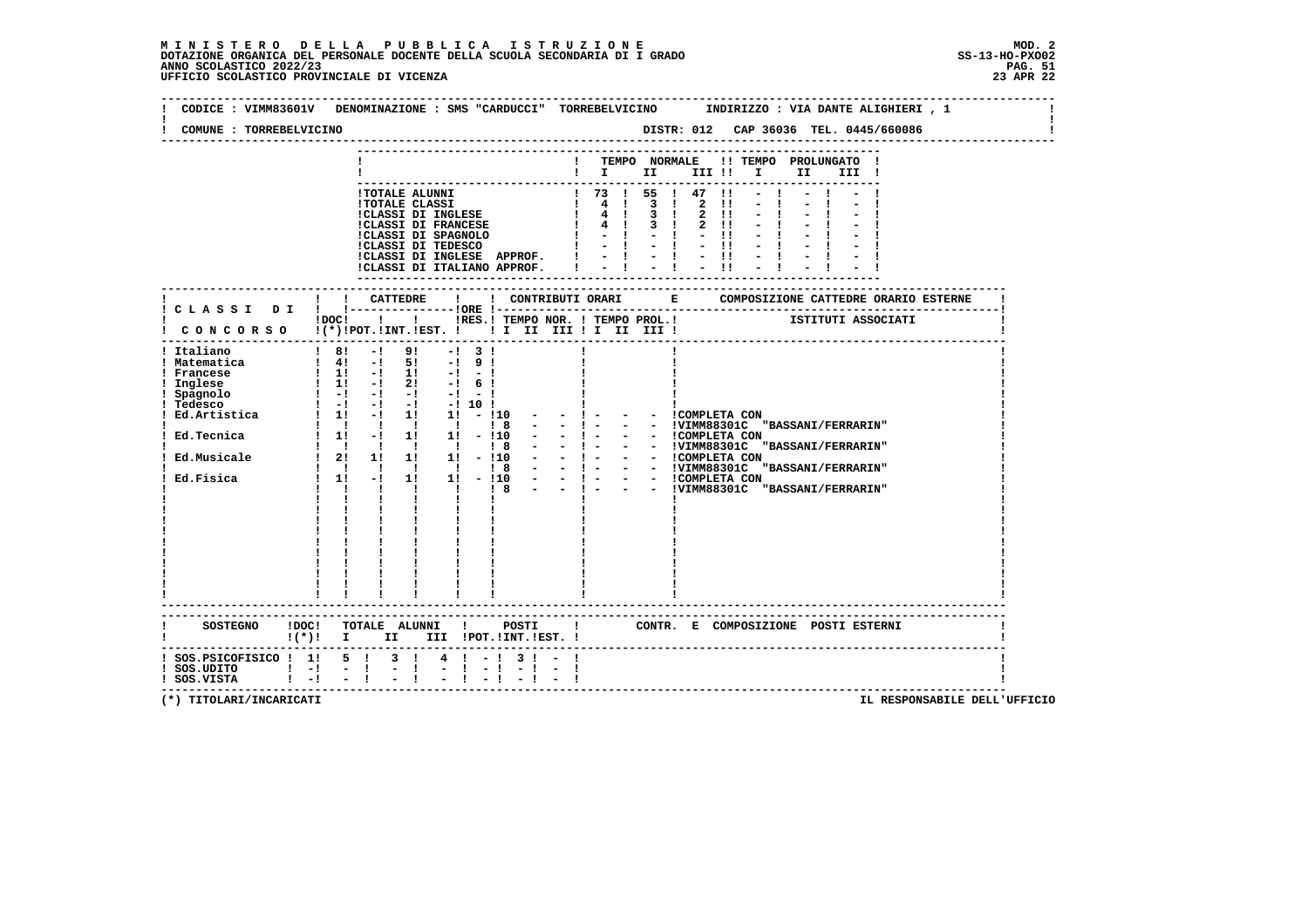#### **M I N I S T E R O D E L L A P U B B L I C A I S T R U Z I O N E MOD. 2**DOTAZIONE ORGANICA DEL PERSONALE DOCENTE DELLA SCUOLA SECONDARIA DI I GRADO **ANNO SCOLASTICO 2022/23** UFFICIO SCOLASTICO PROVINCIALE DI VICENZA

 **--------------------------------------------------------------------------------------------------------------------------------Contract Contract Property ! CODICE : VIMM83601V DENOMINAZIONE : SMS "CARDUCCI" TORREBELVICINO INDIRIZZO : VIA DANTE ALIGHIERI , 1 ! ! !** $\mathbf{I}$  **! COMUNE : TORREBELVICINO DISTR: 012 CAP 36036 TEL. 0445/660086 ! -------------------------------------------------------------------------------------------------------------------------------- --------------------------------------------------------------------------- ! ! TEMPO NORMALE !! TEMPO PROLUNGATO ! ! ! I II III !! I II III ! --------------------------------------------------------------------------- !TOTALE ALUNNI ! 73 ! 55 ! 47 !! - ! - ! - ! !TOTALE CLASSI ! 4 ! 3 ! 2 !! - ! - ! - !!**<br> **!CLASSI DI INGLESE ! 4 ! 3 ! 2 !! - ! - ! - !**<br> **!CLASSI DI SPAGNOLO ! - ! - !! - ! - ! - !**<br>
!CLASSI DI SPAGNOLO ! - ! - !! - ! - !! - !  **!CLASSI DI TEDESCO ! - ! - ! - !! - ! - ! - ! !CLASSI DI INGLESE APPROF. ! - ! - ! - !! - ! - ! - ! !CLASSI DI ITALIANO APPROF. ! - ! - ! - !! - ! - ! - ! --------------------------------------------------------------------------- ------------------------------------------------------------------------------------------------------------------------- ! ! ! CATTEDRE ! ! CONTRIBUTI ORARI E COMPOSIZIONE CATTEDRE ORARIO ESTERNE ! ! C L A S S I D I ! !---------------!ORE !------------------------------------------------------------------------! 10001 ! I : IRES. ! TEMPO NOR. ! TEMPO PROL. ! ISTITUTI ASSOCIATI ! C O N C O R S O !(\*)!POT.!INT.!EST. ! ! I II III ! I II III ! ! ------------------------------------------------------------------------------------------------------------------------- ! Italiano ! 8! -! 9! -! 3 ! ! ! ! ! Matematica ! 4! -! 5! -! 9 ! ! ! ! ! Francese ! 1! -! 1! -! - ! ! ! ! ! Inglese ! 1! -! 2! -! 6 ! ! ! ! ! Spagnolo ! -! -! -! -! - ! ! ! ! ! Tedesco ! -! -! -! -! 10 ! ! ! ! ! Ed.Artistica ! 1! -! 1! 1! - !10 - - ! - - - !COMPLETA CON ! ! ! ! ! ! ! ! 8 - - ! - - - !VIMM88301C "BASSANI/FERRARIN" ! ! Ed.Tecnica ! 1! -! 1! 1! - !10 - - ! - - - !COMPLETA CON ! ! ! ! ! ! ! ! 8 - - ! - - - !VIMM88301C "BASSANI/FERRARIN" ! ! Ed.Musicale ! 2! 1! 1! 1! - !10 - - ! - - - !COMPLETA CON ! ! ! ! ! ! ! ! 8 - - ! - - - !VIMM88301C "BASSANI/FERRARIN" ! ! Ed.Fisica ! 1! -! 1! 1! - !10 - - ! - - - !COMPLETA CON ! ! ! ! ! ! ! ! 8 - - ! - - - !VIMM88301C "BASSANI/FERRARIN" ! ! ! ! ! ! ! ! ! ! ! ! ! ! ! ! ! ! ! ! ! ! ! ! ! ! ! ! ! ! ! ! ! ! ! ! ! ! ! ! ! ! ! ! ! ! ! ! ! ! ! ! ! ! ! ! ! ! ! ! ! ! ! ! ! ! ! ! ! ! ! ! ! ! ! ! ! ! ! ! ! ! ! ! ! ! ! ! ! ! ! ! ! ! ! ! ! ! ! ! ! ------------------------------------------------------------------------------------------------------------------------- ------------------------------------------------------------------------------------------------------------------------- ! SOSTEGNO !DOC! TOTALE ALUNNI ! POSTI ! CONTR. E COMPOSIZIONE POSTI ESTERNI ! ! !(\*)! I II III !POT.!INT.!EST. ! ! ------------------------------------------------------------------------------------------------------------------------- ! SOS.PSICOFISICO ! 1! 5 ! 3 ! 4 ! - ! 3 ! - ! !** $\blacksquare$  **! SOS.UDITO ! -! - ! - ! - ! - ! - ! - ! ! ! SOS.VISTA ! -! - ! - ! - ! - ! - ! - ! ! -------------------------------------------------------------------------------------------------------------------------**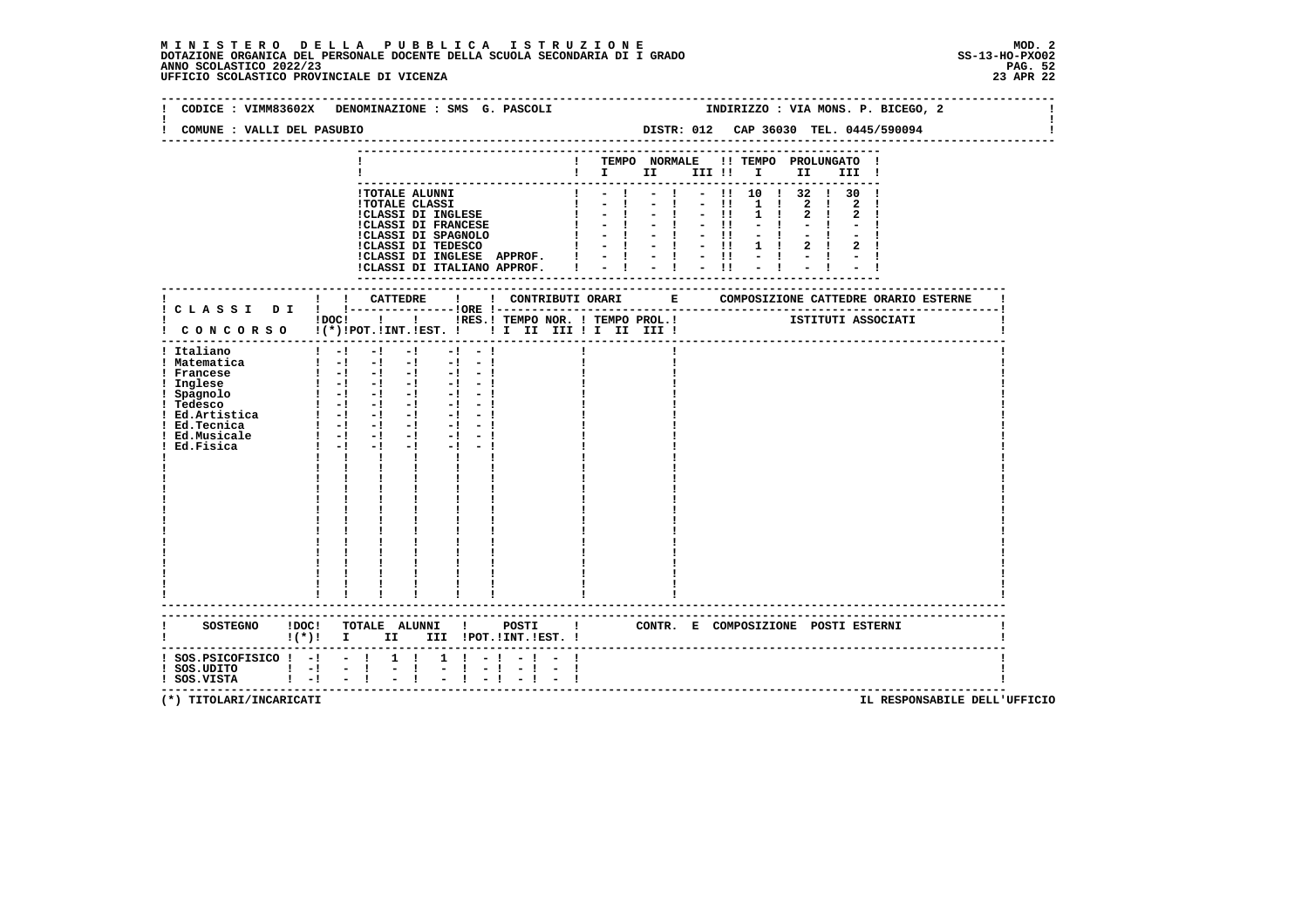### **M I N I S T E R O D E L L A P U B B L I C A I S T R U Z I O N E MOD. 2**DOTAZIONE ORGANICA DEL PERSONALE DOCENTE DELLA SCUOLA SECONDARIA DI I GRADO **SCOLASTICO SCOLASTICO 2022/23** SS-13-HO-PXO02<br>23 PAG. 23 PAG. 52<br>23 JPE LOCENZA 23 APR 22

| COMUNE : VALLI DEL PASUBIO                                                                                                                                    | CODICE: VIMM83602X DENOMINAZIONE: SMS G. PASCOLI                                                                                                                                                                                                                                                                                                                                                                                                                                                                                                         | INDIRIZZO : VIA MONS. P. BICEGO, 2<br>DISTR: 012 CAP 36030 TEL. 0445/590094                                                                                                                                                                                                             |  |
|---------------------------------------------------------------------------------------------------------------------------------------------------------------|----------------------------------------------------------------------------------------------------------------------------------------------------------------------------------------------------------------------------------------------------------------------------------------------------------------------------------------------------------------------------------------------------------------------------------------------------------------------------------------------------------------------------------------------------------|-----------------------------------------------------------------------------------------------------------------------------------------------------------------------------------------------------------------------------------------------------------------------------------------|--|
|                                                                                                                                                               | !TOTALE ALUNNI                                                                                                                                                                                                                                                                                                                                                                                                                                                                                                                                           | TEMPO NORMALE !! TEMPO PROLUNGATO<br>$\mathbf{I}$<br>$I \tI$<br>III !<br>$\mathbf{I}$<br>$ \frac{1!}{10}$ $\frac{1}{32}$ $\frac{1}{1}$<br>30                                                                                                                                            |  |
|                                                                                                                                                               | <b>!TOTALE CLASSI</b><br><b>!CLASSI DI INGLESE</b><br><b>!CLASSI DI FRANCESE</b><br>!CLASSI DI SPAGNOLO<br>!CLASSI DI TEDESCO<br>!CLASSI DI INGLESE APPROF.<br>!CLASSI DI ITALIANO APPROF.                                                                                                                                                                                                                                                                                                                                                               | $-1$ $-1$<br>$-11$<br>$-1$<br>$1 \quad 1$<br>$2 \quad 1$<br>- i - ii<br>$-1$<br>$1 \quad 1$<br>$-1 - -11$<br>$-1$<br>$-11$<br>$-1 - 1 - 11$ 1<br>$2 \quad 1$<br>$\frac{1}{2}$ , $\frac{1}{2}$ , $\frac{1}{2}$ , $\frac{1}{2}$ , $\frac{1}{2}$ , $\frac{1}{2}$ , $\frac{1}{2}$ ,<br>$-1$ |  |
|                                                                                                                                                               | ! ! CATTEDRE                                                                                                                                                                                                                                                                                                                                                                                                                                                                                                                                             |                                                                                                                                                                                                                                                                                         |  |
|                                                                                                                                                               | ! C L A S S I D I ! !----------------!ORE !-----<br>$!$ $DOC!$ $!$ $!$ $!$                                                                                                                                                                                                                                                                                                                                                                                                                                                                               | IRES. I TEMPO NOR. I TEMPO PROL. ! THE TEST ISTITUTI ASSOCIATI<br>! CONCORSO !(*)!POT.!INT.!EST. !! I II III !I II III !                                                                                                                                                                |  |
| ! Italiano<br>! Matematica<br>! Francese<br>: Inglese<br>! Spagnolo<br>! Tedesco<br>! Tedesco<br>! Ed.Artistica<br>! Ed.Tecnica<br>! Ed.Musicale<br>Ed.Fisica | $1 - 1 - 1$<br>$-1$<br>$-1$ $-1$<br>$1 - 1 - 1$<br>$-1$<br>$-1 - 1$<br>$1 - 1 - 1 - 1$<br>$-1 - 1$<br>$\begin{bmatrix} 1 & -1 & -1 & -1 & -1 & -1 \end{bmatrix}$<br>$\begin{bmatrix} 1 & -1 & -1 & -1 & -1 & -1 \end{bmatrix}$<br>$\begin{bmatrix} 1 & -1 & -1 & -1 & -1 & -1 \end{bmatrix}$<br>$\frac{1}{2}$ $\frac{1}{2}$ $\frac{1}{2}$ $\frac{1}{2}$ $\frac{1}{2}$<br>$-1$ $-1$ $-1$<br>$1 - 1 - 1$<br>$-1$ $-1$ $-1$<br><b>Contract Contract</b><br>$\mathbf{I}$<br>$\mathbf{I}$ and $\mathbf{I}$<br>$\frac{1}{1}$<br>$\frac{1}{1}$<br>$\frac{1}{1}$ |                                                                                                                                                                                                                                                                                         |  |
| <b>SOSTEGNO</b>                                                                                                                                               | !DOC! TOTALE ALUNNI ! POSTI<br>$\mathbf{I}(\star)\mathbf{I}$ I<br>II                                                                                                                                                                                                                                                                                                                                                                                                                                                                                     | ! CONTR. E COMPOSIZIONE POSTI ESTERNI<br>III !POT. !INT. !EST. !                                                                                                                                                                                                                        |  |
| $!$ SOS.PSICOFISICO $!$ -! - ! 1 !<br>$!$ SOS.UDITO $!$ -!<br>! SOS.VISTA                                                                                     | $\begin{array}{ccccccccc} 1 & -1 & & - & 1 & & \\ 1 & -1 & & - & 1 & & \\ \end{array}$<br>$\frac{1}{2}$ $\frac{1}{1}$<br>$-1 - 1$                                                                                                                                                                                                                                                                                                                                                                                                                        | $1 \t-1 \t-1$<br>- 1<br>$-1$<br>$\mathbf{I}$                                                                                                                                                                                                                                            |  |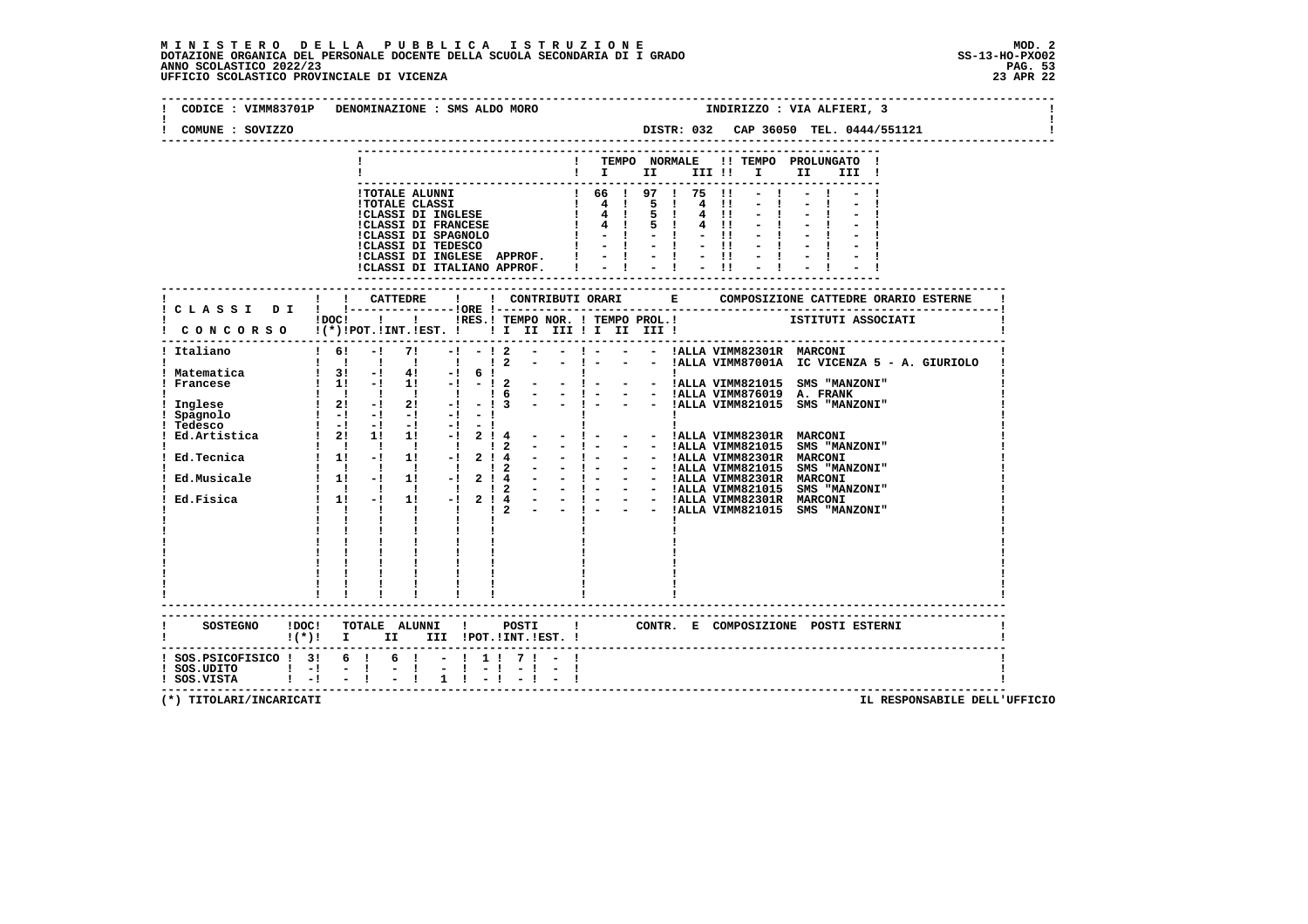### **M I N I S T E R O D E L L A P U B B L I C A I S T R U Z I O N E MOD. 2**DOTAZIONE ORGANICA DEL PERSONALE DOCENTE DELLA SCUOLA SECONDARIA DI I GRADO **SCOLASTICO SCOLASTICO 2022/23** SS-13-HO-PXO02<br>23 PAG. 52 PAG. 53<br>23 APR 22 UFFICIO SCOLASTICO PROVINCIALE DI VICENZA

|                                              | CODICE : VIMM83701P DENOMINAZIONE : SMS ALDO MORO<br>INDIRIZZO : VIA ALFIERI, 3                                                                      |
|----------------------------------------------|------------------------------------------------------------------------------------------------------------------------------------------------------|
| COMUNE : SOVIZZO                             |                                                                                                                                                      |
|                                              | ! TEMPO NORMALE !! TEMPO PROLUNGATO !<br>$\mathbf{I}$ is the set of $\mathbf{I}$<br>III !! I<br>II<br>III !                                          |
|                                              |                                                                                                                                                      |
|                                              | ! ! CATTEDRE<br>and the state of the state<br>! C L A S S I D I ! !----------------!ORE !---<br>CONCORSO !(*)!POT.!INT.!EST. !! I II III II II III ! |
|                                              |                                                                                                                                                      |
|                                              |                                                                                                                                                      |
|                                              |                                                                                                                                                      |
|                                              |                                                                                                                                                      |
|                                              | $\begin{tabular}{c c c} $1$ & $1$ & $1$ & $1$ \\ \hline $1$ & $1$ & $1$ & $1$ \\ \hline \end{tabular}$                                               |
| $(*)$ : $\Box$                               | CONTR. E COMPOSIZIONE POSTI ESTERNI<br>$\blacksquare$<br>II III !POT.!INT.!EST. !                                                                    |
| ! SOS.UDITO   -! - !<br>! SOS.VISTA   -! - ! |                                                                                                                                                      |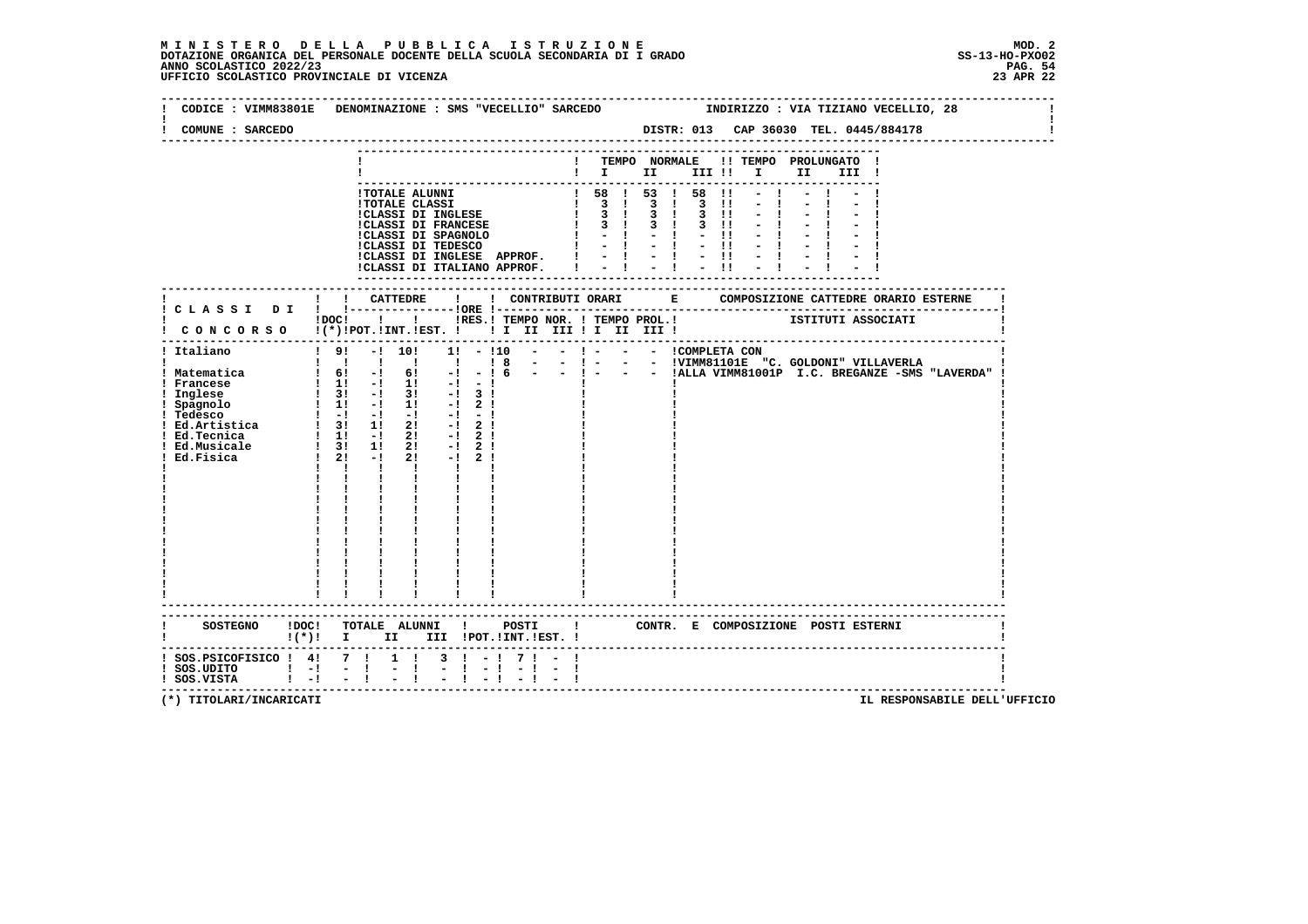### **M I N I S T E R O D E L L A P U B B L I C A I S T R U Z I O N E MOD. 2**DOTAZIONE ORGANICA DEL PERSONALE DOCENTE DELLA SCUOLA SECONDARIA DI I GRADO **SCOLASTICO SCOLASTICO 2022/23 PAG. 54**<br>23 ANNO SCOLASTICO 2022/23 PAG. 54<br>23 APR 22 UFFICIO SCOLASTICO PROVINCIALE DI VICENZA

| CODICE : VIMM83801E                                                                                                                                                                                       | DENOMINAZIONE : SMS "VECELLIO" SARCEDO<br>INDIRIZZO : VIA TIZIANO VECELLIO, 28                                                                                                                                                                                                   |
|-----------------------------------------------------------------------------------------------------------------------------------------------------------------------------------------------------------|----------------------------------------------------------------------------------------------------------------------------------------------------------------------------------------------------------------------------------------------------------------------------------|
| COMUNE : SARCEDO                                                                                                                                                                                          | DISTR: 013 CAP 36030 TEL. 0445/884178                                                                                                                                                                                                                                            |
|                                                                                                                                                                                                           | ! TEMPO NORMALE<br>!! TEMPO PROLUNGATO !                                                                                                                                                                                                                                         |
|                                                                                                                                                                                                           | $\blacksquare$                                                                                                                                                                                                                                                                   |
|                                                                                                                                                                                                           |                                                                                                                                                                                                                                                                                  |
|                                                                                                                                                                                                           | $!$ 58 $!$ 53 $!$ 58 $!$ 1<br>1 TOTALE ALUNNI<br>1 TOTALE CLASSI<br>1 TOTALE CLASSI DI INGLESE<br>1 3 1 3 1 3 1 3 1<br>1 CLASSI DI FRANCESE<br>1 3 1 3 1 3 1<br>1 CLASSI DI FRANCESE<br>1 - 1 - 1 - 1 1<br>1 CLASSI DI TEDESCO<br>1 - 1 - 1 - 1 1<br>1 - 1 - 1 1 - 1 1 1 1 1 1 1 |
|                                                                                                                                                                                                           |                                                                                                                                                                                                                                                                                  |
|                                                                                                                                                                                                           |                                                                                                                                                                                                                                                                                  |
|                                                                                                                                                                                                           |                                                                                                                                                                                                                                                                                  |
|                                                                                                                                                                                                           | !CLASSI DI INGLESE APPROF. !                                                                                                                                                                                                                                                     |
|                                                                                                                                                                                                           | $= 1 + 1 + 1$<br>!CLASSI DI ITALIANO APPROF. I                                                                                                                                                                                                                                   |
|                                                                                                                                                                                                           |                                                                                                                                                                                                                                                                                  |
|                                                                                                                                                                                                           |                                                                                                                                                                                                                                                                                  |
|                                                                                                                                                                                                           | IDOCI ! IRES. I TEMPO NOR. I TEMPO PROL. ! ISTITUTI ASSOCIATI                                                                                                                                                                                                                    |
|                                                                                                                                                                                                           | CONCORSO !(*)!POT.!INT.!EST. !! I II III !I II III !                                                                                                                                                                                                                             |
|                                                                                                                                                                                                           | ------------------------------------                                                                                                                                                                                                                                             |
| ! Italiano                                                                                                                                                                                                | $1! - 110 - - 1 - - - 1$ COMPLETA CON<br>191<br>$-!$ 10!                                                                                                                                                                                                                         |
| ! Matematica                                                                                                                                                                                              |                                                                                                                                                                                                                                                                                  |
| ! Francese                                                                                                                                                                                                |                                                                                                                                                                                                                                                                                  |
| ! Inglese                                                                                                                                                                                                 |                                                                                                                                                                                                                                                                                  |
|                                                                                                                                                                                                           |                                                                                                                                                                                                                                                                                  |
|                                                                                                                                                                                                           | $-1 - 1$<br>$-1$ 2 1                                                                                                                                                                                                                                                             |
|                                                                                                                                                                                                           | $-1$ 2 1                                                                                                                                                                                                                                                                         |
|                                                                                                                                                                                                           | $-1$ 2 1                                                                                                                                                                                                                                                                         |
| ! Inglese<br>! Spagnolo ! 1! -! 1!<br>! Tedesco ! -! -! -! 1<br>! Ed.Artistica ! 3! 1! 2!<br>! Ed.Awsicale ! 1! -! 2!<br>! Ed.Musicale ! 3! 1! 2!<br>! Ed.Musicale ! 3! 1! 2!<br>! Ed.Musicale ! 2! -! 2! | $-1$ 2 1<br>$1 \quad 1 \quad 1$<br>$\mathbf{1}$ $\mathbf{1}$                                                                                                                                                                                                                     |
|                                                                                                                                                                                                           | $\mathbf{I}$ and $\mathbf{I}$ and $\mathbf{I}$                                                                                                                                                                                                                                   |
|                                                                                                                                                                                                           | $\frac{1}{1}$                                                                                                                                                                                                                                                                    |
|                                                                                                                                                                                                           |                                                                                                                                                                                                                                                                                  |
|                                                                                                                                                                                                           | $\frac{1}{1}$ $\frac{1}{1}$ $\frac{1}{1}$                                                                                                                                                                                                                                        |
|                                                                                                                                                                                                           |                                                                                                                                                                                                                                                                                  |
|                                                                                                                                                                                                           |                                                                                                                                                                                                                                                                                  |
|                                                                                                                                                                                                           |                                                                                                                                                                                                                                                                                  |
|                                                                                                                                                                                                           |                                                                                                                                                                                                                                                                                  |
|                                                                                                                                                                                                           |                                                                                                                                                                                                                                                                                  |
|                                                                                                                                                                                                           | $\frac{1}{4}$ , $\frac{1}{4}$ , $\frac{1}{4}$                                                                                                                                                                                                                                    |
|                                                                                                                                                                                                           | --------------------                                                                                                                                                                                                                                                             |
|                                                                                                                                                                                                           | SOSTEGNO !DOC! TOTALE ALUNNI ! POSTI ! CONTR. E COMPOSIZIONE POSTI ESTERNI                                                                                                                                                                                                       |
|                                                                                                                                                                                                           | !(*)! I II III !POT.!INT.!EST.!                                                                                                                                                                                                                                                  |
| ! SOS.PSICOFISICO ! 4! 7 !                                                                                                                                                                                | $1 \quad 1$<br>$3 \cdot 1 - 1$<br>71                                                                                                                                                                                                                                             |
| $!$ SOS.UDITO $!$ - $!$ - $!$                                                                                                                                                                             | $\frac{1}{2}$ $\frac{1}{1}$<br>$-1 - 1$<br>$-1 - 1$                                                                                                                                                                                                                              |
| ! SOS.VISTA                                                                                                                                                                                               | $-1$<br>$\mathbf{1}$ $\mathbf{-1}$                                                                                                                                                                                                                                               |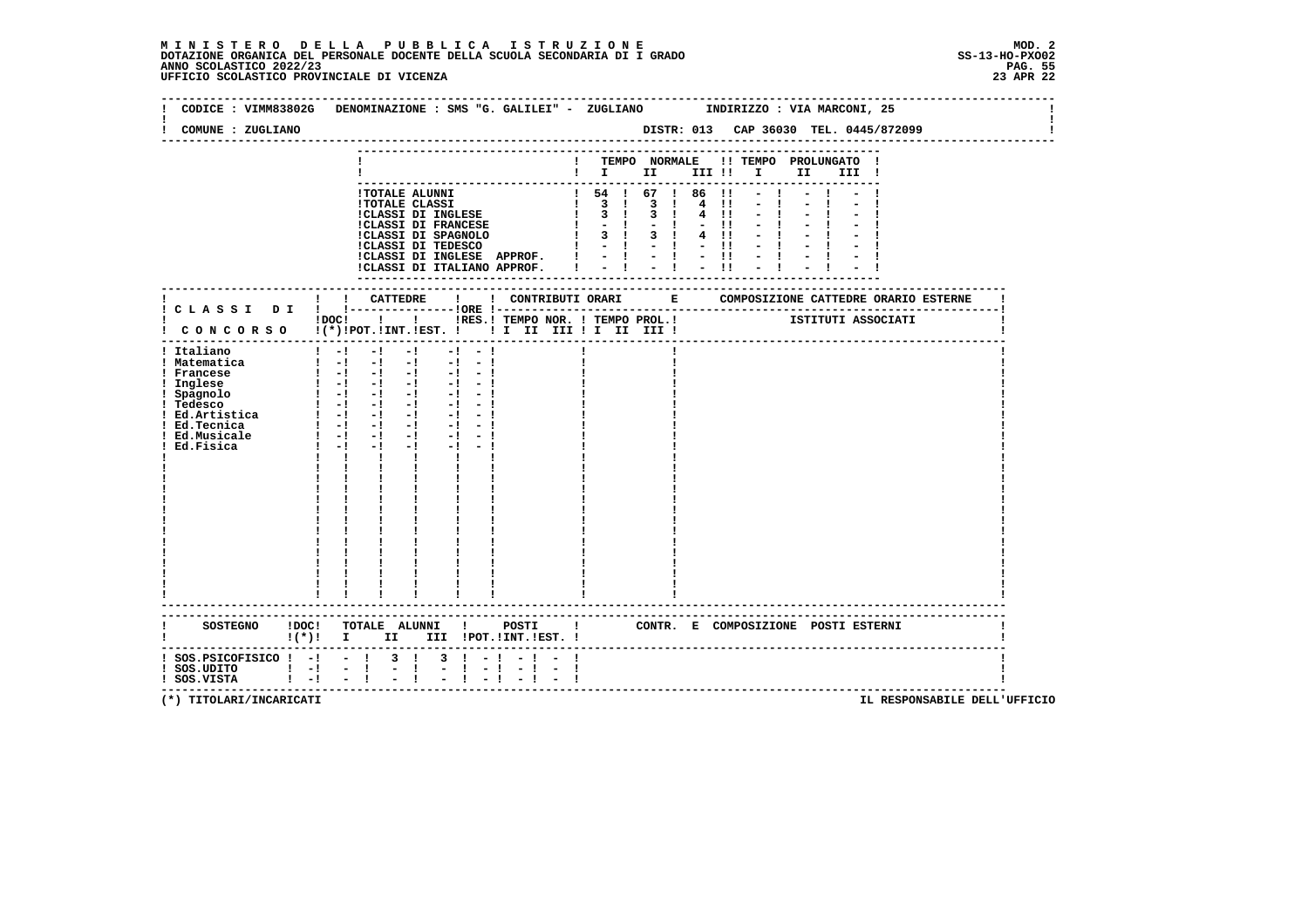### **M I N I S T E R O D E L L A P U B B L I C A I S T R U Z I O N E MOD. 2**DOTAZIONE ORGANICA DEL PERSONALE DOCENTE DELLA SCUOLA SECONDARIA DI I GRADO **SCOLASTICO SCOLASTICO 2022/23 PAG. 55**<br>23 ANNO SCOLASTICO 2022/23 PAG. 55<br>23 APR 22 UFFICIO SCOLASTICO PROVINCIALE DI VICENZA

|                                                                                                                                | CODICE : VIMM83802G DENOMINAZIONE : SMS "G. GALILEI" - ZUGLIANO INDIRIZZO : VIA MARCONI, 25                                                                                                                                                                                                                                                                                                                                                                                              |                        |      |                                                         |  |
|--------------------------------------------------------------------------------------------------------------------------------|------------------------------------------------------------------------------------------------------------------------------------------------------------------------------------------------------------------------------------------------------------------------------------------------------------------------------------------------------------------------------------------------------------------------------------------------------------------------------------------|------------------------|------|---------------------------------------------------------|--|
| COMUNE : ZUGLIANO                                                                                                              |                                                                                                                                                                                                                                                                                                                                                                                                                                                                                          |                        |      |                                                         |  |
|                                                                                                                                |                                                                                                                                                                                                                                                                                                                                                                                                                                                                                          |                        |      | ! TEMPO NORMALE !! TEMPO PROLUNGATO !<br>$\blacksquare$ |  |
|                                                                                                                                | ICLASSI DI INGLESE APPROF. $  \cdot   \cdot   \cdot  $<br>!CLASSI DI ITALIANO APPROF.   -   -   -  !                                                                                                                                                                                                                                                                                                                                                                                     |                        | $-1$ |                                                         |  |
|                                                                                                                                |                                                                                                                                                                                                                                                                                                                                                                                                                                                                                          |                        |      |                                                         |  |
|                                                                                                                                | IDOC! !!!RES. I TEMPO NOR. I TEMPO PROL. ! [STITUTI ASSOCIATI<br>! CONCORSO !(*)!POT.!INT.!EST. ! ! I II III ! II III !                                                                                                                                                                                                                                                                                                                                                                  |                        |      |                                                         |  |
| ! Italiano<br>! Matematica<br>! Francese<br>! Inglese<br>! Spagnolo<br>! Tedesco<br>! Ed.Tecnica<br>! Ed.Musicale<br>Ed.Fisica | $1 - 1 - 1 - 1$<br>$-1 - 1$<br>$\begin{bmatrix} 1 & -1 & -1 & -1 & -1 & -1 \end{bmatrix}$<br>$\begin{array}{cccccccccc} 1 & -1 & -1 & -1 & -1 \\ 1 & -1 & -1 & -1 & -1 \end{array}$<br>$-1 - 1$<br>$-1 - -1$<br>$1 - 1 - 1 - 1$<br>$-1 - 1$<br>$-1 - -1$<br>$-1$ $-$<br>$-1 - -1$<br>$1 - 1 - 1 - 1 - 1 - 1$<br>$1 - 1 - 1$<br>$-1$ $-1$<br>$\mathbf{I}$ and $\mathbf{I}$<br>$\mathbf{I}$<br>$\mathbf{I}$ and $\mathbf{I}$<br>$\frac{1}{1}$ $\frac{1}{1}$ $\frac{1}{1}$<br>$\frac{1}{1}$ |                        |      |                                                         |  |
|                                                                                                                                | !(*)! I II III !POT.!INT.!EST.!                                                                                                                                                                                                                                                                                                                                                                                                                                                          |                        |      |                                                         |  |
| $!$ SOS.UDITO $!$ - $!$ - $!$<br>$!$ SOS.VISTA $!$ - ! - !                                                                     | ! SOS.PSICOFISICO ! -! - ! 3 ! 3 ! -! - ! - !<br>$\frac{1}{2}$ $\frac{1}{1}$<br>$-1 - 1$<br>$-1 - 1$                                                                                                                                                                                                                                                                                                                                                                                     | $-1 - -1$<br>$-1$ $-1$ |      |                                                         |  |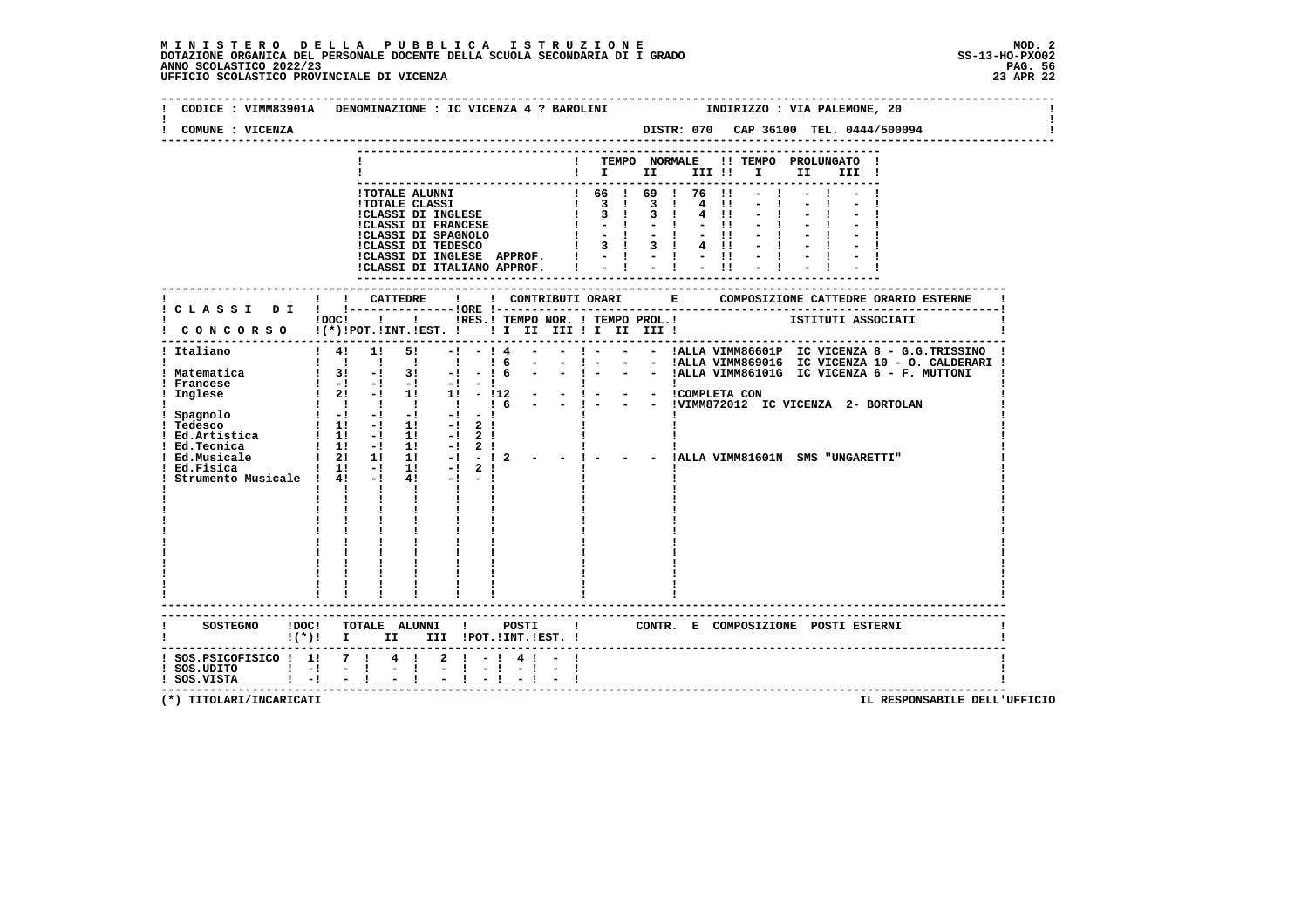### **M I N I S T E R O D E L L A P U B B L I C A I S T R U Z I O N E MOD. 2**DOTAZIONE ORGANICA DEL PERSONALE DOCENTE DELLA SCUOLA SECONDARIA DI I GRADO **SCOLASTICO SCOLASTICO 2022/23 PAG. 56**<br>23 ANNO SCOLASTICO 2022/23 PAG. 56<br>23 APR 22 UFFICIO SCOLASTICO PROVINCIALE DI VICENZA

|                                                      | CODICE: VIMM83901A DENOMINAZIONE: IC VICENZA 4 ? BAROLINI MODIRIZZO: VIA PALEMONE, 20                                                  |
|------------------------------------------------------|----------------------------------------------------------------------------------------------------------------------------------------|
| COMUNE : VICENZA                                     | DISTR: 070 CAP 36100 TEL. 0444/500094                                                                                                  |
|                                                      | ! TEMPO NORMALE !! TEMPO PROLUNGATO !<br>$\mathbf{I}$ is the set of $\mathbf{I}$<br>III II I I<br>II D<br>III !                        |
|                                                      |                                                                                                                                        |
|                                                      |                                                                                                                                        |
|                                                      |                                                                                                                                        |
|                                                      |                                                                                                                                        |
|                                                      |                                                                                                                                        |
|                                                      |                                                                                                                                        |
|                                                      |                                                                                                                                        |
|                                                      |                                                                                                                                        |
|                                                      | ! ! CATTEDRE<br>$\mathbf{I}$<br>! CLASSI DI ! !--------------------- !ORE !---                                                         |
|                                                      |                                                                                                                                        |
|                                                      | CONCORSO !   INESTRESSENTE IN THE PROLIMENT SERVIT IS INTERESTENT ON CORSO I(*) IPOTTILING ISLAMA LETTLE II II II III III IIII IIIII I |
|                                                      |                                                                                                                                        |
|                                                      |                                                                                                                                        |
|                                                      |                                                                                                                                        |
|                                                      |                                                                                                                                        |
|                                                      |                                                                                                                                        |
|                                                      |                                                                                                                                        |
|                                                      |                                                                                                                                        |
|                                                      |                                                                                                                                        |
|                                                      |                                                                                                                                        |
|                                                      |                                                                                                                                        |
|                                                      |                                                                                                                                        |
|                                                      |                                                                                                                                        |
|                                                      | $\mathbf{1}$ $\mathbf{1}$ $\mathbf{1}$ $\mathbf{1}$ $\mathbf{1}$                                                                       |
|                                                      |                                                                                                                                        |
|                                                      |                                                                                                                                        |
|                                                      |                                                                                                                                        |
|                                                      |                                                                                                                                        |
|                                                      |                                                                                                                                        |
|                                                      |                                                                                                                                        |
|                                                      |                                                                                                                                        |
|                                                      |                                                                                                                                        |
|                                                      |                                                                                                                                        |
|                                                      |                                                                                                                                        |
|                                                      | SOSTEGNO !DOC! TOTALE ALUNNI !<br>POSTI ! CONTR. E COMPOSIZIONE POSTI ESTERNI                                                          |
|                                                      | ! (*)! I II III !POT.!INT.!EST.!                                                                                                       |
|                                                      | ! SOS. PSICOFISICO ! 1! 7 ! 4 ! 2 ! - ! 4 ! - !                                                                                        |
| 1 SOS.UDITO 1 -1 - 1 - 1<br>1 SOS.VISTA 1 -1 - 1 - 1 |                                                                                                                                        |
|                                                      |                                                                                                                                        |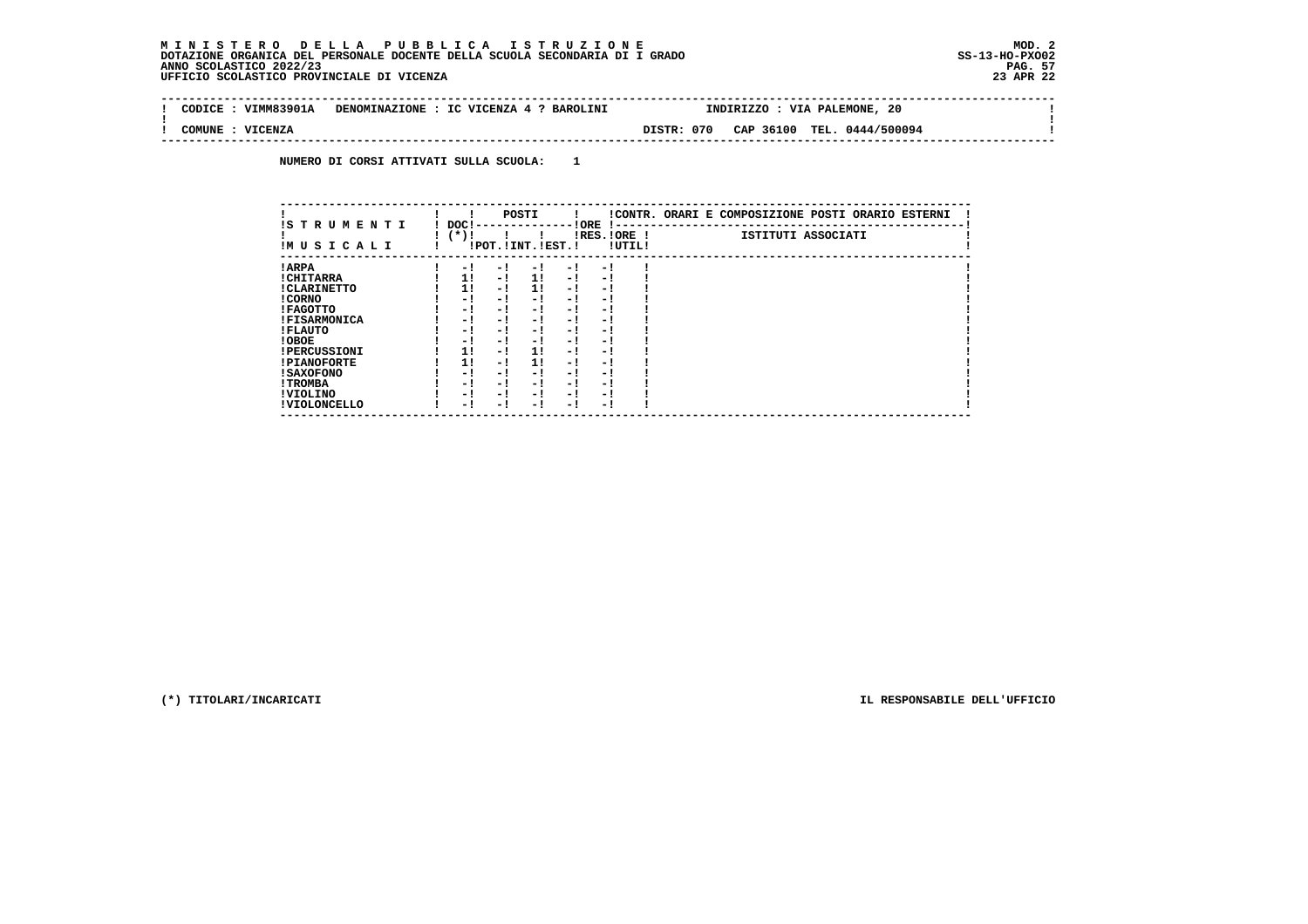## **M I N I S T E R O D E L L A P U B B L I C A I S T R U Z I O N E MOD. 2**DOTAZIONE ORGANICA DEL PERSONALE DOCENTE DELLA SCUOLA SECONDARIA DI I GRADO **SCOLASTICO SCOLASTICO 2022/23 PAG. 57**<br>23 ANNO SCOLASTICO 2022/23 PAG. 57<br>23 APR 22 UFFICIO SCOLASTICO PROVINCIALE DI VICENZA

 $\mathbf{I}$ 

 $\mathbf{I}$ 

÷i

| CODICE | VIMM83901A | DENOMINAZIONE : IC VICENZA 4 ? BAROLINI | 20<br>INDIRIZZO<br>VIA PALEMONE,               |  |
|--------|------------|-----------------------------------------|------------------------------------------------|--|
|        |            |                                         |                                                |  |
| COMUNE | VICENZA    |                                         | DISTR: 070<br>TEL.<br>CAP 36100<br>0444/500094 |  |
|        |            |                                         |                                                |  |

 **NUMERO DI CORSI ATTIVATI SULLA SCUOLA: 1**

|                          |                |     | POSTI                 |      |                          |        | !CONTR. ORARI E COMPOSIZIONE POSTI ORARIO ESTERNI |
|--------------------------|----------------|-----|-----------------------|------|--------------------------|--------|---------------------------------------------------|
| IS TRUMENTI<br>IMUSICALI | DOC!<br>$(*)!$ |     | !POT. ! INT. ! EST. ! |      | ! ORE<br>$IRES.IORE$ !   | !UTIL! | ISTITUTI ASSOCIATI                                |
| ! ARPA                   | - 1            | - 1 | - 1                   | $-1$ | - 1                      |        |                                                   |
| ! CHITARRA               | 1!             | - ! | 11                    | - !  | - 1                      |        |                                                   |
| ! CLARINETTO             | 11             | - ! | 11                    | - !  | - 1                      |        |                                                   |
| ! CORNO                  | - !            | - ! | - 1                   | - !  | - 1                      |        |                                                   |
| ! FAGOTTO                | - 1            | - ! | - 1                   | $-1$ | - 1                      |        |                                                   |
| <b>!FISARMONICA</b>      | - 1            | - ! | - 1                   | - 1  | - 1                      |        |                                                   |
| ! FLAUTO                 | - 1            | - ! | - 1                   | - !  | - 1                      |        |                                                   |
| ! OBOE                   | - 1            | - ! | - 1                   | $-1$ | - 1                      |        |                                                   |
| <b>!PERCUSSIONI</b>      | 1!             | - ! | 11                    | - 1  | - 1                      |        |                                                   |
| <b>!PIANOFORTE</b>       | 1!             | - ! | 11                    | - !  | - 1                      |        |                                                   |
| ! SAXOFONO               | - 1            | - ! | - !                   | - 1  | $\overline{\phantom{0}}$ |        |                                                   |
| ! TROMBA                 | - 1            | - ! | - !                   | - 1  | - 1                      |        |                                                   |
| ! VIOLINO                | - 1            | - ! | - !                   | $-1$ | - 1                      |        |                                                   |
| ! VIOLONCELLO            | - 1            | - 1 | - 1                   | – !  | - 1                      |        |                                                   |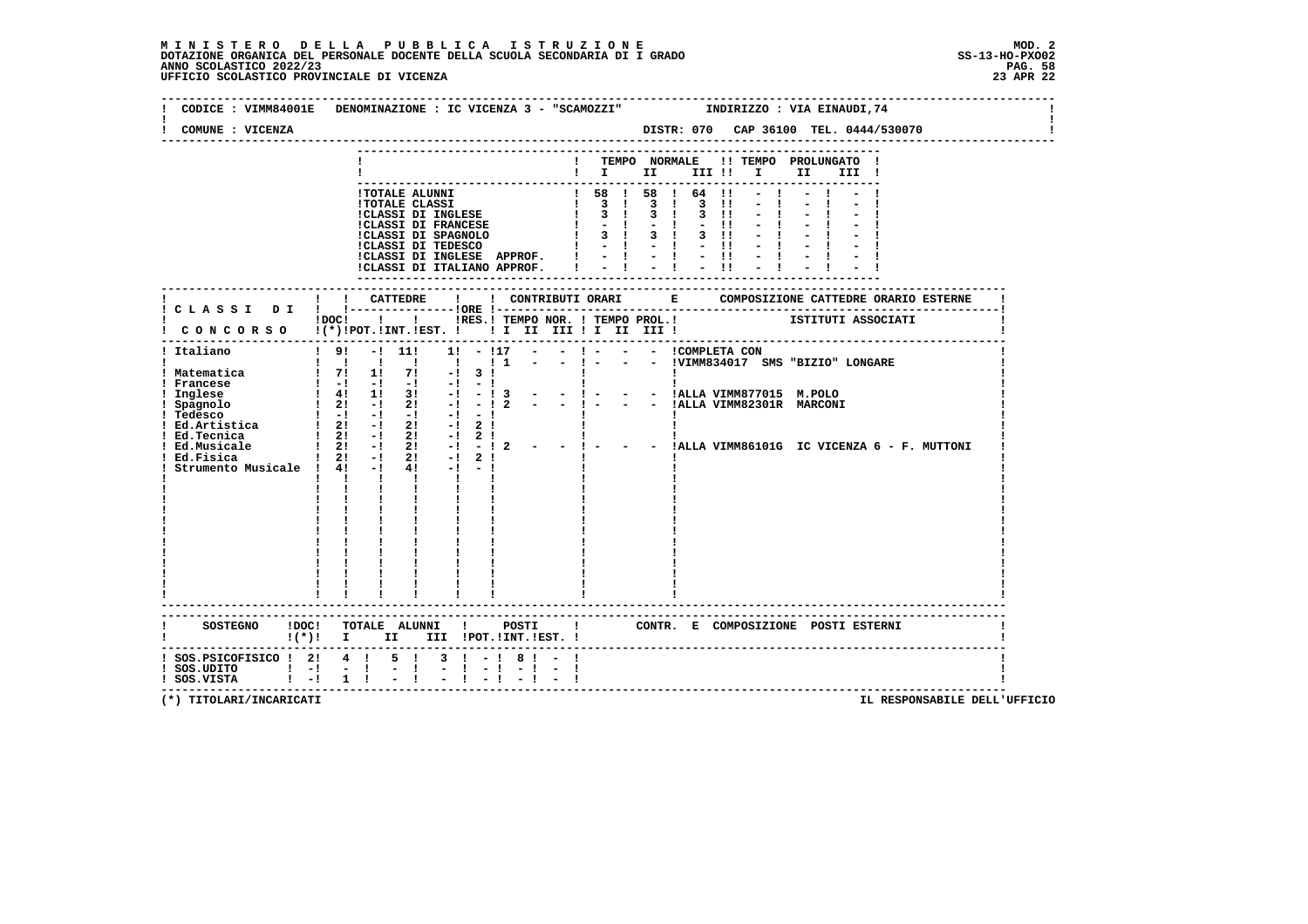### **M I N I S T E R O D E L L A P U B B L I C A I S T R U Z I O N E MOD. 2**DOTAZIONE ORGANICA DEL PERSONALE DOCENTE DELLA SCUOLA SECONDARIA DI I GRADO **SCOLASTICO SCOLASTICO 2022/23 PAG. 58**<br>23 ANNO SCOLASTICO 2022/23 PAG. 58<br>23 APR 22 UFFICIO SCOLASTICO PROVINCIALE DI VICENZA

|                                                                                         | CODICE : VIMM84001E DENOMINAZIONE : IC VICENZA 3 - "SCAMOZZI" INDIRIZZO : VIA EINAUDI, 74                                                                                                                                                                                                                                                                                                                                                                                                             |
|-----------------------------------------------------------------------------------------|-------------------------------------------------------------------------------------------------------------------------------------------------------------------------------------------------------------------------------------------------------------------------------------------------------------------------------------------------------------------------------------------------------------------------------------------------------------------------------------------------------|
| COMUNE : VICENZA                                                                        |                                                                                                                                                                                                                                                                                                                                                                                                                                                                                                       |
|                                                                                         | ! TEMPO NORMALE !! TEMPO PROLUNGATO !<br>$\blacksquare$ $\blacksquare$ $\blacksquare$ $\blacksquare$<br>III !                                                                                                                                                                                                                                                                                                                                                                                         |
|                                                                                         |                                                                                                                                                                                                                                                                                                                                                                                                                                                                                                       |
|                                                                                         |                                                                                                                                                                                                                                                                                                                                                                                                                                                                                                       |
|                                                                                         | IDOCI I I IRES.ITEMPO NOR. ITEMPO PROL.I I ISTITUTI ASSOCIATI<br>CONCORSO I(*)IPOT.IINT.IEST. I II II III II III III I                                                                                                                                                                                                                                                                                                                                                                                |
| ! Italiano<br>! Ed.Tecnica<br>! Ed.Musicale<br>Ed.Fisica<br>Strumento Musicale ! 4! -!  | $!$ 9! -! 11! 1! - !17 - - ! - - - COMPLETA CON<br>- ! - - - !VIMM834017 SMS "BIZIO" LONGARE<br>$1 \quad 2! \quad -1 \quad 2! \quad -1 \quad 2 \quad 1$<br>$\overline{21}$ -1 $\overline{21}$ -1 $\overline{21}$ -1 $\overline{2}$ - - 1 - - - IALLA VIMM86101G IC VICENZA 6 - F. MUTTONI<br>$\begin{array}{ccccccccc}\n & & i & 2i & -i & 2i & -i & 2 & 1 \\ 1 & 2i & -1 & 2i & -i & 2 & 1 \\ 1 & 4i & -1 & 4i & -1 & -1\n\end{array}$<br>$\mathbf{I}$ $\mathbf{I}$<br>$\mathbf{I}$ and $\mathbf{I}$ |
|                                                                                         | ----------------------------<br>SOSTEGNO ! DOC! TOTALE ALUNNI ! POSTI ! CONTR. E COMPOSIZIONE POSTI ESTERNI<br>!(*)! I II III !POT.!INT.!EST.!                                                                                                                                                                                                                                                                                                                                                        |
| ! SOS.PSICOFISICO ! 2! 4 ! 5 !<br>$!$ SOS.UDITO $!$ - $!$ - $!$<br>! SOS.VISTA   -! 1 ! | $3 \cdot 1 - 1 \cdot 8 \cdot 1 -$<br>$-1$<br>-------------------------------------                                                                                                                                                                                                                                                                                                                                                                                                                    |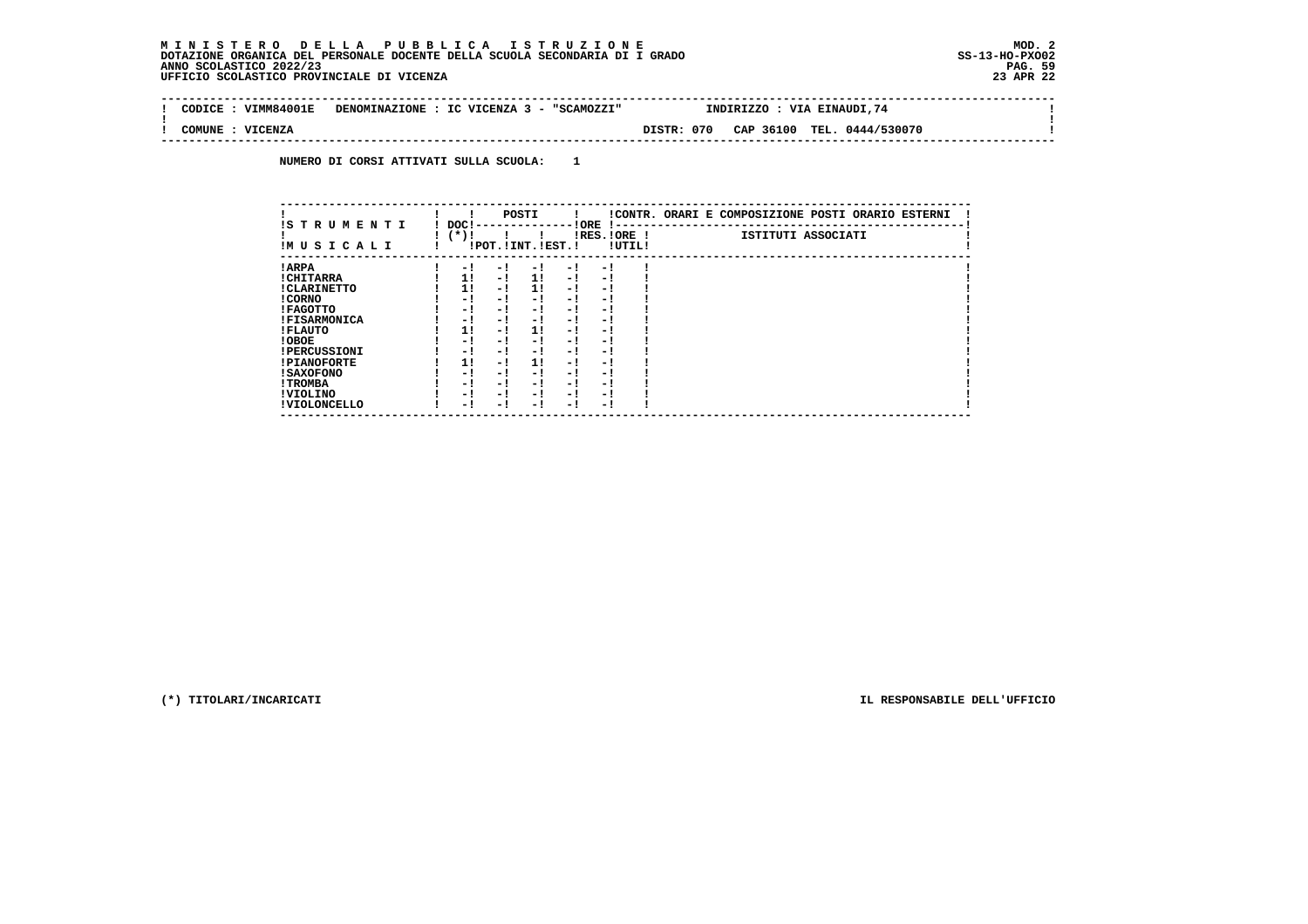#### **M I N I S T E R O D E L L A P U B B L I C A I S T R U Z I O N E MOD. 2DOTAZIONE ORGANICA DEL PERSONALE DOCENTE DELLA SCUOLA SECONDARIA DI I GRADO ANNO SCOLASTICO 2022/23 UFFICIO SCOLASTICO PROVINCIALE DI VICENZA 23 APR 22**

 $\sim$ 

 $\mathbf{I}$ 

 **-------------------------------------------------------------------------------------------------------------------------------- ! CODICE : VIMM84001E DENOMINAZIONE : IC VICENZA 3 - "SCAMOZZI" INDIRIZZO : VIA EINAUDI,74 ! ! ! ! COMUNE : VICENZA DISTR: 070 CAP 36100 TEL. 0444/530070 ! --------------------------------------------------------------------------------------------------------------------------------**

 **NUMERO DI CORSI ATTIVATI SULLA SCUOLA: 1**

| IS T R U M E N T I  | DOC! |     | POSTI                 |     | ! ORE<br>.    |        | !CONTR. ORARI E COMPOSIZIONE POSTI ORARIO ESTERNI |
|---------------------|------|-----|-----------------------|-----|---------------|--------|---------------------------------------------------|
| IMUSICALI           | (*)! |     | !POT. ! INT. ! EST. ! |     | $IRES.IORE$ ! | !UTIL! | ISTITUTI ASSOCIATI                                |
| ! ARPA              | - 1  | - 1 | - 1                   | - 1 | - 1           |        |                                                   |
| ! CHITARRA          | 11   | - ! | 11                    | - ! | - 1           |        |                                                   |
| ! CLARINETTO        | 11   | - 1 | 11                    | - 1 | - 1           |        |                                                   |
| ! CORNO             | - 1  | - 1 | - !                   | - 1 | - 1           |        |                                                   |
| ! FAGOTTO           | - 1  | - 1 | - 1                   | - 1 | - 1           |        |                                                   |
| <b>!FISARMONICA</b> | - 1  | - 1 | - 1                   | - 1 | - 1           |        |                                                   |
| ! FLAUTO            | 1!   | - ! | 1!                    | - 1 | - 1           |        |                                                   |
| ! OBOE              | - 1  | - 1 | - !                   | - 1 | - 1           |        |                                                   |
| <b>!PERCUSSIONI</b> | - 1  | - 1 | - 1                   | - 1 | - 1           |        |                                                   |
| <b>!PIANOFORTE</b>  | 11   | - 1 | 11                    | - 1 | - 1           |        |                                                   |
| <b>! SAXOFONO</b>   | - 1  | - 1 | - 1                   | - 1 | - 1           |        |                                                   |
| ! TROMBA            | - 1  | - 1 | - 1                   | - 1 | - 1           |        |                                                   |
| ! VIOLINO           | - 1  | - 1 | - 1                   | - 1 | - 1           |        |                                                   |
| ! VIOLONCELLO       | - 1  | - ! | - 1                   | - ! | - 1           |        |                                                   |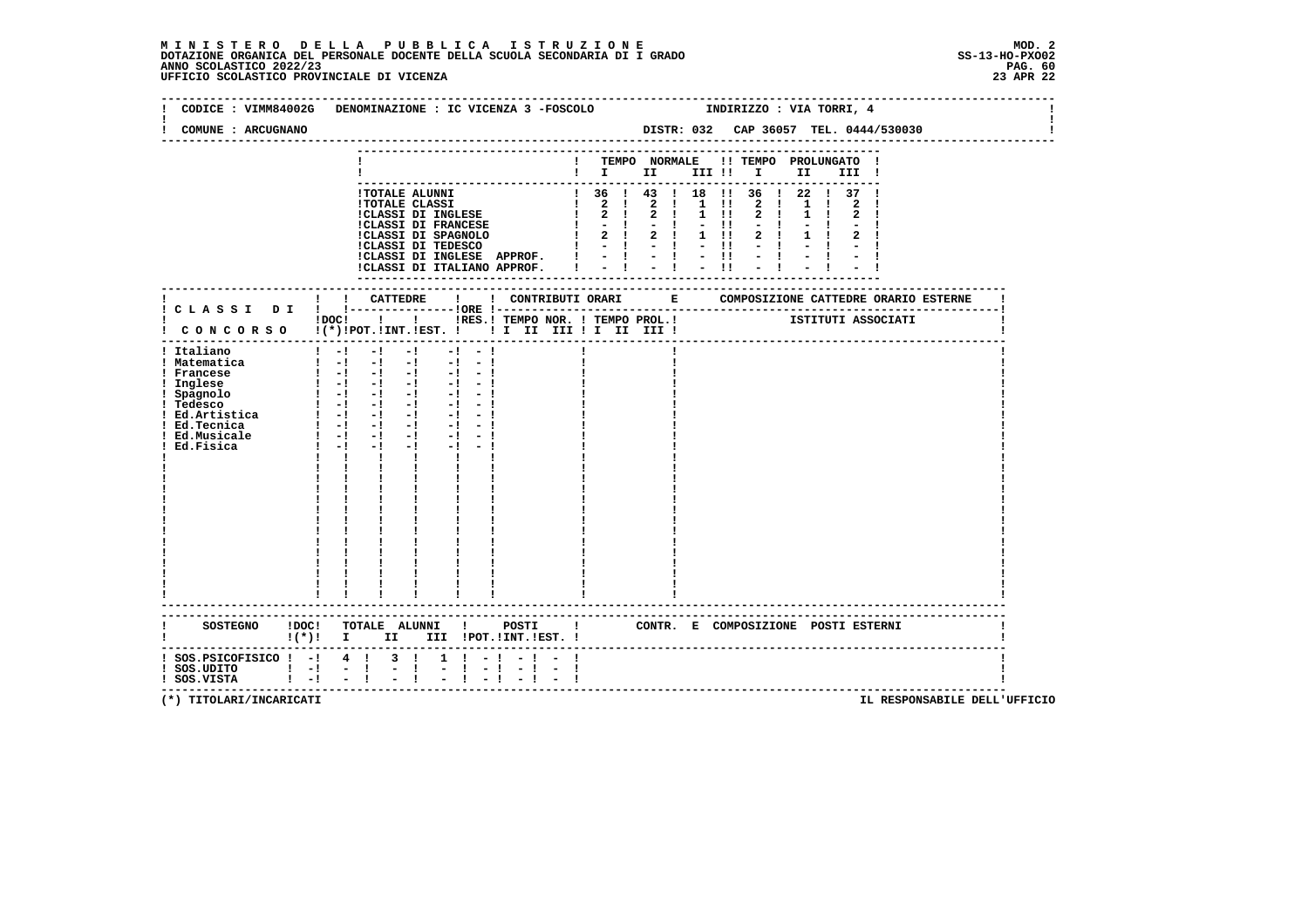### **M I N I S T E R O D E L L A P U B B L I C A I S T R U Z I O N E MOD. 2**DOTAZIONE ORGANICA DEL PERSONALE DOCENTE DELLA SCUOLA SECONDARIA DI I GRADO **SCOLASTICO SCOLASTICO 2022/23 PAG. 60**<br>PAG ANNO SCOLASTICO 2022/23 PAG. 60<br>23 APR 22 UFFICIO SCOLASTICO PROVINCIALE DI VICENZA

|                                                                                                                                                  | CODICE : VIMM84002G DENOMINAZIONE : IC VICENZA 3 -FOSCOLO                                                                                                                                                                                                                                                                                                                                                                                                                                                                                                                                                                                                                                                                                                                                                                                                                                                                                                                                                                                 |                                                                                                                                                                                                                                              |    |                                                                                                                                                                                                               |  |  | INDIRIZZO : VIA TORRI, 4             |  |       |                                       |  |
|--------------------------------------------------------------------------------------------------------------------------------------------------|-------------------------------------------------------------------------------------------------------------------------------------------------------------------------------------------------------------------------------------------------------------------------------------------------------------------------------------------------------------------------------------------------------------------------------------------------------------------------------------------------------------------------------------------------------------------------------------------------------------------------------------------------------------------------------------------------------------------------------------------------------------------------------------------------------------------------------------------------------------------------------------------------------------------------------------------------------------------------------------------------------------------------------------------|----------------------------------------------------------------------------------------------------------------------------------------------------------------------------------------------------------------------------------------------|----|---------------------------------------------------------------------------------------------------------------------------------------------------------------------------------------------------------------|--|--|--------------------------------------|--|-------|---------------------------------------|--|
| COMUNE : ARCUGNANO                                                                                                                               |                                                                                                                                                                                                                                                                                                                                                                                                                                                                                                                                                                                                                                                                                                                                                                                                                                                                                                                                                                                                                                           |                                                                                                                                                                                                                                              |    |                                                                                                                                                                                                               |  |  |                                      |  |       | DISTR: 032 CAP 36057 TEL. 0444/530030 |  |
|                                                                                                                                                  |                                                                                                                                                                                                                                                                                                                                                                                                                                                                                                                                                                                                                                                                                                                                                                                                                                                                                                                                                                                                                                           |                                                                                                                                                                                                                                              |    | ! TEMPO NORMALE !! TEMPO PROLUNGATO !<br>$\blacksquare$ $\blacksquare$ $\blacksquare$ $\blacksquare$ $\blacksquare$ $\blacksquare$ $\blacksquare$ $\blacksquare$ $\blacksquare$ $\blacksquare$ $\blacksquare$ |  |  |                                      |  | III ! |                                       |  |
|                                                                                                                                                  | <b>!TOTALE ALUNNI</b>                                                                                                                                                                                                                                                                                                                                                                                                                                                                                                                                                                                                                                                                                                                                                                                                                                                                                                                                                                                                                     | !TOTALE CLASSI<br>! TOTALE CLASSI<br>! 2 ! 2 ! 1 !!<br>!CLASSI DI FRANCESE<br>! 2 ! 2 ! 1 !!<br>!CLASSI DI FRANCESE<br>! - ! - ! - !!<br>!CLASSI DI TEDESCO ! 2 ! 2 ! 1 !!!<br>!CLASSI DI TEDESCO ! - ! - ! - !!<br>!CLASSI DI INGLESE APPRO |    | ! 36 ! 43 ! 18 !! 36 ! 22 ! 37 !                                                                                                                                                                              |  |  | 2 1 1 1<br>2!<br>$2 \quad 1$<br>$-1$ |  |       |                                       |  |
|                                                                                                                                                  |                                                                                                                                                                                                                                                                                                                                                                                                                                                                                                                                                                                                                                                                                                                                                                                                                                                                                                                                                                                                                                           |                                                                                                                                                                                                                                              |    |                                                                                                                                                                                                               |  |  |                                      |  |       |                                       |  |
| ! CONCORSO !(*)!POT.!INT.!EST. ! ! I III III II III !                                                                                            | IDOCI ! I IRES. I TEMPO NOR. I TEMPO PROL. I TEMPO PROTECTI I ISTITUTI ASSOCIATI                                                                                                                                                                                                                                                                                                                                                                                                                                                                                                                                                                                                                                                                                                                                                                                                                                                                                                                                                          |                                                                                                                                                                                                                                              |    |                                                                                                                                                                                                               |  |  |                                      |  |       |                                       |  |
| ! Italiano<br>! Matematica<br>! Francese<br>! Inglese<br>! Spagnolo<br>! Tedesco<br>! Ed.Artistica<br>! Ed.Tecnica<br>! Ed.Musicale<br>Ed.Fisica | $\begin{bmatrix} 1 & -1 & -1 & -1 & -1 & -1 \end{bmatrix}$<br>$\frac{1}{2}$ $\frac{1}{2}$ $\frac{1}{2}$ $\frac{1}{2}$ $\frac{1}{2}$ $\frac{1}{2}$ $\frac{1}{2}$ $\frac{1}{2}$ $\frac{1}{2}$ $\frac{1}{2}$ $\frac{1}{2}$ $\frac{1}{2}$<br>$\begin{bmatrix} 1 & -1 & -1 & -1 & -1 & -1 \end{bmatrix}$<br>$1 - 1 - 1 - 1 - 1 - 1$<br>$\begin{smallmatrix}&&1\\1&&1\\1&&-1\\&&&1\end{smallmatrix} \quad \begin{smallmatrix}1&&-1\\1&&-1\\1&&-1\\&&&1\end{smallmatrix} \quad \begin{smallmatrix}1&&-1\\1&&-1\\1&&-1\\&&&1\end{smallmatrix} \quad \begin{smallmatrix}1&&-1\\1&&-1\\1&&-1\\&&&1\end{smallmatrix}$<br>$1 - 1 - 1 - 1 - 1 - 1 - 1$<br>$1 - 1 - 1$<br>$-1$ $-1$ $-1$<br>$\mathbf{1}$ $\mathbf{1}$ $\mathbf{1}$<br>$\mathbf{I}$ and $\mathbf{I}$<br>$\mathbf{I}$ and $\mathbf{I}$<br>$\begin{array}{ccccc} 1 & & 1 & & \\ 1 & & 1 & & \\ 1 & & 1 & & \\ \end{array}$<br>$\begin{array}{ccccc}\n\vdots & \vdots & \vdots & \vdots \\ \downarrow & & \downarrow & & \vdots \\ \downarrow & & \downarrow & & \end{array}$<br>$\sim 1$ . |                                                                                                                                                                                                                                              |    |                                                                                                                                                                                                               |  |  |                                      |  |       |                                       |  |
|                                                                                                                                                  | SOSTEGNO !DOC! TOTALE ALUNNI ! POSTI ! CONTR. E COMPOSIZIONE POSTI ESTERNI<br>!(*)! I II III !POT.!INT.!EST.!                                                                                                                                                                                                                                                                                                                                                                                                                                                                                                                                                                                                                                                                                                                                                                                                                                                                                                                             |                                                                                                                                                                                                                                              |    |                                                                                                                                                                                                               |  |  |                                      |  |       |                                       |  |
| $:$ SOS. PSICOFISICO $:$ - $:$ 4 $:$ 3 $:$<br>! SOS.UDITO ! -! - !<br>! SOS.VISTA ! -! - !                                                       | $\frac{1}{2}$                                                                                                                                                                                                                                                                                                                                                                                                                                                                                                                                                                                                                                                                                                                                                                                                                                                                                                                                                                                                                             | $1 \t1 - 1 - 1 -$<br>$-1 - 1$<br>$-1 - -$                                                                                                                                                                                                    | -1 |                                                                                                                                                                                                               |  |  |                                      |  |       |                                       |  |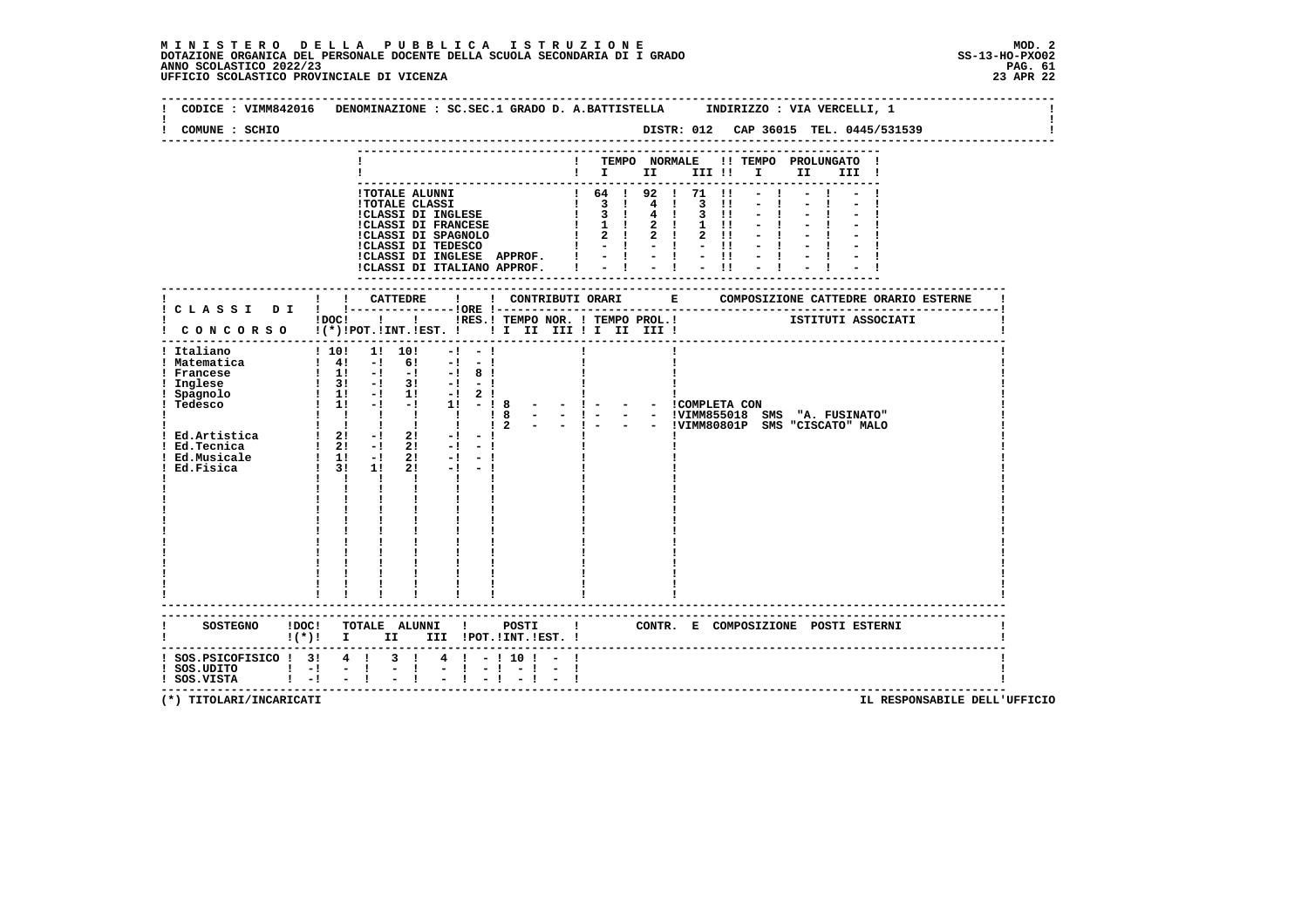| COMUNE : SCHIO                                                                                                                       |                                                                                                                                                                                                                                                                                                                                                                                                                                                            |              |                                                                                                                                                                                                  | DISTR: 012 CAP 36015 TEL. 0445/531539                                                                      |
|--------------------------------------------------------------------------------------------------------------------------------------|------------------------------------------------------------------------------------------------------------------------------------------------------------------------------------------------------------------------------------------------------------------------------------------------------------------------------------------------------------------------------------------------------------------------------------------------------------|--------------|--------------------------------------------------------------------------------------------------------------------------------------------------------------------------------------------------|------------------------------------------------------------------------------------------------------------|
|                                                                                                                                      |                                                                                                                                                                                                                                                                                                                                                                                                                                                            |              | $\mathbf{I}$<br>$\mathbf{I}$ is the set of $\mathbf{I}$                                                                                                                                          | TEMPO NORMALE !! TEMPO PROLUNGATO<br>III !!<br>$\mathbf{I}$ and $\mathbf{I}$<br>II<br>III !                |
|                                                                                                                                      | !TOTALE ALUNNI<br><b>!TOTALE CLASSI</b><br>!CLASSI DI INGLESE<br><b>!CLASSI DI FRANCESE</b><br>!CLASSI DI FRANCELLE :CLASSI DI SPAGNOLO<br>!CLASSI DI INGLESE APPROF. !<br>!CLASSI DI ITALIANO APPROF.                                                                                                                                                                                                                                                     |              | 1 64 1 92 1 71<br>$1 \quad 3 \quad 1$<br>$4 \quad 1$<br>$\overline{3}$ 1<br>$\mathbf{I}$<br>$4 \quad 1$<br>$1 \quad 1$<br>2 <sub>1</sub><br>2 ! 2 !<br>$\mathbf{I}$<br>$-1$ $-1$<br>$-1 - 1 - 1$ | - 11<br>$\overline{\mathbf{3}}$<br>$\blacksquare$<br>$3 \quad 11$<br>$1 \quad 11$<br>$2 \quad 11$<br>$-11$ |
|                                                                                                                                      | ! CATTEDRE<br>$\mathbf{I}$ and $\mathbf{I}$                                                                                                                                                                                                                                                                                                                                                                                                                |              | ! CONTRIBUTI ORARI E                                                                                                                                                                             | COMPOSIZIONE CATTEDRE ORARIO ESTERNE                                                                       |
|                                                                                                                                      | $\mathbf{I}$ and $\mathbf{I}$ and $\mathbf{I}$ and $\mathbf{I}$<br>!DOC!<br>! CONCORSO !(*)!POT.!INT.!EST. !! I III III II III III!                                                                                                                                                                                                                                                                                                                        |              | !RES.! TEMPO NOR. ! TEMPO PROL.!                                                                                                                                                                 | ISTITUTI ASSOCIATI                                                                                         |
| ! Italiano<br>! Matematica<br>Francese<br>Inglese<br>Spagnolo<br>Tedesco<br>! Ed.Artistica<br>Ed.Tecnica<br>Ed.Musicale<br>Ed.Fisica | 1! 10!<br>110!<br>$-1$<br>$-1$<br>$\frac{1}{2}$ 41 $\frac{1}{2}$<br>6 !<br>$-1 - -1$<br>$1 \t1! -1 \t-1$<br>$-1$ 8 !<br>$1 \quad 3! \quad -1 \quad 3! \quad -1 \quad -1$<br>$\frac{1}{2}$ 1: -1 1: -1 2:<br>$1 \quad 1! \quad -1 \quad -1 \quad 1! \quad -18$<br>$1 \quad 2! \quad -1 \quad 2!$<br>$1 \t1! \t-1$<br>21<br>$-1$ $-1$<br>$-1$ $-1$<br>$1 \quad 3! \quad 1!$<br>2!<br>$\mathbf{1}$ $\mathbf{1}$ $\mathbf{1}$<br>$\mathbf{I}$ and $\mathbf{I}$ | $   1 -$     |                                                                                                                                                                                                  | - - COMPLETA CON                                                                                           |
| <b>SOSTEGNO</b><br>!DOC!                                                                                                             | TOTALE ALUNNI !<br>$!(*)!$ I II III !POT.!INT.!EST. !                                                                                                                                                                                                                                                                                                                                                                                                      | <b>POSTI</b> | $\mathbf{I}$                                                                                                                                                                                     | CONTR. E COMPOSIZIONE POSTI ESTERNI                                                                        |
| ! SOS.PSICOFISICO ! 3! 4 !<br>$!$ SOS.UDITO $!$ $-!$<br>$1 - 1$<br>! SOS.VISTA                                                       | 3 <sub>1</sub><br>$4 \quad 1 \quad - \quad 10 \quad 1$<br>$ -1$<br>$\mathbf{I}$                                                                                                                                                                                                                                                                                                                                                                            |              |                                                                                                                                                                                                  |                                                                                                            |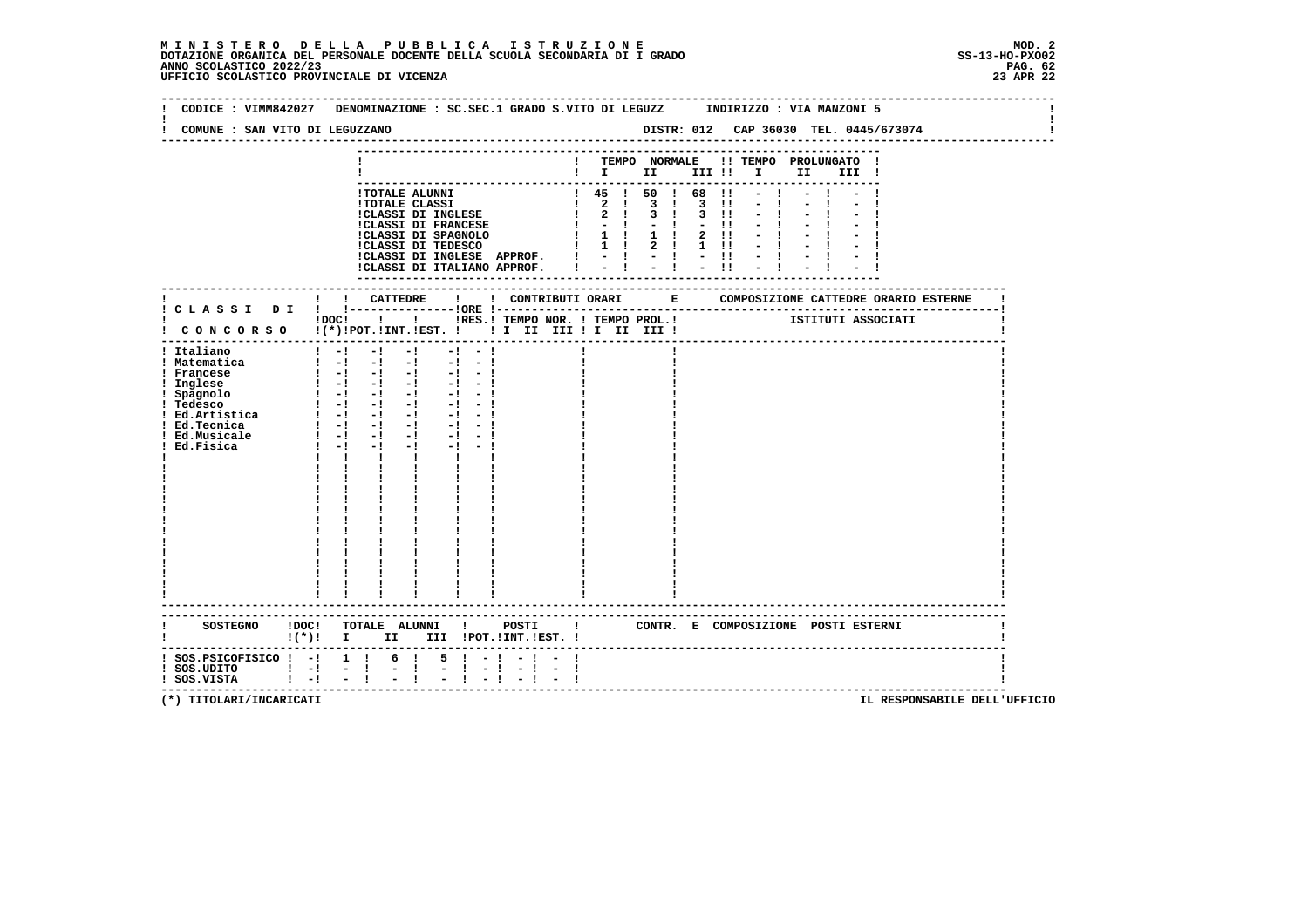| COMUNE : SAN VITO DI LEGUZZANO                                                                                                                 | CODICE: VIMM842027 DENOMINAZIONE: SC.SEC.1 GRADO S.VITO DI LEGUZZ INDIRIZZO: VIA MANZONI 5                                                                                                                                                                                                                                                                                                                                                                                                                                                                                                                                                                                     |                       |                                                                                                                                                                                                                    |                                         |                                                                    | DISTR: 012 CAP 36030 TEL. 0445/673074                     |  |
|------------------------------------------------------------------------------------------------------------------------------------------------|--------------------------------------------------------------------------------------------------------------------------------------------------------------------------------------------------------------------------------------------------------------------------------------------------------------------------------------------------------------------------------------------------------------------------------------------------------------------------------------------------------------------------------------------------------------------------------------------------------------------------------------------------------------------------------|-----------------------|--------------------------------------------------------------------------------------------------------------------------------------------------------------------------------------------------------------------|-----------------------------------------|--------------------------------------------------------------------|-----------------------------------------------------------|--|
|                                                                                                                                                |                                                                                                                                                                                                                                                                                                                                                                                                                                                                                                                                                                                                                                                                                |                       | $\blacksquare$ $\blacksquare$ $\blacksquare$ $\blacksquare$ $\blacksquare$                                                                                                                                         | III !!                                  | TEMPO NORMALE !! TEMPO PROLUNGATO<br>$\mathbf{I}$ and $\mathbf{I}$ | II<br>III !                                               |  |
|                                                                                                                                                | !TOTALE ALUNNI<br><b>!TOTALE CLASSI</b><br>!TOTALE CLASSI<br>!CLASSI DI INGLESE<br><b>!CLASSI DI FRANCESE</b><br>CLASSI DI SPAGNOLO<br>ICLASSI DI TEDESCO<br>!CLASSI DI INGLESE APPROF.  ! - ! - ! - !!<br>!CLASSI DI ITALIANO APPROF.                                                                                                                                                                                                                                                                                                                                                                                                                                         |                       | $\begin{array}{ccccccccc}\n & 1 & 45 & 1 & 50 & 1 & 68 & 11 \\  & 2 & 1 & 3 & 1 & 3 & 11\n\end{array}$<br>$1 \quad 2 \quad 1 \quad 3 \quad 1$<br>$1 - 1 - 1$<br>1 1 1 1 1 2 11<br>1 1 1 2 1 1 1 1<br>$-1 - 1 - 11$ | $\overline{3}$ $\overline{11}$<br>$-11$ |                                                                    |                                                           |  |
|                                                                                                                                                | ! ! CATTEDRE<br>$\mathbf{I}$ and $\mathbf{I}$                                                                                                                                                                                                                                                                                                                                                                                                                                                                                                                                                                                                                                  |                       |                                                                                                                                                                                                                    |                                         |                                                                    | ! CONTRIBUTI ORARI B COMPOSIZIONE CATTEDRE ORARIO ESTERNE |  |
|                                                                                                                                                | !DOC! ! ! !RES.! TEMPO NOR. ! TEMPO PROL.! ISTITUTI ASSOCIATI<br>! CONCORSO !(*)!POT.!INT.!EST. !! I II III !I II III !                                                                                                                                                                                                                                                                                                                                                                                                                                                                                                                                                        |                       |                                                                                                                                                                                                                    |                                         |                                                                    |                                                           |  |
| ! Italiano<br>! Matematica<br>! Francese<br>! Inglese<br>! Spagnolo<br>- desco<br>: Ed.Artistica<br>! Ed.Tecnica<br>! Ed.Musicale<br>Ed.Fisica | $1 - 1$<br>$-1$<br>$-1$<br>$-1 - -1$<br>$1 - 1 - 1 - 1$<br>$-1 - 1$<br>$\begin{array}{cccccccccccccc} 1 & -1 & -1 & -1 & -1 & -1 & -1 \end{array}$<br>$\begin{bmatrix} 1 & -1 & -1 & -1 & -1 & -1 \end{bmatrix}$<br><u> 1 -1 -1 -1 -1 -1 -1</u><br>$\begin{bmatrix} 1 & -1 & -1 & -1 & -1 & -1 \end{bmatrix}$<br>$1 - 1 - 1 - 1 - 1 - 1$<br>$\begin{bmatrix} 1 & -1 & -1 & -1 & -1 & -1 \end{bmatrix}$<br>$\frac{1}{2}$ $\frac{1}{2}$ $\frac{1}{2}$ $\frac{1}{2}$ $\frac{1}{2}$ $\frac{1}{2}$ $\frac{1}{2}$ $\frac{1}{2}$<br>$-1 - -1$<br>$1 - 1 - 1$<br>$-1 - -1$<br>$-1$ and $-1$<br>$\mathbf{I}$<br>$\mathbf{I}$<br>$\mathbf{I}$ and $\mathbf{I}$<br>---------------------- |                       |                                                                                                                                                                                                                    |                                         |                                                                    |                                                           |  |
|                                                                                                                                                | SOSTEGNO !DOC! TOTALE ALUNNI ! POSTI ! CONTR. E COMPOSIZIONE POSTI ESTERNI<br>$\mathbf{I}(\star)\mathbf{I}$ I<br>II D                                                                                                                                                                                                                                                                                                                                                                                                                                                                                                                                                          | III !POT.!INT.!EST. ! |                                                                                                                                                                                                                    |                                         |                                                                    |                                                           |  |
| $:$ SOS.PSICOFISICO $:$ - $:$ 1 $:$<br>$!$ SOS.UDITO $!$ - $!$ - $!$<br>! SOS.VISTA                                                            | 6 !<br>$5 \t-1$<br>$\mathbb{Z} \times \mathbb{R}$<br>$\frac{1}{2}$ $\frac{1}{2}$ $\frac{1}{2}$ $\frac{1}{2}$<br>$\blacksquare$ $\blacksquare$ $\blacksquare$ $\blacksquare$ $\blacksquare$ $\blacksquare$                                                                                                                                                                                                                                                                                                                                                                                                                                                                      | $-1 - -1$<br>$-1$     |                                                                                                                                                                                                                    |                                         |                                                                    |                                                           |  |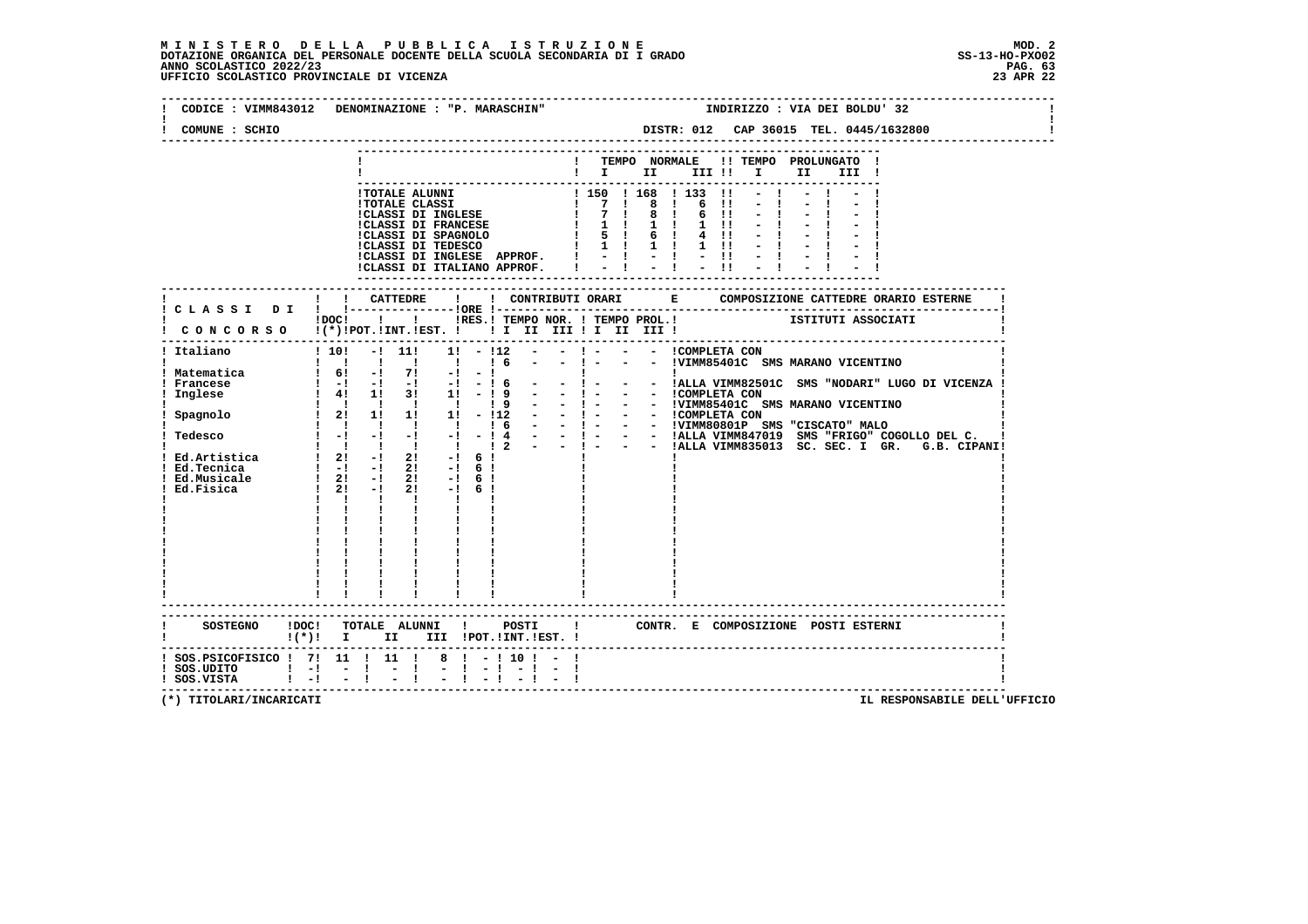### **M I N I S T E R O D E L L A P U B B L I C A I S T R U Z I O N E MOD. 2**DOTAZIONE ORGANICA DEL PERSONALE DOCENTE DELLA SCUOLA SECONDARIA DI I GRADO **SCOLASTICO SCOLASTICO 2022/23** SS-13-HO-PXO02<br>PAGNO SCOLASTICO 2022/23 PAG. 63<br>23 APR 22 UFFICIO SCOLASTICO PROVINCIALE DI VICENZA

|                                     | CODICE: VIMM843012 DENOMINAZIONE: "P. MARASCHIN"<br>INDIRIZZO : VIA DEI BOLDU' 32                                                         |
|-------------------------------------|-------------------------------------------------------------------------------------------------------------------------------------------|
| COMUNE : SCHIO                      | DISTR: 012 CAP 36015 TEL. 0445/1632800                                                                                                    |
|                                     | ! TEMPO NORMALE !! TEMPO PROLUNGATO !                                                                                                     |
|                                     | $\mathbf{I}$ is the set of $\mathbf{I}$<br>III !!!!!<br>II a<br>III !                                                                     |
|                                     |                                                                                                                                           |
|                                     |                                                                                                                                           |
|                                     |                                                                                                                                           |
|                                     |                                                                                                                                           |
|                                     |                                                                                                                                           |
|                                     |                                                                                                                                           |
|                                     |                                                                                                                                           |
|                                     |                                                                                                                                           |
|                                     | ! ! CATTEDRE<br>$\mathbf{I}$                                                                                                              |
|                                     | ! C L A S S I D I ! !----------------!ORE !--<br>---------------;<br>1. IRES.I TEMPO NOR. I TEMPO PROL.I TEMPO TRITUTI ASSOCIATI<br>!DOC! |
|                                     | CONCORSO !(*) POT. INT. EST. !! I II III II III III                                                                                       |
|                                     | ----------------------------------                                                                                                        |
| ! Italiano                          | $10! - 11!$<br>$1! - 112 - -$                                                                                                             |
|                                     | 1 1 1 1 1 1 1 6<br>- ! - - - !VIMM85401C SMS MARANO VICENTINO                                                                             |
| ! Matematica                        | $1 \t6!$ -1 7! -1 -1                                                                                                                      |
|                                     |                                                                                                                                           |
|                                     |                                                                                                                                           |
|                                     |                                                                                                                                           |
|                                     |                                                                                                                                           |
| ! Tedesco                           |                                                                                                                                           |
|                                     |                                                                                                                                           |
|                                     |                                                                                                                                           |
|                                     | $\begin{array}{cccccccc} 1 & 21 & -1 & 21 & -1 & 61 \\ 1 & 21 & -1 & 21 & -1 & 61 \end{array}$                                            |
| Ed.Fisica                           | $1 \t2! -1$<br>$2! -16!$                                                                                                                  |
|                                     | $\mathbf{1}$ $\mathbf{1}$ $\mathbf{1}$                                                                                                    |
|                                     |                                                                                                                                           |
|                                     |                                                                                                                                           |
|                                     |                                                                                                                                           |
|                                     |                                                                                                                                           |
|                                     |                                                                                                                                           |
|                                     |                                                                                                                                           |
|                                     |                                                                                                                                           |
|                                     |                                                                                                                                           |
|                                     | SOSTEGNO !DOC! TOTALE ALUNNI ! POSTI ! CONTR. E COMPOSIZIONE POSTI ESTERNI                                                                |
|                                     | ! (*)! I II III !POT.!INT.!EST.!                                                                                                          |
|                                     | ! SOS. PSICOFISICO ! 7! 11 ! 11 ! 8 ! - ! 10 ! - !                                                                                        |
| $!$ SOS.UDITO $!$ $!$ $ !$ $ !$ $-$ | $-1 - 1 - 1 - 1$<br>-1                                                                                                                    |
|                                     |                                                                                                                                           |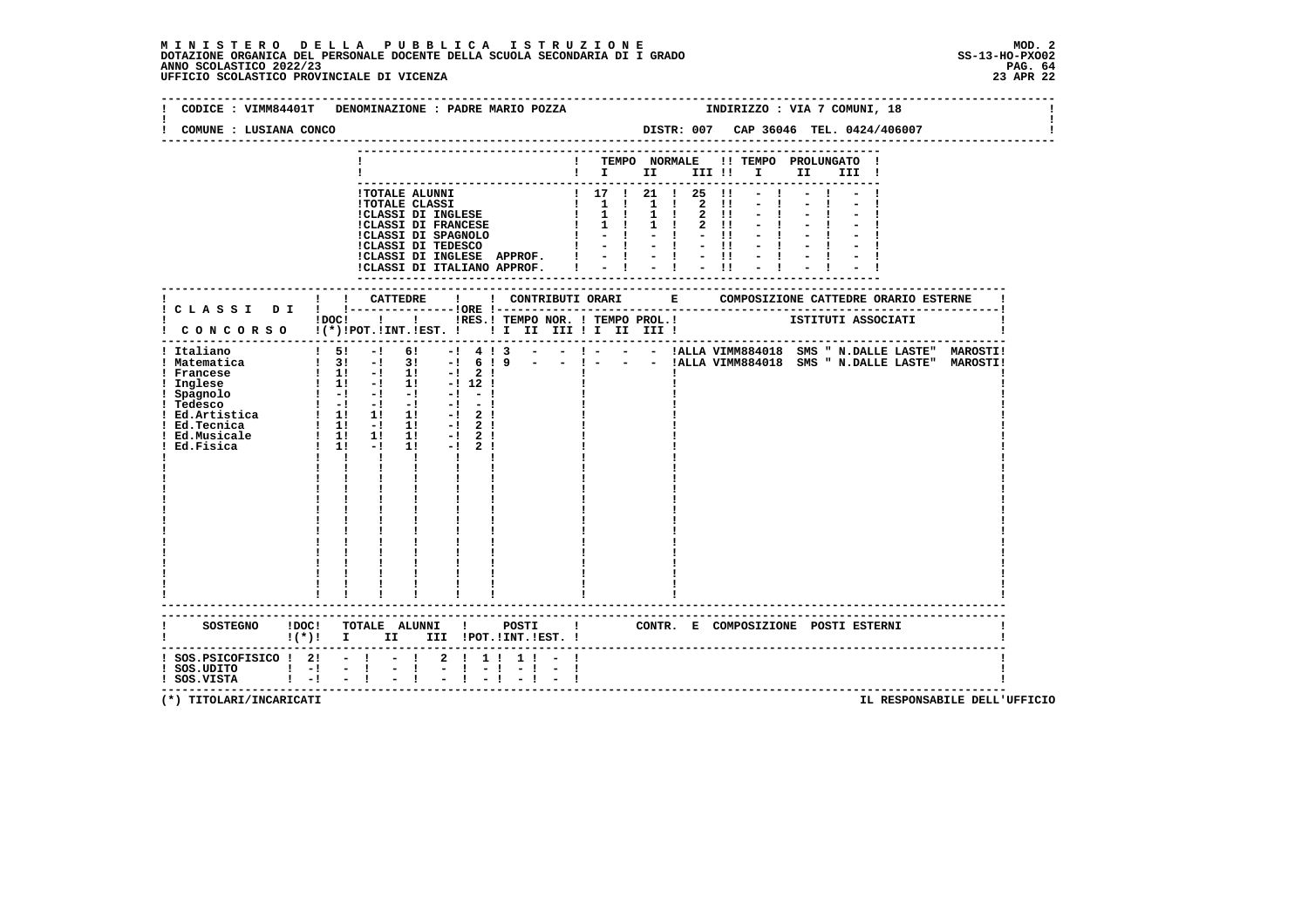|                                                                                                                | CODICE : VIMM84401T DENOMINAZIONE : PADRE MARIO POZZA                                                                                                                                                                                                                                                                                                                                                                                                                                                                                                                              | INDIRIZZO : VIA 7 COMUNI, 18                                                                                                                                                                                                                                                                            |
|----------------------------------------------------------------------------------------------------------------|------------------------------------------------------------------------------------------------------------------------------------------------------------------------------------------------------------------------------------------------------------------------------------------------------------------------------------------------------------------------------------------------------------------------------------------------------------------------------------------------------------------------------------------------------------------------------------|---------------------------------------------------------------------------------------------------------------------------------------------------------------------------------------------------------------------------------------------------------------------------------------------------------|
| COMUNE : LUSIANA CONCO                                                                                         |                                                                                                                                                                                                                                                                                                                                                                                                                                                                                                                                                                                    | DISTR: 007 CAP 36046 TEL. 0424/406007                                                                                                                                                                                                                                                                   |
|                                                                                                                |                                                                                                                                                                                                                                                                                                                                                                                                                                                                                                                                                                                    | ! TEMPO NORMALE !! TEMPO PROLUNGATO !<br>$\blacksquare$ $\blacksquare$ $\blacksquare$ $\blacksquare$ $\blacksquare$ $\blacksquare$ $\blacksquare$ $\blacksquare$ $\blacksquare$ $\blacksquare$ $\blacksquare$ $\blacksquare$ $\blacksquare$ $\blacksquare$ $\blacksquare$ $\blacksquare$ $\blacksquare$ |
|                                                                                                                | !CLASSI DI INGLESE APPROF. !<br>!CLASSI DI ITALIANO APPROF. I                                                                                                                                                                                                                                                                                                                                                                                                                                                                                                                      | $= 1 + 1 + 1$                                                                                                                                                                                                                                                                                           |
|                                                                                                                |                                                                                                                                                                                                                                                                                                                                                                                                                                                                                                                                                                                    |                                                                                                                                                                                                                                                                                                         |
|                                                                                                                | ! CONCORSO !(*)!POT.!INT.!EST. ! ! I III III II III III !                                                                                                                                                                                                                                                                                                                                                                                                                                                                                                                          | iDOCI ! I IRES. I TEMPO NOR. I TEMPO PROL. ! [STITUTI ASSOCIATI                                                                                                                                                                                                                                         |
| ! Italiano<br>! Matematica<br>! Francese<br>! Inglese<br>! Spagnolo<br>! Tedesco<br>! Ed.Musicale<br>Ed.Fisica | $15! -16!$<br>$\begin{array}{cccccccc} 1 & 11 & -1 & 11 & -1 & 2 & 1 \\ 1 & 11 & -1 & 11 & -1 & 12 & 1 \\ 1 & -1 & -1 & -1 & -1 & -1 & -1 \end{array}$<br>$\begin{bmatrix} 1 & -1 & -1 & -1 & -1 & -1 \end{bmatrix}$<br>1 Ed.Artistica 1 1 1 1 1 1 1 2 1<br>1 Ed.Tecnica 1 1 1 - 1 1 1 - 2 1<br>$\begin{array}{ccccccccc}\n & & 1 & & 1 & & 1 & & 1 \\  & & 1 & & -1 & & 1 & & \\ \end{array}$<br>$-1$ 2 1<br>$1! -12!$<br>$1 \quad 1 \quad 1$<br>$\mathbf{I}$ and $\mathbf{I}$<br>$\mathbf{I}$ and $\mathbf{I}$<br>$\mathbf{I}$<br>$\mathbf{I}$ and $\mathbf{I}$<br>$\frac{1}{1}$ | $-!$ 4 ! 3 - - ! - - - !ALLA VIMM884018 SMS " N.DALLE LASTE" MAROSTI!<br>! 3! -! 3! -! 6 ! 9 - - ! - - - !ALLA VIMM884018 SMS " N.DALLE LASTE" MAROSTI!                                                                                                                                                 |
|                                                                                                                | --------------------------<br>$!(*)!$ I II III !POT.!INT.!EST. !                                                                                                                                                                                                                                                                                                                                                                                                                                                                                                                   |                                                                                                                                                                                                                                                                                                         |
| $!$ SOS.UDITO $!$ - $!$ - $!$<br>$!$ SOS.VISTA $!$ $-!$ $ !$                                                   | $1$ SOS.PSICOFISICO $1$ 2! - ! - ! 2 ! 1! 1! - !<br>$-1 - 1 - 1 - 1 - 1 - 1$<br>$-1 - -1$                                                                                                                                                                                                                                                                                                                                                                                                                                                                                          |                                                                                                                                                                                                                                                                                                         |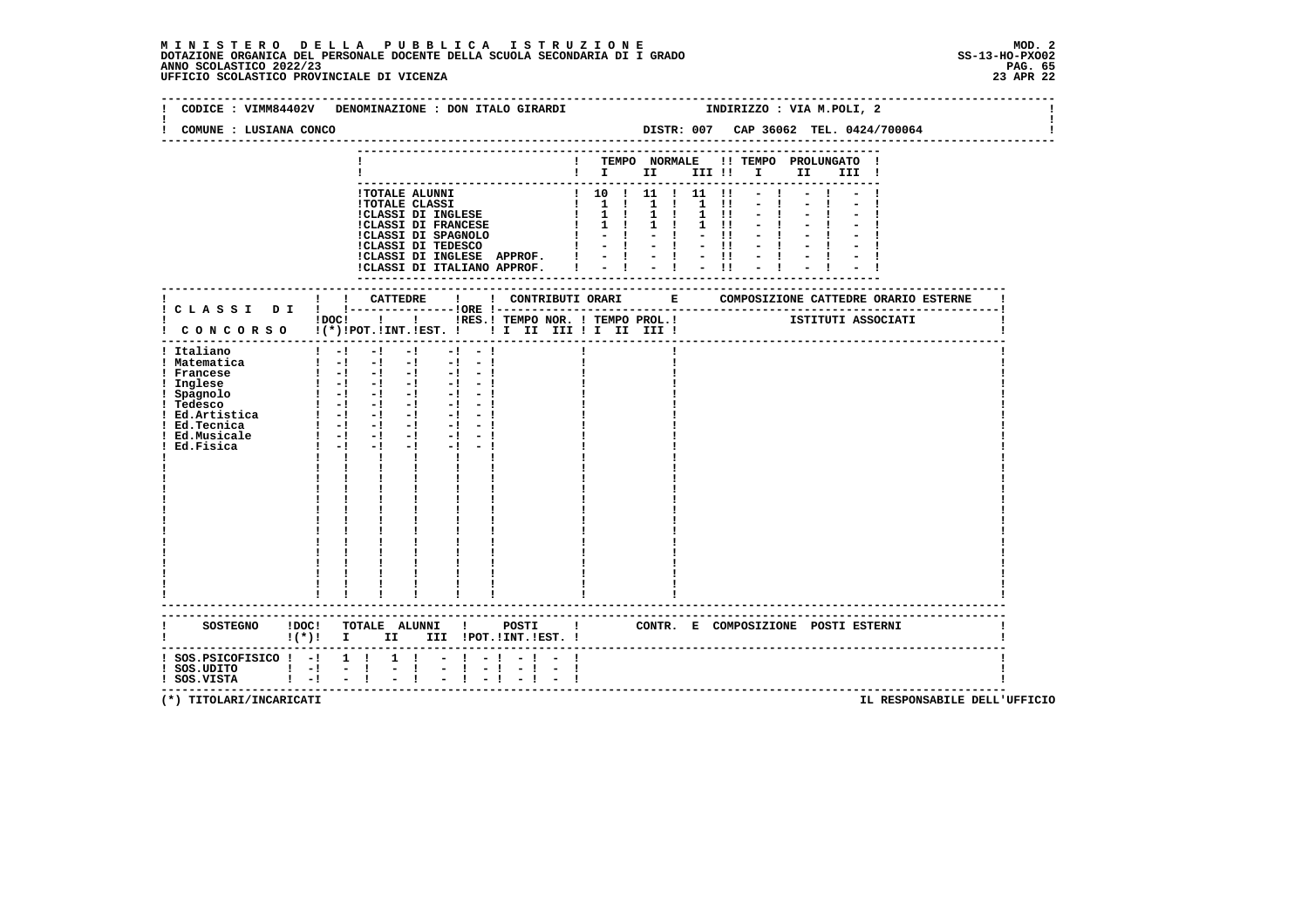#### **M I N I S T E R O D E L L A P U B B L I C A I S T R U Z I O N E MOD. 2**DOTAZIONE ORGANICA DEL PERSONALE DOCENTE DELLA SCUOLA SECONDARIA DI I GRADO **SCOLASTICO SCOLASTICO 2022/23 PAG. 65**<br>23 ANNO SCOLASTICO 2022/23 PAG. 65<br>23 APR 22 UFFICIO SCOLASTICO PROVINCIALE DI VICENZA

|                                                                                               | CODICE : VIMM84402V DENOMINAZIONE : DON ITALO GIRARDI                                                                                                                                                                                                                                                                                                                                                                                                                                                                           |                      |                                                                                                                                                                |  |              |      | INDIRIZZO : VIA M.POLI, 2 |                                       |  |
|-----------------------------------------------------------------------------------------------|---------------------------------------------------------------------------------------------------------------------------------------------------------------------------------------------------------------------------------------------------------------------------------------------------------------------------------------------------------------------------------------------------------------------------------------------------------------------------------------------------------------------------------|----------------------|----------------------------------------------------------------------------------------------------------------------------------------------------------------|--|--------------|------|---------------------------|---------------------------------------|--|
| COMUNE : LUSIANA CONCO                                                                        |                                                                                                                                                                                                                                                                                                                                                                                                                                                                                                                                 |                      |                                                                                                                                                                |  |              |      |                           | DISTR: 007 CAP 36062 TEL. 0424/700064 |  |
|                                                                                               |                                                                                                                                                                                                                                                                                                                                                                                                                                                                                                                                 |                      | . _ _ _ _ _ _ _ _ _ _ _ _ _ _ _<br>! TEMPO NORMALE !! TEMPO PROLUNGATO !<br>$\mathbf{I}$ $\mathbf{I}$ $\mathbf{II}$ $\mathbf{III}$ $\mathbf{II}$ $\mathbf{II}$ |  |              | II a | III !                     |                                       |  |
|                                                                                               | !TOTALE ALUNNI<br>ICLASSI DI INGLESE APPROF. $  -   -   -   -  $<br>ICLASSI DI ITALIANO APPROF. $  -   -   -   -  $                                                                                                                                                                                                                                                                                                                                                                                                             |                      | $\frac{1}{10}$ 10 $\frac{1}{11}$ 11 $\frac{1}{11}$ 11 $\frac{1}{11}$                                                                                           |  | $-1$<br>$-1$ |      |                           |                                       |  |
|                                                                                               | IDOC! ! ! IRES.I TEMPO NOR. ! TEMPO PROL.! ISTITUTI ASSOCIATI<br>! CONCORSO !(*)!POT.!INT.!EST. ! ! I II III ! II III !                                                                                                                                                                                                                                                                                                                                                                                                         |                      |                                                                                                                                                                |  |              |      |                           |                                       |  |
| ! Italiano<br>! Matematica<br>! Francese<br>! Inglese<br>! Spagnolo<br>! Tedesco<br>Ed.Fisica | $1 - 1 - 1 - 1 - 1 - 1 - 1$<br>$\begin{bmatrix} 1 & -1 & -1 & -1 & -1 & -1 & -1 \end{bmatrix}$<br>$\begin{bmatrix} 1 & -1 & -1 & -1 & -1 & -1 \end{bmatrix}$<br>$1 - 1 - 1 - 1 - 1 - 1 - 1$<br>: leason<br>! Ed. Artistica = 1 - 1 - 1 - 1 - 1<br>! Ed. Tecnica = 1 - 1 - 1 - 1 - 1 - 1<br>! Ed. Musicale = 1 - 1 - 1 - 1 - 1 - 1<br>$1 - 1$<br>$-1$<br>$-1$ and $-1$<br>$-1 - 1$<br>$\mathbf{I}$ and $\mathbf{I}$ and $\mathbf{I}$<br>$\mathbf{I}$<br>$\mathbf{I}$ and $\mathbf{I}$<br>$\mathbf{I}$<br>----------------------- |                      |                                                                                                                                                                |  |              |      |                           |                                       |  |
|                                                                                               | SOSTEGNO ! DOC! TOTALE ALUNNI ! POSTI ! CONTR. E COMPOSIZIONE POSTI ESTERNI<br>$!(*)!$ I II III !POT.!INT.!EST. !                                                                                                                                                                                                                                                                                                                                                                                                               |                      |                                                                                                                                                                |  |              |      |                           |                                       |  |
| $:$ SOS.PSICOFISICO $:$ - $:$ 1 $:$<br>! SOS.UDITO ! -! - !<br>! SOS.VISTA ! -! - !           | $1 \quad 1$<br>$-1 - 1$<br>t.<br>$\mathbf{I}$<br>$-1 - 1$                                                                                                                                                                                                                                                                                                                                                                                                                                                                       | $-1$ $-$<br>$-1 - 1$ |                                                                                                                                                                |  |              |      |                           |                                       |  |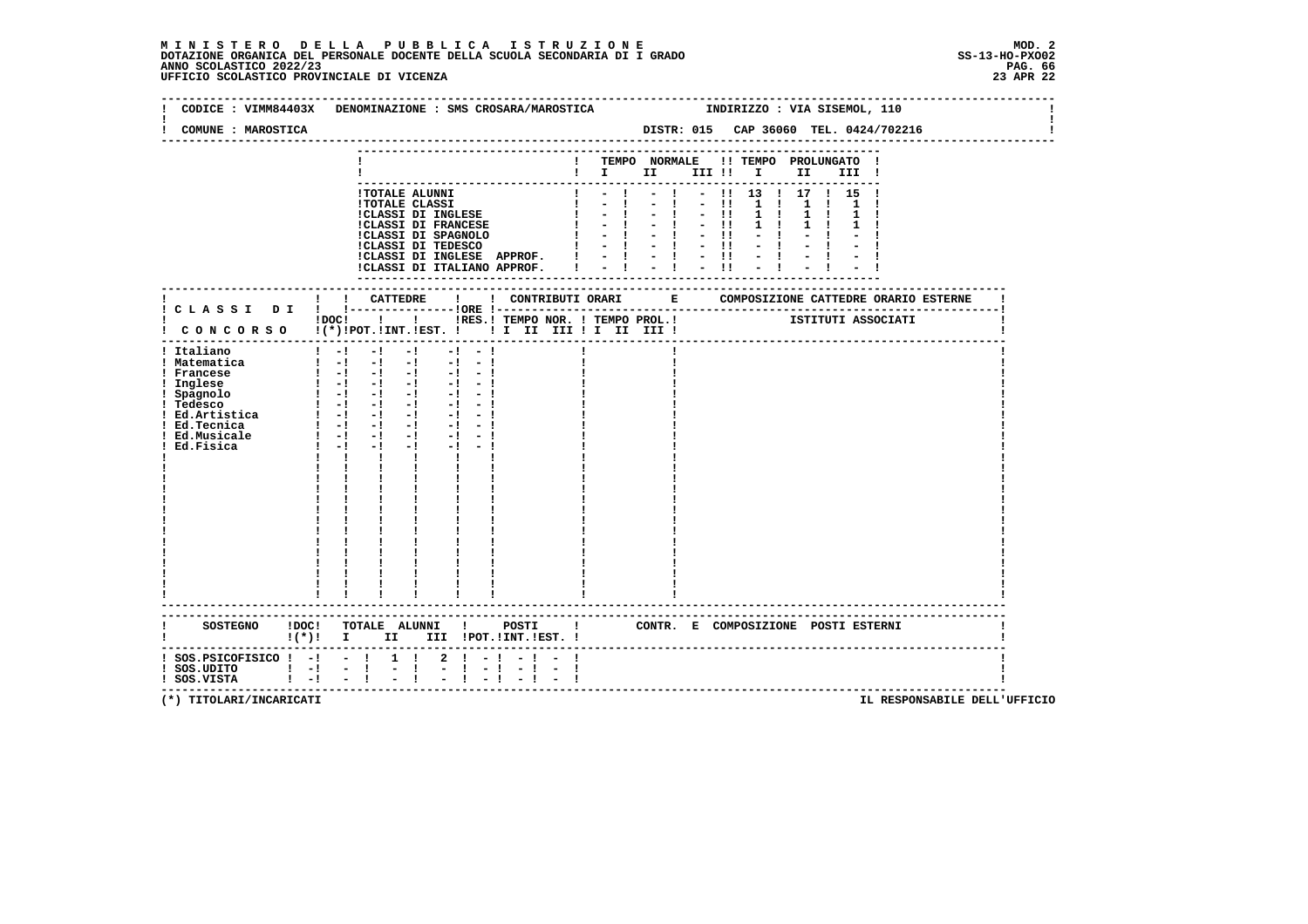### **M I N I S T E R O D E L L A P U B B L I C A I S T R U Z I O N E MOD. 2**DOTAZIONE ORGANICA DEL PERSONALE DOCENTE DELLA SCUOLA SECONDARIA DI I GRADO **SCOLASTICO SCOLASTICO 2022/23 PAG. 66**<br>23 ANNO SCOLASTICO 2022/23 PAG. 66<br>23 APR 22 UFFICIO SCOLASTICO PROVINCIALE DI VICENZA

| CODICE : VIMM84403X DENOMINAZIONE : SMS CROSARA/MAROSTICA                                                                                                  |             |                                   |                                                                                                                                                                                                                                                                                                                                                                                                                                        |                            |                  |              |                                                                                                                                                                                                                                                                                                                      |  |                                     |                            | INDIRIZZO : VIA SISEMOL, 110                                      |                              |  |  |
|------------------------------------------------------------------------------------------------------------------------------------------------------------|-------------|-----------------------------------|----------------------------------------------------------------------------------------------------------------------------------------------------------------------------------------------------------------------------------------------------------------------------------------------------------------------------------------------------------------------------------------------------------------------------------------|----------------------------|------------------|--------------|----------------------------------------------------------------------------------------------------------------------------------------------------------------------------------------------------------------------------------------------------------------------------------------------------------------------|--|-------------------------------------|----------------------------|-------------------------------------------------------------------|------------------------------|--|--|
| COMUNE : MAROSTICA                                                                                                                                         |             |                                   |                                                                                                                                                                                                                                                                                                                                                                                                                                        |                            |                  |              | DISTR: 015 CAP 36060 TEL. 0424/702216                                                                                                                                                                                                                                                                                |  |                                     |                            |                                                                   |                              |  |  |
|                                                                                                                                                            |             |                                   |                                                                                                                                                                                                                                                                                                                                                                                                                                        |                            |                  |              | ! TEMPO NORMALE !! TEMPO PROLUNGATO !<br>$\blacksquare$ $\blacksquare$ $\blacksquare$ $\blacksquare$ $\blacksquare$ $\blacksquare$ $\blacksquare$ $\blacksquare$ $\blacksquare$ $\blacksquare$                                                                                                                       |  |                                     |                            |                                                                   | III !                        |  |  |
|                                                                                                                                                            |             |                                   | !TOTALE ALUNNI<br><b>!TOTALE CLASSI</b><br>!CLASSI DI INGLESE<br><b>!CLASSI DI FRANCESE</b><br>!CLASSI DI SPAGNOLO<br>!CLASSI DI TEDESCO                                                                                                                                                                                                                                                                                               |                            |                  | $\mathbf{I}$ | . <u>.</u> .<br>$\mathbf{1}$ $\mathbf{1}$ $\mathbf{1}$ $\mathbf{1}$<br>$1 - -1$<br>$1 - 1 - 1 - 1$<br>$1 - 1 - 1 - 1$<br>$1 - -1$<br>!CLASSI DI INGLESE APPROF. $! \t - \t - \t - \t !\t - \t !\t$<br>!CLASSI DI ITALIANO APPROF. $! \t - \t - \t - \t !\t - \t !\t$                                                 |  | $-1 - 11 11$<br>$-1 - -11$<br>$-11$ | $1 \quad 1$<br>$1 \quad 1$ | $ \frac{1}{2}$ 13 $\frac{1}{2}$ 17 $\frac{1}{2}$ 15 $\frac{1}{2}$ | $1 \quad 1 \quad 1$<br>1 1 1 |  |  |
|                                                                                                                                                            |             |                                   |                                                                                                                                                                                                                                                                                                                                                                                                                                        |                            |                  |              | $\text{IDOC!}$<br>$\text{I}$<br>$\text{I}$<br>$\text{I}$<br>$\text{I}$<br>$\text{I}$<br>$\text{I}$<br>$\text{I}$<br>$\text{I}$<br>$\text{I}$<br>$\text{I}$ $\text{I}$ $\text{I}$ $\text{I}$ $\text{I}$ $\text{I}$ $\text{I}$ $\text{I}$ $\text{I}$ $\text{I}$ $\text{I}$ $\text{I}$ $\text{I}$ $\text{I}$ $\text{I}$ |  |                                     |                            |                                                                   |                              |  |  |
| ! CONCORSO !(*)!POT.!INT.!EST. ! ! I II III ! I III III !<br>! Italiano<br>! Matematica<br>! Francese<br>! Inglese<br>! Spagnolo<br>! Tedesco<br>Ed.Fisica | $1 - 1 - 1$ |                                   | $-1$ $-1$ $-1$ $-1$ $-1$ $-1$<br>$\begin{bmatrix} 1 & -1 & -1 & -1 & -1 & -1 \end{bmatrix}$<br>$\begin{bmatrix} 1 & -1 & -1 & -1 & -1 & -1 \end{bmatrix}$<br>$\begin{bmatrix} 1 & -1 & -1 & -1 & -1 & -1 \\ 1 & -1 & -1 & -1 & -1 & -1 \\ \end{bmatrix}$<br>$\begin{bmatrix} 1 & -1 & -1 & -1 & -1 & -1 \end{bmatrix}$<br>$\begin{bmatrix} 1 & -1 & -1 & -1 & -1 & -1 \end{bmatrix}$<br>$-1$ and $-1$<br>$\mathbf{I}$ and $\mathbf{I}$ | $-1 - -1$                  |                  |              |                                                                                                                                                                                                                                                                                                                      |  |                                     |                            |                                                                   |                              |  |  |
| SOSTEGNO ! DOC! TOTALE ALUNNI ! POSTI ! CONTR. E COMPOSIZIONE POSTI ESTERNI<br>$\mathbf{I}(\star)$ i $\mathbf{I}$                                          |             |                                   | II III !POT.!INT.!EST. !                                                                                                                                                                                                                                                                                                                                                                                                               |                            |                  |              |                                                                                                                                                                                                                                                                                                                      |  |                                     |                            |                                                                   |                              |  |  |
| $:$ SOS.PSICOFISICO $:$ - $:$ - $:$<br>  SOS.UDITO   -  - <br>  SOS.VISTA   -  -                                                                           |             | $1 \quad 1$<br>t.<br>$\mathbf{I}$ |                                                                                                                                                                                                                                                                                                                                                                                                                                        | $2 \cdot 1 - 1$<br>$1 - 1$ | $-1$<br>$-1 - 1$ |              |                                                                                                                                                                                                                                                                                                                      |  |                                     |                            |                                                                   |                              |  |  |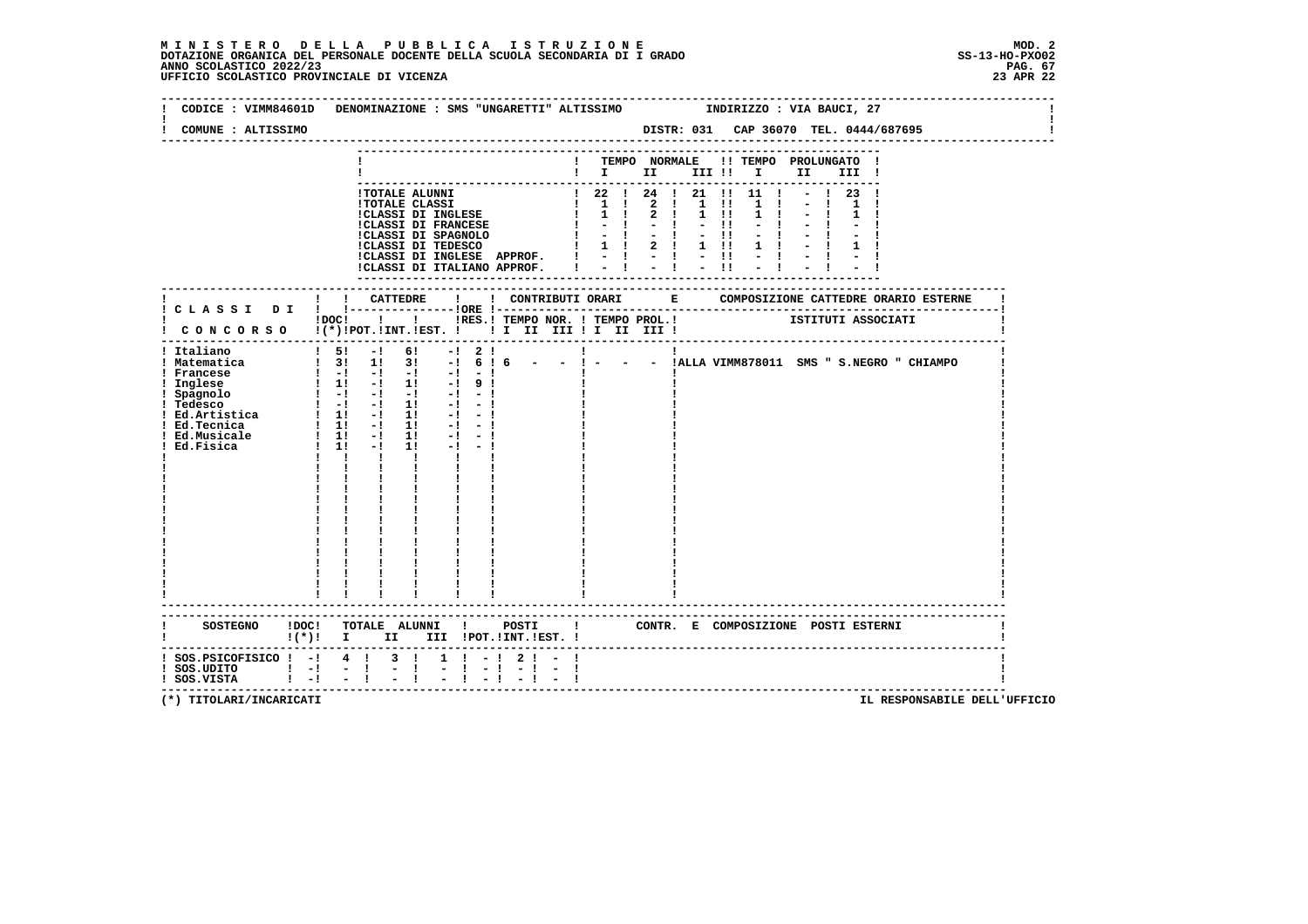### **M I N I S T E R O D E L L A P U B B L I C A I S T R U Z I O N E MOD. 2**DOTAZIONE ORGANICA DEL PERSONALE DOCENTE DELLA SCUOLA SECONDARIA DI I GRADO **SCOLASTICO SCOLASTICO 2022/23 PAG. 67**<br>PAG ANNO SCOLASTICO 2022/23 PAG. 67<br>23 APR 22 UFFICIO SCOLASTICO PROVINCIALE DI VICENZA

|                                                                                                                                                                                                                                                                                                                                                                                                                      | CODICE: VIMM84601D DENOMINAZIONE: SMS "UNGARETTI" ALTISSIMO                                                                                                                         |                                                                                                                                                                                                                                                    |                                                                                                                                                       |  |  | INDIRIZZO : VIA BAUCI, 27                      |                                              |  |
|----------------------------------------------------------------------------------------------------------------------------------------------------------------------------------------------------------------------------------------------------------------------------------------------------------------------------------------------------------------------------------------------------------------------|-------------------------------------------------------------------------------------------------------------------------------------------------------------------------------------|----------------------------------------------------------------------------------------------------------------------------------------------------------------------------------------------------------------------------------------------------|-------------------------------------------------------------------------------------------------------------------------------------------------------|--|--|------------------------------------------------|----------------------------------------------|--|
| COMUNE : ALTISSIMO                                                                                                                                                                                                                                                                                                                                                                                                   |                                                                                                                                                                                     |                                                                                                                                                                                                                                                    |                                                                                                                                                       |  |  |                                                |                                              |  |
|                                                                                                                                                                                                                                                                                                                                                                                                                      |                                                                                                                                                                                     |                                                                                                                                                                                                                                                    | $\blacksquare$ $\blacksquare$ $\blacksquare$ $\blacksquare$ $\blacksquare$ $\blacksquare$ $\blacksquare$ $\blacksquare$ $\blacksquare$ $\blacksquare$ |  |  | ! TEMPO NORMALE !! TEMPO PROLUNGATO !<br>III ! |                                              |  |
|                                                                                                                                                                                                                                                                                                                                                                                                                      |                                                                                                                                                                                     | - CONSECTED 1 22 24 24 21 11 1 1<br>1 22 1 24 1 21 11 1 1<br>1 22 1 24 1 21 11 1 1<br>1 2 1 1 1 1 1 2<br>1 1 2 1 1 1 1 1 1<br>1 1 2 1 1 1 1 1<br>1 1 2 1 1 1 1 1<br>1 1 2 1 1 1 1 1<br>1 1 1 2 1 1 1 1 1<br>1 1 1 2 1 1 1 1 1 1<br>1 1 1 2 1 1 1 1 |                                                                                                                                                       |  |  | $-1$ 23 !                                      |                                              |  |
|                                                                                                                                                                                                                                                                                                                                                                                                                      | ! CONCORSO !(*)!POT.!INT.!EST. ! ! I III III ! II III !                                                                                                                             |                                                                                                                                                                                                                                                    |                                                                                                                                                       |  |  |                                                |                                              |  |
| ! Italiano<br>! Matematica<br>Francesco<br>! Francese<br>! Inglese $\begin{array}{cccccccc} 1 & -1 & -1 & -1 & -1 & -1 & -1 \\ 1 & -1 & -1 & -1 & -1 & -1 & -1 \\ 1 & -1 & -1 & -1 & -1 & -1 & -1 \\ 1 & -1 & -1 & -1 & -1 & -1 & -1 \\ 1 & -1 & -1 & -1 & -1 & -1 & -1 \\ 1 & -1 & -1 & -1 & -1 & -1 & -1 \\ 1 & -1 & -1 & -1 & -1 & -1 & -1 \\ 1 & -1 & -1 & -1 & -1 & -1 & -1 \\ 1 & -1 & -1 & -1 &$<br>Ed.Fisica | $\frac{1}{2}$ 5! -! 6! -! 2! !<br>$\frac{1}{2}$ 31 11 31 -1 6 16<br>$1 \t11 \t-1 \t11 \t-1 \t-1$<br>$\mathbf{I}$ and $\mathbf{I}$ and $\mathbf{I}$<br>$\mathbf{I}$ and $\mathbf{I}$ |                                                                                                                                                                                                                                                    |                                                                                                                                                       |  |  |                                                | - - !ALLA VIMM878011 SMS " S.NEGRO " CHIAMPO |  |
| $\mathbf{I}(\star)$ : T                                                                                                                                                                                                                                                                                                                                                                                              | SOSTEGNO ! DOC! TOTALE ALUNNI ! POSTI ! CONTR. E COMPOSIZIONE POSTI ESTERNI                                                                                                         | II III !POT.!INT.!EST. !                                                                                                                                                                                                                           |                                                                                                                                                       |  |  |                                                |                                              |  |
| ! SOS.PSICOFISICO ! -! 4 !<br>$!$ SOS.UDITO $!$ -! -!<br>! SOS.VISTA                                                                                                                                                                                                                                                                                                                                                 | 3 I<br>$\mathbf{I}$<br>t.<br>$1 - 1 - 1$                                                                                                                                            | $1 \quad 1 \quad - \quad 1 \quad 2 \quad 1 \quad -$<br>$-1 - 1$<br>$-1 - 1$                                                                                                                                                                        |                                                                                                                                                       |  |  |                                                |                                              |  |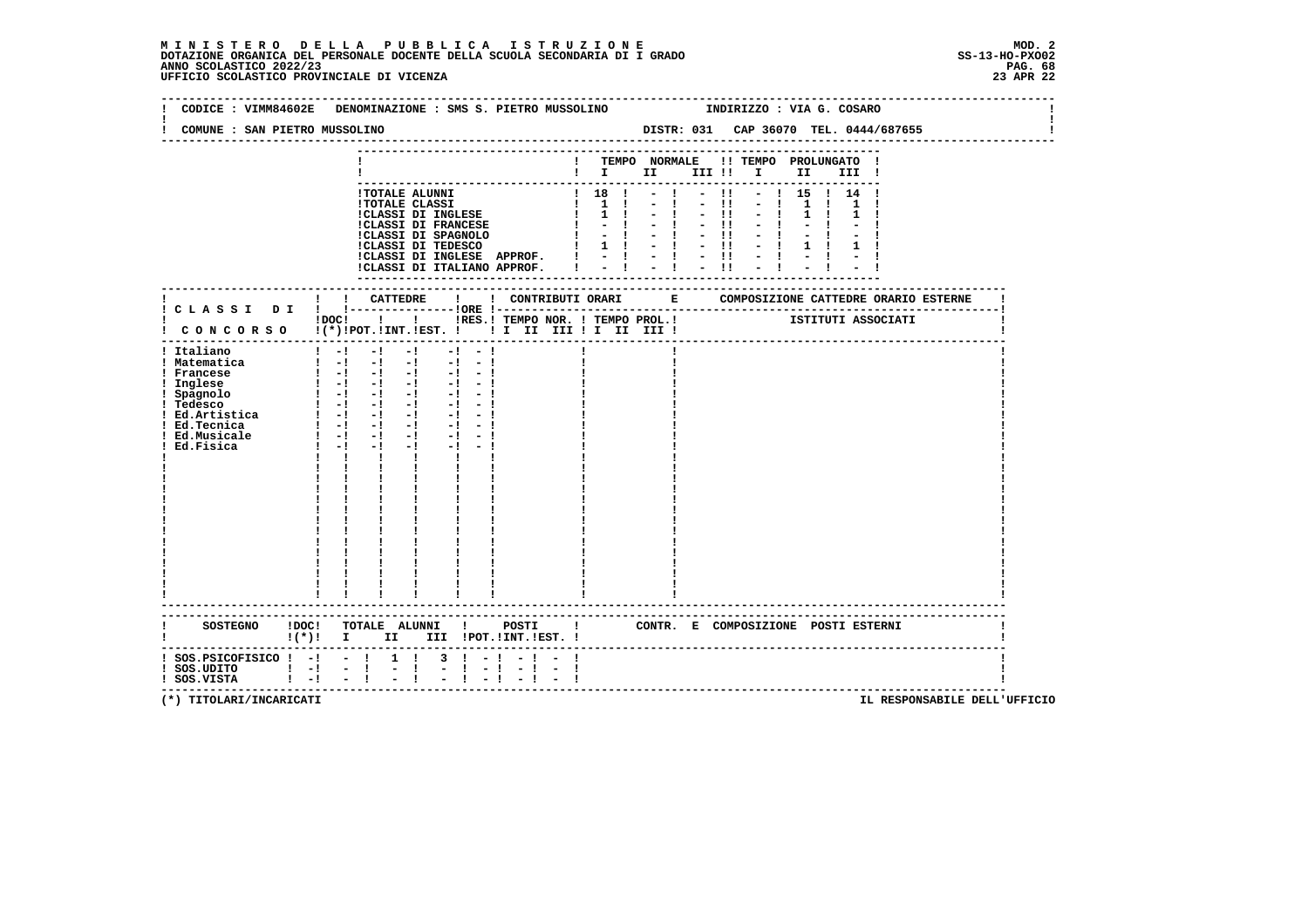# **M I N I S T E R O D E L L A P U B B L I C A I S T R U Z I O N E MOD. 2 DOTAZIONE ORGANICA DEL PERSONALE DOCENTE DELLA SCUOLA SECONDARIA DI I GRADO SS-13-HO-PXO02 ANNO SCOLASTICO 2022/23 PAG. 68 UFFICIO SCOLASTICO PROVINCIALE DI VICENZA 23 APR 22**

| CODICE: VIMM84602E DENOMINAZIONE: SMS S. PIETRO MUSSOLINO                                                                                                                                                                                                                                                                                                                                                                                                                                                                                                             |                                                                                                                                                                                                                                                                                                         |                              |                                                                                                                                                                                                                                                                                                                                                                                                                                                                                                               |            |       | INDIRIZZO : VIA G. COSARO                                                         |                                                 |            |                    |  |
|-----------------------------------------------------------------------------------------------------------------------------------------------------------------------------------------------------------------------------------------------------------------------------------------------------------------------------------------------------------------------------------------------------------------------------------------------------------------------------------------------------------------------------------------------------------------------|---------------------------------------------------------------------------------------------------------------------------------------------------------------------------------------------------------------------------------------------------------------------------------------------------------|------------------------------|---------------------------------------------------------------------------------------------------------------------------------------------------------------------------------------------------------------------------------------------------------------------------------------------------------------------------------------------------------------------------------------------------------------------------------------------------------------------------------------------------------------|------------|-------|-----------------------------------------------------------------------------------|-------------------------------------------------|------------|--------------------|--|
| COMUNE : SAN PIETRO MUSSOLINO                                                                                                                                                                                                                                                                                                                                                                                                                                                                                                                                         |                                                                                                                                                                                                                                                                                                         |                              |                                                                                                                                                                                                                                                                                                                                                                                                                                                                                                               |            |       |                                                                                   |                                                 |            |                    |  |
|                                                                                                                                                                                                                                                                                                                                                                                                                                                                                                                                                                       |                                                                                                                                                                                                                                                                                                         | ---------------------------- | ! TEMPO NORMALE !! TEMPO PROLUNGATO !<br>$\begin{array}{cccccccccccccc} & i & I & \text{II} & \text{III} & \text{II} & \text{II} & \text{II} & \text{II} & \text{II} & \text{II} & \text{II} & \text{II} & \text{II} & \text{II} & \text{II} & \text{II} & \text{II} & \text{II} & \text{II} & \text{II} & \text{II} & \text{II} & \text{II} & \text{II} & \text{II} & \text{II} & \text{II} & \text{II} & \text{II} & \text{II} & \text{II} & \text{II} & \text{II} & \text{II} & \text{II} & \text{II} & \$ |            |       |                                                                                   |                                                 | III !<br>. |                    |  |
|                                                                                                                                                                                                                                                                                                                                                                                                                                                                                                                                                                       | 1 TOTALE ALUNNI<br>1 TOTALE CLASSI<br>1 TOTALE CLASSI<br>1 CLASSI DI INGLESE<br>1 TOTALE I CLASSI DI FRANCESE<br>1 CLASSI DI SPAGNOLO<br>1 - 1<br>1 CLASSI DI TEDESCO<br>1 1 1<br>1 1 1<br>!CLASSI DI INGLESE APPROF. !<br>!CLASSI DI ITALIANO APPROF. !                                                |                              | $-1$<br>$-1$<br>$-1$<br>$-1$<br>$=$ $\frac{1}{2}$ $=$ $\frac{1}{2}$ $=$ $\frac{11}{2}$ $=$ $\frac{1}{2}$ $=$                                                                                                                                                                                                                                                                                                                                                                                                  | $-1$ $-11$ | $-11$ | $-$ !! $-$ ! 15 ! 14 !<br>$-11 - -1$<br>$-11 - -1$<br>$-11 - -1$<br>$-1$ and $-1$ | $1 \quad 1 \quad$<br>$1 \quad 1$<br>$1 \quad 1$ |            |                    |  |
| ! CONCORSO !(*)!POT.!INT.!EST. ! ! I II III ! II III !                                                                                                                                                                                                                                                                                                                                                                                                                                                                                                                | !DOC! !!!!RES.! TEMPO NOR. ! TEMPO PROL.!                                                                                                                                                                                                                                                               |                              |                                                                                                                                                                                                                                                                                                                                                                                                                                                                                                               |            |       |                                                                                   |                                                 |            | ISTITUTI ASSOCIATI |  |
| ! Italiano<br>$1 - 1 - 1 - 1 - 1 - 1 - 1 - 1$<br>! Matematica<br>! Francese<br>1 Inglese $1 - 1 - 1 - 1 - 1 - 1$<br>1 Spagnolo $1 - 1 - 1 - 1 - 1 - 1$<br>1 Tedesco $1 - 1 - 1 - 1 - 1 - 1 - 1$<br>1 Tedesco $1 - 1 - 1 - 1 - 1 - 1 - 1$<br>1 Ed. Atusicale $1 - 1 - 1 - 1 - 1 - 1 - 1$<br>1 Ed. Musicale $1 - 1 - 1 - 1 - 1 - 1 - 1$<br>1 Ed. Musicale $1 -$<br>$1 - 1 - 1$<br>! Ed.Fisica<br>$\mathbf{I}$ and $\mathbf{I}$ and $\mathbf{I}$<br><b>Contract Contract</b><br>$\frac{1}{1}$<br>$\mathbf{i}$<br>$\frac{1}{2}$ $\frac{1}{2}$ $\frac{1}{2}$ $\frac{1}{2}$ | $\begin{bmatrix} 1 & -1 & -1 & -1 & -1 & -1 \end{bmatrix}$<br>$\begin{bmatrix} 1 & -1 & -1 & -1 & -1 & -1 \end{bmatrix}$<br>$-1$ $-1$ $-1$<br><b>The Common</b><br>$\frac{1}{4}$ , $\frac{1}{4}$ , $\frac{1}{4}$<br>$\begin{array}{cc} 1 & 1 \\ 1 & 1 \\ 1 & 1 \end{array}$<br>------------------------ |                              |                                                                                                                                                                                                                                                                                                                                                                                                                                                                                                               |            |       |                                                                                   |                                                 |            |                    |  |
| SOSTEGNO !DOC! TOTALE ALUNNI ! POSTI ! CONTR. E COMPOSIZIONE POSTI ESTERNI<br>! (*)! I II III !POT.!INT.!EST.!                                                                                                                                                                                                                                                                                                                                                                                                                                                        |                                                                                                                                                                                                                                                                                                         |                              |                                                                                                                                                                                                                                                                                                                                                                                                                                                                                                               |            |       |                                                                                   |                                                 |            |                    |  |
| $:$ SOS.PSICOFISICO $:$ - $:$ - $:$ 1 $:$<br>! SOS.UDITO ! -! - !<br>! SOS.VISTA ! -! - !                                                                                                                                                                                                                                                                                                                                                                                                                                                                             | $3 \cdot 1 - 1 - 1 - 1$<br>$\mathbb{Z}^+$<br>$\mathbf{I}$<br>$\sim$<br>$1 - 1 - 1 - 1$                                                                                                                                                                                                                  |                              |                                                                                                                                                                                                                                                                                                                                                                                                                                                                                                               |            |       |                                                                                   |                                                 |            |                    |  |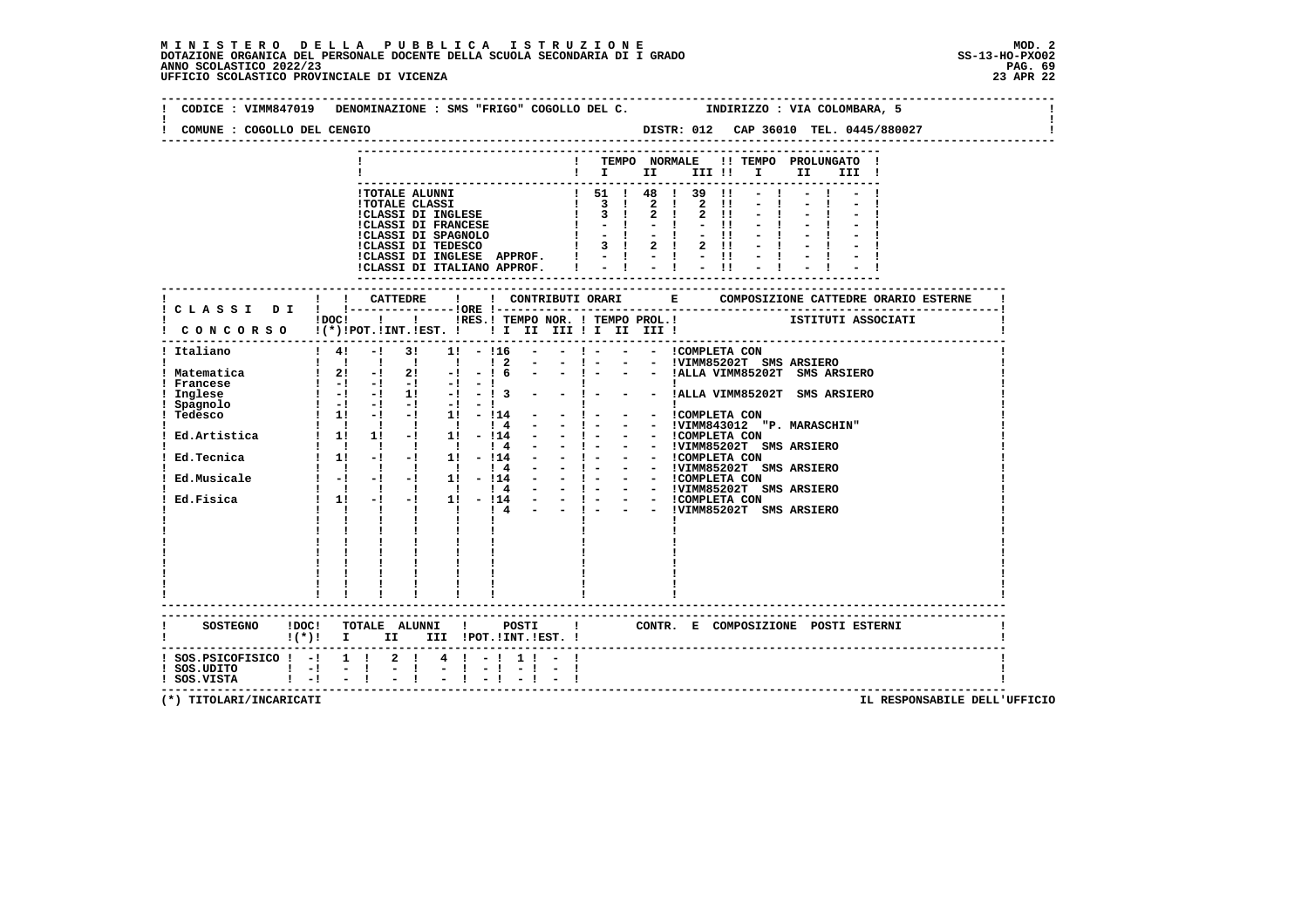### **M I N I S T E R O D E L L A P U B B L I C A I S T R U Z I O N E MOD. 2**DOTAZIONE ORGANICA DEL PERSONALE DOCENTE DELLA SCUOLA SECONDARIA DI I GRADO **SCOLASTICO SCOLASTICO 2022/23 PAG. 69**<br>PAG ANNO SCOLASTICO 2022/23 PAG. 69<br>23 APR 22 UFFICIO SCOLASTICO PROVINCIALE DI VICENZA

| COMUNE : COGOLLO DEL CENGIO                  | CODICE: VIMM847019 DENOMINAZIONE: SMS "FRIGO" COGOLLO DEL C. TINDIRIZZO: VIA COLOMBARA, 5                                                                                                                                                 |
|----------------------------------------------|-------------------------------------------------------------------------------------------------------------------------------------------------------------------------------------------------------------------------------------------|
|                                              |                                                                                                                                                                                                                                           |
|                                              | ! TEMPO NORMALE !! TEMPO PROLUNGATO !                                                                                                                                                                                                     |
|                                              | $\mathbf{I}$ $\mathbf{I}$ $\mathbf{II}$<br>III !!!!!<br>II I<br>III !                                                                                                                                                                     |
|                                              | $-1 - -1 - -1$                                                                                                                                                                                                                            |
|                                              | $-1$                                                                                                                                                                                                                                      |
|                                              |                                                                                                                                                                                                                                           |
|                                              |                                                                                                                                                                                                                                           |
|                                              |                                                                                                                                                                                                                                           |
|                                              |                                                                                                                                                                                                                                           |
|                                              | 1 TOTALE ALUNNI<br>1 TOTALE ALUNNI<br>1 TOTALE CLASSI 1 ISLA 2 1 3 1 4 2 1 3 1 1 - 1<br>1 CLASSI DI INGLESE 1 3 1 2 1 2 11 - 1<br>1 CLASSI DI FRANCESE 1 - 1 - 1 - 1 - 1 - 1<br>1 - 1 - 1 - 1 - 1 - 1 - 1<br>1 CLASSI DI SPANCESE 1 3 1 2 |
|                                              |                                                                                                                                                                                                                                           |
| ! CLASSI DI ! !------                        | ! ! CATTEDRE<br>---------10RE !--                                                                                                                                                                                                         |
|                                              | IDOC! ! ! IRES.I TEMPO NOR. ! TEMPO PROL.! ISTITUTI ASSOCIATI                                                                                                                                                                             |
|                                              | CONCORSO !(*)!POT.!INT.!EST. !!!!!!!!!!!!!!!                                                                                                                                                                                              |
| ! Italiano                                   | ! 4! -! 3! 1! -!16 - - ! - - - ICOMPLETA CON                                                                                                                                                                                              |
|                                              | 1 1 1 1 1 2 - - 1 - - - IVIMM85202T SMS ARSIERO<br>1 21 -1 21 -1 -16 - - 1 - - - IALLA VIMM85202T SMS ARSIERO                                                                                                                             |
| ! Matematica<br>! Francese                   |                                                                                                                                                                                                                                           |
|                                              |                                                                                                                                                                                                                                           |
|                                              |                                                                                                                                                                                                                                           |
|                                              |                                                                                                                                                                                                                                           |
|                                              |                                                                                                                                                                                                                                           |
|                                              |                                                                                                                                                                                                                                           |
|                                              |                                                                                                                                                                                                                                           |
|                                              |                                                                                                                                                                                                                                           |
|                                              |                                                                                                                                                                                                                                           |
|                                              |                                                                                                                                                                                                                                           |
|                                              |                                                                                                                                                                                                                                           |
|                                              |                                                                                                                                                                                                                                           |
|                                              | $\begin{array}{cccc} 1 & 1 & 1 \\ 1 & 1 & 1 \\ 1 & 1 & 1 \end{array}$                                                                                                                                                                     |
|                                              |                                                                                                                                                                                                                                           |
|                                              |                                                                                                                                                                                                                                           |
|                                              |                                                                                                                                                                                                                                           |
|                                              |                                                                                                                                                                                                                                           |
|                                              | $\begin{tabular}{c} i & i & i & i \\ \hline \end{tabular}$                                                                                                                                                                                |
|                                              |                                                                                                                                                                                                                                           |
|                                              | $!(*)!$ I II III !POT.!INT.!EST. !                                                                                                                                                                                                        |
|                                              | ! SOS.PSICOFISICO ! -! 1 ! 2 !<br>$4! - 11! - 1$                                                                                                                                                                                          |
| ! SOS.UDITO ! -! - !<br>! SOS.VISTA ! -! - ! | $\mathbf{I}$                                                                                                                                                                                                                              |
|                                              |                                                                                                                                                                                                                                           |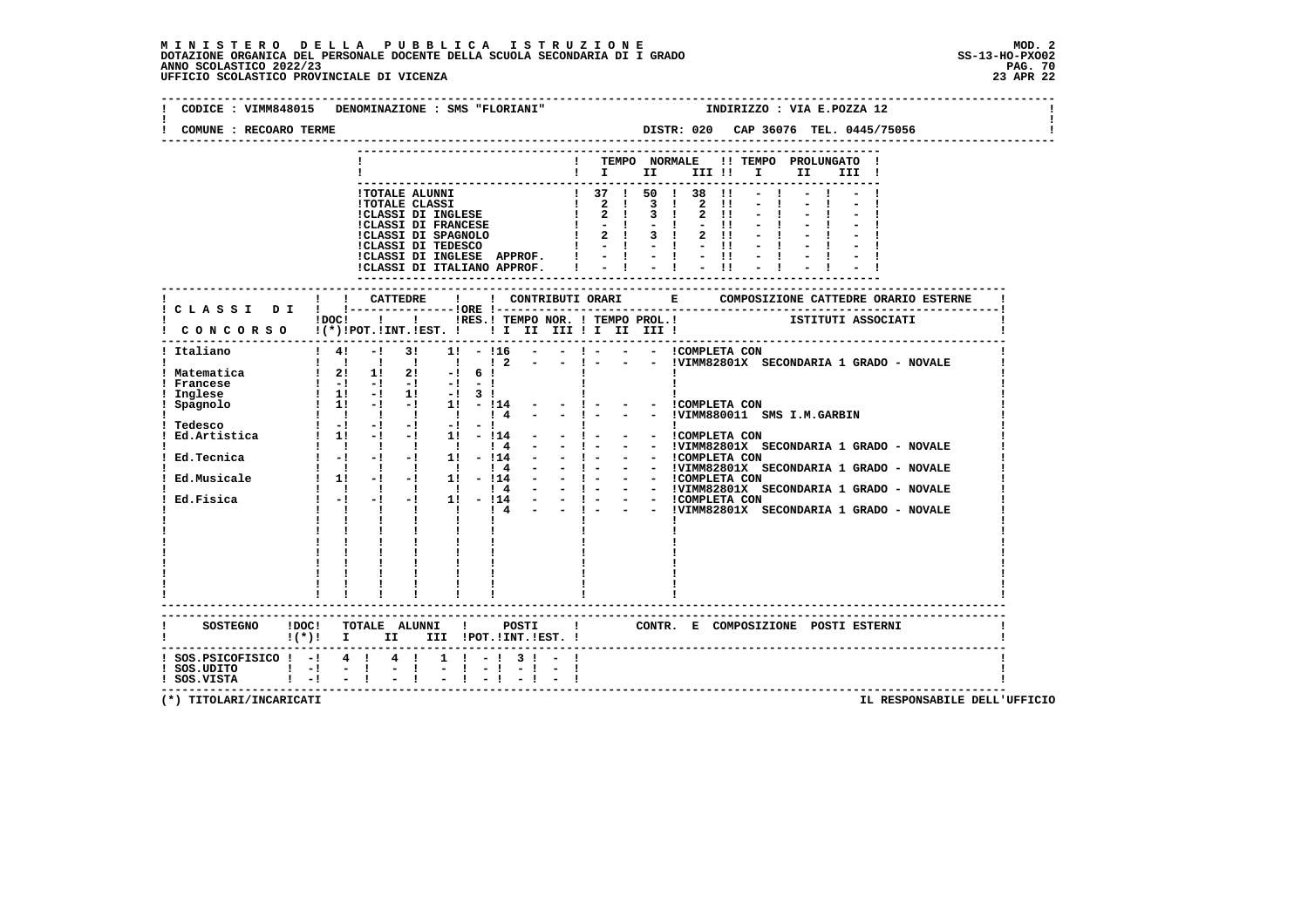|                                              | CODICE: VIMM848015 DENOMINAZIONE: SMS "FLORIANI"<br>INDIRIZZO : VIA E.POZZA 12                                                                                                                                                                |
|----------------------------------------------|-----------------------------------------------------------------------------------------------------------------------------------------------------------------------------------------------------------------------------------------------|
| COMUNE : RECOARO TERME                       |                                                                                                                                                                                                                                               |
|                                              | ! TEMPO NORMALE !! TEMPO PROLUNGATO !                                                                                                                                                                                                         |
|                                              | II a<br>III !                                                                                                                                                                                                                                 |
|                                              |                                                                                                                                                                                                                                               |
|                                              |                                                                                                                                                                                                                                               |
|                                              |                                                                                                                                                                                                                                               |
|                                              |                                                                                                                                                                                                                                               |
|                                              |                                                                                                                                                                                                                                               |
|                                              |                                                                                                                                                                                                                                               |
|                                              |                                                                                                                                                                                                                                               |
|                                              | !! CATTEDRE !                                                                                                                                                                                                                                 |
|                                              | :<br>!DOC! !!!!RES.! TEMPO NOR. ! TEMPO PROL.! ISTITUTI ASSOCIATI<br>CONCORSO !(*)!POT.!INT.!EST. !!!!!!!!!!!!!!!!                                                                                                                            |
| ! Italiano                                   | $1 \t4!$ -1 31 11 - 116 - - 1 - - - ICOMPLETA CON<br>- ! - - - !VIMM82801X SECONDARIA 1 GRADO - NOVALE                                                                                                                                        |
| ! Matematica                                 | $\begin{array}{cccccccc}\n1 & 1 & 1 & 1 & 1 & 1 & 1 \\ 1 & 2 & 11 & 21 & -1 & 6 & 1\n\end{array}$                                                                                                                                             |
| ! Francese                                   | $\begin{bmatrix} 1 & -1 & -1 & -1 & -1 & -1 \\ 1 & 11 & -1 & 11 & -1 & 3 & 1 \end{bmatrix}$                                                                                                                                                   |
| ! Inglese<br>! Spagnolo                      | $1 \quad 1! \quad -1 \quad -1 \quad 1! \quad -114 \quad -$<br>- - ICOMPLETA CON                                                                                                                                                               |
|                                              |                                                                                                                                                                                                                                               |
|                                              |                                                                                                                                                                                                                                               |
|                                              |                                                                                                                                                                                                                                               |
|                                              |                                                                                                                                                                                                                                               |
|                                              |                                                                                                                                                                                                                                               |
|                                              |                                                                                                                                                                                                                                               |
|                                              |                                                                                                                                                                                                                                               |
|                                              | 9999000<br>Tedesco<br>11 -1 -1 11 -114 - - 1 - - COMPLETA CON<br>Tedesco<br>1 -1 -1 -1 -1 -1 -1<br>Ed.Artistica<br>2 -1 -1 -1 -1 -1 -1<br>Ed.Artistica<br>2 -1 -1 -1 -1 -1 -1<br>2 -1 -1 -1 -1 -1 -1<br>2 - - - - - - - - - - - - - - - - - - |
|                                              | $\frac{1}{2}$ $\frac{1}{2}$ $\frac{1}{2}$                                                                                                                                                                                                     |
|                                              |                                                                                                                                                                                                                                               |
|                                              |                                                                                                                                                                                                                                               |
|                                              |                                                                                                                                                                                                                                               |
|                                              | ------------------------                                                                                                                                                                                                                      |
|                                              | SOSTEGNO !DOC! TOTALE ALUNNI ! POSTI ! CONTR. E COMPOSIZIONE POSTI ESTERNI<br>$\mathbf{I}(\star)\mathbf{I}$ II III POT. INT. IEST. I                                                                                                          |
| ! SOS.UDITO ! -! - !<br>! SOS.VISTA ! -! - ! | ! SOS. PSICOFISICO ! -! 4 ! 4 ! 1 ! -! 3 ! - !<br>$-1$                                                                                                                                                                                        |
|                                              |                                                                                                                                                                                                                                               |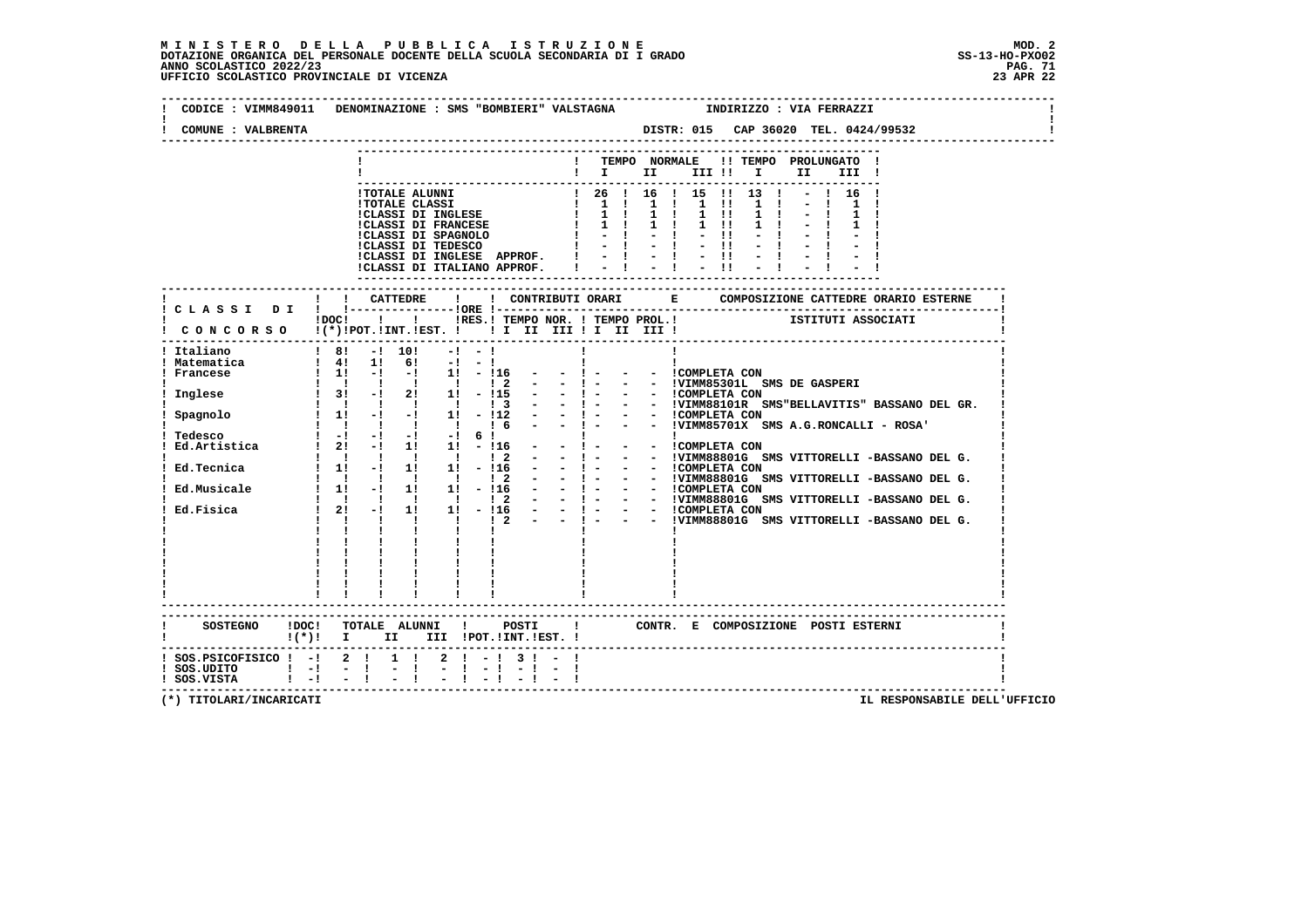### **M I N I S T E R O D E L L A P U B B L I C A I S T R U Z I O N E MOD. 2**DOTAZIONE ORGANICA DEL PERSONALE DOCENTE DELLA SCUOLA SECONDARIA DI I GRADO **SCOLASTICO SCOLASTICO 2022/23 PAG. 71**<br>PAG ANNO SCOLASTICO 2022/23 PAG. 71<br>23 APR 22 UFFICIO SCOLASTICO PROVINCIALE DI VICENZA

|                                | CODICE : VIMM849011 DENOMINAZIONE : SMS "BOMBIERI" VALSTAGNA              INDIRIZZO : VIA FERRAZZI                                                                                                                                                                                                                                                                                                                                                            |
|--------------------------------|---------------------------------------------------------------------------------------------------------------------------------------------------------------------------------------------------------------------------------------------------------------------------------------------------------------------------------------------------------------------------------------------------------------------------------------------------------------|
| COMUNE : VALBRENTA             | DISTR: 015 CAP 36020 TEL. 0424/99532                                                                                                                                                                                                                                                                                                                                                                                                                          |
|                                | ! TEMPO NORMALE !! TEMPO PROLUNGATO !<br>$\mathbf{I}$ is the set of $\mathbf{I}$<br>III !! I II<br>III !<br>----------------                                                                                                                                                                                                                                                                                                                                  |
|                                | - COLARE ALUNNI 1999   1999   1999   1999   1999   1999   1999   1999   1999   1999   1999   1999   1999   1999   1999   1999   1999   1999   1999   1999   1999   1999   1999   1999   1999   1999   1999   1999   1999   199                                                                                                                                                                                                                                |
|                                | ! ! CATTEDRE<br>$\mathbf{I}$<br>! CLASSI DI ! !----------------!ORE !---<br>POCI I I IRES.I TEMPO NOR. I TEMPO PROL.I ISTITUTI ASSOCIATI<br>! CONCORSO !(*)!POT.!INT.!EST. ! ! I II III ! I III !                                                                                                                                                                                                                                                             |
| Italiano                       | $\frac{1}{2}$ 8! $\frac{1}{2}$ 10! $\frac{1}{2}$ - !<br>$\mathbf{I}$<br>: Indica<br>1 Matematica<br>1 Matematica<br>1 Matematica<br>1 Matematica<br>1 Matematica<br>1 Matematica<br>1 Matematica<br>1 Matematica<br>1 Matematica<br>1 Matematica<br>1 Matematica<br>1 Matematica<br>1 Matematica<br>1 Matematica<br>1 Matematica<br>1<br>- - ICOMPLETA CON<br>$\begin{tabular}{ c c c c } \hline & 1 & 1 & 1 \\ \hline 1 & 1 & 1 & 1 \\ \hline \end{tabular}$ |
| $(*)!$ i i                     | ! CONTR. E COMPOSIZIONE POSTI ESTERNI<br>II III !POT.!INT.!EST. !                                                                                                                                                                                                                                                                                                                                                                                             |
| ! SOS.PSICOFISICO ! -! 2 ! 1 ! | $2 \cdot 1 - 1 \cdot 3 \cdot 1 - 1$<br>$-1$                                                                                                                                                                                                                                                                                                                                                                                                                   |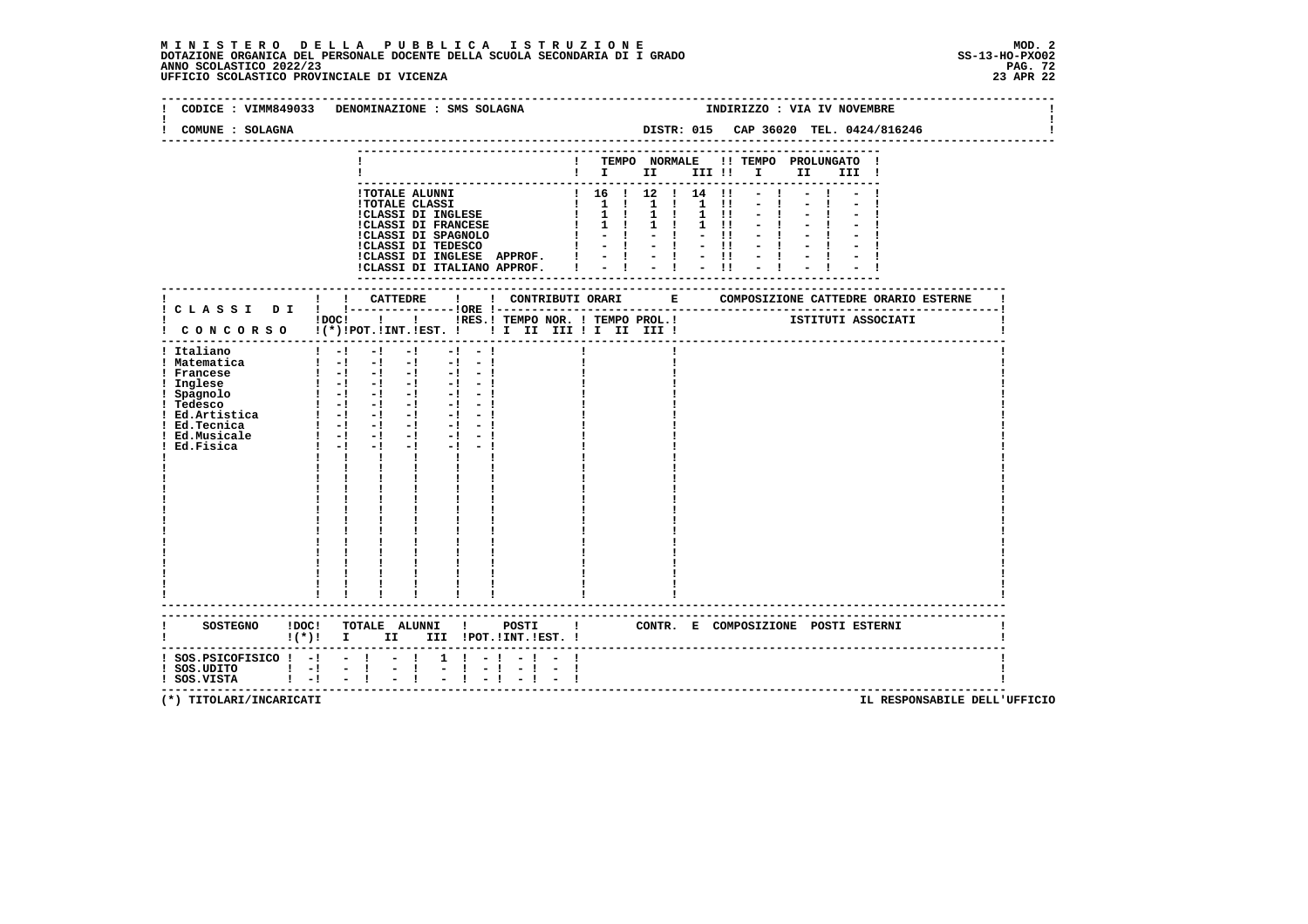| CODICE : VIMM849033 DENOMINAZIONE : SMS SOLAGNA                                                                                                                      |                                                                                                                                                                                                                                                                                                                                                                                                                                                         |                                              |                                                                   |  | INDIRIZZO : VIA IV NOVEMBRE                                                                                                                                                                                                                 |  |              |  |                                       |  |  |  |
|----------------------------------------------------------------------------------------------------------------------------------------------------------------------|---------------------------------------------------------------------------------------------------------------------------------------------------------------------------------------------------------------------------------------------------------------------------------------------------------------------------------------------------------------------------------------------------------------------------------------------------------|----------------------------------------------|-------------------------------------------------------------------|--|---------------------------------------------------------------------------------------------------------------------------------------------------------------------------------------------------------------------------------------------|--|--------------|--|---------------------------------------|--|--|--|
| COMUNE : SOLAGNA                                                                                                                                                     |                                                                                                                                                                                                                                                                                                                                                                                                                                                         |                                              | DISTR: 015 CAP 36020 TEL. 0424/816246<br>------------------------ |  |                                                                                                                                                                                                                                             |  |              |  |                                       |  |  |  |
|                                                                                                                                                                      |                                                                                                                                                                                                                                                                                                                                                                                                                                                         |                                              | ---------------                                                   |  | ! TEMPO NORMALE !! TEMPO PROLUNGATO !<br>$\blacksquare$ $\blacksquare$ $\blacksquare$ $\blacksquare$ $\blacksquare$ $\blacksquare$ $\blacksquare$ $\blacksquare$ $\blacksquare$ $\blacksquare$ $\blacksquare$ $\blacksquare$ $\blacksquare$ |  |              |  | III !                                 |  |  |  |
|                                                                                                                                                                      | ICLASSI DI INGLESE APPROF. $  -   -   -  $<br>ICLASSI DI ITALIANO APPROF. $  -   -   -  $                                                                                                                                                                                                                                                                                                                                                               |                                              |                                                                   |  |                                                                                                                                                                                                                                             |  | $-1$<br>$-1$ |  |                                       |  |  |  |
|                                                                                                                                                                      |                                                                                                                                                                                                                                                                                                                                                                                                                                                         |                                              |                                                                   |  |                                                                                                                                                                                                                                             |  |              |  |                                       |  |  |  |
|                                                                                                                                                                      | !DOC! ! ! !RES.! TEMPO NOR. ! TEMPO PROL.!<br>! CONCORSO !(*)!POT.!INT.!EST. ! ! I II III ! I III III !                                                                                                                                                                                                                                                                                                                                                 |                                              |                                                                   |  |                                                                                                                                                                                                                                             |  |              |  | ISTITUTI ASSOCIATI                    |  |  |  |
| ! Italiano<br>! Matematica<br>! Francese<br>! Inglese<br>! Spagnolo<br>! Tedesco<br>$!$ Ed.Artistica $!$ - $!$ - $!$ -<br>! Ed.Tecnica<br>! Ed.Musicale<br>Ed.Fisica | $1 - 1$<br>$-1$<br>$-1$<br>$-1 - -1$<br>$\begin{bmatrix} 1 & -1 & -1 & -1 & -1 & -1 \end{bmatrix}$<br>$\begin{bmatrix} 1 & -1 & -1 & -1 & -1 & -1 \end{bmatrix}$<br>$\begin{bmatrix} 1 & -1 & -1 & -1 & -1 & -1 \end{bmatrix}$<br>$1 - 1 - 1 - 1$<br>$-1$ $-1$<br>$\blacksquare$ $\blacksquare$ $\blacksquare$ $\blacksquare$<br>$-1$<br>$-1 - -1$<br>$1 - 1 - 1$<br>$-1$<br>$-1 - -1$<br>$\mathbf{I}$<br>$\mathbf{I}$<br>$\mathbf{I}$ and $\mathbf{I}$ |                                              |                                                                   |  |                                                                                                                                                                                                                                             |  |              |  |                                       |  |  |  |
|                                                                                                                                                                      | ------------------------<br>SOSTEGNO !DOC! TOTALE ALUNNI !<br>$!(*)!$ I II III !POT.!INT.!EST. !                                                                                                                                                                                                                                                                                                                                                        | POSTI                                        |                                                                   |  |                                                                                                                                                                                                                                             |  |              |  | ! CONTR. E COMPOSIZIONE POSTI ESTERNI |  |  |  |
| $:$ SOS.PSICOFISICO $:$ - $:$ - $:$ - $:$<br>$:$ SOS.UDITO $:$ $-!$<br>$!$ SOS.VISTA $!$ - $!$ - $!$                                                                 | $-1$<br>$-1$<br>$-1 - 1$                                                                                                                                                                                                                                                                                                                                                                                                                                | $1 \t1 - 1 - 1 - 1$<br>$-1 - 1$<br>$-1$ $-1$ |                                                                   |  |                                                                                                                                                                                                                                             |  |              |  | ----------------------------          |  |  |  |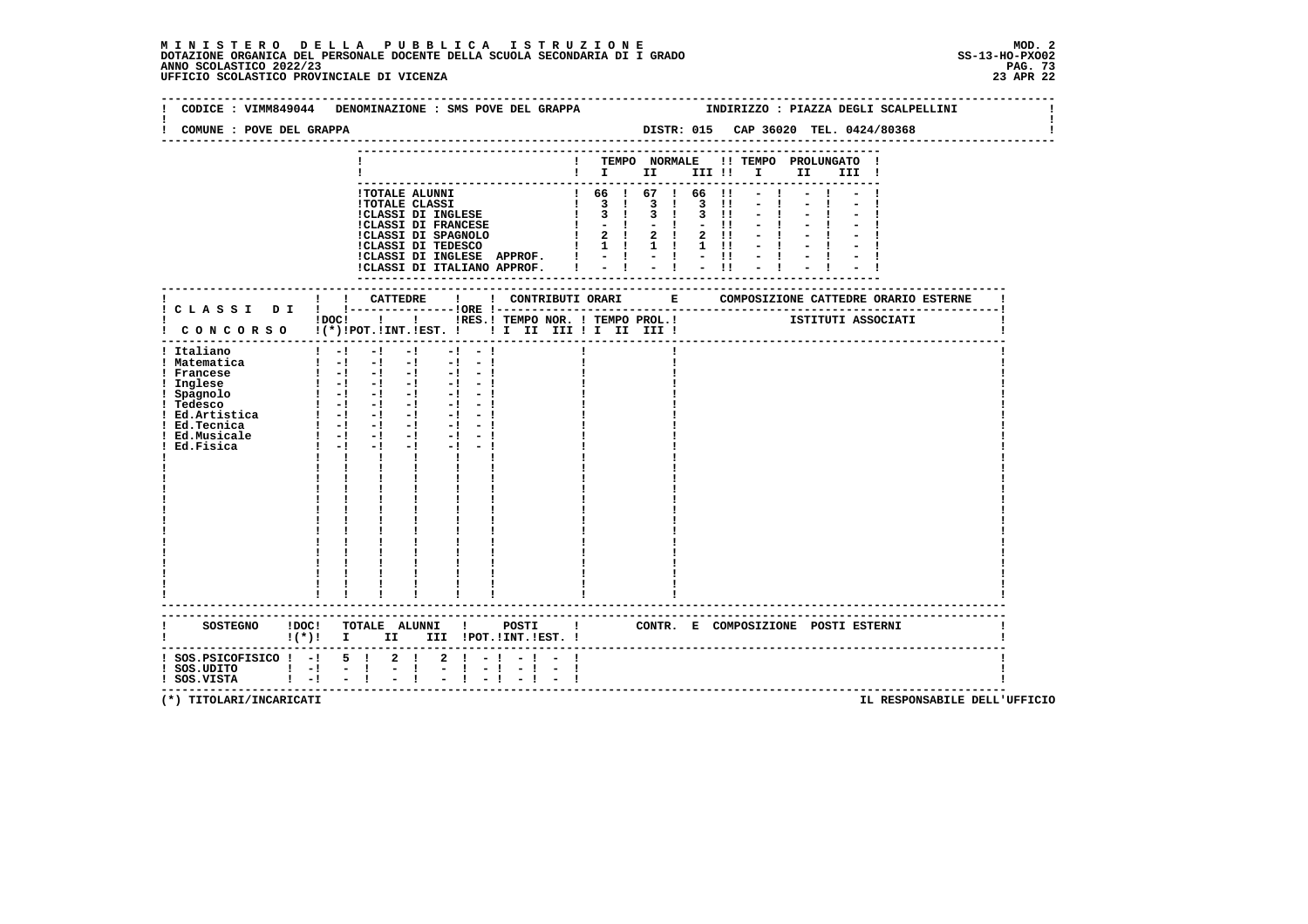# **M I N I S T E R O D E L L A P U B B L I C A I S T R U Z I O N E MOD. 2**DOTAZIONE ORGANICA DEL PERSONALE DOCENTE DELLA SCUOLA SECONDARIA DI I GRADO **SCOLASTICO SCOLASTICO 2022/23** SS-13-HO-PXO02<br>PANO SCOLASTICO 2022/23 PAG. 73<br>23 APR 22 UFFICIO SCOLASTICO PROVINCIALE DI VICENZA

|                                                                                                                | CODICE : VIMM849044 DENOMINAZIONE : SMS POVE DEL GRAPPA                                                                                                                                                                                                                                                                                                                                                                                                                                                                                                                                    |                   |                                                                     |      |       |                                                                                                                                                                      |                                       | INDIRIZZO : PIAZZA DEGLI SCALPELLINI |  |
|----------------------------------------------------------------------------------------------------------------|--------------------------------------------------------------------------------------------------------------------------------------------------------------------------------------------------------------------------------------------------------------------------------------------------------------------------------------------------------------------------------------------------------------------------------------------------------------------------------------------------------------------------------------------------------------------------------------------|-------------------|---------------------------------------------------------------------|------|-------|----------------------------------------------------------------------------------------------------------------------------------------------------------------------|---------------------------------------|--------------------------------------|--|
| COMUNE : POVE DEL GRAPPA                                                                                       |                                                                                                                                                                                                                                                                                                                                                                                                                                                                                                                                                                                            |                   |                                                                     |      |       |                                                                                                                                                                      |                                       | DISTR: 015 CAP 36020 TEL. 0424/80368 |  |
|                                                                                                                |                                                                                                                                                                                                                                                                                                                                                                                                                                                                                                                                                                                            |                   |                                                                     |      |       | $\blacksquare$ $\blacksquare$ $\blacksquare$ $\blacksquare$ $\blacksquare$ $\blacksquare$ $\blacksquare$ $\blacksquare$ $\blacksquare$ $\blacksquare$ $\blacksquare$ | ! TEMPO NORMALE !! TEMPO PROLUNGATO ! | III !                                |  |
|                                                                                                                | !TOTALE ALUNNI<br><b>!TOTALE CLASSI</b><br>!CLASSI DI INGLESE<br>!CLASSI DI FRANCESE                                                                                                                                                                                                                                                                                                                                                                                                                                                                                                       |                   | 1 66 1 67 1 66 11<br>1 3 1 3 1 3 1 1<br>1 3 1 3 1 3 11<br>$1 - - 1$ | $-1$ | $-11$ |                                                                                                                                                                      |                                       |                                      |  |
|                                                                                                                |                                                                                                                                                                                                                                                                                                                                                                                                                                                                                                                                                                                            | ----------------- |                                                                     |      |       | . <u>.</u>                                                                                                                                                           |                                       |                                      |  |
|                                                                                                                | IDOCI ! IRES. I TEMPO NOR. I TEMPO PROL. ! [STITUTI ASSOCIATI<br>! CONCORSO !(*)!POT.!INT.!EST. !! I II III !I II III !                                                                                                                                                                                                                                                                                                                                                                                                                                                                    |                   |                                                                     |      |       |                                                                                                                                                                      |                                       |                                      |  |
| ! Italiano<br>! Matematica<br>! Francese<br>! Inglese<br>! Spagnolo<br>! Tedesco<br>! Ed.Musicale<br>Ed.Fisica | $1 - 1$<br>$-1$<br>$-1$<br>$-1 - -1$<br>$1 - 1 - 1 - 1 - 1 - 1 - 1$<br>$\begin{bmatrix} 1 & -1 & -1 & -1 & -1 & -1 \end{bmatrix}$<br>$\frac{1}{2}$ $\frac{1}{2}$ $\frac{1}{2}$ $\frac{1}{2}$ $\frac{1}{2}$ $\frac{1}{2}$ $\frac{1}{2}$ $\frac{1}{2}$ $\frac{1}{2}$ $\frac{1}{2}$ $\frac{1}{2}$<br>$\begin{bmatrix} 1 & -1 & -1 & -1 & -1 & -1 \end{bmatrix}$<br>$-1 - -1$<br>$1 - 1 - 1 - 1 - 1 - 1 - 1$<br>$1 - 1 - 1$<br>$-1$<br>$-1 - -1$<br>$-1 - -1$<br>$1 - 1 - 1$<br>$-1$ and $-1$<br><b>The Common</b><br>$\mathbf{I}$<br>$\mathbf{I}$ and $\mathbf{I}$<br>----------------------- |                   |                                                                     |      |       |                                                                                                                                                                      |                                       |                                      |  |
| $(*)!$ i i                                                                                                     | SOSTEGNO !DOC! TOTALE ALUNNI ! POSTI !<br>II III !POT.!INT.!EST. !                                                                                                                                                                                                                                                                                                                                                                                                                                                                                                                         |                   |                                                                     |      |       |                                                                                                                                                                      |                                       | CONTR. E COMPOSIZIONE POSTI ESTERNI  |  |
| $!$ SOS.PSICOFISICO $!$ -! 5 !<br>$!$ SOS.UDITO $!$ -!<br>$1 - 1$<br>! SOS.VISTA                               | $2 \cdot 1 - 1$<br>$2 \quad 1$<br>$\frac{1}{2}$<br>Ι.                                                                                                                                                                                                                                                                                                                                                                                                                                                                                                                                      |                   |                                                                     |      |       |                                                                                                                                                                      |                                       |                                      |  |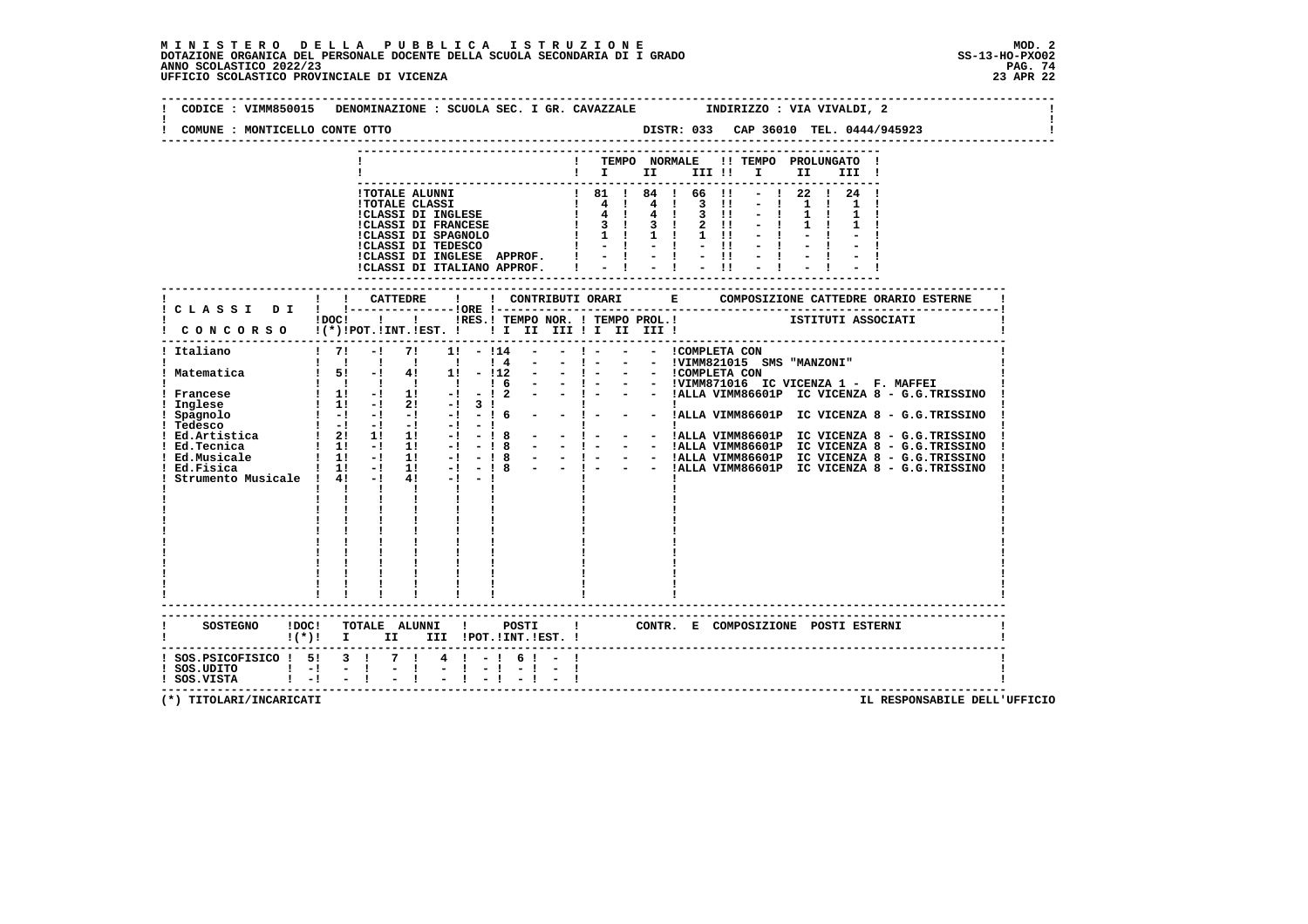**--------------------------------------------------------------------------------------------------------------------------------** $\mathbf{I}$  **! CODICE : VIMM850015 DENOMINAZIONE : SCUOLA SEC. I GR. CAVAZZALE INDIRIZZO : VIA VIVALDI, 2 ! ! !** $\mathbf{I}$  **! COMUNE : MONTICELLO CONTE OTTO DISTR: 033 CAP 36010 TEL. 0444/945923 ! -------------------------------------------------------------------------------------------------------------------------------- --------------------------------------------------------------------------- ! ! TEMPO NORMALE !! TEMPO PROLUNGATO ! ! ! I II III !! I II III ! --------------------------------------------------------------------------- !TOTALE ALUNNI ! 81 ! 84 ! 66 !! - ! 22 ! 24 !**1 70TALE CLASSI<br>
1 70TALE CLASSI DI INGLESE<br>
1 70TALE DI INGLESE<br>
1 70TALE DI INGLESE<br>
1 70TALE DI INGLESE<br>
1 70TALE DI INGLESE<br>
1 70TALE DI INGLESE<br>
1 70TALE DI INGLESE<br>
1 70TALE APPROF.<br>
1 70TALE APPROF.<br>
1 70TALE APPROF  **--------------------------------------------------------------------------- ------------------------------------------------------------------------------------------------------------------------- ! ! ! CATTEDRE ! ! CONTRIBUTI ORARI E COMPOSIZIONE CATTEDRE ORARIO ESTERNE ! ! C L A S S I D I ! !---------------!ORE !------------------------------------------------------------------------! POC! !!! INES.! TEMPO NOR. ! TEMPO PROL.!** ISTITUTI ASSOCIATI  **! C O N C O R S O !(\*)!POT.!INT.!EST. ! ! I II III ! I II III ! ! -------------------------------------------------------------------------------------------------------------------------**| Italiano | 7| -| 7| 1| -|14 - -|- - || COMPLETA CON<br>| Matematica | 5| -| 1| | | 12 - |- - || IVIMM821015 SMS "MANZONI"<br>| Matematica | 5| -| 4| 1| -|12 - -|- - || COMPLETA CON<br>| | | | | | | | 5| -| 1| | | | | | | | | | |  **! Spagnolo ! -! -! -! -! - ! 6 - - ! - - - !ALLA VIMM86601P IC VICENZA 8 - G.G.TRISSINO ! ! Tedesco ! -! -! -! -! - ! ! ! ! ! Ed.Artistica ! 2! 1! 1! -! - ! 8 - - ! - - - !ALLA VIMM86601P IC VICENZA 8 - G.G.TRISSINO ! ! Ed.Tecnica ! 1! -! 1! -! - ! 8 - - ! - - - !ALLA VIMM86601P IC VICENZA 8 - G.G.TRISSINO ! ! Ed.Musicale ! 1! -! 1! -! - ! 8 - - ! - - - !ALLA VIMM86601P IC VICENZA 8 - G.G.TRISSINO ! ! Ed.Fisica ! 1! -! 1! -! - ! 8 - - ! - - - !ALLA VIMM86601P IC VICENZA 8 - G.G.TRISSINO ! ! Strumento Musicale ! 4! -! 4! -! - ! ! ! ! ! ! ! ! ! ! ! ! ! ! ! ! ! ! ! ! ! ! ! ! ! ! ! ! ! ! ! ! ! ! ! ! ! ! ! ! ! ! ! ! ! ! ! ! ! ! ! ! ! ! ! ! ! ! ! ! ! ! ! ! ! ! ! ! ! ! ! ! ! ! ! ! ! ! ! ! ! ! ! ! ! ! ! ! ! ! ! ! ! ! ! ! ! ! ! ! ! ! ! ! ! ! ! ! ! ! ! ! ! ! ------------------------------------------------------------------------------------------------------------------------- ------------------------------------------------------------------------------------------------------------------------- ! SOSTEGNO !DOC! TOTALE ALUNNI ! POSTI ! CONTR. E COMPOSIZIONE POSTI ESTERNI ! ! !(\*)! I II III !POT.!INT.!EST. ! ! ------------------------------------------------------------------------------------------------------------------------- ! SOS.PSICOFISICO ! 5! 3 ! 7 ! 4 ! - ! 6 ! - ! ! ! SOS.UDITO ! -! - ! - ! - ! - ! - ! - ! ! ! SOS.VISTA ! -! - ! - ! - ! - ! - ! - ! !** $\blacksquare$  **-------------------------------------------------------------------------------------------------------------------------**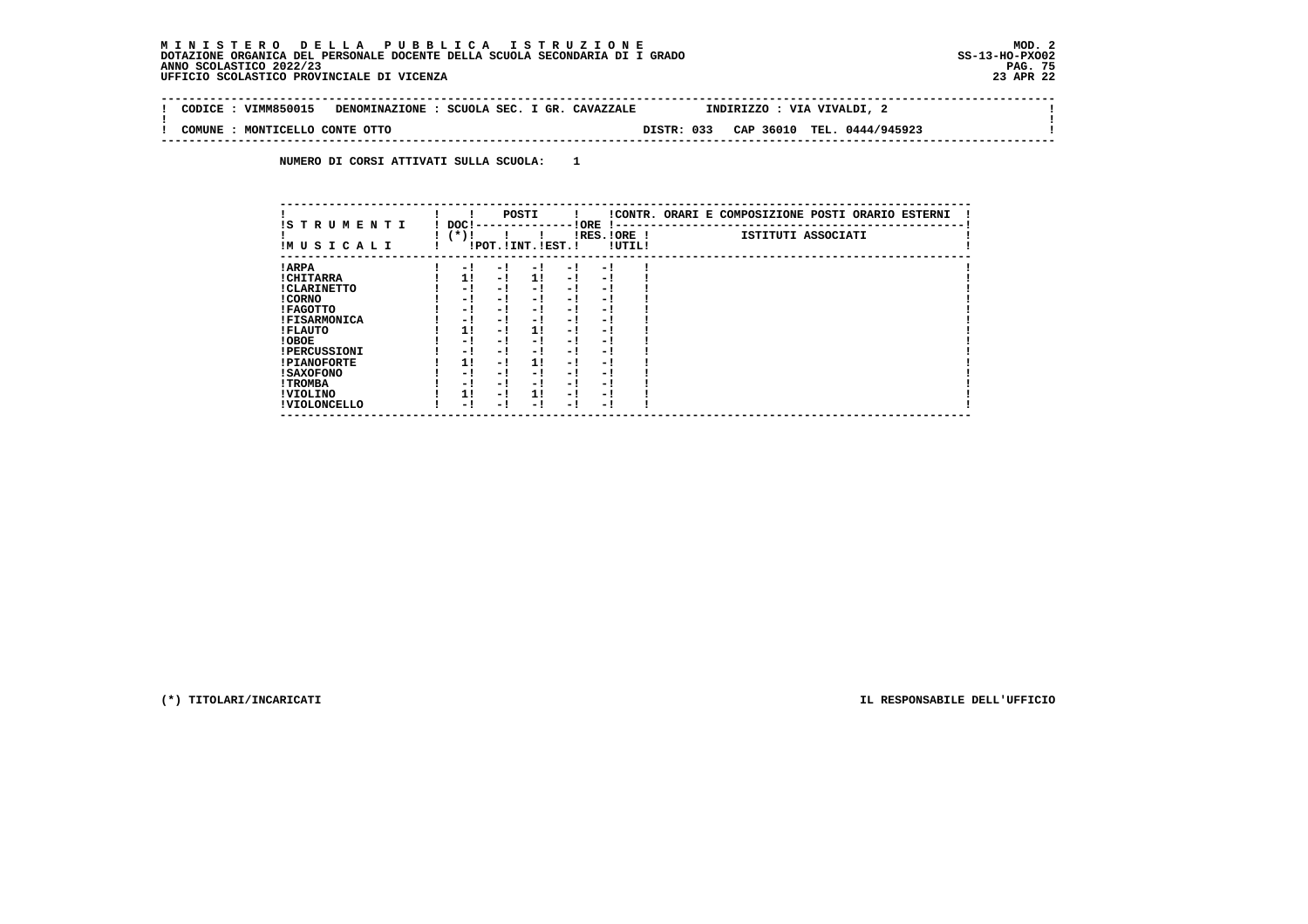$\sim$ 

 $\mathbf{I}$ 

 **-------------------------------------------------------------------------------------------------------------------------------- ! CODICE : VIMM850015 DENOMINAZIONE : SCUOLA SEC. I GR. CAVAZZALE INDIRIZZO : VIA VIVALDI, 2 ! ! ! ! COMUNE : MONTICELLO CONTE OTTO DISTR: 033 CAP 36010 TEL. 0444/945923 ! --------------------------------------------------------------------------------------------------------------------------------**

 **NUMERO DI CORSI ATTIVATI SULLA SCUOLA: 1**

|                          |                |     | POSTI                 |      |                          |        | !CONTR. ORARI E COMPOSIZIONE POSTI ORARIO ESTERNI |
|--------------------------|----------------|-----|-----------------------|------|--------------------------|--------|---------------------------------------------------|
| IS TRUMENTI<br>IMUSICALI | DOC!<br>$(*)!$ |     | !POT. ! INT. ! EST. ! |      | ! ORE<br>$IRES.IORE$ !   | !UTIL! | ISTITUTI ASSOCIATI                                |
| ! ARPA                   | - 1            | - 1 | - 1                   | $-1$ | - 1                      |        |                                                   |
| ! CHITARRA               | 11             | - ! | 11                    | - !  | - 1                      |        |                                                   |
| ! CLARINETTO             | - 1            | - ! | - 1                   | - 1  | - 1                      |        |                                                   |
| ! CORNO                  | - !            | - ! | - 1                   | - !  | - 1                      |        |                                                   |
| ! FAGOTTO                | - 1            | - ! | - 1                   | $-1$ | - 1                      |        |                                                   |
| <b>!FISARMONICA</b>      | - 1            | - 1 | - 1                   | - 1  | - 1                      |        |                                                   |
| ! FLAUTO                 | 1!             | - ! | 1!                    | - !  | - 1                      |        |                                                   |
| ! OBOE                   | - 1            | - ! | - 1                   | $-1$ | - 1                      |        |                                                   |
| <b>!PERCUSSIONI</b>      | - 1            | - ! | - 1                   | - 1  | - 1                      |        |                                                   |
| <b>!PIANOFORTE</b>       | 1!             | - ! | 11                    | - !  | - 1                      |        |                                                   |
| ! SAXOFONO               | - 1            | - ! | - 1                   | - 1  | $\overline{\phantom{0}}$ |        |                                                   |
| ! TROMBA                 | - 1            | - ! | - !                   | - 1  | - 1                      |        |                                                   |
| ! VIOLINO                | 1!             | - 1 | 1!                    | $-1$ | - 1                      |        |                                                   |
| ! VIOLONCELLO            | - 1            | - 1 | - 1                   | - !  | - 1                      |        |                                                   |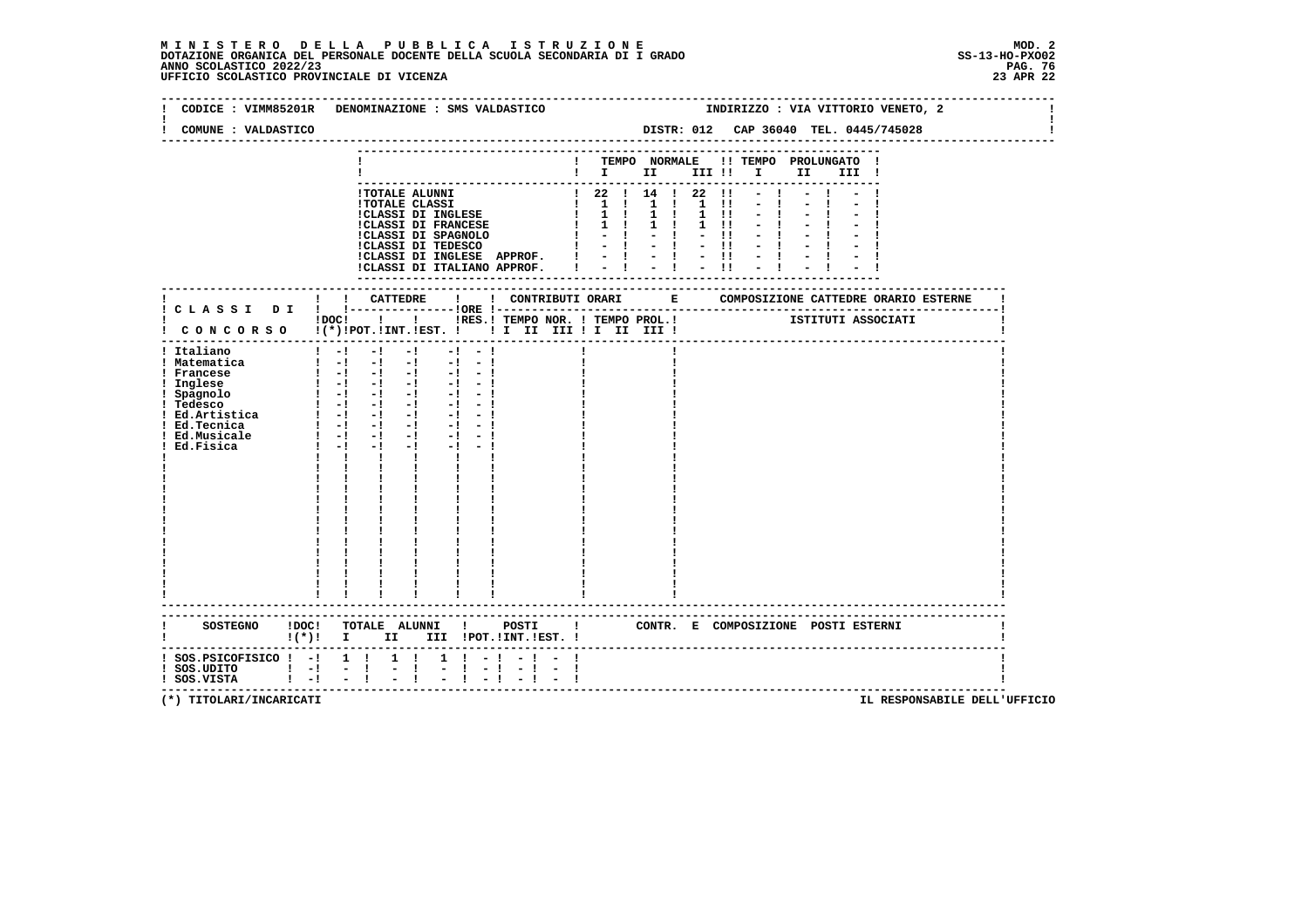# **M I N I S T E R O D E L L A P U B B L I C A I S T R U Z I O N E MOD. 2**DOTAZIONE ORGANICA DEL PERSONALE DOCENTE DELLA SCUOLA SECONDARIA DI I GRADO **SCOLASTICO ANNO SCOLASTICO 2022/23**<br>PAG ANNO SCOLASTICO 2022/23 PAG. 76<br>23 APR 22 UFFICIO SCOLASTICO PROVINCIALE DI VICENZA

| CODICE : VIMM85201R                                                                                                                                                   | DENOMINAZIONE : SMS VALDASTICO                                                                                                                                                                                                                                                                                                                                                                                                                                                                                            | INDIRIZZO : VIA VITTORIO VENETO, 2                                                                                                                                                                                                                                                                                                                                                                                                                                                                  |
|-----------------------------------------------------------------------------------------------------------------------------------------------------------------------|---------------------------------------------------------------------------------------------------------------------------------------------------------------------------------------------------------------------------------------------------------------------------------------------------------------------------------------------------------------------------------------------------------------------------------------------------------------------------------------------------------------------------|-----------------------------------------------------------------------------------------------------------------------------------------------------------------------------------------------------------------------------------------------------------------------------------------------------------------------------------------------------------------------------------------------------------------------------------------------------------------------------------------------------|
| COMUNE : VALDASTICO                                                                                                                                                   |                                                                                                                                                                                                                                                                                                                                                                                                                                                                                                                           | DISTR: 012 CAP 36040 TEL. 0445/745028                                                                                                                                                                                                                                                                                                                                                                                                                                                               |
|                                                                                                                                                                       |                                                                                                                                                                                                                                                                                                                                                                                                                                                                                                                           | ! TEMPO NORMALE !! TEMPO PROLUNGATO !<br>$\mathbf{I}$ is the set of $\mathbf{I}$ is the set of $\mathbf{I}$<br>II III !                                                                                                                                                                                                                                                                                                                                                                             |
|                                                                                                                                                                       | <b>!TOTALE ALUNNI</b><br><b>!TOTALE CLASSI</b><br>!CLASSI DI INGLESE<br>CLASSI DI INGLESE<br>!CLASSI DI FRANCESE<br>:CLASSI DI INGLESE APPROF. !<br>!CLASSI DI ITALIANO APPROF.                                                                                                                                                                                                                                                                                                                                           | $122$ $14$ $122$<br>$\blacksquare$<br>$\begin{array}{cccccccccccccc} & 1 & 1 & 1 & 1 & 1 & 1 & 1 & 1 \\ & & 1 & 1 & 1 & 1 & 1 & 1 & 1 \\ \end{array}$<br>$1 \quad 11$<br>$1 \quad 1 \quad 1$<br>$1 \quad 1$<br>$1 \quad 11$<br>!CLASSI DI SPAGNOLO $P = \begin{bmatrix} 1 & -1 \\ 1 & -1 \end{bmatrix}$<br>!CLASSI DI TEDESCO $P = \begin{bmatrix} 1 & -1 \\ 1 & -1 \end{bmatrix}$<br>$-11$<br>$-1 - 1 - 1$<br>$\frac{1}{2}$ $\frac{1}{2}$ $\frac{1}{2}$ $\frac{1}{2}$ $\frac{1}{2}$ $\frac{1}{11}$ |
|                                                                                                                                                                       |                                                                                                                                                                                                                                                                                                                                                                                                                                                                                                                           |                                                                                                                                                                                                                                                                                                                                                                                                                                                                                                     |
|                                                                                                                                                                       |                                                                                                                                                                                                                                                                                                                                                                                                                                                                                                                           | !DOC! ! ! !RES.! TEMPO NOR. ! TEMPO PROL.! [STITUTI ASSOCIATI                                                                                                                                                                                                                                                                                                                                                                                                                                       |
| ! Italiano<br>! Matematica<br>! Francese<br>! Inglese<br>! Spagnolo<br>! Tedesco<br>$!$ Ed. Artistica $!$ - $!$ - $!$ -<br>! Ed.Tecnica<br>! Ed.Musicale<br>Ed.Fisica | $1 - 1 - 1$<br>$-1$<br>$-1$<br>$-1$<br>$\begin{bmatrix} 1 & -1 & -1 & -1 & -1 & -1 \end{bmatrix}$<br>$\begin{bmatrix} 1 & -1 & -1 & -1 & -1 & -1 \end{bmatrix}$<br>- 1 리 리 리 리 리<br>$\begin{bmatrix} 1 & -1 & -1 & -1 & -1 & -1 \end{bmatrix}$<br>$-1 - 1$<br>$\blacksquare$ $\blacksquare$ $\blacksquare$ $\blacksquare$ $\blacksquare$ $\blacksquare$<br>$-1 - 1$<br>$1 - 1 - 1$<br>$-1$ $-$<br>$-1 - 1$<br>$1 - 1 - 1$<br>$-1$<br>$-1 - -1$<br>$\mathbf{1}$ $\mathbf{1}$ $\mathbf{1}$<br>$\mathbf{I}$ and $\mathbf{I}$ |                                                                                                                                                                                                                                                                                                                                                                                                                                                                                                     |
| <b>SOSTEGNO</b><br>!DOC!                                                                                                                                              | TOTALE ALUNNI !                                                                                                                                                                                                                                                                                                                                                                                                                                                                                                           | POSTI !<br>CONTR. E COMPOSIZIONE POSTI ESTERNI                                                                                                                                                                                                                                                                                                                                                                                                                                                      |
| $:$ SOS.PSICOFISICO $:$ - $:$ 1 $:$<br>$!$ SOS.UDITO $!$ $-!$<br>$!$ SOS.VISTA $!$ -!                                                                                 | $1 \quad 1$<br>$1 \t-1$<br>$-1$<br>$-1$<br>$-1$                                                                                                                                                                                                                                                                                                                                                                                                                                                                           | ------------------------------------                                                                                                                                                                                                                                                                                                                                                                                                                                                                |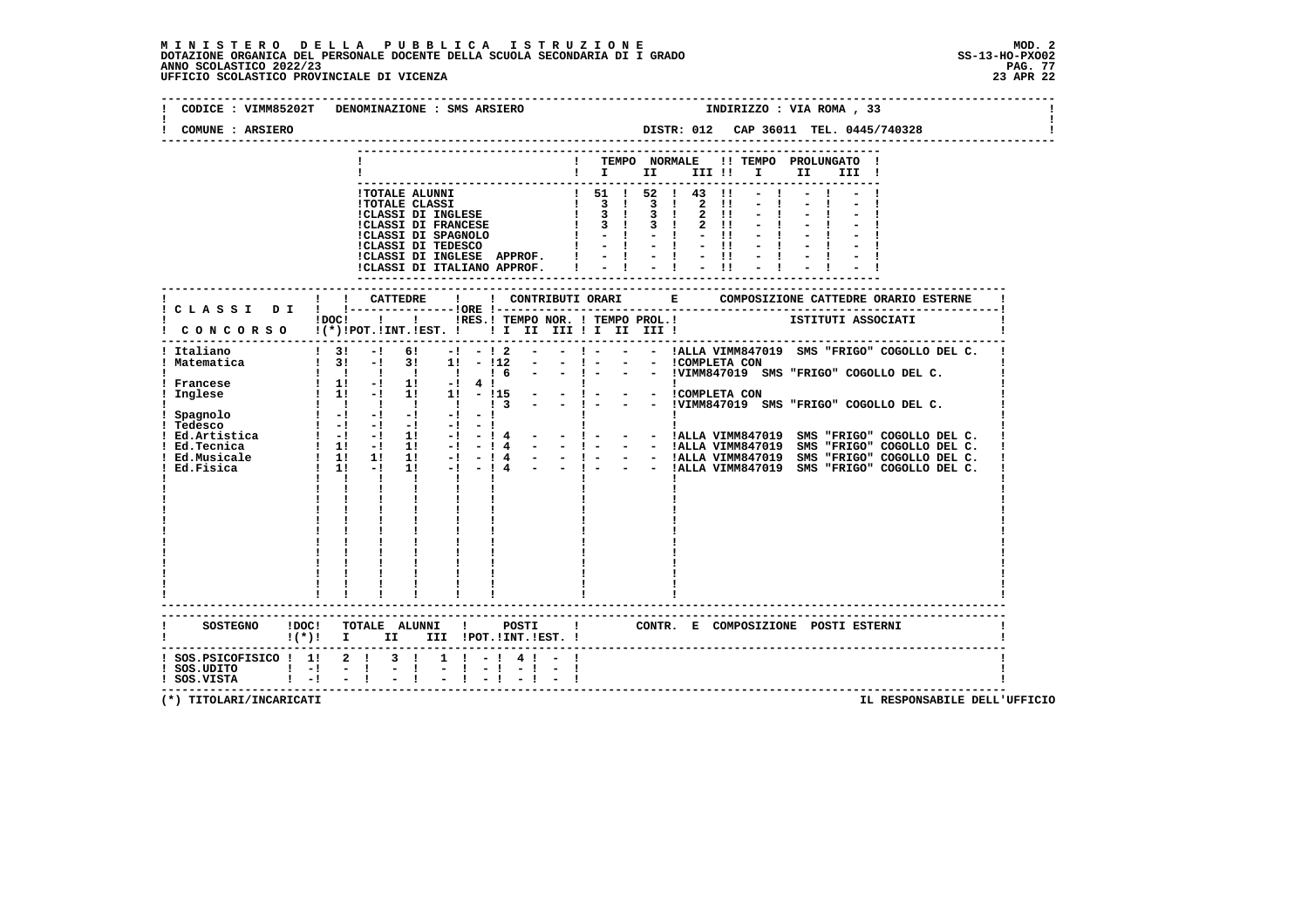# **M I N I S T E R O D E L L A P U B B L I C A I S T R U Z I O N E MOD. 2**DOTAZIONE ORGANICA DEL PERSONALE DOCENTE DELLA SCUOLA SECONDARIA DI I GRADO **SCOLASTICO SCOLASTICO 2022/23 PAG-**<br>PAG ANNO SCOLASTICO 2022/23 PAG. 77<br>23 APR 22 UFFICIO SCOLASTICO PROVINCIALE DI VICENZA

|                                                                              | CODICE : VIMM85202T DENOMINAZIONE : SMS ARSIERO<br>INDIRIZZO : VIA ROMA, 33                                                                                                                                                                          |
|------------------------------------------------------------------------------|------------------------------------------------------------------------------------------------------------------------------------------------------------------------------------------------------------------------------------------------------|
| COMUNE : ARSIERO                                                             | DISTR: 012 CAP 36011 TEL. 0445/740328<br>----------------                                                                                                                                                                                            |
|                                                                              | ! TEMPO NORMALE !! TEMPO PROLUNGATO !<br>$\blacksquare$ $\blacksquare$ $\blacksquare$ $\blacksquare$ $\blacksquare$ $\blacksquare$ $\blacksquare$ $\blacksquare$ $\blacksquare$ $\blacksquare$ $\blacksquare$<br>III !                               |
|                                                                              |                                                                                                                                                                                                                                                      |
|                                                                              | - TOTALE ALUNNI<br>1 TOTALE ALUNNI<br>1 TOTALE CLASSI<br>1 TOTALE CLASSI<br>1 3 1 3 1 2 11 - 1<br>1 CLASSI DI FRANCESE<br>1 3 1 3 1 2 11 - 1<br>1 CLASSI DI FRANCESE<br>1 3 1 3 1 2 11 - 1<br>1 CLASSI DI SPAGNOLO<br>1 - 1 - 1 - 1 - 1 1 - 1<br>1 C |
|                                                                              |                                                                                                                                                                                                                                                      |
|                                                                              |                                                                                                                                                                                                                                                      |
|                                                                              | THE CONCORSO I I INTERESTING THE THE TEMPOROL.<br>CONCORSO I(*)IPOT.IINT.IEST. I II II III II III III III I<br>-----------------------------------                                                                                                   |
| Italiano                                                                     | $\frac{1}{2}$ 3! -! 6! -! -! 2 -<br>$-$ ! - $-$ - !ALLA VIMM847019 SMS "FRIGO" COGOLLO DEL C.                                                                                                                                                        |
|                                                                              |                                                                                                                                                                                                                                                      |
|                                                                              |                                                                                                                                                                                                                                                      |
|                                                                              | ! Italiano<br>  Matematica<br>  Matematica   31 - 1 3   1 - 112 - -   - - -   - - -   - - -   - - -   - -   - - -   - -   - -   - -   - -   - -   - -   - -   - -   -   -   -   -   -   -   -   -   -   -   -   -   -   -   -                        |
|                                                                              | $\mathbf{I}$<br>$\mathbf{I}$ and $\mathbf{I}$                                                                                                                                                                                                        |
|                                                                              |                                                                                                                                                                                                                                                      |
|                                                                              |                                                                                                                                                                                                                                                      |
|                                                                              |                                                                                                                                                                                                                                                      |
| SOSTEGNO ! DOC!<br>$(*)$ $\mathbf{I}$                                        | TOTALE ALUNNI ! POSTI ! CONTR. E COMPOSIZIONE POSTI ESTERNI<br>II III !POT.!INT.!EST. !                                                                                                                                                              |
| ! SOS.PSICOFISICO ! 1! 2 ! 3 !<br>! SOS.UDITO ! -! -!<br>! SOS.VISTA ! -! -! | $1 \t-1 \t4 \t-1$<br>$-1 - 1 - 1$<br>i i                                                                                                                                                                                                             |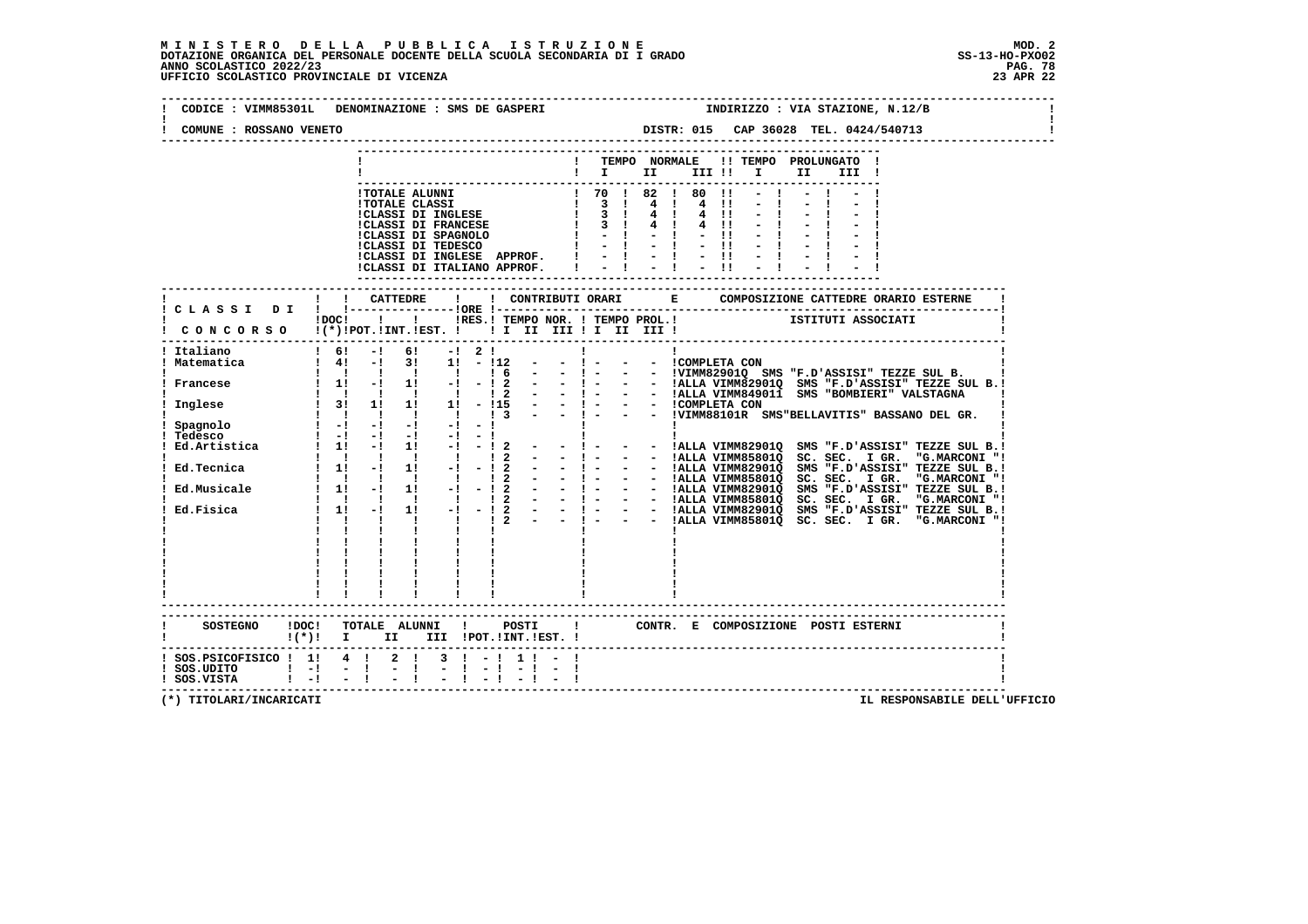| CODICE : VIMM85301L<br>COMUNE : ROSSANO VENETO | INDIRIZZO : VIA STAZIONE, N.12/B<br>DENOMINAZIONE : SMS DE GASPERI<br>DISTR: 015 CAP 36028 TEL. 0424/540713                                                                                                                                                     |
|------------------------------------------------|-----------------------------------------------------------------------------------------------------------------------------------------------------------------------------------------------------------------------------------------------------------------|
|                                                |                                                                                                                                                                                                                                                                 |
|                                                | ! TEMPO NORMALE !! TEMPO PROLUNGATO !                                                                                                                                                                                                                           |
|                                                | $\blacksquare$                                                                                                                                                                                                                                                  |
|                                                | ! 70 ! 82 ! 80 !1<br>POTALE ALUNNI (1999)<br>1999 - POLASSI DI INGLESE (1999)<br>1999 - CLASSI DI INGLESE (1999)<br>1999 - CLASSI DI SPAGNOLO (1999)<br>1999 - CLASSI DI SPAGNOLO (1999)<br>1999 - CLASSI DI TEDESCO (1999)<br>1999 - POLASSI DI TEDESCO (1999) |
|                                                | 4 1 4 11                                                                                                                                                                                                                                                        |
|                                                | $4 \quad 11$                                                                                                                                                                                                                                                    |
|                                                | $4 \quad 1$<br>4 !!<br>$-11$                                                                                                                                                                                                                                    |
|                                                | $1 - 1 - 1 - 1$                                                                                                                                                                                                                                                 |
|                                                | ICLASSI DI INGLESE APPROF. $1 - 1 - 1 - 11$<br>ICLASSI DI ITALIANO APPROF. $1 - 1 - 1 - 11$                                                                                                                                                                     |
|                                                |                                                                                                                                                                                                                                                                 |
|                                                |                                                                                                                                                                                                                                                                 |
|                                                |                                                                                                                                                                                                                                                                 |
|                                                | iDOC! ! ! IRES. I TEMPO NOR. ! TEMPO PROL. ! [STITUTI ASSOCIATI                                                                                                                                                                                                 |
|                                                | CONCORSO !(*)!POT.!INT.!EST. !! I II III !I II III !                                                                                                                                                                                                            |
|                                                |                                                                                                                                                                                                                                                                 |
| Italiano<br>Matematica                         | $\frac{1}{1}$ 6!<br>6!<br>$-1$<br>$-1$ 2 1<br>$\mathbf{I}$<br>$\mathbf{I}$<br>1 4! -! 3! 1! -!12<br>$  1 -$<br>- - ICOMPLETA CON                                                                                                                                |
|                                                |                                                                                                                                                                                                                                                                 |
| Francese                                       |                                                                                                                                                                                                                                                                 |
|                                                | $1 \t31 \t11 \t11 \t11 - 115$                                                                                                                                                                                                                                   |
| ! Inglese                                      |                                                                                                                                                                                                                                                                 |
| Spagnolo                                       | and a similar probability of the simple of the simple of the simple of the simple of the simple of the simple of the simple of the simple of the simple of the simple of the simple of the simple of the simple of the simple                                   |
| Tedesco : -! -!<br>Ed.Artistica : 1! -!        | $\frac{1}{2}$ and $\frac{1}{2}$ and $\frac{1}{2}$ and $\frac{1}{2}$ and $\frac{1}{2}$ and $\frac{1}{2}$ and $\frac{1}{2}$                                                                                                                                       |
|                                                | $1! -1 -12 - -1 -$<br>- - !ALLA VIMM82901Q SMS "F.D'ASSISI" TEZZE SUL B.!<br>$12 - -1$<br>- - !ALLA VIMM85801Q SC. SEC. I GR. "G.MARCONI "!<br>$\begin{array}{cccccccccccccc} 1 & 1 & 1 & 1 & 1 & 1 & 1 \end{array}$                                            |
|                                                |                                                                                                                                                                                                                                                                 |
|                                                |                                                                                                                                                                                                                                                                 |
|                                                |                                                                                                                                                                                                                                                                 |
|                                                |                                                                                                                                                                                                                                                                 |
|                                                |                                                                                                                                                                                                                                                                 |
|                                                |                                                                                                                                                                                                                                                                 |
|                                                |                                                                                                                                                                                                                                                                 |
|                                                |                                                                                                                                                                                                                                                                 |
|                                                |                                                                                                                                                                                                                                                                 |
|                                                |                                                                                                                                                                                                                                                                 |
|                                                | ------------------------                                                                                                                                                                                                                                        |
|                                                |                                                                                                                                                                                                                                                                 |
|                                                | SOSTEGNO !DOC! TOTALE ALUNNI ! POSTI<br>! CONTR. E COMPOSIZIONE POSTI ESTERNI                                                                                                                                                                                   |
|                                                | $!(*)!$ I II III !POT.!INT.!EST. !                                                                                                                                                                                                                              |
| ! SOS.PSICOFISICO ! 1! 4 !                     | $2 \t1 \t3 \t1 - 1 \t1 \t-$                                                                                                                                                                                                                                     |
| $!$ SOS.UDITO $!$ - $!$ - $!$                  | $-1$                                                                                                                                                                                                                                                            |
| ! SOS.VISTA ! -! - !                           |                                                                                                                                                                                                                                                                 |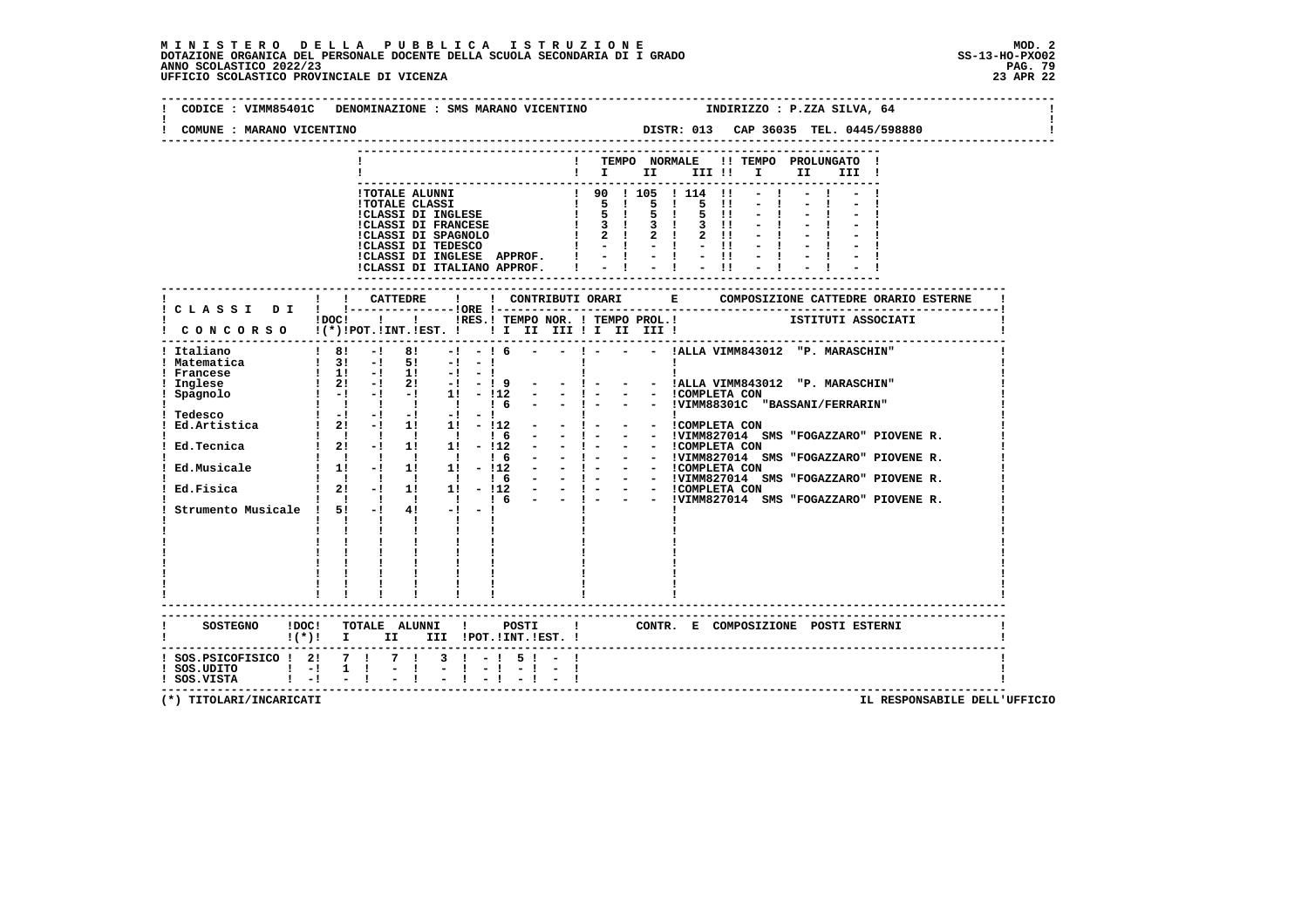# **M I N I S T E R O D E L L A P U B B L I C A I S T R U Z I O N E MOD. 2**DOTAZIONE ORGANICA DEL PERSONALE DOCENTE DELLA SCUOLA SECONDARIA DI I GRADO **SCOLASTICO SCOLASTICO 2022/23 PAG-**<br>PAG ANNO SCOLASTICO 2022/23 PAG. 79<br>23 APR 22 UFFICIO SCOLASTICO PROVINCIALE DI VICENZA

| COMUNE : MARANO VICENTINO                                                                                                                                                       | CODICE : VIMM85401C DENOMINAZIONE : SMS MARANO VICENTINO                                                                                                                                                                                                                                                                                                                                                                                                                                                                                                                                                                                                                                                                                                | INDIRIZZO : P.ZZA SILVA, 64                                                                                                                                                                                                                                                                                                                                                                                                                                                                                                                                                                                                                                                                                           |
|---------------------------------------------------------------------------------------------------------------------------------------------------------------------------------|---------------------------------------------------------------------------------------------------------------------------------------------------------------------------------------------------------------------------------------------------------------------------------------------------------------------------------------------------------------------------------------------------------------------------------------------------------------------------------------------------------------------------------------------------------------------------------------------------------------------------------------------------------------------------------------------------------------------------------------------------------|-----------------------------------------------------------------------------------------------------------------------------------------------------------------------------------------------------------------------------------------------------------------------------------------------------------------------------------------------------------------------------------------------------------------------------------------------------------------------------------------------------------------------------------------------------------------------------------------------------------------------------------------------------------------------------------------------------------------------|
|                                                                                                                                                                                 |                                                                                                                                                                                                                                                                                                                                                                                                                                                                                                                                                                                                                                                                                                                                                         | ! TEMPO NORMALE !! TEMPO PROLUNGATO !<br>$\blacksquare$ $\blacksquare$ $\blacksquare$ $\blacksquare$ $\blacksquare$ $\blacksquare$ $\blacksquare$<br>II I<br>III !                                                                                                                                                                                                                                                                                                                                                                                                                                                                                                                                                    |
|                                                                                                                                                                                 | 1 TOTALE ALUNNI<br>1 TOTALE CLASSI DI INGLESE $\begin{array}{ccc} 1 & -1 & -1 & -1 & -1 & -1 & -1 & -1 & -1 \\ 1 & 90 & 1 & 105 & 1 & 114 & 11 \\ 1 & 5 & 1 & 5 & 1 & 5 & 1 \\ 1 & 5 & 1 & 5 & 1 & 5 & 1 \\ 1 & 5 & 1 & 5 & 1 & 5 & 1 \\ 1 & 5 & 1 & 5 & 1 & 5 & 1 \\ 1 & 5 & 1 & 5 & 1 & 5 & 1 \\ 1 & 5 & 1 & 5$<br>ICLASSI DI INGLESE APPROF. $! \ - \   \ - \   \ - \  $<br>ICLASSI DI ITALIANO APPROF. $! \ - \   \ - \   \ - \  $<br>!CLASSI DI ITALIANO APPROF. !                                                                                                                                                                                                                                                                                 | $-1$                                                                                                                                                                                                                                                                                                                                                                                                                                                                                                                                                                                                                                                                                                                  |
|                                                                                                                                                                                 |                                                                                                                                                                                                                                                                                                                                                                                                                                                                                                                                                                                                                                                                                                                                                         |                                                                                                                                                                                                                                                                                                                                                                                                                                                                                                                                                                                                                                                                                                                       |
|                                                                                                                                                                                 | ! !RES.! TEMPO NOR. ! TEMPO PROL.!<br>$1DOCI$ $1$<br>I CONCORSO I(*) IPOT. IINT. IEST. I I I III III II III III I                                                                                                                                                                                                                                                                                                                                                                                                                                                                                                                                                                                                                                       | ISTITUTI ASSOCIATI                                                                                                                                                                                                                                                                                                                                                                                                                                                                                                                                                                                                                                                                                                    |
| ! Italiano<br>! Matematica<br>! Francese<br>Inglese<br>Spagnolo<br>! Tedesco<br>Tedesco<br>Ed.Artistica<br>Ed.Tecnica<br>Ed.Musicale<br>Ed.Fisica<br>Strumento Musicale ! 5! -! | -------------------------------------<br>$\frac{1}{1}$ 81<br>$-1$<br>81<br>$1 \quad 3! \quad -1 \quad 5! \quad -1 \quad -1$<br>$\frac{1}{2}$ 1: $\frac{1}{2}$ 1: $\frac{1}{2}$ 1:<br>$1 \quad 2! \quad -! \quad 2! \quad -! \quad -! \quad 9 \quad -$<br>$1 - 1 - 1 - 1$ 11 - 112 -<br>1 1 1 1 1 1 1 6 -<br>$\mathbf{1}$ and $\mathbf{1}$ and $\mathbf{1}$ and $\mathbf{1}$ and $\mathbf{1}$ and $\mathbf{1}$ and $\mathbf{1}$<br>$! 2! -! 1! 1! - 1!$<br>$\begin{array}{cccccccc}\n1 & 1 & 1 & 1 & 1 & 1 & 6 \\ 1 & 21 & -1 & 11 & 11 & -112\n\end{array}$<br>$\sim 100$<br>1 1 1 1 1 1 1 6<br>$\sim 100$<br>1 1 1 1 1 1 1 6 -<br>$4! -1 -1$<br><b>The Contract of Contract State</b><br>$\mathbf{I}$<br>$\mathbf{I}$ and $\mathbf{I}$<br>$\mathbf{I}$ | $-!$ - $!$ 6 - - $!$ - - - $!$ - $1$ ALLA VIMM843012 "P. MARASCHIN"<br>$-1$ $-$<br>- - !ALLA VIMM843012 "P. MARASCHIN"<br>- - COMPLETA CON<br>$-1$ $-$<br>- - !VIMM88301C "BASSANI/FERRARIN"<br>$-1$ $-$<br>$\mathbf{1}$<br>$\begin{array}{ccc}\n & \text{!} \\  - & \text{!} \\  & \text{!} \\  & \text{} \\  & \text{}\n\end{array}$<br>$-1 -$<br>- - !VIMM827014 SMS "FOGAZZARO" PIOVENE R.<br>$-1 -$<br>$- 1 - - - 1$ COMPLETA CON<br>- ! - - - !VIMM827014 SMS "FOGAZZARO" PIOVENE R.<br>1 1 - 1 1 1 - 11 2 - - - - - COMPLETA CON<br>1 1 1 1 1 1 6 - - 1 - - IVIMM827014 SMS "FOGAZZARO" PIOVENE R.<br>1 21 - 1 1 1 1 - 112 - - 1 - - - ICOMPLETA CON<br>- - !VIMM827014 SMS "FOGAZZARO" PIOVENE R.<br>$-1$ $-$ |
|                                                                                                                                                                                 | ------------------------                                                                                                                                                                                                                                                                                                                                                                                                                                                                                                                                                                                                                                                                                                                                |                                                                                                                                                                                                                                                                                                                                                                                                                                                                                                                                                                                                                                                                                                                       |
|                                                                                                                                                                                 | $!(*)!$ I II III !POT.!INT.!EST.!                                                                                                                                                                                                                                                                                                                                                                                                                                                                                                                                                                                                                                                                                                                       | ! CONTR. E COMPOSIZIONE POSTI ESTERNI                                                                                                                                                                                                                                                                                                                                                                                                                                                                                                                                                                                                                                                                                 |
| $!$ SOS.UDITO $!$ -!<br>$!$ SOS.VISTA $!$ $-!$ $-$ !                                                                                                                            | $1$ SOS.PSICOFISICO $1$ 2! 7 ! 7 ! 3 ! - ! 5 ! - !<br>$1 \quad 1$<br>$-1$                                                                                                                                                                                                                                                                                                                                                                                                                                                                                                                                                                                                                                                                               |                                                                                                                                                                                                                                                                                                                                                                                                                                                                                                                                                                                                                                                                                                                       |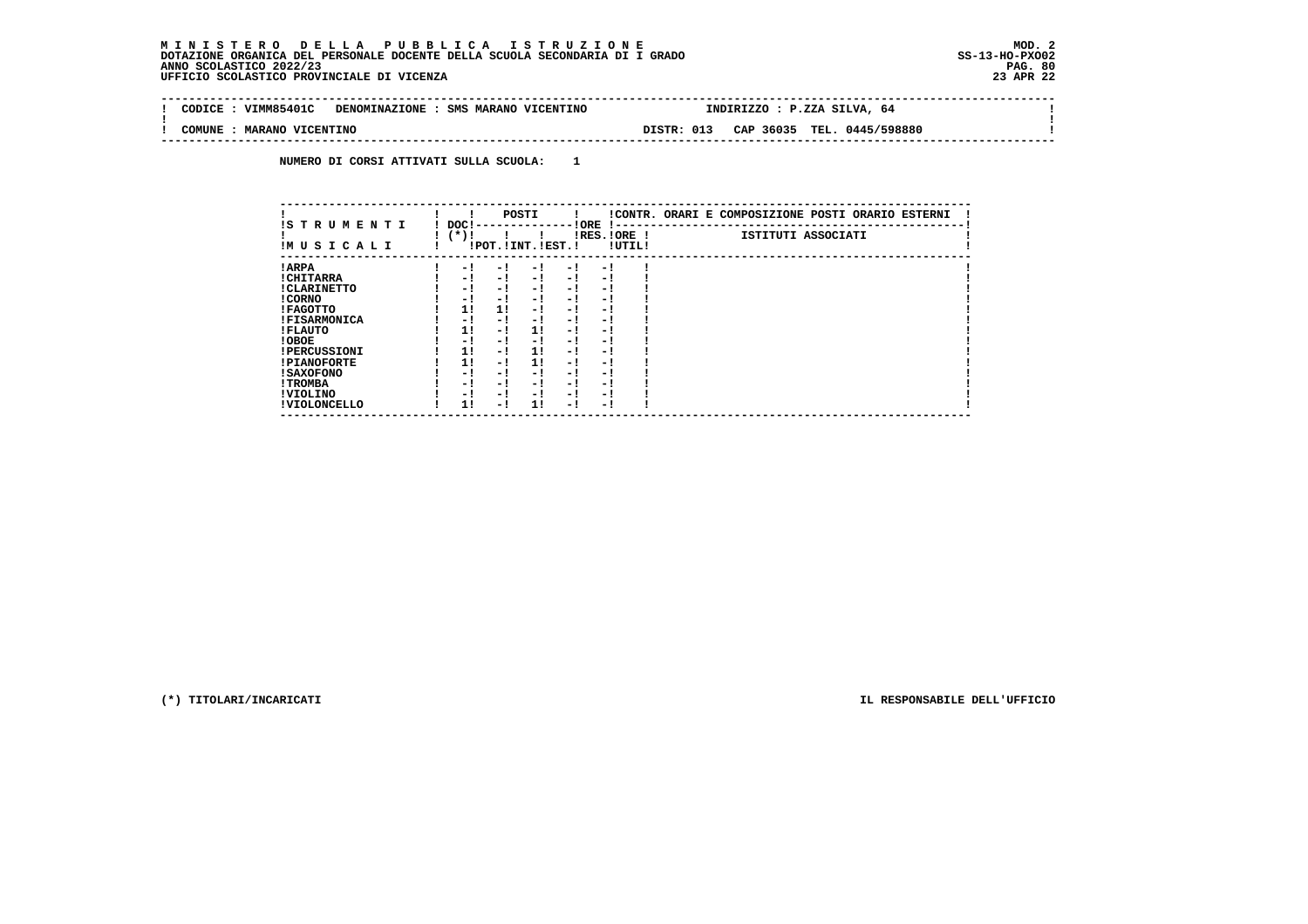$\sim$ 

 $\mathbf{I}$ 

 **-------------------------------------------------------------------------------------------------------------------------------- ! CODICE : VIMM85401C DENOMINAZIONE : SMS MARANO VICENTINO ! ! ! COMUNE : MARANO VICENTINO DISTR: 013 CAP 36035 TEL. 0445/598880 ! --------------------------------------------------------------------------------------------------------------------------------**

 **NUMERO DI CORSI ATTIVATI SULLA SCUOLA: 1**

| IS T R U M E N T I  | DOC! |     | POSTI                 |      | ! ORE                    |        | !CONTR. ORARI E COMPOSIZIONE POSTI ORARIO ESTERNI |
|---------------------|------|-----|-----------------------|------|--------------------------|--------|---------------------------------------------------|
| IMUSICALI           | (*)! |     | !POT. ! INT. ! EST. ! |      | -1 - -<br>$IRES.IORE$ !  | !UTIL! | ISTITUTI ASSOCIATI                                |
| ! ARPA              | - 1  | - 1 | - 1                   | - 1  | - !                      |        |                                                   |
| ! CHITARRA          | - 1  | - ! | - 1                   | $-1$ | - 1                      |        |                                                   |
| ! CLARINETTO        | - 1  | - ! | - 1                   | - 1  | - 1                      |        |                                                   |
| ! CORNO             | - 1  | - ! | - 1                   | - !  | - 1                      |        |                                                   |
| ! FAGOTTO           | 1!   | 1!  | - 1                   | - 1  | - 1                      |        |                                                   |
| <b>!FISARMONICA</b> | - 1  | - ! | - 1                   | - 1  | - 1                      |        |                                                   |
| ! FLAUTO            | 1!   | - ! | 11                    | - !  | - 1                      |        |                                                   |
| ! OBOE              | - !  | - ! | - 1                   | $-1$ | - 1                      |        |                                                   |
| <b>!PERCUSSIONI</b> | 1!   | - 1 | 11                    | - 1  | - 1                      |        |                                                   |
| <b>!PIANOFORTE</b>  | 1!   | - 1 | 1!                    | - 1  | - 1                      |        |                                                   |
| ! SAXOFONO          | - 1  | - ! | - !                   | - 1  | $\overline{\phantom{0}}$ |        |                                                   |
| ! TROMBA            | - 1  | - ! | - 1                   | - 1  | - 1                      |        |                                                   |
| ! VIOLINO           | - 1  | - ! | - 1                   | $-1$ | - 1                      |        |                                                   |
| ! VIOLONCELLO       | 11   | - 1 | 11                    | - 1  | - 1                      |        |                                                   |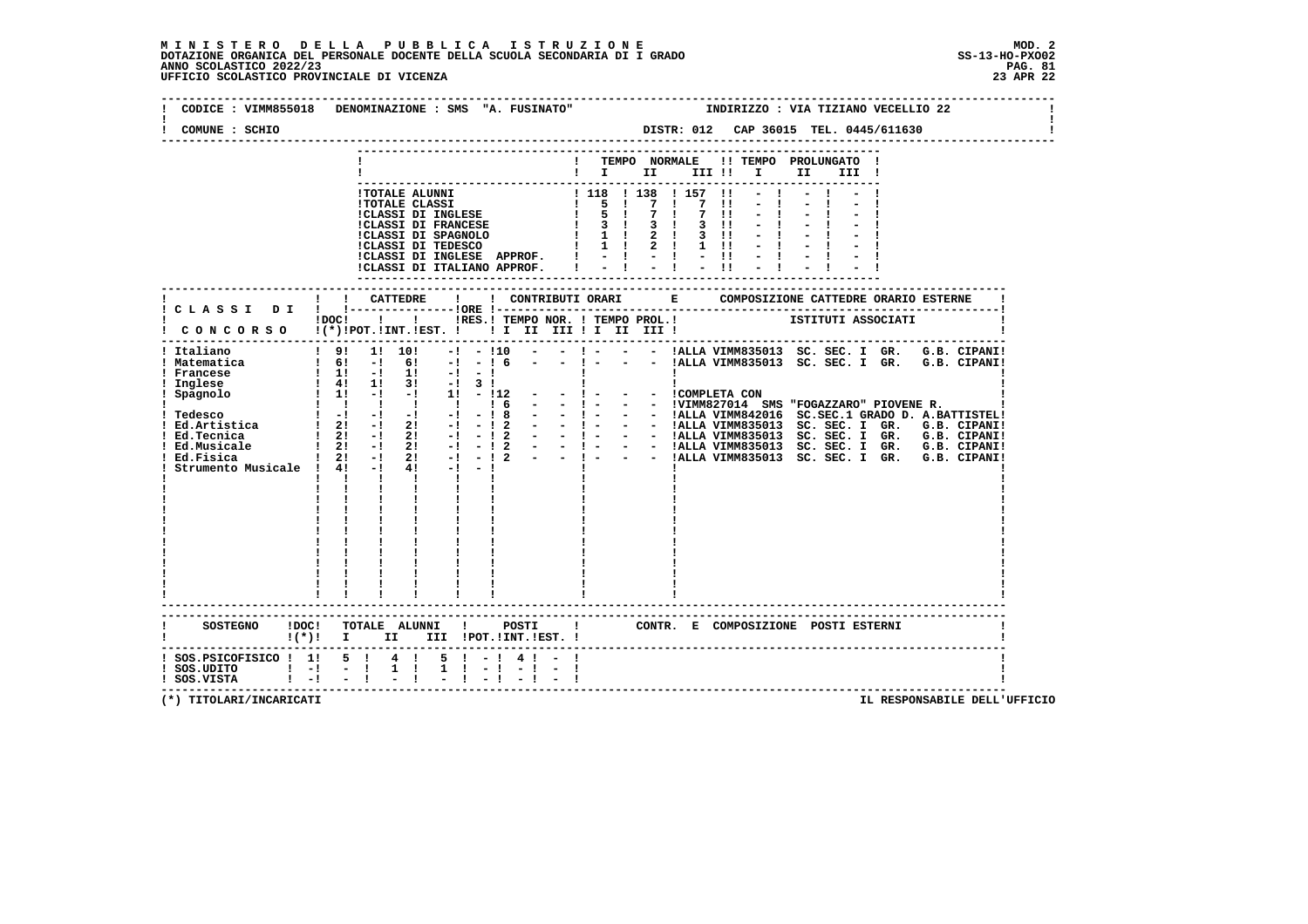# **M I N I S T E R O D E L L A P U B B L I C A I S T R U Z I O N E MOD. 2**DOTAZIONE ORGANICA DEL PERSONALE DOCENTE DELLA SCUOLA SECONDARIA DI I GRADO **SCOLASTICO SCOLASTICO 2022/23 PAG. 81**<br>23 ANNO SCOLASTICO 2022/23 PAG. 81<br>23 APR 22 UFFICIO SCOLASTICO PROVINCIALE DI VICENZA

|                                                                                                                                                 | CODICE : VIMM855018 DENOMINAZIONE : SMS "A. FUSINATO"                                                                                                                                                                                                                                                                                                                                           | INDIRIZZO : VIA TIZIANO VECELLIO 22                                                                                                                                                                                                                                                                                                                                                                                                                                                                                                                                 |
|-------------------------------------------------------------------------------------------------------------------------------------------------|-------------------------------------------------------------------------------------------------------------------------------------------------------------------------------------------------------------------------------------------------------------------------------------------------------------------------------------------------------------------------------------------------|---------------------------------------------------------------------------------------------------------------------------------------------------------------------------------------------------------------------------------------------------------------------------------------------------------------------------------------------------------------------------------------------------------------------------------------------------------------------------------------------------------------------------------------------------------------------|
| COMUNE : SCHIO                                                                                                                                  |                                                                                                                                                                                                                                                                                                                                                                                                 | DISTR: 012 CAP 36015 TEL. 0445/611630                                                                                                                                                                                                                                                                                                                                                                                                                                                                                                                               |
|                                                                                                                                                 |                                                                                                                                                                                                                                                                                                                                                                                                 | TEMPO NORMALE<br>!! TEMPO PROLUNGATO !<br>$\mathbf{I}$ is the set of $\mathbf{I}$ is the set of $\mathbf{I}$<br>II<br>III !                                                                                                                                                                                                                                                                                                                                                                                                                                         |
|                                                                                                                                                 | !TOTALE ALUNNI<br><b>!TOTALE CLASSI</b><br>!CLASSI DI INGLESE<br>!CLASSI DI FRANCESE<br>!CLASSI DI SPAGNOLO $\begin{array}{ccccccccccccc}\n1 & 1 & 2 & 3 & 11 \\ 1 & 2 & 3 & 11 & 2 \\ 1 & 1 & 2 & 1 & 1\n\end{array}$<br>CLASSI DI INGLESE APPROF.<br>!CLASSI DI ITALIANO APPROF.                                                                                                              | 1 118 1 138 1 157<br>$\blacksquare$<br>$\begin{array}{ccccccc}\n & 1 & -5 & 1 & -7 \\  & 1 & 5 & 1 & 7 \\  & 2 & 3 & 1 & 3\n\end{array}$<br>$\frac{1}{2}$<br>$\blacksquare$<br>$\blacksquare$<br>$\blacksquare$<br>$3 \cdot 1$<br>$3 \quad 11$<br>$= 1 - 1 - 1$<br>--------------------------------------                                                                                                                                                                                                                                                           |
|                                                                                                                                                 |                                                                                                                                                                                                                                                                                                                                                                                                 |                                                                                                                                                                                                                                                                                                                                                                                                                                                                                                                                                                     |
|                                                                                                                                                 | !DOC! !!!!RES.! TEMPO NOR. ! TEMPO PROL.!<br>! CONCORSO !(*)!POT.!INT.!EST. !! I II III !I II III !                                                                                                                                                                                                                                                                                             | ISTITUTI ASSOCIATI                                                                                                                                                                                                                                                                                                                                                                                                                                                                                                                                                  |
| ! Italiano<br>! Matematica<br>! Francese<br>! Inglese<br>! Spagnolo<br>! Ed.Tecnica<br>! Ed.Musicale<br>Ed.Fisica<br>Strumento Musicale ! 4! -! | ! 9! 1! 10!<br>$-1$<br>$-110$<br>$1 \t6!$ -1 61 -1 -1 6<br>$\begin{array}{ccccccc}\n1 & 1 & -1 & 11 & -1 & -1 \\ 1 & 41 & 11 & 31 & -1 & 31 \\ 1 & 11 & -1 & -1 & 11 & -112\n\end{array}$<br>$\begin{array}{ccccccccccccccccc}\n1 & 1 & 1 & 1 & 1 & 1\n\end{array}$<br>1 <sub>6</sub><br>$4! -1 -1$<br>$1 \quad 1 \quad 1$<br>$\mathbf{I}$<br><b>Contract Contract Contract</b><br>$\mathbf{I}$ | ! - - - !ALLA VIMM835013 SC. SEC. I GR. G.B. CIPANI!<br>- - !ALLA VIMM835013 SC. SEC. I GR. G.B. CIPANI!<br><b>Contract Contract Contract</b><br><b>Contract Contract</b><br>$\mathbf{I}$<br>- - ! - - - !VIMM827014 SMS "FOGAZZARO" PIOVENE R.<br>$1 - 1 - 1 - 1 - 1 = 0$<br>$1 - 21 - 1 - 12 - 1 - 1 = -$<br>$1 - 12 - 1 - 12 - 1 = -$<br>$1 - 12 - 1 - 12 - 1 = -$<br>$1 - 12 - 1 - 12 - 1 = -$<br>$1 - 12 - 1 - 12 - 1 = -$<br>$1 - 12 - 1 - 12 - 1 = -$<br>$1 - 12 - 1 - 12 - 1 = -$<br>$1 - 12 - 1 - 12 - 1 = -$<br>$1 - 12 - 1 - 12 - 1 = -$<br>$1 - 12 - 1$ |
| SOSTEGNO ! DOC!                                                                                                                                 | TOTALE ALUNNI ! POSTI<br>!(*)! I II III !POT.!INT.!EST. !                                                                                                                                                                                                                                                                                                                                       | $\mathbf{I}$<br>CONTR. E COMPOSIZIONE POSTI ESTERNI                                                                                                                                                                                                                                                                                                                                                                                                                                                                                                                 |
| ! SOS.PSICOFISICO ! 1! 5 ! 4 !<br>$!$ SOS.UDITO $!$ $-!$<br>$\mathbf{1}$ $\mathbf{-1}$<br>! SOS.VISTA                                           | $5! - 14! -$<br>$1 \quad 1$<br>$-1$<br>$1 \quad 1$                                                                                                                                                                                                                                                                                                                                              | -------------------------------                                                                                                                                                                                                                                                                                                                                                                                                                                                                                                                                     |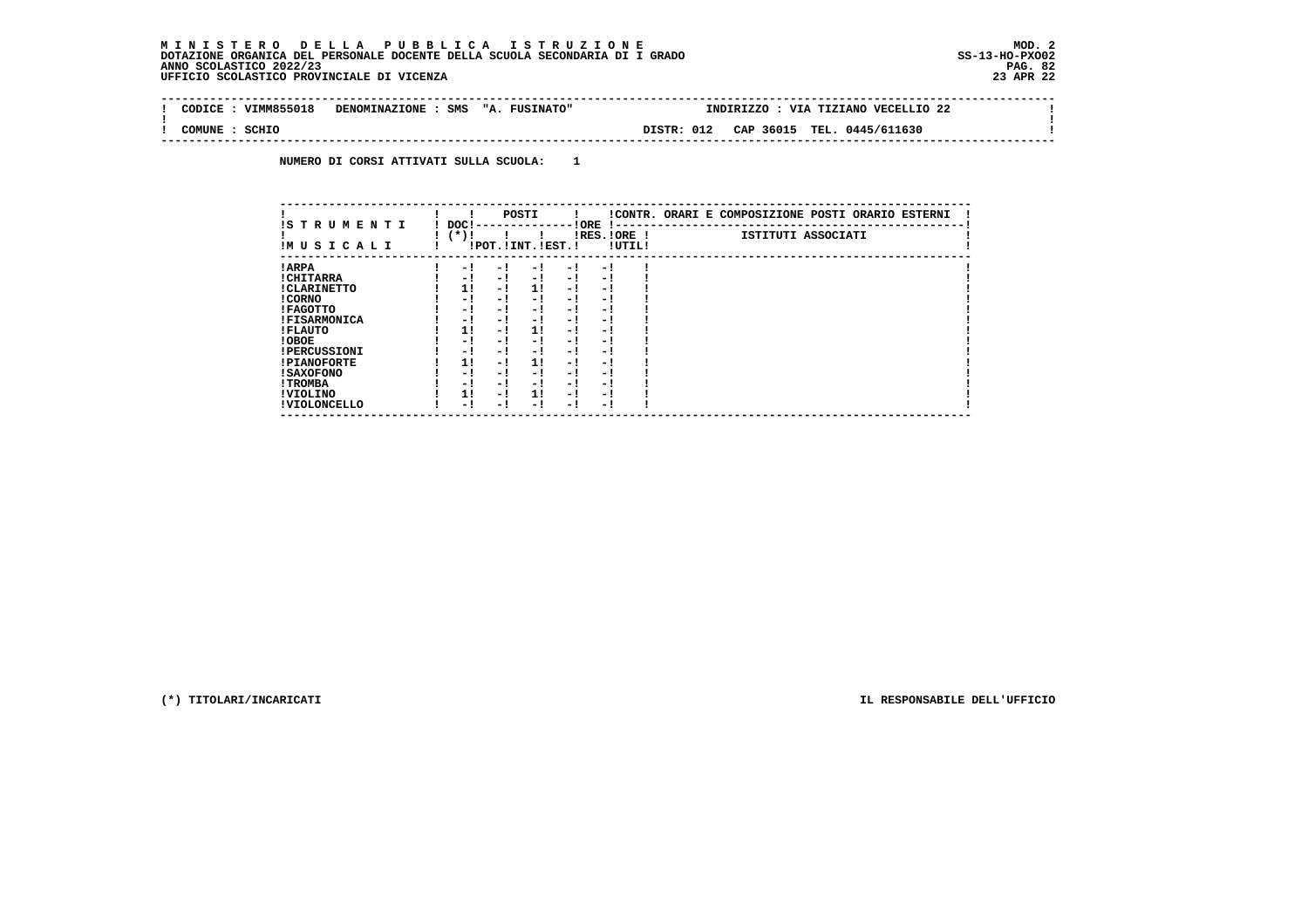| VIMM855018<br>CODICE | DENOMINAZIONE : SMS "A. FUSINATO" | INDIRIZZO : VIA TIZIANO VECELLIO 22      |  |
|----------------------|-----------------------------------|------------------------------------------|--|
| SCHIO<br>COMUNE      |                                   | CAP 36015 TEL. 0445/611630<br>DISTR: 012 |  |

 **NUMERO DI CORSI ATTIVATI SULLA SCUOLA: 1**

| IS T R U M E N T I  | DOC! |     | POSTI                 |      | ! ORE<br>.    |        | !CONTR. ORARI E COMPOSIZIONE POSTI ORARIO ESTERNI |
|---------------------|------|-----|-----------------------|------|---------------|--------|---------------------------------------------------|
| IMUSICALI           | (*)! |     | !POT. ! INT. ! EST. ! |      | $IRES.IORE$ ! | !UTIL! | ISTITUTI ASSOCIATI                                |
| ! ARPA              | - 1  | - 1 | - 1                   | - 1  | - 1           |        |                                                   |
| ! CHITARRA          | - 1  | - ! | - 1                   | $-1$ | - 1           |        |                                                   |
| ! CLARINETTO        | 11   | - 1 | 11                    | - 1  | - 1           |        |                                                   |
| ! CORNO             | - 1  | - 1 | - !                   | - 1  | - 1           |        |                                                   |
| ! FAGOTTO           | - 1  | - 1 | - 1                   | - 1  | - 1           |        |                                                   |
| <b>!FISARMONICA</b> | - 1  | - 1 | - 1                   | - 1  | - 1           |        |                                                   |
| ! FLAUTO            | 1!   | - ! | 1!                    | - 1  | - 1           |        |                                                   |
| ! OBOE              | - 1  | - 1 | - !                   | - 1  | - 1           |        |                                                   |
| <b>!PERCUSSIONI</b> | - 1  | - 1 | - 1                   | - 1  | - 1           |        |                                                   |
| <b>!PIANOFORTE</b>  | 11   | - 1 | 11                    | - 1  | - 1           |        |                                                   |
| <b>! SAXOFONO</b>   | - 1  | - 1 | - !                   | - 1  | - 1           |        |                                                   |
| ! TROMBA            | - 1  | - 1 | - 1                   | - 1  | - 1           |        |                                                   |
| ! VIOLINO           | 1!   | - 1 | 11                    | - 1  | - 1           |        |                                                   |
| ! VIOLONCELLO       | - 1  | - ! | - 1                   | - 1  | - 1           |        |                                                   |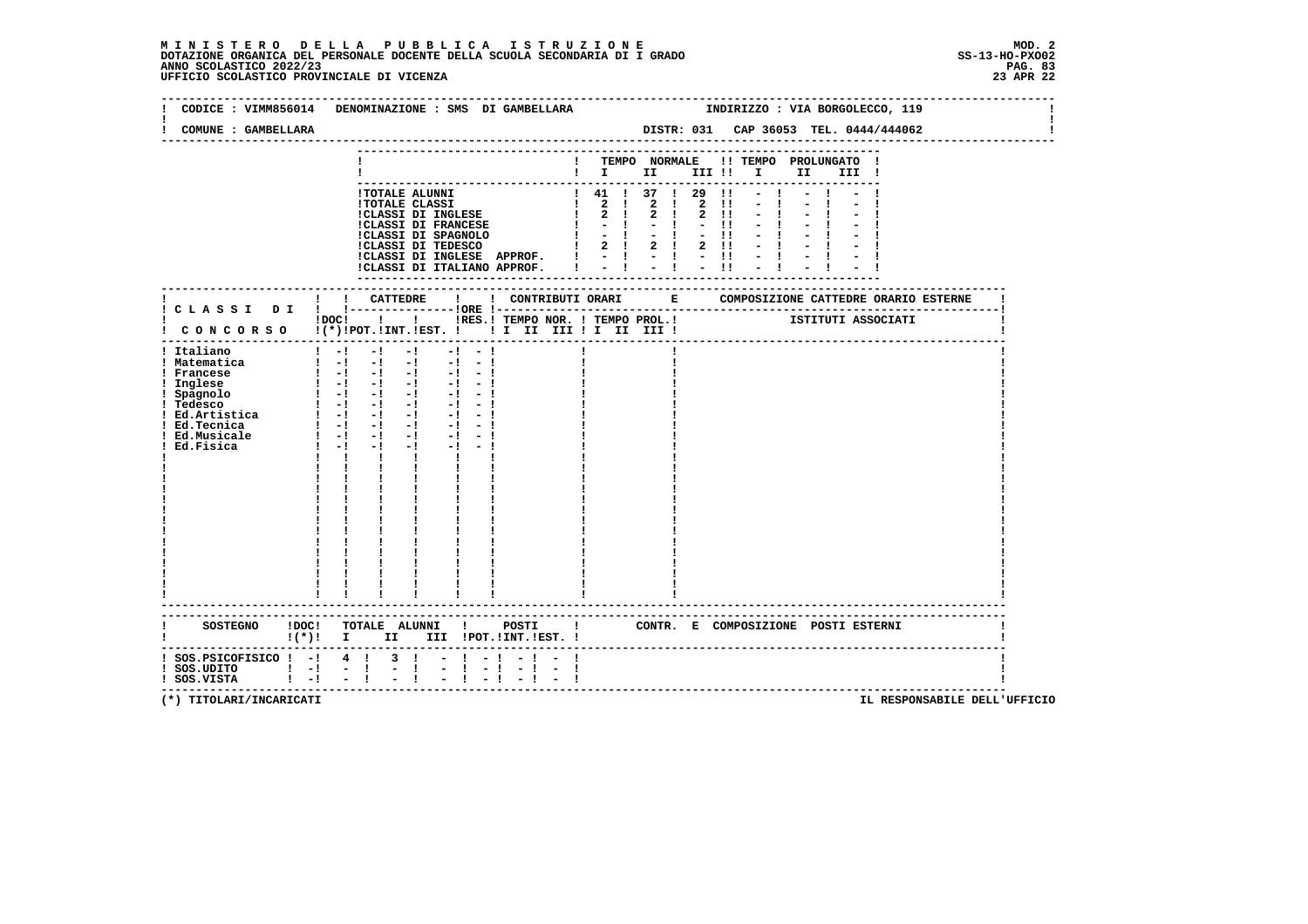# **M I N I S T E R O D E L L A P U B B L I C A I S T R U Z I O N E MOD. 2**DOTAZIONE ORGANICA DEL PERSONALE DOCENTE DELLA SCUOLA SECONDARIA DI I GRADO **SCOLASTICO SCOLASTICO 2022/23 PAG-**<br>PAG ANNO SCOLASTICO 2022/23 PAG. 83<br>23 APR 22 UFFICIO SCOLASTICO PROVINCIALE DI VICENZA

|                                                                                                                | CODICE : VIMM856014 DENOMINAZIONE : SMS DI GAMBELLARA                                                                                                                                                                                                                                                                                                                                                                                                                                                                                                                                                              |           |                                                                                                                                                                        |                     |                              |                                                  |      | INDIRIZZO : VIA BORGOLECCO, 119       |  |
|----------------------------------------------------------------------------------------------------------------|--------------------------------------------------------------------------------------------------------------------------------------------------------------------------------------------------------------------------------------------------------------------------------------------------------------------------------------------------------------------------------------------------------------------------------------------------------------------------------------------------------------------------------------------------------------------------------------------------------------------|-----------|------------------------------------------------------------------------------------------------------------------------------------------------------------------------|---------------------|------------------------------|--------------------------------------------------|------|---------------------------------------|--|
| COMUNE : GAMBELLARA                                                                                            |                                                                                                                                                                                                                                                                                                                                                                                                                                                                                                                                                                                                                    |           |                                                                                                                                                                        |                     |                              |                                                  |      | DISTR: 031 CAP 36053 TEL. 0444/444062 |  |
|                                                                                                                |                                                                                                                                                                                                                                                                                                                                                                                                                                                                                                                                                                                                                    |           | ! TEMPO NORMALE !! TEMPO PROLUNGATO !<br>$\blacksquare$ $\blacksquare$ $\blacksquare$ $\blacksquare$ $\blacksquare$ $\blacksquare$ $\blacksquare$                      | -------------       |                              |                                                  | II a | III !                                 |  |
|                                                                                                                | !TOTALE ALUNNI<br><b>!TOTALE CLASSI</b><br>!CLASSI DI INGLESE<br>ICLASSI DI FRANCESE<br>!CLASSI DI SPAGNOLO<br>!CLASSI DI TEDESCO<br>!CLASSI DI INGLESE APPROF. !<br>!CLASSI DI ITALIANO APPROF.                                                                                                                                                                                                                                                                                                                                                                                                                   |           | ! 41 ! 37 ! 29<br>1 2 1 2 1<br>$\begin{array}{ccccccccccccccccc}\n1 & 2 & 1 & 2 & 1\n\end{array}$<br>$1 - -1$<br>$\mathbf{I}$ $\mathbf{I}$ $\mathbf{I}$<br>$2 \quad 1$ | $1 - 1 - 1 - 1 - 1$ | $2 \quad 11$<br>$2 \quad 11$ | $\blacksquare$<br>$2 \quad 11$<br>$-11$<br>$-11$ | $-1$ |                                       |  |
|                                                                                                                | !DOC! !!!!RES.! TEMPO NOR. ! TEMPO PROL.!                                                                                                                                                                                                                                                                                                                                                                                                                                                                                                                                                                          |           |                                                                                                                                                                        |                     |                              |                                                  |      | ISTITUTI ASSOCIATI                    |  |
| ! Italiano<br>! Matematica<br>! Francese<br>! Inglese<br>! Spagnolo<br>! Tedesco<br>! Ed.Musicale<br>Ed.Fisica | $1 - 1 - 1 - 1$<br>$-1 - -1$<br>$\begin{bmatrix} 1 & -1 & -1 & -1 & -1 & -1 \end{bmatrix}$<br>$\begin{array}{cccccccccccccc} 1 & -1 & -1 & -1 & -1 & -1 & -1 \end{array}$<br>$\begin{bmatrix} 1 & -1 & -1 & -1 & -1 & -1 \end{bmatrix}$<br>$\begin{bmatrix} 1 & -1 & -1 & -1 & -1 \end{bmatrix}$<br>1 Pedesco<br>1 Pedesco<br>1 Ed.Artistica<br>1 -1 -1 -1 -1 -1 -1<br>1 -1 -1 -1 -1 -1 -1 -1<br>$\frac{1}{2}$ $\frac{1}{2}$ $\frac{1}{2}$ $\frac{1}{2}$<br>$-1$<br>$1 - -1$<br>$-1$<br>$-1$ and $-1$<br>$\mathbf{I}$<br>$\mathbf{I}$ and $\mathbf{I}$<br>$\mathbf{I}$ and $\mathbf{I}$<br>----------------------- |           |                                                                                                                                                                        |                     |                              |                                                  |      |                                       |  |
|                                                                                                                | ! (*)! I II III !POT.!INT.!EST.!                                                                                                                                                                                                                                                                                                                                                                                                                                                                                                                                                                                   |           |                                                                                                                                                                        |                     |                              |                                                  |      | CONTR. E COMPOSIZIONE POSTI_ESTERNI   |  |
| $:$ SOS.PSICOFISICO $:$ - $:$ 4 $:$<br>$!$ SOS.UDITO $!$ -!<br>$1 - 1$<br>! SOS.VISTA                          | $3 \quad 1$<br>$\sim$ $-1$                                                                                                                                                                                                                                                                                                                                                                                                                                                                                                                                                                                         | $-1$ $-1$ |                                                                                                                                                                        |                     |                              |                                                  |      |                                       |  |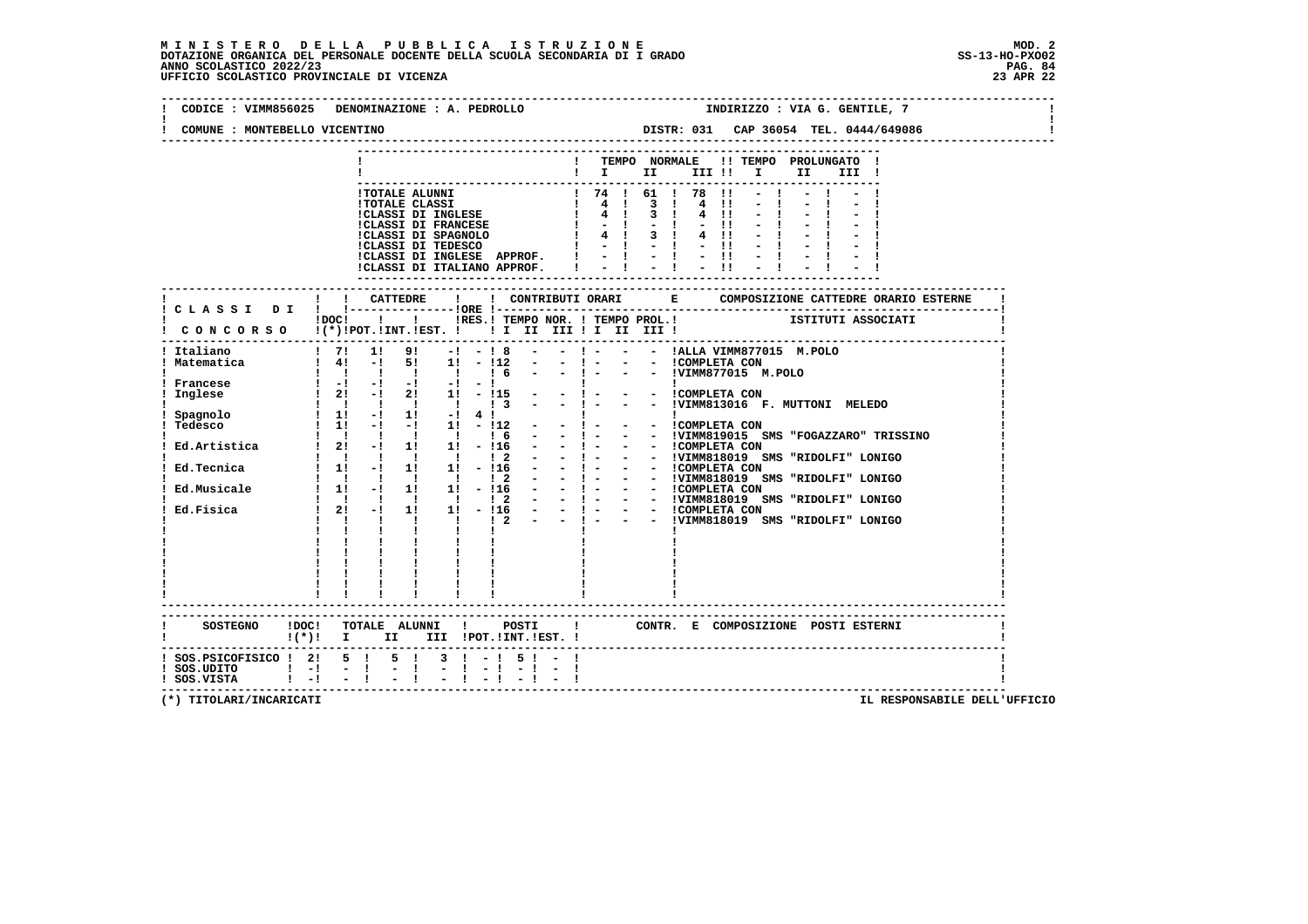# **M I N I S T E R O D E L L A P U B B L I C A I S T R U Z I O N E MOD. 2**DOTAZIONE ORGANICA DEL PERSONALE DOCENTE DELLA SCUOLA SECONDARIA DI I GRADO **SCOLASTICO SCOLASTICO 2022/23 PAG. 84**<br>23 ANNO SCOLASTICO 2022/23 PAG. 84<br>23 APR 22 UFFICIO SCOLASTICO PROVINCIALE DI VICENZA

| COMUNE : MONTEBELLO VICENTINO              | CODICE : VIMM856025 DENOMINAZIONE : A. PEDROLLO                                                                                         | INDIRIZZO : VIA G. GENTILE, 7                                                                                                                                                                                                                                                                                             |  |  |  |  |  |  |
|--------------------------------------------|-----------------------------------------------------------------------------------------------------------------------------------------|---------------------------------------------------------------------------------------------------------------------------------------------------------------------------------------------------------------------------------------------------------------------------------------------------------------------------|--|--|--|--|--|--|
|                                            |                                                                                                                                         |                                                                                                                                                                                                                                                                                                                           |  |  |  |  |  |  |
|                                            |                                                                                                                                         | ! TEMPO NORMALE !! TEMPO PROLUNGATO !<br>$\blacksquare$ $\blacksquare$ $\blacksquare$ $\blacksquare$ $\blacksquare$ $\blacksquare$ $\blacksquare$ $\blacksquare$<br>II a<br>III !                                                                                                                                         |  |  |  |  |  |  |
|                                            |                                                                                                                                         | ICLASSI DI INGLESE APPROF. $  -   -   -   -  $<br>ICLASSI DI ITALIANO APPROF. $  -   -   -   -  $                                                                                                                                                                                                                         |  |  |  |  |  |  |
|                                            |                                                                                                                                         |                                                                                                                                                                                                                                                                                                                           |  |  |  |  |  |  |
|                                            | $\frac{1}{2}$ CONCORSO $\frac{1}{2}$ [*) IPOT. IINT. IEST. $\frac{1}{2}$ II II III II III III III                                       | DOCI ! ! IRES. I TEMPO NOR. I TEMPO PROL. ! STITUTI ASSOCIATI                                                                                                                                                                                                                                                             |  |  |  |  |  |  |
| ! Italiano<br>! Francese                   | $\mathbf{I}$<br>$\frac{1}{1}$ $\frac{1}{1}$ $\frac{1}{1}$ $\frac{1}{1}$ $\frac{1}{1}$<br>$\mathbf{I}$ and $\mathbf{I}$ and $\mathbf{I}$ | 1 7! 1! 9! -! - ! 8 - - ! - - - - !ALLA VIMM877015 M.POLO<br>1 Indiano<br>1 Indiano<br>1 Indiano<br>1 Indiano<br>1 Indiano<br>1 Indiano<br>1 Indiano<br>1 Indiano<br>1 Indiano<br>1 Indiano<br>1 Indiano<br>1 Indiano<br>1 Indiano<br>1 Indiano<br>1 Indiano<br>1 Indiana Indiana Indiana Indiana Indiana Indiana Indiana |  |  |  |  |  |  |
|                                            |                                                                                                                                         | SOSTEGNO IDOCI TOTALE ALUNNI I POSTI I CONTR. E COMPOSIZIONE POSTI ESTERNI<br>I(*)! I III III IPOT.IINT.IEST.I                                                                                                                                                                                                            |  |  |  |  |  |  |
| 1 SOS.UDITO 1 -1 -1<br>1 SOS.VISTA 1 -1 -1 | ! SOS.PSICOFISICO ! 2! 5 ! 5 ! 3 ! - ! 5 ! - !<br>$-1$                                                                                  |                                                                                                                                                                                                                                                                                                                           |  |  |  |  |  |  |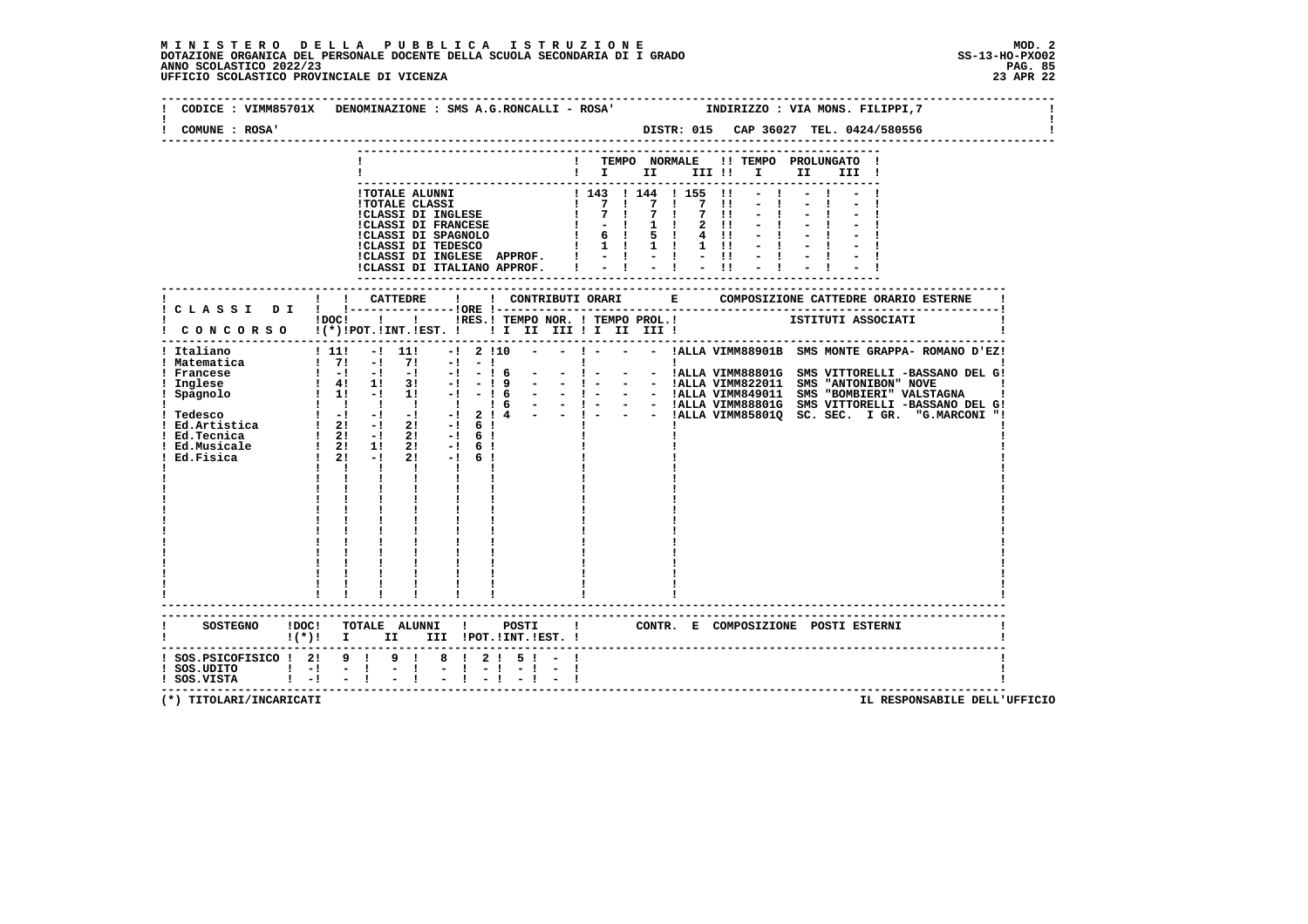# **M I N I S T E R O D E L L A P U B B L I C A I S T R U Z I O N E MOD. 2**DOTAZIONE ORGANICA DEL PERSONALE DOCENTE DELLA SCUOLA SECONDARIA DI I GRADO **SCOLASTICO SCOLASTICO 2022/23 PAG. 85**<br>23 ANNO SCOLASTICO 2022/23 PAG. 85<br>23 APR 22 UFFICIO SCOLASTICO PROVINCIALE DI VICENZA

| COMUNE : ROSA'                               | CODICE: VIMM85701X DENOMINAZIONE: SMS A.G.RONCALLI - ROSA' INDIRIZZO: VIA MONS. FILIPPI, 7                                        |                                                         |                                                         |                                                                                                                                                                                                                                                     |                                                                                                                                                                                                                                 |  |
|----------------------------------------------|-----------------------------------------------------------------------------------------------------------------------------------|---------------------------------------------------------|---------------------------------------------------------|-----------------------------------------------------------------------------------------------------------------------------------------------------------------------------------------------------------------------------------------------------|---------------------------------------------------------------------------------------------------------------------------------------------------------------------------------------------------------------------------------|--|
|                                              |                                                                                                                                   |                                                         | ------------<br>$\mathbf{I}$ is the set of $\mathbf{I}$ | ! TEMPO NORMALE !! TEMPO PROLUNGATO !<br>III !! I                                                                                                                                                                                                   | II D<br>III !                                                                                                                                                                                                                   |  |
|                                              |                                                                                                                                   |                                                         |                                                         | - COLAR CLASS (1997)<br>1 TOTALE ALUNNI<br>1 TOTALE CLASS (1997)<br>1 TOTALE CLASS (1997)<br>1 TOTALE CLASS (1997)<br>1 TOTALE CLASS (1997)<br>1 TOTALE CLASS (1998)<br>1 TOTALE CLASS (1998)<br>1 TOTALE CLASS (1998)<br>1 TOTALE CLASS (1998)<br> |                                                                                                                                                                                                                                 |  |
|                                              | ! ! CATTEDRE<br>! C L A S S I D I ! !----------------!ORE !---<br>IDOCI ! ! IRES. I TEMPO NOR. I TEMPO PROL. ! ISTITUTI ASSOCIATI |                                                         |                                                         |                                                                                                                                                                                                                                                     |                                                                                                                                                                                                                                 |  |
|                                              | $1 - 1 - 1$<br>$\mathbf{1}$ $\mathbf{1}$<br>$\mathbf{I}$ and $\mathbf{I}$ and $\mathbf{I}$                                        |                                                         |                                                         |                                                                                                                                                                                                                                                     | : Italiano (1990)<br>1 Matematica (1991 - 111 - 1210 - - 1 - - - 121 - 121 - 1221 - 1221 - 1221 - 1221 - 1221 - 1221 - 1221 - 1221 - 1221 - 1221 - 1221 - 1221 - 1221 - 1221 - 1221 - 1221 - 1221 - 1221 - 1221 - 1221 - 1221 - |  |
| $(*)!$ I                                     | ------------------------------------                                                                                              | II III !POT. !INT. !EST. !                              |                                                         |                                                                                                                                                                                                                                                     | ! CONTR. E COMPOSIZIONE POSTI ESTERNI                                                                                                                                                                                           |  |
| ! SOS.UDITO ! -! - !<br>! SOS.VISTA ! -! - ! | ! SOS.PSICOFISICO ! 2! 9 ! 9 ! 8 ! 2 ! 5 ! -<br>$\mathbb{R}^n$                                                                    | $\frac{1}{2}$ $\frac{1}{2}$ $\frac{1}{2}$ $\frac{1}{2}$ |                                                         |                                                                                                                                                                                                                                                     |                                                                                                                                                                                                                                 |  |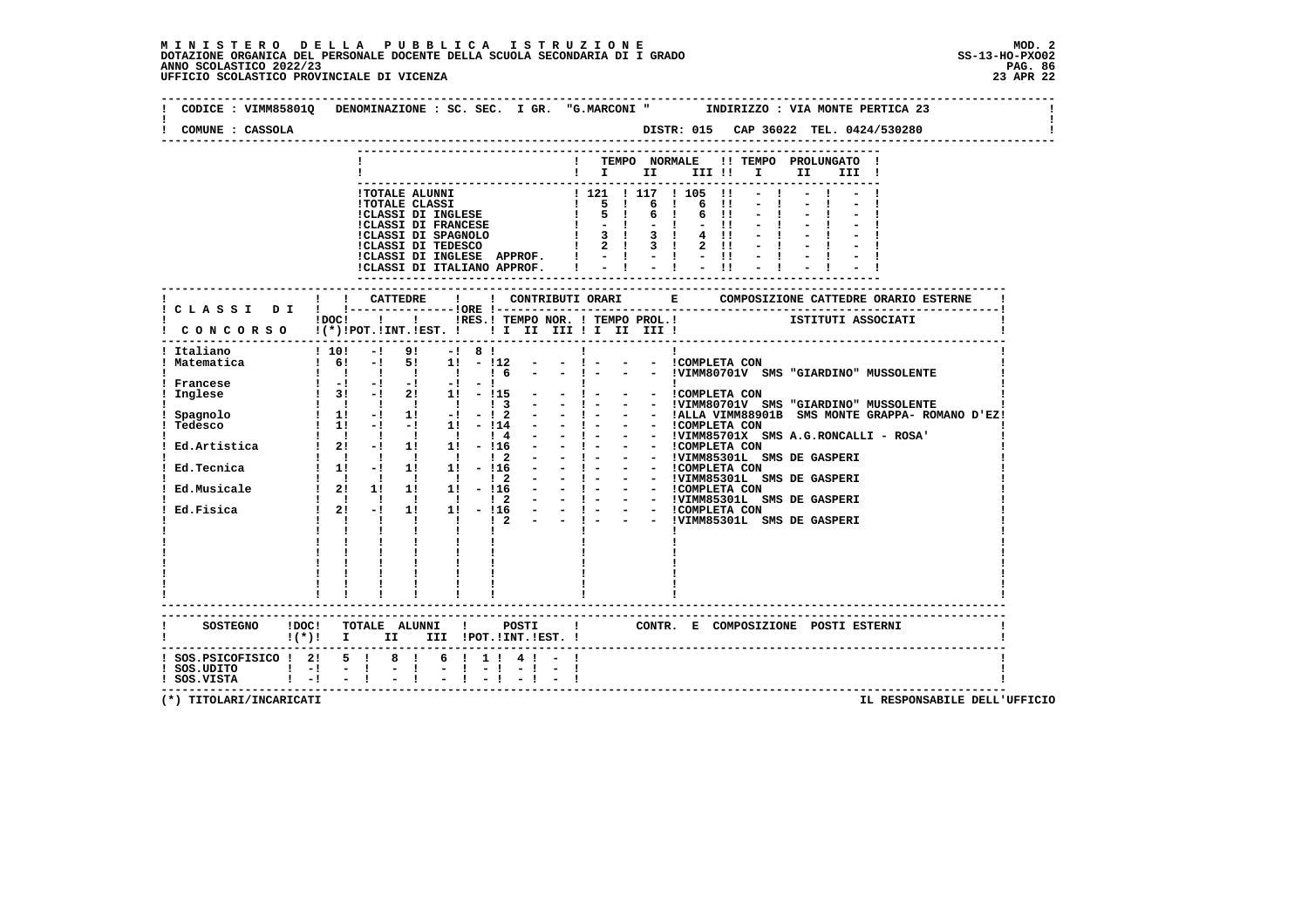$\mathbf{I}$ 

 $\mathbf{I}$ 

 $\mathbf{I}$ 

| COMUNE : CASSOLA                                          |                                                                                                                                                                                                                                                                                                                                                                                                                                                                                                              |
|-----------------------------------------------------------|--------------------------------------------------------------------------------------------------------------------------------------------------------------------------------------------------------------------------------------------------------------------------------------------------------------------------------------------------------------------------------------------------------------------------------------------------------------------------------------------------------------|
|                                                           | ! TEMPO NORMALE !! TEMPO PROLUNGATO !<br>$\blacksquare$ $\blacksquare$ $\blacksquare$ $\blacksquare$ $\blacksquare$ $\blacksquare$ $\blacksquare$ $\blacksquare$<br>II D<br>III !                                                                                                                                                                                                                                                                                                                            |
|                                                           | !TOTALE ALUNNI<br>!TOTALE CLASSI 1 1121 1 117 1 105 1!<br>!CLASSI DI INGLESE $\begin{array}{ccc} 1 & 5 & 1 & 6 & 1 & 6 & 1! \\ 1 & 5 & 1 & 6 & 1 & 6 & 1! \\ 1 & 5 & 1 & 6 & 1 & 6 & 1! \\ 1 & 5 & 1 & 6 & 1 & 6 & 1! \\ 1 & 5 & 1 & 6 & 1 & 6 & 1! \\ 1 & 5 & 1 & 6 & 1 & 6 & 1! \\ 1 & 5 & 1$<br>$1 - 1 - 1 - 11 - 1$<br>$4 \quad 11 \quad - \quad 1$<br>$2 \cdot 11 - 1$<br>!CLASSI DI INGLESE APPROF. $  -   -   -  $ - $  -   -  $<br>$-1$<br>$\sim$ 1.0 $\%$<br>$-11$<br>!CLASSI DI ITALIANO APPROF. I |
|                                                           |                                                                                                                                                                                                                                                                                                                                                                                                                                                                                                              |
|                                                           | $\text{IDOC!}$<br>$\text{I}$<br>$\text{I}$<br>$\text{I}$<br>$\text{I}$<br>$\text{I}$<br>$\text{I}$<br>$\text{I}$<br>$\text{I}$<br>$\text{I}$ $\text{I}$<br>$\text{I}$ $\text{I}$ $\text{I}$ $\text{I}$ $\text{I}$ $\text{I}$ $\text{I}$ $\text{I}$ $\text{I}$ $\text{I}$ $\text{I}$ $\text{I}$ $\text{I}$ $\text{I}$<br>: CONCORSO !(*) POT. IINT. IEST. ! ! I II III I II III !                                                                                                                             |
| ! Italiano<br>! Matematica<br>! Francese<br>Inglese       | ! 10! -! 9! -! 8! !<br>! 6! -! 5! 1! -!12 - -! - - - !COMPLETA CON<br>11111111<br>$\frac{1}{1}$ $\frac{1}{1}$ $\frac{1}{1}$ $\frac{1}{1}$ $\frac{1}{1}$ $\frac{1}{1}$<br>$\begin{array}{cccccccccc} 1 & 1 & 1 & 1 & 1 & 1 \\ 1 & 1 & 1 & 1 & 1 & 1 \end{array}$                                                                                                                                                                                                                                              |
|                                                           | ! CONTR. E COMPOSIZIONE POSTI ESTERNI<br>$!(*)!$ I II III !POT.!INT.!EST. !                                                                                                                                                                                                                                                                                                                                                                                                                                  |
| $!$ SOS.UDITO $!$ -! - !<br>$!$ SOS.VISTA $!$ - $!$ - $!$ | $1$ SOS.PSICOFISICO $1$ 21 5 1 8 1 6 1 1 1 4 1 - 1<br>$-1 - 1 = 1 - 1 - 1 - 1$                                                                                                                                                                                                                                                                                                                                                                                                                               |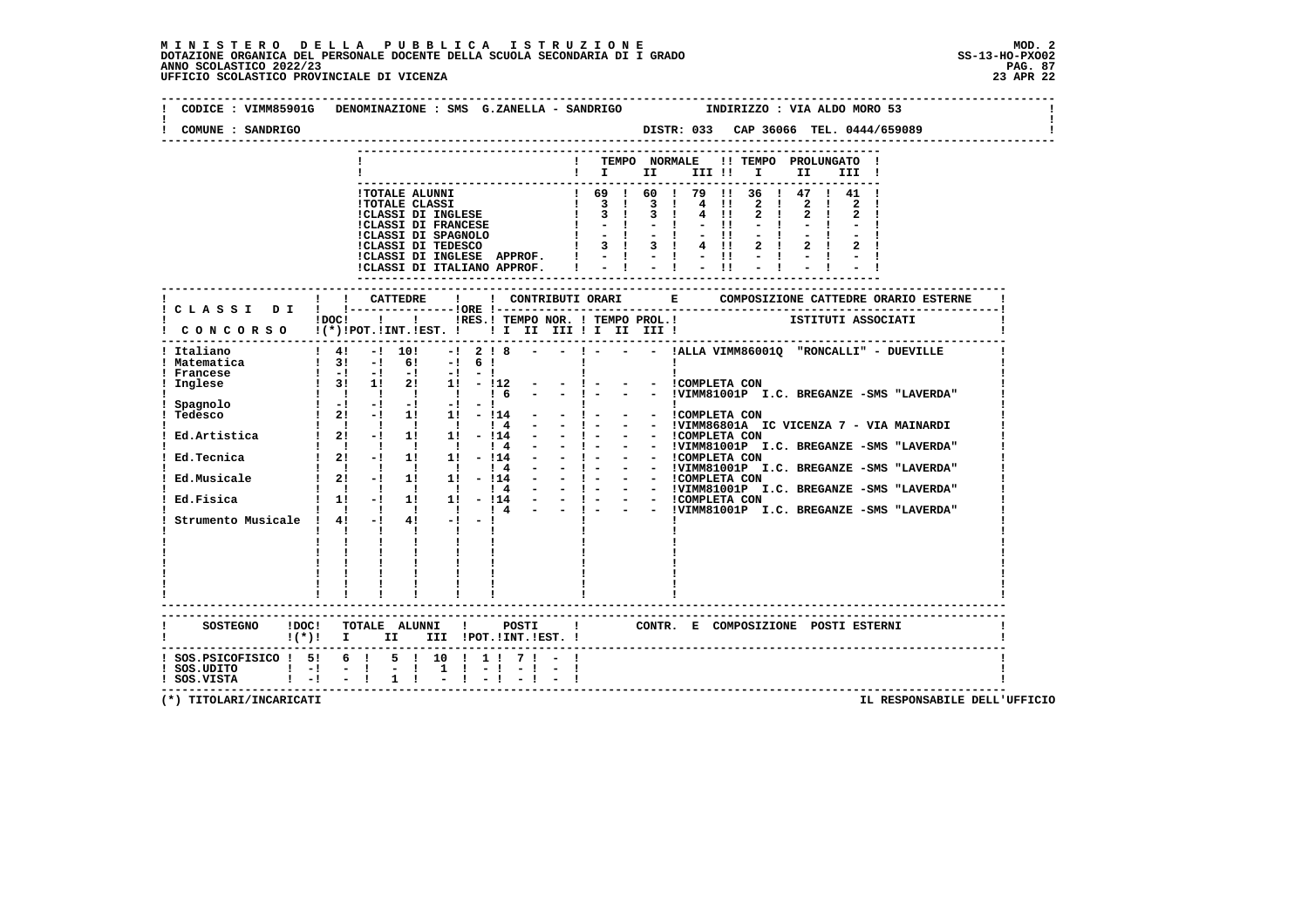# **M I N I S T E R O D E L L A P U B B L I C A I S T R U Z I O N E MOD. 2**DOTAZIONE ORGANICA DEL PERSONALE DOCENTE DELLA SCUOLA SECONDARIA DI I GRADO **SCOLASTICO SCOLASTICO 2022/23 PAG. 87**<br>PAG ANNO SCOLASTICO 2022/23 PAG. 87<br>23 APR 22 UFFICIO SCOLASTICO PROVINCIALE DI VICENZA

| COMUNE : SANDRIGO                            | CODICE: VIMM85901G DENOMINAZIONE: SMS G.ZANELLA - SANDRIGO TINDIRIZZO: VIA ALDO MORO 53                                                                            |
|----------------------------------------------|--------------------------------------------------------------------------------------------------------------------------------------------------------------------|
|                                              | ---------------                                                                                                                                                    |
|                                              | ! TEMPO NORMALE !! TEMPO PROLUNGATO !<br>$\blacksquare$ $\blacksquare$ $\blacksquare$ $\blacksquare$ $\blacksquare$ $\blacksquare$ $\blacksquare$<br>II a<br>III ! |
|                                              |                                                                                                                                                                    |
|                                              |                                                                                                                                                                    |
|                                              |                                                                                                                                                                    |
|                                              |                                                                                                                                                                    |
|                                              |                                                                                                                                                                    |
|                                              |                                                                                                                                                                    |
|                                              | ! ! CATTEDRE<br>$\mathbf{I}$                                                                                                                                       |
|                                              | ! CLASSI DI ! !---------------!ORE !---                                                                                                                            |
|                                              | I CONCORSO I(*) IPOCI II I INES.ITEMPO NOR. ITEMPO PROL.I<br>I CONCORSO I(*)IPOT.IINT.IEST. I II II III II III III III                                             |
|                                              |                                                                                                                                                                    |
|                                              |                                                                                                                                                                    |
|                                              | - - COMPLETA CON                                                                                                                                                   |
|                                              | - - !VIMM81001P I.C. BREGANZE -SMS "LAVERDA"                                                                                                                       |
|                                              |                                                                                                                                                                    |
|                                              |                                                                                                                                                                    |
|                                              |                                                                                                                                                                    |
|                                              |                                                                                                                                                                    |
|                                              |                                                                                                                                                                    |
|                                              |                                                                                                                                                                    |
|                                              |                                                                                                                                                                    |
|                                              |                                                                                                                                                                    |
|                                              | $\mathbf{I}$ and $\mathbf{I}$ and $\mathbf{I}$<br>$\mathbf{1}$ and $\mathbf{1}$<br>$\mathbf{I}$                                                                    |
|                                              |                                                                                                                                                                    |
|                                              | $1\qquad1\qquad1\qquad$<br>$\begin{array}{cccccccccc} 1 & 1 & 1 & 1 & 1 & 1 \\ 1 & 1 & 1 & 1 & 1 & 1 \\ 1 & 1 & 1 & 1 & 1 & 1 \\ \end{array}$                      |
|                                              | .-------------------------                                                                                                                                         |
|                                              | SOSTEGNO IDOC! TOTALE ALUNNI ! POSTI ! CONTR. E COMPOSIZIONE POSTI ESTERNI !(*)! I II III !POT.!INT.!EST. !                                                        |
|                                              |                                                                                                                                                                    |
|                                              | ! SOS.PSICOFISICO ! 5! 6 ! 5 ! 10 ! 1 ! 7 ! - !                                                                                                                    |
| ! SOS.UDITO ! -! - !<br>! SOS.VISTA ! -! - ! | $-1$ $-1$<br>$1 \t-1 \t-1 \t-1$                                                                                                                                    |
|                                              | $1 \quad 1$<br>$-1 - 1 - 1 - 1$                                                                                                                                    |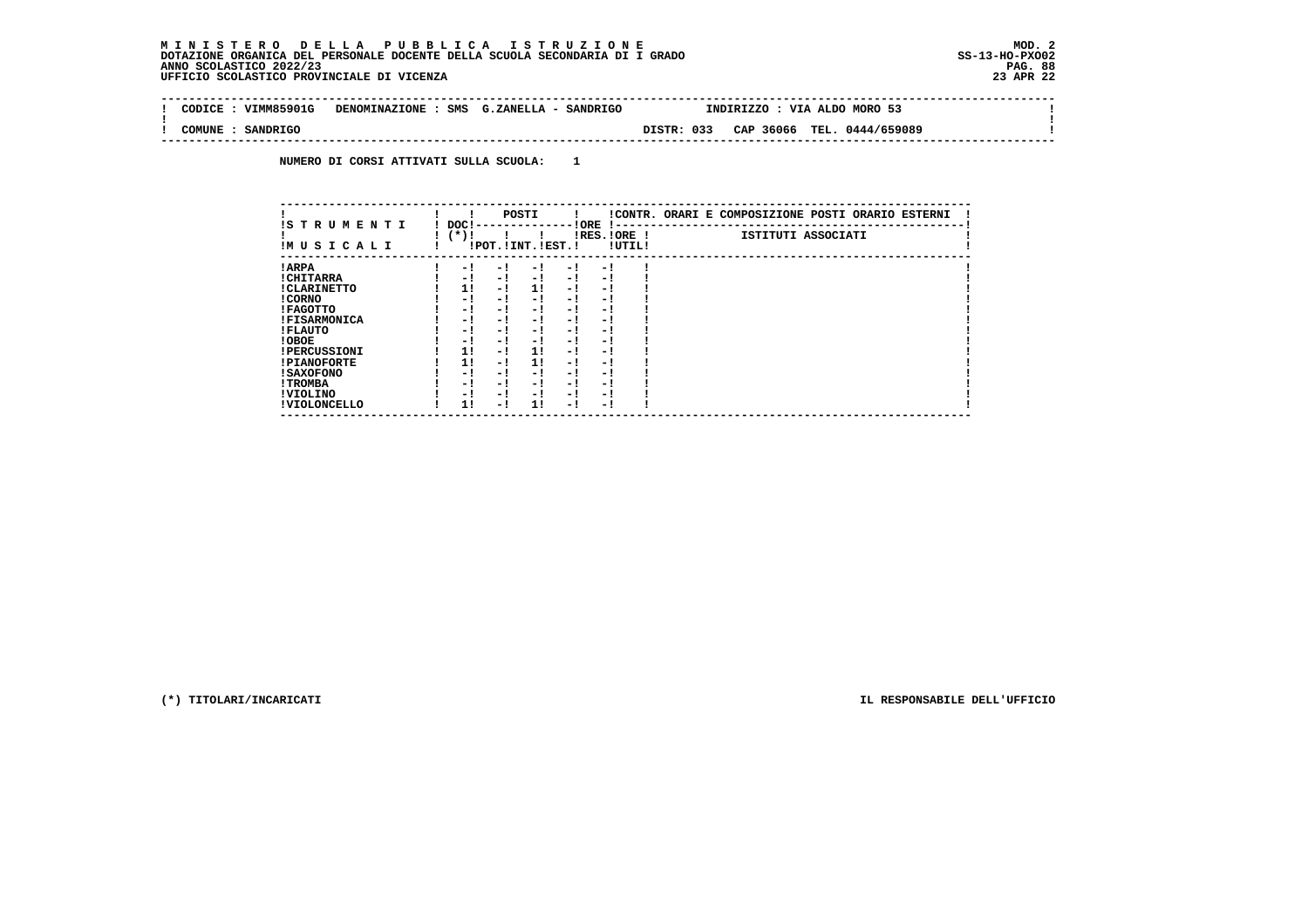$\sim$ 

 $\mathbf{I}$ 

 **-------------------------------------------------------------------------------------------------------------------------------- ! CODICE : VIMM85901G DENOMINAZIONE : SMS G.ZANELLA - SANDRIGO INDIRIZZO : VIA ALDO MORO 53 ! ! ! ! COMUNE : SANDRIGO DISTR: 033 CAP 36066 TEL. 0444/659089 ! --------------------------------------------------------------------------------------------------------------------------------**

 **NUMERO DI CORSI ATTIVATI SULLA SCUOLA: 1**

| IS T R U M E N T I  | DOC! |     | POSTI                 |      | ! ORE<br>-1 - -          |        | !CONTR. ORARI E COMPOSIZIONE POSTI ORARIO ESTERNI |
|---------------------|------|-----|-----------------------|------|--------------------------|--------|---------------------------------------------------|
| IMUSICALI           | (*)! |     | !POT. ! INT. ! EST. ! |      | $IRES.IORE$ !            | !UTIL! | ISTITUTI ASSOCIATI                                |
| ! ARPA              | - 1  | - 1 | - 1                   | - 1  | - !                      |        |                                                   |
| ! CHITARRA          | - 1  | - ! | $-1$                  | $-1$ | - 1                      |        |                                                   |
| ! CLARINETTO        | 1!   | - 1 | 11                    | - 1  | - 1                      |        |                                                   |
| ! CORNO             | - 1  | - ! | - 1                   | - !  | - 1                      |        |                                                   |
| ! FAGOTTO           | - 1  | - ! | - 1                   | - 1  | - 1                      |        |                                                   |
| <b>!FISARMONICA</b> | - 1  | - ! | - 1                   | - 1  | - 1                      |        |                                                   |
| ! FLAUTO            | - 1  | - ! | - 1                   | - !  | - 1                      |        |                                                   |
| ! OBOE              | - 1  | - ! | - 1                   | $-1$ | - 1                      |        |                                                   |
| <b>!PERCUSSIONI</b> | 1!   | - ! | 11                    | - 1  | - 1                      |        |                                                   |
| <b>!PIANOFORTE</b>  | 1!   | - 1 | 1!                    | - 1  | - 1                      |        |                                                   |
| ! SAXOFONO          | - 1  | - 1 | - !                   | - 1  | $\overline{\phantom{0}}$ |        |                                                   |
| ! TROMBA            | - 1  | - ! | - 1                   | - 1  | - 1                      |        |                                                   |
| ! VIOLINO           | - 1  | - ! | - 1                   | $-1$ | - 1                      |        |                                                   |
| ! VIOLONCELLO       | 11   | - 1 | 11                    | - 1  | - 1                      |        |                                                   |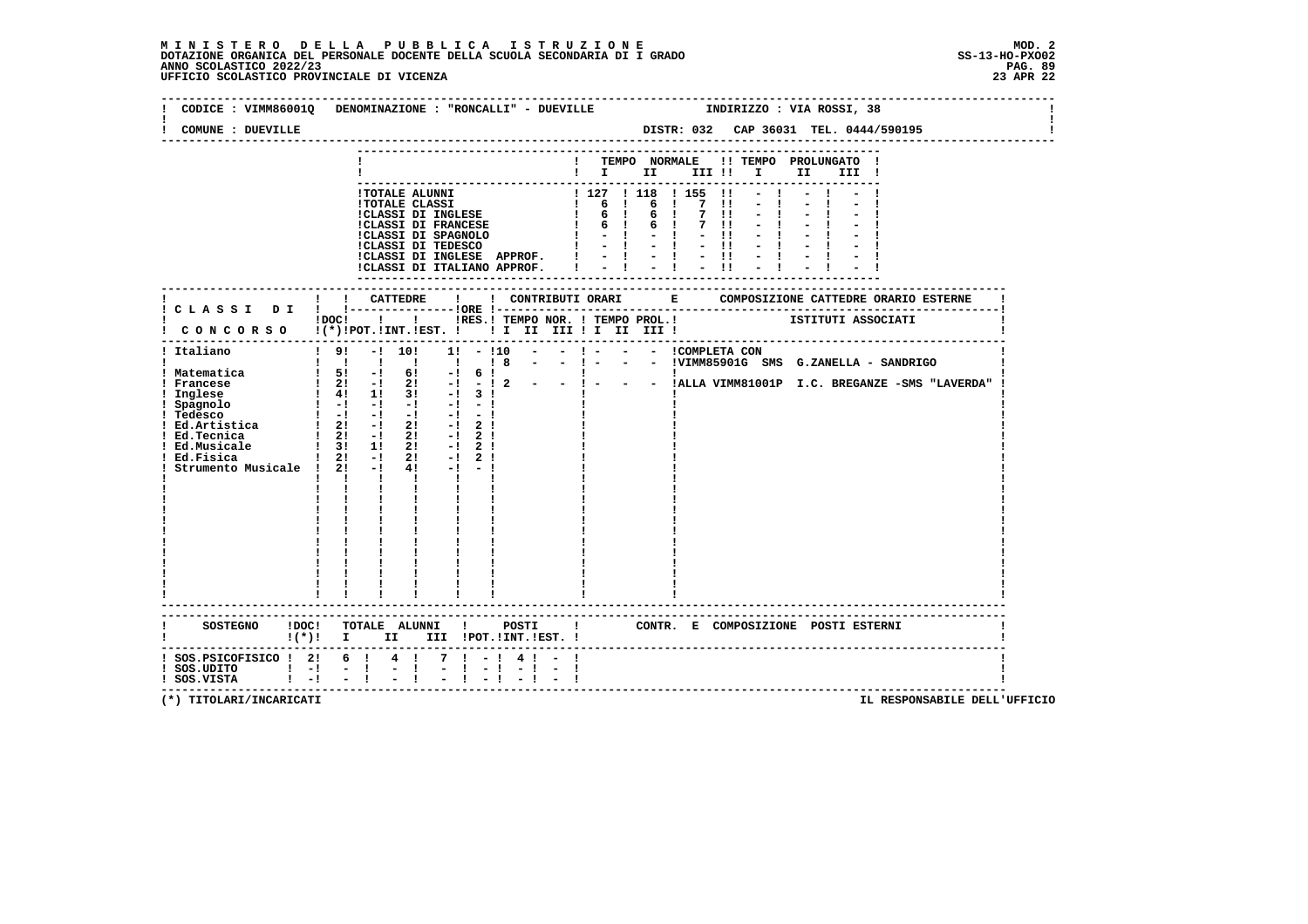# **M I N I S T E R O D E L L A P U B B L I C A I S T R U Z I O N E MOD. 2**DOTAZIONE ORGANICA DEL PERSONALE DOCENTE DELLA SCUOLA SECONDARIA DI I GRADO **SCOLASTICO SCOLASTICO 2022/23 PAG-**<br>PAG ANNO SCOLASTICO 2022/23 PAG. 89<br>23 APR 22 UFFICIO SCOLASTICO PROVINCIALE DI VICENZA

| COMUNE : DUEVILLE                                                                                                                                 | CODICE : VIMM86001Q DENOMINAZIONE : "RONCALLI" - DUEVILLE<br>INDIRIZZO : VIA ROSSI, 38<br>DISTR: 032 CAP 36031 TEL. 0444/590195                                                                                                                                                                                                                                                                                                                                                                                                                                                                                                                                                                                                                                                                                                              |
|---------------------------------------------------------------------------------------------------------------------------------------------------|----------------------------------------------------------------------------------------------------------------------------------------------------------------------------------------------------------------------------------------------------------------------------------------------------------------------------------------------------------------------------------------------------------------------------------------------------------------------------------------------------------------------------------------------------------------------------------------------------------------------------------------------------------------------------------------------------------------------------------------------------------------------------------------------------------------------------------------------|
|                                                                                                                                                   |                                                                                                                                                                                                                                                                                                                                                                                                                                                                                                                                                                                                                                                                                                                                                                                                                                              |
|                                                                                                                                                   | ! TEMPO NORMALE !! TEMPO PROLUNGATO !<br>$\blacksquare$                                                                                                                                                                                                                                                                                                                                                                                                                                                                                                                                                                                                                                                                                                                                                                                      |
|                                                                                                                                                   |                                                                                                                                                                                                                                                                                                                                                                                                                                                                                                                                                                                                                                                                                                                                                                                                                                              |
|                                                                                                                                                   | 1 TOTALE ALUNNI<br>1 TOTALE CLASSI<br>1 127   118   155    -   -   -   -  <br>1 127   118   155    -   -   -   -  <br>1 6   6   7    -   -   -   -  <br>1 6   6   7    -   -   -   -  <br>1 CLASSI DI FRANCESE<br>1 -   -   -   -   -   -  <br>ICLASSI DI INGLESE APPROF. $1 - 1 - 1 - 11 - 1$<br>ICLASSI DI ITALIANO APPROF. $1 - 1 - 1 - 11 - 1$                                                                                                                                                                                                                                                                                                                                                                                                                                                                                           |
|                                                                                                                                                   |                                                                                                                                                                                                                                                                                                                                                                                                                                                                                                                                                                                                                                                                                                                                                                                                                                              |
|                                                                                                                                                   | IDOC! ! IRES.I TEMPO NOR. I TEMPO PROL. ! [STITUTI ASSOCIATI<br>! CONCORSO !(*)!POT.!INT.!EST. ! ! I II III ! II III !                                                                                                                                                                                                                                                                                                                                                                                                                                                                                                                                                                                                                                                                                                                       |
| ! Italiano<br>! Matematica<br>! Francese<br>! Inglese<br>! Spagnolo<br>! Ed.Tecnica<br>! Ed.Musicale<br>! Ed.Fisica<br>Strumento Musicale ! 2! -! | ! 9! -! 10! 1! -!10 - - ! - - - ICOMPLETA CON<br>!!!!!!!!!!!! 8 - - ! - - - IVIMM85901G SMS G.ZANELLA - SANDRIGO<br>1 51 -1 61 -1 6 1<br>1 21 -1 21 -1 -1 2 - - 1 - - - IALLA VIMM81001P I.C. BREGANZE -SMS "LAVERDA"<br>1 41 1 1 31 -1 3 1<br>1 -1 -1 -1 -1 -1 -1 1<br>! Tedesco<br>! Ed.Artistica $\begin{array}{ccccccc} &   & -1 & -1 & -1 & -1 & -1 \\ \text{1} & \text{Ed.Artistica} &   & 2! & -1 & 2! & -1 & 2 \end{array}$<br>$\frac{1}{2!}$ - $\frac{1}{2!}$<br>$-!$ 2!<br>$\begin{array}{ccccccccc}\n & 1 & 3! & 1! & 2! & -1 & 2! \\  & 1 & 2! & -1 & 2! & -1 & 2!\n\end{array}$<br>$4! -1 -1$<br>$\mathbf{I}$ $\mathbf{I}$<br>$\mathbf{I}$ and $\mathbf{I}$<br>$\mathbf{I}$ and $\mathbf{I}$ and $\mathbf{I}$<br>$\mathbf{I}$ and $\mathbf{I}$<br>$\frac{1}{2}$ , $\frac{1}{2}$ , $\frac{1}{2}$ , $\frac{1}{2}$ , $\frac{1}{2}$ |
|                                                                                                                                                   | -----------------------------                                                                                                                                                                                                                                                                                                                                                                                                                                                                                                                                                                                                                                                                                                                                                                                                                |
|                                                                                                                                                   | ! SOS.PSICOFISICO ! 2! 6 ! 4 ! 7 ! - ! 4 ! - !<br>$\frac{1}{1}$ SOS.UDITO $\frac{1}{1}$ - $\frac{1}{1}$ - $\frac{1}{1}$ - $\frac{1}{1}$ - $\frac{1}{1}$ - $\frac{1}{1}$ - $\frac{1}{1}$ - $\frac{1}{1}$ - $\frac{1}{1}$ - $\frac{1}{1}$ - $\frac{1}{1}$ - $\frac{1}{1}$                                                                                                                                                                                                                                                                                                                                                                                                                                                                                                                                                                      |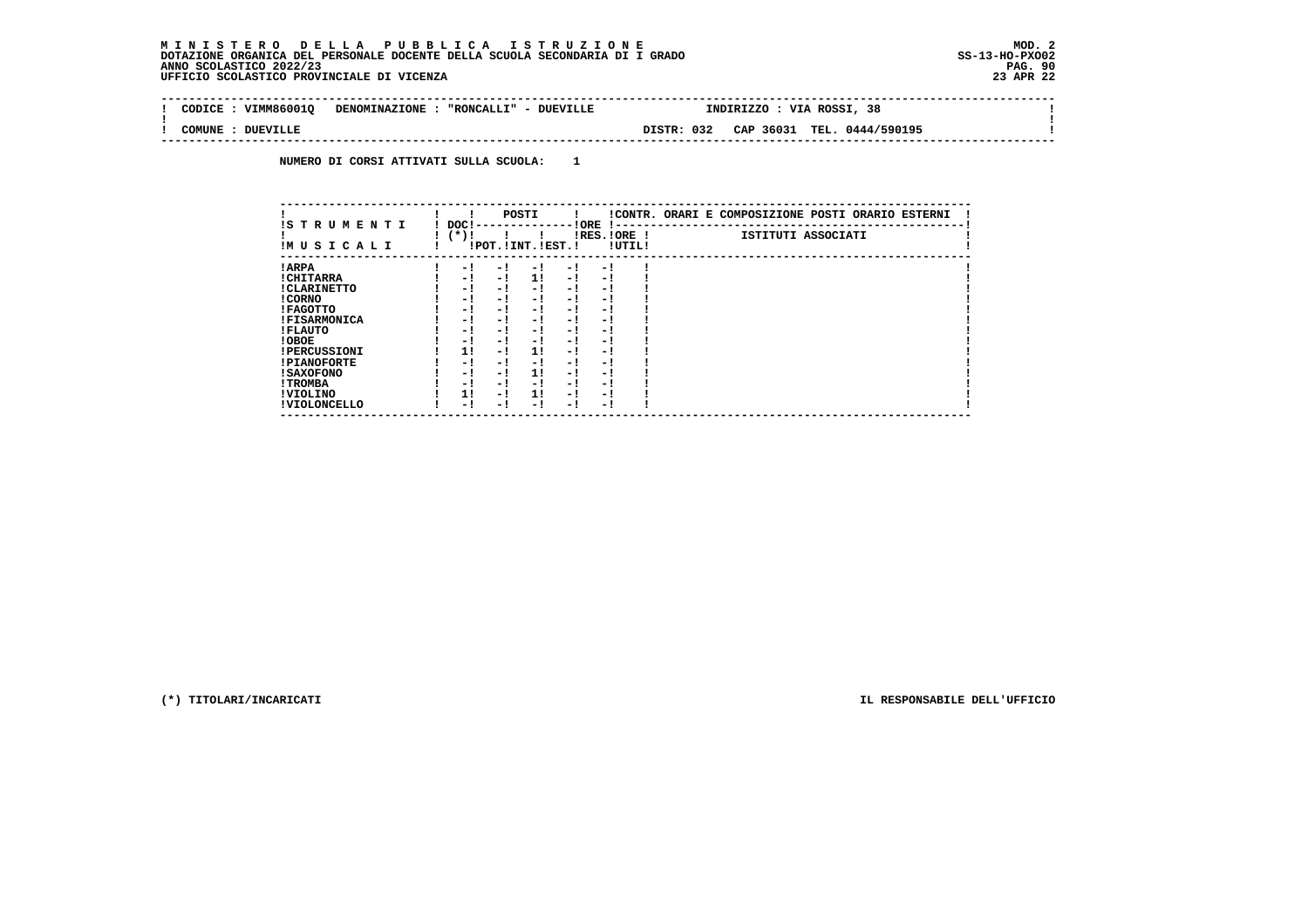$\mathbf{I}$ 

 **--------------------------------------------------------------------------------------------------------------------------------** $\sim$  **! CODICE : VIMM86001Q DENOMINAZIONE : "RONCALLI" - DUEVILLE INDIRIZZO : VIA ROSSI, 38 ! ! ! ! COMUNE : DUEVILLE DISTR: 032 CAP 36031 TEL. 0444/590195 ! --------------------------------------------------------------------------------------------------------------------------------**

 **NUMERO DI CORSI ATTIVATI SULLA SCUOLA: 1**

| IS TRUMENTI         | DOC! |     | POSTI                 |      | ! ORE                    |        | !CONTR. ORARI E COMPOSIZIONE POSTI ORARIO ESTERNI |
|---------------------|------|-----|-----------------------|------|--------------------------|--------|---------------------------------------------------|
| IMUSICALI           | (*)! |     | !POT. ! INT. ! EST. ! |      | -1 - -<br>$IRES.IORE$ !  | !UTIL! | ISTITUTI ASSOCIATI                                |
| ! ARPA              | - 1  | - 1 | - 1                   | - 1  | - !                      |        |                                                   |
| ! CHITARRA          | - 1  | - ! | 11                    | - !  | - 1                      |        |                                                   |
| ! CLARINETTO        | - 1  | - 1 | - 1                   | - 1  | - 1                      |        |                                                   |
| ! CORNO             | - 1  | - ! | - 1                   | - 1  | - 1                      |        |                                                   |
| ! FAGOTTO           | - 1  | - ! | - 1                   | - 1  | - 1                      |        |                                                   |
| <b>!FISARMONICA</b> | - 1  | - ! | - 1                   | - 1  | - 1                      |        |                                                   |
| ! FLAUTO            | - 1  | - ! | - 1                   | - !  | - 1                      |        |                                                   |
| ! OBOE              | - 1  | - ! | - 1                   | $-1$ | - 1                      |        |                                                   |
| <b>!PERCUSSIONI</b> | 1!   | - 1 | 11                    | - 1  | - 1                      |        |                                                   |
| <b>!PIANOFORTE</b>  | - 1  | - 1 | - 1                   | - 1  | - 1                      |        |                                                   |
| ! SAXOFONO          | - 1  | - 1 | 11                    | - 1  | $\overline{\phantom{0}}$ |        |                                                   |
| ! TROMBA            | - 1  | - ! | - !                   | - 1  | - 1                      |        |                                                   |
| ! VIOLINO           | 1!   | - 1 | 11                    | $-1$ | - 1                      |        |                                                   |
| ! VIOLONCELLO       | - 1  | - 1 | - 1                   | - !  | - 1                      |        |                                                   |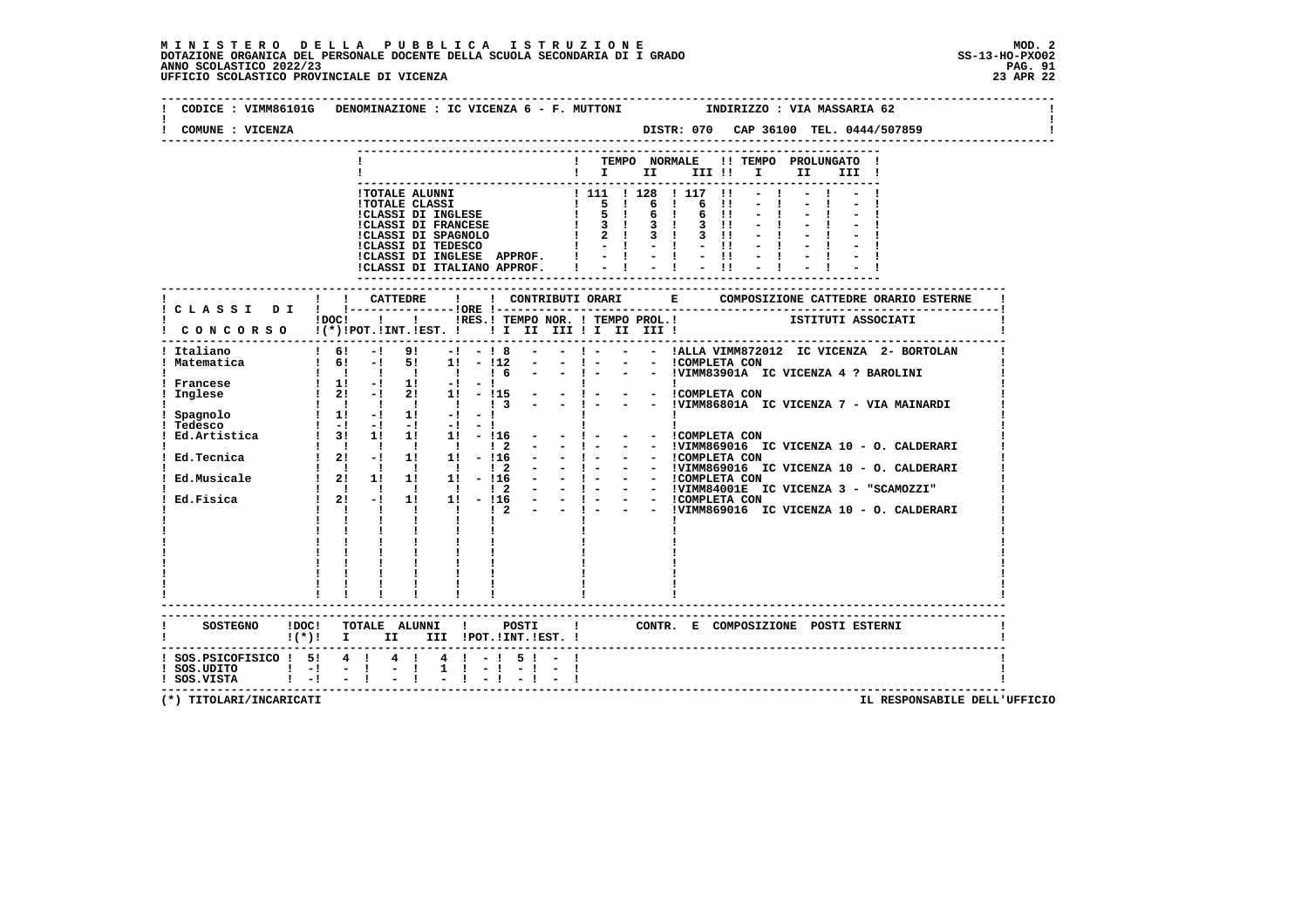| COMUNE : VICENZA               | CODICE : VIMM86101G DENOMINAZIONE : IC VICENZA 6 - F. MUTTONI<br>INDIRIZZO : VIA MASSARIA 62<br>DISTR: 070 CAP 36100 TEL. 0444/507859                                                                                                                                                                    |
|--------------------------------|----------------------------------------------------------------------------------------------------------------------------------------------------------------------------------------------------------------------------------------------------------------------------------------------------------|
|                                |                                                                                                                                                                                                                                                                                                          |
|                                | ! TEMPO NORMALE<br>!! TEMPO PROLUNGATO !                                                                                                                                                                                                                                                                 |
|                                | $\blacksquare$ $\blacksquare$ $\blacksquare$ $\blacksquare$ $\blacksquare$ $\blacksquare$ $\blacksquare$<br>II III !                                                                                                                                                                                     |
|                                |                                                                                                                                                                                                                                                                                                          |
|                                | 1 TOTALE ALUNNI<br>1 TOTALE CLASSI<br>1 TOTALE CLASSI 1 111 1 128 1 117 11<br>1 CLASSI DI INGLESE 1 5 1 6 1 6 11<br>1 CLASSI DI FRANCESE 1 3 1 3 1 3 11<br>1 CLASSI DI SPAGNOLO 1 2 1 3 1 3 11<br>1 CLASSI DI TEDESCO 1 - 1 - 1 - 11<br>1 -                                                              |
|                                |                                                                                                                                                                                                                                                                                                          |
|                                |                                                                                                                                                                                                                                                                                                          |
|                                |                                                                                                                                                                                                                                                                                                          |
|                                |                                                                                                                                                                                                                                                                                                          |
|                                | !CLASSI DI INGLESE APPROF.                                                                                                                                                                                                                                                                               |
|                                | $= 1 - 1 - 1$<br>!CLASSI DI ITALIANO APPROF.                                                                                                                                                                                                                                                             |
|                                |                                                                                                                                                                                                                                                                                                          |
|                                | --------------------------------------                                                                                                                                                                                                                                                                   |
|                                |                                                                                                                                                                                                                                                                                                          |
|                                | !DOC! ! ! !RES.! TEMPO NOR. ! TEMPO PROL.! ISTITUTI ASSOCIATI                                                                                                                                                                                                                                            |
|                                | CONCORSO !(*)!POT.!INT.!EST. !! I II III !I II III !                                                                                                                                                                                                                                                     |
|                                |                                                                                                                                                                                                                                                                                                          |
| Italiano                       | - !- - - !ALLA VIMM872012 IC VICENZA 2- BORTOLAN<br>$1 \t6! - 1 \t9!$<br>$-1 - 18$<br>$\sim$ $\sim$                                                                                                                                                                                                      |
| ! Matematica                   | - - ICOMPLETA CON<br>$\frac{1}{16!}$ - $\frac{1}{16!}$ - $\frac{1}{16!}$ - $\frac{1}{16!}$ - $\frac{1}{16!}$<br>$-1$ $-$<br>$\sim 100$<br>- - !VIMM83901A IC VICENZA 4 ? BAROLINI<br>$  1 -$<br>$\begin{array}{ccccccccccccccccc}\n1 & 1 & 1 & 1 & 1 & 1\n\end{array}$<br>$\frac{1}{6}$                  |
| ! Francese                     | the control of the control of the                                                                                                                                                                                                                                                                        |
| Inglese                        | $\begin{array}{cccc} & 1 & 1 & -1 & 11 & -1 & -1 \\ & 1 & 21 & -1 & 21 & 11 & -115 \end{array}$<br>1! - 115<br>$-1 -$                                                                                                                                                                                    |
|                                | $\mathbf{1}$ $\mathbf{1}$ $\mathbf{1}$ $\mathbf{1}$ $\mathbf{1}$<br>- - !VIMM86801A IC VICENZA 7 - VIA MAINARDI<br>$\begin{array}{ccc} & 1 & 1 & 3 \end{array}$                                                                                                                                          |
| Spagnolo                       | $1 \t1! -1 \t1! -1$<br>$\frac{1}{1} \left( \frac{1}{1} \right) \left( \frac{1}{1} \right) \left( \frac{1}{1} \right) \left( \frac{1}{1} \right) \left( \frac{1}{1} \right)$<br><b>Contract Contract Contract</b>                                                                                         |
| Tedesco                        | $\mathbf{1} \quad \mathbf{-1} \qquad \mathbf{-1} \qquad \mathbf{-1} \qquad \mathbf{-1} \qquad \mathbf{-1} \qquad \mathbf{-1} \qquad \mathbf{-1} \qquad \mathbf{-1} \qquad \qquad$                                                                                                                        |
|                                | Ed.Artistica 1 3! 1! 1! 1! - 116 - - ! - - - ICOMPLETA CON<br>1 1 1 1 1 1 1 2                                                                                                                                                                                                                            |
| Ed.Tecnica                     | $1 \t21 \t-1 \t11 \t11 \t-116$<br>$\sim 100$                                                                                                                                                                                                                                                             |
|                                | -   - - -  UIMM869016 IC VICENZA 10 - O. CALDERARI<br>-   - - -  UIMM869016 IC VICENZA 10 - O. CALDERARI<br>-   - - -  UIMM869016 IC VICENZA 10 - O. CALDERARI<br>-   - - -  UIMM84001E IC VICENZA 3 - "SCAMOZZI"<br>-   - - -  COMPLETA C                                                               |
| Ed.Musicale                    |                                                                                                                                                                                                                                                                                                          |
|                                |                                                                                                                                                                                                                                                                                                          |
| Ed.Fisica                      | $\begin{array}{cccccccc} 1 & 1 & 1 & 1 & 1 & 1 & 1 & 2 \\ 1 & 2 & 1 & 1 & 1 & 1 & -116 \\ 1 & 2 & 1 & 1 & 1 & 1 & 1 & 12 \\ 1 & 2 & 1 & 1 & 1 & 1 & 1 & 12 \\ 1 & 1 & 1 & 1 & 1 & 1 & 16 \\ 1 & 1 & 1 & 1 & 1 & 1 & 1 & 1 \\ \end{array}$<br>$1 \t2! -1$<br>- - !VIMM869016 IC VICENZA 10 - O. CALDERARI |
|                                | $\mathbf{I}$ and $\mathbf{I}$ and $\mathbf{I}$<br>$\mathbf{I}$ and $\mathbf{I}$ and $\mathbf{I}$<br>$\mathbf{I}$                                                                                                                                                                                         |
|                                |                                                                                                                                                                                                                                                                                                          |
|                                | $\frac{1}{1}$ $\frac{1}{1}$ $\frac{1}{1}$                                                                                                                                                                                                                                                                |
|                                |                                                                                                                                                                                                                                                                                                          |
|                                |                                                                                                                                                                                                                                                                                                          |
|                                |                                                                                                                                                                                                                                                                                                          |
|                                |                                                                                                                                                                                                                                                                                                          |
|                                |                                                                                                                                                                                                                                                                                                          |
|                                |                                                                                                                                                                                                                                                                                                          |
| SOSTEGNO ! DOC !               | TOTALE ALUNNI ! POSTI !<br>CONTR. E COMPOSIZIONE POSTI_ESTERNI                                                                                                                                                                                                                                           |
|                                | !(*)! I II III !POT.!INT.!EST.!                                                                                                                                                                                                                                                                          |
| $!$ SOS.PSICOFISICO $!$ 5! 4 ! | $4! - 15! - 1$<br>$4 \quad 1$                                                                                                                                                                                                                                                                            |
| $!$ SOS.UDITO $!$ -!           | $1 \t1 - 1$<br>$-$ - $\pm$<br>$-1$                                                                                                                                                                                                                                                                       |
| $!$ SOS.VISTA $!$ $-!$ $-$ !   |                                                                                                                                                                                                                                                                                                          |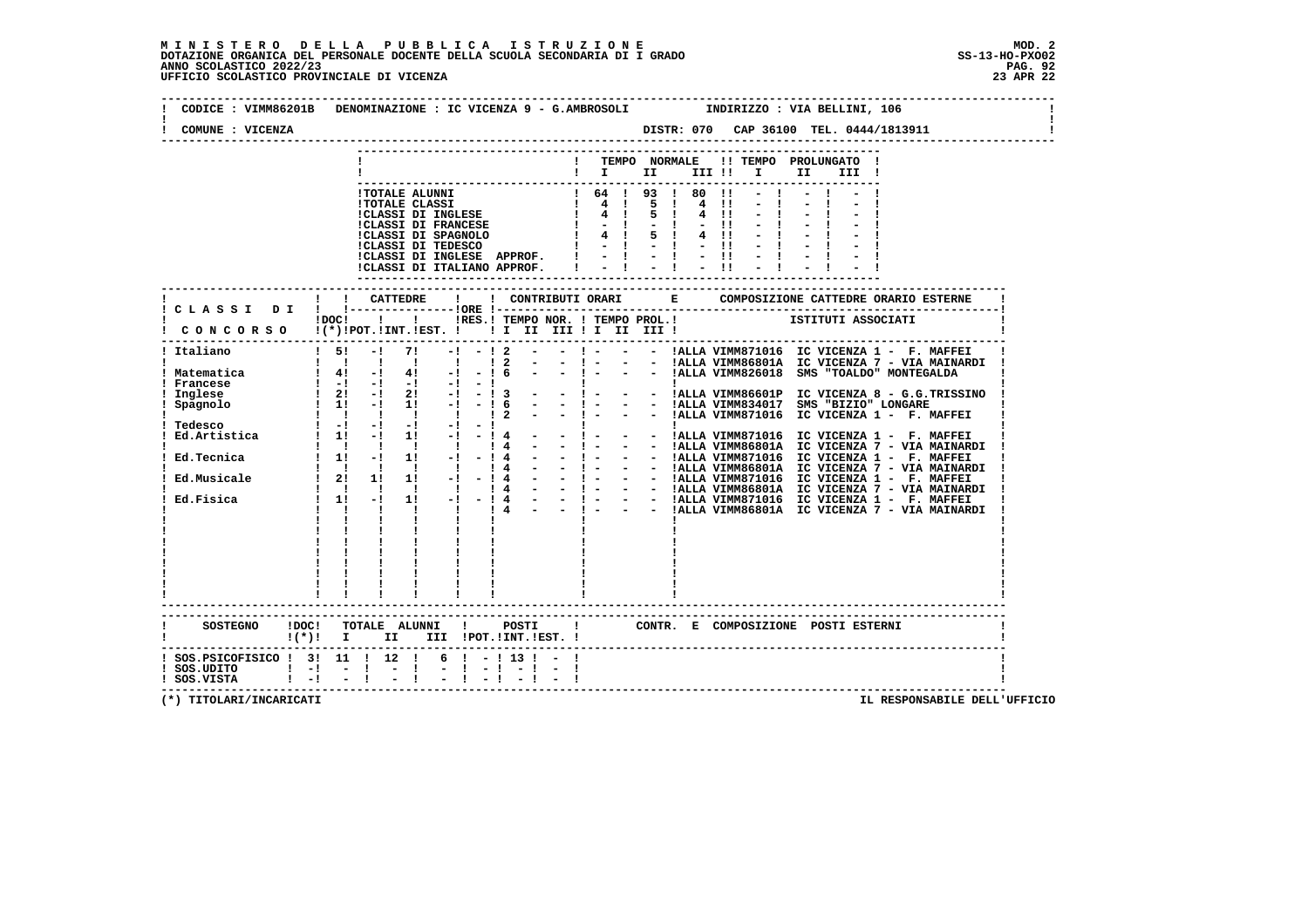| COMUNE : VICENZA                                               |                           |  |                                                                                                                                                                                                                                                                                                                                                                                                                                                                            |  |                                         |  |  |                                                             |     |       |  |                                      |  |
|----------------------------------------------------------------|---------------------------|--|----------------------------------------------------------------------------------------------------------------------------------------------------------------------------------------------------------------------------------------------------------------------------------------------------------------------------------------------------------------------------------------------------------------------------------------------------------------------------|--|-----------------------------------------|--|--|-------------------------------------------------------------|-----|-------|--|--------------------------------------|--|
|                                                                |                           |  |                                                                                                                                                                                                                                                                                                                                                                                                                                                                            |  |                                         |  |  |                                                             |     |       |  |                                      |  |
|                                                                |                           |  |                                                                                                                                                                                                                                                                                                                                                                                                                                                                            |  | $\mathbf{I}$ is the set of $\mathbf{I}$ |  |  | ! TEMPO NORMALE !! TEMPO PROLUNGATO !<br>III !! I           | II. | III ! |  |                                      |  |
|                                                                |                           |  |                                                                                                                                                                                                                                                                                                                                                                                                                                                                            |  |                                         |  |  |                                                             |     |       |  |                                      |  |
|                                                                |                           |  |                                                                                                                                                                                                                                                                                                                                                                                                                                                                            |  |                                         |  |  |                                                             |     |       |  |                                      |  |
|                                                                |                           |  |                                                                                                                                                                                                                                                                                                                                                                                                                                                                            |  |                                         |  |  |                                                             |     |       |  |                                      |  |
|                                                                |                           |  |                                                                                                                                                                                                                                                                                                                                                                                                                                                                            |  |                                         |  |  |                                                             |     |       |  |                                      |  |
|                                                                |                           |  |                                                                                                                                                                                                                                                                                                                                                                                                                                                                            |  |                                         |  |  |                                                             |     |       |  |                                      |  |
|                                                                |                           |  |                                                                                                                                                                                                                                                                                                                                                                                                                                                                            |  |                                         |  |  |                                                             |     |       |  |                                      |  |
|                                                                |                           |  |                                                                                                                                                                                                                                                                                                                                                                                                                                                                            |  |                                         |  |  |                                                             |     |       |  |                                      |  |
|                                                                |                           |  |                                                                                                                                                                                                                                                                                                                                                                                                                                                                            |  |                                         |  |  |                                                             |     |       |  |                                      |  |
|                                                                | ! ! CATTEDRE              |  | $\mathbf{I}$                                                                                                                                                                                                                                                                                                                                                                                                                                                               |  |                                         |  |  | ! CONTRIBUTI ORARI E COMPOSIZIONE CATTE                     |     |       |  | COMPOSIZIONE CATTEDRE ORARIO ESTERNE |  |
| ! CLASSI DI ! !---------------!ORE !--                         |                           |  |                                                                                                                                                                                                                                                                                                                                                                                                                                                                            |  |                                         |  |  | IDOCI ! IRES.I TEMPO NOR. ! TEMPO PROL.! ISTITUTI ASSOCIATI |     |       |  |                                      |  |
| CONCORSO !(*)!POT.!INT.!EST. ! ! I II III ! II III !           |                           |  |                                                                                                                                                                                                                                                                                                                                                                                                                                                                            |  |                                         |  |  |                                                             |     |       |  |                                      |  |
|                                                                |                           |  |                                                                                                                                                                                                                                                                                                                                                                                                                                                                            |  |                                         |  |  |                                                             |     |       |  |                                      |  |
|                                                                |                           |  |                                                                                                                                                                                                                                                                                                                                                                                                                                                                            |  |                                         |  |  |                                                             |     |       |  |                                      |  |
|                                                                |                           |  |                                                                                                                                                                                                                                                                                                                                                                                                                                                                            |  |                                         |  |  |                                                             |     |       |  |                                      |  |
|                                                                |                           |  |                                                                                                                                                                                                                                                                                                                                                                                                                                                                            |  |                                         |  |  |                                                             |     |       |  |                                      |  |
|                                                                |                           |  |                                                                                                                                                                                                                                                                                                                                                                                                                                                                            |  |                                         |  |  |                                                             |     |       |  |                                      |  |
|                                                                |                           |  |                                                                                                                                                                                                                                                                                                                                                                                                                                                                            |  |                                         |  |  |                                                             |     |       |  |                                      |  |
|                                                                |                           |  |                                                                                                                                                                                                                                                                                                                                                                                                                                                                            |  |                                         |  |  |                                                             |     |       |  |                                      |  |
|                                                                |                           |  |                                                                                                                                                                                                                                                                                                                                                                                                                                                                            |  |                                         |  |  |                                                             |     |       |  |                                      |  |
|                                                                |                           |  |                                                                                                                                                                                                                                                                                                                                                                                                                                                                            |  |                                         |  |  |                                                             |     |       |  |                                      |  |
|                                                                |                           |  |                                                                                                                                                                                                                                                                                                                                                                                                                                                                            |  |                                         |  |  |                                                             |     |       |  |                                      |  |
|                                                                |                           |  |                                                                                                                                                                                                                                                                                                                                                                                                                                                                            |  |                                         |  |  |                                                             |     |       |  |                                      |  |
|                                                                |                           |  |                                                                                                                                                                                                                                                                                                                                                                                                                                                                            |  |                                         |  |  |                                                             |     |       |  |                                      |  |
|                                                                |                           |  |                                                                                                                                                                                                                                                                                                                                                                                                                                                                            |  |                                         |  |  |                                                             |     |       |  |                                      |  |
|                                                                |                           |  |                                                                                                                                                                                                                                                                                                                                                                                                                                                                            |  |                                         |  |  |                                                             |     |       |  |                                      |  |
|                                                                |                           |  |                                                                                                                                                                                                                                                                                                                                                                                                                                                                            |  |                                         |  |  |                                                             |     |       |  |                                      |  |
|                                                                |                           |  |                                                                                                                                                                                                                                                                                                                                                                                                                                                                            |  |                                         |  |  |                                                             |     |       |  |                                      |  |
|                                                                |                           |  |                                                                                                                                                                                                                                                                                                                                                                                                                                                                            |  |                                         |  |  |                                                             |     |       |  |                                      |  |
|                                                                |                           |  |                                                                                                                                                                                                                                                                                                                                                                                                                                                                            |  |                                         |  |  |                                                             |     |       |  |                                      |  |
|                                                                |                           |  |                                                                                                                                                                                                                                                                                                                                                                                                                                                                            |  |                                         |  |  |                                                             |     |       |  |                                      |  |
|                                                                | ------------------------- |  |                                                                                                                                                                                                                                                                                                                                                                                                                                                                            |  |                                         |  |  |                                                             |     |       |  |                                      |  |
|                                                                |                           |  |                                                                                                                                                                                                                                                                                                                                                                                                                                                                            |  |                                         |  |  |                                                             |     |       |  |                                      |  |
| <b>SOSTEGNO</b><br>!DOC!<br>$!(*)!$ I II III !POT.!INT.!EST. ! |                           |  |                                                                                                                                                                                                                                                                                                                                                                                                                                                                            |  |                                         |  |  | TOTALE ALUNNI ! POSTI ! CONTR. E COMPOSIZIONE POSTI ESTERNI |     |       |  |                                      |  |
| ! SOS.PSICOFISICO ! 3! 11 ! 12 ! 6 ! -! 13 ! - !               |                           |  |                                                                                                                                                                                                                                                                                                                                                                                                                                                                            |  |                                         |  |  |                                                             |     |       |  |                                      |  |
|                                                                |                           |  | $\frac{1}{2} \left( \frac{1}{2} \right) \left( \frac{1}{2} \right) \left( \frac{1}{2} \right) \left( \frac{1}{2} \right) \left( \frac{1}{2} \right) \left( \frac{1}{2} \right) \left( \frac{1}{2} \right) \left( \frac{1}{2} \right) \left( \frac{1}{2} \right) \left( \frac{1}{2} \right) \left( \frac{1}{2} \right) \left( \frac{1}{2} \right) \left( \frac{1}{2} \right) \left( \frac{1}{2} \right) \left( \frac{1}{2} \right) \left( \frac{1}{2} \right) \left( \frac$ |  |                                         |  |  |                                                             |     |       |  |                                      |  |
|                                                                |                           |  |                                                                                                                                                                                                                                                                                                                                                                                                                                                                            |  |                                         |  |  |                                                             |     |       |  |                                      |  |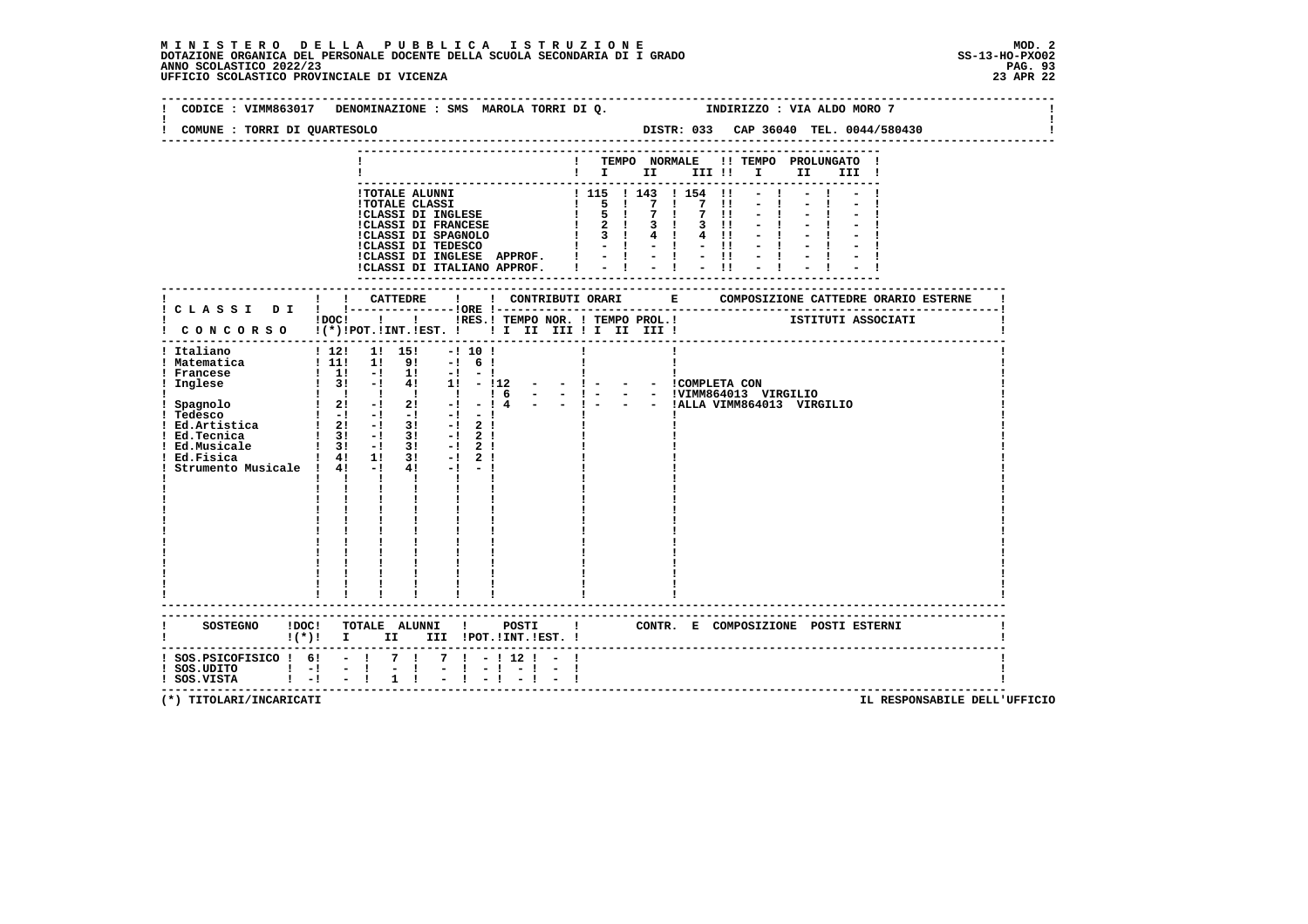# **M I N I S T E R O D E L L A P U B B L I C A I S T R U Z I O N E MOD. 2**DOTAZIONE ORGANICA DEL PERSONALE DOCENTE DELLA SCUOLA SECONDARIA DI I GRADO **SCOLASTICO SCOLASTICO 2022/23 PAG-**<br>PAG ANNO SCOLASTICO 2022/23 PAG. 93<br>23 APR 22 UFFICIO SCOLASTICO PROVINCIALE DI VICENZA

|                                                                                      | CODICE: VIMM863017 DENOMINAZIONE: SMS MAROLA TORRI DI Q.                                                                                                                                                                                                                                                                                                                                                                                                                                                    | INDIRIZZO : VIA ALDO MORO 7                                                                                                                                   |
|--------------------------------------------------------------------------------------|-------------------------------------------------------------------------------------------------------------------------------------------------------------------------------------------------------------------------------------------------------------------------------------------------------------------------------------------------------------------------------------------------------------------------------------------------------------------------------------------------------------|---------------------------------------------------------------------------------------------------------------------------------------------------------------|
| COMUNE : TORRI DI QUARTESOLO                                                         |                                                                                                                                                                                                                                                                                                                                                                                                                                                                                                             | DISTR: 033 CAP 36040 TEL. 0044/580430<br>--------------------------                                                                                           |
|                                                                                      |                                                                                                                                                                                                                                                                                                                                                                                                                                                                                                             | ! TEMPO NORMALE !! TEMPO PROLUNGATO !<br>$\blacksquare$ $\blacksquare$ $\blacksquare$ $\blacksquare$ $\blacksquare$ $\blacksquare$ $\blacksquare$<br>II III ! |
|                                                                                      | 1 TOTALE ALUNNI<br>1 TOTALE CLASSI<br>1 TOTALE CLASSI<br>1 TOTALE CLASSI<br>1 TOTALE CLASSI<br>1 TOTALE CLASSI<br>1 TOTALE CLASSI<br>1 TOTALE CLASSI<br>1 TOTALE CLASSI<br>1 TOTALE CLASSI<br>1 TOTALE CLASSI<br>1 TOTALE 1 2 1 4 1 4 1<br>1 1 1 1 1 1<br>!CLASSI DI INGLESE APPROF. !<br>!CLASSI DI ITALIANO APPROF.                                                                                                                                                                                       | $7 \quad 11 \quad -1$<br>$3 \t11 - 1$<br>$4$ $11$ $ 1$<br>$-11 - -1$<br>$-1 - 1$<br>$-11 - -1 - -1$<br>$-1$<br>$-11$                                          |
|                                                                                      |                                                                                                                                                                                                                                                                                                                                                                                                                                                                                                             |                                                                                                                                                               |
|                                                                                      | $\frac{1}{2}$ CONCORSO $\frac{1}{2}$ [*)!POT.!INT.!EST. ! II II III III III III III                                                                                                                                                                                                                                                                                                                                                                                                                         | IDOC! ! ! IRES. I TEMPO NOR. ! TEMPO PROL. ! [STITUTI ASSOCIATI                                                                                               |
| ! Ed.Tecnica<br>! Ed.Musicale<br>! Ed.Fisica<br>Strumento Musicale ! 4! -!           | $\frac{1}{2!}$ 3! $\frac{1}{2!}$ 3! $\frac{1}{2!}$ 2!<br>$\begin{array}{cccc} 1 & 31 & -1 & 31 & -1 & 21 \\ 1 & 41 & 11 & 31 & -1 & 21 \end{array}$<br>$4! -1 -1$<br>$\mathbf{1}$ $\mathbf{1}$ $\mathbf{1}$ $\mathbf{1}$ $\mathbf{1}$<br>$\mathbf{1}$ $\mathbf{1}$ $\mathbf{1}$ $\mathbf{1}$<br>$\mathbf{1}$ $\mathbf{1}$ $\mathbf{1}$ $\mathbf{1}$<br>$\frac{1}{1}$ $\frac{1}{1}$ $\frac{1}{1}$<br>$\frac{1}{1}$<br>$\frac{1}{1}$ $\frac{1}{1}$<br>$\frac{1}{1}$ $\frac{1}{1}$<br><b>Contract Contract</b> | - - !ALLA VIMM864013 VIRGILIO                                                                                                                                 |
|                                                                                      | SOSTEGNO !DOC! TOTALE ALUNNI ! POSTI !<br>$!(*)!$ I II III !POT.!INT.!EST. !                                                                                                                                                                                                                                                                                                                                                                                                                                | CONTR. E COMPOSIZIONE POSTI ESTERNI                                                                                                                           |
| $!$ SOS.PSICOFISICO $!$ 6! - ! 7 !<br>! SOS.UDITO   - ! - !<br>! SOS.VISTA   - ! - ! | $7 \quad 1 \quad - \quad 1 \quad 12 \quad 1 \quad - \quad 1$<br>$\mathbf{I}$<br>$\sim$<br>$1 - 1 - 1 - 1$<br>$\sim$<br>1                                                                                                                                                                                                                                                                                                                                                                                    |                                                                                                                                                               |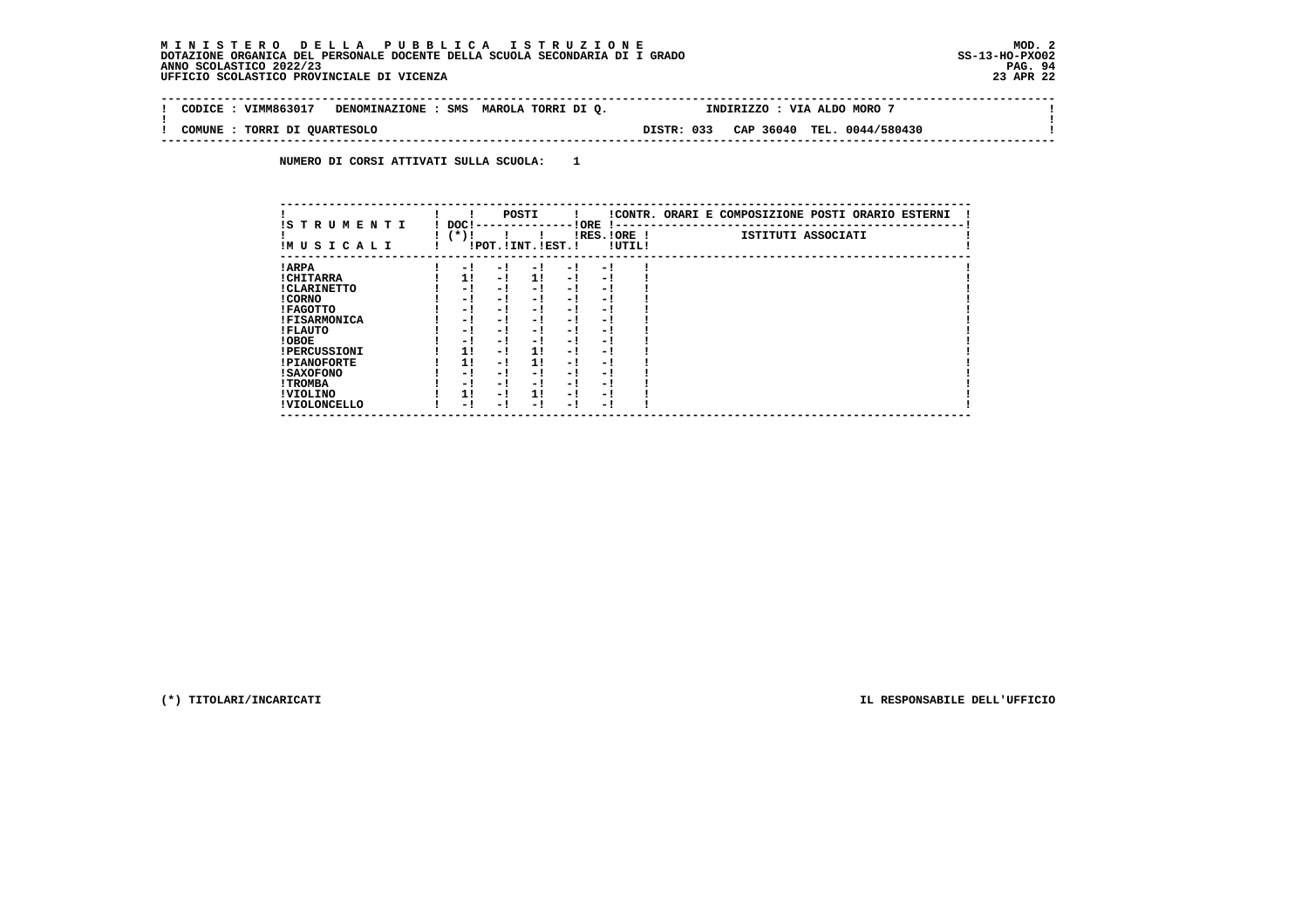$\sim$ 

 $\mathbf{I}$ 

 **-------------------------------------------------------------------------------------------------------------------------------- ! CODICE : VIMM863017 DENOMINAZIONE : SMS MAROLA TORRI DI Q. INDIRIZZO : VIA ALDO MORO 7 ! ! ! ! COMUNE : TORRI DI QUARTESOLO DISTR: 033 CAP 36040 TEL. 0044/580430 ! --------------------------------------------------------------------------------------------------------------------------------**

 **NUMERO DI CORSI ATTIVATI SULLA SCUOLA: 1**

| IS TRUMENTI         | DOC! |     | POSTI                 |      | ! ORE                    |        | !CONTR. ORARI E COMPOSIZIONE POSTI ORARIO ESTERNI |
|---------------------|------|-----|-----------------------|------|--------------------------|--------|---------------------------------------------------|
| IMUSICALI           | (*)! |     | !POT. ! INT. ! EST. ! |      | -1 - -<br>$IRES.IORE$ !  | !UTIL! | ISTITUTI ASSOCIATI                                |
| ! ARPA              | - 1  | - 1 | - 1                   | - 1  | - !                      |        |                                                   |
| ! CHITARRA          | 11   | - ! | 11                    | - !  | - 1                      |        |                                                   |
| ! CLARINETTO        | - 1  | - ! | - 1                   | - 1  | - 1                      |        |                                                   |
| ! CORNO             | - 1  | - ! | - 1                   | - 1  | - 1                      |        |                                                   |
| ! FAGOTTO           | - 1  | - ! | - 1                   | - 1  | - 1                      |        |                                                   |
| <b>!FISARMONICA</b> | - 1  | - ! | - 1                   | - 1  | - 1                      |        |                                                   |
| ! FLAUTO            | - 1  | - ! | - 1                   | - !  | - 1                      |        |                                                   |
| ! OBOE              | - 1  | - ! | - 1                   | $-1$ | - 1                      |        |                                                   |
| <b>!PERCUSSIONI</b> | 1!   | - ! | 11                    | - 1  | - 1                      |        |                                                   |
| <b>!PIANOFORTE</b>  | 1!   | - 1 | 1!                    | - 1  | - 1                      |        |                                                   |
| ! SAXOFONO          | - 1  | - ! | - !                   | - 1  | $\overline{\phantom{0}}$ |        |                                                   |
| ! TROMBA            | - 1  | - ! | - !                   | - 1  | - 1                      |        |                                                   |
| ! VIOLINO           | 1!   | - 1 | 11                    | $-1$ | - 1                      |        |                                                   |
| ! VIOLONCELLO       | - 1  | - 1 | - 1                   | - !  | - 1                      |        |                                                   |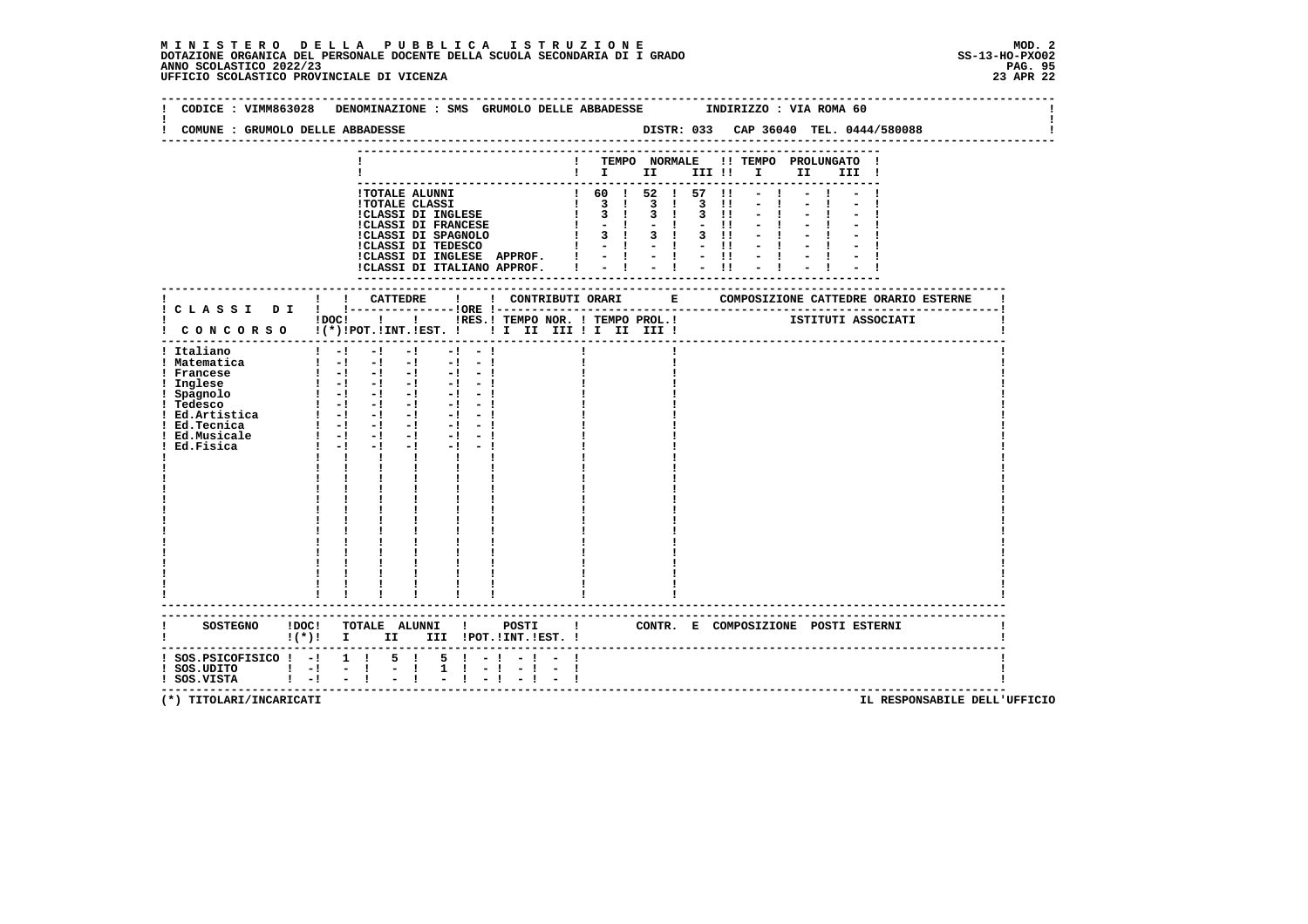# **M I N I S T E R O D E L L A P U B B L I C A I S T R U Z I O N E MOD. 2**DOTAZIONE ORGANICA DEL PERSONALE DOCENTE DELLA SCUOLA SECONDARIA DI I GRADO **SCOLASTICO SCOLASTICO 2022/23 PAG. 95**<br>23 ANNO SCOLASTICO 2022/23 PAG. 95<br>23 APR 22 UFFICIO SCOLASTICO PROVINCIALE DI VICENZA

| CODICE : VIMM863028                                                                                                            | DENOMINAZIONE : SMS GRUMOLO DELLE ABBADESSE                                                                                                                                                                                                                                                                                                                                                                                                                                                                                               |                        |                                                                                                                                                      |  | INDIRIZZO : VIA ROMA 60                                                                                                                                                                                                                                                                                                                                                                                                                                                      |  |
|--------------------------------------------------------------------------------------------------------------------------------|-------------------------------------------------------------------------------------------------------------------------------------------------------------------------------------------------------------------------------------------------------------------------------------------------------------------------------------------------------------------------------------------------------------------------------------------------------------------------------------------------------------------------------------------|------------------------|------------------------------------------------------------------------------------------------------------------------------------------------------|--|------------------------------------------------------------------------------------------------------------------------------------------------------------------------------------------------------------------------------------------------------------------------------------------------------------------------------------------------------------------------------------------------------------------------------------------------------------------------------|--|
| COMUNE : GRUMOLO DELLE ABBADESSE                                                                                               |                                                                                                                                                                                                                                                                                                                                                                                                                                                                                                                                           |                        |                                                                                                                                                      |  | DISTR: 033 CAP 36040 TEL. 0444/580088                                                                                                                                                                                                                                                                                                                                                                                                                                        |  |
|                                                                                                                                |                                                                                                                                                                                                                                                                                                                                                                                                                                                                                                                                           |                        |                                                                                                                                                      |  | ! TEMPO NORMALE !! TEMPO PROLUNGATO !<br>$\begin{tabular}{cccccccccc} & \textbf{1} & \textbf{1} & \textbf{1} & \textbf{1} & \textbf{1} & \textbf{1} & \textbf{1} & \textbf{1} & \textbf{1} & \textbf{1} & \textbf{1} & \textbf{1} & \textbf{1} & \textbf{1} & \textbf{1} & \textbf{1} & \textbf{1} & \textbf{1} & \textbf{1} & \textbf{1} & \textbf{1} & \textbf{1} & \textbf{1} & \textbf{1} & \textbf{1} & \textbf{1} & \textbf{1} & \textbf{1} & \textbf{1} & \textbf{1}$ |  |
|                                                                                                                                | !TOTALE ALUNNI<br><b>!TOTALE CLASSI</b><br>ICLASSI DI INGLESE APPROF. $1 - 1 - 1 - 11$<br>ICLASSI DI ITALIANO APPROF. $1 - 1 - 1 - 11$                                                                                                                                                                                                                                                                                                                                                                                                    |                        | $\begin{array}{cccccccc} 1 & 60 & 1 & 52 & 1 & 57 & 11 \\ 1 & 3 & 1 & 3 & 1 & 3 & 11 \\ 1 & 3 & 1 & 3 & 1 & 3 & 11 \end{array}$<br>----------------- |  |                                                                                                                                                                                                                                                                                                                                                                                                                                                                              |  |
|                                                                                                                                |                                                                                                                                                                                                                                                                                                                                                                                                                                                                                                                                           |                        |                                                                                                                                                      |  |                                                                                                                                                                                                                                                                                                                                                                                                                                                                              |  |
|                                                                                                                                | !DOC! ! ! !RES.! TEMPO NOR. ! TEMPO PROL.! [STITUTI ASSOCIATI<br>! CONCORSO !(*)!POT.!INT.!EST. !!! II III !I II III !                                                                                                                                                                                                                                                                                                                                                                                                                    |                        |                                                                                                                                                      |  |                                                                                                                                                                                                                                                                                                                                                                                                                                                                              |  |
| ! Italiano<br>! Matematica<br>! Francese<br>! Inglese<br>! Spagnolo<br>! Tedesco<br>! Ed.Tecnica<br>! Ed.Musicale<br>Ed.Fisica | $1 - 1 - 1 - 1$<br>$-1 - -1$<br>$\begin{bmatrix} 1 & -1 & -1 & -1 & -1 & -1 \end{bmatrix}$<br>$\begin{bmatrix} 1 & -1 & -1 & -1 & -1 & -1 \end{bmatrix}$<br><u>s isi si si si si si</u><br>$1 - 1 - 1$<br>$-1$ and $-1$<br>$\mathbf{1}$ $\mathbf{1}$ $\mathbf{1}$<br>$\mathbf{I}$ and $\mathbf{I}$<br>$\mathbf{I}$<br>$\mathbf{I}$ and $\mathbf{I}$<br>$\begin{array}{cccccc} 1 & 1 & 1 & 1 \\ 1 & 1 & 1 & 1 \\ 1 & 1 & 1 & 1 \\ 1 & 1 & 1 & 1 \\ 1 & 1 & 1 & 1 \\ \end{array}$<br>$\mathbf{1}$ $\mathbf{1}$<br>------------------------- |                        |                                                                                                                                                      |  |                                                                                                                                                                                                                                                                                                                                                                                                                                                                              |  |
|                                                                                                                                | ----------------------------------<br>SOSTEGNO !DOC! TOTALE ALUNNI ! POSTI ! CONTR. E COMPOSIZIONE POSTI ESTERNI<br>$!(*)!$ I II III !POT.!INT.!EST. !                                                                                                                                                                                                                                                                                                                                                                                    |                        |                                                                                                                                                      |  |                                                                                                                                                                                                                                                                                                                                                                                                                                                                              |  |
| $:$ SOS.PSICOFISICO $:$ - $:$ 1 $:$<br>1 SOS.UDITO   -  -  <br>! SOS.UDITO   -  -                                              | $5 \quad 1$<br>$5 \t -1$<br>$1 \t1 - 1$<br>$\frac{1}{2}$ $\frac{1}{1}$<br>$-1$                                                                                                                                                                                                                                                                                                                                                                                                                                                            | $-1 - -1$<br>$-1 - -1$ |                                                                                                                                                      |  |                                                                                                                                                                                                                                                                                                                                                                                                                                                                              |  |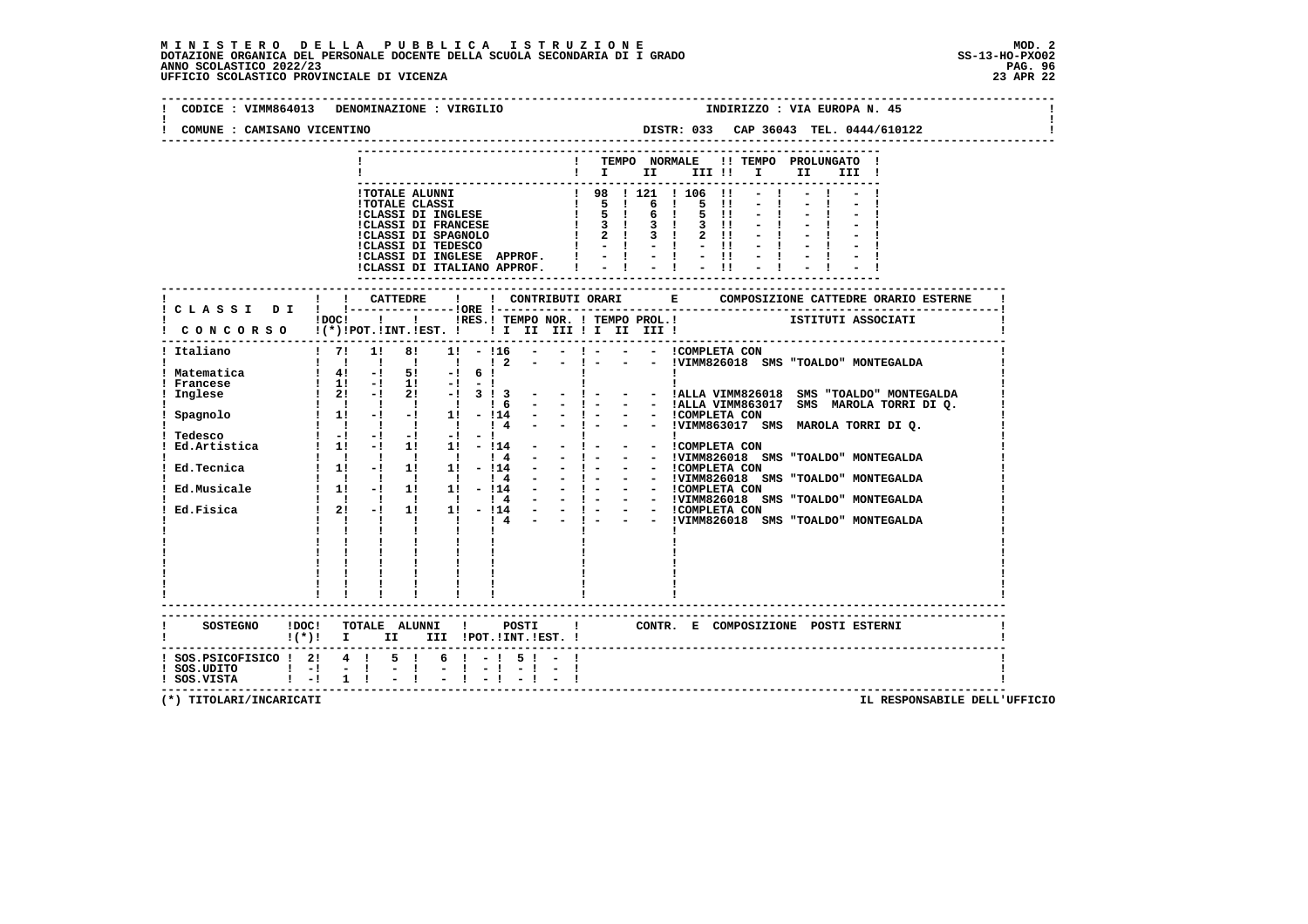| CODICE : VIMM864013                                                                                              | DENOMINAZIONE : VIRGILIO                                                                                                                                                                                                                                                                                                                                                                                                                                                                                                                                                                                                                                                                                                                                                                                                                                                                                                                                                                                                 | INDIRIZZO : VIA EUROPA N. 45                                                                                                                                                                                                                                                                                                                                                                                                                                                                                                                                                                              |  |  |  |  |  |  |  |  |
|------------------------------------------------------------------------------------------------------------------|--------------------------------------------------------------------------------------------------------------------------------------------------------------------------------------------------------------------------------------------------------------------------------------------------------------------------------------------------------------------------------------------------------------------------------------------------------------------------------------------------------------------------------------------------------------------------------------------------------------------------------------------------------------------------------------------------------------------------------------------------------------------------------------------------------------------------------------------------------------------------------------------------------------------------------------------------------------------------------------------------------------------------|-----------------------------------------------------------------------------------------------------------------------------------------------------------------------------------------------------------------------------------------------------------------------------------------------------------------------------------------------------------------------------------------------------------------------------------------------------------------------------------------------------------------------------------------------------------------------------------------------------------|--|--|--|--|--|--|--|--|
| COMUNE : CAMISANO VICENTINO                                                                                      |                                                                                                                                                                                                                                                                                                                                                                                                                                                                                                                                                                                                                                                                                                                                                                                                                                                                                                                                                                                                                          | DISTR: 033 CAP 36043 TEL. 0444/610122                                                                                                                                                                                                                                                                                                                                                                                                                                                                                                                                                                     |  |  |  |  |  |  |  |  |
|                                                                                                                  |                                                                                                                                                                                                                                                                                                                                                                                                                                                                                                                                                                                                                                                                                                                                                                                                                                                                                                                                                                                                                          | TEMPO NORMALE<br>!! TEMPO PROLUNGATO !<br>$\mathbf{I}$ is a set of the set of $\mathbf{I}$ is a set of $\mathbf{I}$<br>II a<br>III !                                                                                                                                                                                                                                                                                                                                                                                                                                                                      |  |  |  |  |  |  |  |  |
|                                                                                                                  | <b>!TOTALE ALUNNI</b><br><b>!TOTALE CLASSI</b><br>!CLASSI DI INGLESE<br>!CLASSI DI FRANCESE<br>!CLASSI DI TEDESCO<br>!CLASSI DI INGLESE APPROF. !<br>!CLASSI DI ITALIANO APPROF.                                                                                                                                                                                                                                                                                                                                                                                                                                                                                                                                                                                                                                                                                                                                                                                                                                         | 1 98 1 121 1 106<br>$\blacksquare$<br>$\begin{array}{cccccc} 1 & 98 & 1 & 121 \\ 1 & 5 & 1 & 6 \\ 1 & 5 & 1 & 6 \\ 1 & 3 & 1 & 3 \end{array}$<br><b>Contract Contract</b><br>5<br>$\mathbf{H}$<br>$\mathbf{I}$<br>5 11<br>$\overline{\mathbf{3}}$ $\overline{\mathbf{1}}$<br>$3 \quad 11$<br>$-1 - 1 - 1$<br>-------------------                                                                                                                                                                                                                                                                          |  |  |  |  |  |  |  |  |
|                                                                                                                  |                                                                                                                                                                                                                                                                                                                                                                                                                                                                                                                                                                                                                                                                                                                                                                                                                                                                                                                                                                                                                          |                                                                                                                                                                                                                                                                                                                                                                                                                                                                                                                                                                                                           |  |  |  |  |  |  |  |  |
|                                                                                                                  | $!$ $\overline{)}$ $\overline{)}$ $\overline{)}$ $\overline{)}$ $\overline{)}$ $\overline{)}$ $\overline{)}$ $\overline{)}$ $\overline{)}$ $\overline{)}$ $\overline{)}$ $\overline{)}$ $\overline{)}$ $\overline{)}$ $\overline{)}$ $\overline{)}$ $\overline{)}$ $\overline{)}$ $\overline{)}$ $\overline{)}$ $\overline{)}$ $\overline{)}$ $\overline{)}$ $\overline{)}$<br>CONCORSO !(*)!POT.!INT.!EST. !! I II III !I II III !                                                                                                                                                                                                                                                                                                                                                                                                                                                                                                                                                                                      |                                                                                                                                                                                                                                                                                                                                                                                                                                                                                                                                                                                                           |  |  |  |  |  |  |  |  |
| Italiano<br>! Matematica<br>Francese<br>Inglese<br>Spagnolo<br>Tedesco<br>Ed.Tecnica<br>Ed.Musicale<br>Ed.Fisica | $1 \quad 71$<br>1!<br>81<br>$1! - 116$<br>$1\quad2$<br>$1 \t4!$ -1 5! -1 6!<br>$\begin{array}{ccccccccc}\n1 & 41 & -1 & 51 & -1 & 61 \\ 1 & 11 & -1 & 11 & -1 & -1\n\end{array}$<br>$\frac{1}{2!}$ - $\frac{1}{2!}$ - $\frac{1}{2!}$ - $\frac{1}{2!}$ 3 $\frac{1}{2}$ 3<br>1 1 1 1 1<br>1 <sub>6</sub><br>$1 \quad 1! \quad -1 \quad -1 \quad 1! \quad -114$<br>$\sim$ 10 $\pm$<br>$\begin{array}{cccccccccccccc} 1 & -1 & -1 & -1 & -1 & -1 & -1 & \end{array}$<br>Ed. Artistica 1 1! -! 1! 1! -!14<br>$1 \quad 1 \quad 1 \quad 1 \quad 1$<br>14<br>$\sim$<br>$11 - 11$ $11 - 11$ $11 - 114$<br>$\frac{1}{1}$ $\frac{1}{11}$ $\frac{1}{-1}$ $\frac{1}{11}$ $\frac{1}{11}$ $\frac{1}{11}$ $\frac{1}{-11}$ $\frac{4}{11}$ $\frac{2}{-11}$<br>$\begin{array}{cccccccccc} 1 & 1 & 1 & 1 & 1 & 1 & 14 \\ 1 & 21 & -1 & 11 & 11 & -114 \end{array}$<br>$\sim$ 100 $\mu$<br>$\frac{1}{1}$ $\frac{1}{1}$ $\frac{1}{4}$<br>$1 \quad 1 \quad 1$<br>$\mathbf{I}$ and $\mathbf{I}$ and $\mathbf{I}$<br>$\mathbf{I}$<br>$\mathbf{I}$ | $-1$ $-1$<br>- - !VIMM826018 SMS "TOALDO" MONTEGALDA<br>$\mathbf{I}$<br>- - !ALLA VIMM826018 SMS "TOALDO" MONTEGALDA<br>$-1 - 1$<br>$-1 - 1$<br>- - !ALLA VIMM863017 SMS MAROLA TORRI DI Q.<br>- $!$ - - - !COMPLETA CON<br>- $!$ - - : VIMM863017 SMS MAROLA TORRI DIQ.<br>$\mathbf{I}$<br>- - COMPLETA CON<br>- : !VIMM826018 SMS "TOALDO" MONTEGALDA<br>$-1 -$<br>- - ICOMPLETA CON<br>$-1 -$<br>- ! - - - !VIMM826018 SMS "TOALDO" MONTEGALDA<br>- ! - - - !COMPLETA CON<br>- ! - - - !VIMM826018 SMS "TOALDO" MONTEGALDA<br>- - ICOMPLETA CON<br>- - IVIMM826018 SMS "TOALDO" MONTEGALDA<br>$-1 - 1$ |  |  |  |  |  |  |  |  |
|                                                                                                                  | SOSTEGNO !DOC! TOTALE ALUNNI ! POSTI<br>!(*)! I II III !POT.!INT.!EST.!                                                                                                                                                                                                                                                                                                                                                                                                                                                                                                                                                                                                                                                                                                                                                                                                                                                                                                                                                  | ! CONTR. E COMPOSIZIONE POSTI ESTERNI                                                                                                                                                                                                                                                                                                                                                                                                                                                                                                                                                                     |  |  |  |  |  |  |  |  |
| ! SOS.PSICOFISICO ! 2! 4 !<br>$!$ SOS.UDITO $!$ $-!$ $-$ !<br>! SOS.VISTA : -! 1 !                               | $6 \t1 - 1$<br>$5 \quad 1$<br>$5 \t-$<br>$-1$                                                                                                                                                                                                                                                                                                                                                                                                                                                                                                                                                                                                                                                                                                                                                                                                                                                                                                                                                                            |                                                                                                                                                                                                                                                                                                                                                                                                                                                                                                                                                                                                           |  |  |  |  |  |  |  |  |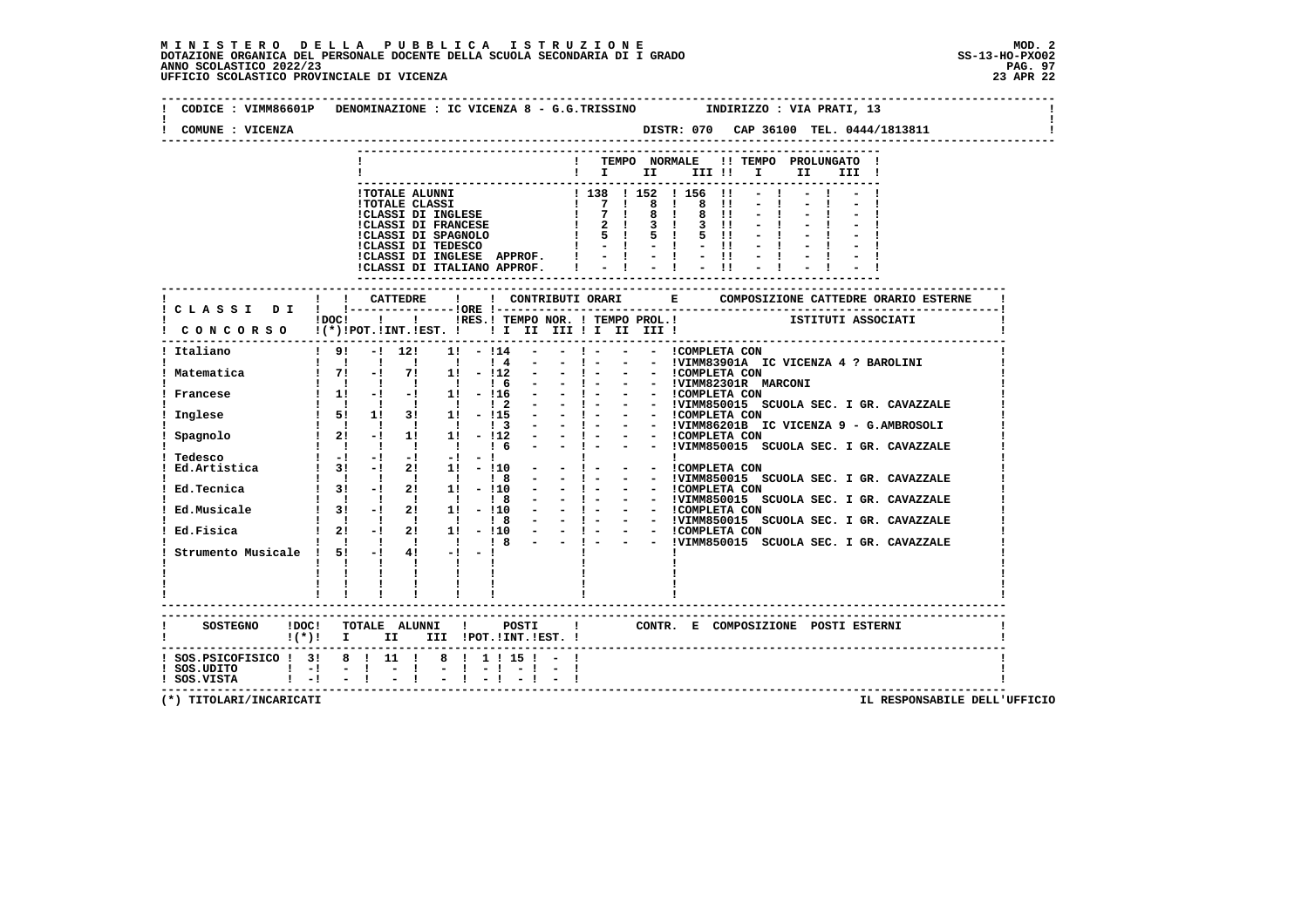| COMUNE : VICENZA                                     |                                                                |      |                   |              |                                        |  |                                                                                                                                                                                          |  |  |       |                      |  |       |  |  |  |
|------------------------------------------------------|----------------------------------------------------------------|------|-------------------|--------------|----------------------------------------|--|------------------------------------------------------------------------------------------------------------------------------------------------------------------------------------------|--|--|-------|----------------------|--|-------|--|--|--|
|                                                      |                                                                |      |                   |              |                                        |  | --------------<br>! TEMPO NORMALE !! TEMPO PROLUNGATO !                                                                                                                                  |  |  |       |                      |  |       |  |  |  |
|                                                      |                                                                |      |                   |              |                                        |  | $\blacksquare$ $\blacksquare$ $\blacksquare$ $\blacksquare$ $\blacksquare$ $\blacksquare$ $\blacksquare$ $\blacksquare$ $\blacksquare$ $\blacksquare$ $\blacksquare$ $\blacksquare$      |  |  |       |                      |  | III ! |  |  |  |
|                                                      |                                                                |      |                   |              |                                        |  |                                                                                                                                                                                          |  |  |       | $-1$                 |  |       |  |  |  |
|                                                      |                                                                |      |                   |              |                                        |  |                                                                                                                                                                                          |  |  |       | $-1$                 |  |       |  |  |  |
|                                                      |                                                                |      |                   |              |                                        |  |                                                                                                                                                                                          |  |  |       |                      |  |       |  |  |  |
|                                                      |                                                                |      |                   |              |                                        |  |                                                                                                                                                                                          |  |  |       | $-1$<br>$5 \t11 - 1$ |  |       |  |  |  |
|                                                      |                                                                |      |                   |              |                                        |  |                                                                                                                                                                                          |  |  |       | $-1$                 |  |       |  |  |  |
|                                                      |                                                                |      |                   |              |                                        |  |                                                                                                                                                                                          |  |  |       | $-11 - -1$           |  |       |  |  |  |
|                                                      |                                                                |      |                   |              |                                        |  | !CLASSI DI ITALIANO APPROF.   - ! - !                                                                                                                                                    |  |  | $-11$ |                      |  |       |  |  |  |
|                                                      |                                                                |      |                   |              |                                        |  |                                                                                                                                                                                          |  |  |       |                      |  |       |  |  |  |
| ! CLASSI DI ! !-------                               | ! ! CATTEDRE                                                   |      | --------10RE !--- | $\mathbf{I}$ |                                        |  |                                                                                                                                                                                          |  |  |       |                      |  |       |  |  |  |
|                                                      |                                                                |      |                   |              |                                        |  | POCI     IRES.I TEMPO NOR.   TEMPO PROL.I   ISTITUTI ASSOCIATI                                                                                                                           |  |  |       |                      |  |       |  |  |  |
| CONCORSO !(*)!POT.!INT.!EST. ! ! I II III ! II III ! |                                                                |      |                   |              |                                        |  |                                                                                                                                                                                          |  |  |       |                      |  |       |  |  |  |
| Italiano                                             |                                                                |      |                   |              |                                        |  | $19! - 12!$ 11 - $114 - 14 - 1 - 1$ - COMPLETA CON                                                                                                                                       |  |  |       |                      |  |       |  |  |  |
|                                                      |                                                                |      |                   |              |                                        |  | - ! - - - !VIMM83901A IC VICENZA 4 ? BAROLINI                                                                                                                                            |  |  |       |                      |  |       |  |  |  |
|                                                      |                                                                |      |                   |              |                                        |  | - - 1 - - - ICOMPLETA CON<br>- - 1 - - - IVIMM82301R MARCONI                                                                                                                             |  |  |       |                      |  |       |  |  |  |
|                                                      |                                                                |      |                   |              |                                        |  |                                                                                                                                                                                          |  |  |       |                      |  |       |  |  |  |
|                                                      |                                                                |      |                   |              |                                        |  | - 1 - - - ICOMPLETA CON<br>- 1 - - - IVIMM850015 SCUOLA SEC. I GR. CAVAZZALE<br>- 1 - - - ICOMPLETA CON<br>- 1 - - - ICOMPLETA CON<br>- 1 - - - ICOMPLETA CON<br>- 1 - - - ICOMPLETA CON |  |  |       |                      |  |       |  |  |  |
|                                                      |                                                                |      |                   |              |                                        |  |                                                                                                                                                                                          |  |  |       |                      |  |       |  |  |  |
|                                                      |                                                                |      |                   |              |                                        |  |                                                                                                                                                                                          |  |  |       |                      |  |       |  |  |  |
|                                                      | $1 \quad 1 \quad 1 \quad 1 \quad 1 \quad 16 \quad -$           |      |                   |              |                                        |  |                                                                                                                                                                                          |  |  |       |                      |  |       |  |  |  |
|                                                      |                                                                |      |                   |              |                                        |  |                                                                                                                                                                                          |  |  |       |                      |  |       |  |  |  |
|                                                      |                                                                |      |                   |              |                                        |  |                                                                                                                                                                                          |  |  |       |                      |  |       |  |  |  |
|                                                      |                                                                |      |                   |              |                                        |  |                                                                                                                                                                                          |  |  |       |                      |  |       |  |  |  |
|                                                      |                                                                |      |                   |              |                                        |  |                                                                                                                                                                                          |  |  |       |                      |  |       |  |  |  |
|                                                      |                                                                |      |                   |              |                                        |  |                                                                                                                                                                                          |  |  |       |                      |  |       |  |  |  |
|                                                      |                                                                |      |                   |              |                                        |  |                                                                                                                                                                                          |  |  |       |                      |  |       |  |  |  |
|                                                      |                                                                |      |                   |              |                                        |  |                                                                                                                                                                                          |  |  |       |                      |  |       |  |  |  |
|                                                      |                                                                |      |                   |              |                                        |  |                                                                                                                                                                                          |  |  |       |                      |  |       |  |  |  |
|                                                      |                                                                |      |                   |              |                                        |  |                                                                                                                                                                                          |  |  |       |                      |  |       |  |  |  |
|                                                      | $\mathbf{I}$ and $\mathbf{I}$ and $\mathbf{I}$                 |      |                   |              |                                        |  |                                                                                                                                                                                          |  |  |       |                      |  |       |  |  |  |
|                                                      |                                                                |      |                   |              |                                        |  |                                                                                                                                                                                          |  |  |       |                      |  |       |  |  |  |
|                                                      | $\begin{array}{c c c c c} i & i & i & i \\ \hline \end{array}$ |      |                   |              |                                        |  |                                                                                                                                                                                          |  |  |       |                      |  |       |  |  |  |
|                                                      |                                                                |      |                   |              |                                        |  |                                                                                                                                                                                          |  |  |       |                      |  |       |  |  |  |
| $!(*)!$ I II III !POT.!INT.!EST. !                   |                                                                |      |                   |              |                                        |  |                                                                                                                                                                                          |  |  |       |                      |  |       |  |  |  |
|                                                      |                                                                |      |                   |              |                                        |  |                                                                                                                                                                                          |  |  |       |                      |  |       |  |  |  |
| ! SOS.PSICOFISICO ! 3! 8 ! 11 ! 8 ! 1 ! 15 ! - !     |                                                                |      |                   |              |                                        |  |                                                                                                                                                                                          |  |  |       |                      |  |       |  |  |  |
| ! SOS.UDITO ! -! - !<br>! SOS.VISTA ! -! - !         |                                                                | $-1$ |                   |              | - ! - ! - ! - !<br>$-1$ $-1$ $-1$ $-1$ |  |                                                                                                                                                                                          |  |  |       |                      |  |       |  |  |  |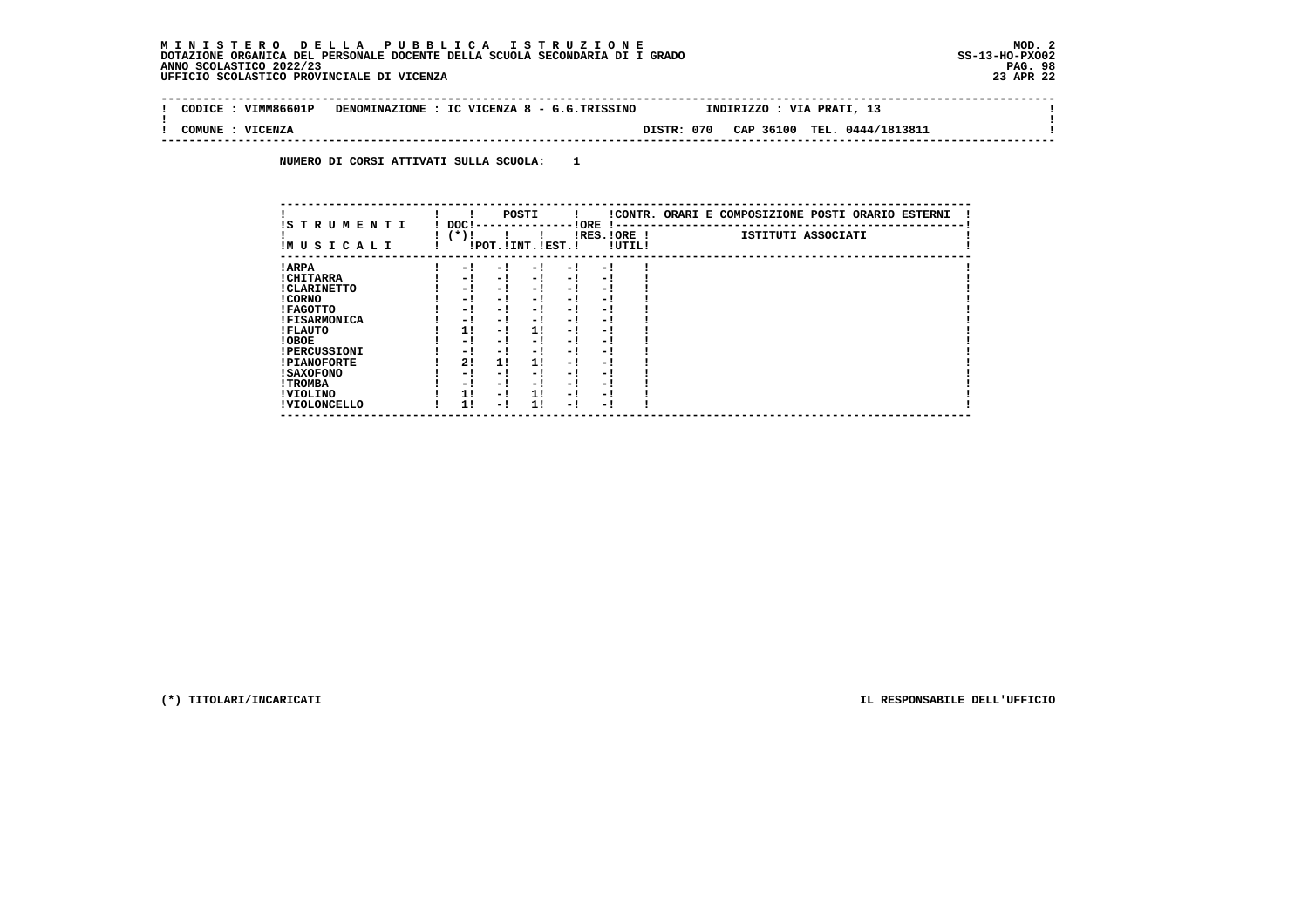$\sim$  1

 $\mathbf{I}$ 

 **-------------------------------------------------------------------------------------------------------------------------------- ! CODICE : VIMM86601P DENOMINAZIONE : IC VICENZA 8 - G.G.TRISSINO INDIRIZZO : VIA PRATI, 13 ! ! ! ! COMUNE : VICENZA DISTR: 070 CAP 36100 TEL. 0444/1813811 ! --------------------------------------------------------------------------------------------------------------------------------**

 **NUMERO DI CORSI ATTIVATI SULLA SCUOLA: 1**

|                          |                 |     | POSTI                 |     |                       |        | !CONTR. ORARI E COMPOSIZIONE POSTI ORARIO ESTERNI |
|--------------------------|-----------------|-----|-----------------------|-----|-----------------------|--------|---------------------------------------------------|
| IS TRUMENTI<br>IMUSICALI | DOC!<br>( * ) ! |     | !POT. ! INT. ! EST. ! |     | ! ORE<br>IRES. IORE ! | !UTIL! | ISTITUTI ASSOCIATI                                |
| ! ARPA                   | - 1             | - 1 | - 1                   | - 1 | - 1                   |        |                                                   |
| ! CHITARRA               | - 1             | - 1 | - 1                   | - 1 | - 1                   |        |                                                   |
| ! CLARINETTO             | - 1             | - ! | - 1                   | - 1 | - 1                   |        |                                                   |
| ! CORNO                  | - 1             | - 1 | - 1                   | - 1 | - 1                   |        |                                                   |
| ! FAGOTTO                | - 1             | - ! | - 1                   | - 1 | - 1                   |        |                                                   |
| <b>!FISARMONICA</b>      | - 1             | - 1 | - 1                   | - 1 | - 1                   |        |                                                   |
| ! FLAUTO                 | 11              | - ! | 1!                    | - ! | - 1                   |        |                                                   |
| ! OBOE                   | - 1             | - 1 | - !                   | - 1 | - 1                   |        |                                                   |
| <b>!PERCUSSIONI</b>      | - 1             | - 1 | - 1                   | - 1 | - 1                   |        |                                                   |
| <b>!PIANOFORTE</b>       | 2!              | 11  | 11                    | - ! | - 1                   |        |                                                   |
| <b>! SAXOFONO</b>        | - 1             | - 1 | - !                   | - 1 | - 1                   |        |                                                   |
| ! TROMBA                 | - 1             | - 1 | - 1                   | - 1 | - 1                   |        |                                                   |
| ! VIOLINO                | 11              | - ! | 11                    | - 1 | - 1                   |        |                                                   |
| ! VIOLONCELLO            | 11              | - 1 | 11                    | - 1 | - 1                   |        |                                                   |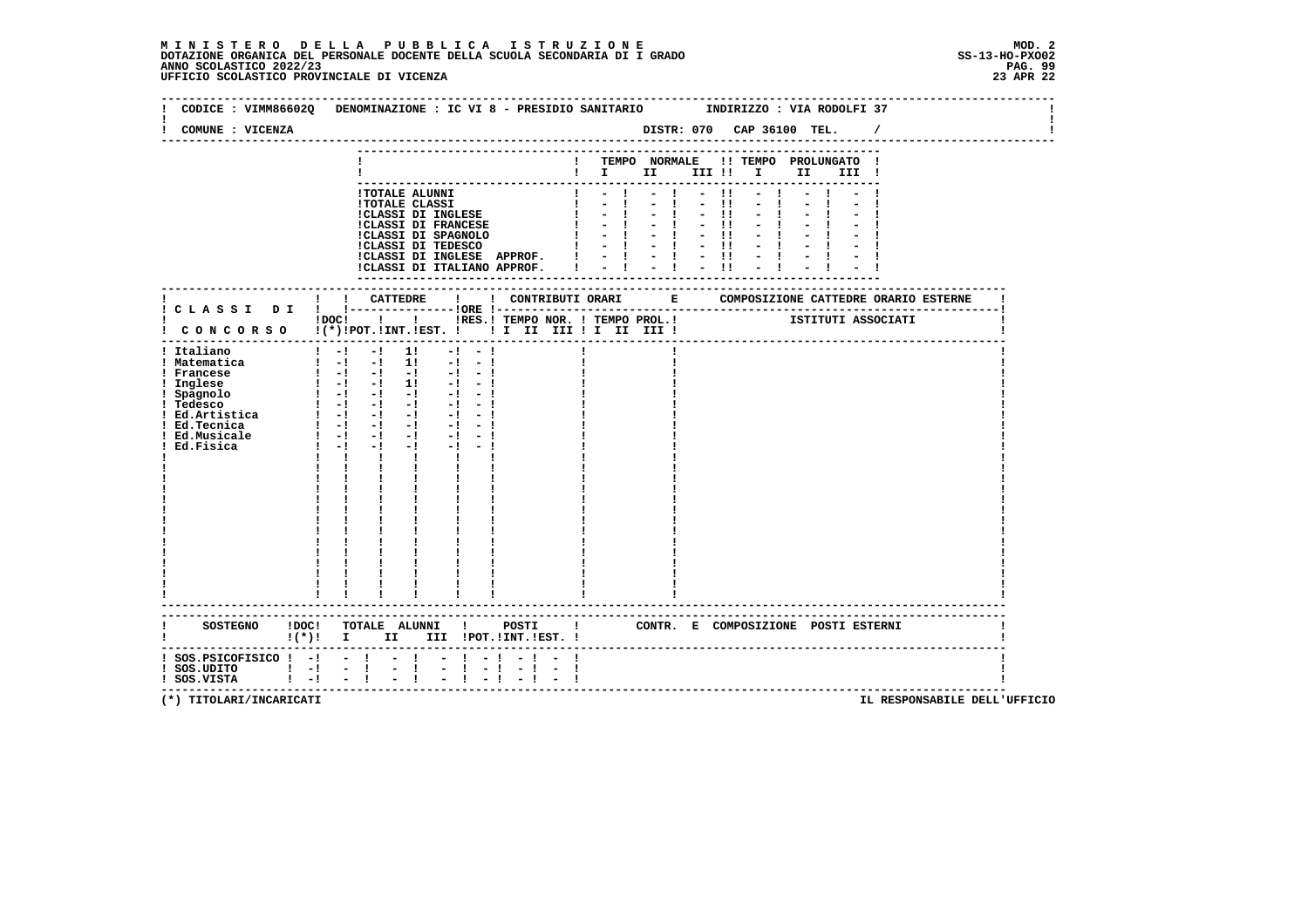|                                                                                                                                |                                                                                                                                                                                                                                                                                                                                                                                                                                                                                                                                                                                                                                                                                        | CODICE: VIMM86602Q DENOMINAZIONE: IC VI 8 - PRESIDIO SANITARIO<br>INDIRIZZO : VIA RODOLFI 37                                                                  |  |
|--------------------------------------------------------------------------------------------------------------------------------|----------------------------------------------------------------------------------------------------------------------------------------------------------------------------------------------------------------------------------------------------------------------------------------------------------------------------------------------------------------------------------------------------------------------------------------------------------------------------------------------------------------------------------------------------------------------------------------------------------------------------------------------------------------------------------------|---------------------------------------------------------------------------------------------------------------------------------------------------------------|--|
| COMUNE : VICENZA                                                                                                               |                                                                                                                                                                                                                                                                                                                                                                                                                                                                                                                                                                                                                                                                                        |                                                                                                                                                               |  |
|                                                                                                                                |                                                                                                                                                                                                                                                                                                                                                                                                                                                                                                                                                                                                                                                                                        | ! TEMPO NORMALE !! TEMPO PROLUNGATO !<br>II III !                                                                                                             |  |
|                                                                                                                                | <b>!TOTALE ALUNNI</b><br><b>!TOTALE CLASSI</b><br>!CLASSI DI INGLESE<br><b>!CLASSI DI FRANCESE</b><br>!CLASSI DI SPAGNOLO<br>!CLASSI DI TEDESCO<br>!CLASSI DI INGLESE APPROF. !<br>!CLASSI DI ITALIANO APPROF.                                                                                                                                                                                                                                                                                                                                                                                                                                                                         | $-11$<br>$\sim 1$ .<br>$-11$<br>$\mathbf{I}$<br>$-11$<br>$-11$<br>$-1$<br>$\mathbf{I}$<br>$-1$<br>$\mathbf{I}$<br>$-1$ $-11$<br>$-1 - 1 - 1$<br>$= 1 - 1 - 1$ |  |
|                                                                                                                                |                                                                                                                                                                                                                                                                                                                                                                                                                                                                                                                                                                                                                                                                                        | ------------------<br>. _ _ _ _ _ _ _ _                                                                                                                       |  |
|                                                                                                                                |                                                                                                                                                                                                                                                                                                                                                                                                                                                                                                                                                                                                                                                                                        | IDOC! ! ! IRES. ! TEMPO NOR. ! TEMPO PROL. !   ISTITUTI ASSOCIATI<br>! CONCORSO !(*)!POT.!INT.!EST. ! ! I III III II III !                                    |  |
| ! Italiano<br>! Matematica<br>! Francese<br>! Inglese<br>! Spagnolo<br>! Tedesco<br>! Ed.Tecnica<br>! Ed.Musicale<br>Ed.Fisica | $1 - 1 - 1$ 11<br>$-1 - 1$<br>$\frac{1}{2}$ -1 -1 11 -1 -1<br>$1 - 1 - 1 - 1 - 1 - 1 - 1$<br>$\frac{1}{2}$ -1 -1 11 -1 -1<br>$\begin{bmatrix} 1 & -1 & -1 & -1 & -1 & -1 \end{bmatrix}$<br>$\begin{bmatrix} 1 & -1 & -1 & -1 & -1 & -1 \end{bmatrix}$<br>$1 - 1 - 1 - 1 - 1 - 1 - 1$<br>$\frac{1}{2}$ $\frac{1}{2}$ $\frac{1}{2}$ $\frac{1}{2}$ $\frac{1}{2}$ $\frac{1}{2}$ $\frac{1}{2}$ $\frac{1}{2}$<br>$-1 - 1$<br>$1 - 1 - 1$<br>$-1 - -1$<br>$-1$ $-$<br>$\mathbf{I}$<br>$\mathbf{I}$ $\mathbf{I}$ $\mathbf{I}$<br>$\mathbf{I}$<br>$\mathbf{I}$ and $\mathbf{I}$<br>$\begin{array}{cc} 1 & 1 \\ 1 & 1 \\ 1 & 1 \\ 1 & 1 \end{array}$<br>$\frac{1}{1}$<br>----------------------- |                                                                                                                                                               |  |
|                                                                                                                                | !(*)! I II III !POT.!INT.!EST.!                                                                                                                                                                                                                                                                                                                                                                                                                                                                                                                                                                                                                                                        | SOSTEGNO !DOC! TOTALE ALUNNI ! POSTI ! CONTR. E COMPOSIZIONE POSTI ESTERNI                                                                                    |  |
| $:$ SOS. PSICOFISICO $:$ - $:$ - $:$<br>$!$ SOS.UDITO $!$ -! - !<br>$1 - 1$<br>! SOS.VISTA                                     | $-1$<br>$\frac{1}{2}$<br>$-1$<br>$-1$                                                                                                                                                                                                                                                                                                                                                                                                                                                                                                                                                                                                                                                  | $-1$<br>-1<br>--------------------------------------                                                                                                          |  |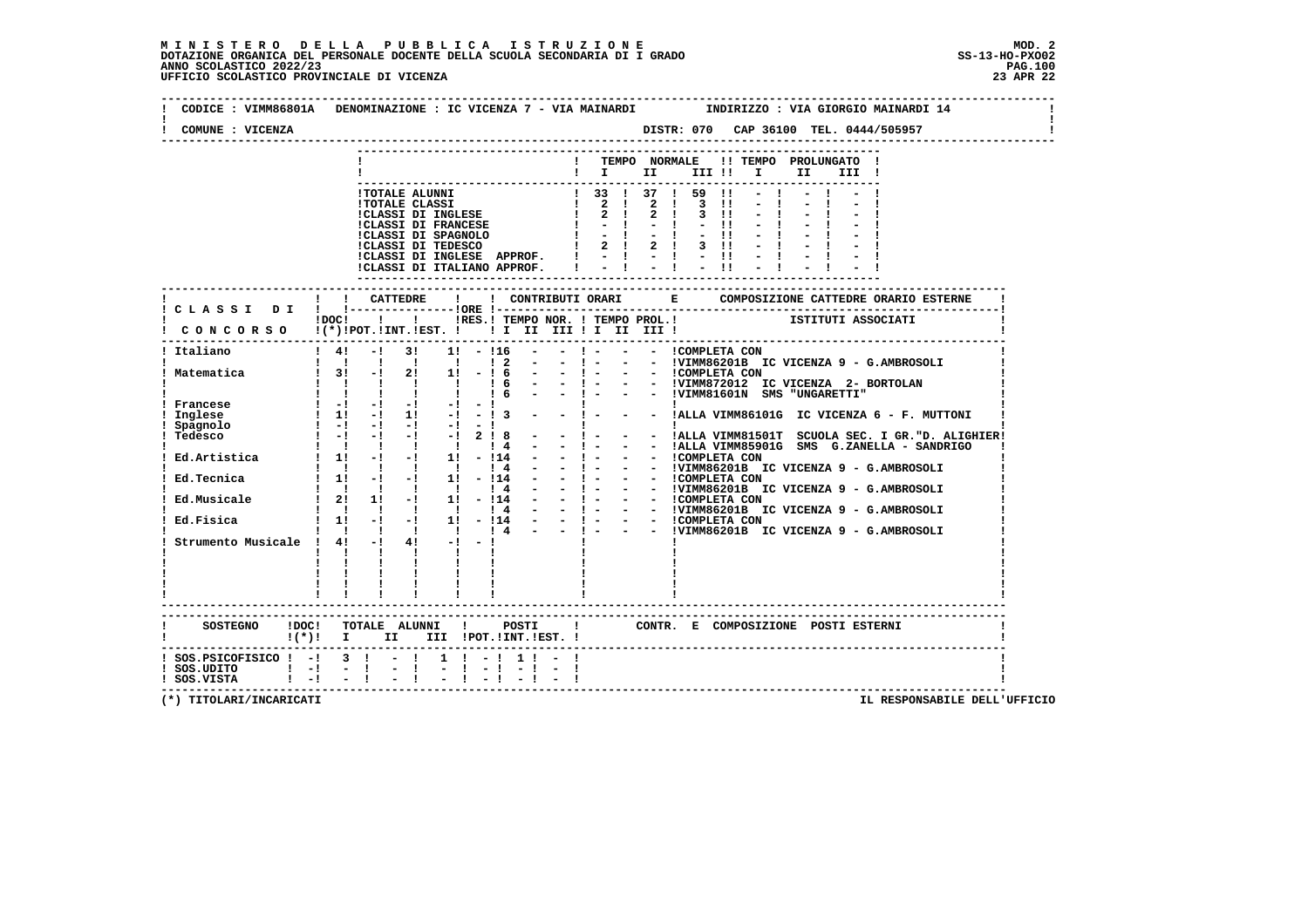| CODICE : VIMM86801A DENOMINAZIONE : IC VICENZA 7 - VIA MAINARDI      INDIRIZZO : VIA GIORGIO MAINARDI 14<br>COMUNE : VICENZA |                                                |                                                                                                           |                   |                  |  |                                                                                                                                                                                                                                                                                                                                                                                     |  |  |  |  |                                                                                                                                                                                                                                                                                                                                                                                                                             |  |
|------------------------------------------------------------------------------------------------------------------------------|------------------------------------------------|-----------------------------------------------------------------------------------------------------------|-------------------|------------------|--|-------------------------------------------------------------------------------------------------------------------------------------------------------------------------------------------------------------------------------------------------------------------------------------------------------------------------------------------------------------------------------------|--|--|--|--|-----------------------------------------------------------------------------------------------------------------------------------------------------------------------------------------------------------------------------------------------------------------------------------------------------------------------------------------------------------------------------------------------------------------------------|--|
|                                                                                                                              |                                                |                                                                                                           |                   |                  |  | ! TEMPO NORMALE !! TEMPO PROLUNGATO !                                                                                                                                                                                                                                                                                                                                               |  |  |  |  |                                                                                                                                                                                                                                                                                                                                                                                                                             |  |
|                                                                                                                              |                                                |                                                                                                           |                   |                  |  |                                                                                                                                                                                                                                                                                                                                                                                     |  |  |  |  |                                                                                                                                                                                                                                                                                                                                                                                                                             |  |
|                                                                                                                              |                                                |                                                                                                           |                   |                  |  |                                                                                                                                                                                                                                                                                                                                                                                     |  |  |  |  |                                                                                                                                                                                                                                                                                                                                                                                                                             |  |
|                                                                                                                              |                                                |                                                                                                           |                   |                  |  |                                                                                                                                                                                                                                                                                                                                                                                     |  |  |  |  |                                                                                                                                                                                                                                                                                                                                                                                                                             |  |
|                                                                                                                              |                                                |                                                                                                           |                   |                  |  |                                                                                                                                                                                                                                                                                                                                                                                     |  |  |  |  |                                                                                                                                                                                                                                                                                                                                                                                                                             |  |
|                                                                                                                              |                                                |                                                                                                           |                   |                  |  |                                                                                                                                                                                                                                                                                                                                                                                     |  |  |  |  |                                                                                                                                                                                                                                                                                                                                                                                                                             |  |
|                                                                                                                              |                                                |                                                                                                           |                   |                  |  |                                                                                                                                                                                                                                                                                                                                                                                     |  |  |  |  |                                                                                                                                                                                                                                                                                                                                                                                                                             |  |
|                                                                                                                              |                                                |                                                                                                           |                   |                  |  |                                                                                                                                                                                                                                                                                                                                                                                     |  |  |  |  |                                                                                                                                                                                                                                                                                                                                                                                                                             |  |
|                                                                                                                              |                                                |                                                                                                           |                   |                  |  | CLASSI DI INGLESE APPROF. $1 - 1 - 1 - 11 - 1$<br>ICLASSI DI INGLESE APPROF. $1 - 1 - 1 - 11 - 1$                                                                                                                                                                                                                                                                                   |  |  |  |  |                                                                                                                                                                                                                                                                                                                                                                                                                             |  |
|                                                                                                                              |                                                |                                                                                                           |                   |                  |  |                                                                                                                                                                                                                                                                                                                                                                                     |  |  |  |  |                                                                                                                                                                                                                                                                                                                                                                                                                             |  |
|                                                                                                                              |                                                |                                                                                                           |                   |                  |  |                                                                                                                                                                                                                                                                                                                                                                                     |  |  |  |  |                                                                                                                                                                                                                                                                                                                                                                                                                             |  |
|                                                                                                                              |                                                |                                                                                                           |                   |                  |  |                                                                                                                                                                                                                                                                                                                                                                                     |  |  |  |  |                                                                                                                                                                                                                                                                                                                                                                                                                             |  |
|                                                                                                                              |                                                |                                                                                                           |                   |                  |  | iDOCI ! ! IRES. I TEMPO NOR. ! TEMPO PROL. !     ISTITUTI ASSOCIATI                                                                                                                                                                                                                                                                                                                 |  |  |  |  |                                                                                                                                                                                                                                                                                                                                                                                                                             |  |
| $\mathbf i$ CONCORSO $\mathbf i(*)$ POT. INT. IEST. $\mathbf i$ II III III III III III                                       |                                                |                                                                                                           |                   |                  |  |                                                                                                                                                                                                                                                                                                                                                                                     |  |  |  |  |                                                                                                                                                                                                                                                                                                                                                                                                                             |  |
|                                                                                                                              |                                                |                                                                                                           |                   |                  |  |                                                                                                                                                                                                                                                                                                                                                                                     |  |  |  |  |                                                                                                                                                                                                                                                                                                                                                                                                                             |  |
| ! Italiano                                                                                                                   |                                                |                                                                                                           |                   |                  |  | ! 4! -! 3! 1! -!16 - -!- - - !COMPLETA CON                                                                                                                                                                                                                                                                                                                                          |  |  |  |  |                                                                                                                                                                                                                                                                                                                                                                                                                             |  |
|                                                                                                                              |                                                | 1 1 1 1 1 1 1 2                                                                                           |                   |                  |  |                                                                                                                                                                                                                                                                                                                                                                                     |  |  |  |  | $ -$ ! $ -$ !VIMM86201B IC VICENZA 9 - G.AMBROSOLI                                                                                                                                                                                                                                                                                                                                                                          |  |
| ! Matematica                                                                                                                 |                                                | $\begin{array}{ccccccccccccccccc}\n1 & 1 & 1 & 1 & 1 & 1\n\end{array}$                                    |                   |                  |  | $: 3!$ -! 2! 1! - ! 6 - - ! - - - ICOMPLETA CON                                                                                                                                                                                                                                                                                                                                     |  |  |  |  |                                                                                                                                                                                                                                                                                                                                                                                                                             |  |
|                                                                                                                              |                                                | $\begin{array}{ccccccccccccccccc}\n1 & 1 & 1 & 1 & 1 & 1\n\end{array}$                                    |                   |                  |  | $\begin{array}{ccccccccc}\n1 & 6 & - & 1 & - & - & 1 \sqrt{11} & 1 & - & - & 1 \sqrt{21} & 1 & - & - & 1 \sqrt{21} & 1 & - & - & 1 \sqrt{21} & 1 & - & - & 1 \sqrt{21} & 1 & - & - & 1 \sqrt{21} & 1 & - & - & 1 \sqrt{21} & 1 & - & - & 1 \sqrt{21} & 1 & - & - & 1 \sqrt{21} & 1 & - & - & 1 \sqrt{21} & 1 & - & - & 1 \sqrt{21} & 1 & - & - & 1 \sqrt{21} & 1 & - & - & 1 \sqrt$ |  |  |  |  |                                                                                                                                                                                                                                                                                                                                                                                                                             |  |
| ! Francese                                                                                                                   |                                                | $\begin{bmatrix} 1 & -1 & -1 & -1 & -1 \end{bmatrix}$                                                     |                   | $-1$ and $-1$    |  |                                                                                                                                                                                                                                                                                                                                                                                     |  |  |  |  |                                                                                                                                                                                                                                                                                                                                                                                                                             |  |
| Inglese                                                                                                                      |                                                | $1 \quad 11 \quad -1 \quad 11 \quad -1 \quad -13 \quad -1 \quad -1 \quad -1$                              |                   |                  |  |                                                                                                                                                                                                                                                                                                                                                                                     |  |  |  |  | - - !ALLA VIMM86101G IC VICENZA 6 - F. MUTTONI                                                                                                                                                                                                                                                                                                                                                                              |  |
| Spagnolo                                                                                                                     |                                                | $1 - 1 - 1 - 1 - 1 - 1 - 1$                                                                               |                   |                  |  |                                                                                                                                                                                                                                                                                                                                                                                     |  |  |  |  |                                                                                                                                                                                                                                                                                                                                                                                                                             |  |
| Tedesco                                                                                                                      |                                                | $! -! -! -! -! -! 2! 8 -$                                                                                 |                   |                  |  |                                                                                                                                                                                                                                                                                                                                                                                     |  |  |  |  | $\begin{array}{ccccccccc}\n1 & - & 1 & \text{1} & \text{1} & \text{1} & \text{1} & \text{1} & \text{1} & \text{1} & \text{1} & \text{1} & \text{1} & \text{1} & \text{1} & \text{1} & \text{1} & \text{1} & \text{1} & \text{1} & \text{1} & \text{1} & \text{1} & \text{1} & \text{1} & \text{1} & \text{1} & \text{1} & \text{1} & \text{1} & \text{1} & \text{1} & \text{1} & \text{1} & \text{1} & \text{1} & \text{1}$ |  |
|                                                                                                                              |                                                |                                                                                                           |                   | $\frac{1}{4}$    |  |                                                                                                                                                                                                                                                                                                                                                                                     |  |  |  |  | - ! - - - !ALLA VIMM85901G SMS G.ZANELLA - SANDRIGO                                                                                                                                                                                                                                                                                                                                                                         |  |
|                                                                                                                              |                                                |                                                                                                           |                   |                  |  |                                                                                                                                                                                                                                                                                                                                                                                     |  |  |  |  |                                                                                                                                                                                                                                                                                                                                                                                                                             |  |
|                                                                                                                              |                                                |                                                                                                           |                   |                  |  |                                                                                                                                                                                                                                                                                                                                                                                     |  |  |  |  |                                                                                                                                                                                                                                                                                                                                                                                                                             |  |
|                                                                                                                              |                                                |                                                                                                           |                   |                  |  |                                                                                                                                                                                                                                                                                                                                                                                     |  |  |  |  |                                                                                                                                                                                                                                                                                                                                                                                                                             |  |
| Ed.Musicale                                                                                                                  |                                                | $\begin{array}{cccccccc}\n1 & 1 & 1 & 1 & 1 & 1 & 4 \\ 1 & 21 & 11 & -1 & 11 & -114\n\end{array}$         |                   |                  |  |                                                                                                                                                                                                                                                                                                                                                                                     |  |  |  |  |                                                                                                                                                                                                                                                                                                                                                                                                                             |  |
|                                                                                                                              |                                                |                                                                                                           |                   |                  |  |                                                                                                                                                                                                                                                                                                                                                                                     |  |  |  |  |                                                                                                                                                                                                                                                                                                                                                                                                                             |  |
| Ed.Fisica                                                                                                                    |                                                |                                                                                                           |                   |                  |  |                                                                                                                                                                                                                                                                                                                                                                                     |  |  |  |  |                                                                                                                                                                                                                                                                                                                                                                                                                             |  |
|                                                                                                                              |                                                |                                                                                                           |                   |                  |  |                                                                                                                                                                                                                                                                                                                                                                                     |  |  |  |  |                                                                                                                                                                                                                                                                                                                                                                                                                             |  |
| Strumento Musicale ! $4!$ -! $4!$ -! -!                                                                                      |                                                |                                                                                                           |                   |                  |  |                                                                                                                                                                                                                                                                                                                                                                                     |  |  |  |  |                                                                                                                                                                                                                                                                                                                                                                                                                             |  |
|                                                                                                                              | $\mathbf{I}$ and $\mathbf{I}$ and $\mathbf{I}$ |                                                                                                           | <b>The Common</b> |                  |  |                                                                                                                                                                                                                                                                                                                                                                                     |  |  |  |  |                                                                                                                                                                                                                                                                                                                                                                                                                             |  |
|                                                                                                                              | <b>Contract Contract Contract</b>              |                                                                                                           |                   |                  |  |                                                                                                                                                                                                                                                                                                                                                                                     |  |  |  |  |                                                                                                                                                                                                                                                                                                                                                                                                                             |  |
|                                                                                                                              |                                                | $\mathbf{1}$ $\mathbf{1}$ $\mathbf{1}$                                                                    |                   |                  |  |                                                                                                                                                                                                                                                                                                                                                                                     |  |  |  |  |                                                                                                                                                                                                                                                                                                                                                                                                                             |  |
|                                                                                                                              |                                                |                                                                                                           |                   |                  |  |                                                                                                                                                                                                                                                                                                                                                                                     |  |  |  |  |                                                                                                                                                                                                                                                                                                                                                                                                                             |  |
|                                                                                                                              |                                                | $\begin{array}{cccccccccc} 1 & 1 & 1 & 1 & 1 & 1 & 1 & 1 \\ 1 & 1 & 1 & 1 & 1 & 1 & 1 & 1 \\ \end{array}$ |                   |                  |  |                                                                                                                                                                                                                                                                                                                                                                                     |  |  |  |  |                                                                                                                                                                                                                                                                                                                                                                                                                             |  |
|                                                                                                                              |                                                |                                                                                                           |                   |                  |  |                                                                                                                                                                                                                                                                                                                                                                                     |  |  |  |  |                                                                                                                                                                                                                                                                                                                                                                                                                             |  |
|                                                                                                                              |                                                |                                                                                                           |                   |                  |  | ! CONTR. E COMPOSIZIONE POSTI ESTERNI                                                                                                                                                                                                                                                                                                                                               |  |  |  |  |                                                                                                                                                                                                                                                                                                                                                                                                                             |  |
|                                                                                                                              |                                                | !(*)! I II III !POT.!INT.!EST.!                                                                           |                   |                  |  |                                                                                                                                                                                                                                                                                                                                                                                     |  |  |  |  |                                                                                                                                                                                                                                                                                                                                                                                                                             |  |
| $!$ SOS.PSICOFISICO $!$ -! 3 ! - !                                                                                           |                                                |                                                                                                           |                   | $1 \t-1 \t1 \t-$ |  |                                                                                                                                                                                                                                                                                                                                                                                     |  |  |  |  |                                                                                                                                                                                                                                                                                                                                                                                                                             |  |
| $!$ SOS.UDITO $!$ $-!$                                                                                                       | $-1$                                           | $\sim 100$<br>$\mathbf{I}$                                                                                |                   |                  |  |                                                                                                                                                                                                                                                                                                                                                                                     |  |  |  |  |                                                                                                                                                                                                                                                                                                                                                                                                                             |  |
| $!$ SOS.VISTA $!$ -! -!                                                                                                      |                                                |                                                                                                           |                   |                  |  |                                                                                                                                                                                                                                                                                                                                                                                     |  |  |  |  |                                                                                                                                                                                                                                                                                                                                                                                                                             |  |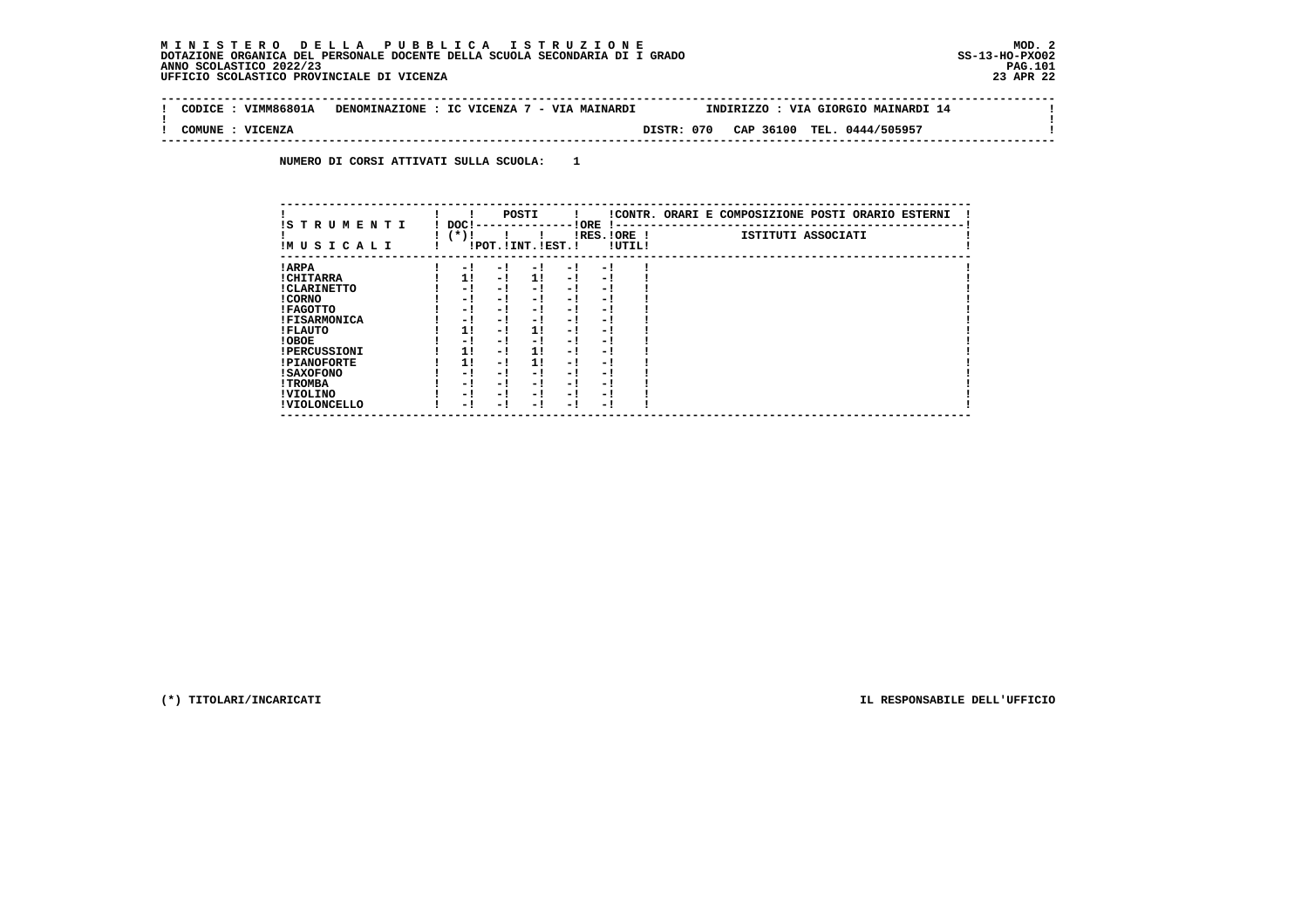$\mathbf{I}$ 

 $\mathbf{I}$ 

 **--------------------------------------------------------------------------------------------------------------------------------Contract ! CODICE : VIMM86801A DENOMINAZIONE : IC VICENZA 7 - VIA MAINARDI INDIRIZZO : VIA GIORGIO MAINARDI 14 ! ! ! ! COMUNE : VICENZA DISTR: 070 CAP 36100 TEL. 0444/505957 ! --------------------------------------------------------------------------------------------------------------------------------**

 **NUMERO DI CORSI ATTIVATI SULLA SCUOLA: 1**

| IS T R U M E N T I  | DOC! |     | POSTI                 |      | ! ORE                    |        | !CONTR. ORARI E COMPOSIZIONE POSTI ORARIO ESTERNI |
|---------------------|------|-----|-----------------------|------|--------------------------|--------|---------------------------------------------------|
| IMUSICALI           | (*)! |     | !POT. ! INT. ! EST. ! |      | -1 - -<br>$IRES.IORE$ !  | !UTIL! | ISTITUTI ASSOCIATI                                |
| ! ARPA              | - 1  | - 1 | - 1                   | - 1  | - !                      |        |                                                   |
| ! CHITARRA          | 11   | - ! | 11                    | - !  | - 1                      |        |                                                   |
| ! CLARINETTO        | - 1  | - ! | - 1                   | - 1  | - 1                      |        |                                                   |
| ! CORNO             | - 1  | - ! | - 1                   | - 1  | - 1                      |        |                                                   |
| ! FAGOTTO           | - 1  | - ! | - 1                   | - 1  | - 1                      |        |                                                   |
| <b>!FISARMONICA</b> | - 1  | - ! | - !                   | - 1  | - 1                      |        |                                                   |
| ! FLAUTO            | 1!   | - ! | 11                    | - !  | - 1                      |        |                                                   |
| ! OBOE              | - 1  | - ! | - 1                   | $-1$ | - 1                      |        |                                                   |
| <b>!PERCUSSIONI</b> | 1!   | - 1 | 11                    | - 1  | - 1                      |        |                                                   |
| <b>!PIANOFORTE</b>  | 1!   | - 1 | 1!                    | - 1  | - 1                      |        |                                                   |
| ! SAXOFONO          | - 1  | - ! | - !                   | - 1  | $\overline{\phantom{0}}$ |        |                                                   |
| ! TROMBA            | - 1  | - ! | - 1                   | - 1  | - 1                      |        |                                                   |
| ! VIOLINO           | - 1  | - 1 | - !                   | $-1$ | - 1                      |        |                                                   |
| ! VIOLONCELLO       | - 1  | - 1 | - 1                   | - '  | - 1                      |        |                                                   |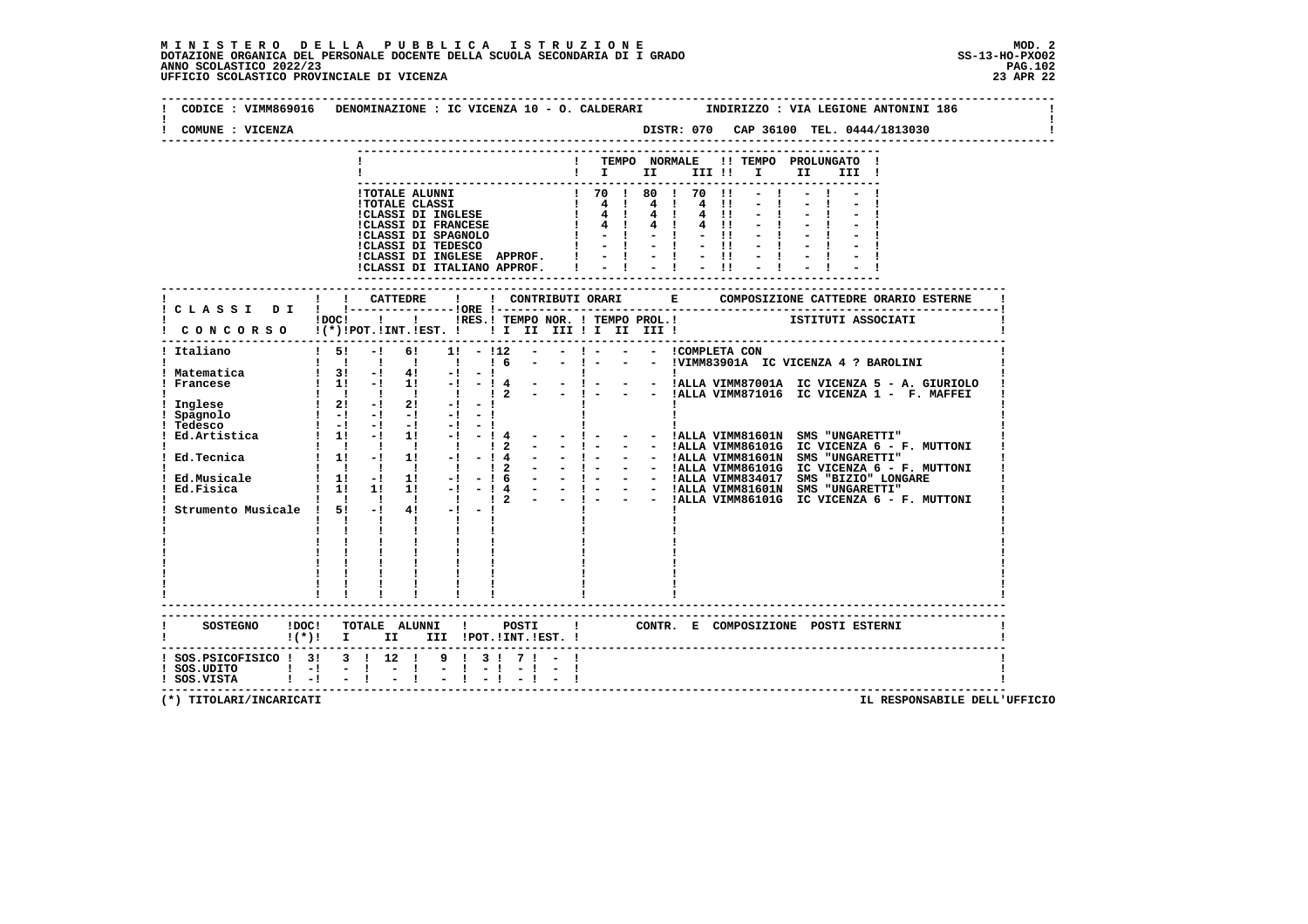| COMUNE : VICENZA                                           | CODICE: VIMM869016 DENOMINAZIONE: IC VICENZA 10 - O. CALDERARI MODIRIZZO: VIA LEGIONE ANTONINI 186                                                                                                                                                                                                                                                                                                                                                                          |
|------------------------------------------------------------|-----------------------------------------------------------------------------------------------------------------------------------------------------------------------------------------------------------------------------------------------------------------------------------------------------------------------------------------------------------------------------------------------------------------------------------------------------------------------------|
|                                                            | ! TEMPO NORMALE !! TEMPO PROLUNGATO !<br>$\blacksquare$                                                                                                                                                                                                                                                                                                                                                                                                                     |
|                                                            | 1 TOTALE ALUNNI<br>1 TOTALE CLASSI<br>1 TOTALE CLASSI<br>1 TOTALE CLASSI<br>1 TOTALE CLASSI<br>1 TOTALE CLASSI<br>1 4 1 4 1 4 1 1 - 1 - 1 - 1<br>1 CLASSI DI FRANCESE<br>1 4 1 4 1 4 1 1 - 1 - 1 - 1<br>1 - 1 - 1 - 1 - 1 - 1 - 1 - 1<br>1 - 1 - 1<br>!CLASSI DI INGLESE APPROF. !<br>$\frac{1}{2}$ $\frac{1}{2}$ $\frac{1}{2}$ $\frac{1}{2}$ $\frac{1}{2}$ $\frac{1}{2}$ $\frac{1}{2}$ $\frac{1}{2}$ $\frac{1}{2}$<br>!CLASSI DI ITALIANO APPROF.                          |
|                                                            | DOCI ! I IRES. I TEMPO NOR. I TEMPO PROL. ! [STITUTI ASSOCIATI                                                                                                                                                                                                                                                                                                                                                                                                              |
|                                                            | ! CONCORSO !(*)!POT.!INT.!EST. !!! II III II III III !!                                                                                                                                                                                                                                                                                                                                                                                                                     |
| ! Italiano                                                 | $1 \quad 51 \quad -1 \quad 61 \quad 11 \quad -112 \quad - \quad - \quad 1 \quad - \quad - \quad 1$ COMPLETA CON<br>- - ! - - - !VIMM83901A IC VICENZA 4 ? BAROLINI<br>1 1 1 1 1 1 1 6                                                                                                                                                                                                                                                                                       |
| ! Matematica<br>! Francese                                 | $1 \quad 3! \quad -! \quad 4! \quad -! \quad -!$<br>! 3! -! 4! -! -! .<br>! 1! -! 1! -! -! 4 - - ! - - - !ALLA VIMM87001A IC VICENZA 5 - A. GIURIOLO<br>$\frac{1}{1}$ $\frac{1}{1}$ $\frac{1}{1}$ $\frac{1}{2}$ $\frac{1}{2}$ $\frac{1}{2}$ $\frac{1}{2}$ $\frac{1}{2}$ $\frac{1}{2}$ $\frac{1}{2}$ $\frac{1}{2}$ $\frac{1}{2}$ $\frac{1}{2}$ $\frac{1}{2}$ $\frac{1}{2}$ $\frac{1}{2}$ $\frac{1}{2}$ $\frac{1}{2}$ $\frac{1}{2}$ $\frac{1}{2}$ $\frac{1}{2}$ $\frac{1}{2}$ |
| ! Inglese<br>! Spagnolo<br>Tedesco                         | $1 \quad 2! \quad -1 \quad 2! \quad -1 \quad -1$<br>$\begin{bmatrix} 1 & -1 & -1 & -1 & -1 & -1 & -1 \end{bmatrix}$<br>$1 - 1 - 1 - 1 - 1 - 1$                                                                                                                                                                                                                                                                                                                              |
|                                                            | ! Ed. Artistica   11 -1 11 -1 -14<br>- - !ALLA VIMM81601N SMS "UNGARETTI"<br>$  1 -$<br>$ -$ ! $ -$ !ALLA VIMM86101G IC VICENZA $6$ - F. MUTTONI<br>$1 \quad 1 \quad 1 \quad 1 \quad 1$<br>$1\,2$                                                                                                                                                                                                                                                                           |
|                                                            | - - !ALLA VIMM86101G IC VICENZA 6 - F. MUTTONI<br>1 1 1 1 1 1 1 2 -                                                                                                                                                                                                                                                                                                                                                                                                         |
| Strumento Musicale ! 5! -!                                 | $4! -1 -1$<br>$\mathbf{I}$ $\mathbf{I}$ $\mathbf{I}$<br><b>The Common</b><br>$1 \quad 1$<br>$\mathbf{I}$<br>$\begin{array}{cccccccccc} 1 & & 1 & & 1 & & 1 & & 1 \\ 1 & & 1 & & 1 & & 1 & & 1 \\ \end{array}$                                                                                                                                                                                                                                                               |
|                                                            | $\begin{array}{cccccccccc} 1 & 1 & 1 & 1 & 1 & 1 \\ 1 & 1 & 1 & 1 & 1 & 1 \\ \end{array}$                                                                                                                                                                                                                                                                                                                                                                                   |
|                                                            | ------------------------<br>! CONTR. E COMPOSIZIONE POSTI ESTERNI<br>!(*)! I II III !POT.!INT.!EST.!                                                                                                                                                                                                                                                                                                                                                                        |
| ! SOS.PSICOFISICO ! 3! 3 ! 12 !<br>$!$ SOS.VISTA $!$ -! -! | 9 1 3 1 7 1 -<br>$-1 - 1$                                                                                                                                                                                                                                                                                                                                                                                                                                                   |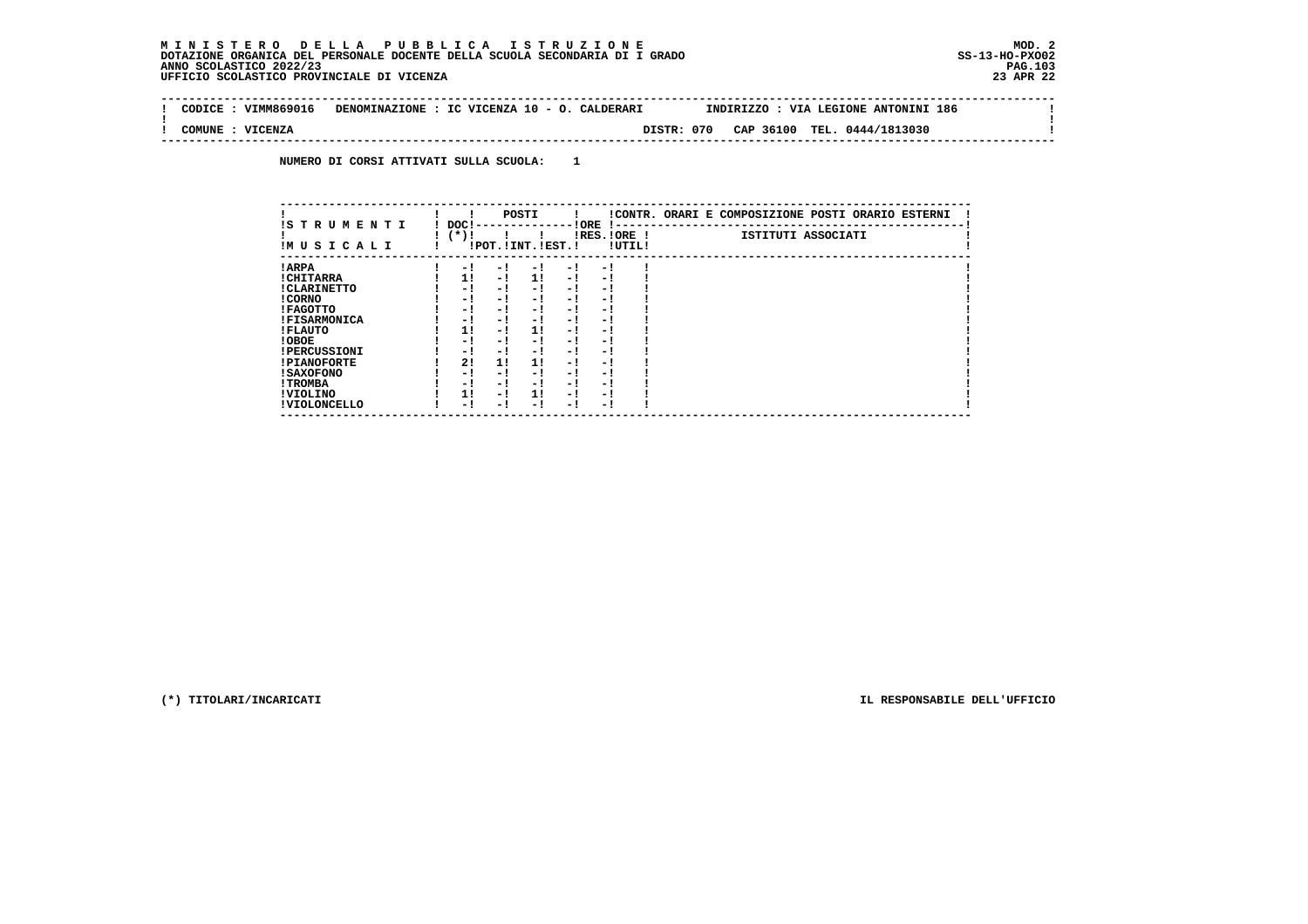$\mathbf{I}$ 

 $\mathbf{I}$ 

 **--------------------------------------------------------------------------------------------------------------------------------Contract District ! CODICE : VIMM869016 DENOMINAZIONE : IC VICENZA 10 - O. CALDERARI INDIRIZZO : VIA LEGIONE ANTONINI 186 ! ! ! ! COMUNE : VICENZA DISTR: 070 CAP 36100 TEL. 0444/1813030 ! --------------------------------------------------------------------------------------------------------------------------------**

 **NUMERO DI CORSI ATTIVATI SULLA SCUOLA: 1**

| IS T R U M E N T I  | DOC! |     | POSTI                 |      | ! ORE<br>.    |        | !CONTR. ORARI E COMPOSIZIONE POSTI ORARIO ESTERNI |
|---------------------|------|-----|-----------------------|------|---------------|--------|---------------------------------------------------|
| IMUSICALI           | (*)! |     | !POT. ! INT. ! EST. ! |      | $IRES.IORE$ ! | !UTIL! | ISTITUTI ASSOCIATI                                |
| ! ARPA              | - 1  | - 1 | - 1                   | - 1  | - 1           |        |                                                   |
| ! CHITARRA          | 11   | - ! | 11                    | - !  | - 1           |        |                                                   |
| ! CLARINETTO        | - 1  | - 1 | - 1                   | - 1  | - 1           |        |                                                   |
| ! CORNO             | - 1  | - 1 | - !                   | - 1  | - 1           |        |                                                   |
| ! FAGOTTO           | - 1  | - 1 | - 1                   | - 1  | - 1           |        |                                                   |
| <b>!FISARMONICA</b> | - 1  | - 1 | - 1                   | - 1  | - 1           |        |                                                   |
| ! FLAUTO            | 1!   | - ! | 1!                    | - 1  | - 1           |        |                                                   |
| ! OBOE              | - 1  | - 1 | - !                   | $-1$ | - 1           |        |                                                   |
| <b>!PERCUSSIONI</b> | - 1  | - 1 | - 1                   | - 1  | - 1           |        |                                                   |
| <b>!PIANOFORTE</b>  | 2!   | 11  | 11                    | - 1  | - 1           |        |                                                   |
| <b>! SAXOFONO</b>   | - 1  | - 1 | - !                   | - 1  | - 1           |        |                                                   |
| ! TROMBA            | - 1  | - 1 | - 1                   | - 1  | - 1           |        |                                                   |
| ! VIOLINO           | 1!   | - 1 | 11                    | $-1$ | - 1           |        |                                                   |
| ! VIOLONCELLO       | - 1  | - ! | - 1                   | - 1  | - 1           |        |                                                   |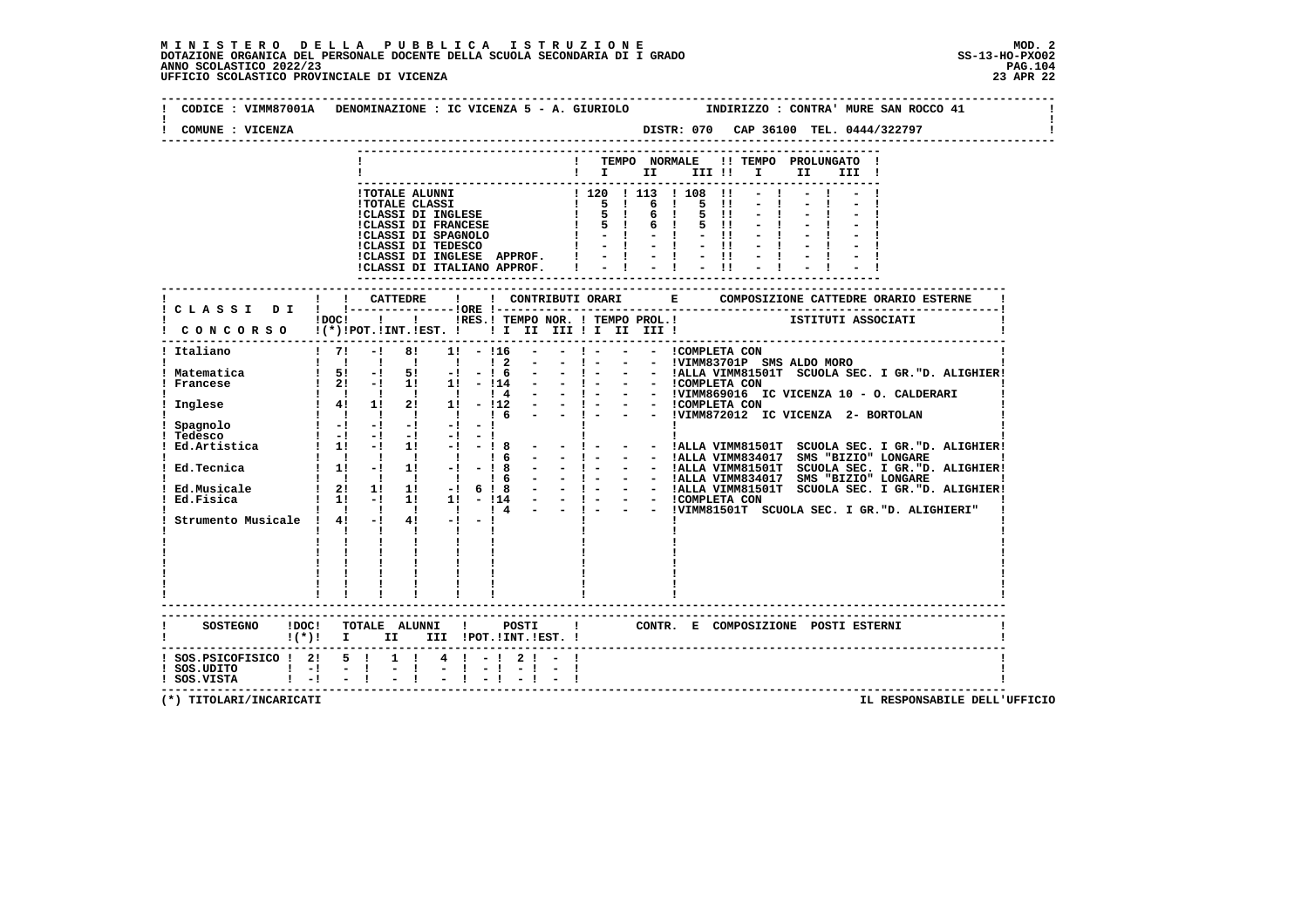| COMUNE : VICENZA                                                                          |                                                                |                                                                                                                                                                                                                                                                           |            |           |                                                                         | ------------------------------           |  |                   |                                                           |                                                                                                          |                                                   | DISTR: 070 CAP 36100 TEL. 0444/322797                   |                                                              |
|-------------------------------------------------------------------------------------------|----------------------------------------------------------------|---------------------------------------------------------------------------------------------------------------------------------------------------------------------------------------------------------------------------------------------------------------------------|------------|-----------|-------------------------------------------------------------------------|------------------------------------------|--|-------------------|-----------------------------------------------------------|----------------------------------------------------------------------------------------------------------|---------------------------------------------------|---------------------------------------------------------|--------------------------------------------------------------|
|                                                                                           |                                                                |                                                                                                                                                                                                                                                                           |            |           |                                                                         |                                          |  |                   |                                                           | $\blacksquare$ $\blacksquare$ $\blacksquare$ $\blacksquare$ $\blacksquare$ $\blacksquare$ $\blacksquare$ | ! TEMPO NORMALE !! TEMPO PROLUNGATO !<br>II III ! |                                                         |                                                              |
|                                                                                           |                                                                | THE SPECIES SET OF THE SPECIES SET OF THE SET OF A SET OF A SET OF A SET OF A SET OF A SET OF A SET OF A SET OF A SET OF A SET OF A SET OF A SET OF A SET OF A SET OF A SET OF A SET OF A SET OF A SET OF A SET OF A SET OF A                                             |            |           |                                                                         | ! 120 ! 113 ! 108 !!<br>$1 - 1 - 1 - 11$ |  | 5<br>$\mathbf{I}$ | $\blacksquare$<br>$\blacksquare$<br>$5 \quad 11$<br>$-11$ | こまにまに出てま、                                                                                                |                                                   |                                                         |                                                              |
|                                                                                           |                                                                |                                                                                                                                                                                                                                                                           |            |           |                                                                         |                                          |  |                   |                                                           |                                                                                                          |                                                   |                                                         |                                                              |
|                                                                                           | $1DOCI$ $1$                                                    |                                                                                                                                                                                                                                                                           |            |           |                                                                         |                                          |  |                   |                                                           |                                                                                                          |                                                   | : IRES. I TEMPO NOR. ! TEMPO PROL. ! [STITUTI ASSOCIATI |                                                              |
| CONCORSO !(*)!POT.!INT.!EST. !! I III III II III !!                                       |                                                                |                                                                                                                                                                                                                                                                           |            |           |                                                                         |                                          |  |                   |                                                           |                                                                                                          |                                                   |                                                         |                                                              |
| $\frac{1}{2}$<br>! Italiano                                                               |                                                                | $-1$ 8!                                                                                                                                                                                                                                                                   | $1! - 116$ | $1\quad2$ | $\sim 100$<br>$\sim 100$                                                | $-1$ $-1$                                |  | - - ICOMPLETA CON |                                                           |                                                                                                          |                                                   |                                                         |                                                              |
| ! Matematica<br>Francese                                                                  |                                                                | $\begin{array}{ccccccccc}\n1 & 51 & -1 & 51 & -1 & -1 & 6 \\ 1 & 21 & -1 & 11 & 11 & -114\n\end{array}$                                                                                                                                                                   |            |           |                                                                         |                                          |  |                   |                                                           |                                                                                                          |                                                   |                                                         | - - ! - - - !ALLA VIMM81501T SCUOLA SEC. I GR. "D. ALIGHIER! |
| ! Inglese                                                                                 |                                                                | $1 \t1 \t1 \t1 \t1 \t1 \t1 \t1 \t1$<br>1 4! 1! 2! 1! - !12<br>1 1 1 1 1 1 1 6                                                                                                                                                                                             |            |           | $\begin{array}{cccccccccccccc} - & & - & & - & & 1 & - & & \end{array}$ |                                          |  |                   |                                                           |                                                                                                          |                                                   | - - !VIMM872012 IC VICENZA 2- BORTOLAN                  |                                                              |
| Spagnolo<br>Tedesco<br>Ed.Artistica                                                       |                                                                | $\mathbf{1}$ and $\mathbf{1}$ and $\mathbf{1}$ and $\mathbf{1}$ and $\mathbf{1}$ and $\mathbf{1}$ and $\mathbf{1}$<br>$\begin{bmatrix} 1 & -1 & -1 & -1 & -1 & -1 \end{bmatrix}$<br>$\frac{1}{2}$ 1: $\frac{1}{2}$ 1: $\frac{1}{2}$ - 1: $\frac{1}{2}$ - 1: $\frac{1}{2}$ |            |           |                                                                         |                                          |  |                   |                                                           |                                                                                                          |                                                   |                                                         | - - !ALLA VIMM81501T SCUOLA SEC. I GR."D. ALIGHIER!          |
| Ed.Tecnica                                                                                |                                                                | 1 1 1 1 1 1 1 6                                                                                                                                                                                                                                                           |            |           | $  1 -$                                                                 |                                          |  |                   |                                                           |                                                                                                          |                                                   | - - !ALLA VIMM834017 SMS "BIZIO" LONGARE                |                                                              |
| Ed.Musicale<br>Ed.Fisica                                                                  |                                                                |                                                                                                                                                                                                                                                                           |            |           |                                                                         |                                          |  |                   |                                                           |                                                                                                          |                                                   |                                                         |                                                              |
| Strumento Musicale ! 4! -!                                                                | $\mathbf{I}$ and $\mathbf{I}$ and $\mathbf{I}$<br>$\mathbf{L}$ | $\mathbf{I}$ and $\mathbf{I}$<br>$\mathbf{I}$ and $\mathbf{I}$                                                                                                                                                                                                            | $4! -1 -1$ |           |                                                                         |                                          |  |                   |                                                           |                                                                                                          |                                                   |                                                         |                                                              |
|                                                                                           |                                                                | ------------------------                                                                                                                                                                                                                                                  |            |           |                                                                         |                                          |  |                   |                                                           |                                                                                                          |                                                   |                                                         |                                                              |
| $!(*)!$ I II III !POT.!INT.!EST. !                                                        |                                                                |                                                                                                                                                                                                                                                                           |            |           |                                                                         |                                          |  |                   |                                                           |                                                                                                          |                                                   |                                                         |                                                              |
| ! SOS.PSICOFISICO ! 2! 5 !<br>$!$ SOS.UDITO $!$ $-!$ $-$ !<br>$!$ SOS.VISTA $!$ $-!$ $ !$ |                                                                | $1 \t1 \t4 \t1 - 1 \t21 - 1$<br>$-1$                                                                                                                                                                                                                                      | $-1 - 1$   |           | $-1 - -1$                                                               |                                          |  |                   |                                                           |                                                                                                          |                                                   |                                                         |                                                              |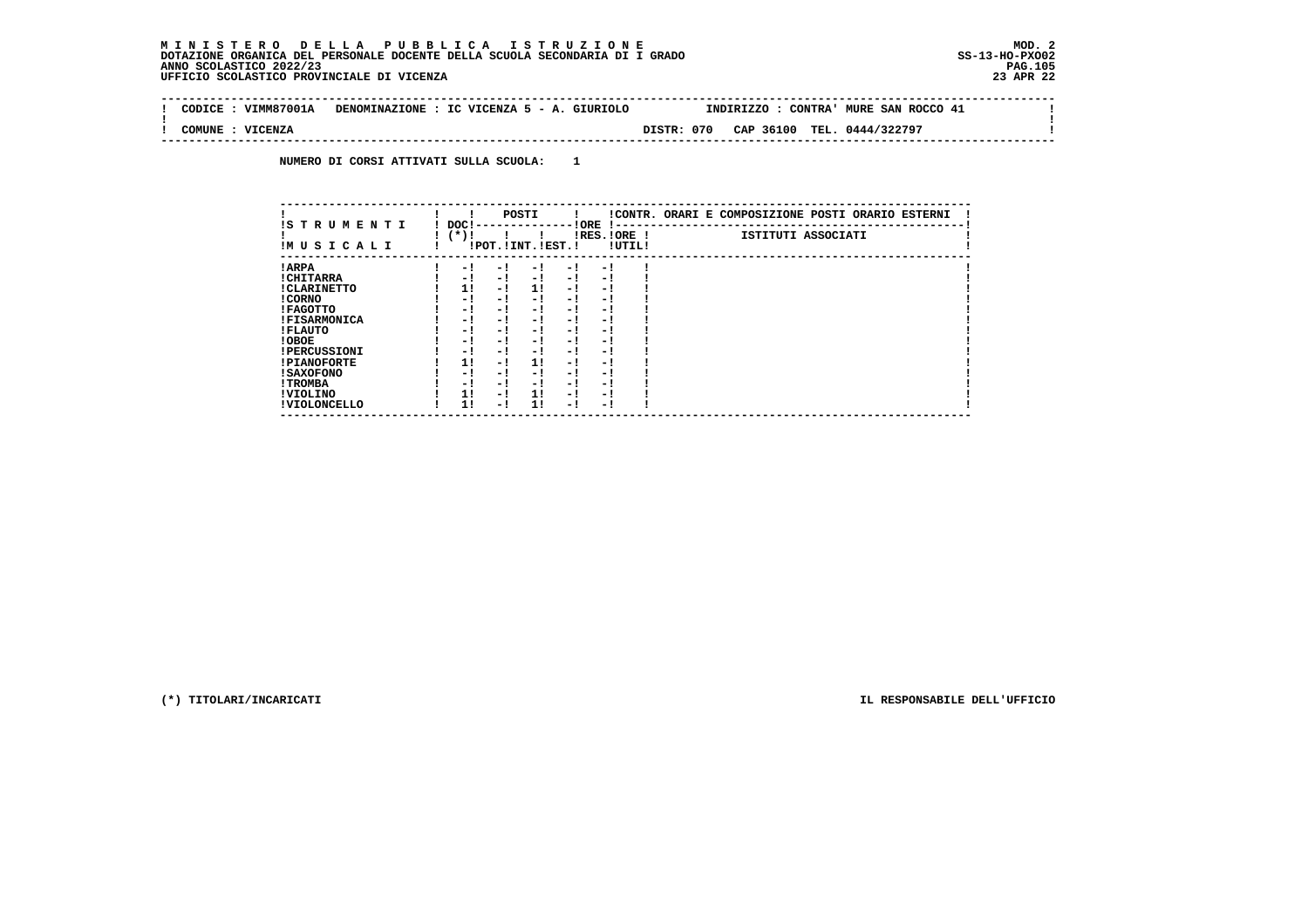$\mathbf{I}$ 

 **--------------------------------------------------------------------------------------------------------------------------------Contract District ! CODICE : VIMM87001A DENOMINAZIONE : IC VICENZA 5 - A. GIURIOLO INDIRIZZO : CONTRA' MURE SAN ROCCO 41 ! ! ! ! COMUNE : VICENZA DISTR: 070 CAP 36100 TEL. 0444/322797 ! --------------------------------------------------------------------------------------------------------------------------------**

 **NUMERO DI CORSI ATTIVATI SULLA SCUOLA: 1**

| IS TRUMENTI         | DOC!   |     | POSTI                 |      | ! ORE<br>$1 - -$         |        | !CONTR. ORARI E COMPOSIZIONE POSTI ORARIO ESTERNI |
|---------------------|--------|-----|-----------------------|------|--------------------------|--------|---------------------------------------------------|
| IMUSICALI           | $(*)!$ |     | !POT. ! INT. ! EST. ! |      | IRES.IORE !              | !UTIL! | ISTITUTI ASSOCIATI                                |
| ! ARPA              | - 1    | - ! | - 1                   | - 1  | - 1                      |        |                                                   |
| ! CHITARRA          | - 1    | - ! | $-1$                  | $-1$ | - 1                      |        |                                                   |
| ! CLARINETTO        | 1!     | - 1 | 11                    | - !  | - 1                      |        |                                                   |
| ! CORNO             | - 1    | - ! | - 1                   | $-1$ | - 1                      |        |                                                   |
| ! FAGOTTO           | - 1    | - ! | - 1                   | - 1  | - 1                      |        |                                                   |
| <b>!FISARMONICA</b> | - 1    | - ! | - 1                   | - 1  | - 1                      |        |                                                   |
| ! FLAUTO            | - 1    | - ! | - 1                   | - 1  | - 1                      |        |                                                   |
| ! OBOE              | - 1    | - ! | - 1                   | - 1  | - 1                      |        |                                                   |
| <b>!PERCUSSIONI</b> | - 1    | - ! | - !                   | - 1  | - 1                      |        |                                                   |
| <b>!PIANOFORTE</b>  | 1!     | - ! | 1!                    | - 1  | - 1                      |        |                                                   |
| ! SAXOFONO          | - 1    | - 1 | - !                   | - 1  | $\overline{\phantom{0}}$ |        |                                                   |
| ! TROMBA            | - 1    | - 1 | - !                   | - 1  | - 1                      |        |                                                   |
| ! VIOLINO           | 1!     | - ! | 11                    | $-1$ | - 1                      |        |                                                   |
| ! VIOLONCELLO       | 1!     | - 1 | 11                    | - 1  | - 1                      |        |                                                   |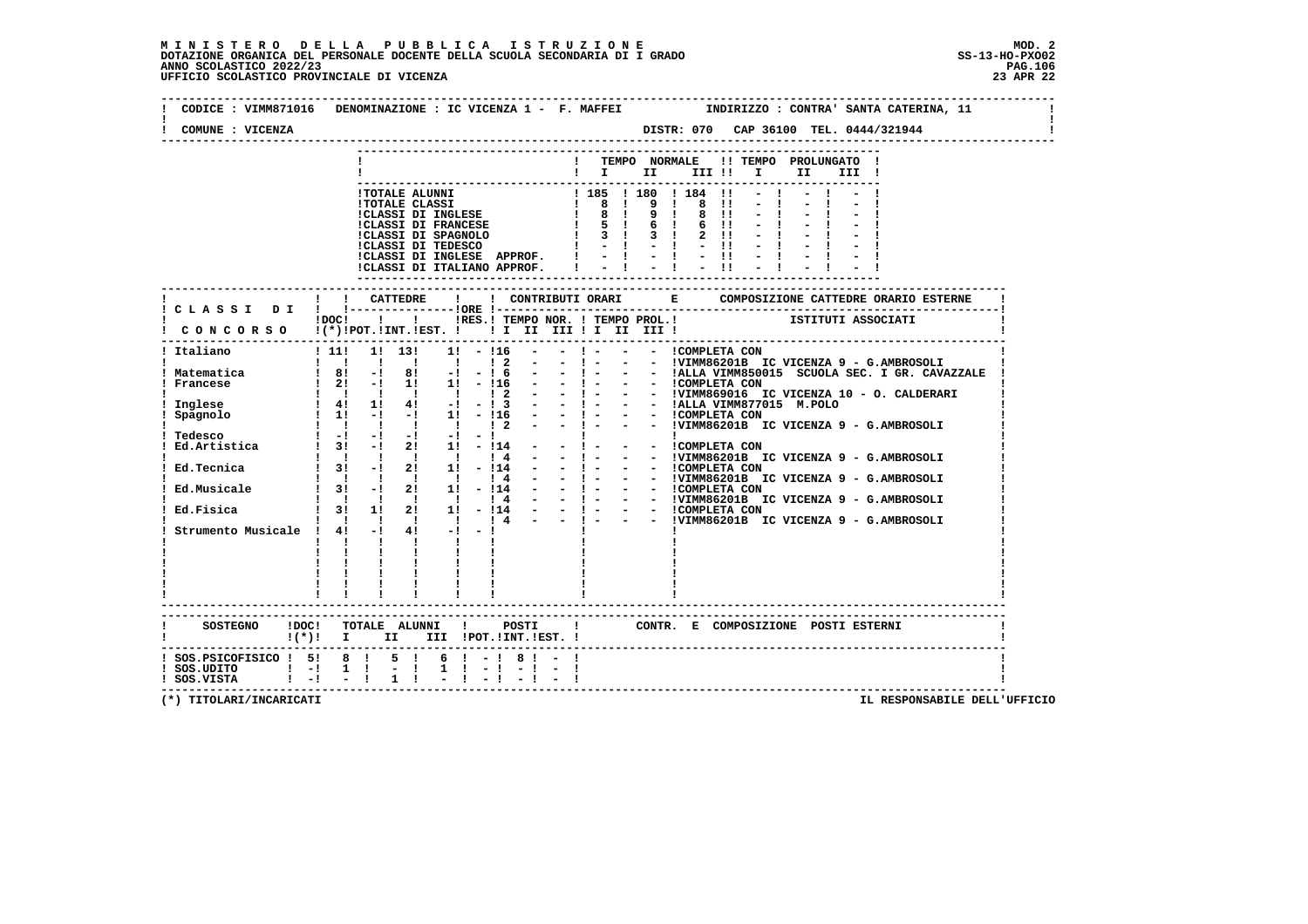# **M I N I S T E R O D E L L A P U B B L I C A I S T R U Z I O N E MOD. 2**DOTAZIONE ORGANICA DEL PERSONALE DOCENTE DELLA SCUOLA SECONDARIA DI I GRADO **SCOLASTICO SCOLASTICO 2022/23 PAG.106**<br>PAGO SCOLASTICO 2022/23 PAG.106<br>23 JPE 22 UFFICIO SCOLASTICO PROVINCIALE DI VICENZA

| COMUNE : VICENZA                                                                                                          |                           |                                                                                                                                                                                                                                                                                                                                                |              |                |                  |                                                                                                                                                                                                                                                                                                           |  |  |  |                                                                                                                                                                                                                                    |  |
|---------------------------------------------------------------------------------------------------------------------------|---------------------------|------------------------------------------------------------------------------------------------------------------------------------------------------------------------------------------------------------------------------------------------------------------------------------------------------------------------------------------------|--------------|----------------|------------------|-----------------------------------------------------------------------------------------------------------------------------------------------------------------------------------------------------------------------------------------------------------------------------------------------------------|--|--|--|------------------------------------------------------------------------------------------------------------------------------------------------------------------------------------------------------------------------------------|--|
|                                                                                                                           |                           |                                                                                                                                                                                                                                                                                                                                                |              |                |                  | ! TEMPO NORMALE !! TEMPO PROLUNGATO !<br>$\blacksquare$                                                                                                                                                                                                                                                   |  |  |  |                                                                                                                                                                                                                                    |  |
|                                                                                                                           |                           | 1 TOTALE ALUNNI<br>1 TOTALE CLASSI DI RACESE   1 185   186   184    -   -   -  <br>1 185   186   184    -   -   -  <br>1 2   8    -   -   -  <br>1 2    -   -   -  <br>1 2    -   -   -   -  <br>1 CLASSI DI FRAGESE   5   6    -   -   -<br>CLASSI DI INGLESE APPROF. $1 - 1 - 1 - 11 - 1$<br>ICLASSI DI INGLESE APPROF. $1 - 1 - 1 - 11 - 1$ |              |                |                  |                                                                                                                                                                                                                                                                                                           |  |  |  |                                                                                                                                                                                                                                    |  |
| ! CLASSI DI ! !------                                                                                                     |                           | ! CATTEDRE<br>---------!ORE !---<br>iDOCI ! I IRES. I TEMPO NOR. I TEMPO PROL. ! [STITUTI ASSOCIATI                                                                                                                                                                                                                                            | $\mathbf{I}$ |                |                  |                                                                                                                                                                                                                                                                                                           |  |  |  |                                                                                                                                                                                                                                    |  |
| CONCORSO !(*)!POT.!INT.!EST. ! ! I III III II III III                                                                     |                           |                                                                                                                                                                                                                                                                                                                                                |              |                |                  |                                                                                                                                                                                                                                                                                                           |  |  |  |                                                                                                                                                                                                                                    |  |
| ! Italiano                                                                                                                |                           | -----------------------------------<br>! 11! 1! 13! 1! - !16                                                                                                                                                                                                                                                                                   |              |                |                  | $-!$ $   !$ COMPLETA CON                                                                                                                                                                                                                                                                                  |  |  |  |                                                                                                                                                                                                                                    |  |
| ! Matematica<br>Francese                                                                                                  |                           | 1 1 1 1 1 1 1 2<br>$\begin{array}{ccccccccc}\n & 1 & 8 & -1 & 8 & -1 & -1 & 6 \\  & 2 & -1 & 1 & 1 & 1 & -116\n\end{array}$                                                                                                                                                                                                                    |              |                | $\sim$ 100 $\mu$ |                                                                                                                                                                                                                                                                                                           |  |  |  | - !- - - !VIMM86201B IC VICENZA 9 - G.AMBROSOLI<br>- !- - - !ALLA VIMM850015 SCUOLA SEC. I GR. CAVAZZALE                                                                                                                           |  |
| Inglese<br>Spagnolo                                                                                                       |                           | $1 \t4! \t1! \t4! \t-1 \t13$                                                                                                                                                                                                                                                                                                                   |              |                |                  |                                                                                                                                                                                                                                                                                                           |  |  |  | 1 21 - 1 1 1 - 11 6 - 1 - - 1 - - 1 COMPLETA CON<br>1 1 - 11 1 - 11 - 11 - 12 - - 1 - - 1 VIMM869016 IC VICENZA 10 - 0. CALDERARI<br>1 1 - 1 1 - 1 3 - - 1 - - 1 - - 1 - 1 1 - 11 - 11 - 11 - 11 - 11 - 11 - 11 - 11 - 11 - 11 - 1 |  |
| Tedesco<br>Ed.Artistica                                                                                                   |                           | $\mathbf{I} = \mathbf{I}$ and $\mathbf{I} = \mathbf{I}$ and $\mathbf{I} = \mathbf{I}$ and $\mathbf{I} = \mathbf{I}$ and $\mathbf{I} = \mathbf{I}$<br>$1 \quad 3! \quad -1 \quad 2! \quad 1! \quad -114 \quad -$                                                                                                                                |              |                |                  | $\frac{1}{2}$ = $\frac{1}{2}$ = $\frac{1}{2}$ = $\frac{1}{2}$ = $\frac{1}{2}$ = $\frac{1}{2}$ = $\frac{1}{2}$ = $\frac{1}{2}$ = $\frac{1}{2}$ = $\frac{1}{2}$ = $\frac{1}{2}$ = $\frac{1}{2}$ = $\frac{1}{2}$ = $\frac{1}{2}$ = $\frac{1}{2}$ = $\frac{1}{2}$ = $\frac{1}{2}$ = $\frac{1}{2}$ = $\frac{1$ |  |  |  | - ! - - - !VIMM86201B IC VICENZA 9 - G.AMBROSOLI                                                                                                                                                                                   |  |
| Ed.Tecnica<br>Ed. Musicale 1 31 -1 21 11 -114                                                                             |                           | $\frac{1}{1}$ $\frac{1}{31}$ $\frac{1}{-1}$ $\frac{1}{21}$ $\frac{1}{11}$ $\frac{4}{-1}$ $\frac{3}{11}$ $\frac{1}{-1}$ $\frac{1}{21}$ $\frac{1}{11}$ $\frac{1}{-1}$ $\frac{1}{11}$ $\frac{1}{-1}$ $\frac{1}{-1}$ $\frac{1}{-1}$ $\frac{1}{-1}$ $\frac{1}{-1}$ $\frac{1}{-1}$ $\frac{1}{-1}$ $\frac{1}{-1}$ $\$                                 |              |                |                  |                                                                                                                                                                                                                                                                                                           |  |  |  |                                                                                                                                                                                                                                    |  |
|                                                                                                                           |                           |                                                                                                                                                                                                                                                                                                                                                |              |                |                  |                                                                                                                                                                                                                                                                                                           |  |  |  |                                                                                                                                                                                                                                    |  |
| Ed.Fisica<br>Strumento Musicale ! 4! -!                                                                                   | $\mathbf{1}$ $\mathbf{1}$ | $\mathbf{1}$ and $\mathbf{1}$                                                                                                                                                                                                                                                                                                                  |              |                |                  |                                                                                                                                                                                                                                                                                                           |  |  |  |                                                                                                                                                                                                                                    |  |
|                                                                                                                           |                           | $\mathbf{I}$ and $\mathbf{I}$                                                                                                                                                                                                                                                                                                                  |              |                |                  |                                                                                                                                                                                                                                                                                                           |  |  |  |                                                                                                                                                                                                                                    |  |
| SOSTEGNO !DOC! TOTALE ALUNNI ! POSTI ! CONTR. E COMPOSIZIONE POSTI ESTERNI                                                |                           | -------------------------                                                                                                                                                                                                                                                                                                                      |              |                |                  |                                                                                                                                                                                                                                                                                                           |  |  |  |                                                                                                                                                                                                                                    |  |
| ! (*)! I II III !POT.!INT.!EST.!<br>! SOS.PSICOFISICO ! 5! 8 ! 5 !<br>$!$ SOS.UDITO $!$ -! 1!<br>$!$ SOS.VISTA $!$ -! -!! |                           |                                                                                                                                                                                                                                                                                                                                                | $1 \t1 - 1$  | $6! - 18! - 1$ |                  |                                                                                                                                                                                                                                                                                                           |  |  |  |                                                                                                                                                                                                                                    |  |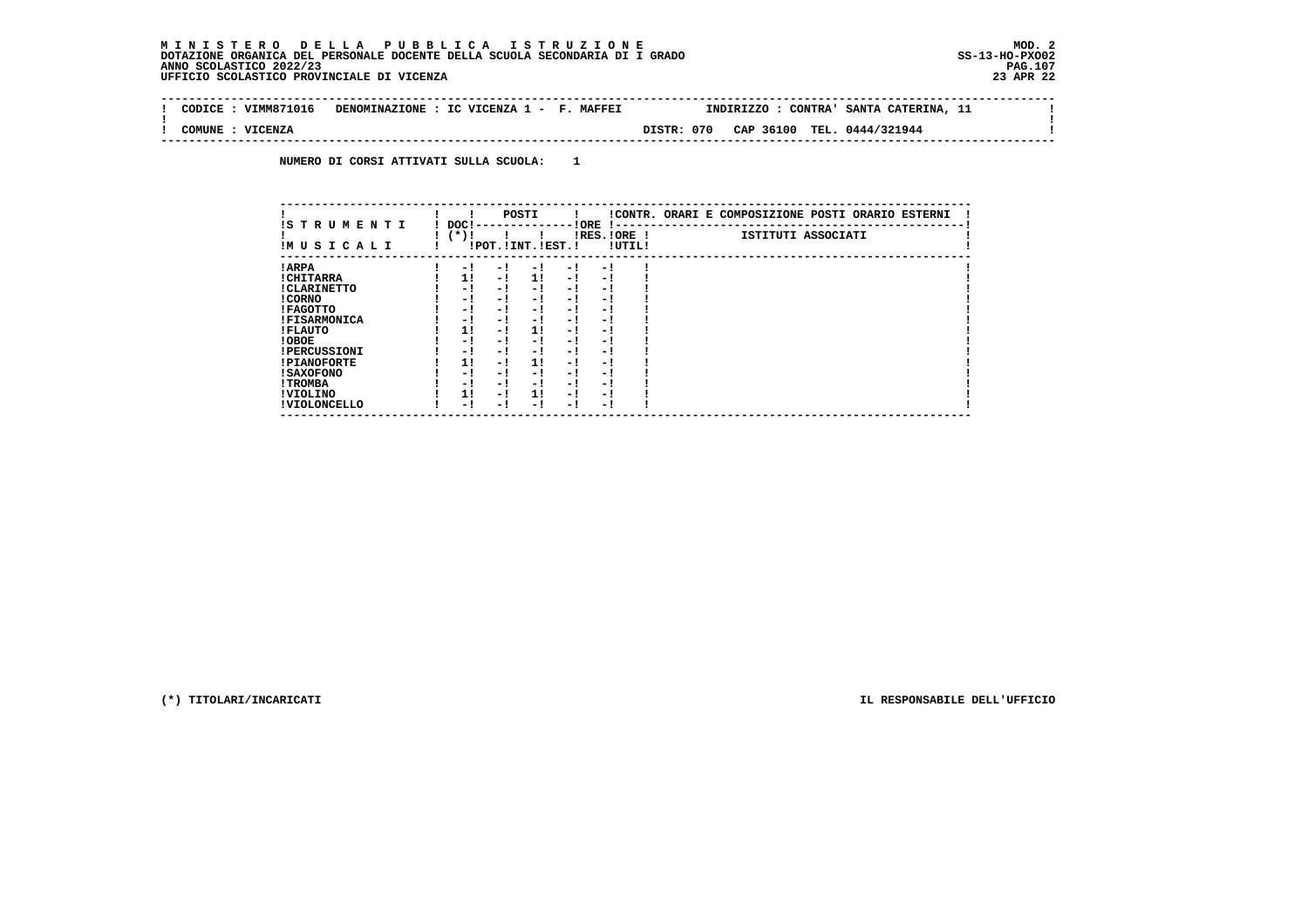$\mathbf{I}$ 

 **--------------------------------------------------------------------------------------------------------------------------------Contract Contract ! CODICE : VIMM871016 DENOMINAZIONE : IC VICENZA 1 - F. MAFFEI INDIRIZZO : CONTRA' SANTA CATERINA, 11 ! ! ! ! COMUNE : VICENZA DISTR: 070 CAP 36100 TEL. 0444/321944 ! --------------------------------------------------------------------------------------------------------------------------------**

 **NUMERO DI CORSI ATTIVATI SULLA SCUOLA: 1**

| IS T R U M E N T I  | DOC! |     | POSTI                 |     | ! ORE                    |        | !CONTR. ORARI E COMPOSIZIONE POSTI ORARIO ESTERNI |
|---------------------|------|-----|-----------------------|-----|--------------------------|--------|---------------------------------------------------|
| IMUSICALI           | (*)! |     | !POT. ! INT. ! EST. ! |     | -1 - -<br>$IRES.IORE$ !  | !UTIL! | ISTITUTI ASSOCIATI                                |
| ! ARPA              | - 1  | - 1 | - 1                   | - 1 | - !                      |        |                                                   |
| ! CHITARRA          | 11   | - ! | 11                    | - ! | - 1                      |        |                                                   |
| ! CLARINETTO        | - 1  | - ! | - 1                   | - 1 | - 1                      |        |                                                   |
| ! CORNO             | - 1  | - ! | - 1                   | - 1 | - 1                      |        |                                                   |
| ! FAGOTTO           | - 1  | - ! | - 1                   | - 1 | - 1                      |        |                                                   |
| <b>!FISARMONICA</b> | - 1  | - ! | - !                   | - 1 | - 1                      |        |                                                   |
| ! FLAUTO            | 1!   | - ! | 11                    | - ! | - 1                      |        |                                                   |
| ! OBOE              | - 1  | - ! | - 1                   | - 1 | - 1                      |        |                                                   |
| <b>!PERCUSSIONI</b> | - 1  | - 1 | - 1                   | - 1 | - 1                      |        |                                                   |
| <b>!PIANOFORTE</b>  | 1!   | - 1 | 1!                    | - 1 | - 1                      |        |                                                   |
| ! SAXOFONO          | - 1  | - ! | - !                   | - 1 | $\overline{\phantom{0}}$ |        |                                                   |
| ! TROMBA            | - 1  | - ! | - !                   | - 1 | - 1                      |        |                                                   |
| ! VIOLINO           | 1!   | - 1 | 11                    | - 1 | - 1                      |        |                                                   |
| ! VIOLONCELLO       | - 1  | - 1 | - 1                   | - ! | - 1                      |        |                                                   |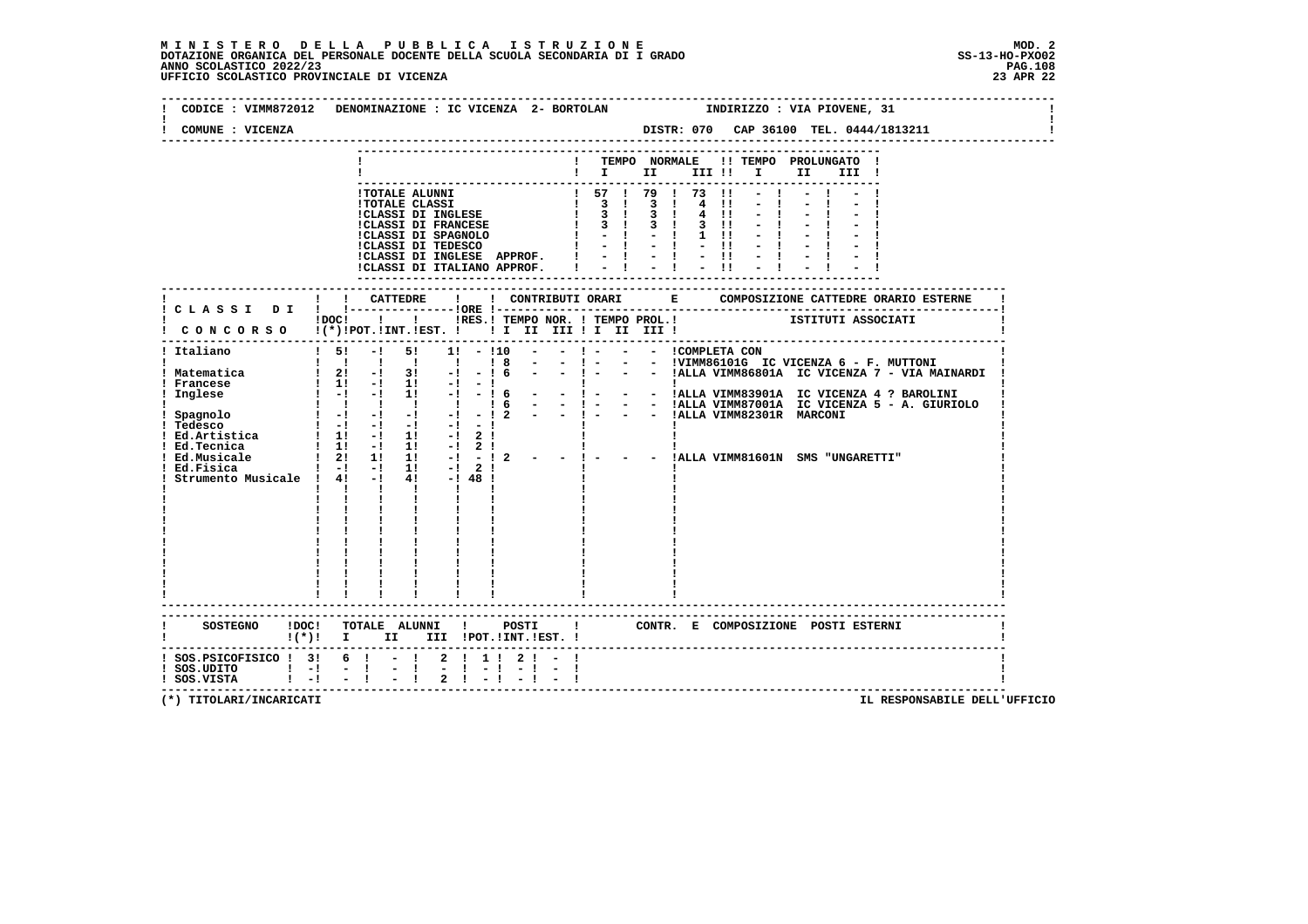# **M I N I S T E R O D E L L A P U B B L I C A I S T R U Z I O N E MOD. 2**DOTAZIONE ORGANICA DEL PERSONALE DOCENTE DELLA SCUOLA SECONDARIA DI I GRADO **SCOLASTICO SCOLASTICO 2022/23 PAG-**<br>PAGO SCOLASTICO 2022/23 PAG.108<br>UFFICIO SCOLASTICO PROVINCIALE DI VICENZA

| CODICE: VIMM872012                                                                               | DENOMINAZIONE : IC VICENZA 2- BORTOLAN<br>INDIRIZZO : VIA PIOVENE, 31                                                                                                                                                                                                                                                                                                                                                                                                                            |
|--------------------------------------------------------------------------------------------------|--------------------------------------------------------------------------------------------------------------------------------------------------------------------------------------------------------------------------------------------------------------------------------------------------------------------------------------------------------------------------------------------------------------------------------------------------------------------------------------------------|
| COMUNE : VICENZA                                                                                 | DISTR: 070 CAP 36100 TEL. 0444/1813211                                                                                                                                                                                                                                                                                                                                                                                                                                                           |
|                                                                                                  | ! TEMPO NORMALE<br>!! TEMPO PROLUNGATO !<br>$\mathbf{I}$ is the set of $\mathbf{I}$ is the set of $\mathbf{I}$<br>II D<br>III !                                                                                                                                                                                                                                                                                                                                                                  |
|                                                                                                  | 1 TOTALE ALUNNI<br>1 TOTALE CLASSI DI INGLESE $\begin{array}{cccccccccccccccccccccccccccccccccccccc} 1 & 57 & 1 & 79 & 1 & 73 & 11 \\ 1707\text{ALS} & \text{CLASSI} & \text{DI} & \text{FANCESE} & & & & 1 & 3 & 1 & 3 & 1 & 4 & 11 \\ 1 & 3 & 1 & 3 & 1 & 3 & 1 & 4 & 11 & 11 \\ 1 & 3 & 1 & 3 & 1 & 3 & 1 & 4 & 11 & 11 \\ 1 & 3 & 1 & 3 &$<br>4 11<br>!CLASSI DI INGLESE APPROF. !<br>$= 1 - 1 - 1$<br>!CLASSI DI ITALIANO APPROF.                                                           |
|                                                                                                  |                                                                                                                                                                                                                                                                                                                                                                                                                                                                                                  |
|                                                                                                  | !DOC! ! ! !RES.! TEMPO NOR. ! TEMPO PROL.! [STITUTI ASSOCIATI<br>CONCORSO !(*)!POT.!INT.!EST. ! ! I III III ! II III !                                                                                                                                                                                                                                                                                                                                                                           |
| ! Italiano<br>! Matematica<br>! Francese<br>Inglese<br>! Ed.Fisica<br>Strumento Musicale ! 4! -! | $\frac{1}{5!}$<br>$-1$ 51<br>$1! - 110$<br>$\frac{1}{8}$<br>$     1$ ALLA VIMM87001A IC VICENZA 5 - A. GIURIOLO<br>$\begin{array}{cccccccccccccc} & & & & 1 & & 1 & & 1 & & 1 & & 1 \end{array}$<br>$\frac{1}{6}$<br>$     1$ ALLA VIMM82301R MARCONI<br>$-12$<br>- ! - - - 'ALLA VIMM81601N SMS "UNGARETTI"<br>$1 - 1 - 1$ 1: $-1$ 2!<br>$-1$ $48$ $1$<br>$1 - 1 - 1 - 1 - 1$<br>$\mathbf{1}$ $\mathbf{1}$ $\mathbf{1}$ $\mathbf{1}$<br>$\begin{array}{cc} 1 & 1 \\ 1 & 1 \\ 1 & 1 \end{array}$ |
| SOSTEGNO ! DOC!                                                                                  | TOTALE ALUNNI !<br>POSTI<br>$\mathbf{I}$<br>CONTR. E COMPOSIZIONE POSTI_ESTERNI<br>!(*)! I II III !POT.!INT.!EST.!                                                                                                                                                                                                                                                                                                                                                                               |
| $!$ SOS.PSICOFISICO $!$ 3! 6 ! - !<br>$!$ SOS.UDITO $!$ -!<br>$!$ SOS.VISTA $!$ $-!$             | 2 1 1 1 2 1 - 1<br>$\frac{1}{2}$<br>$-1$<br>$-1 - 1$<br>$-1$                                                                                                                                                                                                                                                                                                                                                                                                                                     |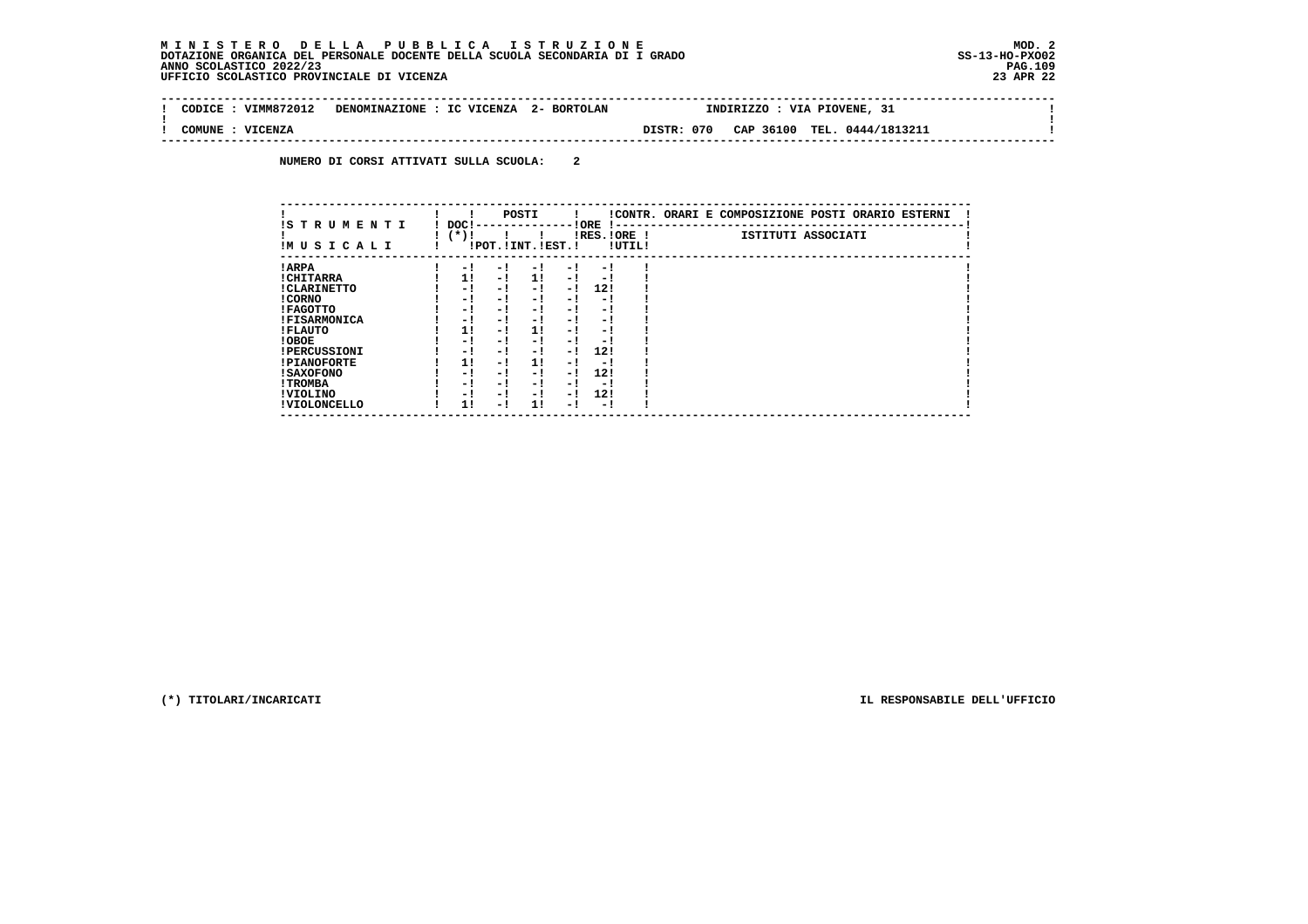$\sim$  100  $\pm$ 

 $\mathbf{I}$ 

 $\mathbf{I}$ 

| VIMM872012<br>CODICE | DENOMINAZIONE : IC VICENZA<br>2- BORTOLAN | -31<br>INDIRIZZO : VIA PIOVENE,              |  |
|----------------------|-------------------------------------------|----------------------------------------------|--|
| VICENZA<br>COMUNE    |                                           | TEL. 0444/1813211<br>DISTR: 070<br>CAP 36100 |  |

 **NUMERO DI CORSI ATTIVATI SULLA SCUOLA: 2**

|                          |                |     | POSTI                 |      |                        |        | !CONTR. ORARI E COMPOSIZIONE POSTI ORARIO ESTERNI |
|--------------------------|----------------|-----|-----------------------|------|------------------------|--------|---------------------------------------------------|
| IS TRUMENTI<br>IMUSICALI | DOC!<br>$(*)!$ |     | !POT. ! INT. ! EST. ! |      | ! ORE<br>$IRES.IORE$ ! | !UTIL! | ISTITUTI ASSOCIATI                                |
| ! ARPA                   | - 1            | - 1 | - 1                   | $-1$ | - 1                    |        |                                                   |
| ! CHITARRA               | 11             | - ! | 11                    | $-1$ | - 1                    |        |                                                   |
| ! CLARINETTO             | - 1            | - ! | - 1                   | - 1  | 12!                    |        |                                                   |
| ! CORNO                  | - !            | - ! | - 1                   | - !  | - 1                    |        |                                                   |
| ! FAGOTTO                | - 1            | - ! | - 1                   | $-1$ | - 1                    |        |                                                   |
| <b>!FISARMONICA</b>      | - 1            | - 1 | - 1                   | - 1  | - 1                    |        |                                                   |
| ! FLAUTO                 | 11             | - ! | 1!                    | - !  | - 1                    |        |                                                   |
| ! OBOE                   | - 1            | - ! | - 1                   | $-1$ | - 1                    |        |                                                   |
| <b>!PERCUSSIONI</b>      | - 1            | - 1 | - 1                   | - 1  | 12!                    |        |                                                   |
| <b>!PIANOFORTE</b>       | 1!             | - ! | 11                    | - !  | - !                    |        |                                                   |
| ! SAXOFONO               | - 1            | - ! | - 1                   | - !  | 12!                    |        |                                                   |
| ! TROMBA                 | - 1            | - ! | - 1                   | - 1  | - 1                    |        |                                                   |
| ! VIOLINO                | - 1            | - ! | - 1                   | $-1$ | 12!                    |        |                                                   |
| ! VIOLONCELLO            | 11             | - 1 | 11                    | - 1  | - 1                    |        |                                                   |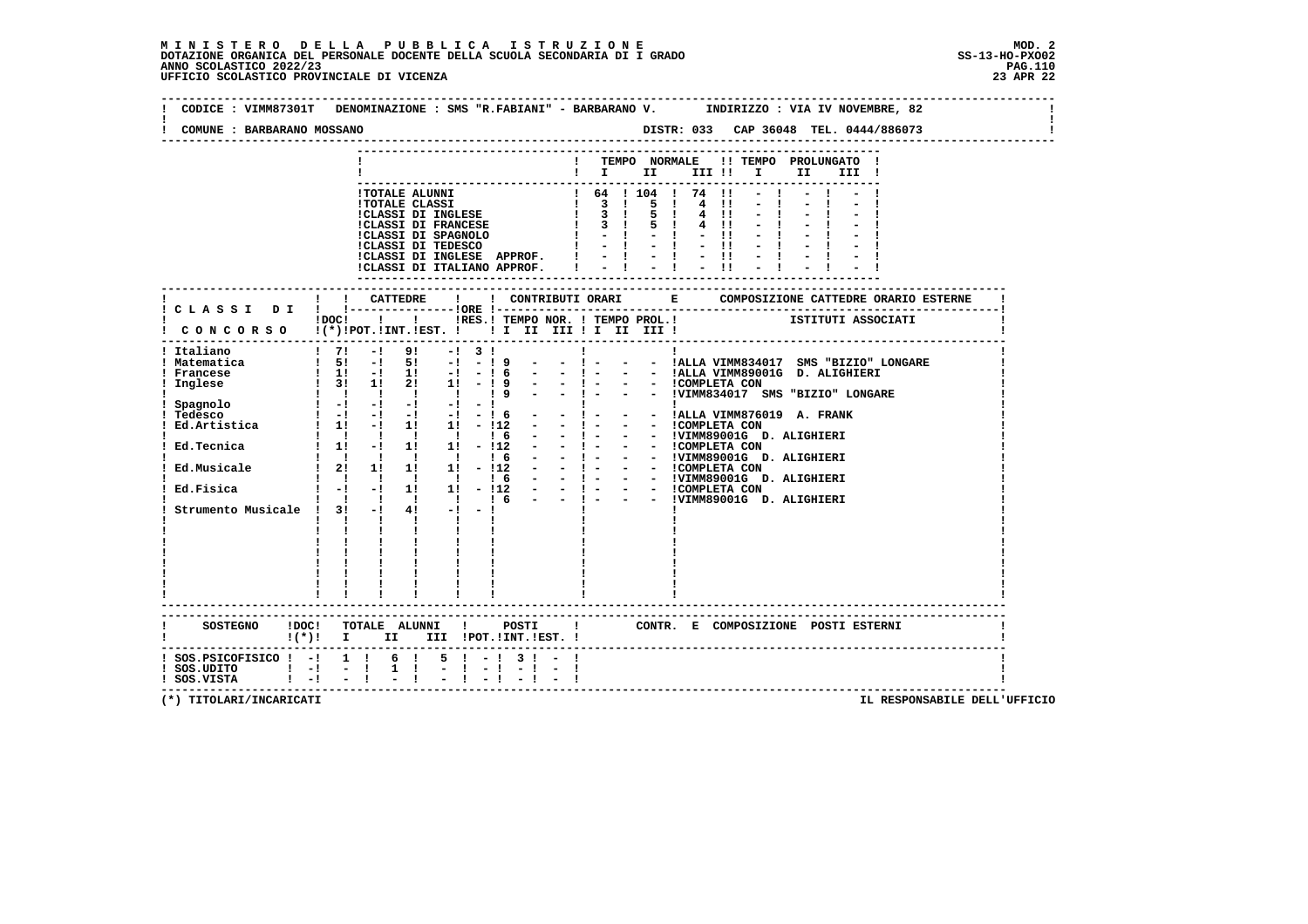**--------------------------------------------------------------------------------------------------------------------------------Contract Contract ! CODICE : VIMM87301T DENOMINAZIONE : SMS "R.FABIANI" - BARBARANO V. INDIRIZZO : VIA IV NOVEMBRE, 82 ! ! !** $\mathbf{I}$  **! COMUNE : BARBARANO MOSSANO DISTR: 033 CAP 36048 TEL. 0444/886073 ! -------------------------------------------------------------------------------------------------------------------------------- --------------------------------------------------------------------------- ! ! TEMPO NORMALE !! TEMPO PROLUNGATO ! ! ! I II III !! I II III ! --------------------------------------------------------------------------- !TOTALE ALUNNI ! 64 ! 104 ! 74 !! - ! - ! - ! !TOTALE CLASSI ! 3 ! 5 ! 4 !! - ! - ! - ! !CLASSI DI INGLESE ! 3 ! 5 ! 4 !! - ! - ! - ! !CLASSI DI FRANCESE ! 3 ! 5 ! 4 !! - ! - ! - ! !CLASSI DI SPAGNOLO ! - ! - ! - !! - ! - ! - ! !CLASSI DI TEDESCO ! - ! - ! - !! - ! - ! - ! !CLASSI DI INGLESE APPROF. ! - ! - ! - !! - ! - ! - ! !CLASSI DI ITALIANO APPROF. ! - ! - ! - !! - ! - ! - ! --------------------------------------------------------------------------- ------------------------------------------------------------------------------------------------------------------------- ! ! ! CATTEDRE ! ! CONTRIBUTI ORARI E COMPOSIZIONE CATTEDRE ORARIO ESTERNE ! ! C L A S S I D I ! !---------------!ORE !------------------------------------------------------------------------! 1000! !** IRES. ! TEMPO NOR. ! TEMPO PROL. ! [STITUTI ASSOCIATI  **! C O N C O R S O !(\*)!POT.!INT.!EST. ! ! I II III ! I II III ! ! ------------------------------------------------------------------------------------------------------------------------- ! Italiano ! 7! -! 9! -! 3 ! ! ! ! ! Matematica ! 5! -! 5! -! - ! 9 - - ! - - - !ALLA VIMM834017 SMS "BIZIO" LONGARE ! ! Francese ! 1! -! 1! -! - ! 6 - - ! - - - !ALLA VIMM89001G D. ALIGHIERI ! ! Inglese ! 3! 1! 2! 1! - ! 9 - - ! - - - !COMPLETA CON ! ! ! ! ! ! ! ! 9 - - ! - - - !VIMM834017 SMS "BIZIO" LONGARE ! ! Spagnolo ! -! -! -! -! - ! ! ! ! ! Tedesco ! -! -! -! -! - ! 6 - - ! - - - !ALLA VIMM876019 A. FRANK ! ! Ed.Artistica ! 1! -! 1! 1! - !12 - - ! - - - !COMPLETA CON ! ! ! ! ! ! ! ! 6 - - ! - - - !VIMM89001G D. ALIGHIERI ! ! Ed.Tecnica ! 1! -! 1! 1! - !12 - - ! - - - !COMPLETA CON !! ! ! ! ! ! ! ! 6 - - ! - - !VIMM89001G D. ALIGHIERI !! ! ! ! ! ! : 6 - - ! - - - !VIMM89001G D. ALIGHIERI !!**<br>| Ed.Musicale ! ! ! !! 1! 1! 112 - - ! - - - !COMPLETA CON .<br>| ! !!! !!! ! ! ! 6 - - ! - - !VIMM89001G D. ALI **Ed.Fisica ! -! -! 1! 1! -!12 - - ! - - !COMPLETA CON !<br>! ! ! ! ! ! ! 6 - - ! - - !VIMM89001G D. ALIGHIERI !!<br>! Strumento Musicale ! 3! -! 4! -! -! !! !! !!<br>! ! ! ! ! ! ! ! ! ! ! ! ! ! ! ! ! ! ! ! ! ! ! ! ! ! ! ! ! ! ! ! ! ! ! ! ! ! ! ! ! ! ! ! ! ! ! ! ! ! ! ! ! ! ! ! ! ! ! ! ! ! ! ! ! ! ! ! ! ! ! ------------------------------------------------------------------------------------------------------------------------- ------------------------------------------------------------------------------------------------------------------------- ! SOSTEGNO !DOC! TOTALE ALUNNI ! POSTI ! CONTR. E COMPOSIZIONE POSTI ESTERNI ! ! !(\*)! I II III !POT.!INT.!EST. ! ! ------------------------------------------------------------------------------------------------------------------------- ! SOS.PSICOFISICO ! -! 1 ! 6 ! 5 ! - ! 3 ! - ! !**- 1  **! SOS.UDITO ! -! - ! 1 ! - ! - ! - ! - ! ! ! SOS.VISTA ! -! - ! - ! - ! - ! - ! - ! !**- 1  **-------------------------------------------------------------------------------------------------------------------------**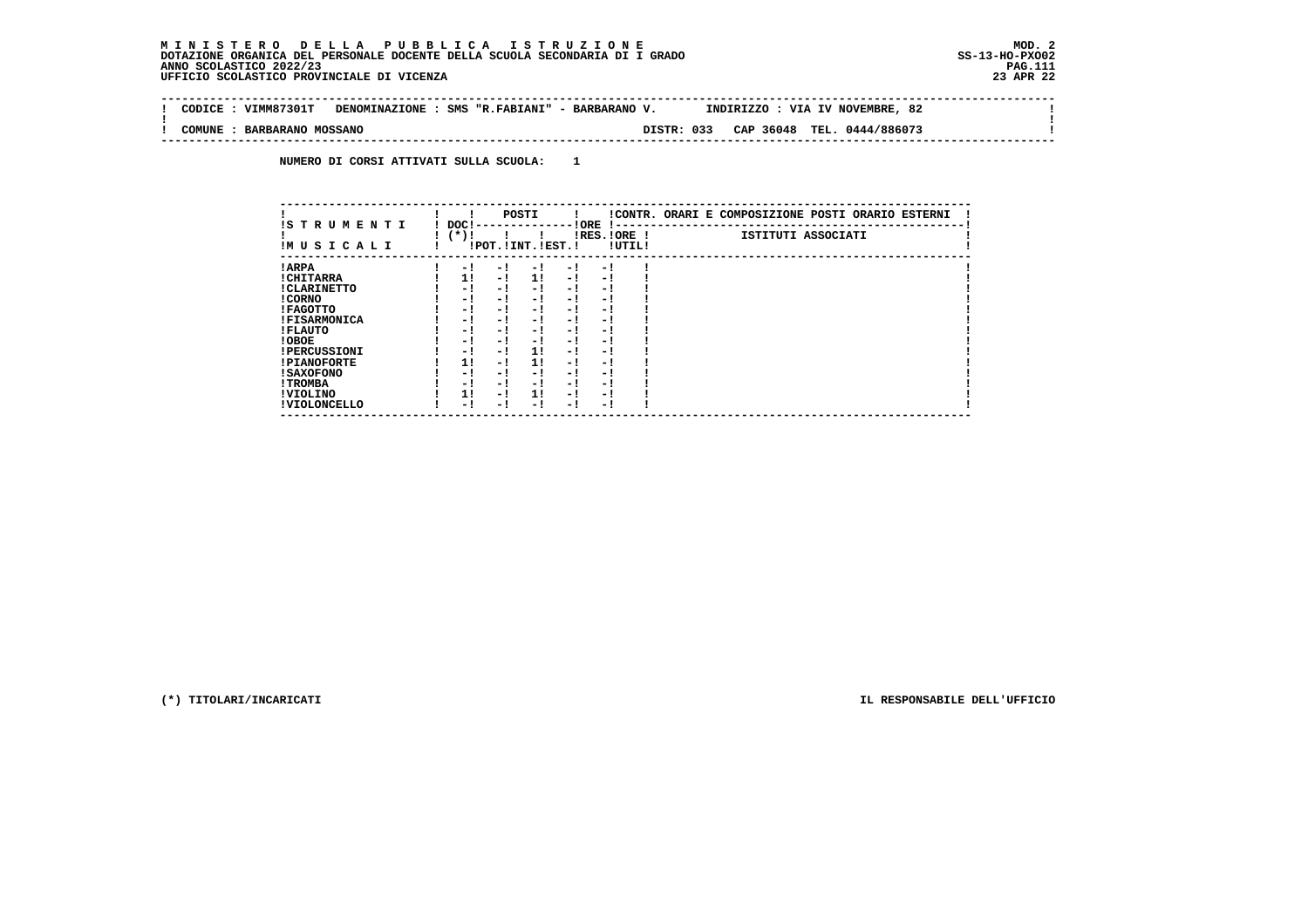$\sim$  1

 $\mathbf{I}$ 

 $\mathbf{I}$ 

 **-------------------------------------------------------------------------------------------------------------------------------- ! CODICE : VIMM87301T DENOMINAZIONE : SMS "R.FABIANI" - BARBARANO V. INDIRIZZO : VIA IV NOVEMBRE, 82 ! ! ! ! COMUNE : BARBARANO MOSSANO DISTR: 033 CAP 36048 TEL. 0444/886073 ! --------------------------------------------------------------------------------------------------------------------------------**

 **NUMERO DI CORSI ATTIVATI SULLA SCUOLA: 1**

| IS T R U M E N T I  | DOC! |     | POSTI                 |     | ! ORE<br>.    |        | !CONTR. ORARI E COMPOSIZIONE POSTI ORARIO ESTERNI |
|---------------------|------|-----|-----------------------|-----|---------------|--------|---------------------------------------------------|
| IMUSICALI           | (*)! |     | !POT. ! INT. ! EST. ! |     | $IRES.IORE$ ! | !UTIL! | ISTITUTI ASSOCIATI                                |
| ! ARPA              | - 1  | - 1 | - 1                   | - 1 | - 1           |        |                                                   |
| ! CHITARRA          | 11   | - ! | 11                    | - ! | - 1           |        |                                                   |
| ! CLARINETTO        | - 1  | - 1 | - 1                   | - 1 | - 1           |        |                                                   |
| ! CORNO             | - 1  | - 1 | - !                   | - 1 | - 1           |        |                                                   |
| ! FAGOTTO           | - 1  | - 1 | - 1                   | - 1 | - 1           |        |                                                   |
| <b>!FISARMONICA</b> | - 1  | - ! | - 1                   | - 1 | - 1           |        |                                                   |
| ! FLAUTO            | - 1  | - 1 | - !                   | - 1 | - 1           |        |                                                   |
| ! OBOE              | - 1  | - 1 | - !                   | - 1 | - 1           |        |                                                   |
| <b>!PERCUSSIONI</b> | - 1  | - 1 | 11                    | - 1 | - 1           |        |                                                   |
| <b>!PIANOFORTE</b>  | 11   | - 1 | 1!                    | - 1 | - 1           |        |                                                   |
| <b>! SAXOFONO</b>   | - 1  | - 1 | - !                   | - 1 | - 1           |        |                                                   |
| ! TROMBA            | - 1  | - 1 | - 1                   | - 1 | - 1           |        |                                                   |
| ! VIOLINO           | 1!   | - 1 | 11                    | - 1 | - 1           |        |                                                   |
| ! VIOLONCELLO       | - 1  | - ! | - 1                   | - 1 | - 1           |        |                                                   |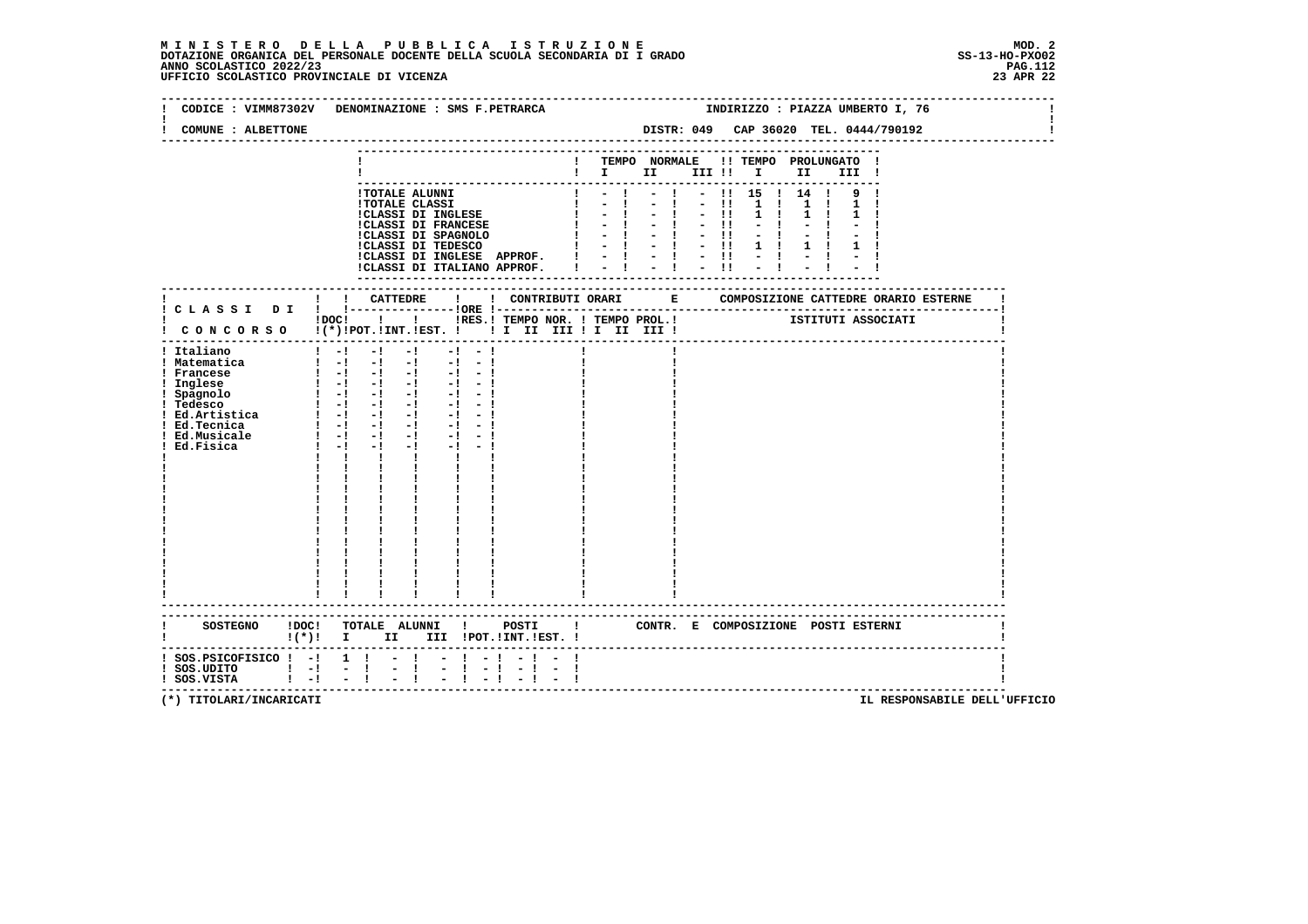### **M I N I S T E R O D E L L A P U B B L I C A I S T R U Z I O N E MOD. 2**DOTAZIONE ORGANICA DEL PERSONALE DOCENTE DELLA SCUOLA SECONDARIA DI I GRADO **SCOLASTICO SCOLASTICO 2022/23 PAG-P**<br>PAGO SCOLASTICO 2022/23 PAG.112<br>23 APR 22 UFFICIO SCOLASTICO PROVINCIALE DI VICENZA

|                                                                                        | CODICE : VIMM87302V DENOMINAZIONE : SMS F.PETRARCA                                                                                                                                                                                    |           |                                         |                                                                 |       |                                                                                              |             |                     | INDIRIZZO : PIAZZA UMBERTO I, 76 |  |
|----------------------------------------------------------------------------------------|---------------------------------------------------------------------------------------------------------------------------------------------------------------------------------------------------------------------------------------|-----------|-----------------------------------------|-----------------------------------------------------------------|-------|----------------------------------------------------------------------------------------------|-------------|---------------------|----------------------------------|--|
| COMUNE : ALBETTONE                                                                     |                                                                                                                                                                                                                                       |           |                                         | DISTR: 049 CAP 36020 TEL. 0444/790192                           |       |                                                                                              |             |                     |                                  |  |
|                                                                                        |                                                                                                                                                                                                                                       |           | ! TEMPO NORMALE !! TEMPO PROLUNGATO !   |                                                                 |       |                                                                                              |             | III !               |                                  |  |
|                                                                                        | !TOTALE ALUNNI<br><b>!TOTALE CLASSI</b><br>!CLASSI DI INGLESE<br><b>!CLASSI DI FRANCESE</b><br>!CLASSI DI SPAGNOLO<br>!CLASSI DI TEDESCO<br>ICLASSI DI INGLESE APPROF. $  -   -   -  $<br>ICLASSI DI ITALIANO APPROF. $  -   -   -  $ |           | $-1$<br>$\mathbf{I}$<br>$1 - 1 - 1 - 1$ | $-1$<br>$-1$ $-1$<br>$-1 - -11$<br>$-1 - 1 - 1$<br>$-1 - 1 - 1$ | $-11$ | $ \begin{array}{ccc} 11 & 15 & 1 & 14 & 1 & 9 & 1 \end{array}$<br>$1 \quad 1$<br>$1 \quad 1$ | $1 \quad 1$ | $1 \quad 1 \quad 1$ |                                  |  |
|                                                                                        | !DOC! ! ! !RES.! TEMPO NOR. ! TEMPO PROL.!                                                                                                                                                                                            |           |                                         |                                                                 |       | ISTITUTI ASSOCIATI                                                                           |             |                     |                                  |  |
| ! Italiano<br>! Matematica<br>! Francese<br>! Ed.Musicale<br>Ed.Fisica                 | $1 - 1 - 1 - 1$<br>$\mathbf{1}$ and $\mathbf{1}$ and $\mathbf{1}$ and $\mathbf{1}$ and $\mathbf{1}$<br>$1 - 1 - 1 - 1 - 1 - 1 - 1$<br>$1 - 1 - 1$<br>$-1$ $-1$ $-1$<br>$\mathbf{I}$<br>$\mathbf{I}$<br>$\mathbf{I}$ and $\mathbf{I}$  | $-1 - -1$ |                                         |                                                                 |       |                                                                                              |             |                     |                                  |  |
|                                                                                        | ------------------------<br>!(*)! I II III !POT.!INT.!EST.!                                                                                                                                                                           |           | $\blacksquare$                          | CONTR. E COMPOSIZIONE POSTI ESTERNI                             |       |                                                                                              |             |                     |                                  |  |
| $:$ SOS. PSICOFISICO $:$ - $:$ 1 $:$<br>$!$ SOS.UDITO $!$ -!<br>$1 - 1$<br>! SOS.VISTA | $-1$<br>$-1$                                                                                                                                                                                                                          | $-1$      |                                         |                                                                 |       |                                                                                              |             |                     |                                  |  |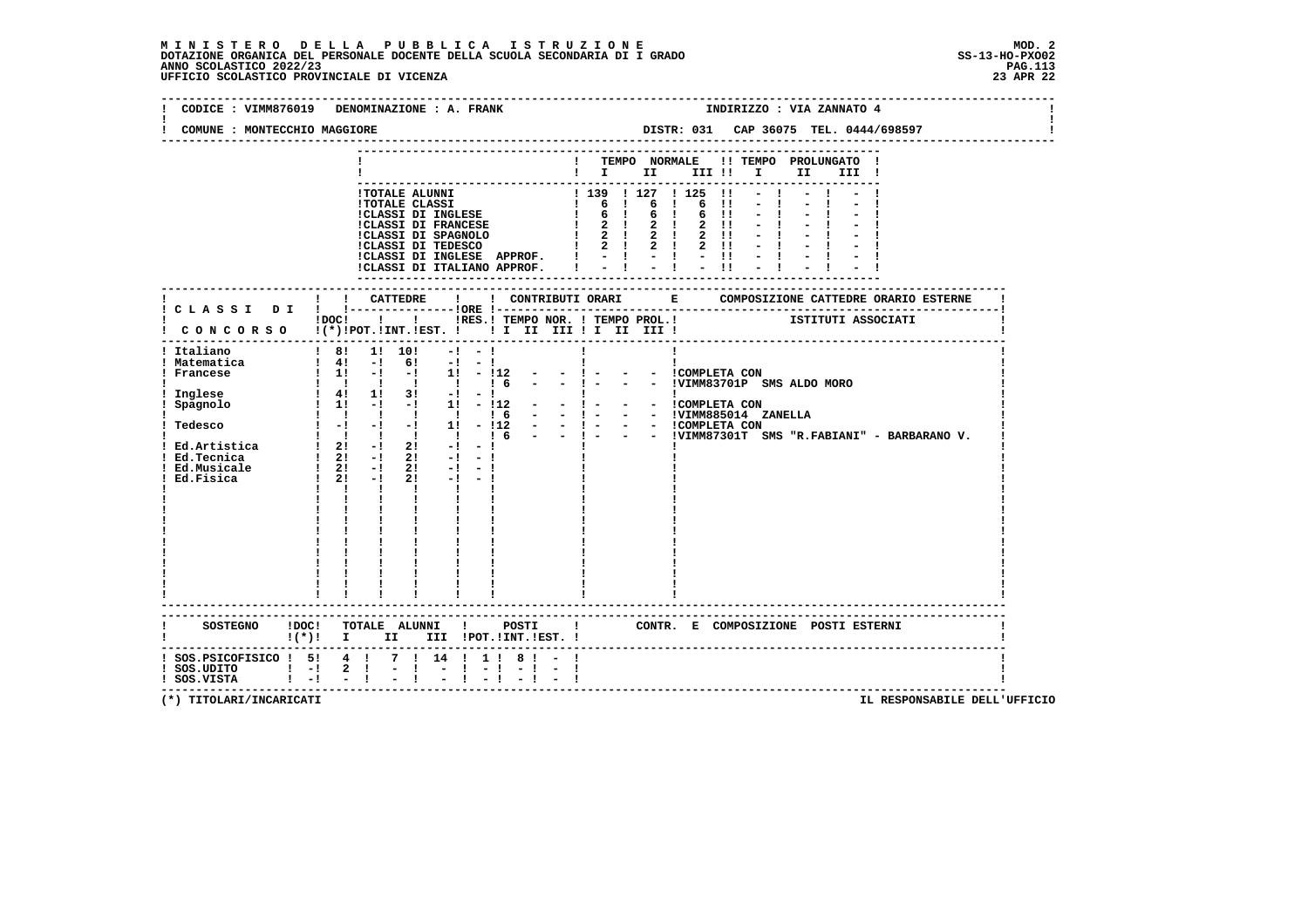## **M I N I S T E R O D E L L A P U B B L I C A I S T R U Z I O N E MOD. 2**DOTAZIONE ORGANICA DEL PERSONALE DOCENTE DELLA SCUOLA SECONDARIA DI I GRADO **SCOLASTICO SCOLASTICO 2022/23 PAG-P**<br>PAGO SCOLASTICO 2022/23 PAG.113<br>23 APR 22 UFFICIO SCOLASTICO PROVINCIALE DI VICENZA

| CODICE : VIMM876019 DENOMINAZIONE : A. FRANK<br>COMUNE : MONTECCHIO MAGGIORE                                                                                                                                                                                                                                                                                                      |                                                                                                                                                                                                                                                                                        |              |                |                                 |           |           |                                                                                                                                                                                                                                            |  |    |                   |                                  |                               | INDIRIZZO : VIA ZANNATO 4                                     |  |  |
|-----------------------------------------------------------------------------------------------------------------------------------------------------------------------------------------------------------------------------------------------------------------------------------------------------------------------------------------------------------------------------------|----------------------------------------------------------------------------------------------------------------------------------------------------------------------------------------------------------------------------------------------------------------------------------------|--------------|----------------|---------------------------------|-----------|-----------|--------------------------------------------------------------------------------------------------------------------------------------------------------------------------------------------------------------------------------------------|--|----|-------------------|----------------------------------|-------------------------------|---------------------------------------------------------------|--|--|
|                                                                                                                                                                                                                                                                                                                                                                                   |                                                                                                                                                                                                                                                                                        |              |                |                                 |           |           |                                                                                                                                                                                                                                            |  |    |                   |                                  |                               |                                                               |  |  |
|                                                                                                                                                                                                                                                                                                                                                                                   |                                                                                                                                                                                                                                                                                        |              |                |                                 |           |           | $\blacksquare$ $\blacksquare$ $\blacksquare$ $\blacksquare$ $\blacksquare$ $\blacksquare$ $\blacksquare$ $\blacksquare$ $\blacksquare$ $\blacksquare$ $\blacksquare$                                                                       |  |    |                   |                                  |                               | ! TEMPO NORMALE !! TEMPO PROLUNGATO !<br>III !                |  |  |
|                                                                                                                                                                                                                                                                                                                                                                                   |                                                                                                                                                                                                                                                                                        |              |                |                                 |           |           | 1 TOTALE ALUNNI<br>1 TOTALE CLASSI DI INGLESE   6   6   6   1<br>1 GLASSI DI INGLESE   6   6   6   1<br>1 GLASSI DI FRANCESE   6   6   6   1<br>1 CLASSI DI FRANCESE   2   2   2   1<br>1 CLASSI DI TEDESCO   2   2   2   1<br>1 CLASSI DI |  |    | $2 \quad 11$      | $\blacksquare$<br>$\blacksquare$ | $-1$                          |                                                               |  |  |
|                                                                                                                                                                                                                                                                                                                                                                                   |                                                                                                                                                                                                                                                                                        |              |                |                                 |           |           | !CLASSI DI INGLESE APPROF. $! \ - \ ! \ - \ ! \ - \ ! \ - \ ! \$<br>!CLASSI DI ITALIANO APPROF. $! \ - \ ! \ - \ ! \ - \ ! \ - \ ! \cdot \ !$                                                                                              |  |    |                   |                                  |                               |                                                               |  |  |
|                                                                                                                                                                                                                                                                                                                                                                                   |                                                                                                                                                                                                                                                                                        |              |                |                                 |           |           |                                                                                                                                                                                                                                            |  |    |                   |                                  |                               |                                                               |  |  |
| ! CONCORSO !(*)!POT.!INT.!EST. ! ! I III III II III III !                                                                                                                                                                                                                                                                                                                         |                                                                                                                                                                                                                                                                                        |              |                |                                 |           |           |                                                                                                                                                                                                                                            |  |    |                   |                                  |                               | IDOCI ! IRES. I TEMPO NOR. I TEMPO PROL. ! [STITUTI ASSOCIATI |  |  |
| Italiano<br>! Matematica<br>! Francese<br>Inglese<br>! Spagnolo<br>Tedesco $1 - 1 - 1 - 1$<br>Tedesco $1 - 1 - 1 - 1$<br>$1 - 11 - 112 - 1 - 1 - 1$<br>$1 - 112 - 1 - 1 - 1 - 1$<br>$1 - 112 - 1 - 1 - 1 - 1$<br>$1 - 112 - 1 - 1 - 1 - 1$<br>$1 - 112 - 1 - 1 - 1 - 1$<br>$1 - 112 - 1 - 1 - 1$<br>$1 - 112 - 1 - 1 - 1 - 1$<br>$1 - 112 - 1 - 1 - 1 - 1$<br>$1 - $<br>Ed.Fisica | ! 8! 1! 10!<br>$\begin{array}{cccc} 1 & 41 & -1 & 61 & -1 & -1 \\ 1 & 11 & -1 & -1 & 11 & -112 \end{array}$<br>1 1 1 1 1 1 6<br>$1 \quad 41 \quad 11 \quad 31 \quad -1 \quad -1$<br>$\frac{1}{2}$ 1! -! -! 1! - !12 -<br>$1 \t2! -1$<br>$\mathbf{I}$ and $\mathbf{I}$ and $\mathbf{I}$ | $\mathbf{I}$ |                | $2! -1 -1$<br><b>The Common</b> | $-1 - -1$ |           | $-1 -$<br>$-1 -$<br><b>Example 1</b> and 1 and 1                                                                                                                                                                                           |  | Ι. | - - ICOMPLETA CON |                                  | - - !VIMM83701P SMS ALDO MORO | - - !VIMM87301T SMS "R.FABIANI" - BARBARANO V.                |  |  |
| SOSTEGNO !DOC! TOTALE ALUNNI ! POSTI !<br>$!(*)!$ I II III !POT.!INT.!EST. !                                                                                                                                                                                                                                                                                                      |                                                                                                                                                                                                                                                                                        |              |                |                                 |           |           |                                                                                                                                                                                                                                            |  |    |                   |                                  |                               | CONTR. E COMPOSIZIONE POSTI ESTERNI                           |  |  |
| ! SOS.PSICOFISICO ! 5! 4 ! 7 ! 14 ! 1 ! 8 ! - !                                                                                                                                                                                                                                                                                                                                   |                                                                                                                                                                                                                                                                                        |              | $-1$ $-1$ $-1$ |                                 |           | $-1$ $-1$ |                                                                                                                                                                                                                                            |  |    |                   |                                  |                               |                                                               |  |  |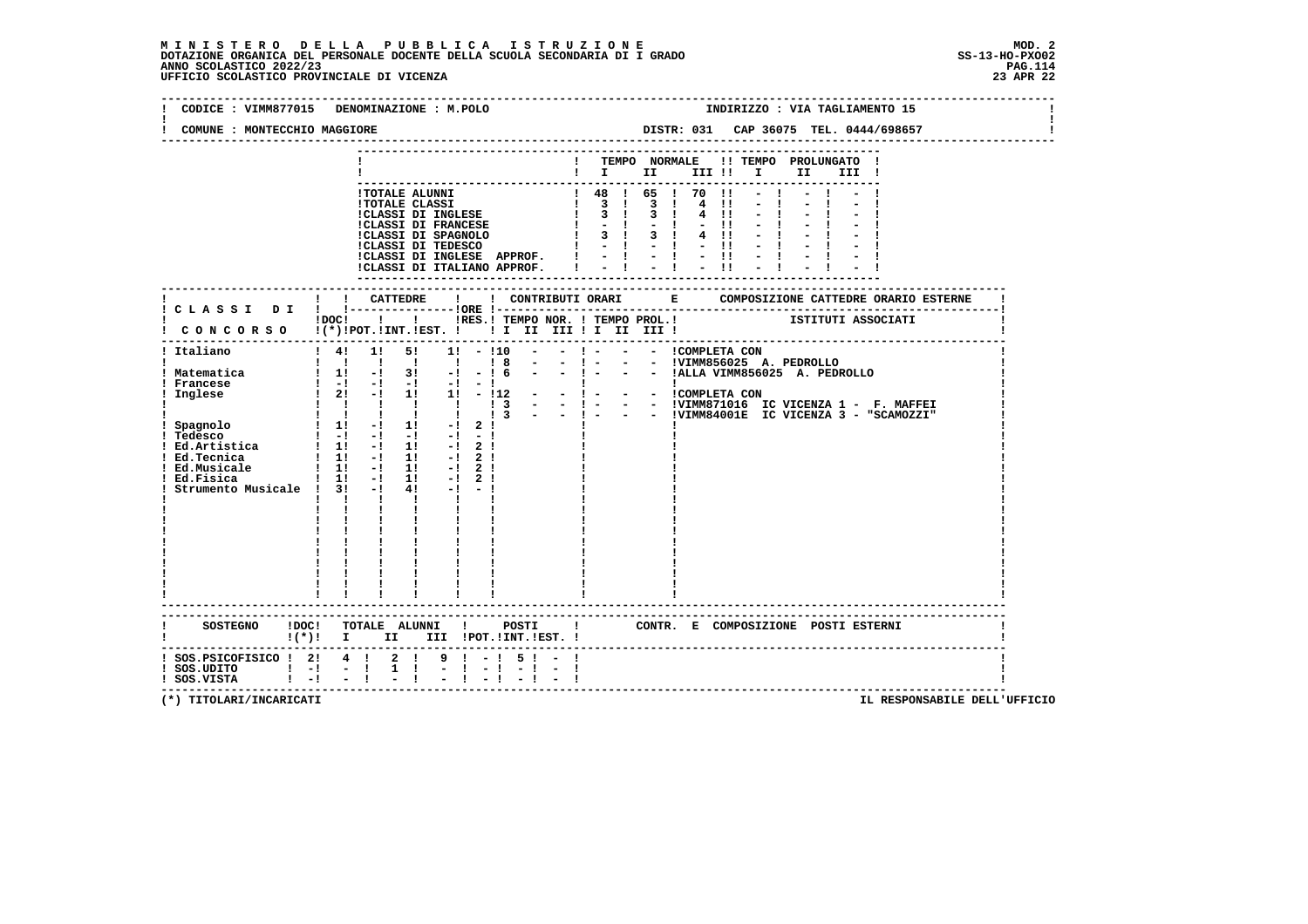### **M I N I S T E R O D E L L A P U B B L I C A I S T R U Z I O N E MOD. 2**DOTAZIONE ORGANICA DEL PERSONALE DOCENTE DELLA SCUOLA SECONDARIA DI I GRADO **SCOLASTICO SCOLASTICO 2022/23 PAG.114**<br>23 PAG.114 PAG.1142<br>23 UFFICIO SCOLASTICO PROVINCIALE DI VICENZA

|                                                                                                                                                 | CODICE : VIMM877015 DENOMINAZIONE : M.POLO                                                                                                                                                                                                                                                                                                                                                                                                                                                                                                                                             | INDIRIZZO : VIA TAGLIAMENTO 15                                                                                                                                                            |
|-------------------------------------------------------------------------------------------------------------------------------------------------|----------------------------------------------------------------------------------------------------------------------------------------------------------------------------------------------------------------------------------------------------------------------------------------------------------------------------------------------------------------------------------------------------------------------------------------------------------------------------------------------------------------------------------------------------------------------------------------|-------------------------------------------------------------------------------------------------------------------------------------------------------------------------------------------|
| COMUNE : MONTECCHIO MAGGIORE                                                                                                                    |                                                                                                                                                                                                                                                                                                                                                                                                                                                                                                                                                                                        | DISTR: 031 CAP 36075 TEL. 0444/698657                                                                                                                                                     |
|                                                                                                                                                 |                                                                                                                                                                                                                                                                                                                                                                                                                                                                                                                                                                                        | ! TEMPO NORMALE !! TEMPO PROLUNGATO !<br>$\blacksquare$                                                                                                                                   |
|                                                                                                                                                 | <b>!TOTALE ALUNNI</b><br><b>!TOTALE CLASSI</b><br><b>!CLASSI DI INGLESE</b>                                                                                                                                                                                                                                                                                                                                                                                                                                                                                                            | ! 48 ! 65 ! 70 !1<br>$\begin{array}{cccccccc}\n1 & 3 & 1 & 3 & 1 \\ 1 & 3 & 1 & 3 & 1\n\end{array}$<br>4 !!<br>4!!<br>$1 - 1 - 1 - 1$<br>$4$ !!<br>$-1 - 1 - 1$                           |
|                                                                                                                                                 |                                                                                                                                                                                                                                                                                                                                                                                                                                                                                                                                                                                        |                                                                                                                                                                                           |
|                                                                                                                                                 | ! CONCORSO !(*)!POT.!INT.!EST. ! ! I III III II III III !                                                                                                                                                                                                                                                                                                                                                                                                                                                                                                                              | !DOC! ! ! !RES.! TEMPO NOR. ! TEMPO PROL.! [STITUTI ASSOCIATI                                                                                                                             |
| ! Italiano<br>! Matematica<br>! Francese<br>Inglese<br>Ed.Artistica<br>! Ed.Tecnica<br>! Ed.Musicale<br>Ed.Fisica<br>Strumento Musicale ! 3! -! | $1 \quad 4! \quad 1! \quad 5!$<br>1! - 110<br>$\sim$ 100 $\mu$<br>1 1 1 1 1 1 1 8<br>$1 \quad 1! \quad -1 \quad 3! \quad -1 \quad -16$<br>$1 \t1 \t1 \t1 \t1 \t1 \t13 -$<br>$\begin{array}{ccccccccccccc}\n & 1 & -1 & -1 & -1 & -1 & -1 & -1 \\  & 1 & 11 & -1 & 11 & -1 & 2 & 1\n\end{array}$<br>$1 \t11 - 1 \t11 - 121$<br>1 1 1 1 1 1 1 2 1<br>$1 \t1! -1 \t1! -1 \t2!$<br>$4! -1 -1$<br>$\mathbf{1}$ $\mathbf{1}$ $\mathbf{1}$ $\mathbf{1}$ $\mathbf{1}$<br>$\mathbf{I}$ and $\mathbf{I}$<br>$\mathbf{i}$ $\mathbf{i}$<br>$\frac{1}{1}$ $\frac{1}{1}$<br>------------------------ | - - ! - - - !VIMM856025 A. PEDROLLO<br>and the state<br>- - COMPLETA CON<br>- - !VIMM871016 IC VICENZA 1 - F. MAFFEI<br>$-1 - 1$<br>$-$ - $!$ - - - IVIMM84001E IC VICENZA 3 - "SCAMOZZI" |
|                                                                                                                                                 | ! (*)! I II III !POT.!INT.!EST.!                                                                                                                                                                                                                                                                                                                                                                                                                                                                                                                                                       | CONTR. E COMPOSIZIONE POSTI_ESTERNI                                                                                                                                                       |
| $:$ SOS.PSICOFISICO $:$ 2: 4 $:$<br>$!$ SOS.UDITO $!$ -! -!<br>$!$ SOS.VISTA $!$ -! -!!                                                         | $2 \quad 1$<br>9 1 - 1 5 1 - 1<br>$1 \quad 1$<br>$-1 - 1$                                                                                                                                                                                                                                                                                                                                                                                                                                                                                                                              | -----------------------------------                                                                                                                                                       |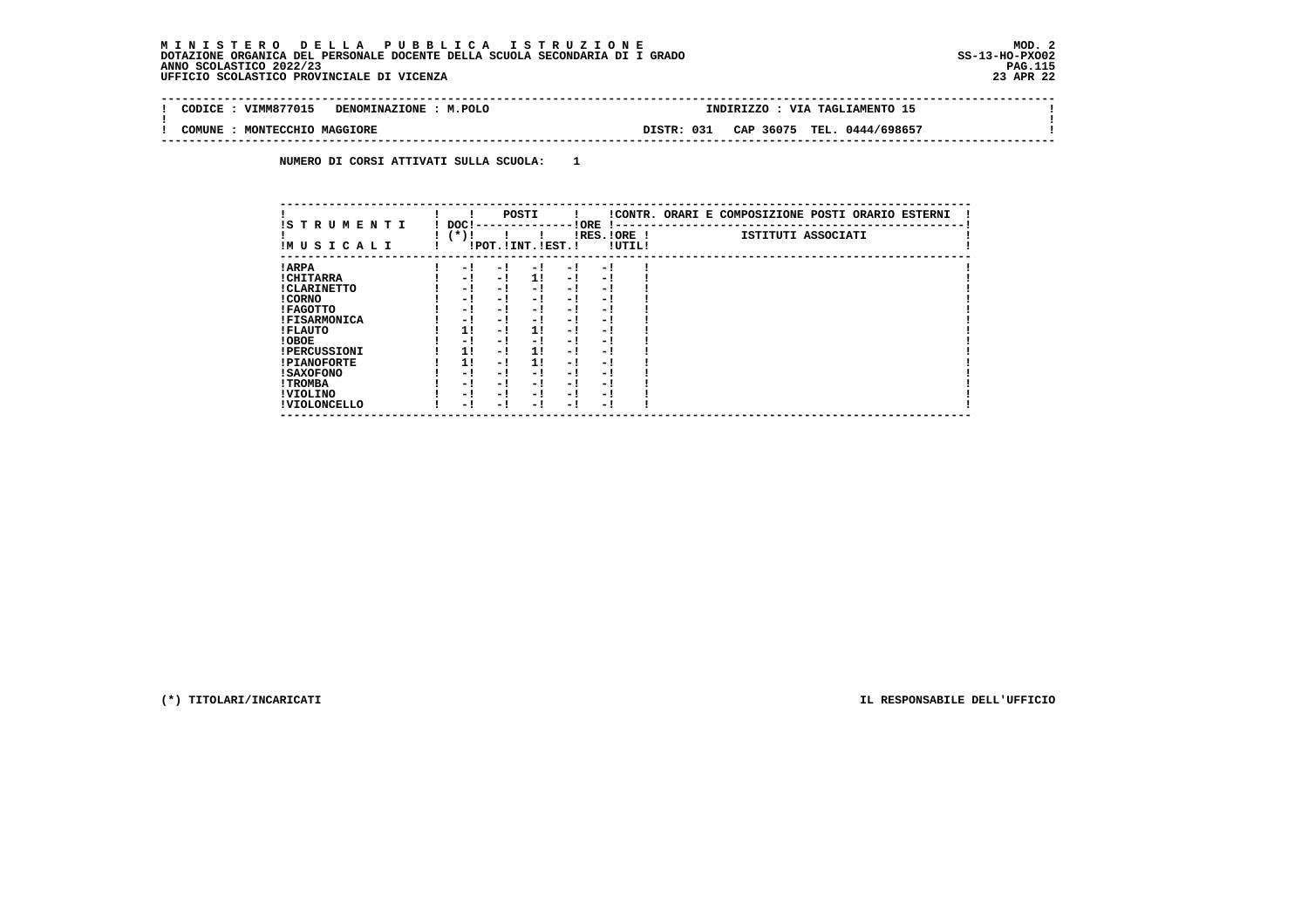$\sim$ 

 $\mathbf{I}$ 

#### **-------------------------------------------------------------------------------------------------------------------------------- ! CODICE : VIMM877015 DENOMINAZIONE : M.POLO**

 **! ! ! COMUNE : MONTECCHIO MAGGIORE DISTR: 031 CAP 36075 TEL. 0444/698657 ! --------------------------------------------------------------------------------------------------------------------------------**

 **NUMERO DI CORSI ATTIVATI SULLA SCUOLA: 1**

| IS TRUMENTI         | DOC!   |     | POSTI                 |      | ! ORE<br>$1 - -$         |        | !CONTR. ORARI E COMPOSIZIONE POSTI ORARIO ESTERNI |
|---------------------|--------|-----|-----------------------|------|--------------------------|--------|---------------------------------------------------|
| IMUSICALI           | $(*)!$ |     | !POT. ! INT. ! EST. ! |      | IRES.IORE !              | !UTIL! | ISTITUTI ASSOCIATI                                |
| ! ARPA              | - 1    | - ! | - 1                   | - 1  | - 1                      |        |                                                   |
| ! CHITARRA          | - 1    | - ! | 11                    | $-1$ | - 1                      |        |                                                   |
| ! CLARINETTO        | - !    | - 1 | - 1                   | - 1  | - 1                      |        |                                                   |
| ! CORNO             | - 1    | - ! | - 1                   | $-1$ | - 1                      |        |                                                   |
| ! FAGOTTO           | - 1    | - ! | - 1                   | - 1  | - 1                      |        |                                                   |
| <b>!FISARMONICA</b> | - 1    | - ! | - 1                   | - 1  | - 1                      |        |                                                   |
| ! FLAUTO            | 1!     | - 1 | 11                    | - !  | - 1                      |        |                                                   |
| ! OBOE              | - 1    | - ! | - 1                   | - 1  | - 1                      |        |                                                   |
| <b>!PERCUSSIONI</b> | 1!     | - ! | 11                    | - 1  | - 1                      |        |                                                   |
| <b>!PIANOFORTE</b>  | 1!     | - 1 | 1!                    | - 1  | - 1                      |        |                                                   |
| ! SAXOFONO          | - 1    | - 1 | - !                   | $-1$ | $\overline{\phantom{0}}$ |        |                                                   |
| ! TROMBA            | - 1    | - 1 | - !                   | - 1  | - 1                      |        |                                                   |
| ! VIOLINO           | - 1    | - ! | - !                   | $-1$ | - 1                      |        |                                                   |
| ! VIOLONCELLO       | - 1    | - 1 | - 1                   | - 1  | - 1                      |        |                                                   |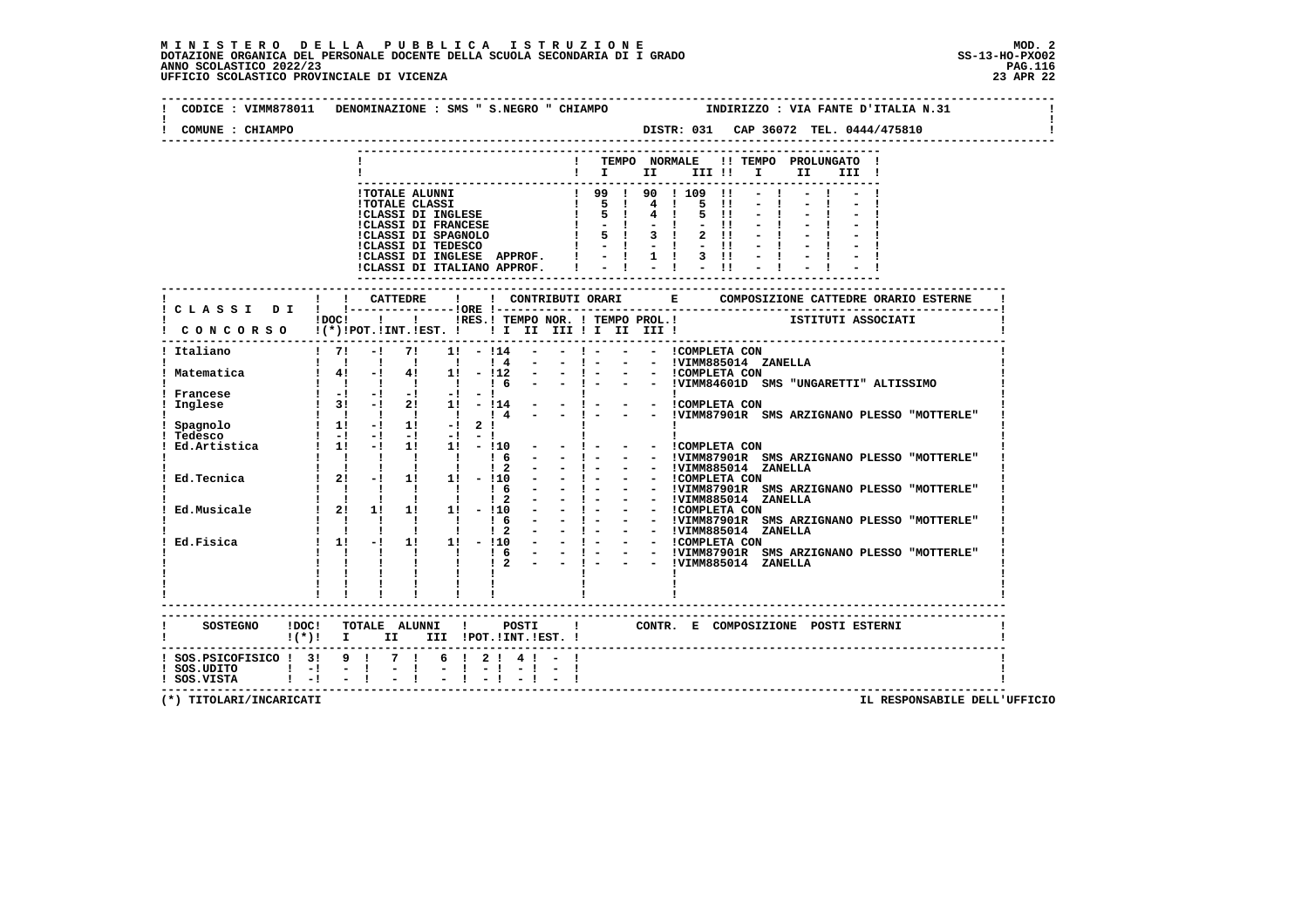## **M I N I S T E R O D E L L A P U B B L I C A I S T R U Z I O N E MOD. 2**DOTAZIONE ORGANICA DEL PERSONALE DOCENTE DELLA SCUOLA SECONDARIA DI I GRADO **SCOLASTICO SCOLASTICO 2022/23 PAG.116**<br>PAGO SCOLASTICO 2022/23 PAG.116<br>23 DERICIO SCOLASTICO PROVINCIALE DI VICENZA

| COMUNE : CHIAMPO                                                                                                         |               |                                                                                                                                                     |                                       |  |                                                                                                                                              |  |  |  |                                                                    |  |                                                                                                                                                                                                                                                                                                                     |  |
|--------------------------------------------------------------------------------------------------------------------------|---------------|-----------------------------------------------------------------------------------------------------------------------------------------------------|---------------------------------------|--|----------------------------------------------------------------------------------------------------------------------------------------------|--|--|--|--------------------------------------------------------------------|--|---------------------------------------------------------------------------------------------------------------------------------------------------------------------------------------------------------------------------------------------------------------------------------------------------------------------|--|
|                                                                                                                          |               |                                                                                                                                                     |                                       |  |                                                                                                                                              |  |  |  | ! TEMPO NORMALE !! TEMPO PROLUNGATO !<br>$\blacksquare$            |  |                                                                                                                                                                                                                                                                                                                     |  |
|                                                                                                                          |               |                                                                                                                                                     |                                       |  | ICLASSI DI INGLESE APPROF. $1 - 1$ 1 1 3 11 - 1<br>ICLASSI DI ITALIANO APPROF. $1 - 1$ - 1 - 11 - 1                                          |  |  |  |                                                                    |  |                                                                                                                                                                                                                                                                                                                     |  |
| -------------                                                                                                            |               |                                                                                                                                                     |                                       |  |                                                                                                                                              |  |  |  |                                                                    |  |                                                                                                                                                                                                                                                                                                                     |  |
| ! CONCORSO !(*)!POT.!INT.!EST. ! ! I II III ! II III !                                                                   |               |                                                                                                                                                     |                                       |  |                                                                                                                                              |  |  |  | IDOCI __ I ___ IRES.I TEMPO NOR. I TEMPO PROL.I TETITUTI ASSOCIATI |  |                                                                                                                                                                                                                                                                                                                     |  |
| $1 \t 71 \t -1 \t 71 \t 11 \t -114 \t -1 \t -1 \t -1 \t -1$ COMPLETA CON<br>! Italiano                                   |               |                                                                                                                                                     |                                       |  |                                                                                                                                              |  |  |  | ! ! ! ! ! ! ! 4 - - ! - - - - !VIMM885014 ZANELLA                  |  |                                                                                                                                                                                                                                                                                                                     |  |
|                                                                                                                          |               |                                                                                                                                                     |                                       |  |                                                                                                                                              |  |  |  |                                                                    |  |                                                                                                                                                                                                                                                                                                                     |  |
| ! Francese<br>Inglese                                                                                                    |               |                                                                                                                                                     |                                       |  | $\begin{array}{ccccccccccc}\n1 & -1 & -1 & -1 & -1 & -1 \\ 1 & 31 & -1 & 21 & 11 & -114 & - & - & 1 & - & & - & 1\n\end{array}$ COMPLETA CON |  |  |  |                                                                    |  |                                                                                                                                                                                                                                                                                                                     |  |
| Spagnolo<br>Tedesco<br>Ed.Artistica                                                                                      |               | $\begin{array}{ccccccccccccc}\n& & & & & 1 & & -1 & & 1 & & -1 & & 2 & & \n\end{array}$                                                             |                                       |  | $\mathbf{I}$<br>$1 \quad 1!$ -! 1! 1! - !10 - - ! - - - !COMPLETA CON                                                                        |  |  |  |                                                                    |  | $\frac{1}{1}$ $\frac{1}{1}$ $\frac{1}{1}$ $\frac{1}{4}$ $\frac{1}{4}$ $\frac{1}{1}$ $\frac{1}{4}$ $\frac{1}{1}$ $\frac{1}{1}$ $\frac{1}{1}$ $\frac{1}{1}$ $\frac{1}{1}$ $\frac{1}{1}$ $\frac{1}{1}$ $\frac{1}{1}$ $\frac{1}{1}$ $\frac{1}{1}$ $\frac{1}{1}$ $\frac{1}{1}$ $\frac{1}{1}$ $\frac{1}{1}$ $\frac{1}{1}$ |  |
| Ed.Tecnica                                                                                                               |               |                                                                                                                                                     |                                       |  |                                                                                                                                              |  |  |  |                                                                    |  |                                                                                                                                                                                                                                                                                                                     |  |
|                                                                                                                          |               |                                                                                                                                                     |                                       |  |                                                                                                                                              |  |  |  | - - ! - - - !VIMM885014 ZANELLA<br>- - ! - - - !COMPLETA CON       |  | - ! - - - !VIMM87901R SMS ARZIGNANO PLESSO "MOTTERLE"                                                                                                                                                                                                                                                               |  |
| Ed.Fisica                                                                                                                | $1 \t11 \t-1$ | $\mathbf{1}$ $\mathbf{1}$ $\mathbf{1}$<br>$\begin{array}{cccccccccc} 1 & 1 & 1 & 1 & 1 & 1 & 1 & 1 \\ 1 & 1 & 1 & 1 & 1 & 1 & 1 & 1 \\ \end{array}$ |                                       |  | $  1 -$<br>$1 - 1 - 1 - 1 - 1 - 12 = -1$                                                                                                     |  |  |  | - - !VIMM885014 ZANELLA                                            |  | ! ! ! ! ! ! 6 - - ! - - - !VIMM87901R SMS ARZIGNANO PLESSO "MOTTERLE"                                                                                                                                                                                                                                               |  |
| $(*)!$ I II IPOT. INT. IEST. I                                                                                           |               | --------------------------                                                                                                                          |                                       |  |                                                                                                                                              |  |  |  |                                                                    |  |                                                                                                                                                                                                                                                                                                                     |  |
| ------------------------------<br>! SOS.PSICOFISICO ! 3! 9 ! 7 !<br>! SOS.UDITO ! -! - ! - !<br>! SOS.VISTA ! -! - ! - ! |               |                                                                                                                                                     | $6 1 2 1 4 1 - 1$<br>$-1 - 1 - 1 - 1$ |  |                                                                                                                                              |  |  |  |                                                                    |  |                                                                                                                                                                                                                                                                                                                     |  |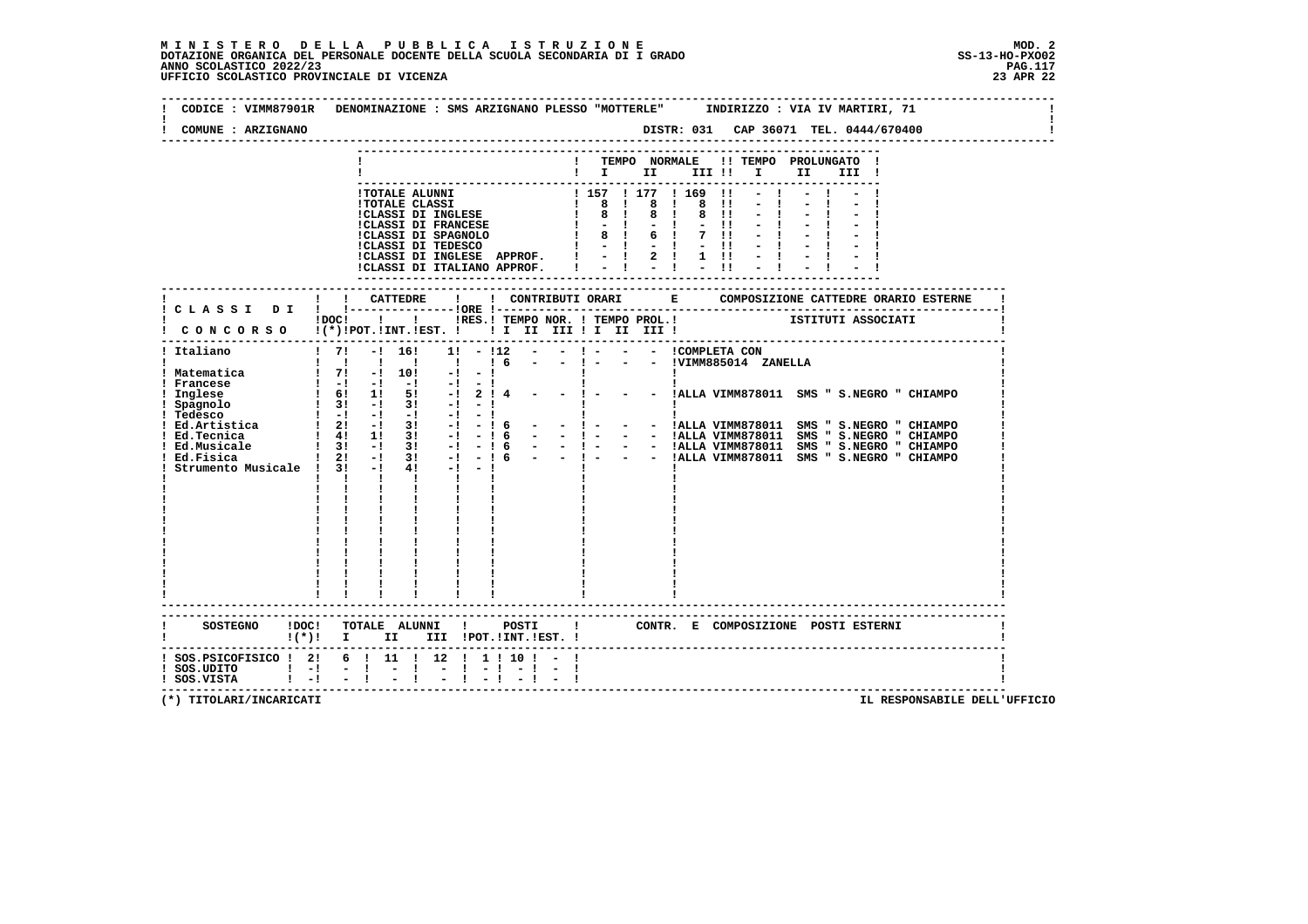$\mathbf{I}$ 

 **--------------------------------------------------------------------------------------------------------------------------------Contract Contract ! CODICE : VIMM87901R DENOMINAZIONE : SMS ARZIGNANO PLESSO "MOTTERLE" INDIRIZZO : VIA IV MARTIRI, 71 ! ! ! ! COMUNE : ARZIGNANO DISTR: 031 CAP 36071 TEL. 0444/670400 ! -------------------------------------------------------------------------------------------------------------------------------- --------------------------------------------------------------------------- ! ! TEMPO NORMALE !! TEMPO PROLUNGATO ! ! ! I II III !! I II III !** $- - - - - - -$  **--------------------------------------------------------------------------- !TOTALE ALUNNI ! 157 ! 177 ! 169 !! - ! - ! - !**1 70TALE CLASSI<br>
1 8 1 8 1 8 1 - 1 - 1 - 1<br>
1 CLASSI DI FRANCESE<br>
1 8 1 8 1 8 11 - 1 - 1 - 1<br>
1 CLASSI DI SPAGNOLO<br>
1 8 1 6 1 7 11 - 1 - 1 - 1<br>
1 CLASSI DI TEDESCO<br>
1 - 1 - 1 - 1 - 1 - 1 - 1 - 1<br>
1 CLASSI DI TRUEASE APPRO  **--------------------------------------------------------------------------- ------------------------------------------------------------------------------------------------------------------------- ! ! ! CATTEDRE ! ! CONTRIBUTI ORARI E COMPOSIZIONE CATTEDRE ORARIO ESTERNE ! ! C L A S S I D I ! !---------------!ORE !------------------------------------------------------------------------! ! !DOC! ! ! !RES.! TEMPO NOR. ! TEMPO PROL.! ISTITUTI ASSOCIATI ! ! C O N C O R S O !(\*)!POT.!INT.!EST. ! ! I II III ! I II III ! ! ------------------------------------------------------------------------------------------------------------------------- ! Italiano ! 7! -! 16! 1! - !12 - - ! - - - !COMPLETA CON ! ! ! ! ! ! ! ! 6 - - ! - - - !VIMM885014 ZANELLA ! ! Matematica ! 7! -! 10! -! - ! ! ! ! ! Francese ! -! -! -! -! - ! ! ! ! ! Inglese ! 6! 1! 5! -! 2 ! 4 - - ! - - - !ALLA VIMM878011 SMS " S.NEGRO " CHIAMPO ! ! Spagnolo ! 3! -! 3! -! - ! ! ! ! ! Tedesco ! -! -! -! -! - ! ! ! ! ! Ed.Artistica ! 2! -! 3! -! - ! 6 - - ! - - - !ALLA VIMM878011 SMS " S.NEGRO " CHIAMPO ! ! Ed.Tecnica ! 4! 1! 3! -! - ! 6 - - ! - - - !ALLA VIMM878011 SMS " S.NEGRO " CHIAMPO ! ! Ed.Musicale ! 3! -! 3! -! - ! 6 - - ! - - - !ALLA VIMM878011 SMS " S.NEGRO " CHIAMPO ! ! Ed.Fisica ! 2! -! 3! -! - ! 6 - - ! - - - !ALLA VIMM878011 SMS " S.NEGRO " CHIAMPO ! ! Strumento Musicale ! 3! -! 4! -! - ! ! ! ! ! ! ! ! ! ! ! ! ! ! ! ! ! ! ! ! ! ! ! ! ! ! ! ! ! ! ! ! ! ! ! ! ! ! ! ! ! ! ! ! ! ! ! ! ! ! ! ! ! ! ! ! ! ! ! ! ! ! ! ! ! ! ! ! ! ! ! ! ! ! ! ! ! ! ! ! ! ! ! ! ! ! ! ! ! ! ! ! ! ! ! ! ! ! ! ! ! ! ! ! ! ! ! ! ! ! ! ! ! ! ! ! ! ! ! ! ! ! ! ! ------------------------------------------------------------------------------------------------------------------------- ------------------------------------------------------------------------------------------------------------------------- ! SOSTEGNO !DOC! TOTALE ALUNNI ! POSTI ! CONTR. E COMPOSIZIONE POSTI ESTERNI ! ! !(\*)! I II III !POT.!INT.!EST. ! ! ------------------------------------------------------------------------------------------------------------------------- ! SOS.PSICOFISICO ! 2! 6 ! 11 ! 12 ! 1 ! 10 ! - ! !** $\blacksquare$  **! SOS.UDITO ! -! - ! - ! - ! - ! - ! - ! ! ! SOS.VISTA ! -! - ! - ! - ! - ! - ! - ! ! -------------------------------------------------------------------------------------------------------------------------**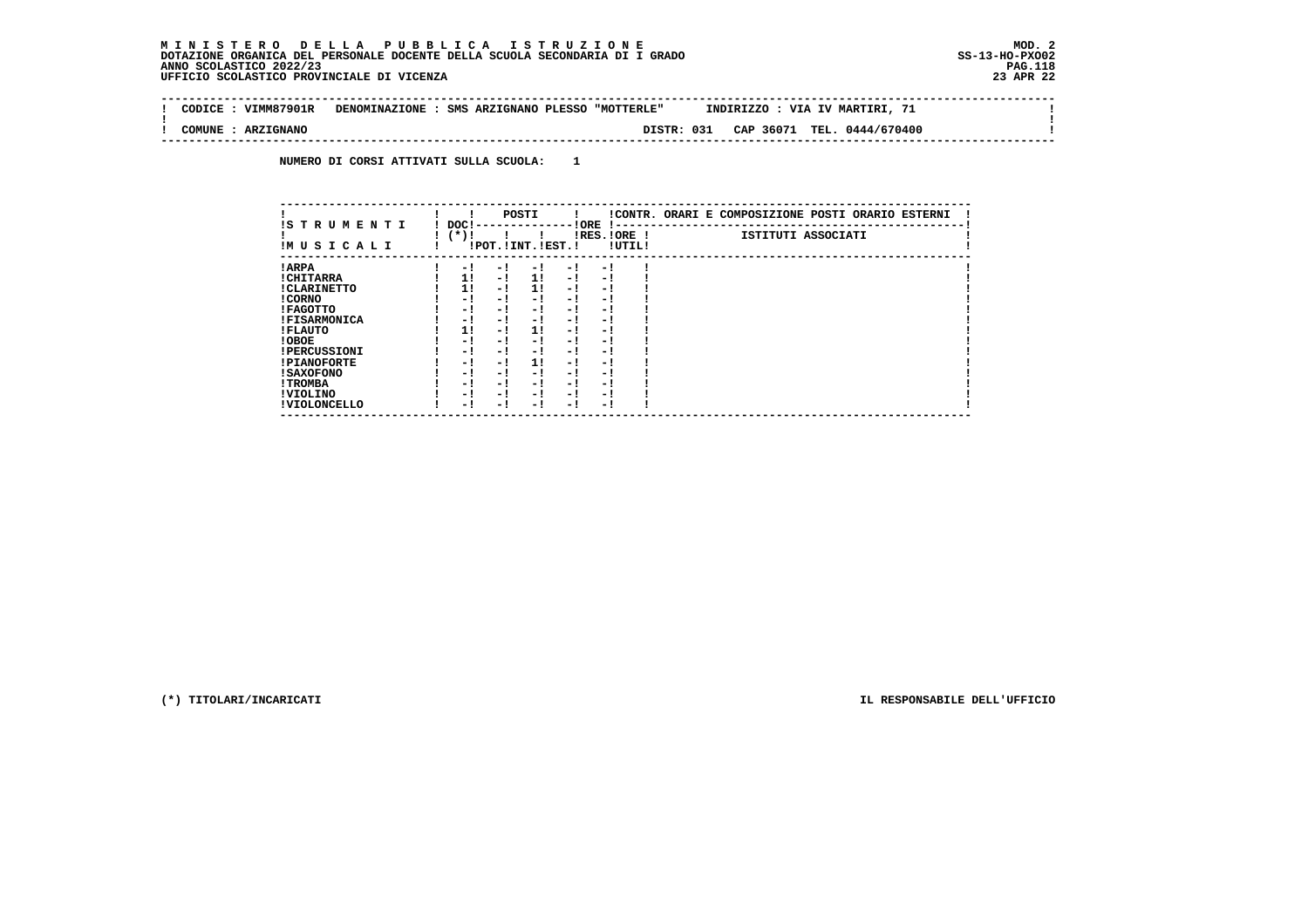$\sim$  1

 $\mathbf{I}$ 

 $\mathbf{I}$ 

 **-------------------------------------------------------------------------------------------------------------------------------- ! CODICE : VIMM87901R DENOMINAZIONE : SMS ARZIGNANO PLESSO "MOTTERLE" INDIRIZZO : VIA IV MARTIRI, 71 ! ! ! ! COMUNE : ARZIGNANO DISTR: 031 CAP 36071 TEL. 0444/670400 !**

 **--------------------------------------------------------------------------------------------------------------------------------**

 **NUMERO DI CORSI ATTIVATI SULLA SCUOLA: 1**

| IS TRUMENTI         | DOC! |      |     | POSTI                 |      | ! ORE       |        | !CONTR. ORARI E COMPOSIZIONE POSTI ORARIO ESTERNI |
|---------------------|------|------|-----|-----------------------|------|-------------|--------|---------------------------------------------------|
| IMUSICALI           |      | (*)! |     | !POT. ! INT. ! EST. ! |      | IRES.IORE ! | !UTIL! | ISTITUTI ASSOCIATI                                |
| ! ARPA              |      | - 1  | - 1 | - !                   | $-1$ | - 1         |        |                                                   |
| ! CHITARRA          |      | 11   | - ! | 11                    | $-1$ | - 1         |        |                                                   |
| ! CLARINETTO        |      | 1!   | - 1 | 11                    | - 1  | - 1         |        |                                                   |
| ! CORNO             |      | - 1  | - 1 | - 1                   | - 1  | - 1         |        |                                                   |
| ! FAGOTTO           |      | - 1  | - 1 | - 1                   | - 1  | - 1         |        |                                                   |
| <b>!FISARMONICA</b> |      | - 1  | - 1 | - 1                   | - 1  | - 1         |        |                                                   |
| ! FLAUTO            |      | 11   | - ! | 11                    | - !  | - 1         |        |                                                   |
| ! OBOE              |      | - !  | - ! | - 1                   | $-1$ | - 1         |        |                                                   |
| <b>!PERCUSSIONI</b> |      | - !  | - 1 | - 1                   | - 1  | - 1         |        |                                                   |
| <b>!PIANOFORTE</b>  |      | - 1  | - 1 | 11                    | - 1  | - 1         |        |                                                   |
| <b>! SAXOFONO</b>   |      | - 1  | - 1 | - 1                   | - 1  | - 1         |        |                                                   |
| ! TROMBA            |      | - 1  | - 1 | - 1                   | - 1  | - 1         |        |                                                   |
| ! VIOLINO           |      | - 1  | - 1 | - 1                   | $-1$ | - 1         |        |                                                   |
| ! VIOLONCELLO       |      | - !  | - 1 | - 1                   | - 1  | - 1         |        |                                                   |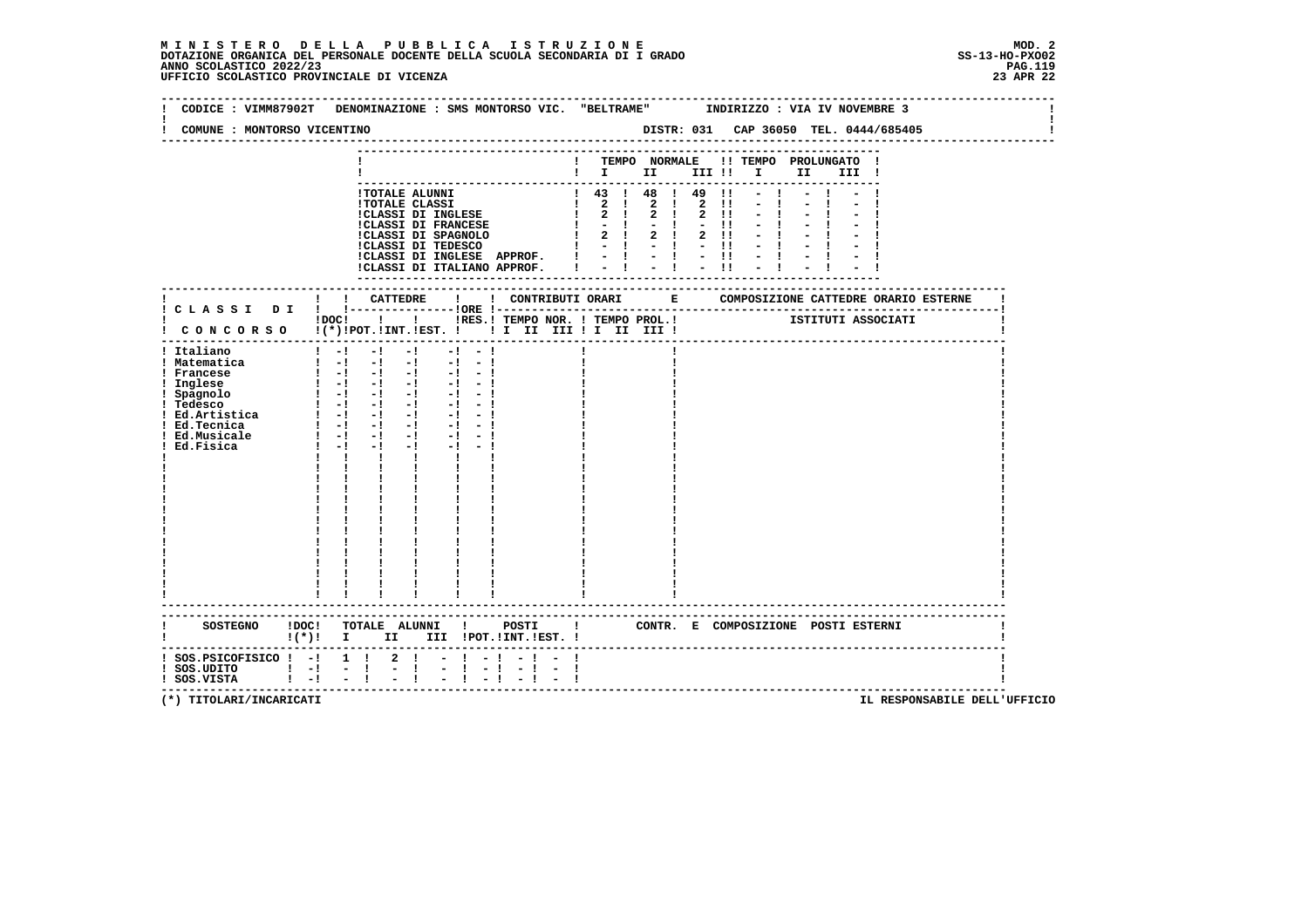# **M I N I S T E R O D E L L A P U B B L I C A I S T R U Z I O N E MOD. 2**DOTAZIONE ORGANICA DEL PERSONALE DOCENTE DELLA SCUOLA SECONDARIA DI I GRADO **SCOLASTICO SCOLASTICO 2022/23 PAG-**<br>PAGNO SCOLASTICO 2022/23 PAG.119<br>23 JPE UFFICIO SCOLASTICO PROVINCIALE DI VICENZA

| CODICE : VIMM87902T                                                                                            | DENOMINAZIONE : SMS MONTORSO VIC. "BELTRAME" INDIRIZZO : VIA IV NOVEMBRE 3                                                                                                                                                                                                                                                                                                                                                                                                                                                             |                                                                                                                                                                                                                                                                                                                                                                                          |  |  |                                                         |  |                    |
|----------------------------------------------------------------------------------------------------------------|----------------------------------------------------------------------------------------------------------------------------------------------------------------------------------------------------------------------------------------------------------------------------------------------------------------------------------------------------------------------------------------------------------------------------------------------------------------------------------------------------------------------------------------|------------------------------------------------------------------------------------------------------------------------------------------------------------------------------------------------------------------------------------------------------------------------------------------------------------------------------------------------------------------------------------------|--|--|---------------------------------------------------------|--|--------------------|
| COMUNE : MONTORSO VICENTINO                                                                                    |                                                                                                                                                                                                                                                                                                                                                                                                                                                                                                                                        |                                                                                                                                                                                                                                                                                                                                                                                          |  |  |                                                         |  |                    |
|                                                                                                                |                                                                                                                                                                                                                                                                                                                                                                                                                                                                                                                                        |                                                                                                                                                                                                                                                                                                                                                                                          |  |  | ! TEMPO NORMALE !! TEMPO PROLUNGATO !<br>$\blacksquare$ |  |                    |
|                                                                                                                |                                                                                                                                                                                                                                                                                                                                                                                                                                                                                                                                        | 1 TOTALE ALUNNI<br>1 TOTALE CLASSI<br>1 2 1 2 1 2 1 - 1<br>1 2 1 2 1 2 1 - 1<br>1 2 1 2 1 2 1 - 1<br>1 2 1 2 1 2 1 - 1<br>1 CLASSI DI FRANCESE<br>1 2 1 2 1 2 1 - 1<br>1 2 1 2 1 1 - 1<br>1 CLASSI DI TEDESCO<br>1 2 1 2 1 2 1 - 1<br>1 2 1 2 1 1 -<br>ICLASSI DI INGLESE APPROF. $  \cdot   \cdot   \cdot   \cdot  $<br>ICLASSI DI ITALIANO APPROF. $  \cdot   \cdot   \cdot   \cdot  $ |  |  | $1$ 43 $1$ 48 $1$ 49 $11$ - 1<br>$-1$                   |  |                    |
|                                                                                                                |                                                                                                                                                                                                                                                                                                                                                                                                                                                                                                                                        |                                                                                                                                                                                                                                                                                                                                                                                          |  |  |                                                         |  |                    |
|                                                                                                                | !DOC! !!!!RES.! TEMPO NOR. ! TEMPO PROL.!                                                                                                                                                                                                                                                                                                                                                                                                                                                                                              |                                                                                                                                                                                                                                                                                                                                                                                          |  |  |                                                         |  | ISTITUTI ASSOCIATI |
| ! Italiano<br>! Matematica<br>! Francese<br>! Inglese<br>: Spagnolo<br>! Tedesco<br>! Ed.Musicale<br>Ed.Fisica | $1 - 1 - 1 - 1$<br>$\begin{bmatrix} 1 & -1 & -1 & -1 & -1 & -1 \end{bmatrix}$<br>$\begin{bmatrix} 1 & -1 & -1 & -1 & -1 & -1 \end{bmatrix}$<br>$\begin{array}{cccccccccccccc} 1 & -1 & -1 & -1 & -1 & -1 & -1 & -1 & -1 \\ 1 & -1 & -1 & -1 & -1 & -1 & -1 & -1 \end{array}$<br>$1 - 1 - 1 - 1 - 1 - 1 - 1$<br>$1 - 1 - 1 - 1 - 1 - 1$<br>$1 - 1 - 1$<br>$-1$ $-$<br>$\mathbf{1}$ $\mathbf{1}$ $\mathbf{1}$<br>$\mathbf{I}$ and $\mathbf{I}$<br>$\frac{1}{1}$ $\frac{1}{1}$ $\frac{1}{1}$<br>$\frac{1}{1}$ $\frac{1}{1}$ $\frac{1}{1}$ | $-1 - 1$<br>$-1$ $-1$<br>$-1 - -1$                                                                                                                                                                                                                                                                                                                                                       |  |  |                                                         |  |                    |
|                                                                                                                | SOSTEGNO !DOC! TOTALE ALUNNI ! POSTI ! CONTR. E COMPOSIZIONE POSTI ESTERNI<br>!(*)! I II III !POT.!INT.!EST.!                                                                                                                                                                                                                                                                                                                                                                                                                          |                                                                                                                                                                                                                                                                                                                                                                                          |  |  |                                                         |  |                    |
| $!$ SOS.UDITO $!$ - $!$ - $!$<br>$!$ SOS.VISTA $!$ - ! - !                                                     | ! SOS.PSICOFISICO ! -! 1 ! 2 ! - ! -!<br>$\frac{1}{2}$ $\frac{1}{1}$                                                                                                                                                                                                                                                                                                                                                                                                                                                                   | $-1$ $-$<br>$-1 - 1$<br>$-1 - 1$<br>$-1$ $-1$                                                                                                                                                                                                                                                                                                                                            |  |  |                                                         |  |                    |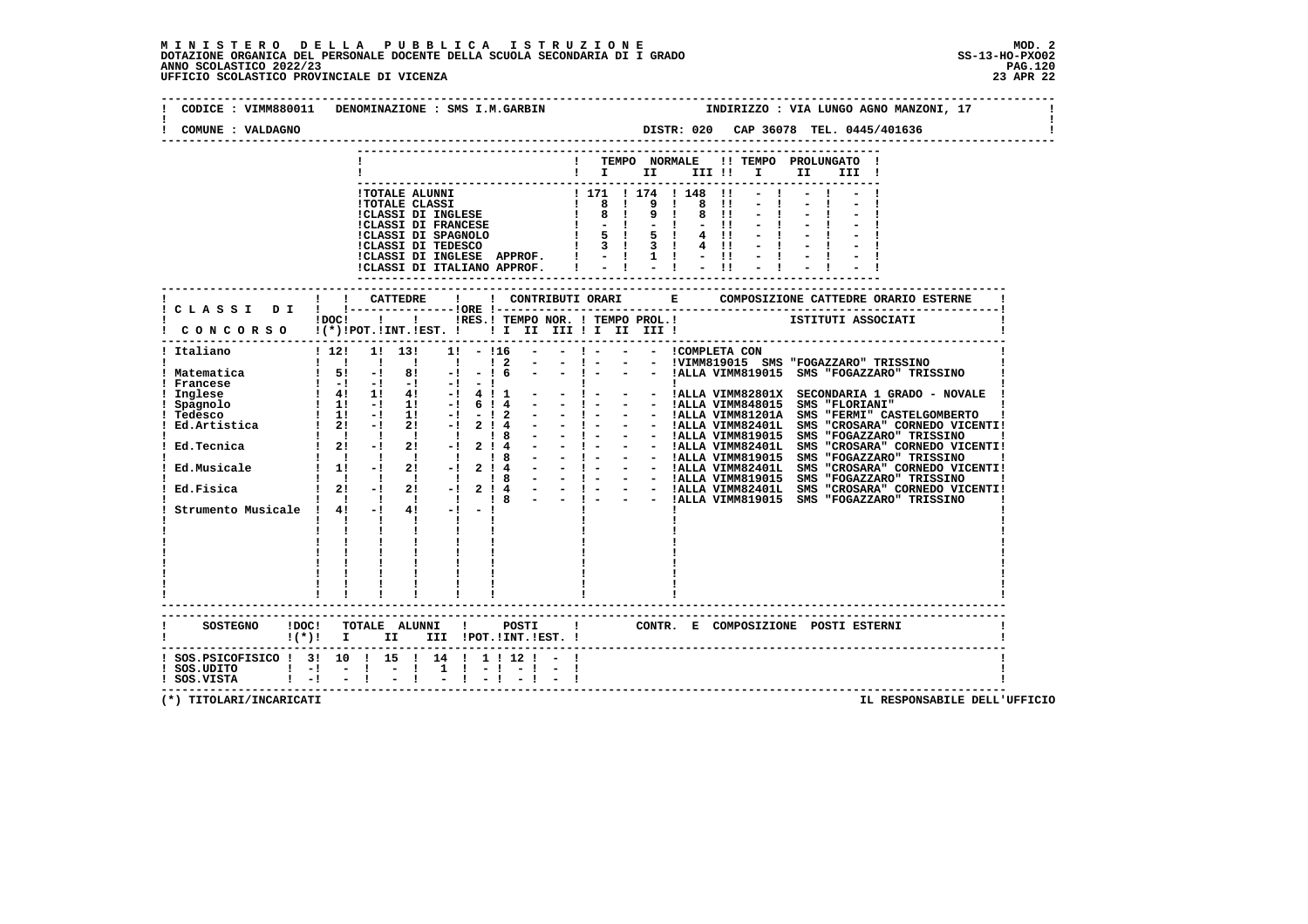## **M I N I S T E R O D E L L A P U B B L I C A I S T R U Z I O N E MOD. 2**DOTAZIONE ORGANICA DEL PERSONALE DOCENTE DELLA SCUOLA SECONDARIA DI I GRADO **SCOLASTICO SCOLASTICO 2022/23 PAG-**<br>PAGO SCOLASTICO 2022/23 PAG.120<br>23 APR 22 UFFICIO SCOLASTICO PROVINCIALE DI VICENZA

| CODICE : VIMM880011 DENOMINAZIONE : SMS I.M.GARBIN<br>COMUNE : VALDAGNO                                                                                                              |                                                                         |                                                                                                                                                                                                                                                                                                                                                                                                                                                                                   |                                           |                             |                                                                                       |                              |              |                                                                                                                                                                                                                                                                                                                                                                                                |  |                                                                            | INDIRIZZO : VIA LUNGO AGNO MANZONI, 17<br>DISTR: 020 CAP 36078 TEL. 0445/401636                                                   |  |       |  |  |
|--------------------------------------------------------------------------------------------------------------------------------------------------------------------------------------|-------------------------------------------------------------------------|-----------------------------------------------------------------------------------------------------------------------------------------------------------------------------------------------------------------------------------------------------------------------------------------------------------------------------------------------------------------------------------------------------------------------------------------------------------------------------------|-------------------------------------------|-----------------------------|---------------------------------------------------------------------------------------|------------------------------|--------------|------------------------------------------------------------------------------------------------------------------------------------------------------------------------------------------------------------------------------------------------------------------------------------------------------------------------------------------------------------------------------------------------|--|----------------------------------------------------------------------------|-----------------------------------------------------------------------------------------------------------------------------------|--|-------|--|--|
|                                                                                                                                                                                      |                                                                         |                                                                                                                                                                                                                                                                                                                                                                                                                                                                                   |                                           |                             |                                                                                       |                              |              | ! TEMPO NORMALE !! TEMPO PROLUNGATO !<br>$\blacksquare$ $\blacksquare$ $\blacksquare$ $\blacksquare$ $\blacksquare$ $\blacksquare$ $\blacksquare$ $\blacksquare$ $\blacksquare$ $\blacksquare$                                                                                                                                                                                                 |  |                                                                            |                                                                                                                                   |  | III ! |  |  |
|                                                                                                                                                                                      |                                                                         |                                                                                                                                                                                                                                                                                                                                                                                                                                                                                   |                                           |                             | !CLASSI DI ITALIANO APPROF.                                                           | !CLASSI DI INGLESE APPROF. ! |              |                                                                                                                                                                                                                                                                                                                                                                                                |  | $\overline{11}$<br>$\blacksquare$<br>8 11<br>$-11$<br>$4 \quad 11$<br>4 !! | $-1$<br>$\begin{array}{cccccccccccccc} 1 & 1 & 1 & 1 & 1 & 1 & 1 & 1 & 1 \\ 1 & 1 & 1 & 1 & 1 & 1 & 1 & 1 & 1 & 1 \\ \end{array}$ |  |       |  |  |
|                                                                                                                                                                                      |                                                                         |                                                                                                                                                                                                                                                                                                                                                                                                                                                                                   |                                           |                             |                                                                                       |                              |              | iDOCI ! ! IRES. I TEMPO NOR. ! TEMPO PROL. ! [STITUTI ASSOCIATI                                                                                                                                                                                                                                                                                                                                |  |                                                                            |                                                                                                                                   |  |       |  |  |
| CONCORSO !(*)!POT.!INT.!EST. ! ! I II III ! I III !<br>----------------------------------                                                                                            |                                                                         |                                                                                                                                                                                                                                                                                                                                                                                                                                                                                   |                                           |                             |                                                                                       |                              |              |                                                                                                                                                                                                                                                                                                                                                                                                |  |                                                                            |                                                                                                                                   |  |       |  |  |
| ! Italiano                                                                                                                                                                           |                                                                         | $1\,12!$ 1! 13!<br>$\begin{array}{cccccccccccccc} 1 & 1 & 1 & 1 & 1 \end{array}$                                                                                                                                                                                                                                                                                                                                                                                                  | $\sim$ $\sim$ $\sim$ $\sim$ $\sim$ $\sim$ | $1! - 116$                  | $1\quad2$                                                                             | $\sim$ 100 $\mu$             |              |                                                                                                                                                                                                                                                                                                                                                                                                |  |                                                                            |                                                                                                                                   |  |       |  |  |
| ! Matematica<br>! Francese<br>Inglese<br>! Spagnolo<br>! Tedesco<br>Tedesco : 1 11 -1 11 -1<br>Ed.Artistica : 21 -1 21 -1<br>Ed.Tecnica<br>Ed.Musicale<br>Strumento Musicale ! 4! -! | $\mathbf{1}$ $\mathbf{1}$ $\mathbf{1}$<br>$\mathbf{I}$ and $\mathbf{I}$ | $1\quad 5!$ $-1\quad 8!$ $-1\quad -1\quad 6$<br>$\begin{array}{cccccccc} 1 & -1 & -1 & -1 & -1 & -1 & -1 \\ 1 & 41 & 11 & 41 & -1 & 4 & 1 & 1 \\ 1 & 11 & -1 & 11 & -1 & 6 & 1 & 4 \end{array}$<br>$1 \quad 11 \quad -1 \quad 11 \quad -1 \quad -12$<br>$\frac{1}{1}$ $\frac{1}{21}$ $\frac{1}{-1}$ $\frac{1}{21}$ $\frac{1}{-1}$<br>$\begin{array}{cccccccccccccc} 1 & 1 & 1 & 1 & 1 & 1 & 1 \end{array}$<br>$11 - 121 - 1214$<br>1 1 1 1 1 1 1 8<br>$\frac{1}{1}$ $\frac{1}{1}$ | $4! -1$<br>$\mathbf{I}$ and $\mathbf{I}$  | $-1$<br>$\mathbf{I}$        | $\sim 10^{-10}$ km s $^{-1}$<br>$2 \cdot 4$<br>$\frac{1}{8}$<br>2! 4<br>$\frac{1}{8}$ |                              |              | - ! - - - !VIMM819015 SMS "FOGAZZARO" TRISSINO<br>- ! - - - !ALLA VIMM819015 SMS "FOGAZZARO" TRISSINO<br><b>Contract Contract District</b><br>$-1 -$<br>- - 1 - - - IALLA VIMM81201A SMS "FERMI" CASTELGOMBERTO 1<br>- - 1 - - - IALLA VIMM81201A SMS "FERMI" CASTELGOMBERTO 1<br>- - 1 - - - IALLA VIMM819015 SMS "CROSARA" CORNEDO VICENTI!<br>- - - - - - IALLA VIMM819015 SMS "CROSAZZARO" |  |                                                                            | - - IALLA VIMM82801X SECONDARIA 1 GRADO - NOVALE<br>- - IALLA VIMM848015 SMS "FLORIANI"                                           |  |       |  |  |
|                                                                                                                                                                                      | $\frac{1}{1}$ $\frac{1}{1}$ $\frac{1}{1}$                               | ------------------------                                                                                                                                                                                                                                                                                                                                                                                                                                                          |                                           |                             |                                                                                       |                              |              |                                                                                                                                                                                                                                                                                                                                                                                                |  |                                                                            |                                                                                                                                   |  |       |  |  |
| SOSTEGNO !DOC! TOTALE ALUNNI ! POSTI<br>!(*)! I II III !POT.!INT.!EST.!                                                                                                              |                                                                         |                                                                                                                                                                                                                                                                                                                                                                                                                                                                                   |                                           |                             |                                                                                       |                              | $\mathbf{I}$ |                                                                                                                                                                                                                                                                                                                                                                                                |  |                                                                            | CONTR. E COMPOSIZIONE POSTI_ESTERNI                                                                                               |  |       |  |  |
| ! SOS.PSICOFISICO ! 3! 10 ! 15 ! 14 ! 1 ! 12 ! - !<br>$!$ SOS.UDITO $!$ -! - !<br>$!$ SOS.VISTA $!$ $-!$ $-$ !                                                                       |                                                                         | $\blacksquare$                                                                                                                                                                                                                                                                                                                                                                                                                                                                    |                                           | $1 \quad 1 \quad - \quad 1$ |                                                                                       | $-1 - 1$                     |              |                                                                                                                                                                                                                                                                                                                                                                                                |  |                                                                            |                                                                                                                                   |  |       |  |  |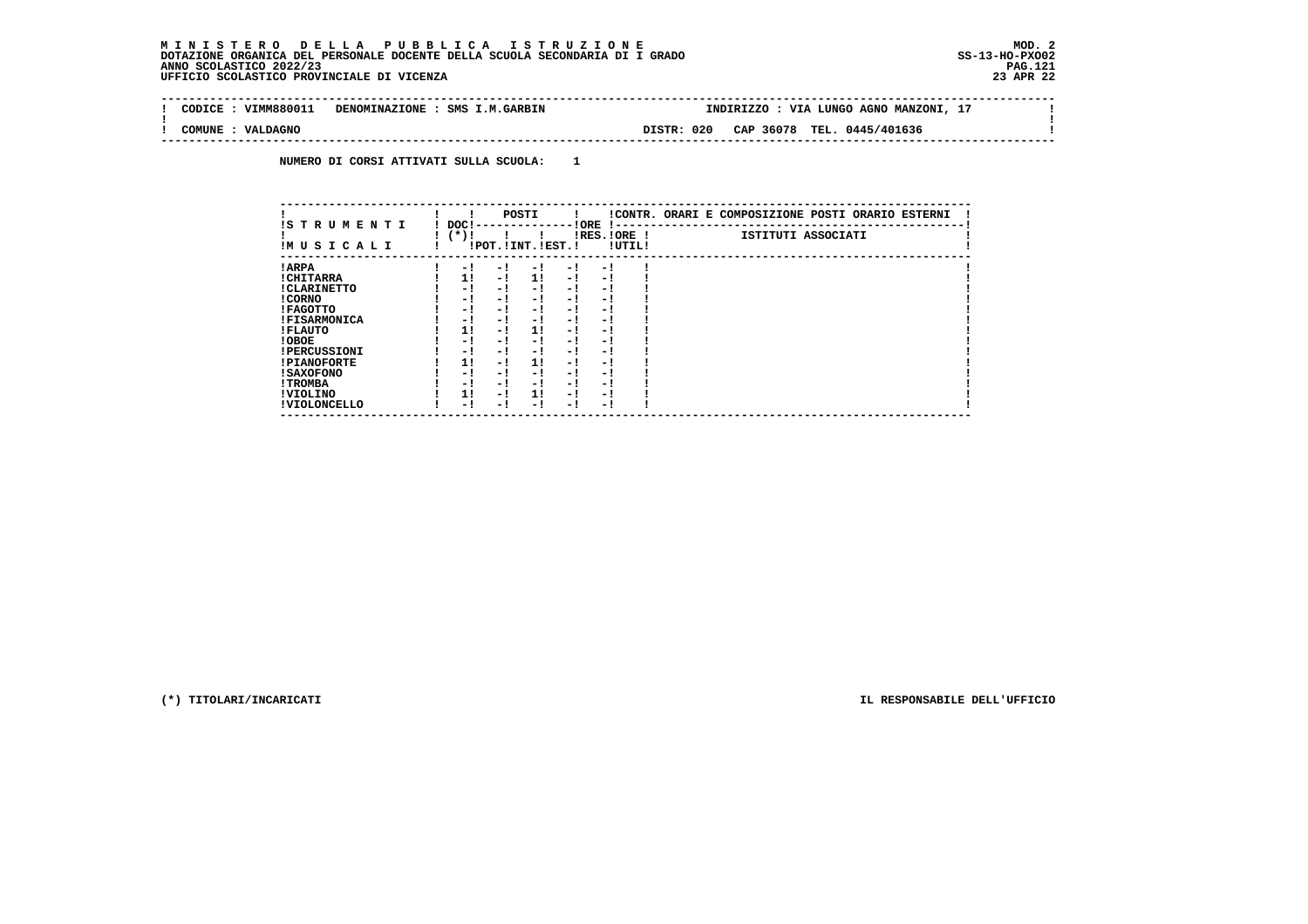$\mathbf{I}$ 

 $\mathbf{I}$ 

 $\mathbf{I}$ 

| : VIMM880011<br>CODICE | DENOMINAZIONE : SMS I.M.GARBIN |            | INDIRIZZO : VIA LUNGO AGNO MANZONI, 17 |  |
|------------------------|--------------------------------|------------|----------------------------------------|--|
| : VALDAGNO<br>COMUNE   |                                | DISTR: 020 | CAP 36078 TEL. 0445/401636             |  |

 **NUMERO DI CORSI ATTIVATI SULLA SCUOLA: 1**

| IS T R U M E N T I  | DOC! |     | POSTI                 |     | ! ORE                    |        | !CONTR. ORARI E COMPOSIZIONE POSTI ORARIO ESTERNI |
|---------------------|------|-----|-----------------------|-----|--------------------------|--------|---------------------------------------------------|
| IMUSICALI           | (*)! |     | !POT. ! INT. ! EST. ! |     | -1 - -<br>$IRES.IORE$ !  | !UTIL! | ISTITUTI ASSOCIATI                                |
| ! ARPA              | - 1  | - 1 | - 1                   | - 1 | - !                      |        |                                                   |
| ! CHITARRA          | 11   | - ! | 11                    | - ! | - 1                      |        |                                                   |
| ! CLARINETTO        | - 1  | - ! | - 1                   | - 1 | - 1                      |        |                                                   |
| ! CORNO             | - 1  | - ! | - 1                   | - 1 | - 1                      |        |                                                   |
| ! FAGOTTO           | - 1  | - ! | - 1                   | - 1 | - 1                      |        |                                                   |
| <b>!FISARMONICA</b> | - 1  | - ! | - !                   | - 1 | - 1                      |        |                                                   |
| ! FLAUTO            | 1!   | - ! | 11                    | - ! | - 1                      |        |                                                   |
| ! OBOE              | - 1  | - ! | - 1                   | - 1 | - 1                      |        |                                                   |
| <b>!PERCUSSIONI</b> | - 1  | - 1 | - 1                   | - 1 | - 1                      |        |                                                   |
| <b>!PIANOFORTE</b>  | 1!   | - 1 | 1!                    | - 1 | - 1                      |        |                                                   |
| ! SAXOFONO          | - 1  | - ! | - !                   | - 1 | $\overline{\phantom{0}}$ |        |                                                   |
| ! TROMBA            | - 1  | - ! | - !                   | - 1 | - 1                      |        |                                                   |
| ! VIOLINO           | 1!   | - 1 | 11                    | - 1 | - 1                      |        |                                                   |
| ! VIOLONCELLO       | - 1  | - 1 | - 1                   | - ! | - 1                      |        |                                                   |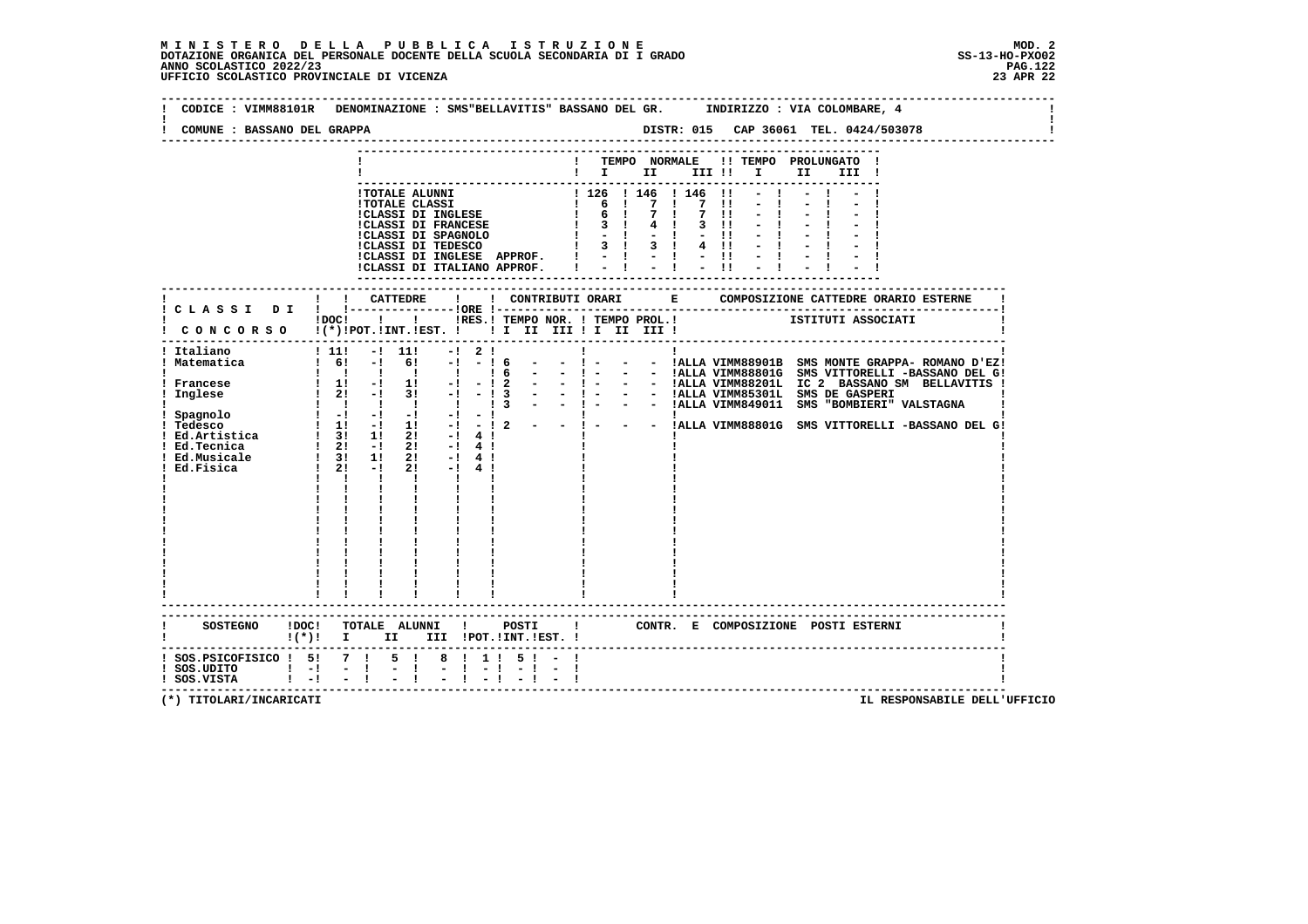| COMUNE : BASSANO DEL GRAPPA                    |                                                                                                                                                                                                                                                          |                |  | DISTR: 015 CAP 36061 TEL. 0424/503078<br>------------------------------ |                                                                                                                                                                                                                                                                                                |
|------------------------------------------------|----------------------------------------------------------------------------------------------------------------------------------------------------------------------------------------------------------------------------------------------------------|----------------|--|-------------------------------------------------------------------------|------------------------------------------------------------------------------------------------------------------------------------------------------------------------------------------------------------------------------------------------------------------------------------------------|
|                                                |                                                                                                                                                                                                                                                          | $\blacksquare$ |  | ! TEMPO NORMALE !! TEMPO PROLUNGATO !<br>III !                          |                                                                                                                                                                                                                                                                                                |
|                                                | -TOTALE ALUNNI<br>ITOTALE ALUNNI<br>ITOTALE CLASSI<br>ITOTALE CLASSI<br>ITOTALE CLASSI<br>ITOTALE CLASSI<br>ITOTALE CLASSI<br>ISONICIDE CLASSI<br>ISONICIDE CLASSI<br>ISONICIDE CLASSI<br>ISONICIDE CLASSI<br>ISONICIDE CLASSI<br>ISONICIDE CLASSI<br>IS |                |  |                                                                         |                                                                                                                                                                                                                                                                                                |
|                                                | ! CATTEDRE<br>! C L A S S I D I ! !----------------!ORE !---                                                                                                                                                                                             |                |  |                                                                         |                                                                                                                                                                                                                                                                                                |
|                                                | !DOC! !!!!RES.! TEMPO NOR. ! TEMPO PROL.!<br>I CONCORSO I(*) IPOT. IINT. IEST. I I II III II II III III I                                                                                                                                                |                |  | ISTITUTI ASSOCIATI                                                      |                                                                                                                                                                                                                                                                                                |
| ! Italiano<br>! Matematica                     | ! 11! -! 11!<br>$-1$ 2 1<br>$1 \t6!$ -1 61 -1 -16<br>$\mathbf{I}$<br>$\mathbf{I}$<br><b>I</b><br>$\mathbf{I}$<br>$\mathbf{I}$ and $\mathbf{I}$                                                                                                           | $  1 -$        |  |                                                                         | - - !ALLA VIMM88901B SMS MONTE GRAPPA- ROMANO D'EZ!<br>16 - - 1 - - 1ALLA VIMM88801G SMS VITTORELLI -BASSANO DEL G!<br>-12 - - 1 - - 1ALLA VIMM88801G SMS VITTORELLI -BASSANO DEL G!<br>-13 - - 1 - - 1ALLA VIMM85301L SMS DE GASPERI<br>-13 - - 1 - - 1ALLA VIMM849011 SMS "BOMBIERI" VALSTAG |
|                                                | SOSTEGNO !DOC! TOTALE ALUNNI ! POSTI<br>$!(*)!$ I II III !POT.!INT.!EST. !                                                                                                                                                                               |                |  | ! CONTR. E COMPOSIZIONE POSTI ESTERNI                                   |                                                                                                                                                                                                                                                                                                |
| ! SOS.UDITO   - ! - !<br>! SOS.VISTA   - ! - ! | ! SOS.PSICOFISICO ! 5! 7 ! 5 ! 8 ! 1 ! 5 ! -<br>$-1$ .<br><br><br><br><br><br><br><br><br><br>$-1 - 1$                                                                                                                                                   |                |  |                                                                         |                                                                                                                                                                                                                                                                                                |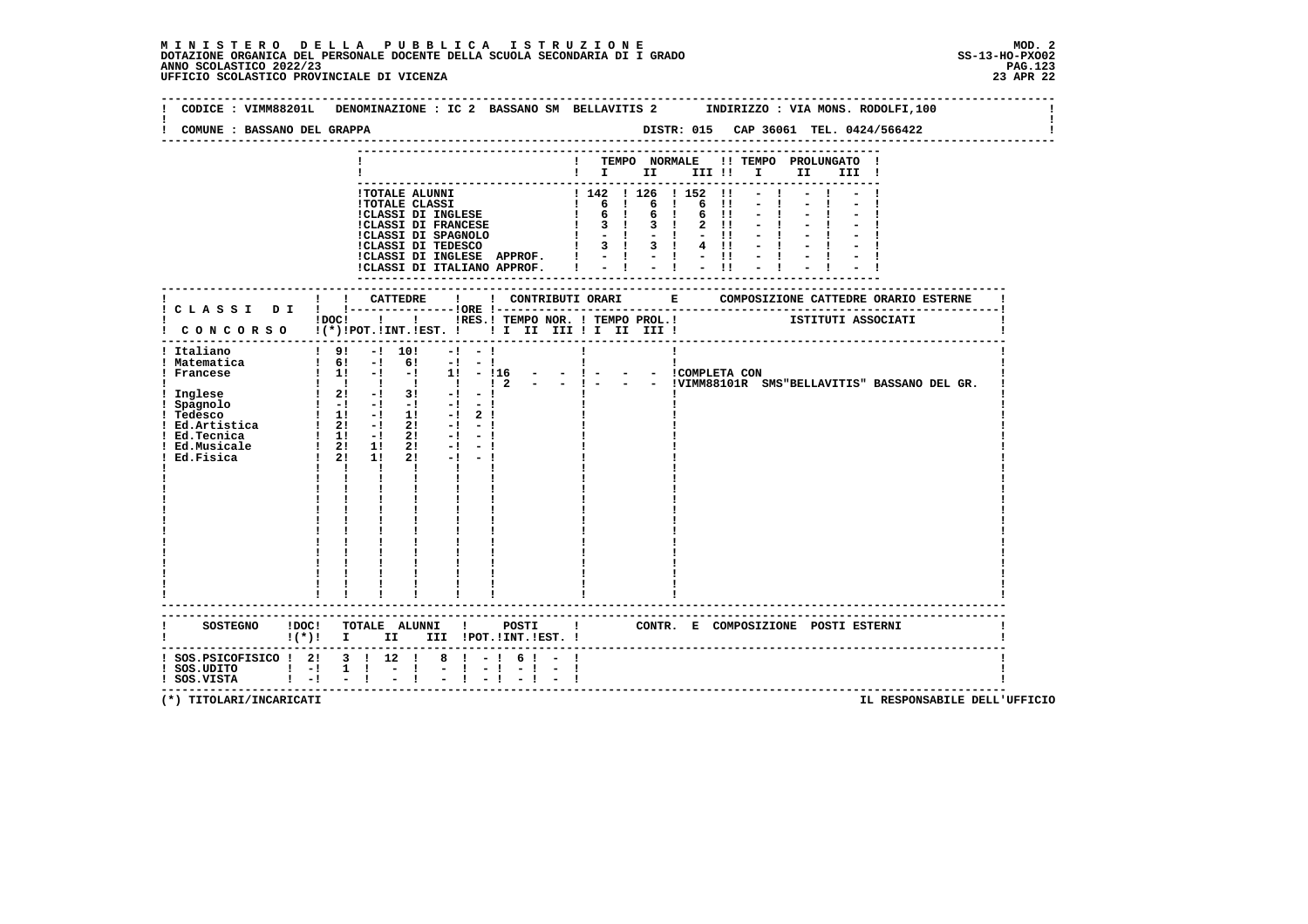# **M I N I S T E R O D E L L A P U B B L I C A I S T R U Z I O N E MOD. 2**DOTAZIONE ORGANICA DEL PERSONALE DOCENTE DELLA SCUOLA SECONDARIA DI I GRADO **SCOLASTICO SCOLASTICO 2022/23**<br>23 PAG 2022/23 PAG.123**PAG.123**<br>23 JPE 22 UFFICIO SCOLASTICO PROVINCIALE DI VICENZA

| CODICE : VIMM88201L         |                                                                                                                                                                                                                                                                                                                     | DENOMINAZIONE : IC 2 BASSANO SM BELLAVITIS 2 INDIRIZZO : VIA MONS. RODOLFI, 100                                     |
|-----------------------------|---------------------------------------------------------------------------------------------------------------------------------------------------------------------------------------------------------------------------------------------------------------------------------------------------------------------|---------------------------------------------------------------------------------------------------------------------|
| COMUNE : BASSANO DEL GRAPPA |                                                                                                                                                                                                                                                                                                                     |                                                                                                                     |
|                             |                                                                                                                                                                                                                                                                                                                     |                                                                                                                     |
|                             |                                                                                                                                                                                                                                                                                                                     | ! TEMPO NORMALE !! TEMPO PROLUNGATO !                                                                               |
|                             |                                                                                                                                                                                                                                                                                                                     | $\blacksquare$                                                                                                      |
|                             | <b>!TOTALE ALUNNI</b>                                                                                                                                                                                                                                                                                               |                                                                                                                     |
|                             | <b>!TOTALE CLASSI</b>                                                                                                                                                                                                                                                                                               | 142   126   152   <br>  6   6   6   6   <br>  6   6   6   <br>  3   3   2                                           |
|                             | :CLASSI DI INGLESE<br>!CLASSI DI FRANCESE                                                                                                                                                                                                                                                                           | 6 !!                                                                                                                |
|                             |                                                                                                                                                                                                                                                                                                                     |                                                                                                                     |
|                             |                                                                                                                                                                                                                                                                                                                     |                                                                                                                     |
|                             |                                                                                                                                                                                                                                                                                                                     |                                                                                                                     |
|                             |                                                                                                                                                                                                                                                                                                                     |                                                                                                                     |
|                             |                                                                                                                                                                                                                                                                                                                     | --------------------                                                                                                |
|                             |                                                                                                                                                                                                                                                                                                                     |                                                                                                                     |
|                             |                                                                                                                                                                                                                                                                                                                     | IDOCI ! IRES. I TEMPO NOR. I TEMPO PROL. ! [STITUTI ASSOCIATI                                                       |
|                             |                                                                                                                                                                                                                                                                                                                     |                                                                                                                     |
|                             |                                                                                                                                                                                                                                                                                                                     |                                                                                                                     |
| ! Italiano                  | ! 9! -! 10!<br>$-1 - -1$<br>$1 \t6!$ -1 6! -1 -1                                                                                                                                                                                                                                                                    | $\mathbf{I}$                                                                                                        |
| ! Matematica<br>! Francese  |                                                                                                                                                                                                                                                                                                                     |                                                                                                                     |
|                             |                                                                                                                                                                                                                                                                                                                     | : 11 - 1 - 11 - 116 - - 1 - - - ICOMPLETA CON<br>!!!!!!!!!!!!? - - !- - IVIMM88101R SMS"BELLAVITIS" BASSANO DEL GR. |
|                             |                                                                                                                                                                                                                                                                                                                     |                                                                                                                     |
|                             |                                                                                                                                                                                                                                                                                                                     |                                                                                                                     |
|                             |                                                                                                                                                                                                                                                                                                                     |                                                                                                                     |
|                             |                                                                                                                                                                                                                                                                                                                     |                                                                                                                     |
|                             |                                                                                                                                                                                                                                                                                                                     |                                                                                                                     |
|                             |                                                                                                                                                                                                                                                                                                                     |                                                                                                                     |
|                             | $1 - 1$<br>$\mathbf{I}$ and $\mathbf{I}$ and $\mathbf{I}$                                                                                                                                                                                                                                                           |                                                                                                                     |
|                             | $\mathbf{I}$ and $\mathbf{I}$                                                                                                                                                                                                                                                                                       |                                                                                                                     |
|                             |                                                                                                                                                                                                                                                                                                                     |                                                                                                                     |
|                             |                                                                                                                                                                                                                                                                                                                     |                                                                                                                     |
|                             | $\begin{array}{cc} 1 & 1 \\ 1 & 1 \\ 1 & 1 \\ 1 & 1 \end{array}$                                                                                                                                                                                                                                                    |                                                                                                                     |
|                             |                                                                                                                                                                                                                                                                                                                     |                                                                                                                     |
|                             |                                                                                                                                                                                                                                                                                                                     |                                                                                                                     |
|                             |                                                                                                                                                                                                                                                                                                                     |                                                                                                                     |
|                             |                                                                                                                                                                                                                                                                                                                     |                                                                                                                     |
|                             | <b>Contract Contract Contract</b>                                                                                                                                                                                                                                                                                   |                                                                                                                     |
|                             | --------------------                                                                                                                                                                                                                                                                                                |                                                                                                                     |
|                             |                                                                                                                                                                                                                                                                                                                     |                                                                                                                     |
|                             |                                                                                                                                                                                                                                                                                                                     | SOSTEGNO IDOC! TOTALE ALUNNI ! POSTI ! CONTR. E COMPOSIZIONE POSTI ESTERNI !(*)! I III III !POT.!INT.!EST. !        |
|                             |                                                                                                                                                                                                                                                                                                                     |                                                                                                                     |
|                             | ! SOS.PSICOFISICO ! 2! 3 ! 12 !<br>$8 \t1 - 1$<br>61<br>$\frac{1}{1}$ SOS.UDITO $\frac{1}{1}$ -1 1 1 - 1<br>$-1 - 1 - 1 - 1$                                                                                                                                                                                        |                                                                                                                     |
| ! SOS.VISTA                 | $\frac{1}{2}$ $\frac{1}{2}$ $\frac{1}{2}$ $\frac{1}{2}$ $\frac{1}{2}$ $\frac{1}{2}$ $\frac{1}{2}$ $\frac{1}{2}$ $\frac{1}{2}$ $\frac{1}{2}$ $\frac{1}{2}$ $\frac{1}{2}$ $\frac{1}{2}$ $\frac{1}{2}$ $\frac{1}{2}$ $\frac{1}{2}$ $\frac{1}{2}$ $\frac{1}{2}$ $\frac{1}{2}$ $\frac{1}{2}$ $\frac{1}{2}$ $\frac{1}{2}$ |                                                                                                                     |
|                             |                                                                                                                                                                                                                                                                                                                     | ----------------------------------                                                                                  |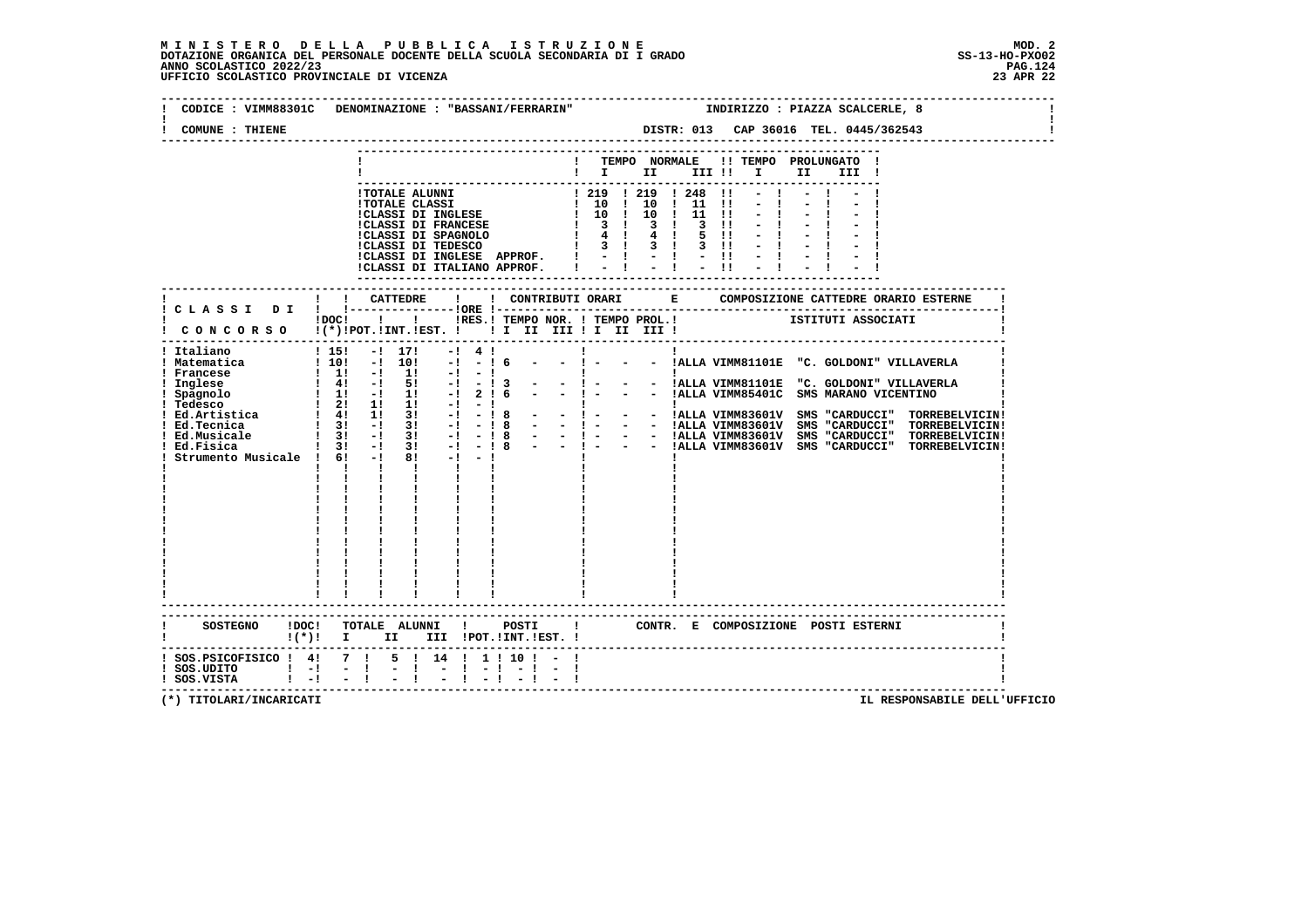### **M I N I S T E R O D E L L A P U B B L I C A I S T R U Z I O N E MOD. 2**DOTAZIONE ORGANICA DEL PERSONALE DOCENTE DELLA SCUOLA SECONDARIA DI I GRADO **SCOLASTICO SCOLASTICO 2022/23 PAG.124**<br>23 PAG.124 PAG.124<br>23 DERICIO SCOLASTICO PROVINCIALE DI VICENZA

|                                                                                                | CODICE : VIMM88301C DENOMINAZIONE : "BASSANI/FERRARIN"                                                                                                                                                                                                                                                                                                                                                                                                                                                                                                                                                                                                      |                       |                                                          |    | INDIRIZZO : PIAZZA SCALCERLE, 8                                                                                                                                                                                                                                                                                                                                                                                                                                                                                                                  |
|------------------------------------------------------------------------------------------------|-------------------------------------------------------------------------------------------------------------------------------------------------------------------------------------------------------------------------------------------------------------------------------------------------------------------------------------------------------------------------------------------------------------------------------------------------------------------------------------------------------------------------------------------------------------------------------------------------------------------------------------------------------------|-----------------------|----------------------------------------------------------|----|--------------------------------------------------------------------------------------------------------------------------------------------------------------------------------------------------------------------------------------------------------------------------------------------------------------------------------------------------------------------------------------------------------------------------------------------------------------------------------------------------------------------------------------------------|
| COMUNE : THIENE                                                                                |                                                                                                                                                                                                                                                                                                                                                                                                                                                                                                                                                                                                                                                             |                       |                                                          |    | DISTR: 013 CAP 36016 TEL. 0445/362543                                                                                                                                                                                                                                                                                                                                                                                                                                                                                                            |
|                                                                                                |                                                                                                                                                                                                                                                                                                                                                                                                                                                                                                                                                                                                                                                             |                       | TEMPO NORMALE<br>$\mathbf{I}$ is the set of $\mathbf{I}$ |    | !! TEMPO PROLUNGATO !<br>II a<br>III !                                                                                                                                                                                                                                                                                                                                                                                                                                                                                                           |
|                                                                                                | - CLASSI DI FRANCESE (1997)<br>1997 - ALINE CLASSI II CLASSI DI FRANCESE (1997)<br>1998 - 1998 - 1999 - 1999 - 1999 - 1999 - 1999 - 1999 - 1999 - 1999 - 1999 - 1999 - 1999 - 1999 - 1999 - 1999 - 1999 - 1999 - 1999 - 1999 - 199                                                                                                                                                                                                                                                                                                                                                                                                                          |                       |                                                          |    |                                                                                                                                                                                                                                                                                                                                                                                                                                                                                                                                                  |
|                                                                                                |                                                                                                                                                                                                                                                                                                                                                                                                                                                                                                                                                                                                                                                             |                       | ----------------------------                             |    |                                                                                                                                                                                                                                                                                                                                                                                                                                                                                                                                                  |
|                                                                                                | $!$ $DOC!$ $!$ $!$ $!$<br>$!$ CONCORSO $!(*)!$ POT. !INT. ! EST. $!$ I I III III II III III                                                                                                                                                                                                                                                                                                                                                                                                                                                                                                                                                                 |                       |                                                          |    | !RES.! TEMPO NOR. ! TEMPO PROL.! ISTITUTI ASSOCIATI                                                                                                                                                                                                                                                                                                                                                                                                                                                                                              |
| ! Italiano<br>! Matematica<br>Francese<br>: Inglese<br>! Spagnolo<br>! Tedesco<br>! Ed.Tecnica | $1\;15!$<br>$-!$ 17!<br>$-!$ 4 !<br>! 10! -! 10!<br>$-1$<br>- 16<br>$1 \quad 1! \quad -1 \quad 1!$<br>$-1$<br>- 1<br>$\frac{1}{1}$ $\frac{41}{11}$ $\frac{-1}{1}$ $\frac{51}{11}$ $\frac{-1}{1}$<br>2! 6<br>$-1 - 1$<br>$\frac{1}{2}$ 3! $\frac{1}{2}$ 3! $\frac{1}{2}$<br>Ed. Musicale $\begin{array}{ccccccccc}\n & 1 & 31 & -1 & 31 & -1 & -18 \\ \hline\nEd. Musicale & 1 & 31 & -1 & 31 & -1 & -18 \\ \hline\nStrumento Musicale & 1 & 61 & -1 & 81 & -1 & -1\n\end{array}$<br>$\mathbf{1}$ $\mathbf{1}$ $\mathbf{1}$ $\mathbf{1}$<br>$\mathbf{I}$ and $\mathbf{I}$<br>$\mathbf{I}$ and $\mathbf{I}$ and $\mathbf{I}$<br>$\mathbf{I}$ and $\mathbf{I}$ | $-13$<br>$-18$        | $\mathbf{I}$                                             | п. | - - !ALLA VIMM81101E "C. GOLDONI" VILLAVERLA<br>$\begin{array}{ccccccccccccc}\n1 & - & - & 1 & \text{MLLA VIMM81101E} & \text{''C. GOLDONI'' VILLAVERLA} \\ - & - & - & 1 & \text{ALLA VIMM81101E} & \text{''C. GOLDONI'' VTLLAVERLA}\n\end{array}$<br>- ! - - - !ALLA VIMM85401C SMS MARANO VICENTINO<br> <br>- -   - - -  ALLA VIMM83601V SMS "CARDUCCI" TORREBELVICIN <br>- -   - - -  ALLA VIMM83601V SMS "CARDUCCI" TORREBELVICIN <br>- -   - - -  ALLA VIMM83601V SMS "CARDUCCI" TORREBELVICIN <br>- -   - -  ALLA VIMM83601V SMS "CARDUCC |
| <b>SOSTEGNO</b>                                                                                | !DOC! TOTALE ALUNNI !<br>$!(*)!$ I II III !POT.!INT.!EST. !                                                                                                                                                                                                                                                                                                                                                                                                                                                                                                                                                                                                 | POSTI<br>$\mathbf{I}$ |                                                          |    | CONTR. E COMPOSIZIONE POSTI_ESTERNI                                                                                                                                                                                                                                                                                                                                                                                                                                                                                                              |
| $!$ SOS.UDITO $!$ $-!$<br>! SOS.VISTA ! -! - !                                                 | ! SOS.PSICOFISICO ! 4! 7 ! 5 ! 14 ! 1 ! 10 ! -<br>$-1$<br>$-1 - 1 - 1$                                                                                                                                                                                                                                                                                                                                                                                                                                                                                                                                                                                      |                       |                                                          |    |                                                                                                                                                                                                                                                                                                                                                                                                                                                                                                                                                  |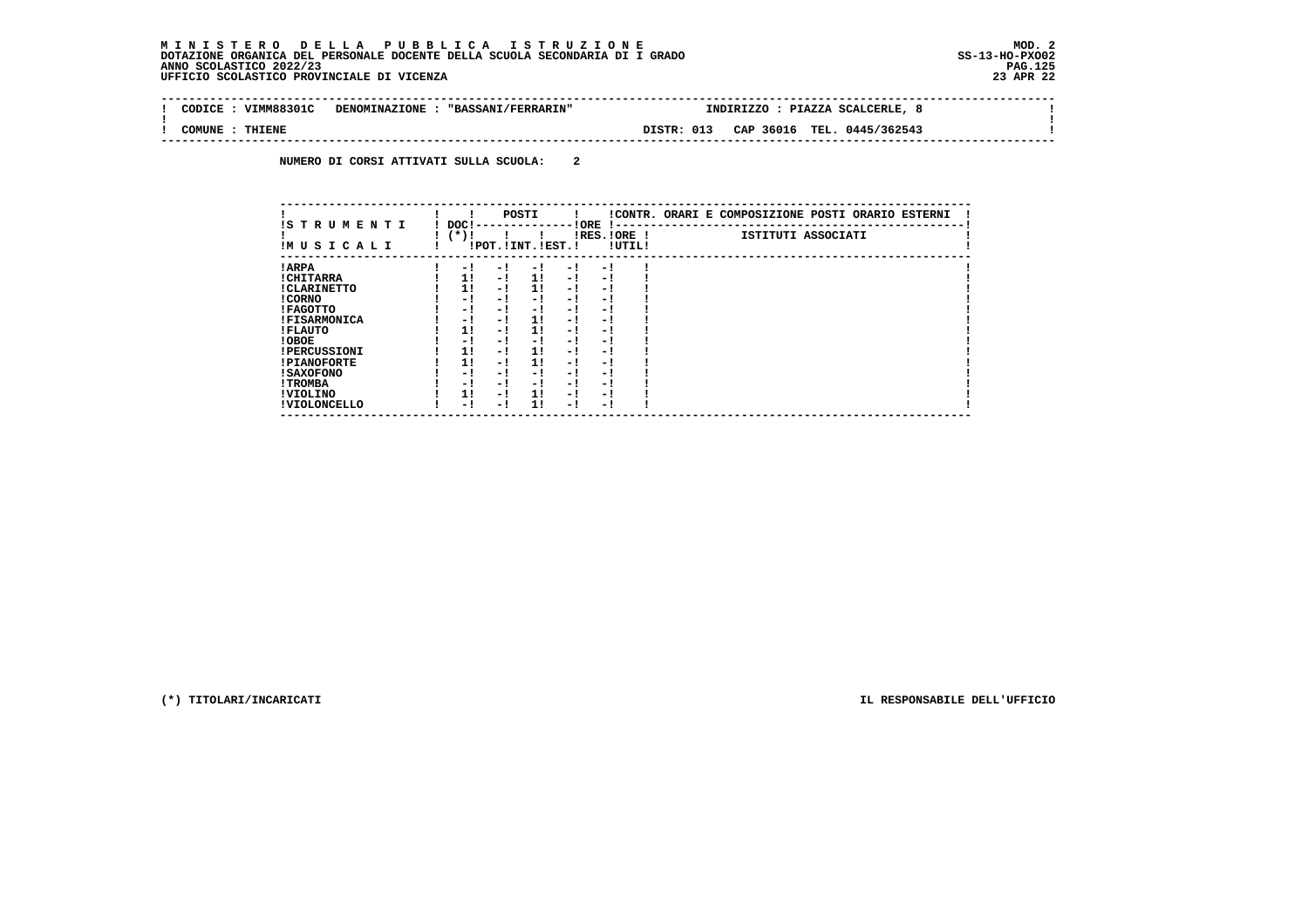# **M I N I S T E R O D E L L A P U B B L I C A I S T R U Z I O N E MOD. 2**DOTAZIONE ORGANICA DEL PERSONALE DOCENTE DELLA SCUOLA SECONDARIA DI I GRADO **SCOLASTICO SCOLASTICO 2022/23 PAG.125**<br>23 PAG.125 PAG.125<br>23 DERICIO SCOLASTICO PROVINCIALE DI VICENZA

| CODICE | VIMM88301C | DENOMINAZIONE : "BASSANI/FERRARIN" |            | INDIRIZZO : PIAZZA SCALCERLE, |  |
|--------|------------|------------------------------------|------------|-------------------------------|--|
| COMUNE | THIENE     |                                    | DISTR: 013 | CAP 36016 TEL. 0445/362543    |  |

 **NUMERO DI CORSI ATTIVATI SULLA SCUOLA: 2**

| IS T R U M E N T I  | DOC! |     | POSTI                 |      | ! ORE<br>-1 - -          |        | !CONTR. ORARI E COMPOSIZIONE POSTI ORARIO ESTERNI |
|---------------------|------|-----|-----------------------|------|--------------------------|--------|---------------------------------------------------|
| IMUSICALI           | (*)! |     | !POT. ! INT. ! EST. ! |      | $IRES.IORE$ !            | !UTIL! | ISTITUTI ASSOCIATI                                |
| ! ARPA              | - 1  | - 1 | - 1                   | - 1  | - !                      |        |                                                   |
| ! CHITARRA          | 11   | - ! | 11                    | - !  | - 1                      |        |                                                   |
| ! CLARINETTO        | 11   | - 1 | 11                    | - 1  | - 1                      |        |                                                   |
| ! CORNO             | - 1  | - ! | - 1                   | - 1  | - 1                      |        |                                                   |
| ! FAGOTTO           | - 1  | - 1 | - 1                   | $-1$ | - 1                      |        |                                                   |
| <b>!FISARMONICA</b> | - 1  | - 1 | 11                    | - 1  | - 1                      |        |                                                   |
| ! FLAUTO            | 11   | - ! | 11                    | - !  | - 1                      |        |                                                   |
| ! OBOE              | - 1  | - ! | - 1                   | $-1$ | - 1                      |        |                                                   |
| <b>!PERCUSSIONI</b> | 1!   | - 1 | 11                    | - 1  | - 1                      |        |                                                   |
| <b>!PIANOFORTE</b>  | 1!   | - 1 | 1!                    | - 1  | - 1                      |        |                                                   |
| ! SAXOFONO          | - 1  | - 1 | - !                   | - 1  | $\overline{\phantom{0}}$ |        |                                                   |
| ! TROMBA            | - 1  | - ! | - !                   | - 1  | - 1                      |        |                                                   |
| ! VIOLINO           | 1!   | - 1 | 11                    | $-1$ | - 1                      |        |                                                   |
| ! VIOLONCELLO       | - 1  | - 1 | 11                    | - 1  | - 1                      |        |                                                   |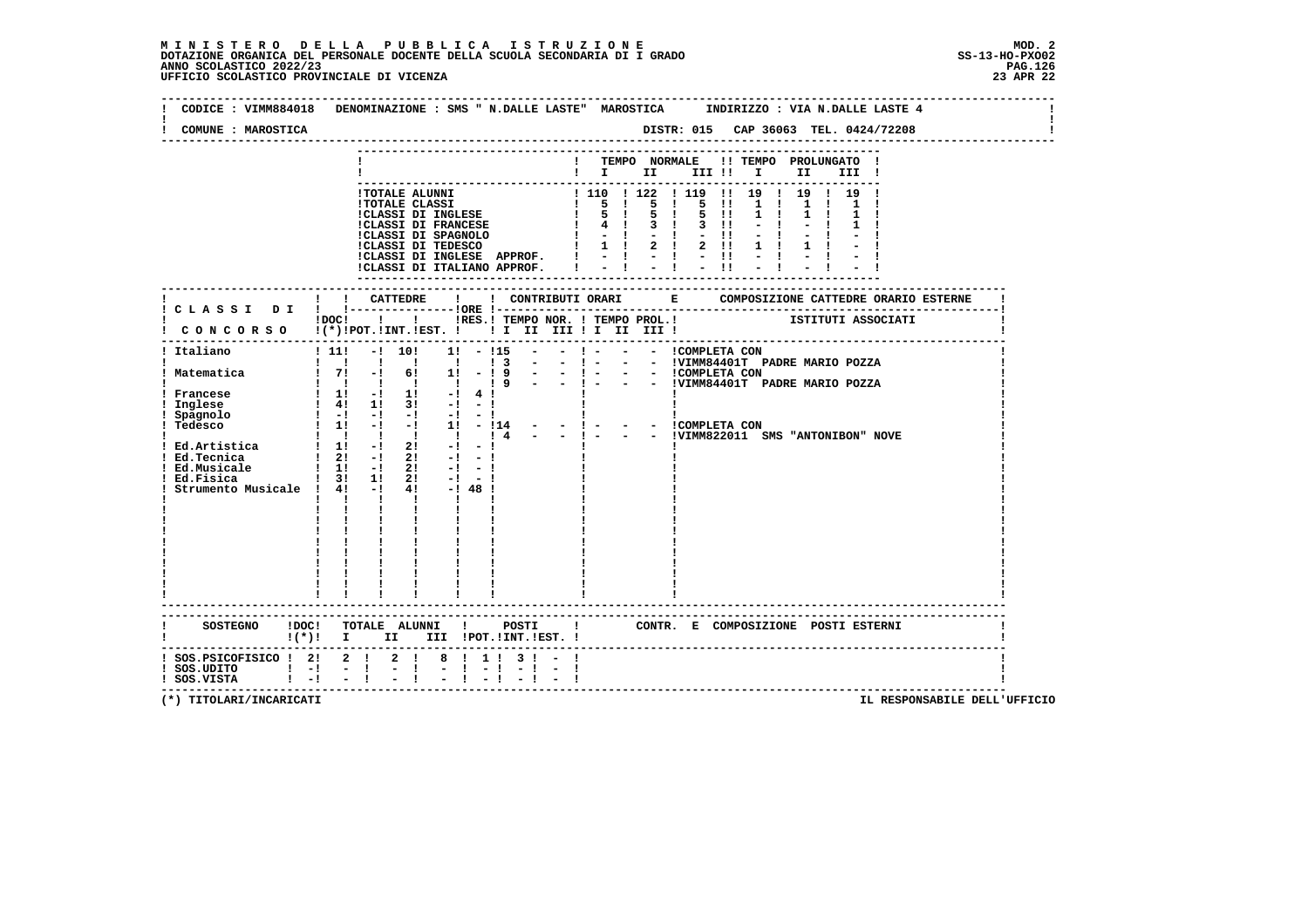# **M I N I S T E R O D E L L A P U B B L I C A I S T R U Z I O N E MOD. 2**DOTAZIONE ORGANICA DEL PERSONALE DOCENTE DELLA SCUOLA SECONDARIA DI I GRADO **SCOLASTICO SCOLASTICO 2022/23 PAG-**<br>PAGO SCOLASTICO 2022/23 PAG.126<br>23 DERICIO SCOLASTICO PROVINCIALE DI VICENZA

| CODICE : VIMM884018<br>COMUNE : MAROSTICA                     | DENOMINAZIONE : SMS " N.DALLE LASTE" MAROSTICA<br>INDIRIZZO : VIA N.DALLE LASTE 4<br>DISTR: 015 CAP 36063 TEL. 0424/72208                                                                                                                                                                  |
|---------------------------------------------------------------|--------------------------------------------------------------------------------------------------------------------------------------------------------------------------------------------------------------------------------------------------------------------------------------------|
|                                                               |                                                                                                                                                                                                                                                                                            |
|                                                               | ! TEMPO NORMALE<br>!! TEMPO PROLUNGATO                                                                                                                                                                                                                                                     |
|                                                               | $\blacksquare$ $\blacksquare$ $\blacksquare$ $\blacksquare$<br>III !                                                                                                                                                                                                                       |
|                                                               | !TOTALE ALUNNI<br>11 19 1 19 1 19                                                                                                                                                                                                                                                          |
|                                                               | $\begin{array}{cccccccc} 1 & 110 & 1 & 122 & 1 & 119 & 11 \\ 1 & 5 & 1 & 5 & 1 & 5 & 11 \end{array}$<br>1 <sub>1</sub><br>$\mathbf{1}$<br><b>!TOTALE CLASSI</b>                                                                                                                            |
|                                                               | <b>!CLASSI DI INGLESE</b><br>$1 \quad 5 \quad 1 \quad 5 \quad 1$<br>5 11<br>$1 \quad 1$<br>$1 \quad 1$                                                                                                                                                                                     |
|                                                               | <b>!CLASSI DI FRANCESE</b><br>$1 \t 4 \t 3 \t 1 \t 3 \t 11$<br>$1 - 1 - 1 - 11$                                                                                                                                                                                                            |
|                                                               | !CLASSI DI SPAGNOLO<br>!CLASSI DI TEDESCO<br>$1 \t1 \t2 \t1 \t2 \t11$                                                                                                                                                                                                                      |
|                                                               | !CLASSI DI INGLESE APPROF.<br>$1 - -1 - -1 - -11$                                                                                                                                                                                                                                          |
|                                                               | $i - i - i - i$<br>!CLASSI DI ITALIANO APPROF.                                                                                                                                                                                                                                             |
|                                                               |                                                                                                                                                                                                                                                                                            |
|                                                               |                                                                                                                                                                                                                                                                                            |
| CLASSI DI                                                     | IDOCI ! IRES. I TEMPO NOR. I TEMPO PROL. ! [STITUTI ASSOCIATI                                                                                                                                                                                                                              |
|                                                               | CONCORSO !(*)!POT.!INT.!EST. !! I II III !I II III!                                                                                                                                                                                                                                        |
|                                                               |                                                                                                                                                                                                                                                                                            |
| ! Italiano                                                    | $1\;111$<br>$-!$ 10!<br>$1! - 115$<br>$\mathbf{I}$ $\mathbf{=}$<br>- - ICOMPLETA CON                                                                                                                                                                                                       |
| ! Matematica                                                  | 1 1 1 1 1<br>$\frac{1}{3}$<br>$\sim$<br>$-1 -$<br>- - !VIMM84401T PADRE MARIO POZZA<br>$! 7! -! 6! 1! -! 9$<br>$\sim$ 100 $\mu$<br>$-1 -$<br>- - ICOMPLETA CON                                                                                                                             |
|                                                               | - - !VIMM84401T PADRE MARIO POZZA<br>$\begin{array}{ccccccccccccccccc}\n1 & 1 & 1 & 1 & 1 & 1\n\end{array}$<br>19<br>$-1 - 1$                                                                                                                                                              |
| Francese                                                      | $1 \t11 - 1 \t11 - 141$                                                                                                                                                                                                                                                                    |
| Inglese                                                       | $\frac{1}{2}$ 4! 1! 3! $-1$ - !                                                                                                                                                                                                                                                            |
| Spagnolo<br>Tedesco                                           | $1 - 1 - 1 - 1 - 1 - 1 - 1$<br>! 1! -! -! 1! - !14 - - ! - - - - !COMPLETA CON                                                                                                                                                                                                             |
|                                                               | $1 \quad 1 \quad 1 \quad 1 \quad 1 \quad 1 \quad 1 \quad 4 \quad - \quad - \quad 1 \quad -$<br>- - !VIMM822011 SMS "ANTONIBON" NOVE                                                                                                                                                        |
| Ed.Artistica                                                  | $1 \t1 \t-1 \t21$<br>$-1$<br>$-1$                                                                                                                                                                                                                                                          |
| ! Ed.Tecnica<br>! Ed.Musicale                                 | $1 \quad 2! \quad -1 \quad 2!$<br>$-1$ $-1$                                                                                                                                                                                                                                                |
| Ed.Fisica                                                     | $1 \quad 11 \quad -1 \quad 21$<br>$-1 - 1$<br>1 31 11<br>21<br>$-1 - 1$                                                                                                                                                                                                                    |
| Strumento Musicale ! 4! -!                                    | $4! - 1481$                                                                                                                                                                                                                                                                                |
|                                                               | $\mathbf{I}$<br>$\mathbf{I}$ $\mathbf{I}$<br>$\mathbf{I}$<br>$\mathbf{I}$ and $\mathbf{I}$                                                                                                                                                                                                 |
|                                                               |                                                                                                                                                                                                                                                                                            |
|                                                               |                                                                                                                                                                                                                                                                                            |
|                                                               |                                                                                                                                                                                                                                                                                            |
|                                                               |                                                                                                                                                                                                                                                                                            |
|                                                               |                                                                                                                                                                                                                                                                                            |
|                                                               |                                                                                                                                                                                                                                                                                            |
|                                                               |                                                                                                                                                                                                                                                                                            |
|                                                               |                                                                                                                                                                                                                                                                                            |
|                                                               | SOSTEGNO !DOC! TOTALE ALUNNI !<br>POSTI : CONTR. E COMPOSIZIONE POSTI ESTERNI                                                                                                                                                                                                              |
|                                                               | $\mathbf{I}$ (*) $\mathbf{I}$<br>III !POT. !INT. !EST. !<br>II and the set of the set of the set of the set of the set of the set of the set of the set of the set of the set of the set of the set of the set of the set of the set of the set of the set of the set of the set of the se |
|                                                               |                                                                                                                                                                                                                                                                                            |
| SOS.PSICOFISICO ! 2! 2 ! 2 !<br>$!$ SOS.UDITO $!$ - $!$ - $!$ | 8 1 1 1<br>$3 \cdot 1 -$                                                                                                                                                                                                                                                                   |
| ! SOS.VISTA                                                   | $\frac{1}{2}$ $\frac{1}{1}$<br>$\frac{1}{2}$ $\frac{1}{2}$ $\frac{1}{2}$ $\frac{1}{2}$<br>$1 - 1$                                                                                                                                                                                          |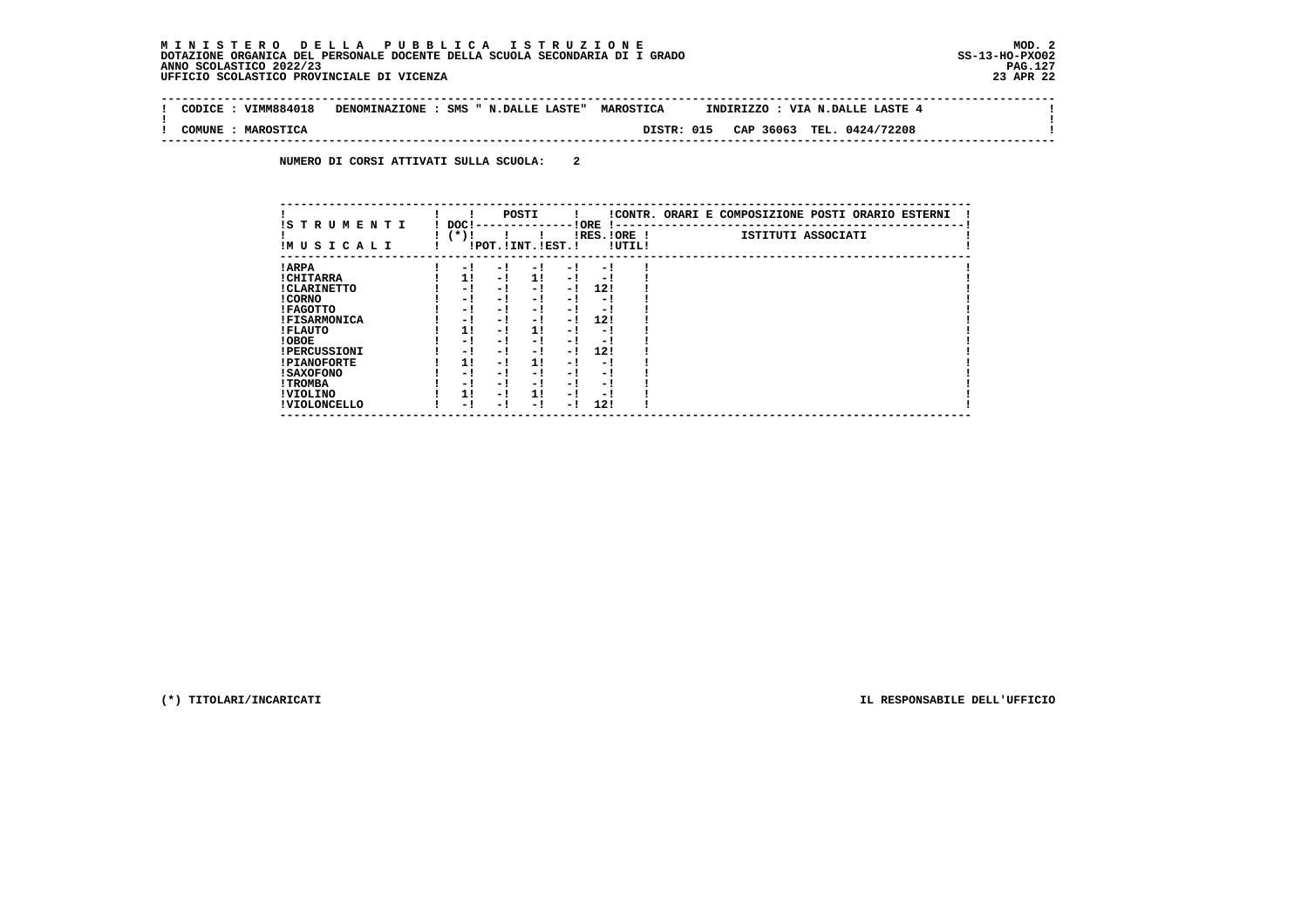$\sim$ 

 $\mathbf{I}$ 

 $\mathbf{I}$ 

 **-------------------------------------------------------------------------------------------------------------------------------- ! CODICE : VIMM884018 DENOMINAZIONE : SMS " N.DALLE LASTE" MAROSTICA INDIRIZZO : VIA N.DALLE LASTE 4 ! ! ! ! COMUNE : MAROSTICA DISTR: 015 CAP 36063 TEL. 0424/72208 !**

 **--------------------------------------------------------------------------------------------------------------------------------**

 **NUMERO DI CORSI ATTIVATI SULLA SCUOLA: 2**

| IS T R U M E N T I  | DOC! |     | POSTI                 |      | ! ORE                    |        | !CONTR. ORARI E COMPOSIZIONE POSTI ORARIO ESTERNI |
|---------------------|------|-----|-----------------------|------|--------------------------|--------|---------------------------------------------------|
| IMUSICALI           | (*)! |     | !POT. ! INT. ! EST. ! |      | -1 - -<br>$IRES.IORE$ !  | !UTIL! | ISTITUTI ASSOCIATI                                |
| ! ARPA              | - 1  | - 1 | - 1                   | - 1  | - 1                      |        |                                                   |
| ! CHITARRA          | 11   | - ! | 11                    | $-1$ | - 1                      |        |                                                   |
| ! CLARINETTO        | - 1  | - 1 | - 1                   | $-1$ | 12!                      |        |                                                   |
| ! CORNO             | - 1  | - ! | - 1                   | - 1  | - 1                      |        |                                                   |
| ! FAGOTTO           | - 1  | - ! | - 1                   | $-1$ | - 1                      |        |                                                   |
| <b>!FISARMONICA</b> | - 1  | - ! | - 1                   | - 1  | 12!                      |        |                                                   |
| ! FLAUTO            | 11   | - ! | 11                    | - 1  | - 1                      |        |                                                   |
| ! OBOE              | - 1  | - ! | - 1                   | $-1$ | - 1                      |        |                                                   |
| <b>!PERCUSSIONI</b> | - 1  | - 1 | - 1                   | - 1  | 12!                      |        |                                                   |
| <b>!PIANOFORTE</b>  | 1!   | - 1 | 11                    | - 1  | - 1                      |        |                                                   |
| ! SAXOFONO          | - 1  | - 1 | - !                   | - 1  | $\overline{\phantom{0}}$ |        |                                                   |
| ! TROMBA            | - 1  | - ! | - !                   | - 1  | - 1                      |        |                                                   |
| ! VIOLINO           | 1!   | - 1 | 11                    | $-1$ | - 1                      |        |                                                   |
| ! VIOLONCELLO       | - 1  | - 1 | - !                   | - !  | 12!                      |        |                                                   |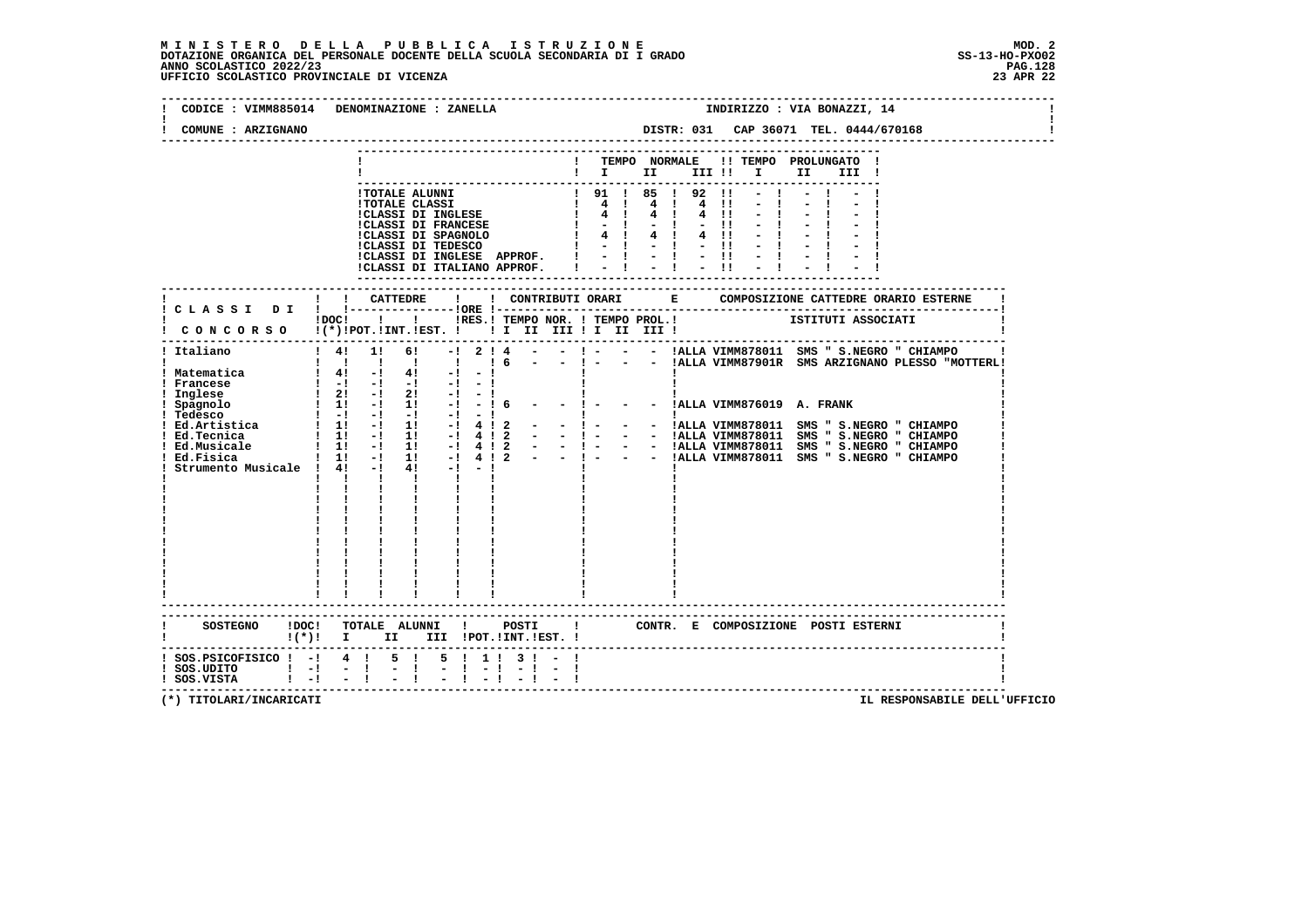|                                              | CODICE : VIMM885014 DENOMINAZIONE : ZANELLA<br>INDIRIZZO : VIA BONAZZI, 14                                                                                  |
|----------------------------------------------|-------------------------------------------------------------------------------------------------------------------------------------------------------------|
| COMUNE : ARZIGNANO                           |                                                                                                                                                             |
|                                              | ! TEMPO NORMALE !! TEMPO PROLUNGATO !<br>$\mathbf{I}$ $\mathbf{I}$ $\mathbf{II}$<br>III !! I II<br>III !                                                    |
|                                              |                                                                                                                                                             |
|                                              | ! ! CATTEDRE<br>$\mathbf{I}$<br>I DOC! I I IRES.ITEMPO NOR. ITEMPO PROL. I ISTITUTI ASSOCIATI I CONCORSO I(*) IPOT.IINT.IEST. I I II III II III III III III |
|                                              | $\mathbf{1}$ $\mathbf{1}$ $\mathbf{1}$ $\mathbf{1}$<br>$\mathbf{1}$ and $\mathbf{1}$                                                                        |
|                                              | ------------------------<br>SOSTEGNO !DOC! TOTALE ALUNNI ! POSTI ! CONTR. E COMPOSIZIONE POSTI ESTERNI<br>$!(*)!$ I II III !POT.!INT.!EST. !                |
| ! SOS.UDITO ! -! - !<br>! SOS.VISTA ! -! - ! | ! SOS.PSICOFISICO ! -! 4 ! 5 ! 5 ! 1 ! 3 ! - !<br>$-1 \t-1 -1 -1 -1 -1$<br>----------------------------                                                     |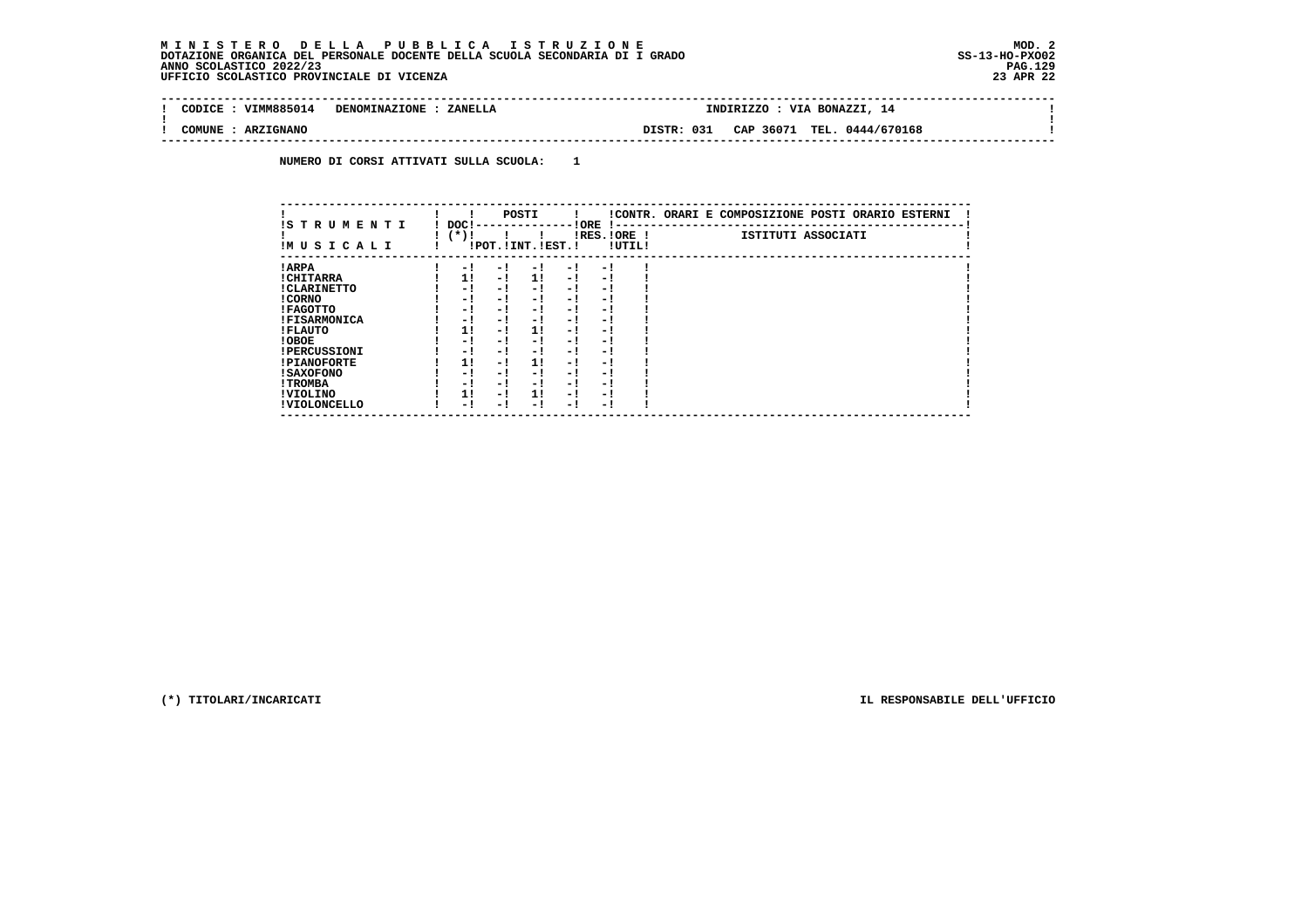$\sim$ 

 $\mathbf{I}$ 

#### **-------------------------------------------------------------------------------------------------------------------------------- ! CODICE : VIMM885014 DENOMINAZIONE : ZANELLA**

 **! ! ! COMUNE : ARZIGNANO DISTR: 031 CAP 36071 TEL. 0444/670168 ! --------------------------------------------------------------------------------------------------------------------------------**

 **NUMERO DI CORSI ATTIVATI SULLA SCUOLA: 1**

| IS TRUMENTI         | DOC!   |     |     | POSTI                 |     | ! ORE<br>$\mathbf{I}$ – – |        | !CONTR. ORARI E COMPOSIZIONE POSTI ORARIO ESTERNI |
|---------------------|--------|-----|-----|-----------------------|-----|---------------------------|--------|---------------------------------------------------|
| IM U S I C A L I    | $(*)!$ |     |     | !POT. ! INT. ! EST. ! |     | IRES. IORE !              | !UTIL! | ISTITUTI ASSOCIATI                                |
| ! ARPA              |        | - 1 | - 1 | - 1                   | - 1 | $-1$                      |        |                                                   |
| ! CHITARRA          |        | 11  | - 1 | 11                    | - 1 | - 1                       |        |                                                   |
| ! CLARINETTO        |        | - 1 | - 1 | - 1                   | - ! | - !                       |        |                                                   |
| ! CORNO             |        | - 1 | - 1 | - 1                   | - 1 | - 1                       |        |                                                   |
| ! FAGOTTO           |        | - 1 | - 1 | - 1                   | - 1 | - 1                       |        |                                                   |
| <b>!FISARMONICA</b> |        | - 1 | - 1 | - 1                   | - 1 | - !                       |        |                                                   |
| ! FLAUTO            |        | 11  | - 1 | 11                    | - 1 | - !                       |        |                                                   |
| ! OBOE              |        | - 1 | - 1 | - 1                   | - ! | - !                       |        |                                                   |
| <b>!PERCUSSIONI</b> |        | - 1 | - 1 | - 1                   | - 1 | - 1                       |        |                                                   |
| <b>!PIANOFORTE</b>  |        | 1!  | - 1 | 11                    | - ! | - 1                       |        |                                                   |
| <b>! SAXOFONO</b>   |        | - 1 | - 1 | - 1                   | - ! | - 1                       |        |                                                   |
| ! TROMBA            |        | - 1 | - 1 | - 1                   | - 1 | - 1                       |        |                                                   |
| ! VIOLINO           |        | 11  | - 1 | 11                    | - ! | - 1                       |        |                                                   |
| ! VIOLONCELLO       |        | - ! | - 1 | - 1                   | - 1 | - 1                       |        |                                                   |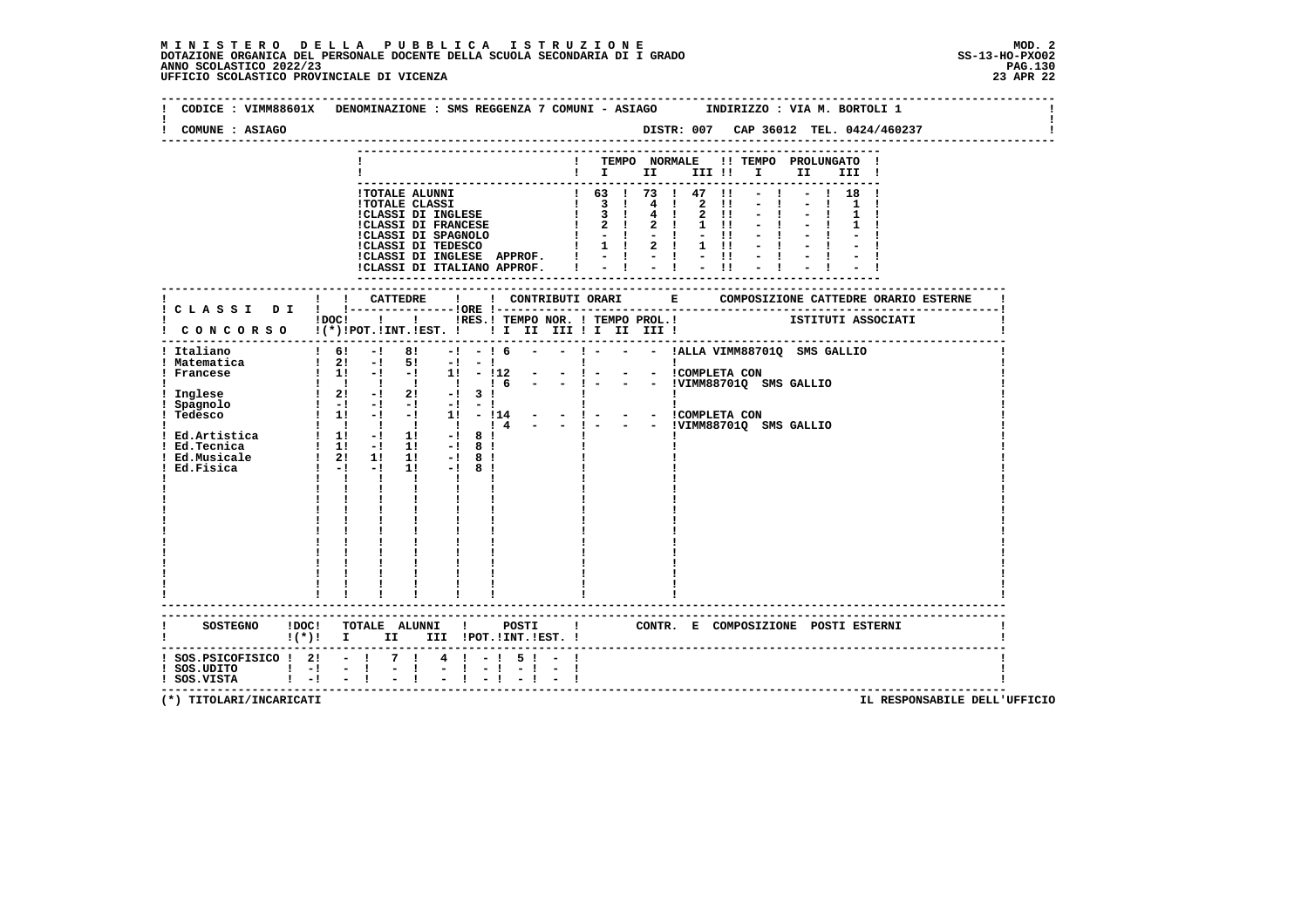| COMUNE : ASIAGO                                                                                          | DISTR: 007 CAP 36012 TEL. 0424/460237                                                                                                                                                                                                                                                                                                                                                                                                                                                                                                                                                                                                     |
|----------------------------------------------------------------------------------------------------------|-------------------------------------------------------------------------------------------------------------------------------------------------------------------------------------------------------------------------------------------------------------------------------------------------------------------------------------------------------------------------------------------------------------------------------------------------------------------------------------------------------------------------------------------------------------------------------------------------------------------------------------------|
|                                                                                                          | ! TEMPO NORMALE !! TEMPO PROLUNGATO !<br>III !                                                                                                                                                                                                                                                                                                                                                                                                                                                                                                                                                                                            |
|                                                                                                          | $-1$<br>$- ! 18 !$<br>! TOTALE ALUNNI<br>! TOTALE CLASSI<br>! CLASSI DI INGLESE $\begin{array}{cccccc} & 1 & 63 & 1 & 73 & 1 & 47 & 11 \\ 1 & 63 & 1 & 73 & 1 & 47 & 11 \\ 1.73 & 1 & 41 & 2 & 11 & 1 \\ 1.73 & 1 & 41 & 2 & 11 & 1 \\ 1.73 & 1 & 41 & 2 & 11 & 1 \\ 1.73 & 1 & 41 & 2 & 1 & 1 \\ 1.73 & 1 & 41 & 2 & $<br>!CLASSI DI INGLESE APPROF.   -   -   -  !<br>$-1$ $-1$<br>$-11$<br>!CLASSI DI ITALIANO APPROF. !                                                                                                                                                                                                               |
|                                                                                                          |                                                                                                                                                                                                                                                                                                                                                                                                                                                                                                                                                                                                                                           |
|                                                                                                          | IDOCI ! IRES. I TEMPO NOR. I TEMPO PROL. ! ISTITUTI ASSOCIATI<br>! CONCORSO !(*)!POT.!INT.!EST. ! ! I II III ! II III !                                                                                                                                                                                                                                                                                                                                                                                                                                                                                                                   |
| ! Italiano<br>! Matematica<br>! Francese<br>Inglese<br>: Instant<br>! Spagnolo<br>! Tedesco<br>Ed.Fisica | $1 \t6!$ - $1 \t8!$ - $1 \t6$ - $ 1 \t-$ - $ 1 \tACLA$ VIMM887010 SMS GALLIO<br>$\begin{array}{ccccccccccc}\n1 & 21 & -1 & 51 & -1 & -1 \\ 1 & 11 & -1 & -1 & 11 & -112 & - & -1 & - & - & - & 1 & - & - & 1 & - & - & - \\ \end{array}$<br>$\frac{1}{2}$ $\frac{1}{2}$ $\frac{1}{2}$ $\frac{1}{2}$ $\frac{1}{2}$ $\frac{1}{2}$ $\frac{1}{2}$ $\frac{1}{2}$ $\frac{1}{2}$ $\frac{1}{2}$<br>$\mathbf{I}$<br><b>Contract Contract</b><br>$\blacksquare$ $\blacksquare$ $\blacksquare$ $\blacksquare$ $\blacksquare$<br>$1! -18!$<br>$\mathbf{I}$<br>$\mathbf{I}$<br>$\mathbf{I}$<br>$\mathbf{I}$<br>$\mathbf{I}$<br>----------------------- |
| $\mathbf{I}(\star)\mathbf{I}$ if the state $\mathbf{I}$                                                  | CONTR. E COMPOSIZIONE POSTI ESTERNI<br>II III !POT.!INT.!EST. !                                                                                                                                                                                                                                                                                                                                                                                                                                                                                                                                                                           |
| $:$ SOS.PSICOFISICO $:$ 2: - $:$<br>$!$ SOS.UDITO $!$ -! -!<br>$!$ SOS.VISTA $!$ -! -!                   | $4! - 15! - 1$<br>7 1<br>$\mathbb{Z}^{\mathbb{Z}}$<br>$\mathbf{I}$                                                                                                                                                                                                                                                                                                                                                                                                                                                                                                                                                                        |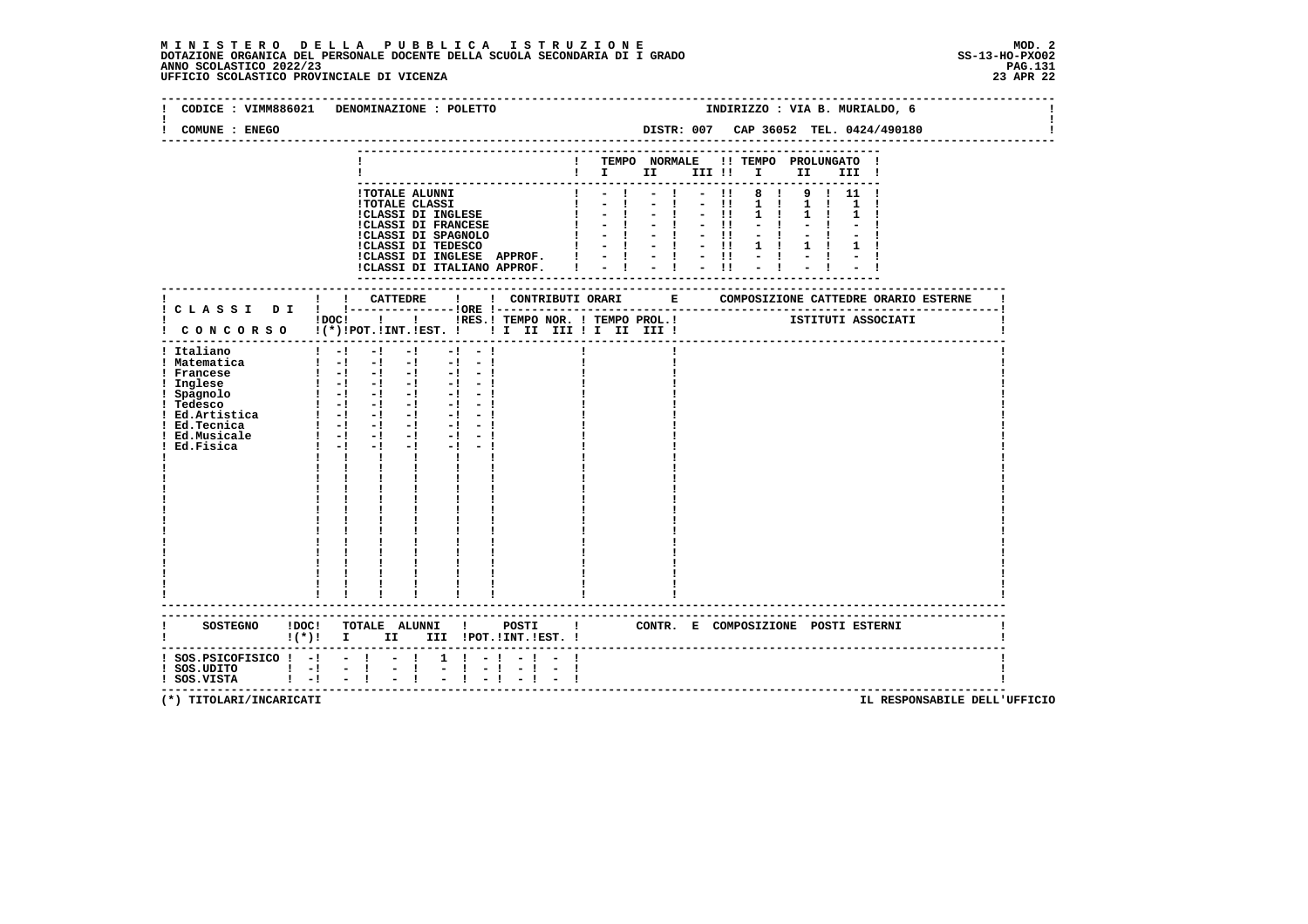|                                                                                                                                                                  | CODICE : VIMM886021 DENOMINAZIONE : POLETTO                                                                                                                                                                                                                                                                                                                                                                                                                                     | INDIRIZZO : VIA B. MURIALDO, 6                                                                                                                                                                                                        |
|------------------------------------------------------------------------------------------------------------------------------------------------------------------|---------------------------------------------------------------------------------------------------------------------------------------------------------------------------------------------------------------------------------------------------------------------------------------------------------------------------------------------------------------------------------------------------------------------------------------------------------------------------------|---------------------------------------------------------------------------------------------------------------------------------------------------------------------------------------------------------------------------------------|
| COMUNE : ENEGO                                                                                                                                                   |                                                                                                                                                                                                                                                                                                                                                                                                                                                                                 | DISTR: 007 CAP 36052 TEL. 0424/490180                                                                                                                                                                                                 |
|                                                                                                                                                                  |                                                                                                                                                                                                                                                                                                                                                                                                                                                                                 | TEMPO NORMALE !! TEMPO PROLUNGATO !<br>$\blacksquare$<br>III !                                                                                                                                                                        |
|                                                                                                                                                                  | <b>!TOTALE ALUNNI</b><br><b>!TOTALE CLASSI</b><br>!CLASSI DI INGLESE<br><b>!CLASSI DI FRANCESE</b><br>!CLASSI DI SPAGNOLO<br>!CLASSI DI TEDESCO<br>!CLASSI DI INGLESE APPROF.<br>!CLASSI DI ITALIANO APPROF.                                                                                                                                                                                                                                                                    | $\blacksquare$<br>8 !<br>9 1 1 1 1<br>$\mathbf{I}$<br>$\blacksquare$<br>$1 \quad 1$<br>$1 \quad 1$<br>$-11$<br>$1 \quad 1$<br>$\sim$<br>$-11$<br>$-1$<br>$-11$<br>$-1 - 1 - 1$<br>$\mathbf{1}$<br>$\pm$ $\pm$ $\pm$ $\pm$ $\pm$ $\pm$ |
|                                                                                                                                                                  |                                                                                                                                                                                                                                                                                                                                                                                                                                                                                 | ---------------------<br>-----------------                                                                                                                                                                                            |
|                                                                                                                                                                  | $1\,\mathrm{DOC}$ $1\phantom{000}$                                                                                                                                                                                                                                                                                                                                                                                                                                              |                                                                                                                                                                                                                                       |
| ! Italiano<br>! Matematica<br>! Francese<br>! Inglese<br>! Spagnolo<br>! Tedesco<br>$!$ Ed. Artistica $!$ -! -! -!<br>! Ed.Tecnica<br>! Ed.Musicale<br>Ed.Fisica | $-1$<br>$1 - 1 - 1$<br>$-1$<br>$-1$<br>$\begin{bmatrix} 1 & -1 & -1 & -1 & -1 & -1 \end{bmatrix}$<br>$\begin{bmatrix} 1 & -1 & -1 & -1 & -1 & -1 \end{bmatrix}$<br>$\begin{bmatrix} 1 & -1 & -1 & -1 & -1 & -1 \end{bmatrix}$<br>$1 - 1 - 1 - 1$<br>$-1 - 1$<br>$-1 - 1$<br>$1 - 1 - 1 - 1$<br>$-1 - 1$<br>$1 - 1 - 1$<br>$-1$ $-$<br>$-1 - -1$<br>$1 - 1 - 1$<br>$-1$<br>$-1 - -1$<br>$\mathbf{1}$ $\mathbf{1}$ $\mathbf{1}$<br>$\mathbf{I}$ and $\mathbf{I}$<br>$\frac{1}{1}$ |                                                                                                                                                                                                                                       |
| <b>SOSTEGNO</b><br>!DOC!                                                                                                                                         | TOTALE ALUNNI !<br>POSTI                                                                                                                                                                                                                                                                                                                                                                                                                                                        | $\mathbf{I}$<br>CONTR. E COMPOSIZIONE POSTI_ESTERNI                                                                                                                                                                                   |
| $:$ SOS. PSICOFISICO $:$ - $:$ - $:$ - $:$<br>$!$ SOS.UDITO $!$ -!<br>$1 - 1$<br>! SOS.VISTA                                                                     | $1 \t-1$<br>$\bar{z}$<br>$\sim -1$<br>$\blacksquare$<br>$-1$                                                                                                                                                                                                                                                                                                                                                                                                                    | -----------------------------------                                                                                                                                                                                                   |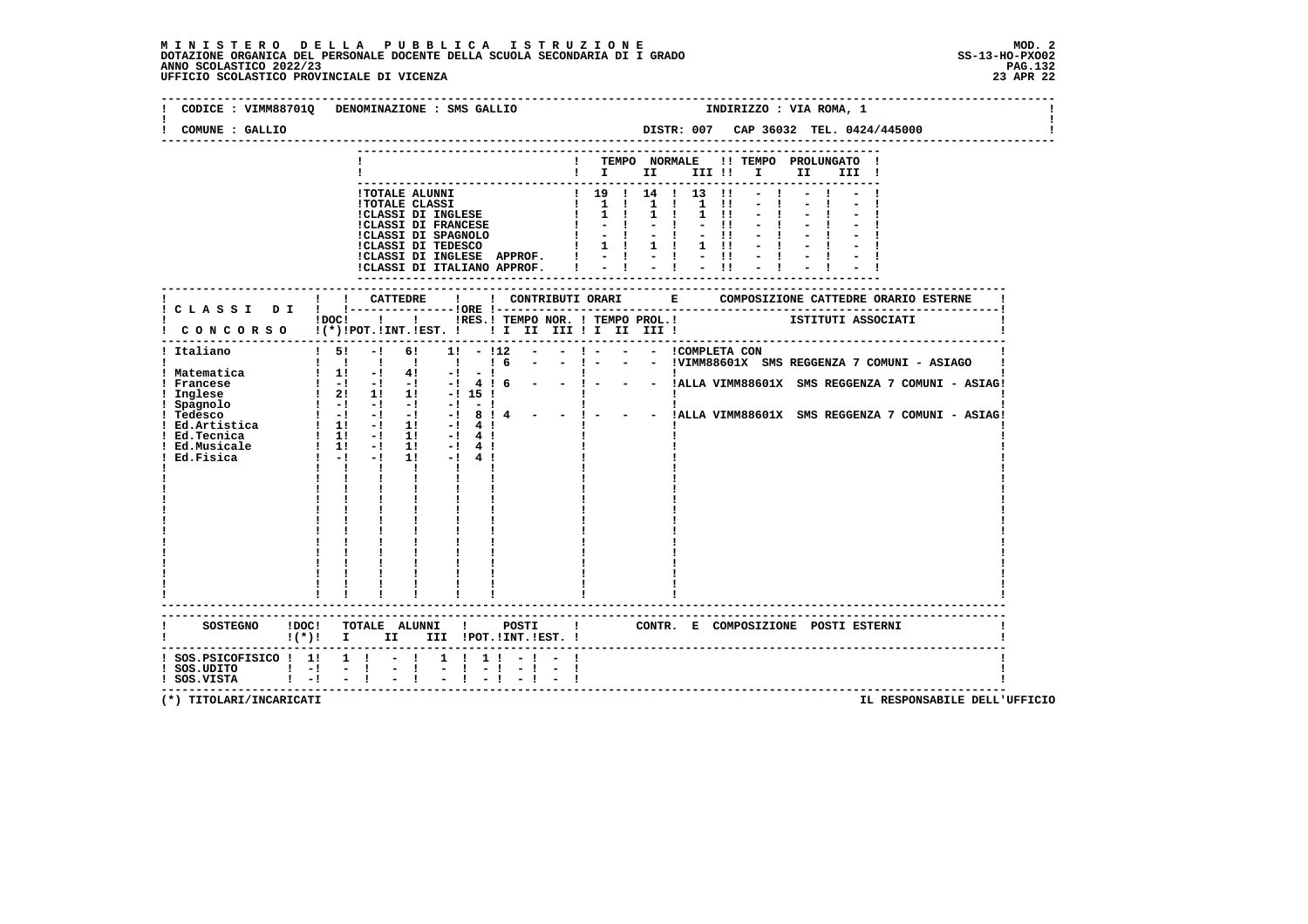## **M I N I S T E R O D E L L A P U B B L I C A I S T R U Z I O N E MOD. 2**DOTAZIONE ORGANICA DEL PERSONALE DOCENTE DELLA SCUOLA SECONDARIA DI I GRADO **SCOLASTICO SCOLASTICO 2022/23**<br>PAGO SCOLASTICO 2022/23 PAG.132<br>23 APR 22 UFFICIO SCOLASTICO PROVINCIALE DI VICENZA

|                                                                                              | CODICE : VIMM887010 DENOMINAZIONE : SMS GALLIO                                                                                                                                                                                                                                                                                                                                                          | INDIRIZZO : VIA ROMA, 1                                                                                                                                                                                   |
|----------------------------------------------------------------------------------------------|---------------------------------------------------------------------------------------------------------------------------------------------------------------------------------------------------------------------------------------------------------------------------------------------------------------------------------------------------------------------------------------------------------|-----------------------------------------------------------------------------------------------------------------------------------------------------------------------------------------------------------|
| COMUNE : GALLIO                                                                              |                                                                                                                                                                                                                                                                                                                                                                                                         | DISTR: 007 CAP 36032 TEL. 0424/445000                                                                                                                                                                     |
|                                                                                              |                                                                                                                                                                                                                                                                                                                                                                                                         | TEMPO NORMALE<br>!! TEMPO PROLUNGATO !<br>$\blacksquare$ $\blacksquare$ $\blacksquare$ $\blacksquare$ $\blacksquare$ $\blacksquare$ $\blacksquare$<br>II a<br>III !                                       |
|                                                                                              | <b>!TOTALE ALUNNI</b><br><b>!TOTALE CLASSI</b><br><b>!CLASSI DI INGLESE</b><br><b>!CLASSI DI FRANCESE</b><br>!CLASS1 DI SPAGNOLO<br>!CLASSI DI SPAGNOLO<br>!CLASSI DI INGLESE APPROF.<br>!CLASSI DI ITALIANO APPROF.                                                                                                                                                                                    | 1 19 1 14 1 13<br>$\overline{11}$<br>1 1 1 1 1 1 1 1<br>$\mathbf{I}$<br>$1 \quad 1$<br>$1 \quad 1$<br>$1 \quad 11$<br>$-1$<br>$-1$<br>$-11$<br>$\mathbf{I}$<br>$-11$<br>1 ! 1 ! 1 !!<br>$= 1 - 1 - 1$     |
|                                                                                              |                                                                                                                                                                                                                                                                                                                                                                                                         | ----------------                                                                                                                                                                                          |
|                                                                                              | CONCORSO !(*)!POT.!INT.!EST. !! I III III II III III!                                                                                                                                                                                                                                                                                                                                                   | !DOC! ! ! !RES.! TEMPO NOR. ! TEMPO PROL.! ISTITUTI ASSOCIATI                                                                                                                                             |
| ! Italiano<br>! Matematica<br>! Francese<br>! Inglese<br>Ed.Tecnica<br>Ed.Fisica             | 61<br>$1\quad51$<br>$-1$<br>$1! - 112$<br>1 1 1 1 1 1 6<br>$\begin{array}{cccccccc} 1 & 1 & -1 & 41 & -1 & -1 \\ 1 & -1 & -1 & -1 & -1 & 4 & 6 \\ 1 & 21 & 11 & 11 & -1 & 15 & 1 \end{array}$<br>$1 \quad 1! \quad -1 \quad 1!$<br>$-!$ 4 !<br>Ed.Musicale : 1! -! 1! -! 4!<br>$1! -1 4!$<br>$1 - 1 - 1$<br>$\mathbf{1}$ $\mathbf{1}$<br>$\mathbf{I}$ and $\mathbf{I}$<br>$\mathbf{I}$ and $\mathbf{I}$ | $- !$ $ - !$ COMPLETA CON<br>- - !VIMM88601X SMS REGGENZA 7 COMUNI - ASIAGO<br>- - ! - - - !ALLA VIMM88601X SMS REGGENZA 7 COMUNI - ASIAG!<br>- - ! - - - !ALLA VIMM88601X SMS REGGENZA 7 COMUNI - ASIAG! |
| <b>SOSTEGNO</b>                                                                              | !DOC! TOTALE ALUNNI !<br>POSTI<br>$!(*)!$ I II III !POT.!INT.!EST. !                                                                                                                                                                                                                                                                                                                                    | CONTR. E COMPOSIZIONE POSTI_ESTERNI<br>$\mathbf{I}$                                                                                                                                                       |
| $:$ SOS. PSICOFISICO $:$ 1! 1 $:$ - !<br>$!$ SOS.UDITO $!$ -!<br>$!$ SOS.VISTA $!$ $-!$ $ !$ | 1 1 1 1<br>$-1$<br>$- - 1$<br>$-1 - 1$                                                                                                                                                                                                                                                                                                                                                                  |                                                                                                                                                                                                           |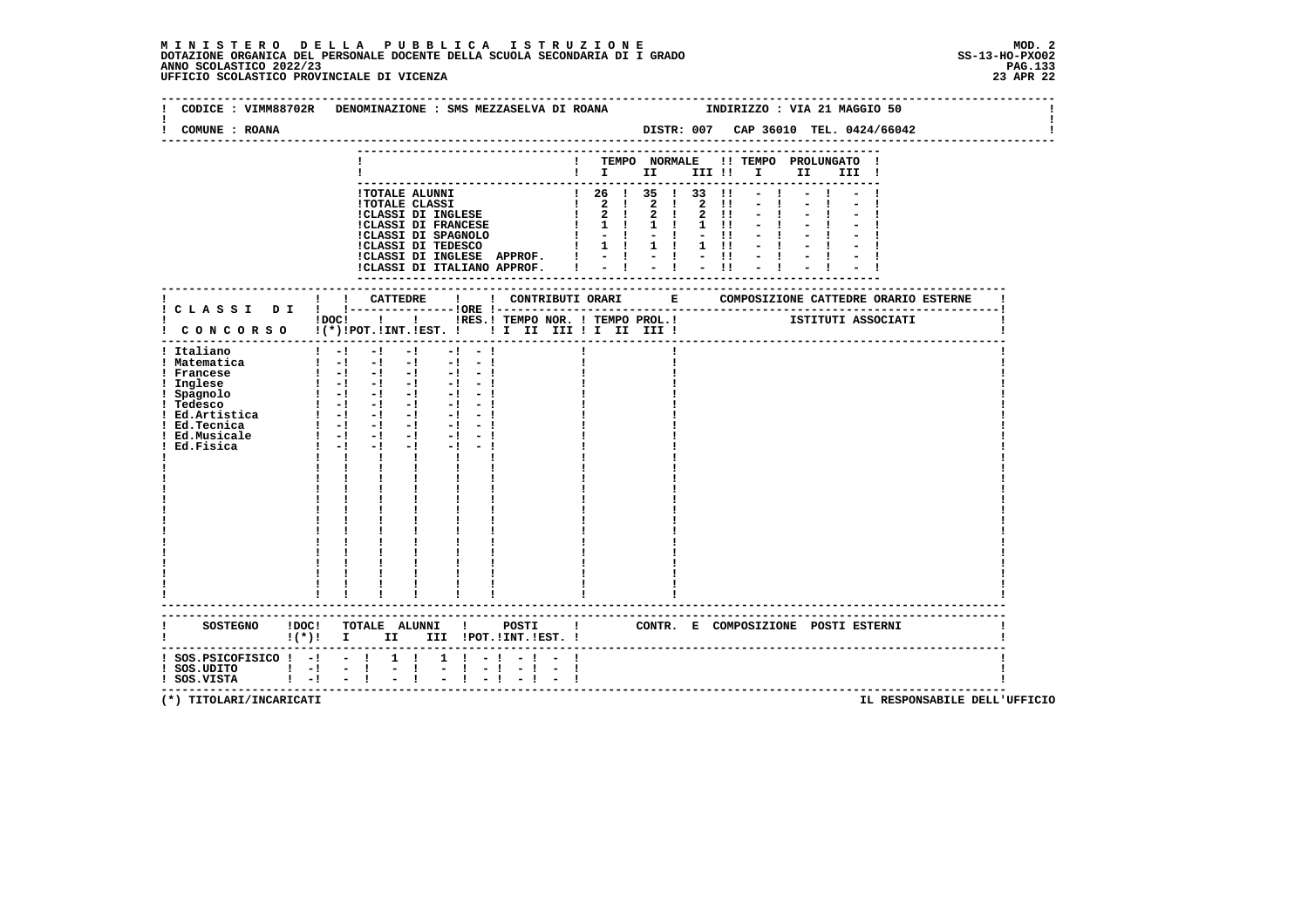## **M I N I S T E R O D E L L A P U B B L I C A I S T R U Z I O N E MOD. 2**DOTAZIONE ORGANICA DEL PERSONALE DOCENTE DELLA SCUOLA SECONDARIA DI I GRADO **SCOLASTICO SCOLASTICO 2022/23**<br>PAGO SCOLASTICO 2022/23 PAG.133<br>23 APR 22 UFFICIO SCOLASTICO PROVINCIALE DI VICENZA

|                                                                                       | CODICE : VIMM88702R DENOMINAZIONE : SMS MEZZASELVA DI ROANA<br>INDIRIZZO : VIA 21 MAGGIO 50                                                                                                                                                                                                                                                                                                                                                                                                                                                                                                                             |
|---------------------------------------------------------------------------------------|-------------------------------------------------------------------------------------------------------------------------------------------------------------------------------------------------------------------------------------------------------------------------------------------------------------------------------------------------------------------------------------------------------------------------------------------------------------------------------------------------------------------------------------------------------------------------------------------------------------------------|
| COMUNE : ROANA                                                                        | DISTR: 007 CAP 36010 TEL. 0424/66042                                                                                                                                                                                                                                                                                                                                                                                                                                                                                                                                                                                    |
|                                                                                       | ! TEMPO NORMALE !! TEMPO PROLUNGATO !<br>$\mathbf{I}$ is the set of $\mathbf{I}$<br>III !! I<br>II —<br>III !                                                                                                                                                                                                                                                                                                                                                                                                                                                                                                           |
|                                                                                       | $126$ $135$ $133$ $11 - 1$<br>!TOTALE ALUNNI<br><b>!TOTALE CLASSI</b><br>1 2 1 2 1 2 11<br>$-1$<br>ICLASSI DI INGLESE $\begin{array}{ccccccccc} 1 & 2 & 1 & 2 & 1 & 2 & 1 & 1 & -1 \\ 1 & 1 & 1 & 1 & 1 & 1 & -1 & 1 \\ 1 & 1 & 1 & 1 & 1 & -1 & -1 & 1 \\ 1 & 1 & 1 & 1 & 1 & -1 & -1 & -1 \\ 1 & 1 & 1 & 1 & 1 & -1 & -1 & -1 \\ 1 & 1 & 1 & 1 & 1 & -1 & -1 & -1 \\ 1 & 1 & 1 & 1 & 1 & -1 & -1 & -1 \\ 1 & 1 & 1 & 1 & 1 & -1 & -1 &$                                                                                                                                                                               |
|                                                                                       | ! ! CATTEDRE<br>! C L A S S I D I ! !----------------!ORE !--<br>ISTITUTI ASSOCIATI<br>$!$ $DOC!$ $ $ $ $ $ $<br>!RES.! TEMPO NOR. ! TEMPO PROL.!<br>CONCORSO !(*)!POT.!INT.!EST. ! ! I III III II III III                                                                                                                                                                                                                                                                                                                                                                                                              |
| ! Italiano<br>! Matematica<br>! Francese<br>Ed.Fisica                                 | $1 - 1 - 1 - 1 - 1 - 1 - 1$<br>$\begin{bmatrix} 1 & -1 & -1 & -1 & -1 & -1 & -1 \end{bmatrix}$<br>$1 - 1 - 1 - 1 - 1 - 1 - 1$<br>! radius<br>! Inglese $\begin{array}{cccccccc} \text{1} & -1 & -1 & -1 & -1 & -1 & -1 & -1 \ \text{1} & -1 & -1 & -1 & -1 & -1 & -1 \ \text{1} & -1 & -1 & -1 & -1 & -1 & -1 & -1 \ \text{1} & -1 & -1 & -1 & -1 & -1 & -1 & -1 \ \text{1} & -1 & -1 & -1 & -1 & -1 & -1 & -1 \ \text{1} & -1 & -1 & -1 & -1 & -1 & -1 & -1 \ \text{1} & -1 & -1 & -1 & -1 & -1 & -1 & -1 \ \text{1} & -$<br>$-1$ $-1$ $-1$<br>$1 - 1 - 1$<br>$\mathbf{I}$ and $\mathbf{I}$<br>----------------------- |
|                                                                                       | SOSTEGNO !DOC! TOTALE ALUNNI ! POSTI ! CONTR. E COMPOSIZIONE POSTI ESTERNI<br>!(*)! I II III !POT.!INT.!EST.!                                                                                                                                                                                                                                                                                                                                                                                                                                                                                                           |
| $!$ SOS. PSICOFISICO $!$ -! - ! 1 !<br>$!$ SOS.UDITO $!$ -!<br>$1 - 1$<br>! SOS.VISTA | $1 \quad 1 \quad - \quad 1$<br>$\frac{1}{2}$ $\frac{1}{4}$<br>$\mathbb{Z}^{\mathbb{Z}}$                                                                                                                                                                                                                                                                                                                                                                                                                                                                                                                                 |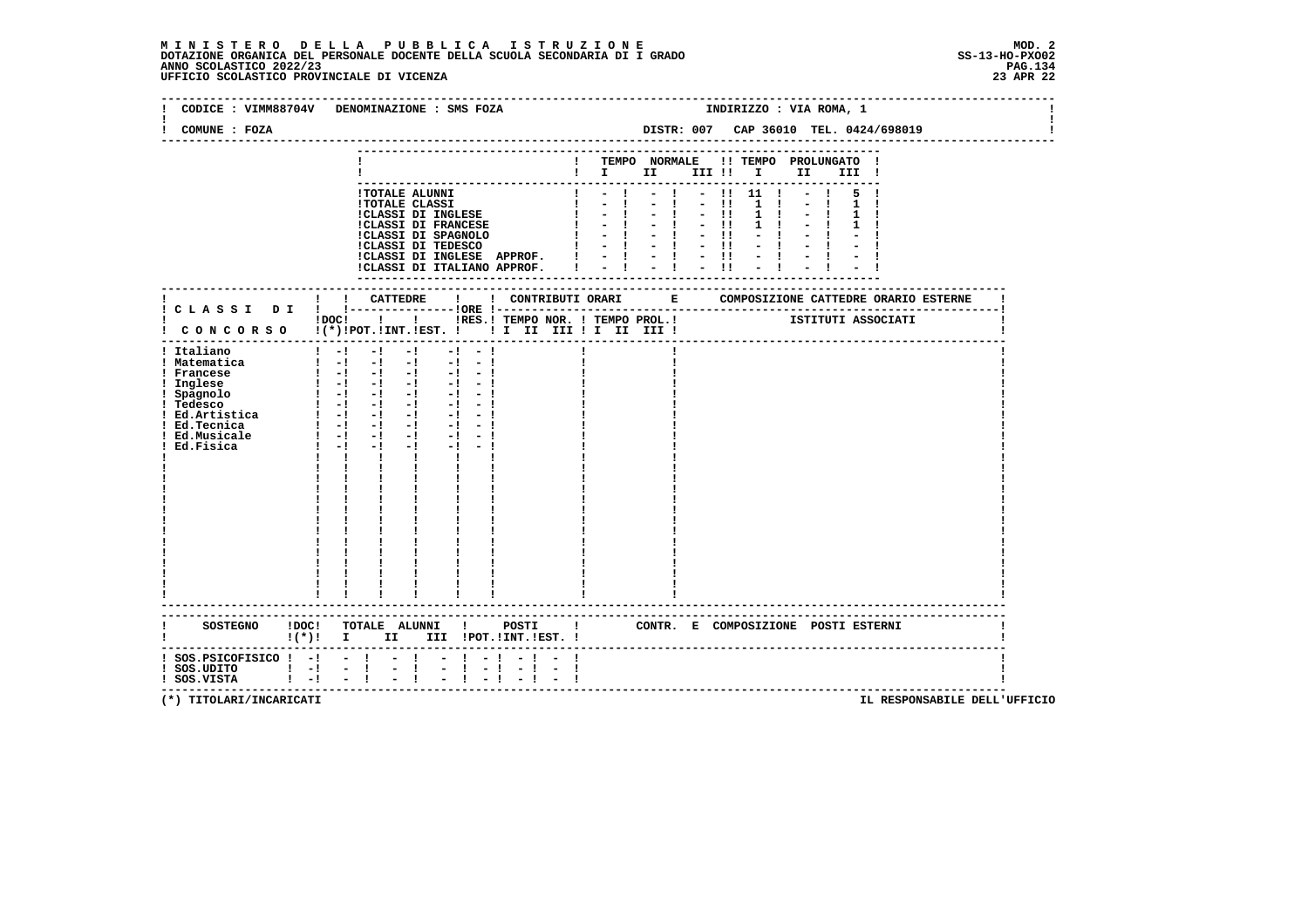|                                                                                               | CODICE : VIMM88704V DENOMINAZIONE : SMS FOZA                                                                                                                                                                                                                                        | INDIRIZZO : VIA ROMA, 1                                                                                                                                                                                                                                                                         |  |  |  |  |  |  |  |  |
|-----------------------------------------------------------------------------------------------|-------------------------------------------------------------------------------------------------------------------------------------------------------------------------------------------------------------------------------------------------------------------------------------|-------------------------------------------------------------------------------------------------------------------------------------------------------------------------------------------------------------------------------------------------------------------------------------------------|--|--|--|--|--|--|--|--|
| COMUNE : FOZA                                                                                 |                                                                                                                                                                                                                                                                                     | DISTR: 007 CAP 36010 TEL. 0424/698019<br>----------------                                                                                                                                                                                                                                       |  |  |  |  |  |  |  |  |
|                                                                                               |                                                                                                                                                                                                                                                                                     | ! TEMPO NORMALE !! TEMPO PROLUNGATO !<br>$\blacksquare$<br>III !                                                                                                                                                                                                                                |  |  |  |  |  |  |  |  |
|                                                                                               | !TOTALE ALUNNI<br><b>!TOTALE CLASSI</b><br><b>!CLASSI DI INGLESE</b><br><b>!CLASSI DI FRANCESE</b><br>!CLASSI DI SPAGNOLO<br>!CLASSI DI TEDESCO<br>!CLASSI DI INGLESE APPROF.<br>!CLASSI DI ITALIANO APPROF.                                                                        | $-11$ 11 1<br>$\frac{1}{2}$ $\frac{1}{2}$ $\frac{1}{2}$ $\frac{1}{2}$<br>$1 \quad 1$<br>$\mathbf{I}$<br>$-1$ $-11$<br>$\mathbf{1}$<br>$-1 - -11$<br>$1 \quad 1$<br>$-1 - -1$<br>$-1$ $-11$<br>$\begin{array}{cccccccccc} 1 & 1 & 1 & 1 & 1 & 1 & 1 \\ 1 & 1 & 1 & 1 & 1 & 1 & 1 \\ \end{array}$ |  |  |  |  |  |  |  |  |
|                                                                                               | !DOC! ! ! !RES.! TEMPO NOR. ! TEMPO PROL.!                                                                                                                                                                                                                                          | ISTITUTI ASSOCIATI                                                                                                                                                                                                                                                                              |  |  |  |  |  |  |  |  |
| ! Italiano<br>! Matematica<br>! Francese                                                      | ! CONCORSO !(*)!POT.!INT.!EST. ! ! I II III ! I III III !<br>$1 - 1 - 1 - 1$<br>$-1 - -1$<br>$\begin{bmatrix} 1 & -1 & -1 & -1 & -1 & -1 \end{bmatrix}$                                                                                                                             |                                                                                                                                                                                                                                                                                                 |  |  |  |  |  |  |  |  |
| ! Inglese<br>! Spagnolo<br>! Tedesco<br>! Ed.Artistica<br>! Ed.Tecnica                        | $\begin{bmatrix} 1 & -1 & -1 & -1 & -1 & -1 \end{bmatrix}$<br>$\begin{bmatrix} 1 & -1 & -1 & -1 & -1 & -1 \end{bmatrix}$<br>$\begin{bmatrix} 1 & -1 & -1 & -1 & -1 & -1 \end{bmatrix}$<br>$\begin{bmatrix} 1 & -1 & -1 & -1 & -1 & -1 \end{bmatrix}$<br>$1 - 1 - 1 - 1$<br>$-1 - 1$ |                                                                                                                                                                                                                                                                                                 |  |  |  |  |  |  |  |  |
| ! Ed.Musicale<br>Ed.Fisica                                                                    | $\begin{bmatrix} 1 & -1 & -1 & -1 & -1 & -1 \end{bmatrix}$<br>$1 - 1 - 1$<br>$-1$<br>$-1 - -1$<br>$\mathbf{I}$ and $\mathbf{I}$<br>$\mathbf{1}$ $\mathbf{1}$                                                                                                                        |                                                                                                                                                                                                                                                                                                 |  |  |  |  |  |  |  |  |
|                                                                                               | ---------------------                                                                                                                                                                                                                                                               |                                                                                                                                                                                                                                                                                                 |  |  |  |  |  |  |  |  |
|                                                                                               | !(*)! I II III !POT.!INT.!EST. !                                                                                                                                                                                                                                                    | CONTR. E COMPOSIZIONE POSTI ESTERNI                                                                                                                                                                                                                                                             |  |  |  |  |  |  |  |  |
| $:$ SOS.PSICOFISICO $:$ - $:$ - $:$ - $:$<br>$:$ SOS.UDITO $:$ $-!$<br>$1 - 1$<br>! SOS.VISTA | $-1$<br>$-1$                                                                                                                                                                                                                                                                        | ----------------------------------                                                                                                                                                                                                                                                              |  |  |  |  |  |  |  |  |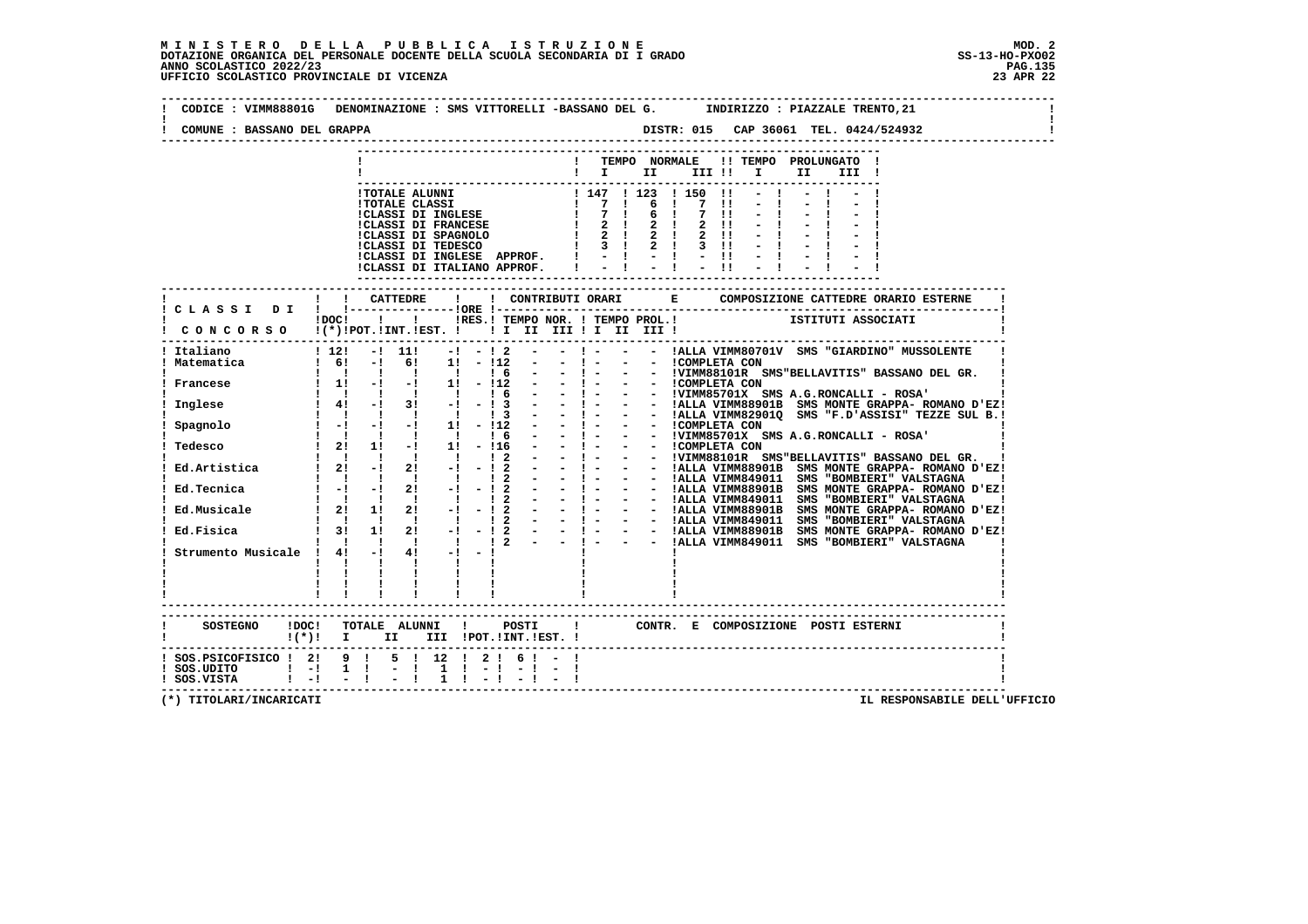| COMUNE : BASSANO DEL GRAPPA                                                                                      |              |                                                                                     |                                                                                                      |                               |  |                                                                                                                                   |  |  |  |    |                                                |                                                                                   |  |
|------------------------------------------------------------------------------------------------------------------|--------------|-------------------------------------------------------------------------------------|------------------------------------------------------------------------------------------------------|-------------------------------|--|-----------------------------------------------------------------------------------------------------------------------------------|--|--|--|----|------------------------------------------------|-----------------------------------------------------------------------------------|--|
|                                                                                                                  |              |                                                                                     |                                                                                                      |                               |  |                                                                                                                                   |  |  |  | II | ! TEMPO NORMALE !! TEMPO PROLUNGATO !<br>III ! |                                                                                   |  |
|                                                                                                                  |              |                                                                                     |                                                                                                      |                               |  | ICLASSI DI INGLESE APPROF. $  \cdot   \cdot   \cdot   \cdot  $<br>ICLASSI DI ITALIANO APPROF. $  \cdot   \cdot   \cdot   \cdot  $ |  |  |  |    |                                                |                                                                                   |  |
| ! CLASSI DI ! !------                                                                                            |              |                                                                                     | <b>CATTEDRE</b>                                                                                      |                               |  |                                                                                                                                   |  |  |  |    |                                                |                                                                                   |  |
| CONCORSO !(*)!POT.!INT.!EST. !!!!!!!!!!!!!!!!                                                                    | !DOC!        | $\mathbf{I}$                                                                        |                                                                                                      |                               |  |                                                                                                                                   |  |  |  |    |                                                | <b>THE RES. I TEMPO NOR. ! TEMPO PROL.!</b> ISTITUTI ASSOCIATI                    |  |
| Italiano<br>Matematica                                                                                           |              |                                                                                     | $1\,12!\quad -1\,11!\,$                                                                              |                               |  | $1 \t 6!$ - $1 \t 6!$ 1 - $112$ - - $1 - 12$ - - - $1 - 12$ - - - ICOMPLETA CON                                                   |  |  |  |    |                                                | $-!$ - $!$ 2 - - $!$ - - - IALLA VIMM80701V SMS "GIARDINO" MUSSOLENTE             |  |
| Francese                                                                                                         |              |                                                                                     |                                                                                                      |                               |  |                                                                                                                                   |  |  |  |    |                                                | - $!$ - - - $!$ COMPLETA CON<br>- $!$ - - $!$ VIMM85701X SMS A.G.RONCALLI - ROSA' |  |
| Inglese                                                                                                          |              |                                                                                     | $\begin{array}{cccccccc}\n1 & 1 & 1 & 1 & 1 & 1 & 1 \\ 1 & 41 & -1 & 31 & -1 & -1 & 3\n\end{array}$  |                               |  |                                                                                                                                   |  |  |  |    |                                                |                                                                                   |  |
| Spagnolo                                                                                                         |              |                                                                                     | $\begin{array}{cccccccc}\n1 & 1 & 1 & 1 & 1 & 1 & 1 \\ 1 & -1 & -1 & -1 & 1 & 1 & -112\n\end{array}$ |                               |  |                                                                                                                                   |  |  |  |    |                                                |                                                                                   |  |
| Tedesco                                                                                                          |              |                                                                                     | $\begin{array}{ccccccccc}\n1 & 1 & 1 & 1 & 1 & 1 & 6 \\ 1 & 21 & 11 & -1 & 11 & -116\n\end{array}$   |                               |  |                                                                                                                                   |  |  |  |    |                                                |                                                                                   |  |
|                                                                                                                  |              |                                                                                     | 1 1 1 1 1 1 1 2                                                                                      |                               |  |                                                                                                                                   |  |  |  |    |                                                |                                                                                   |  |
| Ed.Tecnica                                                                                                       |              |                                                                                     | $1 - 1 - 1$ 21 $-1$ $-1$ 2<br>$\begin{array}{ccccccccccccccccc}\n1 & 1 & 1 & 1 & 1 & 1\n\end{array}$ |                               |  |                                                                                                                                   |  |  |  |    |                                                |                                                                                   |  |
| Ed.Musicale                                                                                                      |              |                                                                                     | $1 \quad 21 \quad 11 \quad 21 \quad -1 \quad -1 \quad 2$<br>1 1 1 1 1 1 1 2                          |                               |  |                                                                                                                                   |  |  |  |    |                                                |                                                                                   |  |
| Ed.Fisica                                                                                                        |              | $\frac{1}{2}$ $\frac{3}{2}$ $\frac{1}{2}$<br>$\mathbf{1}$ $\mathbf{1}$ $\mathbf{1}$ |                                                                                                      |                               |  |                                                                                                                                   |  |  |  |    |                                                |                                                                                   |  |
| Strumento Musicale ! 4! -!                                                                                       | $\mathbf{I}$ | $\mathbf{I}$ $\mathbf{I}$<br>$\mathbf{I}$ and $\mathbf{I}$                          |                                                                                                      | $\mathbf{I}$ and $\mathbf{I}$ |  |                                                                                                                                   |  |  |  |    |                                                |                                                                                   |  |
| SOSTEGNO !DOC! TOTALE ALUNNI ! POSTI ! CONTR. E COMPOSIZIONE POSTI ESTERNI<br>$!(*)!$ I II III !POT.!INT.!EST. ! |              |                                                                                     | --------------------------                                                                           |                               |  |                                                                                                                                   |  |  |  |    |                                                |                                                                                   |  |
| ! SOS.PSICOFISICO ! 2! 9 !<br>$!$ SOS.VISTA $!$ -! -!!                                                           |              |                                                                                     | Ι.                                                                                                   | $\mathbf{1}$                  |  | $5$ ! 12 ! 2 ! 6 ! - !<br>$1 - 1 - 1 - 1$                                                                                         |  |  |  |    |                                                |                                                                                   |  |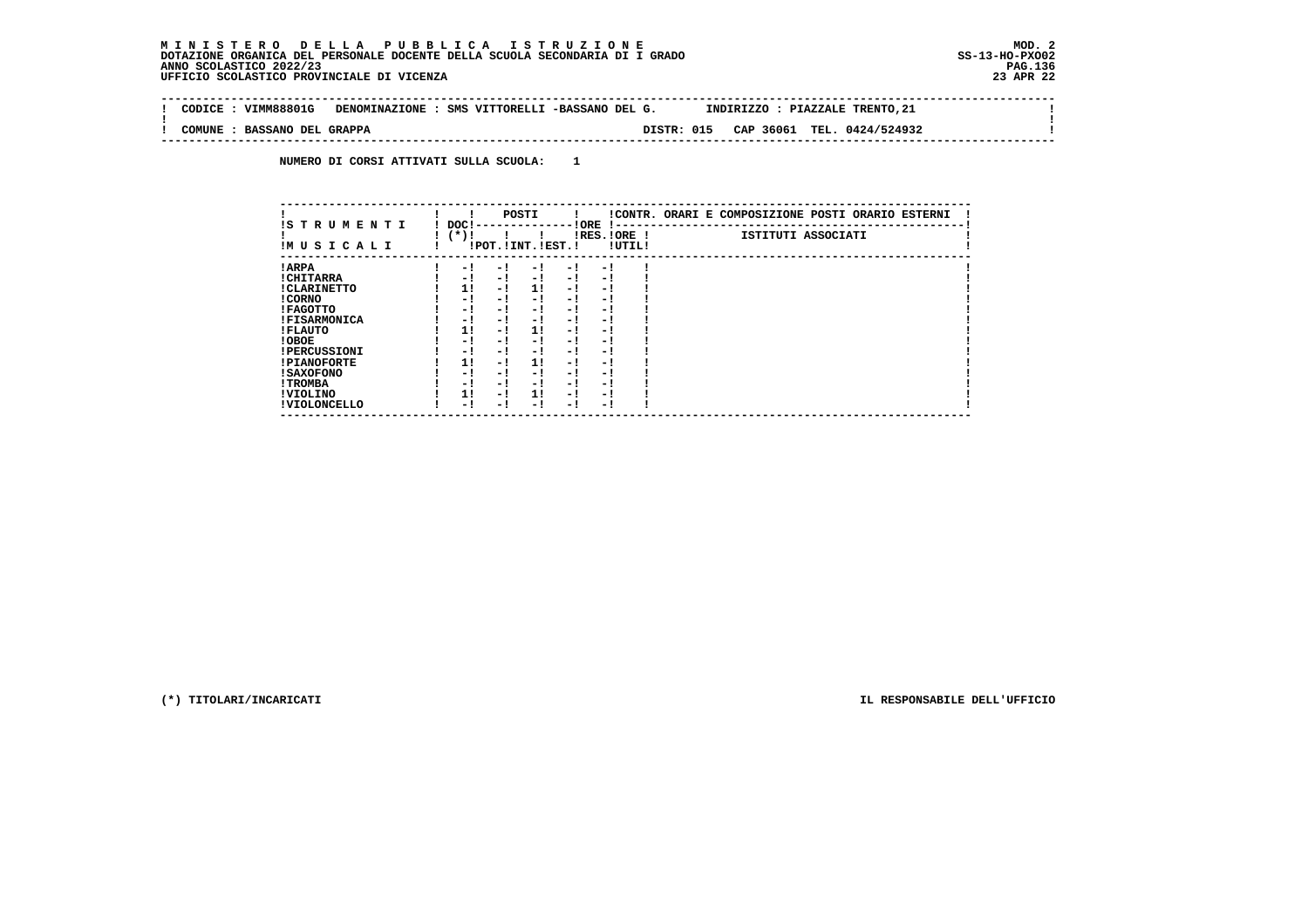$\sim$  1

 $\mathbf{I}$ 

 **-------------------------------------------------------------------------------------------------------------------------------- ! CODICE : VIMM88801G DENOMINAZIONE : SMS VITTORELLI -BASSANO DEL G. INDIRIZZO : PIAZZALE TRENTO,21 ! ! ! ! COMUNE : BASSANO DEL GRAPPA DISTR: 015 CAP 36061 TEL. 0424/524932 ! --------------------------------------------------------------------------------------------------------------------------------**

 **NUMERO DI CORSI ATTIVATI SULLA SCUOLA: 1**

| IS TRUMENTI         | DOC! |     | POSTI                 |      | ! ORE       |        | !CONTR. ORARI E COMPOSIZIONE POSTI ORARIO ESTERNI |
|---------------------|------|-----|-----------------------|------|-------------|--------|---------------------------------------------------|
| IMUSICALI           | (*)! |     | !POT. ! INT. ! EST. ! |      | IRES.IORE ! | !UTIL! | ISTITUTI ASSOCIATI                                |
| ! ARPA              | - 1  | - 1 | - 1                   | $-1$ | - 1         |        |                                                   |
| ! CHITARRA          | - 1  | - ! | - 1                   | $-1$ | - 1         |        |                                                   |
| ! CLARINETTO        | 11   | - 1 | 11                    | - 1  | - 1         |        |                                                   |
| ! CORNO             | - 1  | - 1 | - 1                   | - 1  | - 1         |        |                                                   |
| ! FAGOTTO           | - 1  | - 1 | - 1                   | $-1$ | - 1         |        |                                                   |
| <b>!FISARMONICA</b> | - 1  | - 1 | - 1                   | - 1  | - 1         |        |                                                   |
| ! FLAUTO            | 11   | - ! | 11                    | - !  | - 1         |        |                                                   |
| ! OBOE              | - 1  | - ! | - 1                   | $-1$ | - 1         |        |                                                   |
| <b>!PERCUSSIONI</b> | - 1  | - 1 | - 1                   | - 1  | - 1         |        |                                                   |
| <b>!PIANOFORTE</b>  | 1!   | - 1 | 11                    | - 1  | - 1         |        |                                                   |
| ! SAXOFONO          | - 1  | - 1 | - 1                   | - 1  | - 1         |        |                                                   |
| ! TROMBA            | - 1  | - ! | - 1                   | - 1  | - 1         |        |                                                   |
| ! VIOLINO           | 1!   | - 1 | 11                    | - 1  | - 1         |        |                                                   |
| ! VIOLONCELLO       | - 1  | - 1 | - 1                   | - 1  | - 1         |        |                                                   |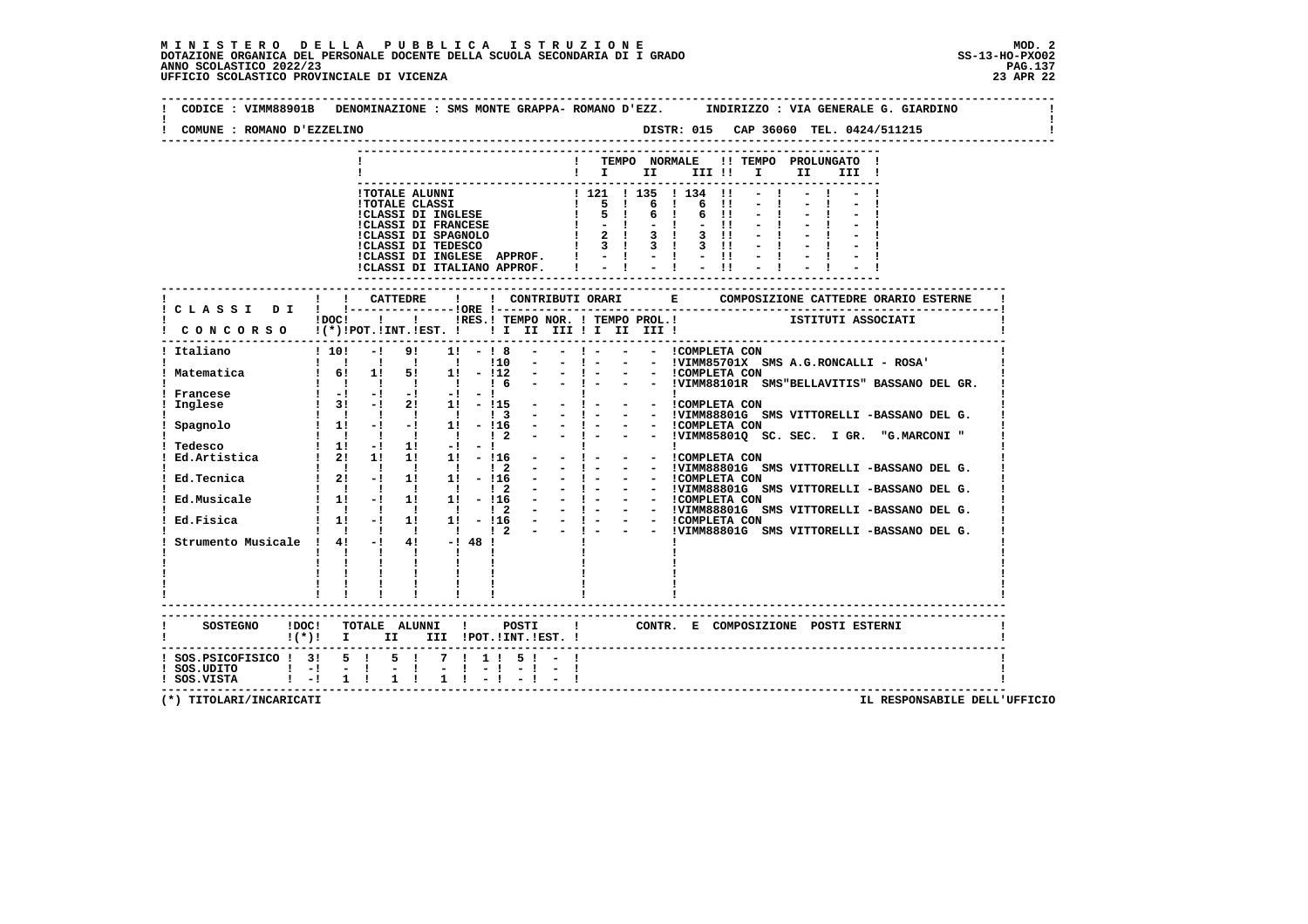| COMUNE : ROMANO D'EZZELINO                           |              |              |                                                                                                                               |              |     |                  |                                                          |              |                            |              |       |                                                                       |  |                                                                                     |  |
|------------------------------------------------------|--------------|--------------|-------------------------------------------------------------------------------------------------------------------------------|--------------|-----|------------------|----------------------------------------------------------|--------------|----------------------------|--------------|-------|-----------------------------------------------------------------------|--|-------------------------------------------------------------------------------------|--|
|                                                      |              |              |                                                                                                                               |              |     |                  |                                                          |              |                            |              |       | ! TEMPO NORMALE !! TEMPO PROLUNGATO !<br>$\blacksquare$               |  |                                                                                     |  |
|                                                      |              |              | !TOTALE ALUNNI                                                                                                                |              |     |                  |                                                          |              |                            |              |       |                                                                       |  |                                                                                     |  |
|                                                      |              |              | <b>!TOTALE CLASSI</b>                                                                                                         |              |     |                  | ! 121 ! 135 ! 134 !!<br>! 5 ! 6 ! 6 !!<br>! 5 ! 6 ! 6 !! |              |                            |              |       |                                                                       |  |                                                                                     |  |
|                                                      |              |              | !CLASSI DI INGLESE                                                                                                            |              |     |                  |                                                          | $1 - -1$     | $-1$                       |              | $-11$ |                                                                       |  |                                                                                     |  |
|                                                      |              |              | <b>!CLASSI DI FRANCESE</b>                                                                                                    |              |     |                  |                                                          |              |                            |              |       |                                                                       |  |                                                                                     |  |
|                                                      |              |              |                                                                                                                               |              |     |                  |                                                          |              |                            |              |       |                                                                       |  |                                                                                     |  |
|                                                      |              |              | !CLASSI DI INGLESE APPROF. ! - ! - ! - !!<br>!CLASSI DI ITALIANO APPROF.   -   -                                              |              |     |                  |                                                          |              |                            |              | $-11$ |                                                                       |  |                                                                                     |  |
|                                                      |              |              |                                                                                                                               |              |     |                  |                                                          |              |                            |              |       |                                                                       |  |                                                                                     |  |
|                                                      |              |              |                                                                                                                               |              |     |                  | ----------------------------                             |              |                            |              |       |                                                                       |  |                                                                                     |  |
|                                                      |              |              |                                                                                                                               |              |     |                  |                                                          |              |                            |              |       |                                                                       |  |                                                                                     |  |
| CONCORSO !(*)!POT.!INT.!EST. !! I III III II III III |              |              |                                                                                                                               |              |     |                  |                                                          |              |                            |              |       | IDOC! ! ! IRES. I TEMPO NOR. I TEMPO PROL. !       ISTITUTI ASSOCIATI |  |                                                                                     |  |
|                                                      |              |              |                                                                                                                               |              |     |                  |                                                          |              |                            |              |       |                                                                       |  |                                                                                     |  |
| ! Italiano<br>1 10!                                  |              |              |                                                                                                                               |              |     |                  |                                                          |              |                            |              |       |                                                                       |  |                                                                                     |  |
| ! Matematica                                         |              |              | $\frac{1}{16!}$ 1: 5: 1: -112 -                                                                                               |              | 110 | $\sim$ 100 $\mu$ |                                                          | $-1 - 1$     | $-$ ! $  -$ ! COMPLETA CON |              |       |                                                                       |  | - - !VIMM85701X SMS A.G.RONCALLI - ROSA'                                            |  |
|                                                      |              |              | 1 1 1 1 1 1 1 6 -                                                                                                             |              |     |                  |                                                          |              |                            |              |       |                                                                       |  | - ! - - - !VIMM88101R SMS"BELLAVITIS" BASSANO DEL GR.                               |  |
| Francese                                             |              |              | $\frac{1}{2}$ $\frac{1}{2}$ $\frac{1}{2}$ $\frac{1}{2}$ $\frac{1}{2}$ $\frac{1}{2}$ $\frac{1}{2}$ $\frac{1}{2}$ $\frac{1}{2}$ |              |     |                  |                                                          | $\mathbf{1}$ |                            | $\sim 1$     |       |                                                                       |  |                                                                                     |  |
| Inglese                                              |              |              | $\frac{1}{2!}$ 3! -! 2! 1! - 115 -<br>$1 \quad 1 \quad 1 \quad 1 \quad 1 \quad 1 \quad 3 \quad -$                             |              |     |                  |                                                          | $-1$ $-$     | - - !COMPLETA CON          |              |       |                                                                       |  | - - !VIMM88801G SMS VITTORELLI -BASSANO DEL G.                                      |  |
| Spagnolo                                             |              |              | $1 \t11 \t-1 \t-1 \t11 \t-116 \t-1 \t-1$                                                                                      |              |     |                  |                                                          |              | - - COMPLETA CON           |              |       |                                                                       |  |                                                                                     |  |
|                                                      |              |              | 1 1 1 1 1 1 2 - - 1 -                                                                                                         |              |     |                  |                                                          |              |                            |              |       |                                                                       |  | - - !VIMM85801Q SC. SEC. I GR. "G.MARCONI"                                          |  |
| Tedesco<br>Ed.Artistica                              |              |              | $1 \quad 11 \quad -1 \quad 11 \quad -1 \quad -1 \quad 1$<br>$1 \quad 21 \quad 11 \quad 11 \quad 11 \quad -116 \quad -$        |              |     |                  |                                                          | $-1$ $-$     | - - ICOMPLETA CON          | $\mathbf{I}$ |       |                                                                       |  |                                                                                     |  |
|                                                      |              |              | 1 1 1 1 1 1 2                                                                                                                 |              |     |                  |                                                          | $-1 - 1$     |                            |              |       |                                                                       |  | - - !VIMM88801G SMS VITTORELLI -BASSANO DEL G.                                      |  |
| Ed.Tecnica                                           |              |              | $12! -11111 -116$                                                                                                             |              |     |                  |                                                          |              |                            |              |       |                                                                       |  |                                                                                     |  |
| Ed.Musicale                                          |              |              | 1 1 1 1 1 1 1 2<br>$1 \t1 \t-1 \t1 \t1 \t1$ $1 \t-116$                                                                        |              |     |                  |                                                          |              |                            |              |       |                                                                       |  | - ! - - - !VIMM88801G SMS VITTORELLI -BASSANO DEL G.                                |  |
|                                                      |              |              | $\begin{array}{ccccccccccccccccc}\n1 & 1 & 1 & 1 & 1 & 1 & 1 & 2\n\end{array}$                                                |              |     |                  |                                                          |              |                            |              |       |                                                                       |  | - - ! - - - ICOMPLETA CON<br>- - ! - - - IVIMM88801G SMS VITTORELLI -BASSANO DEL G. |  |
| Ed.Fisica                                            |              |              | $1!$ -1 1! 1! -116 - - $1 -$ - - COMPLETA CON                                                                                 |              |     |                  |                                                          |              |                            |              |       |                                                                       |  |                                                                                     |  |
| Strumento Musicale ! 4! -! 4! -! 48 !                |              |              | $1 \quad 1 \quad 1 \quad 1 \quad 1 \quad 1 \quad 2 \quad - \quad - \quad 1 \quad -$                                           |              |     |                  |                                                          |              |                            |              |       |                                                                       |  | - - !VIMM88801G SMS VITTORELLI -BASSANO DEL G.                                      |  |
|                                                      | $\mathbf{I}$ | $\mathbf{I}$ | $\mathbf{I}$ and $\mathbf{I}$                                                                                                 | $\mathbf{I}$ |     |                  |                                                          |              |                            |              |       |                                                                       |  |                                                                                     |  |
|                                                      |              |              |                                                                                                                               |              |     |                  |                                                          |              |                            |              |       |                                                                       |  |                                                                                     |  |
|                                                      |              |              |                                                                                                                               |              |     |                  |                                                          |              |                            |              |       |                                                                       |  |                                                                                     |  |
|                                                      |              |              |                                                                                                                               |              |     |                  |                                                          |              |                            |              |       |                                                                       |  |                                                                                     |  |
|                                                      |              |              | -------------------------                                                                                                     |              |     |                  |                                                          |              |                            |              |       |                                                                       |  |                                                                                     |  |
| $((*)!$ I II III !POT. !INT. !EST. !                 |              |              |                                                                                                                               |              |     |                  |                                                          |              |                            |              |       |                                                                       |  |                                                                                     |  |
| ! SOS.PSICOFISICO ! 3! 5 ! 5 ! 7 ! 1 ! 5 ! - !       |              |              |                                                                                                                               |              |     |                  |                                                          |              |                            |              |       |                                                                       |  |                                                                                     |  |
|                                                      |              |              |                                                                                                                               |              |     |                  |                                                          |              |                            |              |       |                                                                       |  |                                                                                     |  |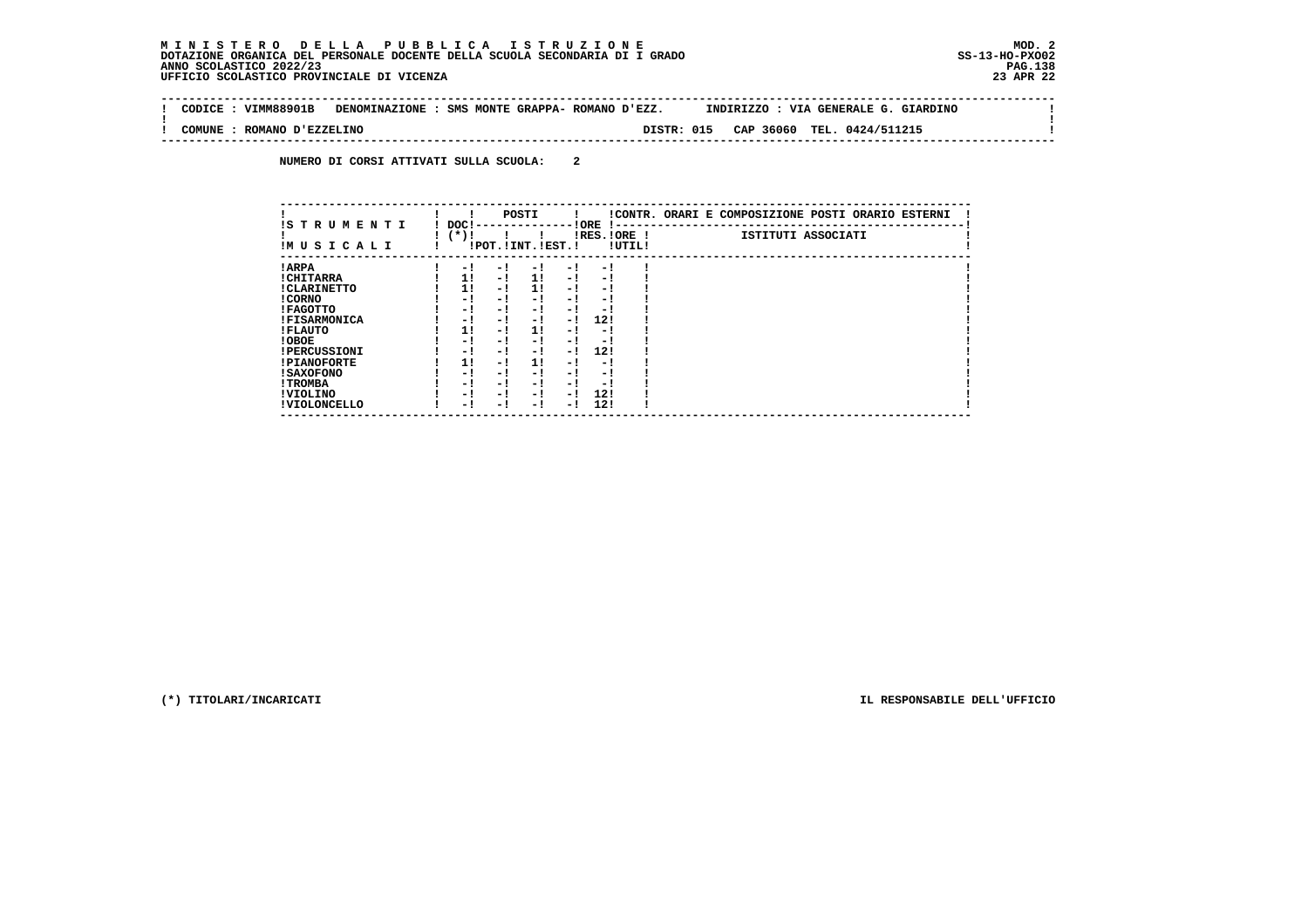**Contract** 

 $\mathbf{I}$ 

 **-------------------------------------------------------------------------------------------------------------------------------- ! CODICE : VIMM88901B DENOMINAZIONE : SMS MONTE GRAPPA- ROMANO D'EZZ. INDIRIZZO : VIA GENERALE G. GIARDINO ! ! ! ! COMUNE : ROMANO D'EZZELINO DISTR: 015 CAP 36060 TEL. 0424/511215 ! --------------------------------------------------------------------------------------------------------------------------------**

 **NUMERO DI CORSI ATTIVATI SULLA SCUOLA: 2**

|                          |                 |     | POSTI                 |     |                       |        | !CONTR. ORARI E COMPOSIZIONE POSTI ORARIO ESTERNI |
|--------------------------|-----------------|-----|-----------------------|-----|-----------------------|--------|---------------------------------------------------|
| IS TRUMENTI<br>IMUSICALI | DOC!<br>( * ) ! |     | !POT. ! INT. ! EST. ! |     | ! ORE<br>IRES. IORE ! | !UTIL! | ISTITUTI ASSOCIATI                                |
| ! ARPA                   | $-1$            | - 1 | - 1                   | - 1 | - 1                   |        |                                                   |
| ! CHITARRA               | 11              | - ! | 11                    | - ! | - 1                   |        |                                                   |
| ! CLARINETTO             | 1!              | - 1 | 11                    | - 1 | - 1                   |        |                                                   |
| ! CORNO                  | - !             | - ! | - 1                   | - ! | - 1                   |        |                                                   |
| ! FAGOTTO                | - 1             | - ! | - 1                   | - 1 | - 1                   |        |                                                   |
| <b>!FISARMONICA</b>      | - 1             | - 1 | - 1                   | - 1 | 12!                   |        |                                                   |
| ! FLAUTO                 | 11              | - ! | 1!                    | - 1 | - 1                   |        |                                                   |
| ! OBOE                   | - 1             | - 1 | - 1                   | - 1 | - 1                   |        |                                                   |
| <b>!PERCUSSIONI</b>      | - 1             | - 1 | - 1                   | - 1 | 12!                   |        |                                                   |
| <b>!PIANOFORTE</b>       | 1!              | - 1 | 11                    | - ! | - 1                   |        |                                                   |
| ! SAXOFONO               | - 1             | - 1 | - !                   | - 1 | - 1                   |        |                                                   |
| ! TROMBA                 | - 1             | - ! | - 1                   | - 1 | - 1                   |        |                                                   |
| ! VIOLINO                | - 1             | - 1 | - 1                   | - 1 | 12!                   |        |                                                   |
| ! VIOLONCELLO            | - 1             | - ! | - 1                   | - 1 | 12!                   |        |                                                   |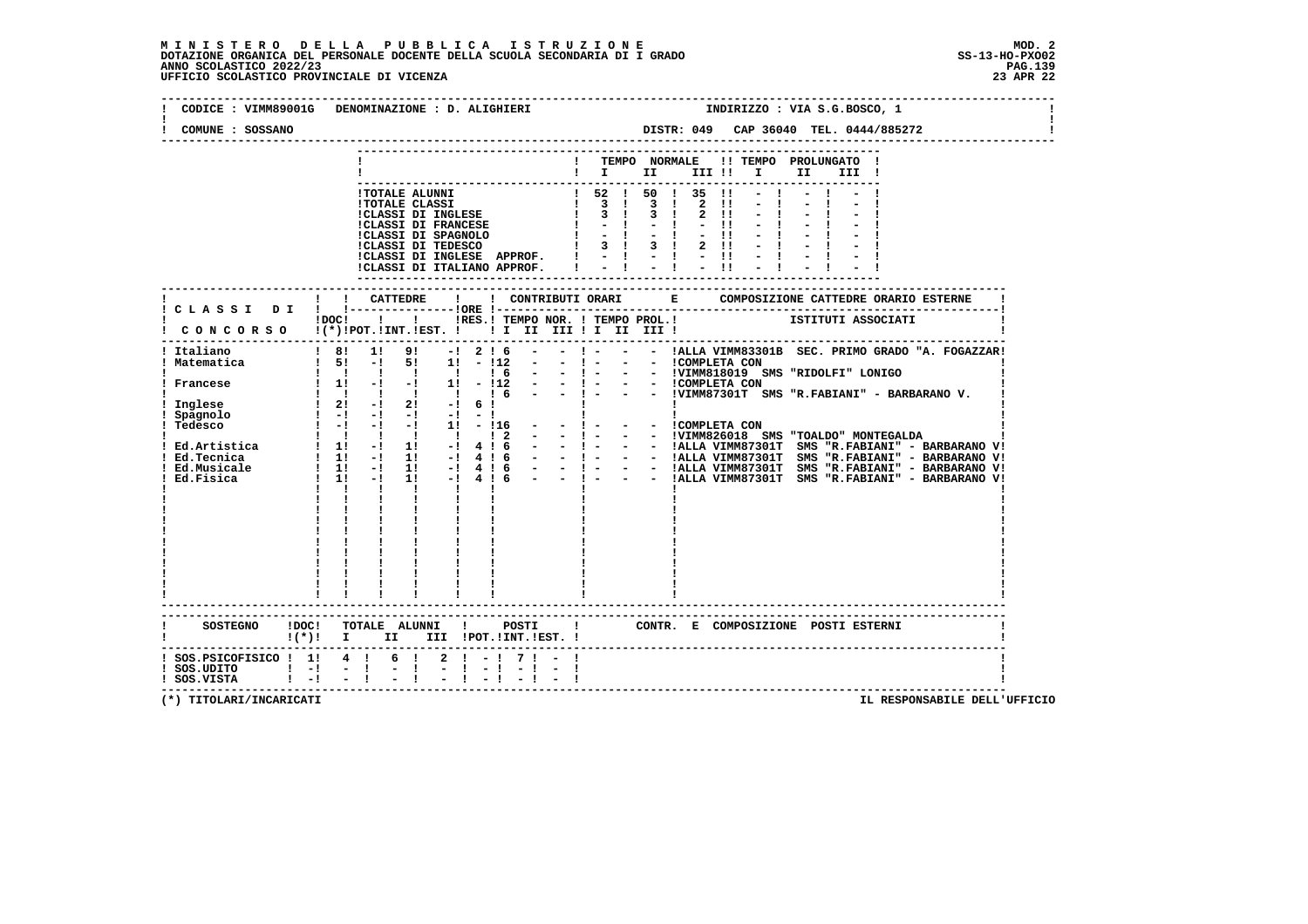## **M I N I S T E R O D E L L A P U B B L I C A I S T R U Z I O N E MOD. 2**DOTAZIONE ORGANICA DEL PERSONALE DOCENTE DELLA SCUOLA SECONDARIA DI I GRADO **SCOLASTICO SCOLASTICO 2022/23 PAG-**<br>PAGO SCOLASTICO 2022/23 PAG.139<br>23 APR 22 UFFICIO SCOLASTICO PROVINCIALE DI VICENZA

|                                              | CODICE: VIMM89001G DENOMINAZIONE: D. ALIGHIERI<br>INDIRIZZO : VIA S.G.BOSCO, 1                                 |
|----------------------------------------------|----------------------------------------------------------------------------------------------------------------|
| COMUNE : SOSSANO                             |                                                                                                                |
|                                              | ! TEMPO NORMALE !! TEMPO PROLUNGATO !<br>$\mathbf{I}$ is the set of $\mathbf{I}$<br>III !!!!!<br>II a<br>III ! |
|                                              |                                                                                                                |
|                                              |                                                                                                                |
|                                              | CONCORSO !(*)!POT.!INT.!EST. ! ! I II III ! I III III !                                                        |
| Italiano                                     | $18!$ 1! 9! $-1216$ $-$<br>- ! - - - !ALLA VIMM83301B SEC. PRIMO GRADO "A. FOGAZZAR!                           |
|                                              |                                                                                                                |
|                                              | $!(*)!$ I II III !POT.!INT.!EST. !                                                                             |
| ! SOS.UDITO ! -! - !<br>! SOS.VISTA ! -! - ! | $1$ SOS.PSICOFISICO $1$ 1 4 1 6 1 2 1 - 1 7 1 - 1<br>$-1$                                                      |